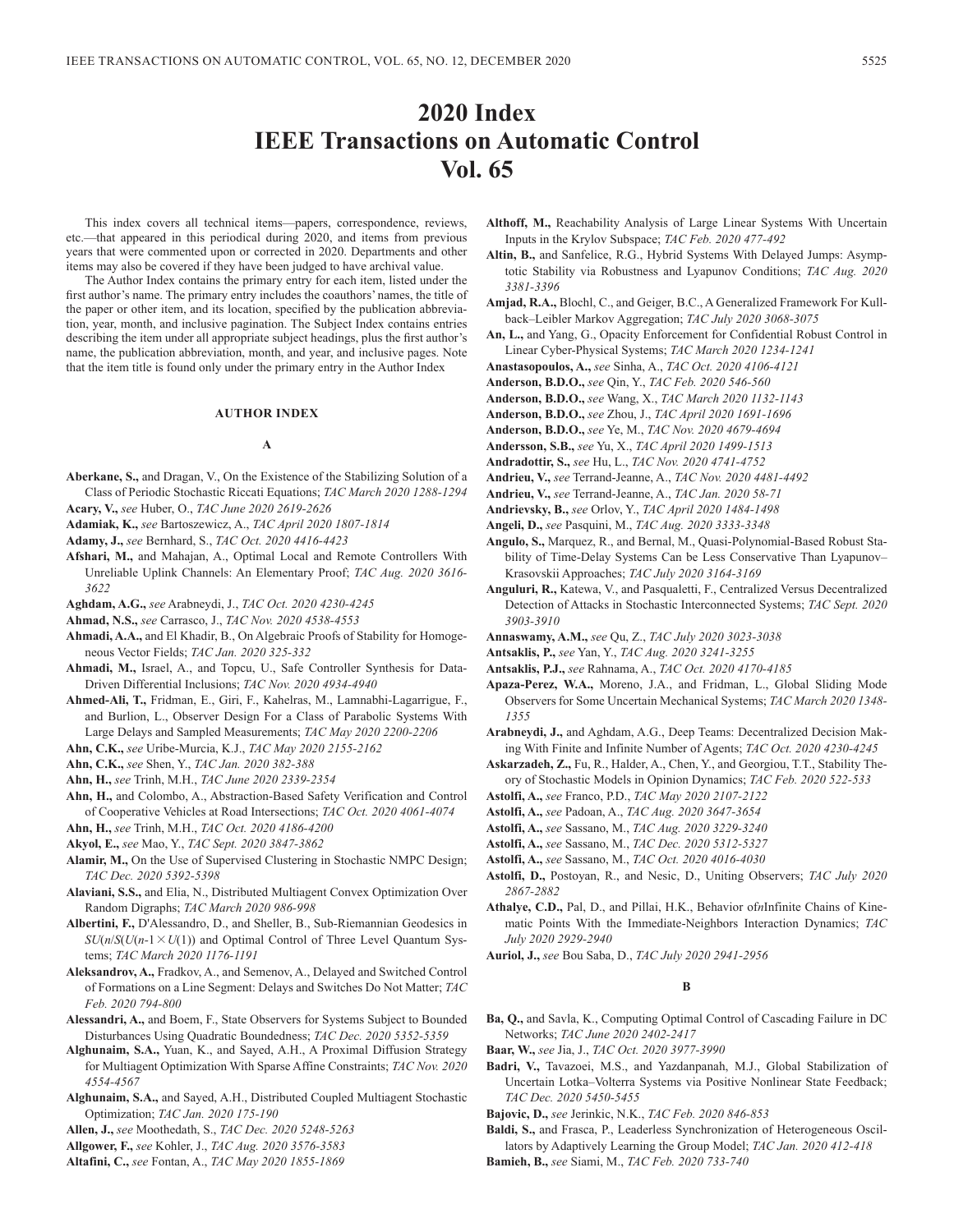# **2020 Index IEEE Transactions on Automatic Control Vol. 65**

This index covers all technical items—papers, correspondence, reviews, etc.—that appeared in this periodical during 2020, and items from previous years that were commented upon or corrected in 2020. Departments and other items may also be covered if they have been judged to have archival value.

The Author Index contains the primary entry for each item, listed under the first author's name. The primary entry includes the coauthors' names, the title of the paper or other item, and its location, specified by the publication abbreviation, year, month, and inclusive pagination. The Subject Index contains entries describing the item under all appropriate subject headings, plus the first author's name, the publication abbreviation, month, and year, and inclusive pages. Note that the item title is found only under the primary entry in the Author Index

# **AUTHOR INDEX**

### **A**

- **Aberkane, S.,** and Dragan, V., On the Existence of the Stabilizing Solution of a Class of Periodic Stochastic Riccati Equations; *TAC March 2020 1288-1294*
- **Acary, V.,** *see* Huber, O., *TAC June 2020 2619-2626*
- **Adamiak, K.,** *see* Bartoszewicz, A., *TAC April 2020 1807-1814*
- **Adamy, J.,** *see* Bernhard, S., *TAC Oct. 2020 4416-4423*
- **Afshari, M.,** and Mahajan, A., Optimal Local and Remote Controllers With Unreliable Uplink Channels: An Elementary Proof; *TAC Aug. 2020 3616- 3622*
- **Aghdam, A.G.,** *see* Arabneydi, J., *TAC Oct. 2020 4230-4245*
- **Ahmad, N.S.,** *see* Carrasco, J., *TAC Nov. 2020 4538-4553*
- **Ahmadi, A.A.,** and El Khadir, B., On Algebraic Proofs of Stability for Homogeneous Vector Fields; *TAC Jan. 2020 325-332*
- **Ahmadi, M.,** Israel, A., and Topcu, U., Safe Controller Synthesis for Data-Driven Differential Inclusions; *TAC Nov. 2020 4934-4940*
- **Ahmed-Ali, T.,** Fridman, E., Giri, F., Kahelras, M., Lamnabhi-Lagarrigue, F., and Burlion, L., Observer Design For a Class of Parabolic Systems With Large Delays and Sampled Measurements; *TAC May 2020 2200-2206*
- **Ahn, C.K.,** *see* Uribe-Murcia, K.J., *TAC May 2020 2155-2162*
- **Ahn, C.K.,** *see* Shen, Y., *TAC Jan. 2020 382-388*
- **Ahn, H.,** *see* Trinh, M.H., *TAC June 2020 2339-2354*
- **Ahn, H.,** and Colombo, A., Abstraction-Based Safety Verification and Control of Cooperative Vehicles at Road Intersections; *TAC Oct. 2020 4061-4074*
- **Ahn, H.,** *see* Trinh, M.H., *TAC Oct. 2020 4186-4200*
- **Akyol, E.,** *see* Mao, Y., *TAC Sept. 2020 3847-3862*
- **Alamir, M.,** On the Use of Supervised Clustering in Stochastic NMPC Design; *TAC Dec. 2020 5392-5398*
- **Alaviani, S.S.,** and Elia, N., Distributed Multiagent Convex Optimization Over Random Digraphs; *TAC March 2020 986-998*
- **Albertini, F.,** D'Alessandro, D., and Sheller, B., Sub-Riemannian Geodesics in  $SU(n/S(U(n-1 \times U(1))$  and Optimal Control of Three Level Quantum Systems; *TAC March 2020 1176-1191*
- **Aleksandrov, A.,** Fradkov, A., and Semenov, A., Delayed and Switched Control of Formations on a Line Segment: Delays and Switches Do Not Matter; *TAC Feb. 2020 794-800*
- **Alessandri, A.,** and Boem, F., State Observers for Systems Subject to Bounded Disturbances Using Quadratic Boundedness; *TAC Dec. 2020 5352-5359*
- **Alghunaim, S.A.,** Yuan, K., and Sayed, A.H., A Proximal Diffusion Strategy for Multiagent Optimization With Sparse Affine Constraints; *TAC Nov. 2020 4554-4567*
- **Alghunaim, S.A.,** and Sayed, A.H., Distributed Coupled Multiagent Stochastic Optimization; *TAC Jan. 2020 175-190*
- **Allen, J.,** *see* Moothedath, S., *TAC Dec. 2020 5248-5263*
- **Allgower, F.,** *see* Kohler, J., *TAC Aug. 2020 3576-3583*
- **Altafini, C.,** *see* Fontan, A., *TAC May 2020 1855-1869*
- **Althoff, M.,** Reachability Analysis of Large Linear Systems With Uncertain Inputs in the Krylov Subspace; *TAC Feb. 2020 477-492*
- **Altin, B.,** and Sanfelice, R.G., Hybrid Systems With Delayed Jumps: Asymptotic Stability via Robustness and Lyapunov Conditions; *TAC Aug. 2020 3381-3396*
- **Amjad, R.A.,** Blochl, C., and Geiger, B.C., A Generalized Framework For Kullback–Leibler Markov Aggregation; *TAC July 2020 3068-3075*
- **An, L.,** and Yang, G., Opacity Enforcement for Confidential Robust Control in Linear Cyber-Physical Systems; *TAC March 2020 1234-1241*
- **Anastasopoulos, A.,** *see* Sinha, A., *TAC Oct. 2020 4106-4121*
- **Anderson, B.D.O.,** *see* Qin, Y., *TAC Feb. 2020 546-560*
- **Anderson, B.D.O.,** *see* Wang, X., *TAC March 2020 1132-1143*
- **Anderson, B.D.O.,** *see* Zhou, J., *TAC April 2020 1691-1696*
- **Anderson, B.D.O.,** *see* Ye, M., *TAC Nov. 2020 4679-4694*
- **Andersson, S.B.,** *see* Yu, X., *TAC April 2020 1499-1513*
- **Andradottir, S.,** *see* Hu, L., *TAC Nov. 2020 4741-4752*
- **Andrieu, V.,** *see* Terrand-Jeanne, A., *TAC Nov. 2020 4481-4492*
- **Andrieu, V.,** *see* Terrand-Jeanne, A., *TAC Jan. 2020 58-71*
- **Andrievsky, B.,** *see* Orlov, Y., *TAC April 2020 1484-1498*
- **Angeli, D.,** *see* Pasquini, M., *TAC Aug. 2020 3333-3348*
- **Angulo, S.,** Marquez, R., and Bernal, M., Quasi-Polynomial-Based Robust Stability of Time-Delay Systems Can be Less Conservative Than Lyapunov– Krasovskii Approaches; *TAC July 2020 3164-3169*
- **Anguluri, R.,** Katewa, V., and Pasqualetti, F., Centralized Versus Decentralized Detection of Attacks in Stochastic Interconnected Systems; *TAC Sept. 2020 3903-3910*
- **Annaswamy, A.M.,** *see* Qu, Z., *TAC July 2020 3023-3038*
- **Antsaklis, P.,** *see* Yan, Y., *TAC Aug. 2020 3241-3255*
- **Antsaklis, P.J.,** *see* Rahnama, A., *TAC Oct. 2020 4170-4185*
- **Apaza-Perez, W.A.,** Moreno, J.A., and Fridman, L., Global Sliding Mode Observers for Some Uncertain Mechanical Systems; *TAC March 2020 1348- 1355*
- **Arabneydi, J.,** and Aghdam, A.G., Deep Teams: Decentralized Decision Making With Finite and Infinite Number of Agents; *TAC Oct. 2020 4230-4245*
- **Askarzadeh, Z.,** Fu, R., Halder, A., Chen, Y., and Georgiou, T.T., Stability Theory of Stochastic Models in Opinion Dynamics; *TAC Feb. 2020 522-533*
- **Astolfi, A.,** *see* Franco, P.D., *TAC May 2020 2107-2122*
- **Astolfi, A.,** *see* Padoan, A., *TAC Aug. 2020 3647-3654*
- **Astolfi, A.,** *see* Sassano, M., *TAC Aug. 2020 3229-3240*
- **Astolfi, A.,** *see* Sassano, M., *TAC Dec. 2020 5312-5327*
- **Astolfi, A.,** *see* Sassano, M., *TAC Oct. 2020 4016-4030*
- **Astolfi, D.,** Postoyan, R., and Nesic, D., Uniting Observers; *TAC July 2020 2867-2882*
- **Athalye, C.D.,** Pal, D., and Pillai, H.K., Behavior of*n*Infinite Chains of Kinematic Points With the Immediate-Neighbors Interaction Dynamics; *TAC July 2020 2929-2940*
- **Auriol, J.,** *see* Bou Saba, D., *TAC July 2020 2941-2956*

# **B**

- **Ba, Q.,** and Savla, K., Computing Optimal Control of Cascading Failure in DC Networks; *TAC June 2020 2402-2417*
- **Baar, W.,** *see* Jia, J., *TAC Oct. 2020 3977-3990*
- **Badri, V.,** Tavazoei, M.S., and Yazdanpanah, M.J., Global Stabilization of Uncertain Lotka–Volterra Systems via Positive Nonlinear State Feedback; *TAC Dec. 2020 5450-5455*
- **Bajovic, D.,** *see* Jerinkic, N.K., *TAC Feb. 2020 846-853*
- **Baldi, S.,** and Frasca, P., Leaderless Synchronization of Heterogeneous Oscillators by Adaptively Learning the Group Model; *TAC Jan. 2020 412-418*
- **Bamieh, B.,** *see* Siami, M., *TAC Feb. 2020 733-740*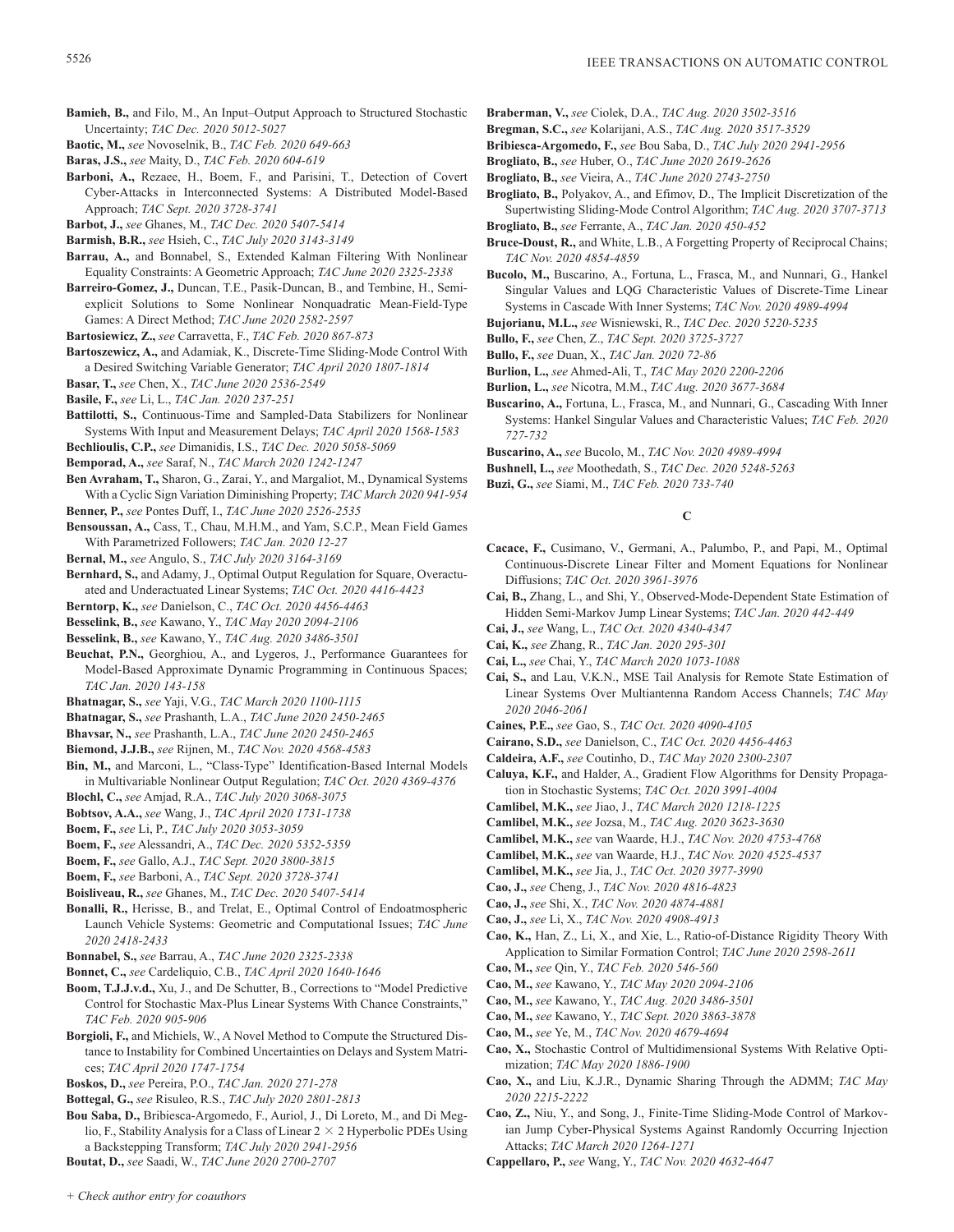- **Bamieh, B.,** and Filo, M., An Input–Output Approach to Structured Stochastic Uncertainty; *TAC Dec. 2020 5012-5027*
- **Baotic, M.,** *see* Novoselnik, B., *TAC Feb. 2020 649-663*
- **Baras, J.S.,** *see* Maity, D., *TAC Feb. 2020 604-619*
- **Barboni, A.,** Rezaee, H., Boem, F., and Parisini, T., Detection of Covert Cyber-Attacks in Interconnected Systems: A Distributed Model-Based Approach; *TAC Sept. 2020 3728-3741*
- **Barbot, J.,** *see* Ghanes, M., *TAC Dec. 2020 5407-5414*
- **Barmish, B.R.,** *see* Hsieh, C., *TAC July 2020 3143-3149*
- **Barrau, A.,** and Bonnabel, S., Extended Kalman Filtering With Nonlinear Equality Constraints: A Geometric Approach; *TAC June 2020 2325-2338*
- **Barreiro-Gomez, J.,** Duncan, T.E., Pasik-Duncan, B., and Tembine, H., Semiexplicit Solutions to Some Nonlinear Nonquadratic Mean-Field-Type Games: A Direct Method; *TAC June 2020 2582-2597*
- **Bartosiewicz, Z.,** *see* Carravetta, F., *TAC Feb. 2020 867-873*
- **Bartoszewicz, A.,** and Adamiak, K., Discrete-Time Sliding-Mode Control With a Desired Switching Variable Generator; *TAC April 2020 1807-1814*
- **Basar, T.,** *see* Chen, X., *TAC June 2020 2536-2549*
- **Basile, F.,** *see* Li, L., *TAC Jan. 2020 237-251*
- **Battilotti, S.,** Continuous-Time and Sampled-Data Stabilizers for Nonlinear Systems With Input and Measurement Delays; *TAC April 2020 1568-1583*
- **Bechlioulis, C.P.,** *see* Dimanidis, I.S., *TAC Dec. 2020 5058-5069*
- **Bemporad, A.,** *see* Saraf, N., *TAC March 2020 1242-1247*
- **Ben Avraham, T.,** Sharon, G., Zarai, Y., and Margaliot, M., Dynamical Systems With a Cyclic Sign Variation Diminishing Property; *TAC March 2020 941-954*
- **Benner, P.,** *see* Pontes Duff, I., *TAC June 2020 2526-2535*
- **Bensoussan, A.,** Cass, T., Chau, M.H.M., and Yam, S.C.P., Mean Field Games With Parametrized Followers; *TAC Jan. 2020 12-27*
- **Bernal, M.,** *see* Angulo, S., *TAC July 2020 3164-3169*
- **Bernhard, S.,** and Adamy, J., Optimal Output Regulation for Square, Overactuated and Underactuated Linear Systems; *TAC Oct. 2020 4416-4423*
- **Berntorp, K.,** *see* Danielson, C., *TAC Oct. 2020 4456-4463*
- **Besselink, B.,** *see* Kawano, Y., *TAC May 2020 2094-2106*
- **Besselink, B.,** *see* Kawano, Y., *TAC Aug. 2020 3486-3501*
- **Beuchat, P.N.,** Georghiou, A., and Lygeros, J., Performance Guarantees for Model-Based Approximate Dynamic Programming in Continuous Spaces; *TAC Jan. 2020 143-158*
- **Bhatnagar, S.,** *see* Yaji, V.G., *TAC March 2020 1100-1115*
- **Bhatnagar, S.,** *see* Prashanth, L.A., *TAC June 2020 2450-2465*
- **Bhavsar, N.,** *see* Prashanth, L.A., *TAC June 2020 2450-2465*
- **Biemond, J.J.B.,** *see* Rijnen, M., *TAC Nov. 2020 4568-4583*
- **Bin, M.,** and Marconi, L., "Class-Type" Identification-Based Internal Models in Multivariable Nonlinear Output Regulation; *TAC Oct. 2020 4369-4376*
- **Blochl, C.,** *see* Amjad, R.A., *TAC July 2020 3068-3075*
- **Bobtsov, A.A.,** *see* Wang, J., *TAC April 2020 1731-1738*
- **Boem, F.,** *see* Li, P., *TAC July 2020 3053-3059*
- **Boem, F.,** *see* Alessandri, A., *TAC Dec. 2020 5352-5359*
- **Boem, F.,** *see* Gallo, A.J., *TAC Sept. 2020 3800-3815*
- **Boem, F.,** *see* Barboni, A., *TAC Sept. 2020 3728-3741*
- **Boisliveau, R.,** *see* Ghanes, M., *TAC Dec. 2020 5407-5414*
- **Bonalli, R.,** Herisse, B., and Trelat, E., Optimal Control of Endoatmospheric Launch Vehicle Systems: Geometric and Computational Issues; *TAC June 2020 2418-2433*
- **Bonnabel, S.,** *see* Barrau, A., *TAC June 2020 2325-2338*
- **Bonnet, C.,** *see* Cardeliquio, C.B., *TAC April 2020 1640-1646*
- **Boom, T.J.J.v.d.,** Xu, J., and De Schutter, B., Corrections to "Model Predictive Control for Stochastic Max-Plus Linear Systems With Chance Constraints," *TAC Feb. 2020 905-906*
- **Borgioli, F.,** and Michiels, W., A Novel Method to Compute the Structured Distance to Instability for Combined Uncertainties on Delays and System Matrices; *TAC April 2020 1747-1754*
- **Boskos, D.,** *see* Pereira, P.O., *TAC Jan. 2020 271-278*
- **Bottegal, G.,** *see* Risuleo, R.S., *TAC July 2020 2801-2813*
- **Bou Saba, D.,** Bribiesca-Argomedo, F., Auriol, J., Di Loreto, M., and Di Meglio, F., Stability Analysis for a Class of Linear  $2 \times 2$  Hyperbolic PDEs Using a Backstepping Transform; *TAC July 2020 2941-2956*
- **Boutat, D.,** *see* Saadi, W., *TAC June 2020 2700-2707*
- **Braberman, V.,** *see* Ciolek, D.A., *TAC Aug. 2020 3502-3516*
- **Bregman, S.C.,** *see* Kolarijani, A.S., *TAC Aug. 2020 3517-3529*
- **Bribiesca-Argomedo, F.,** *see* Bou Saba, D., *TAC July 2020 2941-2956*
- **Brogliato, B.,** *see* Huber, O., *TAC June 2020 2619-2626*
- **Brogliato, B.,** *see* Vieira, A., *TAC June 2020 2743-2750*
- **Brogliato, B.,** Polyakov, A., and Efimov, D., The Implicit Discretization of the Supertwisting Sliding-Mode Control Algorithm; *TAC Aug. 2020 3707-3713*
- **Brogliato, B.,** *see* Ferrante, A., *TAC Jan. 2020 450-452*
- **Bruce-Doust, R.,** and White, L.B., A Forgetting Property of Reciprocal Chains; *TAC Nov. 2020 4854-4859*
- **Bucolo, M.,** Buscarino, A., Fortuna, L., Frasca, M., and Nunnari, G., Hankel Singular Values and LQG Characteristic Values of Discrete-Time Linear Systems in Cascade With Inner Systems; *TAC Nov. 2020 4989-4994*
- **Bujorianu, M.L.,** *see* Wisniewski, R., *TAC Dec. 2020 5220-5235*
- **Bullo, F.,** *see* Chen, Z., *TAC Sept. 2020 3725-3727*
- **Bullo, F.,** *see* Duan, X., *TAC Jan. 2020 72-86*
- **Burlion, L.,** *see* Ahmed-Ali, T., *TAC May 2020 2200-2206*
- **Burlion, L.,** *see* Nicotra, M.M., *TAC Aug. 2020 3677-3684*
- **Buscarino, A.,** Fortuna, L., Frasca, M., and Nunnari, G., Cascading With Inner Systems: Hankel Singular Values and Characteristic Values; *TAC Feb. 2020 727-732*
- **Buscarino, A.,** *see* Bucolo, M., *TAC Nov. 2020 4989-4994*
- **Bushnell, L.,** *see* Moothedath, S., *TAC Dec. 2020 5248-5263*
- **Buzi, G.,** *see* Siami, M., *TAC Feb. 2020 733-740*

# **C**

- **Cacace, F.,** Cusimano, V., Germani, A., Palumbo, P., and Papi, M., Optimal Continuous-Discrete Linear Filter and Moment Equations for Nonlinear Diffusions; *TAC Oct. 2020 3961-3976*
- **Cai, B.,** Zhang, L., and Shi, Y., Observed-Mode-Dependent State Estimation of Hidden Semi-Markov Jump Linear Systems; *TAC Jan. 2020 442-449*
- **Cai, J.,** *see* Wang, L., *TAC Oct. 2020 4340-4347*
- **Cai, K.,** *see* Zhang, R., *TAC Jan. 2020 295-301*
- **Cai, L.,** *see* Chai, Y., *TAC March 2020 1073-1088*
- **Cai, S.,** and Lau, V.K.N., MSE Tail Analysis for Remote State Estimation of Linear Systems Over Multiantenna Random Access Channels; *TAC May 2020 2046-2061*
- **Caines, P.E.,** *see* Gao, S., *TAC Oct. 2020 4090-4105*
- **Cairano, S.D.,** *see* Danielson, C., *TAC Oct. 2020 4456-4463*
- **Caldeira, A.F.,** *see* Coutinho, D., *TAC May 2020 2300-2307*
- **Caluya, K.F.,** and Halder, A., Gradient Flow Algorithms for Density Propagation in Stochastic Systems; *TAC Oct. 2020 3991-4004*
- **Camlibel, M.K.,** *see* Jiao, J., *TAC March 2020 1218-1225*
- **Camlibel, M.K.,** *see* Jozsa, M., *TAC Aug. 2020 3623-3630*
- **Camlibel, M.K.,** *see* van Waarde, H.J., *TAC Nov. 2020 4753-4768*
- **Camlibel, M.K.,** *see* van Waarde, H.J., *TAC Nov. 2020 4525-4537*
- **Camlibel, M.K.,** *see* Jia, J., *TAC Oct. 2020 3977-3990*
- **Cao, J.,** *see* Cheng, J., *TAC Nov. 2020 4816-4823*
- **Cao, J.,** *see* Shi, X., *TAC Nov. 2020 4874-4881*
- **Cao, J.,** *see* Li, X., *TAC Nov. 2020 4908-4913*
- **Cao, K.,** Han, Z., Li, X., and Xie, L., Ratio-of-Distance Rigidity Theory With Application to Similar Formation Control; *TAC June 2020 2598-2611*
- **Cao, M.,** *see* Qin, Y., *TAC Feb. 2020 546-560*
- **Cao, M.,** *see* Kawano, Y., *TAC May 2020 2094-2106*
- **Cao, M.,** *see* Kawano, Y., *TAC Aug. 2020 3486-3501*
- **Cao, M.,** *see* Kawano, Y., *TAC Sept. 2020 3863-3878*
- **Cao, M.,** *see* Ye, M., *TAC Nov. 2020 4679-4694*
- **Cao, X.,** Stochastic Control of Multidimensional Systems With Relative Optimization; *TAC May 2020 1886-1900*
- **Cao, X.,** and Liu, K.J.R., Dynamic Sharing Through the ADMM; *TAC May 2020 2215-2222*
- **Cao, Z.,** Niu, Y., and Song, J., Finite-Time Sliding-Mode Control of Markovian Jump Cyber-Physical Systems Against Randomly Occurring Injection Attacks; *TAC March 2020 1264-1271*
- **Cappellaro, P.,** *see* Wang, Y., *TAC Nov. 2020 4632-4647*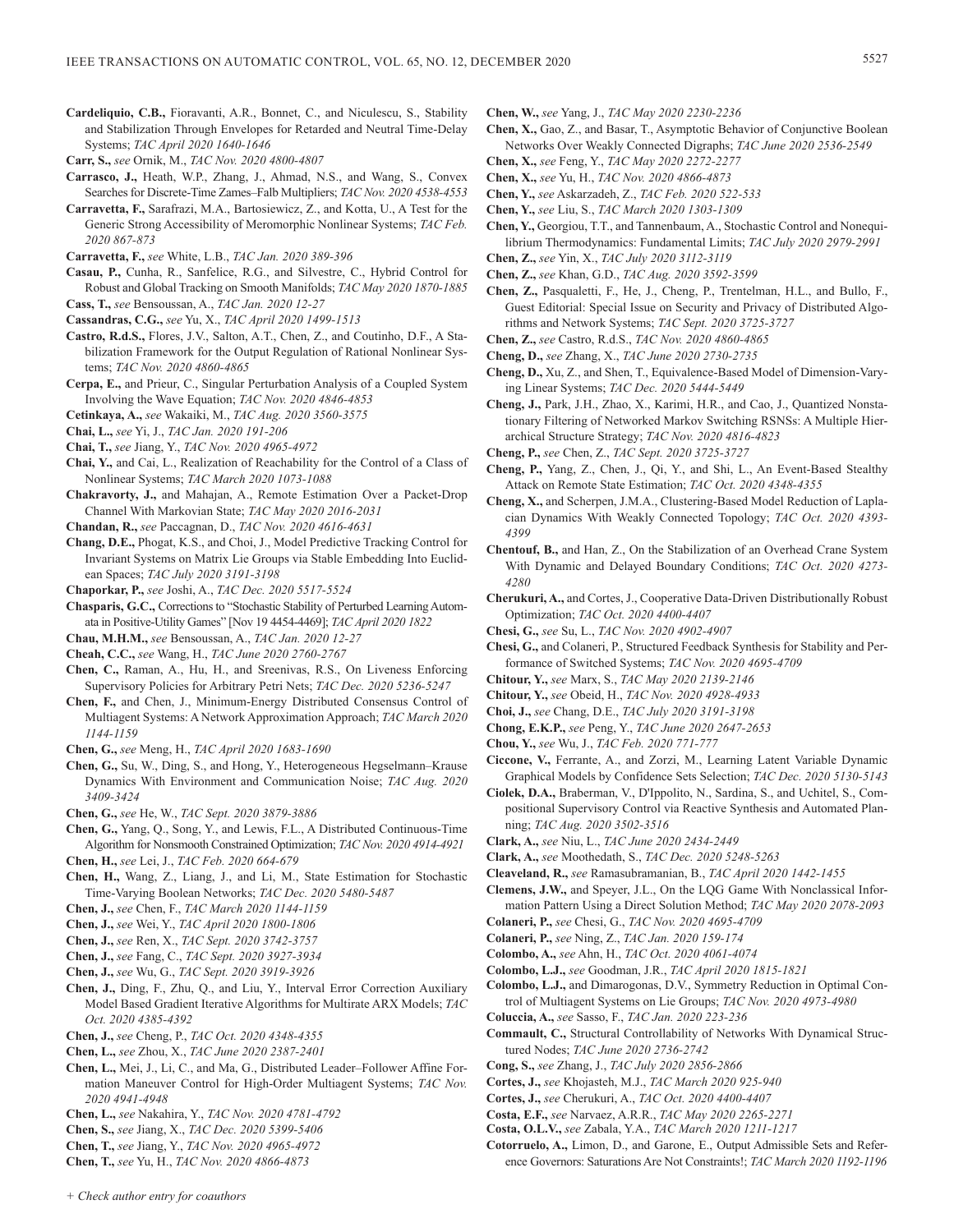- **Cardeliquio, C.B.,** Fioravanti, A.R., Bonnet, C., and Niculescu, S., Stability and Stabilization Through Envelopes for Retarded and Neutral Time-Delay Systems; *TAC April 2020 1640-1646*
- **Carr, S.,** *see* Ornik, M., *TAC Nov. 2020 4800-4807*
- **Carrasco, J.,** Heath, W.P., Zhang, J., Ahmad, N.S., and Wang, S., Convex Searches for Discrete-Time Zames–Falb Multipliers; *TAC Nov. 2020 4538-4553*
- **Carravetta, F.,** Sarafrazi, M.A., Bartosiewicz, Z., and Kotta, U., A Test for the Generic Strong Accessibility of Meromorphic Nonlinear Systems; *TAC Feb. 2020 867-873*
- **Carravetta, F.,** *see* White, L.B., *TAC Jan. 2020 389-396*
- **Casau, P.,** Cunha, R., Sanfelice, R.G., and Silvestre, C., Hybrid Control for Robust and Global Tracking on Smooth Manifolds; *TAC May 2020 1870-1885* **Cass, T.,** *see* Bensoussan, A., *TAC Jan. 2020 12-27*
- **Cassandras, C.G.,** *see* Yu, X., *TAC April 2020 1499-1513*
- **Castro, R.d.S.,** Flores, J.V., Salton, A.T., Chen, Z., and Coutinho, D.F., A Stabilization Framework for the Output Regulation of Rational Nonlinear Systems; *TAC Nov. 2020 4860-4865*
- **Cerpa, E.,** and Prieur, C., Singular Perturbation Analysis of a Coupled System Involving the Wave Equation; *TAC Nov. 2020 4846-4853*
- **Cetinkaya, A.,** *see* Wakaiki, M., *TAC Aug. 2020 3560-3575*
- **Chai, L.,** *see* Yi, J., *TAC Jan. 2020 191-206*
- **Chai, T.,** *see* Jiang, Y., *TAC Nov. 2020 4965-4972*
- **Chai, Y.,** and Cai, L., Realization of Reachability for the Control of a Class of Nonlinear Systems; *TAC March 2020 1073-1088*
- **Chakravorty, J.,** and Mahajan, A., Remote Estimation Over a Packet-Drop Channel With Markovian State; *TAC May 2020 2016-2031*
- **Chandan, R.,** *see* Paccagnan, D., *TAC Nov. 2020 4616-4631*
- **Chang, D.E.,** Phogat, K.S., and Choi, J., Model Predictive Tracking Control for Invariant Systems on Matrix Lie Groups via Stable Embedding Into Euclidean Spaces; *TAC July 2020 3191-3198*
- **Chaporkar, P.,** *see* Joshi, A., *TAC Dec. 2020 5517-5524*
- **Chasparis, G.C.,** Corrections to "Stochastic Stability of Perturbed Learning Automata in Positive-Utility Games" [Nov 19 4454-4469]; *TAC April 2020 1822*
- **Chau, M.H.M.,** *see* Bensoussan, A., *TAC Jan. 2020 12-27*
- **Cheah, C.C.,** *see* Wang, H., *TAC June 2020 2760-2767*
- **Chen, C.,** Raman, A., Hu, H., and Sreenivas, R.S., On Liveness Enforcing Supervisory Policies for Arbitrary Petri Nets; *TAC Dec. 2020 5236-5247*
- **Chen, F.,** and Chen, J., Minimum-Energy Distributed Consensus Control of Multiagent Systems: A Network Approximation Approach; *TAC March 2020 1144-1159*
- **Chen, G.,** *see* Meng, H., *TAC April 2020 1683-1690*
- **Chen, G.,** Su, W., Ding, S., and Hong, Y., Heterogeneous Hegselmann–Krause Dynamics With Environment and Communication Noise; *TAC Aug. 2020 3409-3424*
- **Chen, G.,** *see* He, W., *TAC Sept. 2020 3879-3886*
- **Chen, G.,** Yang, Q., Song, Y., and Lewis, F.L., A Distributed Continuous-Time Algorithm for Nonsmooth Constrained Optimization; *TAC Nov. 2020 4914-4921* **Chen, H.,** *see* Lei, J., *TAC Feb. 2020 664-679*
- **Chen, H.,** Wang, Z., Liang, J., and Li, M., State Estimation for Stochastic Time-Varying Boolean Networks; *TAC Dec. 2020 5480-5487*
- **Chen, J.,** *see* Chen, F., *TAC March 2020 1144-1159*
- **Chen, J.,** *see* Wei, Y., *TAC April 2020 1800-1806*
- **Chen, J.,** *see* Ren, X., *TAC Sept. 2020 3742-3757*
- **Chen, J.,** *see* Fang, C., *TAC Sept. 2020 3927-3934*
- **Chen, J.,** *see* Wu, G., *TAC Sept. 2020 3919-3926*
- **Chen, J.,** Ding, F., Zhu, Q., and Liu, Y., Interval Error Correction Auxiliary Model Based Gradient Iterative Algorithms for Multirate ARX Models; *TAC Oct. 2020 4385-4392*
- **Chen, J.,** *see* Cheng, P., *TAC Oct. 2020 4348-4355*
- **Chen, L.,** *see* Zhou, X., *TAC June 2020 2387-2401*
- **Chen, L.,** Mei, J., Li, C., and Ma, G., Distributed Leader–Follower Affine Formation Maneuver Control for High-Order Multiagent Systems; *TAC Nov. 2020 4941-4948*
- **Chen, L.,** *see* Nakahira, Y., *TAC Nov. 2020 4781-4792*
- **Chen, S.,** *see* Jiang, X., *TAC Dec. 2020 5399-5406*
- **Chen, T.,** *see* Jiang, Y., *TAC Nov. 2020 4965-4972*
- **Chen, T.,** *see* Yu, H., *TAC Nov. 2020 4866-4873*
- **Chen, W.,** *see* Yang, J., *TAC May 2020 2230-2236*
- **Chen, X.,** Gao, Z., and Basar, T., Asymptotic Behavior of Conjunctive Boolean Networks Over Weakly Connected Digraphs; *TAC June 2020 2536-2549*
- **Chen, X.,** *see* Feng, Y., *TAC May 2020 2272-2277*
- **Chen, X.,** *see* Yu, H., *TAC Nov. 2020 4866-4873* **Chen, Y.,** *see* Askarzadeh, Z., *TAC Feb. 2020 522-533*
- **Chen, Y.,** *see* Liu, S., *TAC March 2020 1303-1309*
- **Chen, Y.,** Georgiou, T.T., and Tannenbaum, A., Stochastic Control and Nonequilibrium Thermodynamics: Fundamental Limits; *TAC July 2020 2979-2991*
- **Chen, Z.,** *see* Yin, X., *TAC July 2020 3112-3119*
- **Chen, Z.,** *see* Khan, G.D., *TAC Aug. 2020 3592-3599*
- **Chen, Z.,** Pasqualetti, F., He, J., Cheng, P., Trentelman, H.L., and Bullo, F., Guest Editorial: Special Issue on Security and Privacy of Distributed Algorithms and Network Systems; *TAC Sept. 2020 3725-3727*
- **Chen, Z.,** *see* Castro, R.d.S., *TAC Nov. 2020 4860-4865*
- **Cheng, D.,** *see* Zhang, X., *TAC June 2020 2730-2735*
- **Cheng, D.,** Xu, Z., and Shen, T., Equivalence-Based Model of Dimension-Varying Linear Systems; *TAC Dec. 2020 5444-5449*
- **Cheng, J.,** Park, J.H., Zhao, X., Karimi, H.R., and Cao, J., Quantized Nonstationary Filtering of Networked Markov Switching RSNSs: A Multiple Hierarchical Structure Strategy; *TAC Nov. 2020 4816-4823*
- **Cheng, P.,** *see* Chen, Z., *TAC Sept. 2020 3725-3727*
- **Cheng, P.,** Yang, Z., Chen, J., Qi, Y., and Shi, L., An Event-Based Stealthy Attack on Remote State Estimation; *TAC Oct. 2020 4348-4355*
- **Cheng, X.,** and Scherpen, J.M.A., Clustering-Based Model Reduction of Laplacian Dynamics With Weakly Connected Topology; *TAC Oct. 2020 4393- 4399*
- **Chentouf, B.,** and Han, Z., On the Stabilization of an Overhead Crane System With Dynamic and Delayed Boundary Conditions; *TAC Oct. 2020 4273- 4280*
- **Cherukuri, A.,** and Cortes, J., Cooperative Data-Driven Distributionally Robust Optimization; *TAC Oct. 2020 4400-4407*
- **Chesi, G.,** *see* Su, L., *TAC Nov. 2020 4902-4907*
- **Chesi, G.,** and Colaneri, P., Structured Feedback Synthesis for Stability and Performance of Switched Systems; *TAC Nov. 2020 4695-4709*
- **Chitour, Y.,** *see* Marx, S., *TAC May 2020 2139-2146*
- **Chitour, Y.,** *see* Obeid, H., *TAC Nov. 2020 4928-4933*
- **Choi, J.,** *see* Chang, D.E., *TAC July 2020 3191-3198*
- **Chong, E.K.P.,** *see* Peng, Y., *TAC June 2020 2647-2653*
- **Chou, Y.,** *see* Wu, J., *TAC Feb. 2020 771-777*
- **Ciccone, V.,** Ferrante, A., and Zorzi, M., Learning Latent Variable Dynamic Graphical Models by Confidence Sets Selection; *TAC Dec. 2020 5130-5143*
- **Ciolek, D.A.,** Braberman, V., D'Ippolito, N., Sardina, S., and Uchitel, S., Compositional Supervisory Control via Reactive Synthesis and Automated Planning; *TAC Aug. 2020 3502-3516*
- **Clark, A.,** *see* Niu, L., *TAC June 2020 2434-2449*
- **Clark, A.,** *see* Moothedath, S., *TAC Dec. 2020 5248-5263*
- **Cleaveland, R.,** *see* Ramasubramanian, B., *TAC April 2020 1442-1455*
- **Clemens, J.W.,** and Speyer, J.L., On the LQG Game With Nonclassical Information Pattern Using a Direct Solution Method; *TAC May 2020 2078-2093*
- **Colaneri, P.,** *see* Chesi, G., *TAC Nov. 2020 4695-4709*
- **Colaneri, P.,** *see* Ning, Z., *TAC Jan. 2020 159-174*
- **Colombo, A.,** *see* Ahn, H., *TAC Oct. 2020 4061-4074*
- **Colombo, L.J.,** *see* Goodman, J.R., *TAC April 2020 1815-1821*
- **Colombo, L.J.,** and Dimarogonas, D.V., Symmetry Reduction in Optimal Control of Multiagent Systems on Lie Groups; *TAC Nov. 2020 4973-4980*
- **Coluccia, A.,** *see* Sasso, F., *TAC Jan. 2020 223-236*
- **Commault, C.,** Structural Controllability of Networks With Dynamical Structured Nodes; *TAC June 2020 2736-2742*
- **Cong, S.,** *see* Zhang, J., *TAC July 2020 2856-2866*
- **Cortes, J.,** *see* Khojasteh, M.J., *TAC March 2020 925-940*
- **Cortes, J.,** *see* Cherukuri, A., *TAC Oct. 2020 4400-4407*
- **Costa, E.F.,** *see* Narvaez, A.R.R., *TAC May 2020 2265-2271*
- **Costa, O.L.V.,** *see* Zabala, Y.A., *TAC March 2020 1211-1217*
- **Cotorruelo, A.,** Limon, D., and Garone, E., Output Admissible Sets and Reference Governors: Saturations Are Not Constraints!; *TAC March 2020 1192-1196*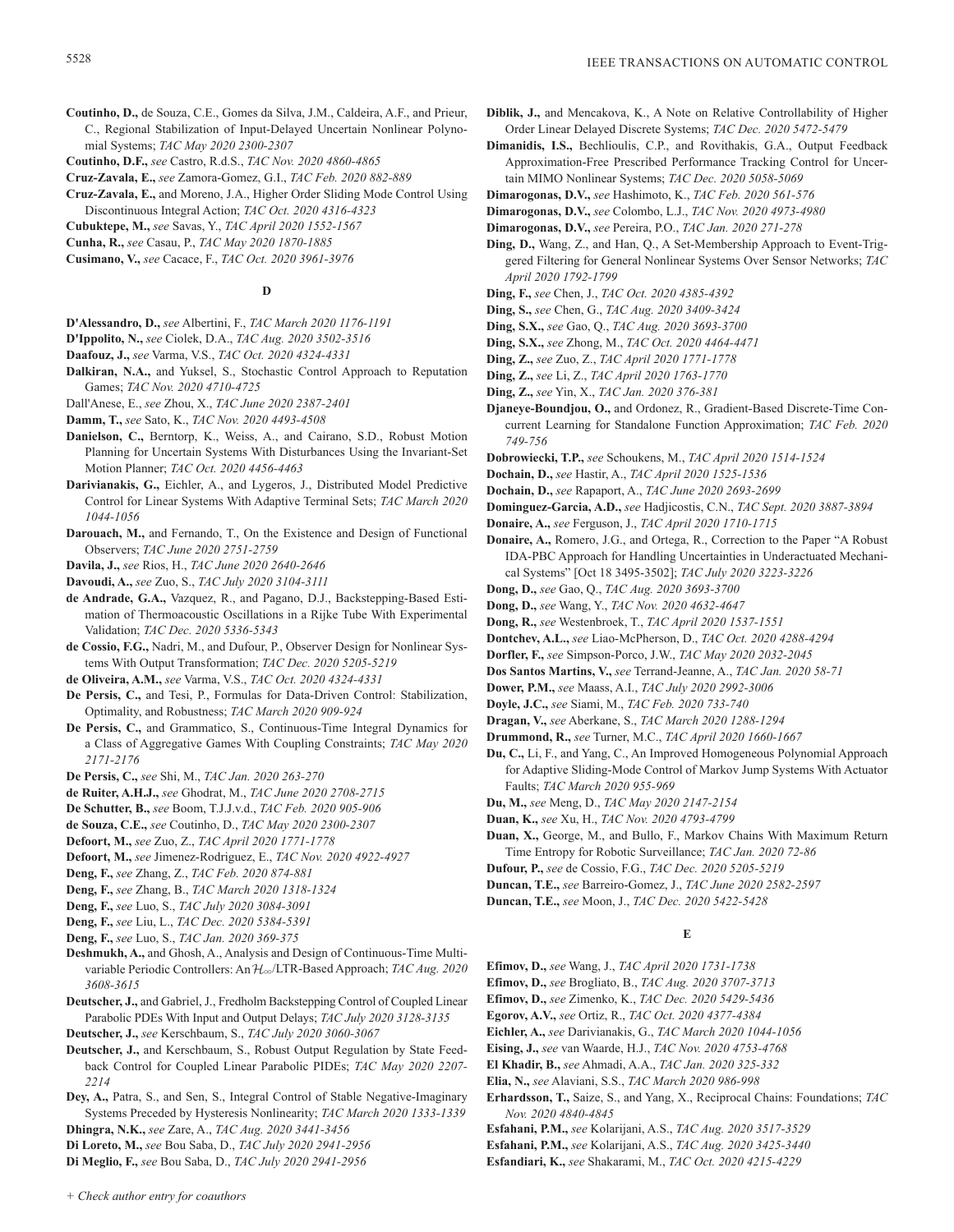- **Coutinho, D.,** de Souza, C.E., Gomes da Silva, J.M., Caldeira, A.F., and Prieur, C., Regional Stabilization of Input-Delayed Uncertain Nonlinear Polynomial Systems; *TAC May 2020 2300-2307*
- **Coutinho, D.F.,** *see* Castro, R.d.S., *TAC Nov. 2020 4860-4865*
- **Cruz-Zavala, E.,** *see* Zamora-Gomez, G.I., *TAC Feb. 2020 882-889*
- **Cruz-Zavala, E.,** and Moreno, J.A., Higher Order Sliding Mode Control Using Discontinuous Integral Action; *TAC Oct. 2020 4316-4323*
- **Cubuktepe, M.,** *see* Savas, Y., *TAC April 2020 1552-1567*
- **Cunha, R.,** *see* Casau, P., *TAC May 2020 1870-1885*
- **Cusimano, V.,** *see* Cacace, F., *TAC Oct. 2020 3961-3976*

# **D**

- **D'Alessandro, D.,** *see* Albertini, F., *TAC March 2020 1176-1191*
- **D'Ippolito, N.,** *see* Ciolek, D.A., *TAC Aug. 2020 3502-3516*
- **Daafouz, J.,** *see* Varma, V.S., *TAC Oct. 2020 4324-4331*
- **Dalkiran, N.A.,** and Yuksel, S., Stochastic Control Approach to Reputation Games; *TAC Nov. 2020 4710-4725*
- Dall'Anese, E., *see* Zhou, X., *TAC June 2020 2387-2401*

**Damm, T.,** *see* Sato, K., *TAC Nov. 2020 4493-4508*

- **Danielson, C.,** Berntorp, K., Weiss, A., and Cairano, S.D., Robust Motion Planning for Uncertain Systems With Disturbances Using the Invariant-Set Motion Planner; *TAC Oct. 2020 4456-4463*
- **Darivianakis, G.,** Eichler, A., and Lygeros, J., Distributed Model Predictive Control for Linear Systems With Adaptive Terminal Sets; *TAC March 2020 1044-1056*
- **Darouach, M.,** and Fernando, T., On the Existence and Design of Functional Observers; *TAC June 2020 2751-2759*

**Davila, J.,** *see* Rios, H., *TAC June 2020 2640-2646*

- **Davoudi, A.,** *see* Zuo, S., *TAC July 2020 3104-3111*
- **de Andrade, G.A.,** Vazquez, R., and Pagano, D.J., Backstepping-Based Estimation of Thermoacoustic Oscillations in a Rijke Tube With Experimental Validation; *TAC Dec. 2020 5336-5343*
- **de Cossio, F.G.,** Nadri, M., and Dufour, P., Observer Design for Nonlinear Systems With Output Transformation; *TAC Dec. 2020 5205-5219*
- **de Oliveira, A.M.,** *see* Varma, V.S., *TAC Oct. 2020 4324-4331*
- **De Persis, C.,** and Tesi, P., Formulas for Data-Driven Control: Stabilization, Optimality, and Robustness; *TAC March 2020 909-924*
- **De Persis, C.,** and Grammatico, S., Continuous-Time Integral Dynamics for a Class of Aggregative Games With Coupling Constraints; *TAC May 2020 2171-2176*
- **De Persis, C.,** *see* Shi, M., *TAC Jan. 2020 263-270*
- **de Ruiter, A.H.J.,** *see* Ghodrat, M., *TAC June 2020 2708-2715*
- **De Schutter, B.,** *see* Boom, T.J.J.v.d., *TAC Feb. 2020 905-906*
- **de Souza, C.E.,** *see* Coutinho, D., *TAC May 2020 2300-2307*
- **Defoort, M.,** *see* Zuo, Z., *TAC April 2020 1771-1778*
- **Defoort, M.,** *see* Jimenez-Rodriguez, E., *TAC Nov. 2020 4922-4927*
- **Deng, F.,** *see* Zhang, Z., *TAC Feb. 2020 874-881*
- **Deng, F.,** *see* Zhang, B., *TAC March 2020 1318-1324*
- **Deng, F.,** *see* Luo, S., *TAC July 2020 3084-3091*
- **Deng, F.,** *see* Liu, L., *TAC Dec. 2020 5384-5391*
- **Deng, F.,** *see* Luo, S., *TAC Jan. 2020 369-375*
- **Deshmukh, A.,** and Ghosh, A., Analysis and Design of Continuous-Time Multivariable Periodic Controllers: An  $H_{\infty}$ /LTR-Based Approach; *TAC Aug. 2020 3608-3615*
- **Deutscher, J.,** and Gabriel, J., Fredholm Backstepping Control of Coupled Linear Parabolic PDEs With Input and Output Delays; *TAC July 2020 3128-3135*
- **Deutscher, J.,** *see* Kerschbaum, S., *TAC July 2020 3060-3067*
- **Deutscher, J.,** and Kerschbaum, S., Robust Output Regulation by State Feedback Control for Coupled Linear Parabolic PIDEs; *TAC May 2020 2207- 2214*
- **Dey, A.,** Patra, S., and Sen, S., Integral Control of Stable Negative-Imaginary Systems Preceded by Hysteresis Nonlinearity; *TAC March 2020 1333-1339*
- **Dhingra, N.K.,** *see* Zare, A., *TAC Aug. 2020 3441-3456*
- **Di Loreto, M.,** *see* Bou Saba, D., *TAC July 2020 2941-2956*
- **Di Meglio, F.,** *see* Bou Saba, D., *TAC July 2020 2941-2956*
- **Diblik, J.,** and Mencakova, K., A Note on Relative Controllability of Higher Order Linear Delayed Discrete Systems; *TAC Dec. 2020 5472-5479*
- **Dimanidis, I.S.,** Bechlioulis, C.P., and Rovithakis, G.A., Output Feedback Approximation-Free Prescribed Performance Tracking Control for Uncertain MIMO Nonlinear Systems; *TAC Dec. 2020 5058-5069*
- **Dimarogonas, D.V.,** *see* Hashimoto, K., *TAC Feb. 2020 561-576*
- **Dimarogonas, D.V.,** *see* Colombo, L.J., *TAC Nov. 2020 4973-4980*
- **Dimarogonas, D.V.,** *see* Pereira, P.O., *TAC Jan. 2020 271-278*
- **Ding, D.,** Wang, Z., and Han, Q., A Set-Membership Approach to Event-Triggered Filtering for General Nonlinear Systems Over Sensor Networks; *TAC April 2020 1792-1799*
- **Ding, F.,** *see* Chen, J., *TAC Oct. 2020 4385-4392*
- **Ding, S.,** *see* Chen, G., *TAC Aug. 2020 3409-3424*
- **Ding, S.X.,** *see* Gao, Q., *TAC Aug. 2020 3693-3700*
- **Ding, S.X.,** *see* Zhong, M., *TAC Oct. 2020 4464-4471*
- **Ding, Z.,** *see* Zuo, Z., *TAC April 2020 1771-1778*
- **Ding, Z.,** *see* Li, Z., *TAC April 2020 1763-1770*
- **Ding, Z.,** *see* Yin, X., *TAC Jan. 2020 376-381*
- **Djaneye-Boundjou, O.,** and Ordonez, R., Gradient-Based Discrete-Time Concurrent Learning for Standalone Function Approximation; *TAC Feb. 2020 749-756*
- **Dobrowiecki, T.P.,** *see* Schoukens, M., *TAC April 2020 1514-1524*
- **Dochain, D.,** *see* Hastir, A., *TAC April 2020 1525-1536*
- **Dochain, D.,** *see* Rapaport, A., *TAC June 2020 2693-2699*
- **Dominguez-Garcia, A.D.,** *see* Hadjicostis, C.N., *TAC Sept. 2020 3887-3894*
- **Donaire, A.,** *see* Ferguson, J., *TAC April 2020 1710-1715*
- **Donaire, A.,** Romero, J.G., and Ortega, R., Correction to the Paper "A Robust IDA-PBC Approach for Handling Uncertainties in Underactuated Mechanical Systems" [Oct 18 3495-3502]; *TAC July 2020 3223-3226*
- **Dong, D.,** *see* Gao, Q., *TAC Aug. 2020 3693-3700*
- **Dong, D.,** *see* Wang, Y., *TAC Nov. 2020 4632-4647*
- **Dong, R.,** *see* Westenbroek, T., *TAC April 2020 1537-1551*
- **Dontchev, A.L.,** *see* Liao-McPherson, D., *TAC Oct. 2020 4288-4294*
- **Dorfler, F.,** *see* Simpson-Porco, J.W., *TAC May 2020 2032-2045*
- **Dos Santos Martins, V.,** *see* Terrand-Jeanne, A., *TAC Jan. 2020 58-71*
- **Dower, P.M.,** *see* Maass, A.I., *TAC July 2020 2992-3006*
- **Doyle, J.C.,** *see* Siami, M., *TAC Feb. 2020 733-740*
- **Dragan, V.,** *see* Aberkane, S., *TAC March 2020 1288-1294*
- **Drummond, R.,** *see* Turner, M.C., *TAC April 2020 1660-1667*
- **Du, C.,** Li, F., and Yang, C., An Improved Homogeneous Polynomial Approach for Adaptive Sliding-Mode Control of Markov Jump Systems With Actuator Faults; *TAC March 2020 955-969*
- **Du, M.,** *see* Meng, D., *TAC May 2020 2147-2154*
- **Duan, K.,** *see* Xu, H., *TAC Nov. 2020 4793-4799*
- **Duan, X.,** George, M., and Bullo, F., Markov Chains With Maximum Return Time Entropy for Robotic Surveillance; *TAC Jan. 2020 72-86*
- **Dufour, P.,** *see* de Cossio, F.G., *TAC Dec. 2020 5205-5219*
- **Duncan, T.E.,** *see* Barreiro-Gomez, J., *TAC June 2020 2582-2597*
- **Duncan, T.E.,** *see* Moon, J., *TAC Dec. 2020 5422-5428*

# **E**

- **Efimov, D.,** *see* Wang, J., *TAC April 2020 1731-1738*
- **Efimov, D.,** *see* Brogliato, B., *TAC Aug. 2020 3707-3713*
- **Efimov, D.,** *see* Zimenko, K., *TAC Dec. 2020 5429-5436*
- **Egorov, A.V.,** *see* Ortiz, R., *TAC Oct. 2020 4377-4384*
- **Eichler, A.,** *see* Darivianakis, G., *TAC March 2020 1044-1056*
- **Eising, J.,** *see* van Waarde, H.J., *TAC Nov. 2020 4753-4768*
- **El Khadir, B.,** *see* Ahmadi, A.A., *TAC Jan. 2020 325-332*
- **Elia, N.,** *see* Alaviani, S.S., *TAC March 2020 986-998*
- **Erhardsson, T.,** Saize, S., and Yang, X., Reciprocal Chains: Foundations; *TAC Nov. 2020 4840-4845*
- **Esfahani, P.M.,** *see* Kolarijani, A.S., *TAC Aug. 2020 3517-3529*
- **Esfahani, P.M.,** *see* Kolarijani, A.S., *TAC Aug. 2020 3425-3440*
- **Esfandiari, K.,** *see* Shakarami, M., *TAC Oct. 2020 4215-4229*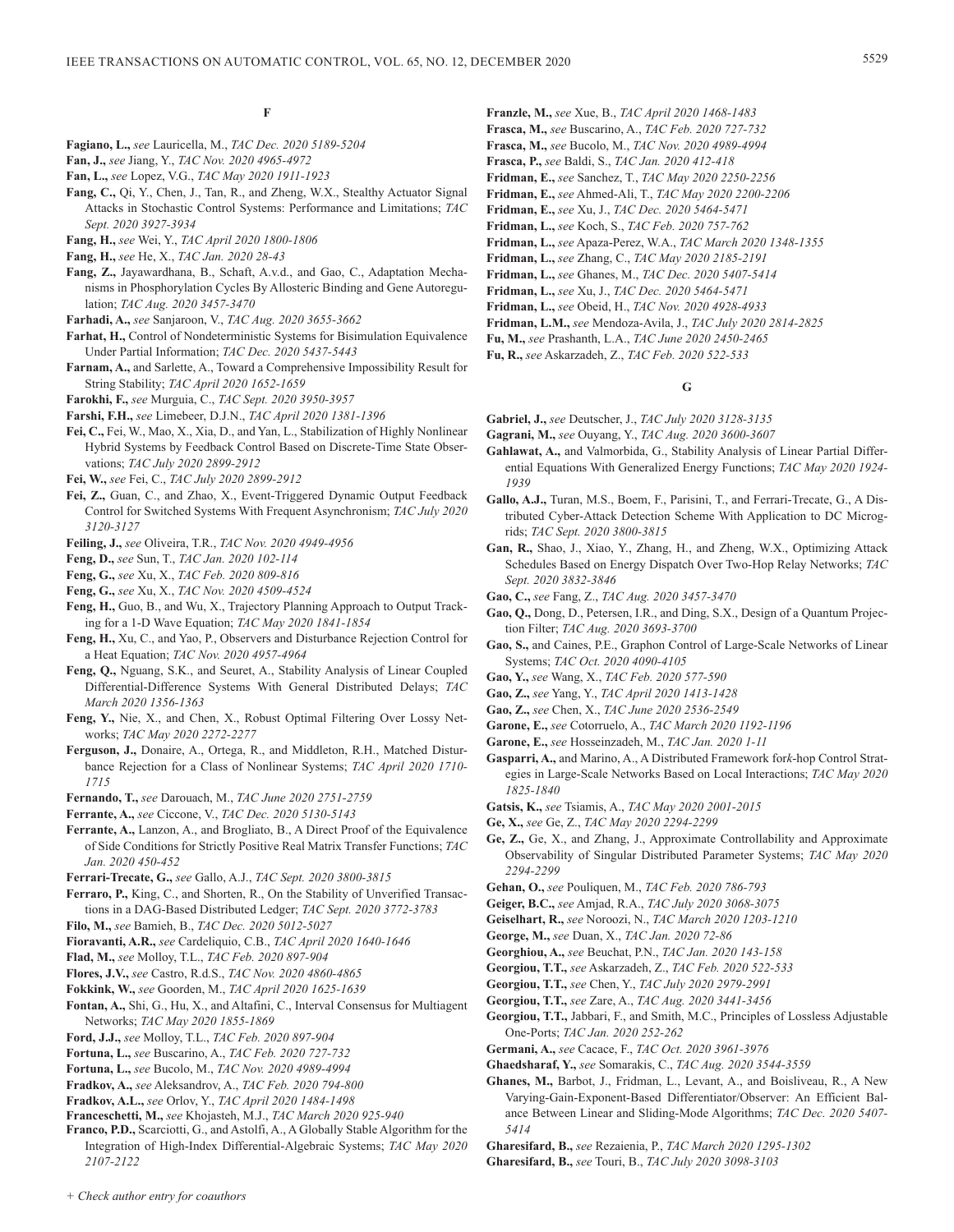# **F**

- **Fagiano, L.,** *see* Lauricella, M., *TAC Dec. 2020 5189-5204*
- **Fan, J.,** *see* Jiang, Y., *TAC Nov. 2020 4965-4972*
- **Fan, L.,** *see* Lopez, V.G., *TAC May 2020 1911-1923*
- **Fang, C.,** Qi, Y., Chen, J., Tan, R., and Zheng, W.X., Stealthy Actuator Signal Attacks in Stochastic Control Systems: Performance and Limitations; *TAC Sept. 2020 3927-3934*
- **Fang, H.,** *see* Wei, Y., *TAC April 2020 1800-1806*
- **Fang, H.,** *see* He, X., *TAC Jan. 2020 28-43*
- **Fang, Z.,** Jayawardhana, B., Schaft, A.v.d., and Gao, C., Adaptation Mechanisms in Phosphorylation Cycles By Allosteric Binding and Gene Autoregulation; *TAC Aug. 2020 3457-3470*
- **Farhadi, A.,** *see* Sanjaroon, V., *TAC Aug. 2020 3655-3662*
- **Farhat, H.,** Control of Nondeterministic Systems for Bisimulation Equivalence Under Partial Information; *TAC Dec. 2020 5437-5443*
- **Farnam, A.,** and Sarlette, A., Toward a Comprehensive Impossibility Result for String Stability; *TAC April 2020 1652-1659*
- **Farokhi, F.,** *see* Murguia, C., *TAC Sept. 2020 3950-3957*
- **Farshi, F.H.,** *see* Limebeer, D.J.N., *TAC April 2020 1381-1396*
- **Fei, C.,** Fei, W., Mao, X., Xia, D., and Yan, L., Stabilization of Highly Nonlinear Hybrid Systems by Feedback Control Based on Discrete-Time State Observations; *TAC July 2020 2899-2912*
- **Fei, W.,** *see* Fei, C., *TAC July 2020 2899-2912*
- **Fei, Z.,** Guan, C., and Zhao, X., Event-Triggered Dynamic Output Feedback Control for Switched Systems With Frequent Asynchronism; *TAC July 2020 3120-3127*
- **Feiling, J.,** *see* Oliveira, T.R., *TAC Nov. 2020 4949-4956*
- **Feng, D.,** *see* Sun, T., *TAC Jan. 2020 102-114*
- **Feng, G.,** *see* Xu, X., *TAC Feb. 2020 809-816*
- **Feng, G.,** *see* Xu, X., *TAC Nov. 2020 4509-4524*
- **Feng, H.,** Guo, B., and Wu, X., Trajectory Planning Approach to Output Tracking for a 1-D Wave Equation; *TAC May 2020 1841-1854*
- **Feng, H.,** Xu, C., and Yao, P., Observers and Disturbance Rejection Control for a Heat Equation; *TAC Nov. 2020 4957-4964*
- **Feng, Q.,** Nguang, S.K., and Seuret, A., Stability Analysis of Linear Coupled Differential-Difference Systems With General Distributed Delays; *TAC March 2020 1356-1363*
- **Feng, Y.,** Nie, X., and Chen, X., Robust Optimal Filtering Over Lossy Networks; *TAC May 2020 2272-2277*
- **Ferguson, J.,** Donaire, A., Ortega, R., and Middleton, R.H., Matched Disturbance Rejection for a Class of Nonlinear Systems; *TAC April 2020 1710- 1715*
- **Fernando, T.,** *see* Darouach, M., *TAC June 2020 2751-2759*
- **Ferrante, A.,** *see* Ciccone, V., *TAC Dec. 2020 5130-5143*
- **Ferrante, A.,** Lanzon, A., and Brogliato, B., A Direct Proof of the Equivalence of Side Conditions for Strictly Positive Real Matrix Transfer Functions; *TAC Jan. 2020 450-452*
- **Ferrari-Trecate, G.,** *see* Gallo, A.J., *TAC Sept. 2020 3800-3815*
- **Ferraro, P.,** King, C., and Shorten, R., On the Stability of Unverified Transactions in a DAG-Based Distributed Ledger; *TAC Sept. 2020 3772-3783*
- **Filo, M.,** *see* Bamieh, B., *TAC Dec. 2020 5012-5027*
- **Fioravanti, A.R.,** *see* Cardeliquio, C.B., *TAC April 2020 1640-1646*
- **Flad, M.,** *see* Molloy, T.L., *TAC Feb. 2020 897-904*
- **Flores, J.V.,** *see* Castro, R.d.S., *TAC Nov. 2020 4860-4865*
- **Fokkink, W.,** *see* Goorden, M., *TAC April 2020 1625-1639*
- **Fontan, A.,** Shi, G., Hu, X., and Altafini, C., Interval Consensus for Multiagent Networks; *TAC May 2020 1855-1869*
- **Ford, J.J.,** *see* Molloy, T.L., *TAC Feb. 2020 897-904*
- **Fortuna, L.,** *see* Buscarino, A., *TAC Feb. 2020 727-732*
- **Fortuna, L.,** *see* Bucolo, M., *TAC Nov. 2020 4989-4994*
- **Fradkov, A.,** *see* Aleksandrov, A., *TAC Feb. 2020 794-800*
- **Fradkov, A.L.,** *see* Orlov, Y., *TAC April 2020 1484-1498*
- **Franceschetti, M.,** *see* Khojasteh, M.J., *TAC March 2020 925-940*
- **Franco, P.D.,** Scarciotti, G., and Astolfi, A., A Globally Stable Algorithm for the Integration of High-Index Differential-Algebraic Systems; *TAC May 2020 2107-2122*
- **Franzle, M.,** *see* Xue, B., *TAC April 2020 1468-1483*
- **Frasca, M.,** *see* Buscarino, A., *TAC Feb. 2020 727-732* **Frasca, M.,** *see* Bucolo, M., *TAC Nov. 2020 4989-4994*
- **Frasca, P.,** *see* Baldi, S., *TAC Jan. 2020 412-418*
- **Fridman, E.,** *see* Sanchez, T., *TAC May 2020 2250-2256*
- **Fridman, E.,** *see* Ahmed-Ali, T., *TAC May 2020 2200-2206*
- **Fridman, E.,** *see* Xu, J., *TAC Dec. 2020 5464-5471*
- **Fridman, L.,** *see* Koch, S., *TAC Feb. 2020 757-762*
- **Fridman, L.,** *see* Apaza-Perez, W.A., *TAC March 2020 1348-1355*
- **Fridman, L.,** *see* Zhang, C., *TAC May 2020 2185-2191*
- **Fridman, L.,** *see* Ghanes, M., *TAC Dec. 2020 5407-5414*
- **Fridman, L.,** *see* Xu, J., *TAC Dec. 2020 5464-5471*
- **Fridman, L.,** *see* Obeid, H., *TAC Nov. 2020 4928-4933*
- **Fridman, L.M.,** *see* Mendoza-Avila, J., *TAC July 2020 2814-2825*
- **Fu, M.,** *see* Prashanth, L.A., *TAC June 2020 2450-2465*
- **Fu, R.,** *see* Askarzadeh, Z., *TAC Feb. 2020 522-533*

### **G**

- **Gabriel, J.,** *see* Deutscher, J., *TAC July 2020 3128-3135*
- **Gagrani, M.,** *see* Ouyang, Y., *TAC Aug. 2020 3600-3607*
- **Gahlawat, A.,** and Valmorbida, G., Stability Analysis of Linear Partial Differential Equations With Generalized Energy Functions; *TAC May 2020 1924- 1939*
- **Gallo, A.J.,** Turan, M.S., Boem, F., Parisini, T., and Ferrari-Trecate, G., A Distributed Cyber-Attack Detection Scheme With Application to DC Microgrids; *TAC Sept. 2020 3800-3815*
- **Gan, R.,** Shao, J., Xiao, Y., Zhang, H., and Zheng, W.X., Optimizing Attack Schedules Based on Energy Dispatch Over Two-Hop Relay Networks; *TAC Sept. 2020 3832-3846*
- **Gao, C.,** *see* Fang, Z., *TAC Aug. 2020 3457-3470*
- **Gao, Q.,** Dong, D., Petersen, I.R., and Ding, S.X., Design of a Quantum Projection Filter; *TAC Aug. 2020 3693-3700*
- **Gao, S.,** and Caines, P.E., Graphon Control of Large-Scale Networks of Linear Systems; *TAC Oct. 2020 4090-4105*
- **Gao, Y.,** *see* Wang, X., *TAC Feb. 2020 577-590*
- **Gao, Z.,** *see* Yang, Y., *TAC April 2020 1413-1428*
- **Gao, Z.,** *see* Chen, X., *TAC June 2020 2536-2549*
- **Garone, E.,** *see* Cotorruelo, A., *TAC March 2020 1192-1196*
- **Garone, E.,** *see* Hosseinzadeh, M., *TAC Jan. 2020 1-11*
- **Gasparri, A.,** and Marino, A., A Distributed Framework for*k*-hop Control Strategies in Large-Scale Networks Based on Local Interactions; *TAC May 2020 1825-1840*
- **Gatsis, K.,** *see* Tsiamis, A., *TAC May 2020 2001-2015*
- **Ge, X.,** *see* Ge, Z., *TAC May 2020 2294-2299*
- **Ge, Z.,** Ge, X., and Zhang, J., Approximate Controllability and Approximate Observability of Singular Distributed Parameter Systems; *TAC May 2020 2294-2299*
- **Gehan, O.,** *see* Pouliquen, M., *TAC Feb. 2020 786-793*
- **Geiger, B.C.,** *see* Amjad, R.A., *TAC July 2020 3068-3075*
- **Geiselhart, R.,** *see* Noroozi, N., *TAC March 2020 1203-1210*
- **George, M.,** *see* Duan, X., *TAC Jan. 2020 72-86*
- **Georghiou, A.,** *see* Beuchat, P.N., *TAC Jan. 2020 143-158*
- **Georgiou, T.T.,** *see* Askarzadeh, Z., *TAC Feb. 2020 522-533*
- **Georgiou, T.T.,** *see* Chen, Y., *TAC July 2020 2979-2991*
- **Georgiou, T.T.,** *see* Zare, A., *TAC Aug. 2020 3441-3456*
- **Georgiou, T.T.,** Jabbari, F., and Smith, M.C., Principles of Lossless Adjustable One-Ports; *TAC Jan. 2020 252-262*
- **Germani, A.,** *see* Cacace, F., *TAC Oct. 2020 3961-3976*
- **Ghaedsharaf, Y.,** *see* Somarakis, C., *TAC Aug. 2020 3544-3559*
- **Ghanes, M.,** Barbot, J., Fridman, L., Levant, A., and Boisliveau, R., A New Varying-Gain-Exponent-Based Differentiator/Observer: An Efficient Balance Between Linear and Sliding-Mode Algorithms; *TAC Dec. 2020 5407- 5414*
- **Gharesifard, B.,** *see* Rezaienia, P., *TAC March 2020 1295-1302*
- **Gharesifard, B.,** *see* Touri, B., *TAC July 2020 3098-3103*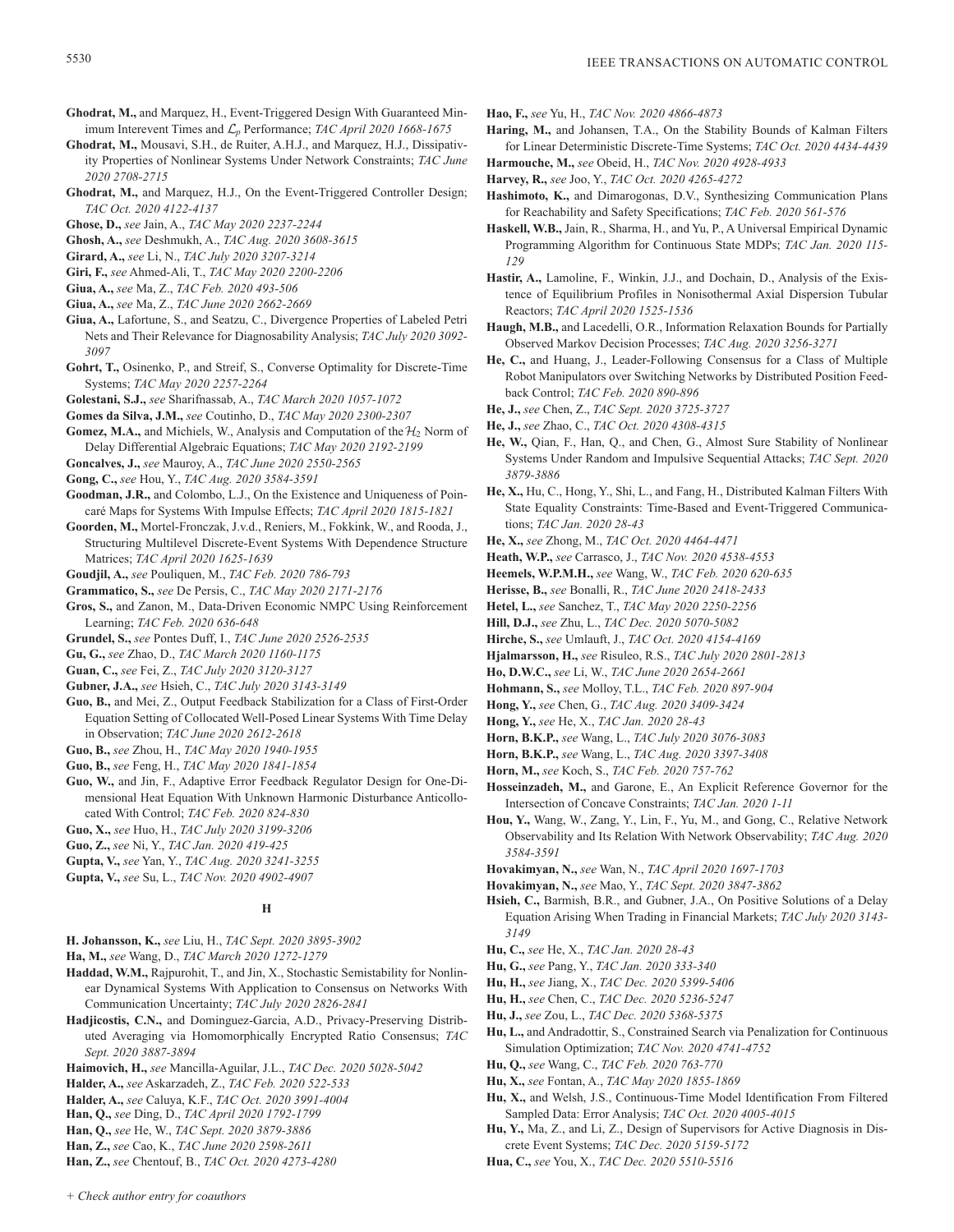- **Ghodrat, M.,** and Marquez, H., Event-Triggered Design With Guaranteed Minimum Interevent Times and L*p* Performance; *TAC April 2020 1668-1675*
- **Ghodrat, M.,** Mousavi, S.H., de Ruiter, A.H.J., and Marquez, H.J., Dissipativity Properties of Nonlinear Systems Under Network Constraints; *TAC June 2020 2708-2715*
- **Ghodrat, M.,** and Marquez, H.J., On the Event-Triggered Controller Design; *TAC Oct. 2020 4122-4137*
- **Ghose, D.,** *see* Jain, A., *TAC May 2020 2237-2244*
- **Ghosh, A.,** *see* Deshmukh, A., *TAC Aug. 2020 3608-3615*
- **Girard, A.,** *see* Li, N., *TAC July 2020 3207-3214*
- **Giri, F.,** *see* Ahmed-Ali, T., *TAC May 2020 2200-2206*
- **Giua, A.,** *see* Ma, Z., *TAC Feb. 2020 493-506*
- **Giua, A.,** *see* Ma, Z., *TAC June 2020 2662-2669*
- **Giua, A.,** Lafortune, S., and Seatzu, C., Divergence Properties of Labeled Petri Nets and Their Relevance for Diagnosability Analysis; *TAC July 2020 3092- 3097*
- **Gohrt, T.,** Osinenko, P., and Streif, S., Converse Optimality for Discrete-Time Systems; *TAC May 2020 2257-2264*
- **Golestani, S.J.,** *see* Sharifnassab, A., *TAC March 2020 1057-1072*
- **Gomes da Silva, J.M.,** *see* Coutinho, D., *TAC May 2020 2300-2307*
- **Gomez, M.A.,** and Michiels, W., Analysis and Computation of the  $H_2$  Norm of Delay Differential Algebraic Equations; *TAC May 2020 2192-2199*
- **Goncalves, J.,** *see* Mauroy, A., *TAC June 2020 2550-2565*
- **Gong, C.,** *see* Hou, Y., *TAC Aug. 2020 3584-3591*
- **Goodman, J.R.,** and Colombo, L.J., On the Existence and Uniqueness of Poincaré Maps for Systems With Impulse Effects; *TAC April 2020 1815-1821*
- **Goorden, M.,** Mortel-Fronczak, J.v.d., Reniers, M., Fokkink, W., and Rooda, J., Structuring Multilevel Discrete-Event Systems With Dependence Structure Matrices; *TAC April 2020 1625-1639*
- **Goudjil, A.,** *see* Pouliquen, M., *TAC Feb. 2020 786-793*
- **Grammatico, S.,** *see* De Persis, C., *TAC May 2020 2171-2176*
- **Gros, S.,** and Zanon, M., Data-Driven Economic NMPC Using Reinforcement Learning; *TAC Feb. 2020 636-648*
- **Grundel, S.,** *see* Pontes Duff, I., *TAC June 2020 2526-2535*
- **Gu, G.,** *see* Zhao, D., *TAC March 2020 1160-1175*
- **Guan, C.,** *see* Fei, Z., *TAC July 2020 3120-3127*
- **Gubner, J.A.,** *see* Hsieh, C., *TAC July 2020 3143-3149*
- **Guo, B.,** and Mei, Z., Output Feedback Stabilization for a Class of First-Order Equation Setting of Collocated Well-Posed Linear Systems With Time Delay in Observation; *TAC June 2020 2612-2618*
- **Guo, B.,** *see* Zhou, H., *TAC May 2020 1940-1955*
- **Guo, B.,** *see* Feng, H., *TAC May 2020 1841-1854*
- **Guo, W.,** and Jin, F., Adaptive Error Feedback Regulator Design for One-Dimensional Heat Equation With Unknown Harmonic Disturbance Anticollocated With Control; *TAC Feb. 2020 824-830*
- **Guo, X.,** *see* Huo, H., *TAC July 2020 3199-3206*
- **Guo, Z.,** *see* Ni, Y., *TAC Jan. 2020 419-425*
- **Gupta, V.,** *see* Yan, Y., *TAC Aug. 2020 3241-3255*
- **Gupta, V.,** *see* Su, L., *TAC Nov. 2020 4902-4907*

# **H**

- **H. Johansson, K.,** *see* Liu, H., *TAC Sept. 2020 3895-3902*
- **Ha, M.,** *see* Wang, D., *TAC March 2020 1272-1279*
- **Haddad, W.M.,** Rajpurohit, T., and Jin, X., Stochastic Semistability for Nonlinear Dynamical Systems With Application to Consensus on Networks With Communication Uncertainty; *TAC July 2020 2826-2841*
- **Hadjicostis, C.N.,** and Dominguez-Garcia, A.D., Privacy-Preserving Distributed Averaging via Homomorphically Encrypted Ratio Consensus; *TAC Sept. 2020 3887-3894*
- **Haimovich, H.,** *see* Mancilla-Aguilar, J.L., *TAC Dec. 2020 5028-5042*
- **Halder, A.,** *see* Askarzadeh, Z., *TAC Feb. 2020 522-533*
- **Halder, A.,** *see* Caluya, K.F., *TAC Oct. 2020 3991-4004*
- **Han, Q.,** *see* Ding, D., *TAC April 2020 1792-1799*
- **Han, Q.,** *see* He, W., *TAC Sept. 2020 3879-3886*
- **Han, Z.,** *see* Cao, K., *TAC June 2020 2598-2611*
- **Han, Z.,** *see* Chentouf, B., *TAC Oct. 2020 4273-4280*
- **Hao, F.,** *see* Yu, H., *TAC Nov. 2020 4866-4873*
- **Haring, M.,** and Johansen, T.A., On the Stability Bounds of Kalman Filters for Linear Deterministic Discrete-Time Systems; *TAC Oct. 2020 4434-4439* **Harmouche, M.,** *see* Obeid, H., *TAC Nov. 2020 4928-4933*
- **Harvey, R.,** *see* Joo, Y., *TAC Oct. 2020 4265-4272*
- **Hashimoto, K.,** and Dimarogonas, D.V., Synthesizing Communication Plans for Reachability and Safety Specifications; *TAC Feb. 2020 561-576*
- **Haskell, W.B.,** Jain, R., Sharma, H., and Yu, P., A Universal Empirical Dynamic Programming Algorithm for Continuous State MDPs; *TAC Jan. 2020 115- 129*
- **Hastir, A.,** Lamoline, F., Winkin, J.J., and Dochain, D., Analysis of the Existence of Equilibrium Profiles in Nonisothermal Axial Dispersion Tubular Reactors; *TAC April 2020 1525-1536*
- **Haugh, M.B.,** and Lacedelli, O.R., Information Relaxation Bounds for Partially Observed Markov Decision Processes; *TAC Aug. 2020 3256-3271*
- **He, C.,** and Huang, J., Leader-Following Consensus for a Class of Multiple Robot Manipulators over Switching Networks by Distributed Position Feedback Control; *TAC Feb. 2020 890-896*
- **He, J.,** *see* Chen, Z., *TAC Sept. 2020 3725-3727*
- **He, J.,** *see* Zhao, C., *TAC Oct. 2020 4308-4315*
- **He, W.,** Qian, F., Han, Q., and Chen, G., Almost Sure Stability of Nonlinear Systems Under Random and Impulsive Sequential Attacks; *TAC Sept. 2020 3879-3886*
- **He, X.,** Hu, C., Hong, Y., Shi, L., and Fang, H., Distributed Kalman Filters With State Equality Constraints: Time-Based and Event-Triggered Communications; *TAC Jan. 2020 28-43*
- **He, X.,** *see* Zhong, M., *TAC Oct. 2020 4464-4471*
- **Heath, W.P.,** *see* Carrasco, J., *TAC Nov. 2020 4538-4553*
- **Heemels, W.P.M.H.,** *see* Wang, W., *TAC Feb. 2020 620-635*
- **Herisse, B.,** *see* Bonalli, R., *TAC June 2020 2418-2433*
- **Hetel, L.,** *see* Sanchez, T., *TAC May 2020 2250-2256*
- **Hill, D.J.,** *see* Zhu, L., *TAC Dec. 2020 5070-5082*
- **Hirche, S.,** *see* Umlauft, J., *TAC Oct. 2020 4154-4169*
- **Hjalmarsson, H.,** *see* Risuleo, R.S., *TAC July 2020 2801-2813*
- **Ho, D.W.C.,** *see* Li, W., *TAC June 2020 2654-2661*
- **Hohmann, S.,** *see* Molloy, T.L., *TAC Feb. 2020 897-904*
- **Hong, Y.,** *see* Chen, G., *TAC Aug. 2020 3409-3424*
- **Hong, Y.,** *see* He, X., *TAC Jan. 2020 28-43*
- **Horn, B.K.P.,** *see* Wang, L., *TAC July 2020 3076-3083*
- **Horn, B.K.P.,** *see* Wang, L., *TAC Aug. 2020 3397-3408*
- **Horn, M.,** *see* Koch, S., *TAC Feb. 2020 757-762*
- **Hosseinzadeh, M.,** and Garone, E., An Explicit Reference Governor for the Intersection of Concave Constraints; *TAC Jan. 2020 1-11*
- **Hou, Y.,** Wang, W., Zang, Y., Lin, F., Yu, M., and Gong, C., Relative Network Observability and Its Relation With Network Observability; *TAC Aug. 2020 3584-3591*
- **Hovakimyan, N.,** *see* Wan, N., *TAC April 2020 1697-1703*
- **Hovakimyan, N.,** *see* Mao, Y., *TAC Sept. 2020 3847-3862*
- **Hsieh, C.,** Barmish, B.R., and Gubner, J.A., On Positive Solutions of a Delay Equation Arising When Trading in Financial Markets; *TAC July 2020 3143- 3149*
- **Hu, C.,** *see* He, X., *TAC Jan. 2020 28-43*
- **Hu, G.,** *see* Pang, Y., *TAC Jan. 2020 333-340*
- **Hu, H.,** *see* Jiang, X., *TAC Dec. 2020 5399-5406*
- **Hu, H.,** *see* Chen, C., *TAC Dec. 2020 5236-5247*
- **Hu, J.,** *see* Zou, L., *TAC Dec. 2020 5368-5375*
- **Hu, L.,** and Andradottir, S., Constrained Search via Penalization for Continuous Simulation Optimization; *TAC Nov. 2020 4741-4752*
- **Hu, Q.,** *see* Wang, C., *TAC Feb. 2020 763-770*
- **Hu, X.,** *see* Fontan, A., *TAC May 2020 1855-1869*
- **Hu, X.,** and Welsh, J.S., Continuous-Time Model Identification From Filtered Sampled Data: Error Analysis; *TAC Oct. 2020 4005-4015*
- **Hu, Y.,** Ma, Z., and Li, Z., Design of Supervisors for Active Diagnosis in Discrete Event Systems; *TAC Dec. 2020 5159-5172*
- **Hua, C.,** *see* You, X., *TAC Dec. 2020 5510-5516*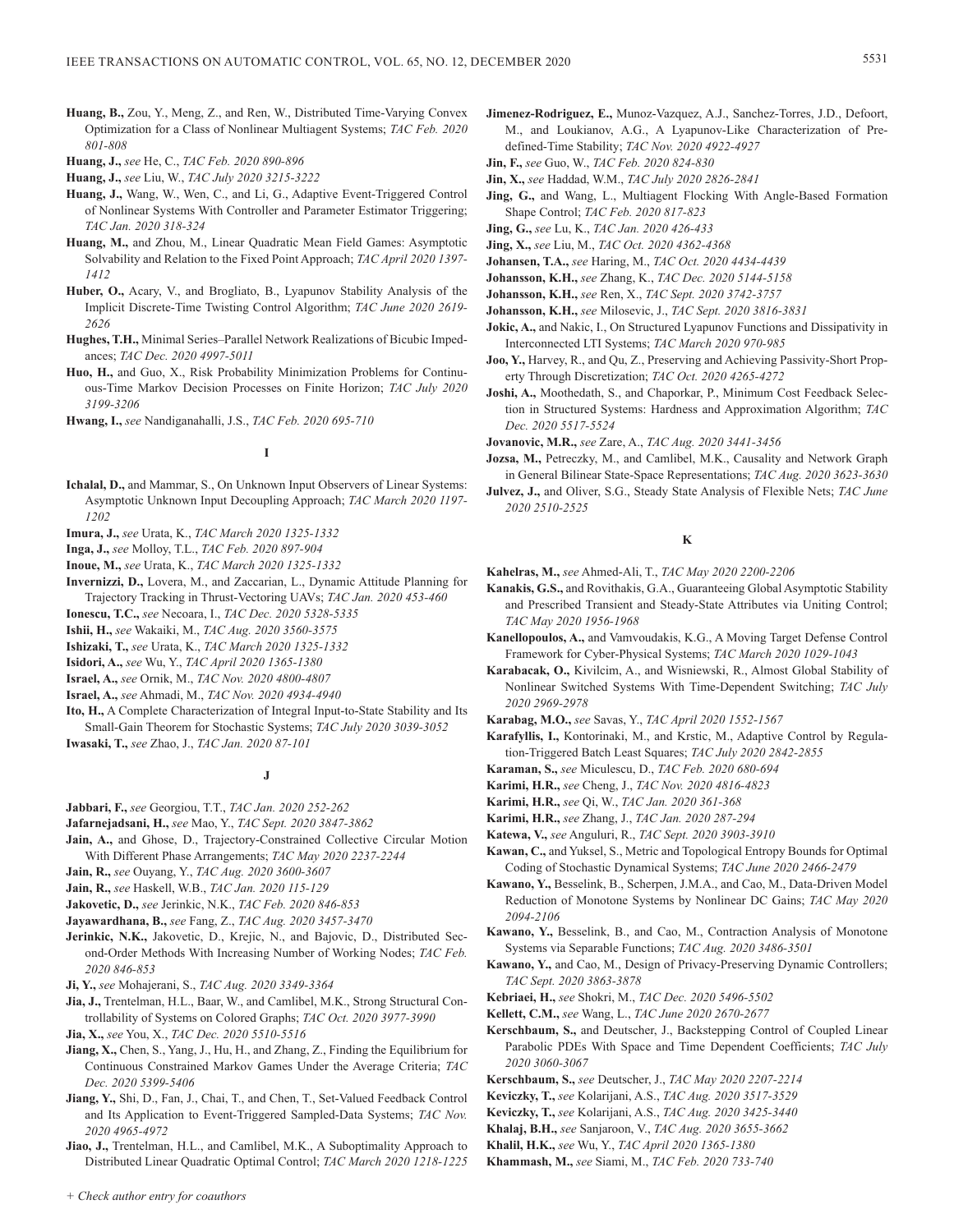- **Huang, B.,** Zou, Y., Meng, Z., and Ren, W., Distributed Time-Varying Convex Optimization for a Class of Nonlinear Multiagent Systems; *TAC Feb. 2020 801-808*
- **Huang, J.,** *see* He, C., *TAC Feb. 2020 890-896*

**Huang, J.,** *see* Liu, W., *TAC July 2020 3215-3222*

- **Huang, J.,** Wang, W., Wen, C., and Li, G., Adaptive Event-Triggered Control of Nonlinear Systems With Controller and Parameter Estimator Triggering; *TAC Jan. 2020 318-324*
- **Huang, M.,** and Zhou, M., Linear Quadratic Mean Field Games: Asymptotic Solvability and Relation to the Fixed Point Approach; *TAC April 2020 1397- 1412*
- **Huber, O.,** Acary, V., and Brogliato, B., Lyapunov Stability Analysis of the Implicit Discrete-Time Twisting Control Algorithm; *TAC June 2020 2619- 2626*
- **Hughes, T.H.,** Minimal Series–Parallel Network Realizations of Bicubic Impedances; *TAC Dec. 2020 4997-5011*
- **Huo, H.,** and Guo, X., Risk Probability Minimization Problems for Continuous-Time Markov Decision Processes on Finite Horizon; *TAC July 2020 3199-3206*
- **Hwang, I.,** *see* Nandiganahalli, J.S., *TAC Feb. 2020 695-710*

# **I**

- **Ichalal, D.,** and Mammar, S., On Unknown Input Observers of Linear Systems: Asymptotic Unknown Input Decoupling Approach; *TAC March 2020 1197- 1202*
- **Imura, J.,** *see* Urata, K., *TAC March 2020 1325-1332*
- **Inga, J.,** *see* Molloy, T.L., *TAC Feb. 2020 897-904*
- **Inoue, M.,** *see* Urata, K., *TAC March 2020 1325-1332*
- **Invernizzi, D.,** Lovera, M., and Zaccarian, L., Dynamic Attitude Planning for Trajectory Tracking in Thrust-Vectoring UAVs; *TAC Jan. 2020 453-460*
- **Ionescu, T.C.,** *see* Necoara, I., *TAC Dec. 2020 5328-5335*
- **Ishii, H.,** *see* Wakaiki, M., *TAC Aug. 2020 3560-3575*
- **Ishizaki, T.,** *see* Urata, K., *TAC March 2020 1325-1332*
- **Isidori, A.,** *see* Wu, Y., *TAC April 2020 1365-1380*
- **Israel, A.,** *see* Ornik, M., *TAC Nov. 2020 4800-4807*
- **Israel, A.,** *see* Ahmadi, M., *TAC Nov. 2020 4934-4940*
- **Ito, H.,** A Complete Characterization of Integral Input-to-State Stability and Its Small-Gain Theorem for Stochastic Systems; *TAC July 2020 3039-3052* **Iwasaki, T.,** *see* Zhao, J., *TAC Jan. 2020 87-101*

# **J**

- **Jabbari, F.,** *see* Georgiou, T.T., *TAC Jan. 2020 252-262*
- **Jafarnejadsani, H.,** *see* Mao, Y., *TAC Sept. 2020 3847-3862*
- **Jain, A.,** and Ghose, D., Trajectory-Constrained Collective Circular Motion With Different Phase Arrangements; *TAC May 2020 2237-2244*
- **Jain, R.,** *see* Ouyang, Y., *TAC Aug. 2020 3600-3607*
- **Jain, R.,** *see* Haskell, W.B., *TAC Jan. 2020 115-129*
- **Jakovetic, D.,** *see* Jerinkic, N.K., *TAC Feb. 2020 846-853*
- **Jayawardhana, B.,** *see* Fang, Z., *TAC Aug. 2020 3457-3470*
- **Jerinkic, N.K.,** Jakovetic, D., Krejic, N., and Bajovic, D., Distributed Second-Order Methods With Increasing Number of Working Nodes; *TAC Feb. 2020 846-853*
- **Ji, Y.,** *see* Mohajerani, S., *TAC Aug. 2020 3349-3364*
- **Jia, J.,** Trentelman, H.L., Baar, W., and Camlibel, M.K., Strong Structural Controllability of Systems on Colored Graphs; *TAC Oct. 2020 3977-3990*
- **Jia, X.,** *see* You, X., *TAC Dec. 2020 5510-5516*
- **Jiang, X.,** Chen, S., Yang, J., Hu, H., and Zhang, Z., Finding the Equilibrium for Continuous Constrained Markov Games Under the Average Criteria; *TAC Dec. 2020 5399-5406*
- **Jiang, Y.,** Shi, D., Fan, J., Chai, T., and Chen, T., Set-Valued Feedback Control and Its Application to Event-Triggered Sampled-Data Systems; *TAC Nov. 2020 4965-4972*
- **Jiao, J.,** Trentelman, H.L., and Camlibel, M.K., A Suboptimality Approach to Distributed Linear Quadratic Optimal Control; *TAC March 2020 1218-1225*
- **Jimenez-Rodriguez, E.,** Munoz-Vazquez, A.J., Sanchez-Torres, J.D., Defoort, M., and Loukianov, A.G., A Lyapunov-Like Characterization of Predefined-Time Stability; *TAC Nov. 2020 4922-4927*
- **Jin, F.,** *see* Guo, W., *TAC Feb. 2020 824-830*
- **Jin, X.,** *see* Haddad, W.M., *TAC July 2020 2826-2841*
- **Jing, G.,** and Wang, L., Multiagent Flocking With Angle-Based Formation Shape Control; *TAC Feb. 2020 817-823*
- **Jing, G.,** *see* Lu, K., *TAC Jan. 2020 426-433*
- **Jing, X.,** *see* Liu, M., *TAC Oct. 2020 4362-4368*
- **Johansen, T.A.,** *see* Haring, M., *TAC Oct. 2020 4434-4439*
- **Johansson, K.H.,** *see* Zhang, K., *TAC Dec. 2020 5144-5158*
- **Johansson, K.H.,** *see* Ren, X., *TAC Sept. 2020 3742-3757*
- **Johansson, K.H.,** *see* Milosevic, J., *TAC Sept. 2020 3816-3831*
- **Jokic, A.,** and Nakic, I., On Structured Lyapunov Functions and Dissipativity in Interconnected LTI Systems; *TAC March 2020 970-985*
- **Joo, Y.,** Harvey, R., and Qu, Z., Preserving and Achieving Passivity-Short Property Through Discretization; *TAC Oct. 2020 4265-4272*
- **Joshi, A.,** Moothedath, S., and Chaporkar, P., Minimum Cost Feedback Selection in Structured Systems: Hardness and Approximation Algorithm; *TAC Dec. 2020 5517-5524*
- **Jovanovic, M.R.,** *see* Zare, A., *TAC Aug. 2020 3441-3456*
- **Jozsa, M.,** Petreczky, M., and Camlibel, M.K., Causality and Network Graph in General Bilinear State-Space Representations; *TAC Aug. 2020 3623-3630*
- **Julvez, J.,** and Oliver, S.G., Steady State Analysis of Flexible Nets; *TAC June 2020 2510-2525*

# **K**

- **Kahelras, M.,** *see* Ahmed-Ali, T., *TAC May 2020 2200-2206*
- **Kanakis, G.S.,** and Rovithakis, G.A., Guaranteeing Global Asymptotic Stability and Prescribed Transient and Steady-State Attributes via Uniting Control; *TAC May 2020 1956-1968*
- **Kanellopoulos, A.,** and Vamvoudakis, K.G., A Moving Target Defense Control Framework for Cyber-Physical Systems; *TAC March 2020 1029-1043*
- **Karabacak, O.,** Kivilcim, A., and Wisniewski, R., Almost Global Stability of Nonlinear Switched Systems With Time-Dependent Switching; *TAC July 2020 2969-2978*
- **Karabag, M.O.,** *see* Savas, Y., *TAC April 2020 1552-1567*
- **Karafyllis, I.,** Kontorinaki, M., and Krstic, M., Adaptive Control by Regulation-Triggered Batch Least Squares; *TAC July 2020 2842-2855*
- **Karaman, S.,** *see* Miculescu, D., *TAC Feb. 2020 680-694*
- **Karimi, H.R.,** *see* Cheng, J., *TAC Nov. 2020 4816-4823*
- **Karimi, H.R.,** *see* Qi, W., *TAC Jan. 2020 361-368*
- **Karimi, H.R.,** *see* Zhang, J., *TAC Jan. 2020 287-294*
- **Katewa, V.,** *see* Anguluri, R., *TAC Sept. 2020 3903-3910*
- **Kawan, C.,** and Yuksel, S., Metric and Topological Entropy Bounds for Optimal Coding of Stochastic Dynamical Systems; *TAC June 2020 2466-2479*
- **Kawano, Y.,** Besselink, B., Scherpen, J.M.A., and Cao, M., Data-Driven Model Reduction of Monotone Systems by Nonlinear DC Gains; *TAC May 2020 2094-2106*
- **Kawano, Y.,** Besselink, B., and Cao, M., Contraction Analysis of Monotone Systems via Separable Functions; *TAC Aug. 2020 3486-3501*
- **Kawano, Y.,** and Cao, M., Design of Privacy-Preserving Dynamic Controllers; *TAC Sept. 2020 3863-3878*
- **Kebriaei, H.,** *see* Shokri, M., *TAC Dec. 2020 5496-5502*
- **Kellett, C.M.,** *see* Wang, L., *TAC June 2020 2670-2677*
- **Kerschbaum, S.,** and Deutscher, J., Backstepping Control of Coupled Linear Parabolic PDEs With Space and Time Dependent Coefficients; *TAC July 2020 3060-3067*
- **Kerschbaum, S.,** *see* Deutscher, J., *TAC May 2020 2207-2214*
- **Keviczky, T.,** *see* Kolarijani, A.S., *TAC Aug. 2020 3517-3529*
- **Keviczky, T.,** *see* Kolarijani, A.S., *TAC Aug. 2020 3425-3440*
- **Khalaj, B.H.,** *see* Sanjaroon, V., *TAC Aug. 2020 3655-3662*
- **Khalil, H.K.,** *see* Wu, Y., *TAC April 2020 1365-1380*
- **Khammash, M.,** *see* Siami, M., *TAC Feb. 2020 733-740*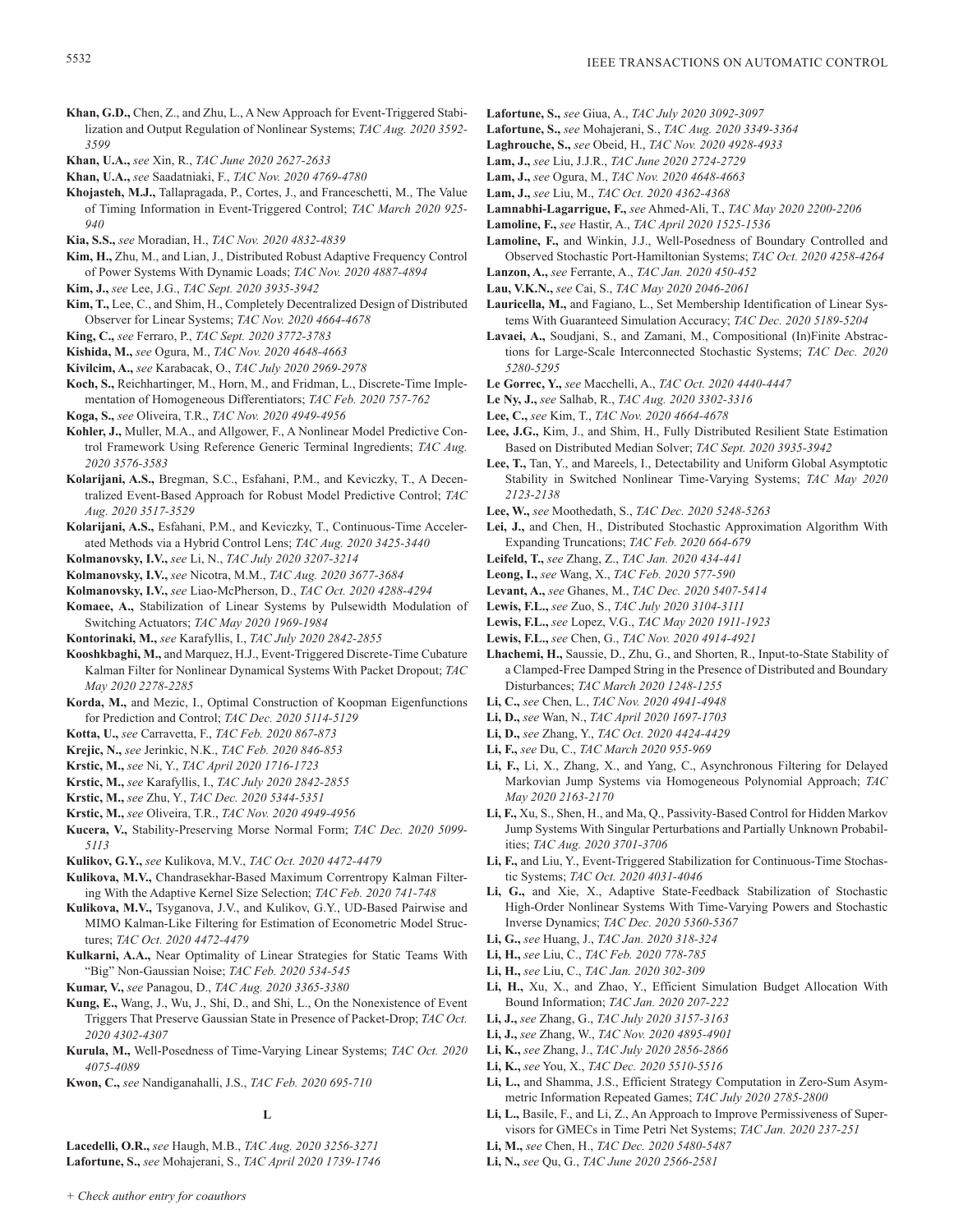- **Khan, G.D.,** Chen, Z., and Zhu, L., A New Approach for Event-Triggered Stabilization and Output Regulation of Nonlinear Systems; *TAC Aug. 2020 3592- 3599*
- **Khan, U.A.,** *see* Xin, R., *TAC June 2020 2627-2633*
- **Khan, U.A.,** *see* Saadatniaki, F., *TAC Nov. 2020 4769-4780*
- **Khojasteh, M.J.,** Tallapragada, P., Cortes, J., and Franceschetti, M., The Value of Timing Information in Event-Triggered Control; *TAC March 2020 925- 940*
- **Kia, S.S.,** *see* Moradian, H., *TAC Nov. 2020 4832-4839*
- **Kim, H.,** Zhu, M., and Lian, J., Distributed Robust Adaptive Frequency Control of Power Systems With Dynamic Loads; *TAC Nov. 2020 4887-4894*
- **Kim, J.,** *see* Lee, J.G., *TAC Sept. 2020 3935-3942*
- **Kim, T.,** Lee, C., and Shim, H., Completely Decentralized Design of Distributed Observer for Linear Systems; *TAC Nov. 2020 4664-4678*
- **King, C.,** *see* Ferraro, P., *TAC Sept. 2020 3772-3783*
- **Kishida, M.,** *see* Ogura, M., *TAC Nov. 2020 4648-4663*
- **Kivilcim, A.,** *see* Karabacak, O., *TAC July 2020 2969-2978*
- **Koch, S.,** Reichhartinger, M., Horn, M., and Fridman, L., Discrete-Time Implementation of Homogeneous Differentiators; *TAC Feb. 2020 757-762*
- **Koga, S.,** *see* Oliveira, T.R., *TAC Nov. 2020 4949-4956*
- **Kohler, J.,** Muller, M.A., and Allgower, F., A Nonlinear Model Predictive Control Framework Using Reference Generic Terminal Ingredients; *TAC Aug. 2020 3576-3583*
- **Kolarijani, A.S.,** Bregman, S.C., Esfahani, P.M., and Keviczky, T., A Decentralized Event-Based Approach for Robust Model Predictive Control; *TAC Aug. 2020 3517-3529*
- **Kolarijani, A.S.,** Esfahani, P.M., and Keviczky, T., Continuous-Time Accelerated Methods via a Hybrid Control Lens; *TAC Aug. 2020 3425-3440*
- **Kolmanovsky, I.V.,** *see* Li, N., *TAC July 2020 3207-3214*
- **Kolmanovsky, I.V.,** *see* Nicotra, M.M., *TAC Aug. 2020 3677-3684* **Kolmanovsky, I.V.,** *see* Liao-McPherson, D., *TAC Oct. 2020 4288-4294*
- **Komaee, A.,** Stabilization of Linear Systems by Pulsewidth Modulation of Switching Actuators; *TAC May 2020 1969-1984*
- **Kontorinaki, M.,** *see* Karafyllis, I., *TAC July 2020 2842-2855*
- **Kooshkbaghi, M.,** and Marquez, H.J., Event-Triggered Discrete-Time Cubature Kalman Filter for Nonlinear Dynamical Systems With Packet Dropout; *TAC May 2020 2278-2285*
- **Korda, M.,** and Mezic, I., Optimal Construction of Koopman Eigenfunctions for Prediction and Control; *TAC Dec. 2020 5114-5129*
- **Kotta, U.,** *see* Carravetta, F., *TAC Feb. 2020 867-873*
- **Krejic, N.,** *see* Jerinkic, N.K., *TAC Feb. 2020 846-853*
- **Krstic, M.,** *see* Ni, Y., *TAC April 2020 1716-1723*
- **Krstic, M.,** *see* Karafyllis, I., *TAC July 2020 2842-2855*
- **Krstic, M.,** *see* Zhu, Y., *TAC Dec. 2020 5344-5351*
- **Krstic, M.,** *see* Oliveira, T.R., *TAC Nov. 2020 4949-4956*
- **Kucera, V.,** Stability-Preserving Morse Normal Form; *TAC Dec. 2020 5099- 5113*
- **Kulikov, G.Y.,** *see* Kulikova, M.V., *TAC Oct. 2020 4472-4479*
- **Kulikova, M.V.,** Chandrasekhar-Based Maximum Correntropy Kalman Filtering With the Adaptive Kernel Size Selection; *TAC Feb. 2020 741-748*
- **Kulikova, M.V.,** Tsyganova, J.V., and Kulikov, G.Y., UD-Based Pairwise and MIMO Kalman-Like Filtering for Estimation of Econometric Model Structures; *TAC Oct. 2020 4472-4479*
- **Kulkarni, A.A.,** Near Optimality of Linear Strategies for Static Teams With "Big" Non-Gaussian Noise; *TAC Feb. 2020 534-545*
- **Kumar, V.,** *see* Panagou, D., *TAC Aug. 2020 3365-3380*
- **Kung, E.,** Wang, J., Wu, J., Shi, D., and Shi, L., On the Nonexistence of Event Triggers That Preserve Gaussian State in Presence of Packet-Drop; *TAC Oct. 2020 4302-4307*
- **Kurula, M.,** Well-Posedness of Time-Varying Linear Systems; *TAC Oct. 2020 4075-4089*
- **Kwon, C.,** *see* Nandiganahalli, J.S., *TAC Feb. 2020 695-710*

**L**

**Lacedelli, O.R.,** *see* Haugh, M.B., *TAC Aug. 2020 3256-3271* **Lafortune, S.,** *see* Mohajerani, S., *TAC April 2020 1739-1746*

- **Lafortune, S.,** *see* Giua, A., *TAC July 2020 3092-3097*
- **Lafortune, S.,** *see* Mohajerani, S., *TAC Aug. 2020 3349-3364*
- **Laghrouche, S.,** *see* Obeid, H., *TAC Nov. 2020 4928-4933*
- **Lam, J.,** *see* Liu, J.J.R., *TAC June 2020 2724-2729*
- **Lam, J.,** *see* Ogura, M., *TAC Nov. 2020 4648-4663*
- **Lam, J.,** *see* Liu, M., *TAC Oct. 2020 4362-4368*
- **Lamnabhi-Lagarrigue, F.,** *see* Ahmed-Ali, T., *TAC May 2020 2200-2206*
- **Lamoline, F.,** *see* Hastir, A., *TAC April 2020 1525-1536*
- **Lamoline, F.,** and Winkin, J.J., Well-Posedness of Boundary Controlled and Observed Stochastic Port-Hamiltonian Systems; *TAC Oct. 2020 4258-4264*
- **Lanzon, A.,** *see* Ferrante, A., *TAC Jan. 2020 450-452* **Lau, V.K.N.,** *see* Cai, S., *TAC May 2020 2046-2061*
- **Lauricella, M.,** and Fagiano, L., Set Membership Identification of Linear Systems With Guaranteed Simulation Accuracy; *TAC Dec. 2020 5189-5204*
- **Lavaei, A.,** Soudjani, S., and Zamani, M., Compositional (In)Finite Abstractions for Large-Scale Interconnected Stochastic Systems; *TAC Dec. 2020 5280-5295*
- **Le Gorrec, Y.,** *see* Macchelli, A., *TAC Oct. 2020 4440-4447*
- **Le Ny, J.,** *see* Salhab, R., *TAC Aug. 2020 3302-3316*
- **Lee, C.,** *see* Kim, T., *TAC Nov. 2020 4664-4678*
- **Lee, J.G.,** Kim, J., and Shim, H., Fully Distributed Resilient State Estimation Based on Distributed Median Solver; *TAC Sept. 2020 3935-3942*
- **Lee, T.,** Tan, Y., and Mareels, I., Detectability and Uniform Global Asymptotic Stability in Switched Nonlinear Time-Varying Systems; *TAC May 2020 2123-2138*
- **Lee, W.,** *see* Moothedath, S., *TAC Dec. 2020 5248-5263*
- **Lei, J.,** and Chen, H., Distributed Stochastic Approximation Algorithm With Expanding Truncations; *TAC Feb. 2020 664-679*
- **Leifeld, T.,** *see* Zhang, Z., *TAC Jan. 2020 434-441*
- **Leong, I.,** *see* Wang, X., *TAC Feb. 2020 577-590*
- **Levant, A.,** *see* Ghanes, M., *TAC Dec. 2020 5407-5414*
- **Lewis, F.L.,** *see* Zuo, S., *TAC July 2020 3104-3111*
- **Lewis, F.L.,** *see* Lopez, V.G., *TAC May 2020 1911-1923*
- **Lewis, F.L.,** *see* Chen, G., *TAC Nov. 2020 4914-4921*
- **Lhachemi, H.,** Saussie, D., Zhu, G., and Shorten, R., Input-to-State Stability of a Clamped-Free Damped String in the Presence of Distributed and Boundary Disturbances; *TAC March 2020 1248-1255*
- **Li, C.,** *see* Chen, L., *TAC Nov. 2020 4941-4948*
- **Li, D.,** *see* Wan, N., *TAC April 2020 1697-1703*
- **Li, D.,** *see* Zhang, Y., *TAC Oct. 2020 4424-4429*
- **Li, F.,** *see* Du, C., *TAC March 2020 955-969*
- **Li, F.,** Li, X., Zhang, X., and Yang, C., Asynchronous Filtering for Delayed Markovian Jump Systems via Homogeneous Polynomial Approach; *TAC May 2020 2163-2170*
- **Li, F.,** Xu, S., Shen, H., and Ma, Q., Passivity-Based Control for Hidden Markov Jump Systems With Singular Perturbations and Partially Unknown Probabilities; *TAC Aug. 2020 3701-3706*
- **Li, F.,** and Liu, Y., Event-Triggered Stabilization for Continuous-Time Stochastic Systems; *TAC Oct. 2020 4031-4046*
- **Li, G.,** and Xie, X., Adaptive State-Feedback Stabilization of Stochastic High-Order Nonlinear Systems With Time-Varying Powers and Stochastic Inverse Dynamics; *TAC Dec. 2020 5360-5367*
- **Li, G.,** *see* Huang, J., *TAC Jan. 2020 318-324*
- **Li, H.,** *see* Liu, C., *TAC Feb. 2020 778-785*
- **Li, H.,** *see* Liu, C., *TAC Jan. 2020 302-309*
- **Li, H.,** Xu, X., and Zhao, Y., Efficient Simulation Budget Allocation With Bound Information; *TAC Jan. 2020 207-222*
- **Li, J.,** *see* Zhang, G., *TAC July 2020 3157-3163*
- **Li, J.,** *see* Zhang, W., *TAC Nov. 2020 4895-4901*
- **Li, K.,** *see* Zhang, J., *TAC July 2020 2856-2866*
- **Li, K.,** *see* You, X., *TAC Dec. 2020 5510-5516*
- **Li, L.,** and Shamma, J.S., Efficient Strategy Computation in Zero-Sum Asymmetric Information Repeated Games; *TAC July 2020 2785-2800*
- **Li, L.,** Basile, F., and Li, Z., An Approach to Improve Permissiveness of Supervisors for GMECs in Time Petri Net Systems; *TAC Jan. 2020 237-251*
- **Li, M.,** *see* Chen, H., *TAC Dec. 2020 5480-5487*
- **Li, N.,** *see* Qu, G., *TAC June 2020 2566-2581*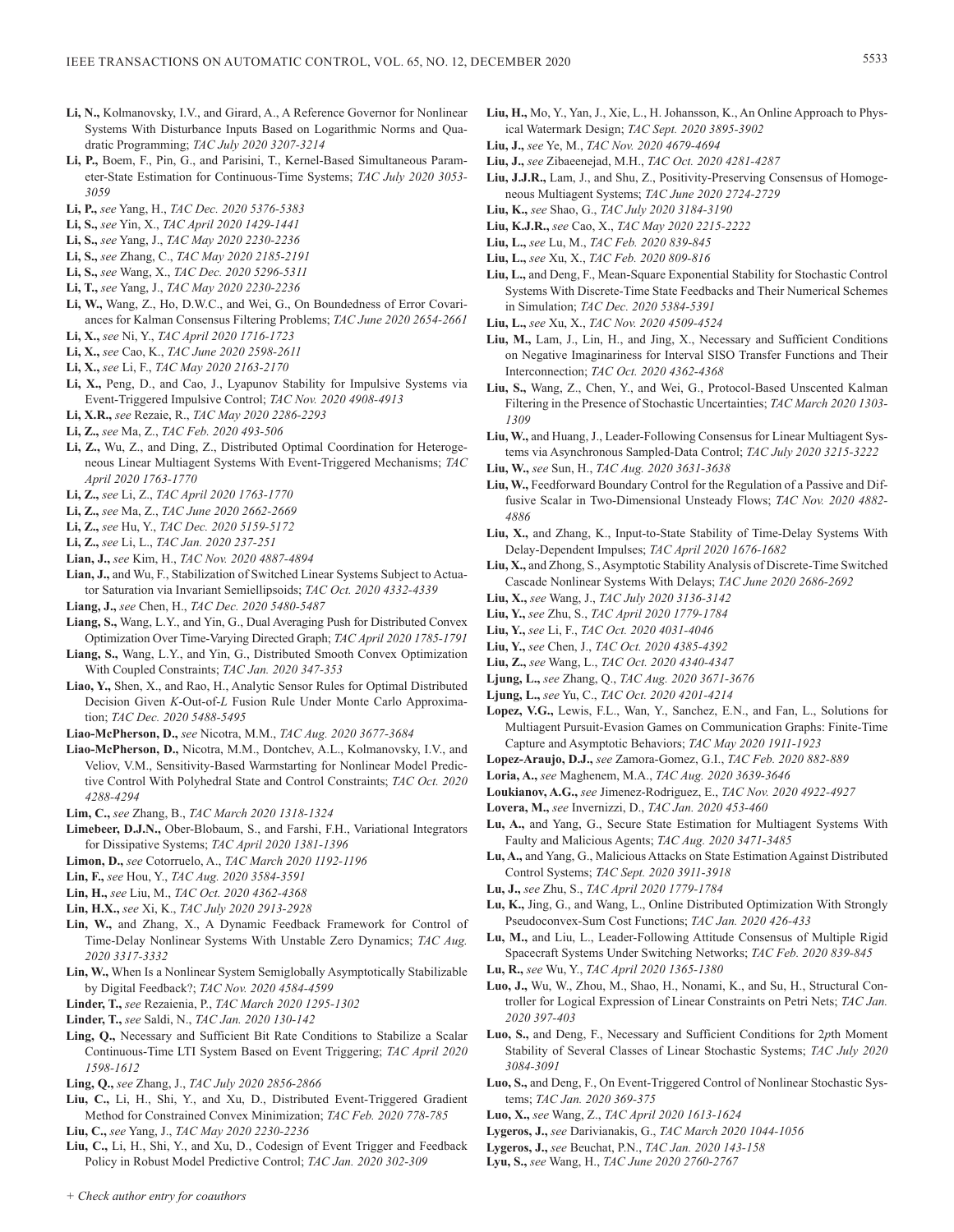- **Li, N.,** Kolmanovsky, I.V., and Girard, A., A Reference Governor for Nonlinear Systems With Disturbance Inputs Based on Logarithmic Norms and Quadratic Programming; *TAC July 2020 3207-3214*
- **Li, P.,** Boem, F., Pin, G., and Parisini, T., Kernel-Based Simultaneous Parameter-State Estimation for Continuous-Time Systems; *TAC July 2020 3053- 3059*
- **Li, P.,** *see* Yang, H., *TAC Dec. 2020 5376-5383*
- **Li, S.,** *see* Yin, X., *TAC April 2020 1429-1441*
- **Li, S.,** *see* Yang, J., *TAC May 2020 2230-2236*
- **Li, S.,** *see* Zhang, C., *TAC May 2020 2185-2191*
- **Li, S.,** *see* Wang, X., *TAC Dec. 2020 5296-5311*
- **Li, T.,** *see* Yang, J., *TAC May 2020 2230-2236*
- **Li, W.,** Wang, Z., Ho, D.W.C., and Wei, G., On Boundedness of Error Covariances for Kalman Consensus Filtering Problems; *TAC June 2020 2654-2661*
- **Li, X.,** *see* Ni, Y., *TAC April 2020 1716-1723*
- **Li, X.,** *see* Cao, K., *TAC June 2020 2598-2611*
- **Li, X.,** *see* Li, F., *TAC May 2020 2163-2170*
- **Li, X.,** Peng, D., and Cao, J., Lyapunov Stability for Impulsive Systems via Event-Triggered Impulsive Control; *TAC Nov. 2020 4908-4913*
- **Li, X.R.,** *see* Rezaie, R., *TAC May 2020 2286-2293*
- **Li, Z.,** *see* Ma, Z., *TAC Feb. 2020 493-506*
- **Li, Z.,** Wu, Z., and Ding, Z., Distributed Optimal Coordination for Heterogeneous Linear Multiagent Systems With Event-Triggered Mechanisms; *TAC April 2020 1763-1770*
- **Li, Z.,** *see* Li, Z., *TAC April 2020 1763-1770*
- **Li, Z.,** *see* Ma, Z., *TAC June 2020 2662-2669*
- **Li, Z.,** *see* Hu, Y., *TAC Dec. 2020 5159-5172*
- **Li, Z.,** *see* Li, L., *TAC Jan. 2020 237-251*
- **Lian, J.,** *see* Kim, H., *TAC Nov. 2020 4887-4894*
- **Lian, J.,** and Wu, F., Stabilization of Switched Linear Systems Subject to Actuator Saturation via Invariant Semiellipsoids; *TAC Oct. 2020 4332-4339*
- **Liang, J.,** *see* Chen, H., *TAC Dec. 2020 5480-5487*
- **Liang, S.,** Wang, L.Y., and Yin, G., Dual Averaging Push for Distributed Convex Optimization Over Time-Varying Directed Graph; *TAC April 2020 1785-1791*
- **Liang, S.,** Wang, L.Y., and Yin, G., Distributed Smooth Convex Optimization With Coupled Constraints; *TAC Jan. 2020 347-353*
- **Liao, Y.,** Shen, X., and Rao, H., Analytic Sensor Rules for Optimal Distributed Decision Given *K*-Out-of-*L* Fusion Rule Under Monte Carlo Approximation; *TAC Dec. 2020 5488-5495*
- **Liao-McPherson, D.,** *see* Nicotra, M.M., *TAC Aug. 2020 3677-3684*
- **Liao-McPherson, D.,** Nicotra, M.M., Dontchev, A.L., Kolmanovsky, I.V., and Veliov, V.M., Sensitivity-Based Warmstarting for Nonlinear Model Predictive Control With Polyhedral State and Control Constraints; *TAC Oct. 2020 4288-4294*
- **Lim, C.,** *see* Zhang, B., *TAC March 2020 1318-1324*
- **Limebeer, D.J.N.,** Ober-Blobaum, S., and Farshi, F.H., Variational Integrators for Dissipative Systems; *TAC April 2020 1381-1396*
- **Limon, D.,** *see* Cotorruelo, A., *TAC March 2020 1192-1196*
- **Lin, F.,** *see* Hou, Y., *TAC Aug. 2020 3584-3591*
- **Lin, H.,** *see* Liu, M., *TAC Oct. 2020 4362-4368*
- **Lin, H.X.,** *see* Xi, K., *TAC July 2020 2913-2928*
- **Lin, W.,** and Zhang, X., A Dynamic Feedback Framework for Control of Time-Delay Nonlinear Systems With Unstable Zero Dynamics; *TAC Aug. 2020 3317-3332*
- **Lin, W.,** When Is a Nonlinear System Semiglobally Asymptotically Stabilizable by Digital Feedback?; *TAC Nov. 2020 4584-4599*
- **Linder, T.,** *see* Rezaienia, P., *TAC March 2020 1295-1302*
- **Linder, T.,** *see* Saldi, N., *TAC Jan. 2020 130-142*
- **Ling, Q.,** Necessary and Sufficient Bit Rate Conditions to Stabilize a Scalar Continuous-Time LTI System Based on Event Triggering; *TAC April 2020 1598-1612*
- **Ling, Q.,** *see* Zhang, J., *TAC July 2020 2856-2866*
- **Liu, C.,** Li, H., Shi, Y., and Xu, D., Distributed Event-Triggered Gradient Method for Constrained Convex Minimization; *TAC Feb. 2020 778-785*
- **Liu, C.,** *see* Yang, J., *TAC May 2020 2230-2236*
- **Liu, C.,** Li, H., Shi, Y., and Xu, D., Codesign of Event Trigger and Feedback Policy in Robust Model Predictive Control; *TAC Jan. 2020 302-309*
- **Liu, H.,** Mo, Y., Yan, J., Xie, L., H. Johansson, K., An Online Approach to Physical Watermark Design; *TAC Sept. 2020 3895-3902*
- **Liu, J.,** *see* Ye, M., *TAC Nov. 2020 4679-4694*
- **Liu, J.,** *see* Zibaeenejad, M.H., *TAC Oct. 2020 4281-4287*
- **Liu, J.J.R.,** Lam, J., and Shu, Z., Positivity-Preserving Consensus of Homogeneous Multiagent Systems; *TAC June 2020 2724-2729*
- **Liu, K.,** *see* Shao, G., *TAC July 2020 3184-3190*
- **Liu, K.J.R.,** *see* Cao, X., *TAC May 2020 2215-2222*
- **Liu, L.,** *see* Lu, M., *TAC Feb. 2020 839-845*
- **Liu, L.,** *see* Xu, X., *TAC Feb. 2020 809-816*
- **Liu, L.,** and Deng, F., Mean-Square Exponential Stability for Stochastic Control Systems With Discrete-Time State Feedbacks and Their Numerical Schemes in Simulation; *TAC Dec. 2020 5384-5391*
- **Liu, L.,** *see* Xu, X., *TAC Nov. 2020 4509-4524*
- **Liu, M.,** Lam, J., Lin, H., and Jing, X., Necessary and Sufficient Conditions on Negative Imaginariness for Interval SISO Transfer Functions and Their Interconnection; *TAC Oct. 2020 4362-4368*
- **Liu, S.,** Wang, Z., Chen, Y., and Wei, G., Protocol-Based Unscented Kalman Filtering in the Presence of Stochastic Uncertainties; *TAC March 2020 1303- 1309*
- **Liu, W.,** and Huang, J., Leader-Following Consensus for Linear Multiagent Systems via Asynchronous Sampled-Data Control; *TAC July 2020 3215-3222*
- **Liu, W.,** *see* Sun, H., *TAC Aug. 2020 3631-3638*
- **Liu, W.,** Feedforward Boundary Control for the Regulation of a Passive and Diffusive Scalar in Two-Dimensional Unsteady Flows; *TAC Nov. 2020 4882- 4886*
- **Liu, X.,** and Zhang, K., Input-to-State Stability of Time-Delay Systems With Delay-Dependent Impulses; *TAC April 2020 1676-1682*
- Liu, X., and Zhong, S., Asymptotic Stability Analysis of Discrete-Time Switched Cascade Nonlinear Systems With Delays; *TAC June 2020 2686-2692*
- **Liu, X.,** *see* Wang, J., *TAC July 2020 3136-3142*
- **Liu, Y.,** *see* Zhu, S., *TAC April 2020 1779-1784*
- **Liu, Y.,** *see* Li, F., *TAC Oct. 2020 4031-4046*
- **Liu, Y.,** *see* Chen, J., *TAC Oct. 2020 4385-4392*
- **Liu, Z.,** *see* Wang, L., *TAC Oct. 2020 4340-4347*
- **Ljung, L.,** *see* Zhang, Q., *TAC Aug. 2020 3671-3676*
- **Ljung, L.,** *see* Yu, C., *TAC Oct. 2020 4201-4214*
- **Lopez, V.G.,** Lewis, F.L., Wan, Y., Sanchez, E.N., and Fan, L., Solutions for Multiagent Pursuit-Evasion Games on Communication Graphs: Finite-Time Capture and Asymptotic Behaviors; *TAC May 2020 1911-1923*
- **Lopez-Araujo, D.J.,** *see* Zamora-Gomez, G.I., *TAC Feb. 2020 882-889*
- **Loria, A.,** *see* Maghenem, M.A., *TAC Aug. 2020 3639-3646*
- **Loukianov, A.G.,** *see* Jimenez-Rodriguez, E., *TAC Nov. 2020 4922-4927*
- **Lovera, M.,** *see* Invernizzi, D., *TAC Jan. 2020 453-460*
- **Lu, A.,** and Yang, G., Secure State Estimation for Multiagent Systems With Faulty and Malicious Agents; *TAC Aug. 2020 3471-3485*
- **Lu, A.,** and Yang, G., Malicious Attacks on State Estimation Against Distributed Control Systems; *TAC Sept. 2020 3911-3918*
- **Lu, J.,** *see* Zhu, S., *TAC April 2020 1779-1784*
- **Lu, K.,** Jing, G., and Wang, L., Online Distributed Optimization With Strongly Pseudoconvex-Sum Cost Functions; *TAC Jan. 2020 426-433*
- **Lu, M.,** and Liu, L., Leader-Following Attitude Consensus of Multiple Rigid Spacecraft Systems Under Switching Networks; *TAC Feb. 2020 839-845*
- **Lu, R.,** *see* Wu, Y., *TAC April 2020 1365-1380*
- **Luo, J.,** Wu, W., Zhou, M., Shao, H., Nonami, K., and Su, H., Structural Controller for Logical Expression of Linear Constraints on Petri Nets; *TAC Jan. 2020 397-403*
- **Luo, S.,** and Deng, F., Necessary and Sufficient Conditions for 2*p*th Moment Stability of Several Classes of Linear Stochastic Systems; *TAC July 2020 3084-3091*
- **Luo, S.,** and Deng, F., On Event-Triggered Control of Nonlinear Stochastic Systems; *TAC Jan. 2020 369-375*
- **Luo, X.,** *see* Wang, Z., *TAC April 2020 1613-1624*
- **Lygeros, J.,** *see* Darivianakis, G., *TAC March 2020 1044-1056*
- **Lygeros, J.,** *see* Beuchat, P.N., *TAC Jan. 2020 143-158*
- **Lyu, S.,** *see* Wang, H., *TAC June 2020 2760-2767*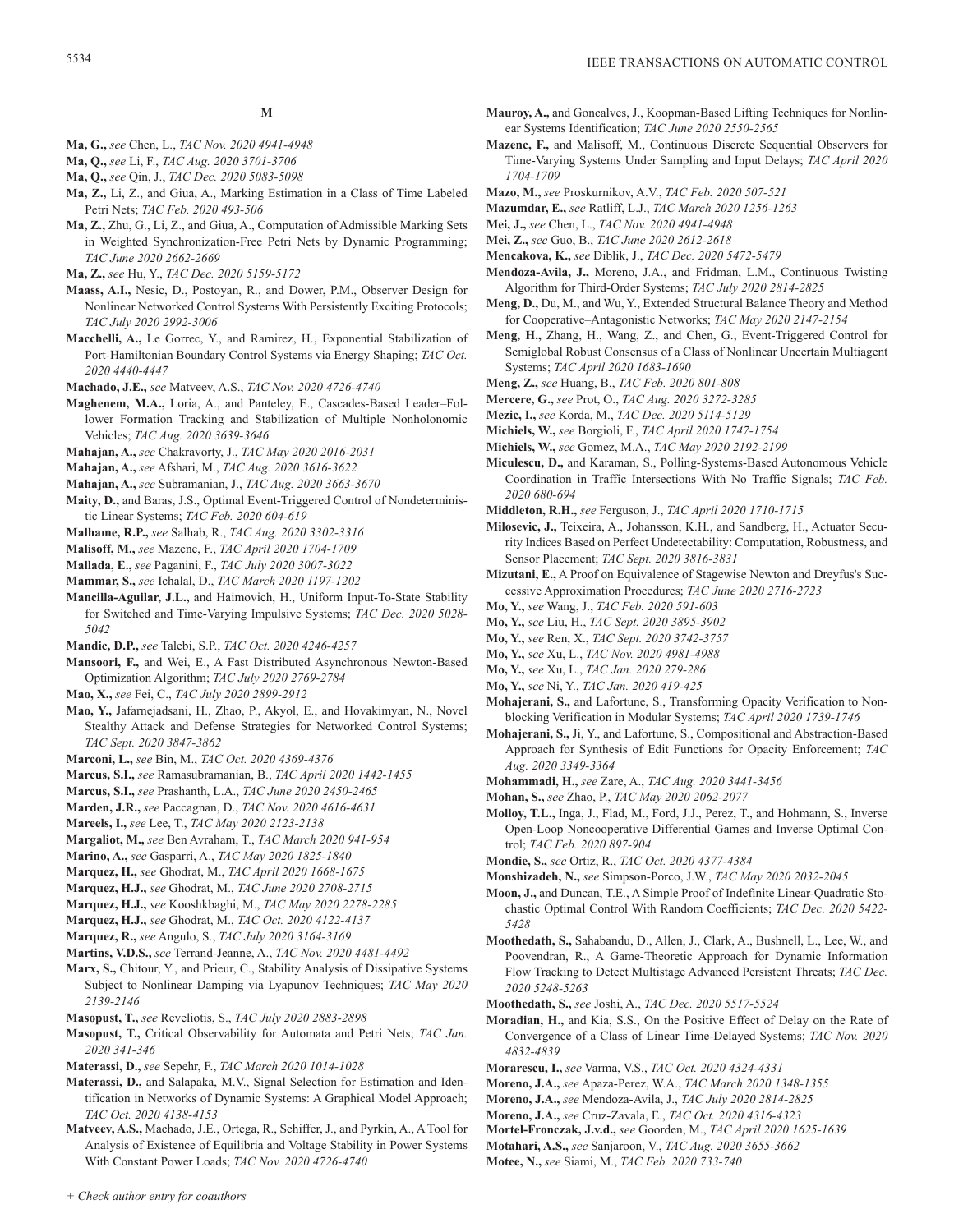- **Ma, G.,** *see* Chen, L., *TAC Nov. 2020 4941-4948*
- **Ma, Q.,** *see* Li, F., *TAC Aug. 2020 3701-3706*
- **Ma, Q.,** *see* Qin, J., *TAC Dec. 2020 5083-5098*
- **Ma, Z.,** Li, Z., and Giua, A., Marking Estimation in a Class of Time Labeled Petri Nets; *TAC Feb. 2020 493-506*

**M**

- **Ma, Z.,** Zhu, G., Li, Z., and Giua, A., Computation of Admissible Marking Sets in Weighted Synchronization-Free Petri Nets by Dynamic Programming; *TAC June 2020 2662-2669*
- **Ma, Z.,** *see* Hu, Y., *TAC Dec. 2020 5159-5172*
- **Maass, A.I.,** Nesic, D., Postoyan, R., and Dower, P.M., Observer Design for Nonlinear Networked Control Systems With Persistently Exciting Protocols; *TAC July 2020 2992-3006*
- **Macchelli, A.,** Le Gorrec, Y., and Ramirez, H., Exponential Stabilization of Port-Hamiltonian Boundary Control Systems via Energy Shaping; *TAC Oct. 2020 4440-4447*
- **Machado, J.E.,** *see* Matveev, A.S., *TAC Nov. 2020 4726-4740*
- **Maghenem, M.A.,** Loria, A., and Panteley, E., Cascades-Based Leader–Follower Formation Tracking and Stabilization of Multiple Nonholonomic Vehicles; *TAC Aug. 2020 3639-3646*
- **Mahajan, A.,** *see* Chakravorty, J., *TAC May 2020 2016-2031*
- **Mahajan, A.,** *see* Afshari, M., *TAC Aug. 2020 3616-3622*
- **Mahajan, A.,** *see* Subramanian, J., *TAC Aug. 2020 3663-3670*
- **Maity, D.,** and Baras, J.S., Optimal Event-Triggered Control of Nondeterministic Linear Systems; *TAC Feb. 2020 604-619*
- **Malhame, R.P.,** *see* Salhab, R., *TAC Aug. 2020 3302-3316*
- **Malisoff, M.,** *see* Mazenc, F., *TAC April 2020 1704-1709*
- **Mallada, E.,** *see* Paganini, F., *TAC July 2020 3007-3022*
- **Mammar, S.,** *see* Ichalal, D., *TAC March 2020 1197-1202*
- **Mancilla-Aguilar, J.L.,** and Haimovich, H., Uniform Input-To-State Stability for Switched and Time-Varying Impulsive Systems; *TAC Dec. 2020 5028- 5042*
- **Mandic, D.P.,** *see* Talebi, S.P., *TAC Oct. 2020 4246-4257*
- **Mansoori, F.,** and Wei, E., A Fast Distributed Asynchronous Newton-Based Optimization Algorithm; *TAC July 2020 2769-2784*
- **Mao, X.,** *see* Fei, C., *TAC July 2020 2899-2912*
- **Mao, Y.,** Jafarnejadsani, H., Zhao, P., Akyol, E., and Hovakimyan, N., Novel Stealthy Attack and Defense Strategies for Networked Control Systems; *TAC Sept. 2020 3847-3862*
- **Marconi, L.,** *see* Bin, M., *TAC Oct. 2020 4369-4376*
- **Marcus, S.I.,** *see* Ramasubramanian, B., *TAC April 2020 1442-1455*
- **Marcus, S.I.,** *see* Prashanth, L.A., *TAC June 2020 2450-2465*
- **Marden, J.R.,** *see* Paccagnan, D., *TAC Nov. 2020 4616-4631*
- **Mareels, I.,** *see* Lee, T., *TAC May 2020 2123-2138*
- **Margaliot, M.,** *see* Ben Avraham, T., *TAC March 2020 941-954*
- **Marino, A.,** *see* Gasparri, A., *TAC May 2020 1825-1840*
- **Marquez, H.,** *see* Ghodrat, M., *TAC April 2020 1668-1675*
- **Marquez, H.J.,** *see* Ghodrat, M., *TAC June 2020 2708-2715*
- **Marquez, H.J.,** *see* Kooshkbaghi, M., *TAC May 2020 2278-2285*
- **Marquez, H.J.,** *see* Ghodrat, M., *TAC Oct. 2020 4122-4137*
- **Marquez, R.,** *see* Angulo, S., *TAC July 2020 3164-3169*
- **Martins, V.D.S.,** *see* Terrand-Jeanne, A., *TAC Nov. 2020 4481-4492*
- **Marx, S.,** Chitour, Y., and Prieur, C., Stability Analysis of Dissipative Systems Subject to Nonlinear Damping via Lyapunov Techniques; *TAC May 2020 2139-2146*
- **Masopust, T.,** *see* Reveliotis, S., *TAC July 2020 2883-2898*
- **Masopust, T.,** Critical Observability for Automata and Petri Nets; *TAC Jan. 2020 341-346*
- **Materassi, D.,** *see* Sepehr, F., *TAC March 2020 1014-1028*
- **Materassi, D.,** and Salapaka, M.V., Signal Selection for Estimation and Identification in Networks of Dynamic Systems: A Graphical Model Approach; *TAC Oct. 2020 4138-4153*
- **Matveev, A.S.,** Machado, J.E., Ortega, R., Schiffer, J., and Pyrkin, A., A Tool for Analysis of Existence of Equilibria and Voltage Stability in Power Systems With Constant Power Loads; *TAC Nov. 2020 4726-4740*
- **Mauroy, A.,** and Goncalves, J., Koopman-Based Lifting Techniques for Nonlinear Systems Identification; *TAC June 2020 2550-2565*
- **Mazenc, F.,** and Malisoff, M., Continuous Discrete Sequential Observers for Time-Varying Systems Under Sampling and Input Delays; *TAC April 2020 1704-1709*
- **Mazo, M.,** *see* Proskurnikov, A.V., *TAC Feb. 2020 507-521*
- **Mazumdar, E.,** *see* Ratliff, L.J., *TAC March 2020 1256-1263*
- **Mei, J.,** *see* Chen, L., *TAC Nov. 2020 4941-4948*
- **Mei, Z.,** *see* Guo, B., *TAC June 2020 2612-2618*
- **Mencakova, K.,** *see* Diblik, J., *TAC Dec. 2020 5472-5479*
- **Mendoza-Avila, J.,** Moreno, J.A., and Fridman, L.M., Continuous Twisting Algorithm for Third-Order Systems; *TAC July 2020 2814-2825*
- **Meng, D.,** Du, M., and Wu, Y., Extended Structural Balance Theory and Method for Cooperative–Antagonistic Networks; *TAC May 2020 2147-2154*
- **Meng, H.,** Zhang, H., Wang, Z., and Chen, G., Event-Triggered Control for Semiglobal Robust Consensus of a Class of Nonlinear Uncertain Multiagent Systems; *TAC April 2020 1683-1690*
- **Meng, Z.,** *see* Huang, B., *TAC Feb. 2020 801-808*
- **Mercere, G.,** *see* Prot, O., *TAC Aug. 2020 3272-3285*
- **Mezic, I.,** *see* Korda, M., *TAC Dec. 2020 5114-5129*
- **Michiels, W.,** *see* Borgioli, F., *TAC April 2020 1747-1754*
- **Michiels, W.,** *see* Gomez, M.A., *TAC May 2020 2192-2199*
- **Miculescu, D.,** and Karaman, S., Polling-Systems-Based Autonomous Vehicle Coordination in Traffic Intersections With No Traffic Signals; *TAC Feb. 2020 680-694*
- **Middleton, R.H.,** *see* Ferguson, J., *TAC April 2020 1710-1715*
- **Milosevic, J.,** Teixeira, A., Johansson, K.H., and Sandberg, H., Actuator Security Indices Based on Perfect Undetectability: Computation, Robustness, and Sensor Placement; *TAC Sept. 2020 3816-3831*
- **Mizutani, E.,** A Proof on Equivalence of Stagewise Newton and Dreyfus's Successive Approximation Procedures; *TAC June 2020 2716-2723*
- **Mo, Y.,** *see* Wang, J., *TAC Feb. 2020 591-603*
- **Mo, Y.,** *see* Liu, H., *TAC Sept. 2020 3895-3902*
- **Mo, Y.,** *see* Ren, X., *TAC Sept. 2020 3742-3757*
- **Mo, Y.,** *see* Xu, L., *TAC Nov. 2020 4981-4988*
- **Mo, Y.,** *see* Xu, L., *TAC Jan. 2020 279-286*
- **Mo, Y.,** *see* Ni, Y., *TAC Jan. 2020 419-425*
- **Mohajerani, S.,** and Lafortune, S., Transforming Opacity Verification to Nonblocking Verification in Modular Systems; *TAC April 2020 1739-1746*
- **Mohajerani, S.,** Ji, Y., and Lafortune, S., Compositional and Abstraction-Based Approach for Synthesis of Edit Functions for Opacity Enforcement; *TAC Aug. 2020 3349-3364*
- **Mohammadi, H.,** *see* Zare, A., *TAC Aug. 2020 3441-3456*
- **Mohan, S.,** *see* Zhao, P., *TAC May 2020 2062-2077*
- **Molloy, T.L.,** Inga, J., Flad, M., Ford, J.J., Perez, T., and Hohmann, S., Inverse Open-Loop Noncooperative Differential Games and Inverse Optimal Control; *TAC Feb. 2020 897-904*
- **Mondie, S.,** *see* Ortiz, R., *TAC Oct. 2020 4377-4384*
- **Monshizadeh, N.,** *see* Simpson-Porco, J.W., *TAC May 2020 2032-2045*
- **Moon, J.,** and Duncan, T.E., A Simple Proof of Indefinite Linear-Quadratic Stochastic Optimal Control With Random Coefficients; *TAC Dec. 2020 5422- 5428*
- **Moothedath, S.,** Sahabandu, D., Allen, J., Clark, A., Bushnell, L., Lee, W., and Poovendran, R., A Game-Theoretic Approach for Dynamic Information Flow Tracking to Detect Multistage Advanced Persistent Threats; *TAC Dec. 2020 5248-5263*
- **Moothedath, S.,** *see* Joshi, A., *TAC Dec. 2020 5517-5524*
- **Moradian, H.,** and Kia, S.S., On the Positive Effect of Delay on the Rate of Convergence of a Class of Linear Time-Delayed Systems; *TAC Nov. 2020 4832-4839*
- **Morarescu, I.,** *see* Varma, V.S., *TAC Oct. 2020 4324-4331*
- **Moreno, J.A.,** *see* Apaza-Perez, W.A., *TAC March 2020 1348-1355*
- **Moreno, J.A.,** *see* Mendoza-Avila, J., *TAC July 2020 2814-2825*
- **Moreno, J.A.,** *see* Cruz-Zavala, E., *TAC Oct. 2020 4316-4323*
- **Mortel-Fronczak, J.v.d.,** *see* Goorden, M., *TAC April 2020 1625-1639*
- **Motahari, A.S.,** *see* Sanjaroon, V., *TAC Aug. 2020 3655-3662*
- **Motee, N.,** *see* Siami, M., *TAC Feb. 2020 733-740*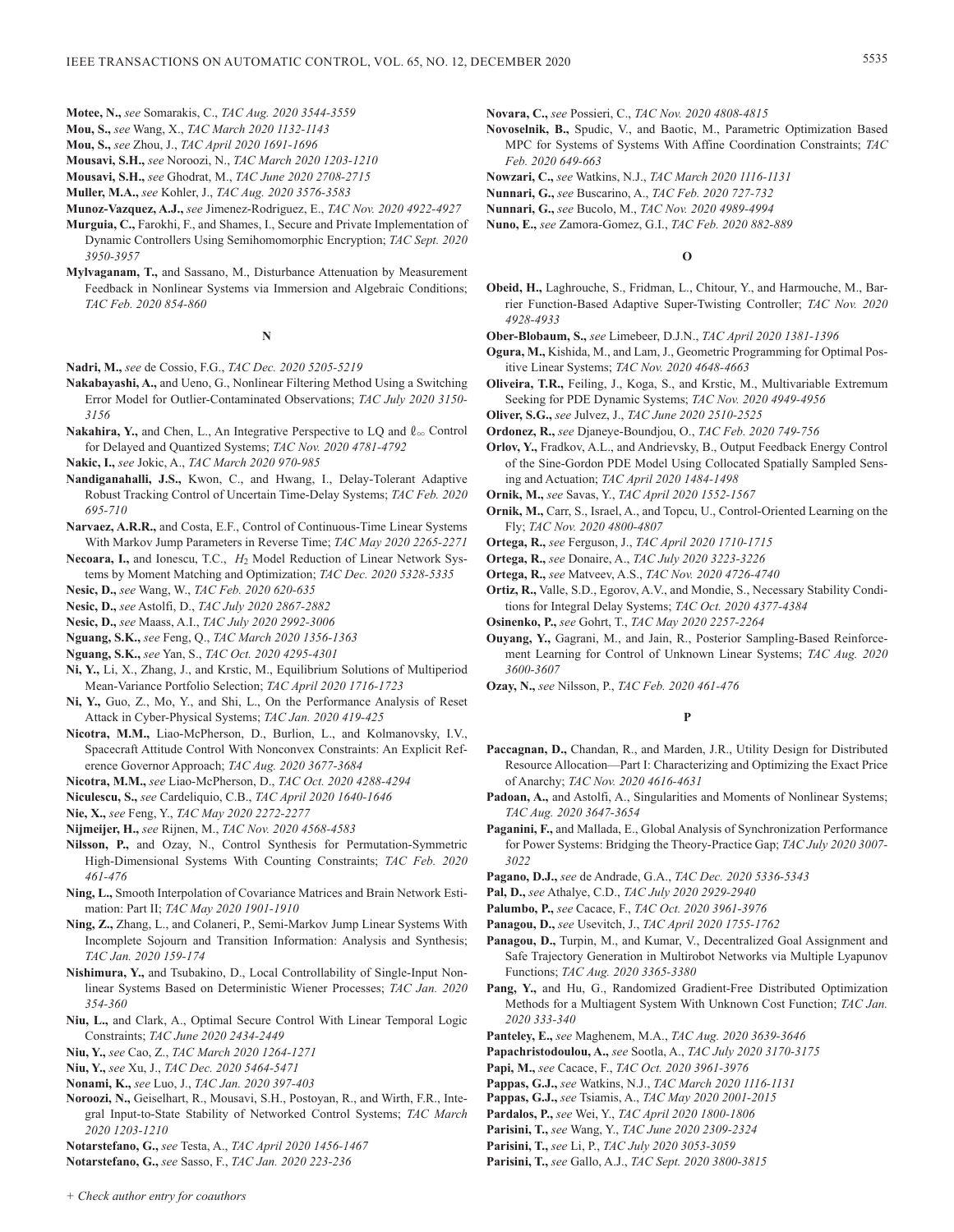- **Mou, S.,** *see* Wang, X., *TAC March 2020 1132-1143*
- **Mou, S.,** *see* Zhou, J., *TAC April 2020 1691-1696*
- **Mousavi, S.H.,** *see* Noroozi, N., *TAC March 2020 1203-1210*
- **Mousavi, S.H.,** *see* Ghodrat, M., *TAC June 2020 2708-2715*
- **Muller, M.A.,** *see* Kohler, J., *TAC Aug. 2020 3576-3583*

**Munoz-Vazquez, A.J.,** *see* Jimenez-Rodriguez, E., *TAC Nov. 2020 4922-4927*

- **Murguia, C.,** Farokhi, F., and Shames, I., Secure and Private Implementation of Dynamic Controllers Using Semihomomorphic Encryption; *TAC Sept. 2020 3950-3957*
- **Mylvaganam, T.,** and Sassano, M., Disturbance Attenuation by Measurement Feedback in Nonlinear Systems via Immersion and Algebraic Conditions; *TAC Feb. 2020 854-860*

# **N**

- **Nadri, M.,** *see* de Cossio, F.G., *TAC Dec. 2020 5205-5219*
- **Nakabayashi, A.,** and Ueno, G., Nonlinear Filtering Method Using a Switching Error Model for Outlier-Contaminated Observations; *TAC July 2020 3150- 3156*
- **Nakahira, Y.,** and Chen, L., An Integrative Perspective to LQ and  $\ell_{\infty}$  Control for Delayed and Quantized Systems; *TAC Nov. 2020 4781-4792*
- **Nakic, I.,** *see* Jokic, A., *TAC March 2020 970-985*
- **Nandiganahalli, J.S.,** Kwon, C., and Hwang, I., Delay-Tolerant Adaptive Robust Tracking Control of Uncertain Time-Delay Systems; *TAC Feb. 2020 695-710*
- **Narvaez, A.R.R.,** and Costa, E.F., Control of Continuous-Time Linear Systems With Markov Jump Parameters in Reverse Time; *TAC May 2020 2265-2271*
- **Necoara, I.,** and Ionescu, T.C., *H*2 Model Reduction of Linear Network Systems by Moment Matching and Optimization; *TAC Dec. 2020 5328-5335*
- **Nesic, D.,** *see* Wang, W., *TAC Feb. 2020 620-635*
- **Nesic, D.,** *see* Astolfi, D., *TAC July 2020 2867-2882*
- **Nesic, D.,** *see* Maass, A.I., *TAC July 2020 2992-3006*
- **Nguang, S.K.,** *see* Feng, Q., *TAC March 2020 1356-1363*
- **Nguang, S.K.,** *see* Yan, S., *TAC Oct. 2020 4295-4301*
- **Ni, Y.,** Li, X., Zhang, J., and Krstic, M., Equilibrium Solutions of Multiperiod Mean-Variance Portfolio Selection; *TAC April 2020 1716-1723*
- **Ni, Y.,** Guo, Z., Mo, Y., and Shi, L., On the Performance Analysis of Reset Attack in Cyber-Physical Systems; *TAC Jan. 2020 419-425*
- **Nicotra, M.M.,** Liao-McPherson, D., Burlion, L., and Kolmanovsky, I.V., Spacecraft Attitude Control With Nonconvex Constraints: An Explicit Reference Governor Approach; *TAC Aug. 2020 3677-3684*
- **Nicotra, M.M.,** *see* Liao-McPherson, D., *TAC Oct. 2020 4288-4294*
- **Niculescu, S.,** *see* Cardeliquio, C.B., *TAC April 2020 1640-1646*
- **Nie, X.,** *see* Feng, Y., *TAC May 2020 2272-2277*
- **Nijmeijer, H.,** *see* Rijnen, M., *TAC Nov. 2020 4568-4583*
- **Nilsson, P.,** and Ozay, N., Control Synthesis for Permutation-Symmetric High-Dimensional Systems With Counting Constraints; *TAC Feb. 2020 461-476*
- **Ning, L.,** Smooth Interpolation of Covariance Matrices and Brain Network Estimation: Part II; *TAC May 2020 1901-1910*
- **Ning, Z.,** Zhang, L., and Colaneri, P., Semi-Markov Jump Linear Systems With Incomplete Sojourn and Transition Information: Analysis and Synthesis; *TAC Jan. 2020 159-174*
- **Nishimura, Y.,** and Tsubakino, D., Local Controllability of Single-Input Nonlinear Systems Based on Deterministic Wiener Processes; *TAC Jan. 2020 354-360*
- **Niu, L.,** and Clark, A., Optimal Secure Control With Linear Temporal Logic Constraints; *TAC June 2020 2434-2449*
- **Niu, Y.,** *see* Cao, Z., *TAC March 2020 1264-1271*
- **Niu, Y.,** *see* Xu, J., *TAC Dec. 2020 5464-5471*
- **Nonami, K.,** *see* Luo, J., *TAC Jan. 2020 397-403*
- **Noroozi, N.,** Geiselhart, R., Mousavi, S.H., Postoyan, R., and Wirth, F.R., Integral Input-to-State Stability of Networked Control Systems; *TAC March 2020 1203-1210*
- **Notarstefano, G.,** *see* Testa, A., *TAC April 2020 1456-1467*
- **Notarstefano, G.,** *see* Sasso, F., *TAC Jan. 2020 223-236*
- **Novara, C.,** *see* Possieri, C., *TAC Nov. 2020 4808-4815*
- **Novoselnik, B.,** Spudic, V., and Baotic, M., Parametric Optimization Based MPC for Systems of Systems With Affine Coordination Constraints; *TAC Feb. 2020 649-663*
- **Nowzari, C.,** *see* Watkins, N.J., *TAC March 2020 1116-1131*
- **Nunnari, G.,** *see* Buscarino, A., *TAC Feb. 2020 727-732*
- **Nunnari, G.,** *see* Bucolo, M., *TAC Nov. 2020 4989-4994*
- **Nuno, E.,** *see* Zamora-Gomez, G.I., *TAC Feb. 2020 882-889*

# **O**

- **Obeid, H.,** Laghrouche, S., Fridman, L., Chitour, Y., and Harmouche, M., Barrier Function-Based Adaptive Super-Twisting Controller; *TAC Nov. 2020 4928-4933*
- **Ober-Blobaum, S.,** *see* Limebeer, D.J.N., *TAC April 2020 1381-1396*
- **Ogura, M.,** Kishida, M., and Lam, J., Geometric Programming for Optimal Positive Linear Systems; *TAC Nov. 2020 4648-4663*
- **Oliveira, T.R.,** Feiling, J., Koga, S., and Krstic, M., Multivariable Extremum Seeking for PDE Dynamic Systems; *TAC Nov. 2020 4949-4956*
- **Oliver, S.G.,** *see* Julvez, J., *TAC June 2020 2510-2525*
- **Ordonez, R.,** *see* Djaneye-Boundjou, O., *TAC Feb. 2020 749-756*
- **Orlov, Y.,** Fradkov, A.L., and Andrievsky, B., Output Feedback Energy Control of the Sine-Gordon PDE Model Using Collocated Spatially Sampled Sensing and Actuation; *TAC April 2020 1484-1498*
- **Ornik, M.,** *see* Savas, Y., *TAC April 2020 1552-1567*
- **Ornik, M.,** Carr, S., Israel, A., and Topcu, U., Control-Oriented Learning on the Fly; *TAC Nov. 2020 4800-4807*
- **Ortega, R.,** *see* Ferguson, J., *TAC April 2020 1710-1715*
- **Ortega, R.,** *see* Donaire, A., *TAC July 2020 3223-3226*
- **Ortega, R.,** *see* Matveev, A.S., *TAC Nov. 2020 4726-4740*
- **Ortiz, R.,** Valle, S.D., Egorov, A.V., and Mondie, S., Necessary Stability Conditions for Integral Delay Systems; *TAC Oct. 2020 4377-4384*
- **Osinenko, P.,** *see* Gohrt, T., *TAC May 2020 2257-2264*
- **Ouyang, Y.,** Gagrani, M., and Jain, R., Posterior Sampling-Based Reinforcement Learning for Control of Unknown Linear Systems; *TAC Aug. 2020 3600-3607*
- **Ozay, N.,** *see* Nilsson, P., *TAC Feb. 2020 461-476*

# **P**

- **Paccagnan, D.,** Chandan, R., and Marden, J.R., Utility Design for Distributed Resource Allocation—Part I: Characterizing and Optimizing the Exact Price of Anarchy; *TAC Nov. 2020 4616-4631*
- Padoan, A., and Astolfi, A., Singularities and Moments of Nonlinear Systems; *TAC Aug. 2020 3647-3654*
- **Paganini, F.,** and Mallada, E., Global Analysis of Synchronization Performance for Power Systems: Bridging the Theory-Practice Gap; *TAC July 2020 3007- 3022*
- **Pagano, D.J.,** *see* de Andrade, G.A., *TAC Dec. 2020 5336-5343*
- **Pal, D.,** *see* Athalye, C.D., *TAC July 2020 2929-2940*
- **Palumbo, P.,** *see* Cacace, F., *TAC Oct. 2020 3961-3976*
- **Panagou, D.,** *see* Usevitch, J., *TAC April 2020 1755-1762*
- **Panagou, D.,** Turpin, M., and Kumar, V., Decentralized Goal Assignment and Safe Trajectory Generation in Multirobot Networks via Multiple Lyapunov Functions; *TAC Aug. 2020 3365-3380*
- **Pang, Y.,** and Hu, G., Randomized Gradient-Free Distributed Optimization Methods for a Multiagent System With Unknown Cost Function; *TAC Jan. 2020 333-340*
- **Panteley, E.,** *see* Maghenem, M.A., *TAC Aug. 2020 3639-3646*
- **Papachristodoulou, A.,** *see* Sootla, A., *TAC July 2020 3170-3175*
- **Papi, M.,** *see* Cacace, F., *TAC Oct. 2020 3961-3976*
- **Pappas, G.J.,** *see* Watkins, N.J., *TAC March 2020 1116-1131*
- **Pappas, G.J.,** *see* Tsiamis, A., *TAC May 2020 2001-2015*
- **Pardalos, P.,** *see* Wei, Y., *TAC April 2020 1800-1806*
- **Parisini, T.,** *see* Wang, Y., *TAC June 2020 2309-2324*
- **Parisini, T.,** *see* Li, P., *TAC July 2020 3053-3059*
- **Parisini, T.,** *see* Gallo, A.J., *TAC Sept. 2020 3800-3815*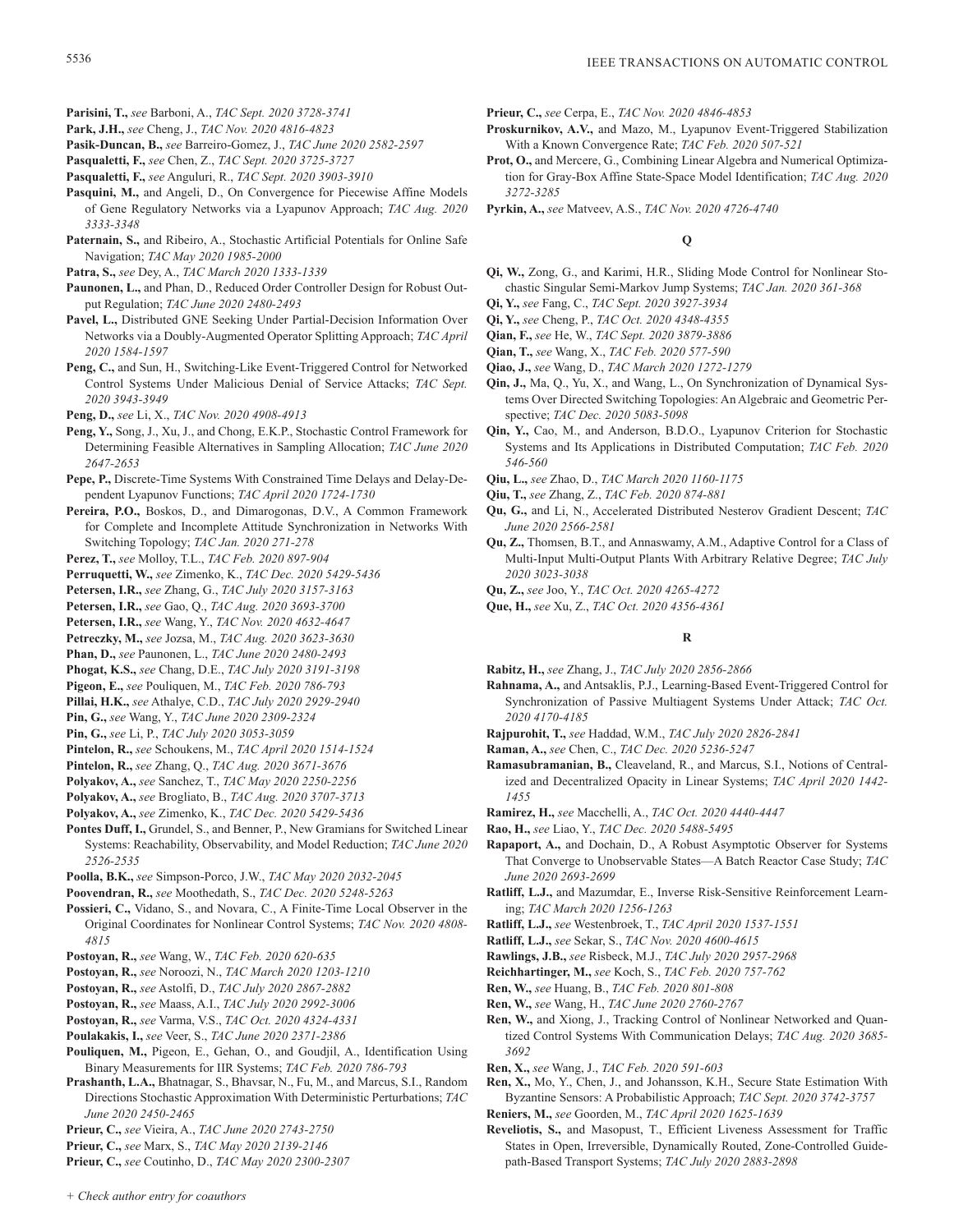- **Parisini, T.,** *see* Barboni, A., *TAC Sept. 2020 3728-3741* **Park, J.H.,** *see* Cheng, J., *TAC Nov. 2020 4816-4823*
- **Pasik-Duncan, B.,** *see* Barreiro-Gomez, J., *TAC June 2020 2582-2597*
- **Pasqualetti, F.,** *see* Chen, Z., *TAC Sept. 2020 3725-3727*
- **Pasqualetti, F.,** *see* Anguluri, R., *TAC Sept. 2020 3903-3910*
- Pasquini, M., and Angeli, D., On Convergence for Piecewise Affine Models of Gene Regulatory Networks via a Lyapunov Approach; *TAC Aug. 2020 3333-3348*
- **Paternain, S.,** and Ribeiro, A., Stochastic Artificial Potentials for Online Safe Navigation; *TAC May 2020 1985-2000*
- **Patra, S.,** *see* Dey, A., *TAC March 2020 1333-1339*
- **Paunonen, L.,** and Phan, D., Reduced Order Controller Design for Robust Output Regulation; *TAC June 2020 2480-2493*
- **Pavel, L.,** Distributed GNE Seeking Under Partial-Decision Information Over Networks via a Doubly-Augmented Operator Splitting Approach; *TAC April 2020 1584-1597*
- **Peng, C.,** and Sun, H., Switching-Like Event-Triggered Control for Networked Control Systems Under Malicious Denial of Service Attacks; *TAC Sept. 2020 3943-3949*
- **Peng, D.,** *see* Li, X., *TAC Nov. 2020 4908-4913*
- **Peng, Y.,** Song, J., Xu, J., and Chong, E.K.P., Stochastic Control Framework for Determining Feasible Alternatives in Sampling Allocation; *TAC June 2020 2647-2653*
- **Pepe, P.,** Discrete-Time Systems With Constrained Time Delays and Delay-Dependent Lyapunov Functions; *TAC April 2020 1724-1730*
- **Pereira, P.O.,** Boskos, D., and Dimarogonas, D.V., A Common Framework for Complete and Incomplete Attitude Synchronization in Networks With Switching Topology; *TAC Jan. 2020 271-278*
- **Perez, T.,** *see* Molloy, T.L., *TAC Feb. 2020 897-904*
- **Perruquetti, W.,** *see* Zimenko, K., *TAC Dec. 2020 5429-5436*
- **Petersen, I.R.,** *see* Zhang, G., *TAC July 2020 3157-3163*
- **Petersen, I.R.,** *see* Gao, Q., *TAC Aug. 2020 3693-3700*
- **Petersen, I.R.,** *see* Wang, Y., *TAC Nov. 2020 4632-4647*
- **Petreczky, M.,** *see* Jozsa, M., *TAC Aug. 2020 3623-3630*
- **Phan, D.,** *see* Paunonen, L., *TAC June 2020 2480-2493*
- **Phogat, K.S.,** *see* Chang, D.E., *TAC July 2020 3191-3198*
- **Pigeon, E.,** *see* Pouliquen, M., *TAC Feb. 2020 786-793*
- **Pillai, H.K.,** *see* Athalye, C.D., *TAC July 2020 2929-2940*
- **Pin, G.,** *see* Wang, Y., *TAC June 2020 2309-2324* **Pin, G.,** *see* Li, P., *TAC July 2020 3053-3059*
- **Pintelon, R.,** *see* Schoukens, M., *TAC April 2020 1514-1524*
- **Pintelon, R.,** *see* Zhang, Q., *TAC Aug. 2020 3671-3676*
- **Polyakov, A.,** *see* Sanchez, T., *TAC May 2020 2250-2256*
- **Polyakov, A.,** *see* Brogliato, B., *TAC Aug. 2020 3707-3713*
- **Polyakov, A.,** *see* Zimenko, K., *TAC Dec. 2020 5429-5436*
- **Pontes Duff, I.,** Grundel, S., and Benner, P., New Gramians for Switched Linear Systems: Reachability, Observability, and Model Reduction; *TAC June 2020 2526-2535*
- **Poolla, B.K.,** *see* Simpson-Porco, J.W., *TAC May 2020 2032-2045*
- **Poovendran, R.,** *see* Moothedath, S., *TAC Dec. 2020 5248-5263*
- **Possieri, C.,** Vidano, S., and Novara, C., A Finite-Time Local Observer in the Original Coordinates for Nonlinear Control Systems; *TAC Nov. 2020 4808- 4815*
- **Postoyan, R.,** *see* Wang, W., *TAC Feb. 2020 620-635*
- **Postoyan, R.,** *see* Noroozi, N., *TAC March 2020 1203-1210*
- **Postoyan, R.,** *see* Astolfi, D., *TAC July 2020 2867-2882*
- **Postoyan, R.,** *see* Maass, A.I., *TAC July 2020 2992-3006*
- **Postoyan, R.,** *see* Varma, V.S., *TAC Oct. 2020 4324-4331*
- **Poulakakis, I.,** *see* Veer, S., *TAC June 2020 2371-2386*
- **Pouliquen, M.,** Pigeon, E., Gehan, O., and Goudjil, A., Identification Using Binary Measurements for IIR Systems; *TAC Feb. 2020 786-793*
- **Prashanth, L.A.,** Bhatnagar, S., Bhavsar, N., Fu, M., and Marcus, S.I., Random Directions Stochastic Approximation With Deterministic Perturbations; *TAC June 2020 2450-2465*
- **Prieur, C.,** *see* Vieira, A., *TAC June 2020 2743-2750*
- **Prieur, C.,** *see* Marx, S., *TAC May 2020 2139-2146*
- **Prieur, C.,** *see* Coutinho, D., *TAC May 2020 2300-2307*

**Prieur, C.,** *see* Cerpa, E., *TAC Nov. 2020 4846-4853*

- **Proskurnikov, A.V.,** and Mazo, M., Lyapunov Event-Triggered Stabilization With a Known Convergence Rate; *TAC Feb. 2020 507-521*
- **Prot, O.,** and Mercere, G., Combining Linear Algebra and Numerical Optimization for Gray-Box Affine State-Space Model Identification; *TAC Aug. 2020 3272-3285*
- **Pyrkin, A.,** *see* Matveev, A.S., *TAC Nov. 2020 4726-4740*

# **Q**

- **Qi, W.,** Zong, G., and Karimi, H.R., Sliding Mode Control for Nonlinear Stochastic Singular Semi-Markov Jump Systems; *TAC Jan. 2020 361-368*
- **Qi, Y.,** *see* Fang, C., *TAC Sept. 2020 3927-3934*
- **Qi, Y.,** *see* Cheng, P., *TAC Oct. 2020 4348-4355*
- **Qian, F.,** *see* He, W., *TAC Sept. 2020 3879-3886*
- **Qian, T.,** *see* Wang, X., *TAC Feb. 2020 577-590*
- **Qiao, J.,** *see* Wang, D., *TAC March 2020 1272-1279*
- **Qin, J.,** Ma, Q., Yu, X., and Wang, L., On Synchronization of Dynamical Systems Over Directed Switching Topologies: An Algebraic and Geometric Perspective; *TAC Dec. 2020 5083-5098*
- **Qin, Y.,** Cao, M., and Anderson, B.D.O., Lyapunov Criterion for Stochastic Systems and Its Applications in Distributed Computation; *TAC Feb. 2020 546-560*
- **Qiu, L.,** *see* Zhao, D., *TAC March 2020 1160-1175*
- **Qiu, T.,** *see* Zhang, Z., *TAC Feb. 2020 874-881*
- **Qu, G.,** and Li, N., Accelerated Distributed Nesterov Gradient Descent; *TAC June 2020 2566-2581*
- **Qu, Z.,** Thomsen, B.T., and Annaswamy, A.M., Adaptive Control for a Class of Multi-Input Multi-Output Plants With Arbitrary Relative Degree; *TAC July 2020 3023-3038*
- **Qu, Z.,** *see* Joo, Y., *TAC Oct. 2020 4265-4272*
- **Que, H.,** *see* Xu, Z., *TAC Oct. 2020 4356-4361*

# **R**

- **Rabitz, H.,** *see* Zhang, J., *TAC July 2020 2856-2866*
- **Rahnama, A.,** and Antsaklis, P.J., Learning-Based Event-Triggered Control for Synchronization of Passive Multiagent Systems Under Attack; *TAC Oct. 2020 4170-4185*
- **Rajpurohit, T.,** *see* Haddad, W.M., *TAC July 2020 2826-2841*
- **Raman, A.,** *see* Chen, C., *TAC Dec. 2020 5236-5247*
- **Ramasubramanian, B.,** Cleaveland, R., and Marcus, S.I., Notions of Centralized and Decentralized Opacity in Linear Systems; *TAC April 2020 1442- 1455*
- **Ramirez, H.,** *see* Macchelli, A., *TAC Oct. 2020 4440-4447*
- **Rao, H.,** *see* Liao, Y., *TAC Dec. 2020 5488-5495*
- **Rapaport, A.,** and Dochain, D., A Robust Asymptotic Observer for Systems That Converge to Unobservable States—A Batch Reactor Case Study; *TAC June 2020 2693-2699*
- **Ratliff, L.J.,** and Mazumdar, E., Inverse Risk-Sensitive Reinforcement Learning; *TAC March 2020 1256-1263*
- **Ratliff, L.J.,** *see* Westenbroek, T., *TAC April 2020 1537-1551*
- **Ratliff, L.J.,** *see* Sekar, S., *TAC Nov. 2020 4600-4615*
- **Rawlings, J.B.,** *see* Risbeck, M.J., *TAC July 2020 2957-2968*
- **Reichhartinger, M.,** *see* Koch, S., *TAC Feb. 2020 757-762*
- **Ren, W.,** *see* Huang, B., *TAC Feb. 2020 801-808*
- **Ren, W.,** *see* Wang, H., *TAC June 2020 2760-2767*
- **Ren, W.,** and Xiong, J., Tracking Control of Nonlinear Networked and Quantized Control Systems With Communication Delays; *TAC Aug. 2020 3685- 3692*
- **Ren, X.,** *see* Wang, J., *TAC Feb. 2020 591-603*
- **Ren, X.,** Mo, Y., Chen, J., and Johansson, K.H., Secure State Estimation With Byzantine Sensors: A Probabilistic Approach; *TAC Sept. 2020 3742-3757*
- **Reniers, M.,** *see* Goorden, M., *TAC April 2020 1625-1639*
- **Reveliotis, S.,** and Masopust, T., Efficient Liveness Assessment for Traffic States in Open, Irreversible, Dynamically Routed, Zone-Controlled Guidepath-Based Transport Systems; *TAC July 2020 2883-2898*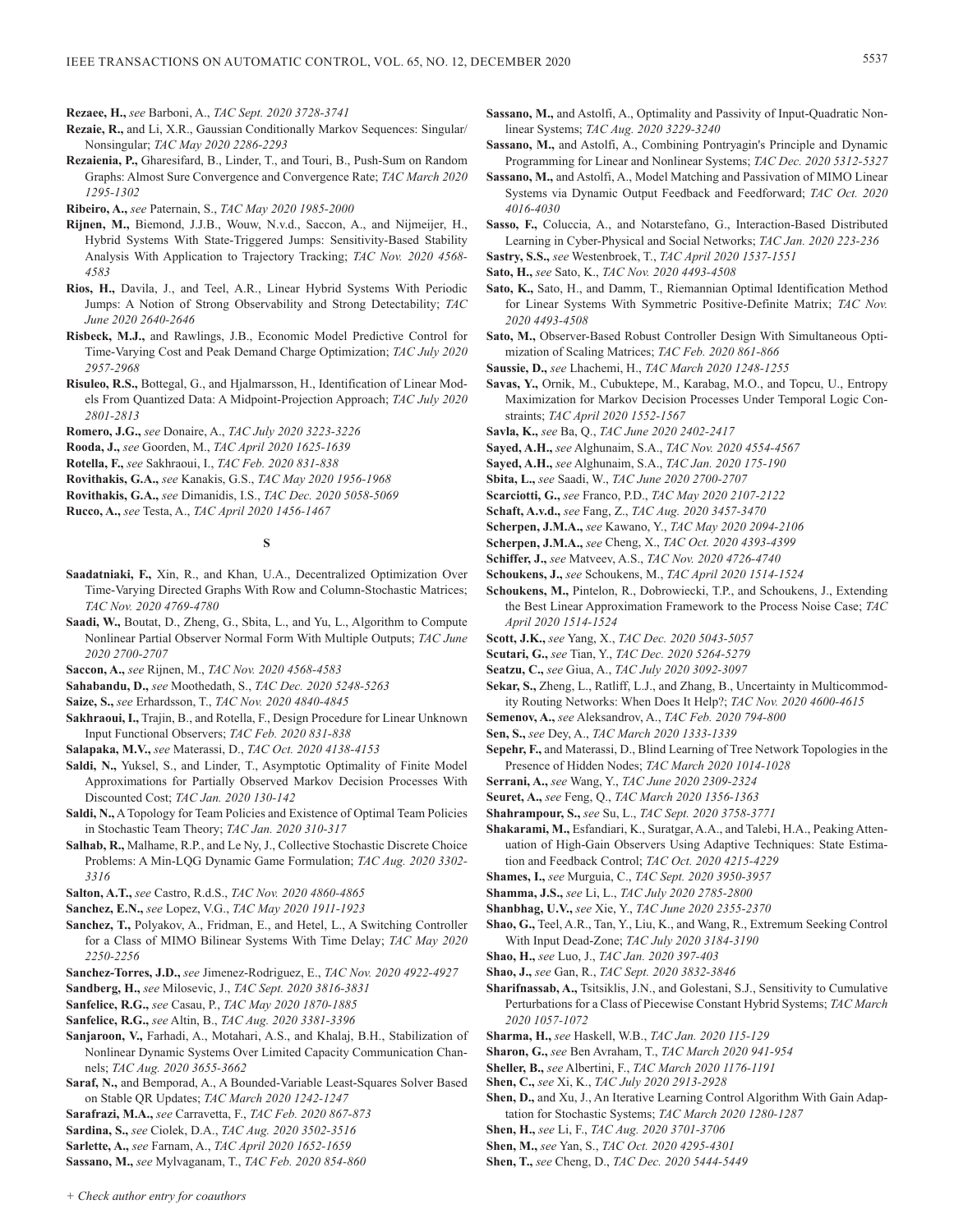**Rezaee, H.,** *see* Barboni, A., *TAC Sept. 2020 3728-3741*

- **Rezaie, R.,** and Li, X.R., Gaussian Conditionally Markov Sequences: Singular/ Nonsingular; *TAC May 2020 2286-2293*
- **Rezaienia, P.,** Gharesifard, B., Linder, T., and Touri, B., Push-Sum on Random Graphs: Almost Sure Convergence and Convergence Rate; *TAC March 2020 1295-1302*

**Ribeiro, A.,** *see* Paternain, S., *TAC May 2020 1985-2000*

- **Rijnen, M.,** Biemond, J.J.B., Wouw, N.v.d., Saccon, A., and Nijmeijer, H., Hybrid Systems With State-Triggered Jumps: Sensitivity-Based Stability Analysis With Application to Trajectory Tracking; *TAC Nov. 2020 4568- 4583*
- **Rios, H.,** Davila, J., and Teel, A.R., Linear Hybrid Systems With Periodic Jumps: A Notion of Strong Observability and Strong Detectability; *TAC June 2020 2640-2646*
- **Risbeck, M.J.,** and Rawlings, J.B., Economic Model Predictive Control for Time-Varying Cost and Peak Demand Charge Optimization; *TAC July 2020 2957-2968*
- **Risuleo, R.S.,** Bottegal, G., and Hjalmarsson, H., Identification of Linear Models From Quantized Data: A Midpoint-Projection Approach; *TAC July 2020 2801-2813*
- **Romero, J.G.,** *see* Donaire, A., *TAC July 2020 3223-3226*
- **Rooda, J.,** *see* Goorden, M., *TAC April 2020 1625-1639*
- **Rotella, F.,** *see* Sakhraoui, I., *TAC Feb. 2020 831-838*
- **Rovithakis, G.A.,** *see* Kanakis, G.S., *TAC May 2020 1956-1968*
- **Rovithakis, G.A.,** *see* Dimanidis, I.S., *TAC Dec. 2020 5058-5069*
- **Rucco, A.,** *see* Testa, A., *TAC April 2020 1456-1467*

**S**

- **Saadatniaki, F.,** Xin, R., and Khan, U.A., Decentralized Optimization Over Time-Varying Directed Graphs With Row and Column-Stochastic Matrices; *TAC Nov. 2020 4769-4780*
- **Saadi, W.,** Boutat, D., Zheng, G., Sbita, L., and Yu, L., Algorithm to Compute Nonlinear Partial Observer Normal Form With Multiple Outputs; *TAC June 2020 2700-2707*

**Saccon, A.,** *see* Rijnen, M., *TAC Nov. 2020 4568-4583*

**Sahabandu, D.,** *see* Moothedath, S., *TAC Dec. 2020 5248-5263*

**Saize, S.,** *see* Erhardsson, T., *TAC Nov. 2020 4840-4845*

- **Sakhraoui, I.,** Trajin, B., and Rotella, F., Design Procedure for Linear Unknown Input Functional Observers; *TAC Feb. 2020 831-838*
- **Salapaka, M.V.,** *see* Materassi, D., *TAC Oct. 2020 4138-4153*
- **Saldi, N.,** Yuksel, S., and Linder, T., Asymptotic Optimality of Finite Model Approximations for Partially Observed Markov Decision Processes With Discounted Cost; *TAC Jan. 2020 130-142*
- **Saldi, N.,** A Topology for Team Policies and Existence of Optimal Team Policies in Stochastic Team Theory; *TAC Jan. 2020 310-317*
- **Salhab, R.,** Malhame, R.P., and Le Ny, J., Collective Stochastic Discrete Choice Problems: A Min-LQG Dynamic Game Formulation; *TAC Aug. 2020 3302- 3316*
- **Salton, A.T.,** *see* Castro, R.d.S., *TAC Nov. 2020 4860-4865*
- **Sanchez, E.N.,** *see* Lopez, V.G., *TAC May 2020 1911-1923*
- **Sanchez, T.,** Polyakov, A., Fridman, E., and Hetel, L., A Switching Controller for a Class of MIMO Bilinear Systems With Time Delay; *TAC May 2020 2250-2256*
- **Sanchez-Torres, J.D.,** *see* Jimenez-Rodriguez, E., *TAC Nov. 2020 4922-4927*
- **Sandberg, H.,** *see* Milosevic, J., *TAC Sept. 2020 3816-3831*
- **Sanfelice, R.G.,** *see* Casau, P., *TAC May 2020 1870-1885*
- **Sanfelice, R.G.,** *see* Altin, B., *TAC Aug. 2020 3381-3396*
- **Sanjaroon, V.,** Farhadi, A., Motahari, A.S., and Khalaj, B.H., Stabilization of Nonlinear Dynamic Systems Over Limited Capacity Communication Channels; *TAC Aug. 2020 3655-3662*
- **Saraf, N.,** and Bemporad, A., A Bounded-Variable Least-Squares Solver Based on Stable QR Updates; *TAC March 2020 1242-1247*

**Sarafrazi, M.A.,** *see* Carravetta, F., *TAC Feb. 2020 867-873*

**Sardina, S.,** *see* Ciolek, D.A., *TAC Aug. 2020 3502-3516*

**Sarlette, A.,** *see* Farnam, A., *TAC April 2020 1652-1659*

**Sassano, M.,** *see* Mylvaganam, T., *TAC Feb. 2020 854-860*

- **Sassano, M.,** and Astolfi, A., Optimality and Passivity of Input-Quadratic Nonlinear Systems; *TAC Aug. 2020 3229-3240*
- **Sassano, M.,** and Astolfi, A., Combining Pontryagin's Principle and Dynamic Programming for Linear and Nonlinear Systems; *TAC Dec. 2020 5312-5327*
- **Sassano, M.,** and Astolfi, A., Model Matching and Passivation of MIMO Linear Systems via Dynamic Output Feedback and Feedforward; *TAC Oct. 2020 4016-4030*
- **Sasso, F.,** Coluccia, A., and Notarstefano, G., Interaction-Based Distributed Learning in Cyber-Physical and Social Networks; *TAC Jan. 2020 223-236*
- **Sastry, S.S.,** *see* Westenbroek, T., *TAC April 2020 1537-1551*
- **Sato, H.,** *see* Sato, K., *TAC Nov. 2020 4493-4508*
- **Sato, K.,** Sato, H., and Damm, T., Riemannian Optimal Identification Method for Linear Systems With Symmetric Positive-Definite Matrix; *TAC Nov. 2020 4493-4508*
- **Sato, M.,** Observer-Based Robust Controller Design With Simultaneous Optimization of Scaling Matrices; *TAC Feb. 2020 861-866*
- **Saussie, D.,** *see* Lhachemi, H., *TAC March 2020 1248-1255*
- **Savas, Y.,** Ornik, M., Cubuktepe, M., Karabag, M.O., and Topcu, U., Entropy Maximization for Markov Decision Processes Under Temporal Logic Constraints; *TAC April 2020 1552-1567*
- **Savla, K.,** *see* Ba, Q., *TAC June 2020 2402-2417*
- **Sayed, A.H.,** *see* Alghunaim, S.A., *TAC Nov. 2020 4554-4567*
- **Sayed, A.H.,** *see* Alghunaim, S.A., *TAC Jan. 2020 175-190*
- **Sbita, L.,** *see* Saadi, W., *TAC June 2020 2700-2707*
- **Scarciotti, G.,** *see* Franco, P.D., *TAC May 2020 2107-2122*
- **Schaft, A.v.d.,** *see* Fang, Z., *TAC Aug. 2020 3457-3470*
- **Scherpen, J.M.A.,** *see* Kawano, Y., *TAC May 2020 2094-2106*
- **Scherpen, J.M.A.,** *see* Cheng, X., *TAC Oct. 2020 4393-4399*
- **Schiffer, J.,** *see* Matveev, A.S., *TAC Nov. 2020 4726-4740*
- **Schoukens, J.,** *see* Schoukens, M., *TAC April 2020 1514-1524*
- **Schoukens, M.,** Pintelon, R., Dobrowiecki, T.P., and Schoukens, J., Extending the Best Linear Approximation Framework to the Process Noise Case; *TAC April 2020 1514-1524*
- **Scott, J.K.,** *see* Yang, X., *TAC Dec. 2020 5043-5057*
- **Scutari, G.,** *see* Tian, Y., *TAC Dec. 2020 5264-5279*
- **Seatzu, C.,** *see* Giua, A., *TAC July 2020 3092-3097*
- **Sekar, S.,** Zheng, L., Ratliff, L.J., and Zhang, B., Uncertainty in Multicommodity Routing Networks: When Does It Help?; *TAC Nov. 2020 4600-4615*
- **Semenov, A.,** *see* Aleksandrov, A., *TAC Feb. 2020 794-800*
- **Sen, S.,** *see* Dey, A., *TAC March 2020 1333-1339*
- **Sepehr, F.,** and Materassi, D., Blind Learning of Tree Network Topologies in the Presence of Hidden Nodes; *TAC March 2020 1014-1028*
- **Serrani, A.,** *see* Wang, Y., *TAC June 2020 2309-2324*
- **Seuret, A.,** *see* Feng, Q., *TAC March 2020 1356-1363*
- **Shahrampour, S.,** *see* Su, L., *TAC Sept. 2020 3758-3771*
- **Shakarami, M.,** Esfandiari, K., Suratgar, A.A., and Talebi, H.A., Peaking Attenuation of High-Gain Observers Using Adaptive Techniques: State Estimation and Feedback Control; *TAC Oct. 2020 4215-4229*
- **Shames, I.,** *see* Murguia, C., *TAC Sept. 2020 3950-3957*
- **Shamma, J.S.,** *see* Li, L., *TAC July 2020 2785-2800*
- **Shanbhag, U.V.,** *see* Xie, Y., *TAC June 2020 2355-2370*
- **Shao, G.,** Teel, A.R., Tan, Y., Liu, K., and Wang, R., Extremum Seeking Control With Input Dead-Zone; *TAC July 2020 3184-3190*
- **Shao, H.,** *see* Luo, J., *TAC Jan. 2020 397-403*
- **Shao, J.,** *see* Gan, R., *TAC Sept. 2020 3832-3846*
- **Sharifnassab, A.,** Tsitsiklis, J.N., and Golestani, S.J., Sensitivity to Cumulative Perturbations for a Class of Piecewise Constant Hybrid Systems; *TAC March 2020 1057-1072*
- **Sharma, H.,** *see* Haskell, W.B., *TAC Jan. 2020 115-129*
- **Sharon, G.,** *see* Ben Avraham, T., *TAC March 2020 941-954*
- **Sheller, B.,** *see* Albertini, F., *TAC March 2020 1176-1191*
- **Shen, C.,** *see* Xi, K., *TAC July 2020 2913-2928*
- **Shen, D.,** and Xu, J., An Iterative Learning Control Algorithm With Gain Adaptation for Stochastic Systems; *TAC March 2020 1280-1287*
- **Shen, H.,** *see* Li, F., *TAC Aug. 2020 3701-3706*
- **Shen, M.,** *see* Yan, S., *TAC Oct. 2020 4295-4301*
- **Shen, T.,** *see* Cheng, D., *TAC Dec. 2020 5444-5449*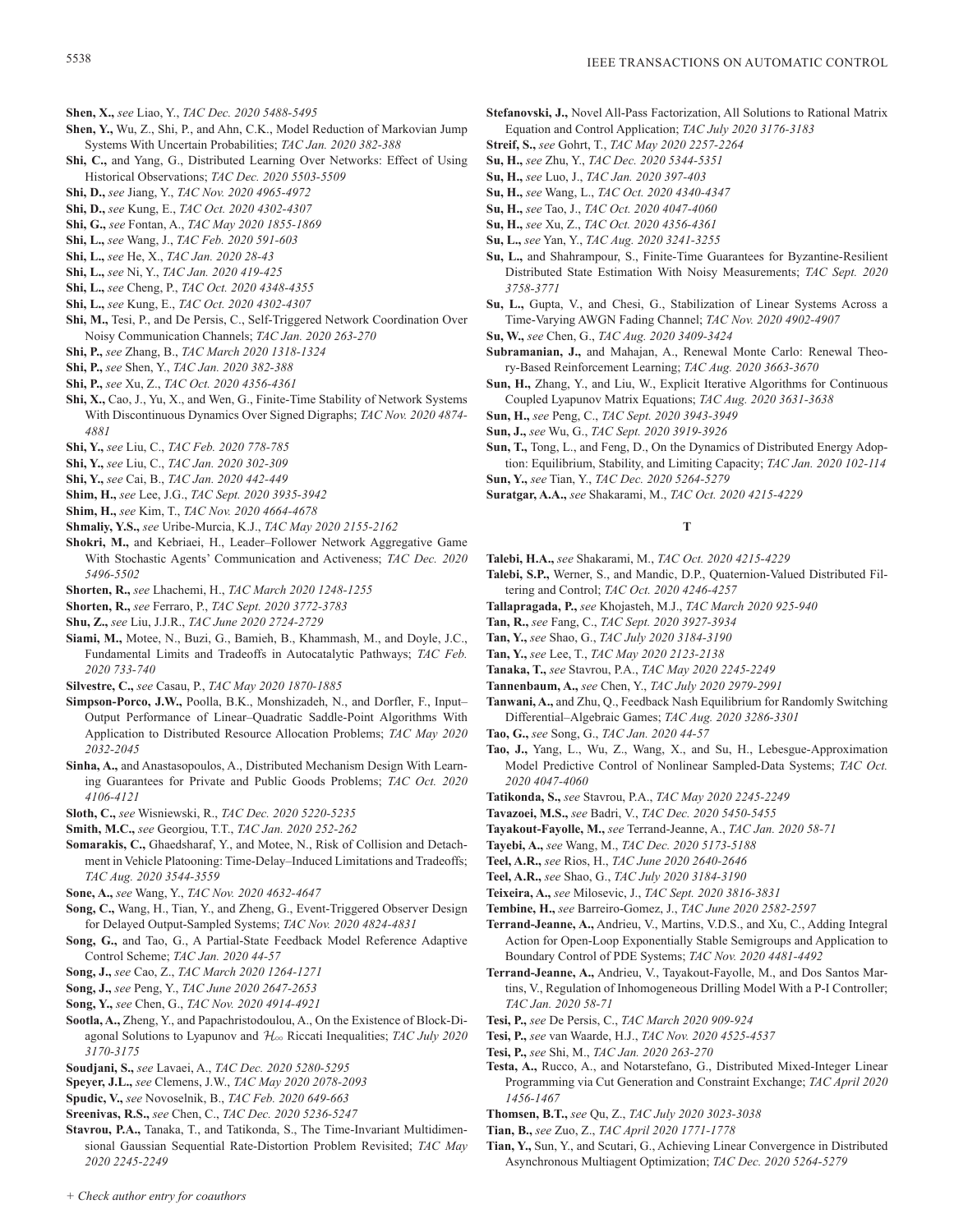- **Shen, X.,** *see* Liao, Y., *TAC Dec. 2020 5488-5495*
- **Shen, Y.,** Wu, Z., Shi, P., and Ahn, C.K., Model Reduction of Markovian Jump Systems With Uncertain Probabilities; *TAC Jan. 2020 382-388*
- **Shi, C.,** and Yang, G., Distributed Learning Over Networks: Effect of Using Historical Observations; *TAC Dec. 2020 5503-5509*
- **Shi, D.,** *see* Jiang, Y., *TAC Nov. 2020 4965-4972*
- **Shi, D.,** *see* Kung, E., *TAC Oct. 2020 4302-4307*
- **Shi, G.,** *see* Fontan, A., *TAC May 2020 1855-1869*
- **Shi, L.,** *see* Wang, J., *TAC Feb. 2020 591-603*
- **Shi, L.,** *see* He, X., *TAC Jan. 2020 28-43*
- **Shi, L.,** *see* Ni, Y., *TAC Jan. 2020 419-425*
- **Shi, L.,** *see* Cheng, P., *TAC Oct. 2020 4348-4355*
- **Shi, L.,** *see* Kung, E., *TAC Oct. 2020 4302-4307*
- **Shi, M.,** Tesi, P., and De Persis, C., Self-Triggered Network Coordination Over Noisy Communication Channels; *TAC Jan. 2020 263-270*
- **Shi, P.,** *see* Zhang, B., *TAC March 2020 1318-1324*
- **Shi, P.,** *see* Shen, Y., *TAC Jan. 2020 382-388*
- **Shi, P.,** *see* Xu, Z., *TAC Oct. 2020 4356-4361*
- **Shi, X.,** Cao, J., Yu, X., and Wen, G., Finite-Time Stability of Network Systems With Discontinuous Dynamics Over Signed Digraphs; *TAC Nov. 2020 4874- 4881*
- **Shi, Y.,** *see* Liu, C., *TAC Feb. 2020 778-785*
- **Shi, Y.,** *see* Liu, C., *TAC Jan. 2020 302-309*
- **Shi, Y.,** *see* Cai, B., *TAC Jan. 2020 442-449*
- **Shim, H.,** *see* Lee, J.G., *TAC Sept. 2020 3935-3942*
- **Shim, H.,** *see* Kim, T., *TAC Nov. 2020 4664-4678*
- **Shmaliy, Y.S.,** *see* Uribe-Murcia, K.J., *TAC May 2020 2155-2162*
- **Shokri, M.,** and Kebriaei, H., Leader–Follower Network Aggregative Game With Stochastic Agents' Communication and Activeness; *TAC Dec. 2020 5496-5502*
- **Shorten, R.,** *see* Lhachemi, H., *TAC March 2020 1248-1255*
- **Shorten, R.,** *see* Ferraro, P., *TAC Sept. 2020 3772-3783*
- **Shu, Z.,** *see* Liu, J.J.R., *TAC June 2020 2724-2729*
- **Siami, M.,** Motee, N., Buzi, G., Bamieh, B., Khammash, M., and Doyle, J.C., Fundamental Limits and Tradeoffs in Autocatalytic Pathways; *TAC Feb. 2020 733-740*
- **Silvestre, C.,** *see* Casau, P., *TAC May 2020 1870-1885*
- **Simpson-Porco, J.W.,** Poolla, B.K., Monshizadeh, N., and Dorfler, F., Input– Output Performance of Linear–Quadratic Saddle-Point Algorithms With Application to Distributed Resource Allocation Problems; *TAC May 2020 2032-2045*
- **Sinha, A.,** and Anastasopoulos, A., Distributed Mechanism Design With Learning Guarantees for Private and Public Goods Problems; *TAC Oct. 2020 4106-4121*
- **Sloth, C.,** *see* Wisniewski, R., *TAC Dec. 2020 5220-5235*
- **Smith, M.C.,** *see* Georgiou, T.T., *TAC Jan. 2020 252-262*
- **Somarakis, C.,** Ghaedsharaf, Y., and Motee, N., Risk of Collision and Detachment in Vehicle Platooning: Time-Delay–Induced Limitations and Tradeoffs; *TAC Aug. 2020 3544-3559*
- **Sone, A.,** *see* Wang, Y., *TAC Nov. 2020 4632-4647*
- **Song, C.,** Wang, H., Tian, Y., and Zheng, G., Event-Triggered Observer Design for Delayed Output-Sampled Systems; *TAC Nov. 2020 4824-4831*
- **Song, G.,** and Tao, G., A Partial-State Feedback Model Reference Adaptive Control Scheme; *TAC Jan. 2020 44-57*
- **Song, J.,** *see* Cao, Z., *TAC March 2020 1264-1271*
- **Song, J.,** *see* Peng, Y., *TAC June 2020 2647-2653*
- **Song, Y.,** *see* Chen, G., *TAC Nov. 2020 4914-4921*
- **Sootla, A.,** Zheng, Y., and Papachristodoulou, A., On the Existence of Block-Diagonal Solutions to Lyapunov and H3 Riccati Inequalities; *TAC July 2020 3170-3175*
- **Soudjani, S.,** *see* Lavaei, A., *TAC Dec. 2020 5280-5295*
- **Speyer, J.L.,** *see* Clemens, J.W., *TAC May 2020 2078-2093*
- **Spudic, V.,** *see* Novoselnik, B., *TAC Feb. 2020 649-663*
- **Sreenivas, R.S.,** *see* Chen, C., *TAC Dec. 2020 5236-5247*
- **Stavrou, P.A.,** Tanaka, T., and Tatikonda, S., The Time-Invariant Multidimensional Gaussian Sequential Rate-Distortion Problem Revisited; *TAC May 2020 2245-2249*
- **Stefanovski, J.,** Novel All-Pass Factorization, All Solutions to Rational Matrix Equation and Control Application; *TAC July 2020 3176-3183*
- **Streif, S.,** *see* Gohrt, T., *TAC May 2020 2257-2264*
- **Su, H.,** *see* Zhu, Y., *TAC Dec. 2020 5344-5351*
- **Su, H.,** *see* Luo, J., *TAC Jan. 2020 397-403*
- **Su, H.,** *see* Wang, L., *TAC Oct. 2020 4340-4347*
- **Su, H.,** *see* Tao, J., *TAC Oct. 2020 4047-4060*
- **Su, H.,** *see* Xu, Z., *TAC Oct. 2020 4356-4361*
- **Su, L.,** *see* Yan, Y., *TAC Aug. 2020 3241-3255*
- **Su, L.,** and Shahrampour, S., Finite-Time Guarantees for Byzantine-Resilient Distributed State Estimation With Noisy Measurements; *TAC Sept. 2020 3758-3771*
- **Su, L.,** Gupta, V., and Chesi, G., Stabilization of Linear Systems Across a Time-Varying AWGN Fading Channel; *TAC Nov. 2020 4902-4907*
- **Su, W.,** *see* Chen, G., *TAC Aug. 2020 3409-3424*
- **Subramanian, J.,** and Mahajan, A., Renewal Monte Carlo: Renewal Theory-Based Reinforcement Learning; *TAC Aug. 2020 3663-3670*
- **Sun, H.,** Zhang, Y., and Liu, W., Explicit Iterative Algorithms for Continuous Coupled Lyapunov Matrix Equations; *TAC Aug. 2020 3631-3638*
- **Sun, H.,** *see* Peng, C., *TAC Sept. 2020 3943-3949*
- **Sun, J.,** *see* Wu, G., *TAC Sept. 2020 3919-3926*
- **Sun, T.,** Tong, L., and Feng, D., On the Dynamics of Distributed Energy Adoption: Equilibrium, Stability, and Limiting Capacity; *TAC Jan. 2020 102-114* **Sun, Y.,** *see* Tian, Y., *TAC Dec. 2020 5264-5279*
- **Suratgar, A.A.,** *see* Shakarami, M., *TAC Oct. 2020 4215-4229*

### **T**

- **Talebi, H.A.,** *see* Shakarami, M., *TAC Oct. 2020 4215-4229*
- **Talebi, S.P.,** Werner, S., and Mandic, D.P., Quaternion-Valued Distributed Filtering and Control; *TAC Oct. 2020 4246-4257*
- **Tallapragada, P.,** *see* Khojasteh, M.J., *TAC March 2020 925-940*
- **Tan, R.,** *see* Fang, C., *TAC Sept. 2020 3927-3934*
- **Tan, Y.,** *see* Shao, G., *TAC July 2020 3184-3190*
- **Tan, Y.,** *see* Lee, T., *TAC May 2020 2123-2138*
- **Tanaka, T.,** *see* Stavrou, P.A., *TAC May 2020 2245-2249*
- **Tannenbaum, A.,** *see* Chen, Y., *TAC July 2020 2979-2991*
- **Tanwani, A.,** and Zhu, Q., Feedback Nash Equilibrium for Randomly Switching Differential–Algebraic Games; *TAC Aug. 2020 3286-3301*
- **Tao, G.,** *see* Song, G., *TAC Jan. 2020 44-57*
- **Tao, J.,** Yang, L., Wu, Z., Wang, X., and Su, H., Lebesgue-Approximation Model Predictive Control of Nonlinear Sampled-Data Systems; *TAC Oct. 2020 4047-4060*
- **Tatikonda, S.,** *see* Stavrou, P.A., *TAC May 2020 2245-2249*
- **Tavazoei, M.S.,** *see* Badri, V., *TAC Dec. 2020 5450-5455*
- **Tayakout-Fayolle, M.,** *see* Terrand-Jeanne, A., *TAC Jan. 2020 58-71*
- **Tayebi, A.,** *see* Wang, M., *TAC Dec. 2020 5173-5188*
- **Teel, A.R.,** *see* Rios, H., *TAC June 2020 2640-2646*
- **Teel, A.R.,** *see* Shao, G., *TAC July 2020 3184-3190*
- **Teixeira, A.,** *see* Milosevic, J., *TAC Sept. 2020 3816-3831*
- **Tembine, H.,** *see* Barreiro-Gomez, J., *TAC June 2020 2582-2597*
- **Terrand-Jeanne, A.,** Andrieu, V., Martins, V.D.S., and Xu, C., Adding Integral Action for Open-Loop Exponentially Stable Semigroups and Application to Boundary Control of PDE Systems; *TAC Nov. 2020 4481-4492*
- **Terrand-Jeanne, A.,** Andrieu, V., Tayakout-Fayolle, M., and Dos Santos Martins, V., Regulation of Inhomogeneous Drilling Model With a P-I Controller; *TAC Jan. 2020 58-71*
- **Tesi, P.,** *see* De Persis, C., *TAC March 2020 909-924*
- **Tesi, P.,** *see* van Waarde, H.J., *TAC Nov. 2020 4525-4537*
- **Tesi, P.,** *see* Shi, M., *TAC Jan. 2020 263-270*
- **Testa, A.,** Rucco, A., and Notarstefano, G., Distributed Mixed-Integer Linear Programming via Cut Generation and Constraint Exchange; *TAC April 2020 1456-1467*
- **Thomsen, B.T.,** *see* Qu, Z., *TAC July 2020 3023-3038*
- **Tian, B.,** *see* Zuo, Z., *TAC April 2020 1771-1778*
- **Tian, Y.,** Sun, Y., and Scutari, G., Achieving Linear Convergence in Distributed Asynchronous Multiagent Optimization; *TAC Dec. 2020 5264-5279*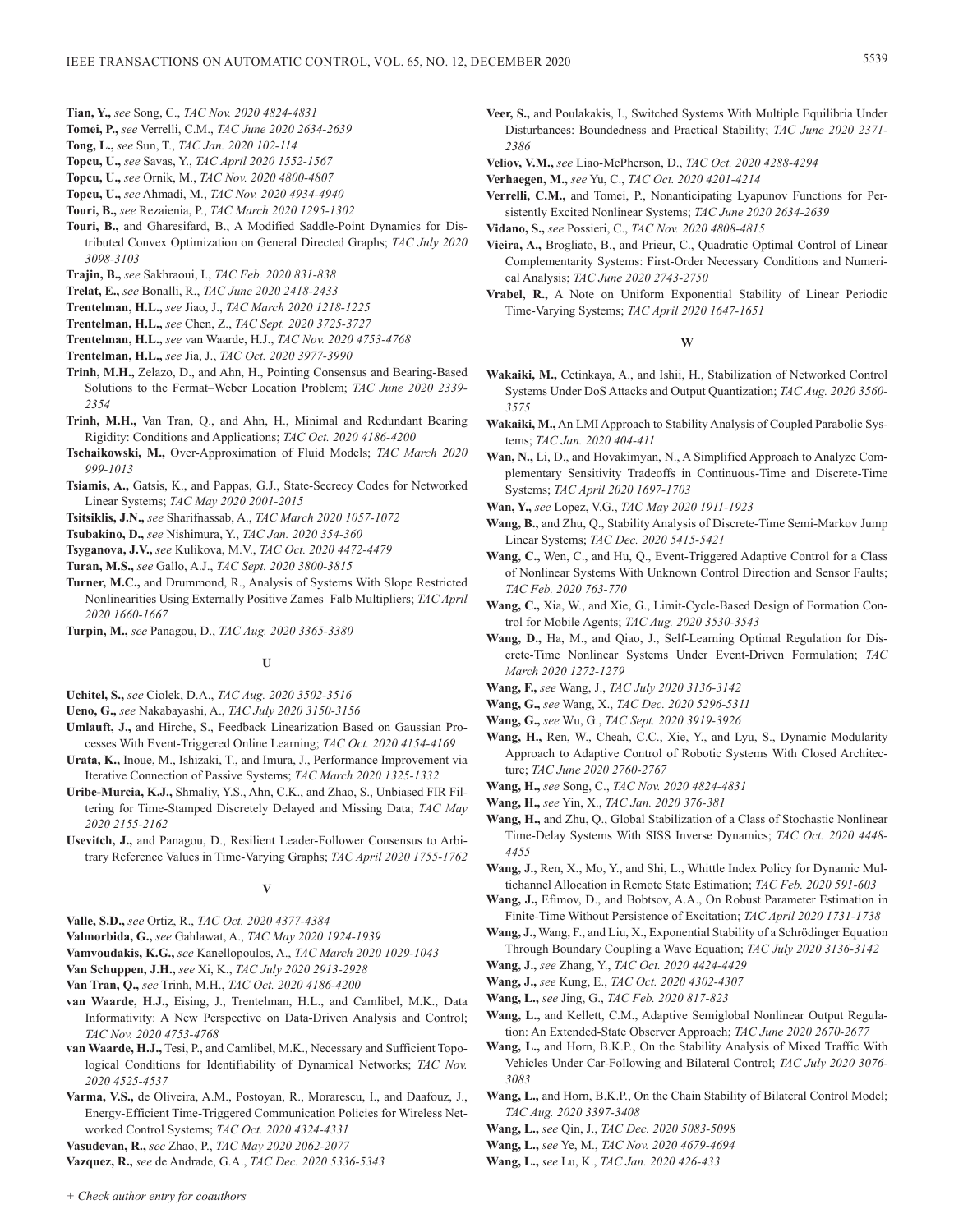- **Tian, Y.,** *see* Song, C., *TAC Nov. 2020 4824-4831*
- **Tomei, P.,** *see* Verrelli, C.M., *TAC June 2020 2634-2639*
- **Tong, L.,** *see* Sun, T., *TAC Jan. 2020 102-114*
- **Topcu, U.,** *see* Savas, Y., *TAC April 2020 1552-1567*
- **Topcu, U.,** *see* Ornik, M., *TAC Nov. 2020 4800-4807*
- **Topcu, U.,** *see* Ahmadi, M., *TAC Nov. 2020 4934-4940*
- **Touri, B.,** *see* Rezaienia, P., *TAC March 2020 1295-1302*
- **Touri, B.,** and Gharesifard, B., A Modified Saddle-Point Dynamics for Distributed Convex Optimization on General Directed Graphs; *TAC July 2020 3098-3103*
- **Trajin, B.,** *see* Sakhraoui, I., *TAC Feb. 2020 831-838*
- **Trelat, E.,** *see* Bonalli, R., *TAC June 2020 2418-2433*
- **Trentelman, H.L.,** *see* Jiao, J., *TAC March 2020 1218-1225*

**Trentelman, H.L.,** *see* Chen, Z., *TAC Sept. 2020 3725-3727*

- **Trentelman, H.L.,** *see* van Waarde, H.J., *TAC Nov. 2020 4753-4768*
- **Trentelman, H.L.,** *see* Jia, J., *TAC Oct. 2020 3977-3990*
- **Trinh, M.H.,** Zelazo, D., and Ahn, H., Pointing Consensus and Bearing-Based Solutions to the Fermat–Weber Location Problem; *TAC June 2020 2339- 2354*
- **Trinh, M.H.,** Van Tran, Q., and Ahn, H., Minimal and Redundant Bearing Rigidity: Conditions and Applications; *TAC Oct. 2020 4186-4200*
- **Tschaikowski, M.,** Over-Approximation of Fluid Models; *TAC March 2020 999-1013*
- **Tsiamis, A.,** Gatsis, K., and Pappas, G.J., State-Secrecy Codes for Networked Linear Systems; *TAC May 2020 2001-2015*
- **Tsitsiklis, J.N.,** *see* Sharifnassab, A., *TAC March 2020 1057-1072*
- **Tsubakino, D.,** *see* Nishimura, Y., *TAC Jan. 2020 354-360*
- **Tsyganova, J.V.,** *see* Kulikova, M.V., *TAC Oct. 2020 4472-4479*
- **Turan, M.S.,** *see* Gallo, A.J., *TAC Sept. 2020 3800-3815*
- **Turner, M.C.,** and Drummond, R., Analysis of Systems With Slope Restricted Nonlinearities Using Externally Positive Zames–Falb Multipliers; *TAC April 2020 1660-1667*
- **Turpin, M.,** *see* Panagou, D., *TAC Aug. 2020 3365-3380*

# **U**

- **Uchitel, S.,** *see* Ciolek, D.A., *TAC Aug. 2020 3502-3516*
- **Ueno, G.,** *see* Nakabayashi, A., *TAC July 2020 3150-3156*
- **Umlauft, J.,** and Hirche, S., Feedback Linearization Based on Gaussian Processes With Event-Triggered Online Learning; *TAC Oct. 2020 4154-4169*
- **Urata, K.,** Inoue, M., Ishizaki, T., and Imura, J., Performance Improvement via Iterative Connection of Passive Systems; *TAC March 2020 1325-1332*
- **Uribe-Murcia, K.J.,** Shmaliy, Y.S., Ahn, C.K., and Zhao, S., Unbiased FIR Filtering for Time-Stamped Discretely Delayed and Missing Data; *TAC May 2020 2155-2162*
- **Usevitch, J.,** and Panagou, D., Resilient Leader-Follower Consensus to Arbitrary Reference Values in Time-Varying Graphs; *TAC April 2020 1755-1762*

# **V**

**Valle, S.D.,** *see* Ortiz, R., *TAC Oct. 2020 4377-4384*

**Valmorbida, G.,** *see* Gahlawat, A., *TAC May 2020 1924-1939*

- **Vamvoudakis, K.G.,** *see* Kanellopoulos, A., *TAC March 2020 1029-1043*
- **Van Schuppen, J.H.,** *see* Xi, K., *TAC July 2020 2913-2928*
- **Van Tran, Q.,** *see* Trinh, M.H., *TAC Oct. 2020 4186-4200*
- **van Waarde, H.J.,** Eising, J., Trentelman, H.L., and Camlibel, M.K., Data Informativity: A New Perspective on Data-Driven Analysis and Control; *TAC Nov. 2020 4753-4768*
- **van Waarde, H.J.,** Tesi, P., and Camlibel, M.K., Necessary and Sufficient Topological Conditions for Identifiability of Dynamical Networks; *TAC Nov. 2020 4525-4537*
- **Varma, V.S.,** de Oliveira, A.M., Postoyan, R., Morarescu, I., and Daafouz, J., Energy-Efficient Time-Triggered Communication Policies for Wireless Networked Control Systems; *TAC Oct. 2020 4324-4331*

**Vasudevan, R.,** *see* Zhao, P., *TAC May 2020 2062-2077*

**Vazquez, R.,** *see* de Andrade, G.A., *TAC Dec. 2020 5336-5343*

- **Veer, S.,** and Poulakakis, I., Switched Systems With Multiple Equilibria Under Disturbances: Boundedness and Practical Stability; *TAC June 2020 2371- 2386*
- **Veliov, V.M.,** *see* Liao-McPherson, D., *TAC Oct. 2020 4288-4294*
- **Verhaegen, M.,** *see* Yu, C., *TAC Oct. 2020 4201-4214*
- **Verrelli, C.M.,** and Tomei, P., Nonanticipating Lyapunov Functions for Persistently Excited Nonlinear Systems; *TAC June 2020 2634-2639*
- **Vidano, S.,** *see* Possieri, C., *TAC Nov. 2020 4808-4815*
- **Vieira, A.,** Brogliato, B., and Prieur, C., Quadratic Optimal Control of Linear Complementarity Systems: First-Order Necessary Conditions and Numerical Analysis; *TAC June 2020 2743-2750*
- **Vrabel, R.,** A Note on Uniform Exponential Stability of Linear Periodic Time-Varying Systems; *TAC April 2020 1647-1651*

### **W**

- **Wakaiki, M.,** Cetinkaya, A., and Ishii, H., Stabilization of Networked Control Systems Under DoS Attacks and Output Quantization; *TAC Aug. 2020 3560- 3575*
- **Wakaiki, M.,** An LMI Approach to Stability Analysis of Coupled Parabolic Systems; *TAC Jan. 2020 404-411*
- **Wan, N.,** Li, D., and Hovakimyan, N., A Simplified Approach to Analyze Complementary Sensitivity Tradeoffs in Continuous-Time and Discrete-Time Systems; *TAC April 2020 1697-1703*
- **Wan, Y.,** *see* Lopez, V.G., *TAC May 2020 1911-1923*
- **Wang, B.,** and Zhu, Q., Stability Analysis of Discrete-Time Semi-Markov Jump Linear Systems; *TAC Dec. 2020 5415-5421*
- **Wang, C.,** Wen, C., and Hu, Q., Event-Triggered Adaptive Control for a Class of Nonlinear Systems With Unknown Control Direction and Sensor Faults; *TAC Feb. 2020 763-770*
- **Wang, C.,** Xia, W., and Xie, G., Limit-Cycle-Based Design of Formation Control for Mobile Agents; *TAC Aug. 2020 3530-3543*
- **Wang, D.,** Ha, M., and Qiao, J., Self-Learning Optimal Regulation for Discrete-Time Nonlinear Systems Under Event-Driven Formulation; *TAC March 2020 1272-1279*
- **Wang, F.,** *see* Wang, J., *TAC July 2020 3136-3142*
- **Wang, G.,** *see* Wang, X., *TAC Dec. 2020 5296-5311*
- **Wang, G.,** *see* Wu, G., *TAC Sept. 2020 3919-3926*
- **Wang, H.,** Ren, W., Cheah, C.C., Xie, Y., and Lyu, S., Dynamic Modularity Approach to Adaptive Control of Robotic Systems With Closed Architecture; *TAC June 2020 2760-2767*
- **Wang, H.,** *see* Song, C., *TAC Nov. 2020 4824-4831*
- **Wang, H.,** *see* Yin, X., *TAC Jan. 2020 376-381*
- **Wang, H.,** and Zhu, Q., Global Stabilization of a Class of Stochastic Nonlinear Time-Delay Systems With SISS Inverse Dynamics; *TAC Oct. 2020 4448- 4455*
- **Wang, J.,** Ren, X., Mo, Y., and Shi, L., Whittle Index Policy for Dynamic Multichannel Allocation in Remote State Estimation; *TAC Feb. 2020 591-603*
- **Wang, J.,** Efimov, D., and Bobtsov, A.A., On Robust Parameter Estimation in Finite-Time Without Persistence of Excitation; *TAC April 2020 1731-1738*
- **Wang, J.,** Wang, F., and Liu, X., Exponential Stability of a Schrödinger Equation Through Boundary Coupling a Wave Equation; *TAC July 2020 3136-3142*
- **Wang, J.,** *see* Zhang, Y., *TAC Oct. 2020 4424-4429*
- **Wang, J.,** *see* Kung, E., *TAC Oct. 2020 4302-4307*
- **Wang, L.,** *see* Jing, G., *TAC Feb. 2020 817-823*
- **Wang, L.,** and Kellett, C.M., Adaptive Semiglobal Nonlinear Output Regulation: An Extended-State Observer Approach; *TAC June 2020 2670-2677*
- **Wang, L.,** and Horn, B.K.P., On the Stability Analysis of Mixed Traffic With Vehicles Under Car-Following and Bilateral Control; *TAC July 2020 3076- 3083*
- **Wang, L.,** and Horn, B.K.P., On the Chain Stability of Bilateral Control Model; *TAC Aug. 2020 3397-3408*
- **Wang, L.,** *see* Qin, J., *TAC Dec. 2020 5083-5098*
- **Wang, L.,** *see* Ye, M., *TAC Nov. 2020 4679-4694*
- **Wang, L.,** *see* Lu, K., *TAC Jan. 2020 426-433*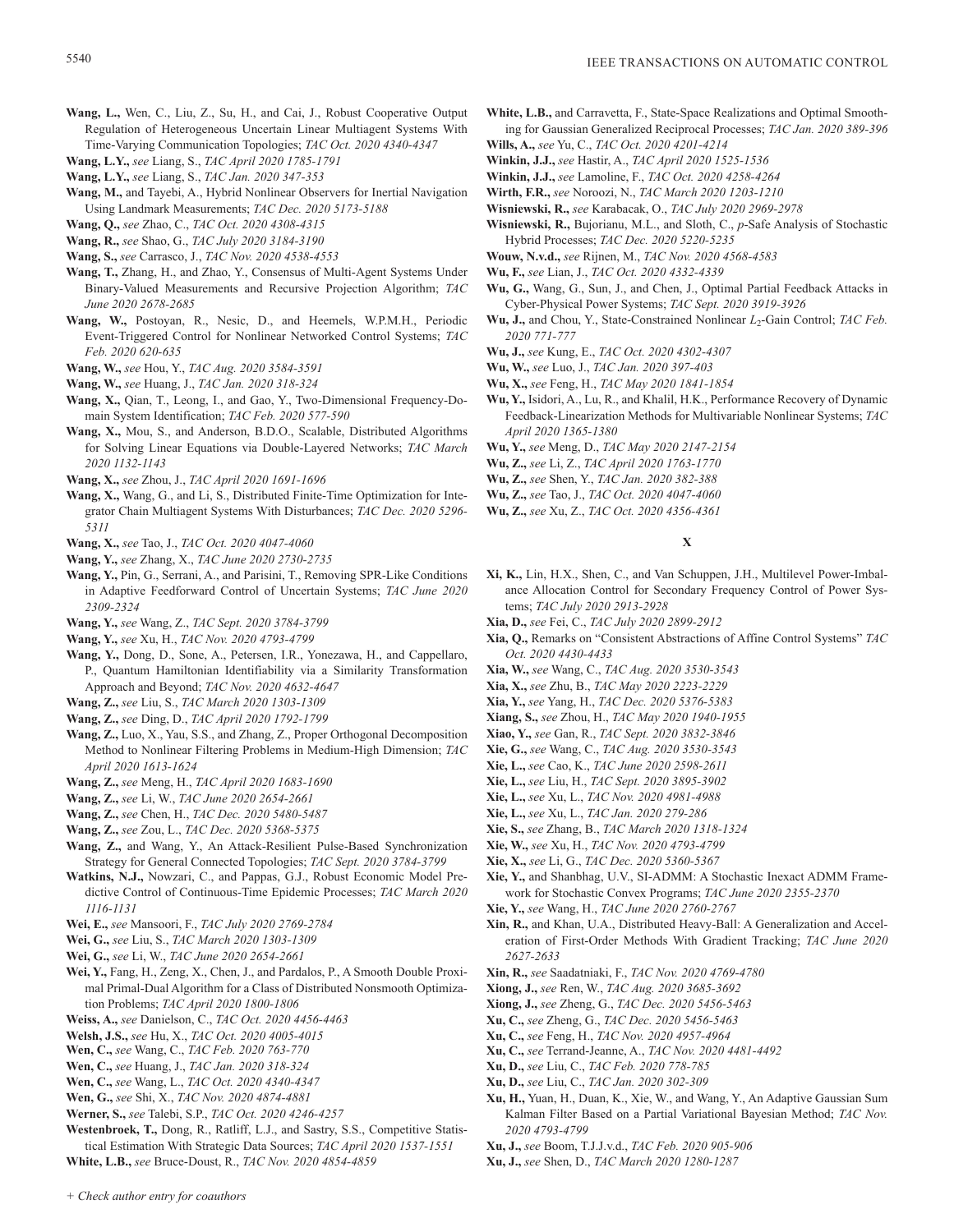- **Wang, L.,** Wen, C., Liu, Z., Su, H., and Cai, J., Robust Cooperative Output Regulation of Heterogeneous Uncertain Linear Multiagent Systems With Time-Varying Communication Topologies; *TAC Oct. 2020 4340-4347*
- **Wang, L.Y.,** *see* Liang, S., *TAC April 2020 1785-1791*
- **Wang, L.Y.,** *see* Liang, S., *TAC Jan. 2020 347-353*
- **Wang, M.,** and Tayebi, A., Hybrid Nonlinear Observers for Inertial Navigation Using Landmark Measurements; *TAC Dec. 2020 5173-5188*
- **Wang, Q.,** *see* Zhao, C., *TAC Oct. 2020 4308-4315*
- **Wang, R.,** *see* Shao, G., *TAC July 2020 3184-3190*
- **Wang, S.,** *see* Carrasco, J., *TAC Nov. 2020 4538-4553*
- **Wang, T.,** Zhang, H., and Zhao, Y., Consensus of Multi-Agent Systems Under Binary-Valued Measurements and Recursive Projection Algorithm; *TAC June 2020 2678-2685*
- **Wang, W.,** Postoyan, R., Nesic, D., and Heemels, W.P.M.H., Periodic Event-Triggered Control for Nonlinear Networked Control Systems; *TAC Feb. 2020 620-635*
- **Wang, W.,** *see* Hou, Y., *TAC Aug. 2020 3584-3591*
- **Wang, W.,** *see* Huang, J., *TAC Jan. 2020 318-324*
- **Wang, X.,** Qian, T., Leong, I., and Gao, Y., Two-Dimensional Frequency-Domain System Identification; *TAC Feb. 2020 577-590*
- **Wang, X.,** Mou, S., and Anderson, B.D.O., Scalable, Distributed Algorithms for Solving Linear Equations via Double-Layered Networks; *TAC March 2020 1132-1143*
- **Wang, X.,** *see* Zhou, J., *TAC April 2020 1691-1696*
- **Wang, X.,** Wang, G., and Li, S., Distributed Finite-Time Optimization for Integrator Chain Multiagent Systems With Disturbances; *TAC Dec. 2020 5296- 5311*
- **Wang, X.,** *see* Tao, J., *TAC Oct. 2020 4047-4060*
- **Wang, Y.,** *see* Zhang, X., *TAC June 2020 2730-2735*
- **Wang, Y.,** Pin, G., Serrani, A., and Parisini, T., Removing SPR-Like Conditions in Adaptive Feedforward Control of Uncertain Systems; *TAC June 2020 2309-2324*
- **Wang, Y.,** *see* Wang, Z., *TAC Sept. 2020 3784-3799*
- **Wang, Y.,** *see* Xu, H., *TAC Nov. 2020 4793-4799*
- **Wang, Y.,** Dong, D., Sone, A., Petersen, I.R., Yonezawa, H., and Cappellaro, P., Quantum Hamiltonian Identifiability via a Similarity Transformation Approach and Beyond; *TAC Nov. 2020 4632-4647*
- **Wang, Z.,** *see* Liu, S., *TAC March 2020 1303-1309*
- **Wang, Z.,** *see* Ding, D., *TAC April 2020 1792-1799*
- **Wang, Z.,** Luo, X., Yau, S.S., and Zhang, Z., Proper Orthogonal Decomposition Method to Nonlinear Filtering Problems in Medium-High Dimension; *TAC April 2020 1613-1624*
- **Wang, Z.,** *see* Meng, H., *TAC April 2020 1683-1690*
- **Wang, Z.,** *see* Li, W., *TAC June 2020 2654-2661*
- **Wang, Z.,** *see* Chen, H., *TAC Dec. 2020 5480-5487*
- **Wang, Z.,** *see* Zou, L., *TAC Dec. 2020 5368-5375*
- **Wang, Z.,** and Wang, Y., An Attack-Resilient Pulse-Based Synchronization Strategy for General Connected Topologies; *TAC Sept. 2020 3784-3799*
- **Watkins, N.J.,** Nowzari, C., and Pappas, G.J., Robust Economic Model Predictive Control of Continuous-Time Epidemic Processes; *TAC March 2020 1116-1131*
- **Wei, E.,** *see* Mansoori, F., *TAC July 2020 2769-2784*
- **Wei, G.,** *see* Liu, S., *TAC March 2020 1303-1309*
- **Wei, G.,** *see* Li, W., *TAC June 2020 2654-2661*
- **Wei, Y.,** Fang, H., Zeng, X., Chen, J., and Pardalos, P., A Smooth Double Proximal Primal-Dual Algorithm for a Class of Distributed Nonsmooth Optimization Problems; *TAC April 2020 1800-1806*
- **Weiss, A.,** *see* Danielson, C., *TAC Oct. 2020 4456-4463*
- **Welsh, J.S.,** *see* Hu, X., *TAC Oct. 2020 4005-4015*
- **Wen, C.,** *see* Wang, C., *TAC Feb. 2020 763-770*
- **Wen, C.,** *see* Huang, J., *TAC Jan. 2020 318-324*
- **Wen, C.,** *see* Wang, L., *TAC Oct. 2020 4340-4347*
- **Wen, G.,** *see* Shi, X., *TAC Nov. 2020 4874-4881*
- **Werner, S.,** *see* Talebi, S.P., *TAC Oct. 2020 4246-4257*
- **Westenbroek, T.,** Dong, R., Ratliff, L.J., and Sastry, S.S., Competitive Statistical Estimation With Strategic Data Sources; *TAC April 2020 1537-1551*
- **White, L.B.,** *see* Bruce-Doust, R., *TAC Nov. 2020 4854-4859*
- **White, L.B.,** and Carravetta, F., State-Space Realizations and Optimal Smoothing for Gaussian Generalized Reciprocal Processes; *TAC Jan. 2020 389-396*
- **Wills, A.,** *see* Yu, C., *TAC Oct. 2020 4201-4214*
- **Winkin, J.J.,** *see* Hastir, A., *TAC April 2020 1525-1536*
- **Winkin, J.J.,** *see* Lamoline, F., *TAC Oct. 2020 4258-4264*
- **Wirth, F.R.,** *see* Noroozi, N., *TAC March 2020 1203-1210*
- **Wisniewski, R.,** *see* Karabacak, O., *TAC July 2020 2969-2978*
- **Wisniewski, R.,** Bujorianu, M.L., and Sloth, C., *p*-Safe Analysis of Stochastic Hybrid Processes; *TAC Dec. 2020 5220-5235*
- **Wouw, N.v.d.,** *see* Rijnen, M., *TAC Nov. 2020 4568-4583*
- **Wu, F.,** *see* Lian, J., *TAC Oct. 2020 4332-4339*
- **Wu, G.,** Wang, G., Sun, J., and Chen, J., Optimal Partial Feedback Attacks in Cyber-Physical Power Systems; *TAC Sept. 2020 3919-3926*
- **Wu, J.,** and Chou, Y., State-Constrained Nonlinear  $L_2$ -Gain Control; *TAC Feb. 2020 771-777*
- **Wu, J.,** *see* Kung, E., *TAC Oct. 2020 4302-4307*
- **Wu, W.,** *see* Luo, J., *TAC Jan. 2020 397-403*
- **Wu, X.,** *see* Feng, H., *TAC May 2020 1841-1854*
- **Wu, Y.,** Isidori, A., Lu, R., and Khalil, H.K., Performance Recovery of Dynamic Feedback-Linearization Methods for Multivariable Nonlinear Systems; *TAC April 2020 1365-1380*
- **Wu, Y.,** *see* Meng, D., *TAC May 2020 2147-2154*
- **Wu, Z.,** *see* Li, Z., *TAC April 2020 1763-1770*
- **Wu, Z.,** *see* Shen, Y., *TAC Jan. 2020 382-388*
- **Wu, Z.,** *see* Tao, J., *TAC Oct. 2020 4047-4060*
- **Wu, Z.,** *see* Xu, Z., *TAC Oct. 2020 4356-4361*

# **X**

- **Xi, K.,** Lin, H.X., Shen, C., and Van Schuppen, J.H., Multilevel Power-Imbalance Allocation Control for Secondary Frequency Control of Power Systems; *TAC July 2020 2913-2928*
- **Xia, D.,** *see* Fei, C., *TAC July 2020 2899-2912*
- **Xia, Q.,** Remarks on "Consistent Abstractions of Affine Control Systems" *TAC Oct. 2020 4430-4433*
- **Xia, W.,** *see* Wang, C., *TAC Aug. 2020 3530-3543*
- **Xia, X.,** *see* Zhu, B., *TAC May 2020 2223-2229*
- **Xia, Y.,** *see* Yang, H., *TAC Dec. 2020 5376-5383*
- **Xiang, S.,** *see* Zhou, H., *TAC May 2020 1940-1955*
- **Xiao, Y.,** *see* Gan, R., *TAC Sept. 2020 3832-3846*
- **Xie, G.,** *see* Wang, C., *TAC Aug. 2020 3530-3543*
- **Xie, L.,** *see* Cao, K., *TAC June 2020 2598-2611*
- **Xie, L.,** *see* Liu, H., *TAC Sept. 2020 3895-3902*
- **Xie, L.,** *see* Xu, L., *TAC Nov. 2020 4981-4988*
- **Xie, L.,** *see* Xu, L., *TAC Jan. 2020 279-286*
- **Xie, S.,** *see* Zhang, B., *TAC March 2020 1318-1324*
- **Xie, W.,** *see* Xu, H., *TAC Nov. 2020 4793-4799*
- **Xie, X.,** *see* Li, G., *TAC Dec. 2020 5360-5367*
- **Xie, Y.,** and Shanbhag, U.V., SI-ADMM: A Stochastic Inexact ADMM Framework for Stochastic Convex Programs; *TAC June 2020 2355-2370*
- **Xie, Y.,** *see* Wang, H., *TAC June 2020 2760-2767*
- **Xin, R.,** and Khan, U.A., Distributed Heavy-Ball: A Generalization and Acceleration of First-Order Methods With Gradient Tracking; *TAC June 2020 2627-2633*
- **Xin, R.,** *see* Saadatniaki, F., *TAC Nov. 2020 4769-4780*
- **Xiong, J.,** *see* Ren, W., *TAC Aug. 2020 3685-3692*
- **Xiong, J.,** *see* Zheng, G., *TAC Dec. 2020 5456-5463*
- **Xu, C.,** *see* Zheng, G., *TAC Dec. 2020 5456-5463*
- **Xu, C.,** *see* Feng, H., *TAC Nov. 2020 4957-4964*
- **Xu, C.,** *see* Terrand-Jeanne, A., *TAC Nov. 2020 4481-4492*
- **Xu, D.,** *see* Liu, C., *TAC Feb. 2020 778-785*
- **Xu, D.,** *see* Liu, C., *TAC Jan. 2020 302-309*
- **Xu, H.,** Yuan, H., Duan, K., Xie, W., and Wang, Y., An Adaptive Gaussian Sum Kalman Filter Based on a Partial Variational Bayesian Method; *TAC Nov. 2020 4793-4799*
- **Xu, J.,** *see* Boom, T.J.J.v.d., *TAC Feb. 2020 905-906*
- **Xu, J.,** *see* Shen, D., *TAC March 2020 1280-1287*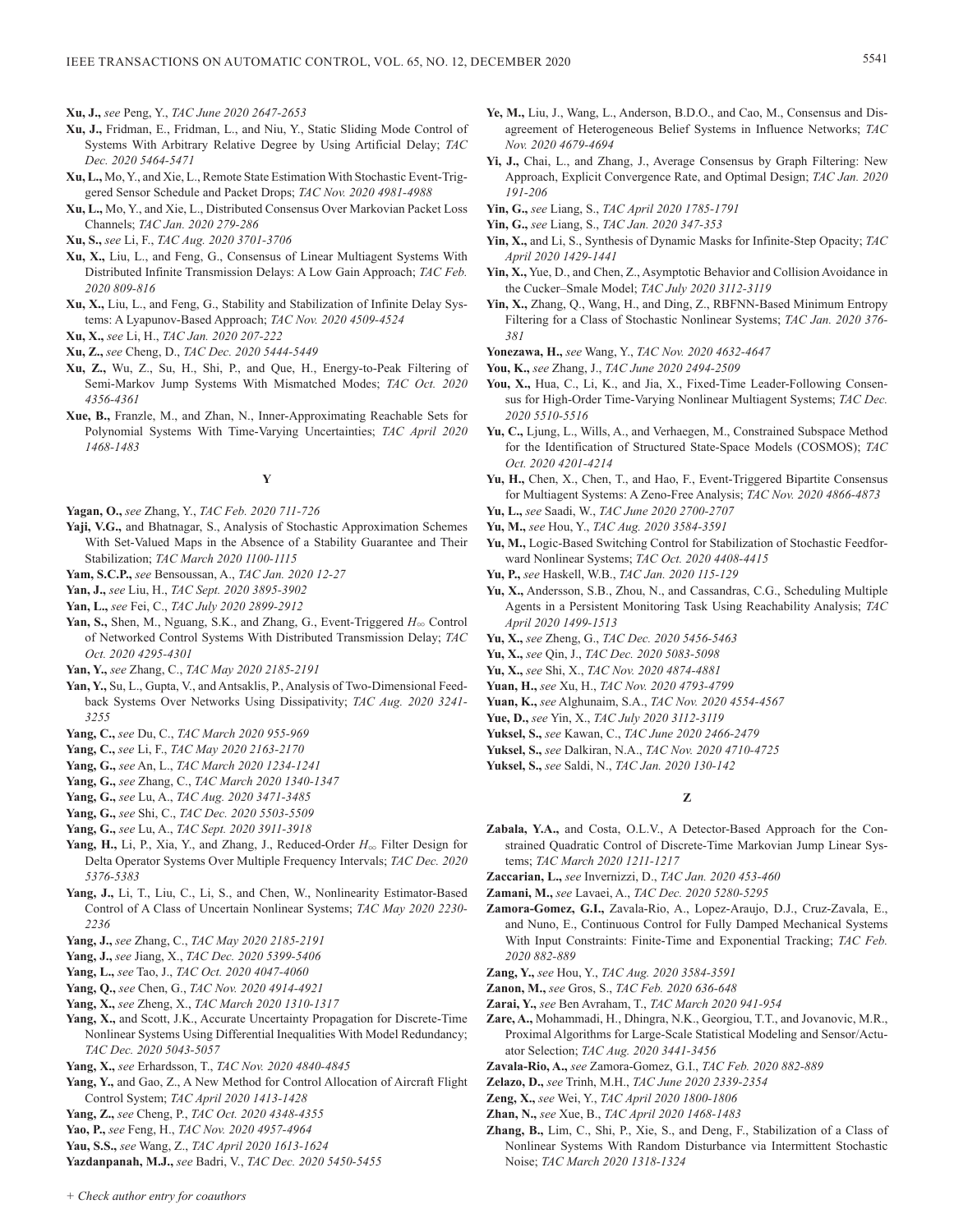**Xu, J.,** *see* Peng, Y., *TAC June 2020 2647-2653*

- **Xu, J.,** Fridman, E., Fridman, L., and Niu, Y., Static Sliding Mode Control of Systems With Arbitrary Relative Degree by Using Artificial Delay; *TAC Dec. 2020 5464-5471*
- **Xu, L.,** Mo, Y., and Xie, L., Remote State Estimation With Stochastic Event-Triggered Sensor Schedule and Packet Drops; *TAC Nov. 2020 4981-4988*
- **Xu, L.,** Mo, Y., and Xie, L., Distributed Consensus Over Markovian Packet Loss Channels; *TAC Jan. 2020 279-286*
- **Xu, S.,** *see* Li, F., *TAC Aug. 2020 3701-3706*
- **Xu, X.,** Liu, L., and Feng, G., Consensus of Linear Multiagent Systems With Distributed Infinite Transmission Delays: A Low Gain Approach; *TAC Feb. 2020 809-816*
- **Xu, X.,** Liu, L., and Feng, G., Stability and Stabilization of Infinite Delay Systems: A Lyapunov-Based Approach; *TAC Nov. 2020 4509-4524*

- **Xu, Z.,** *see* Cheng, D., *TAC Dec. 2020 5444-5449*
- **Xu, Z.,** Wu, Z., Su, H., Shi, P., and Que, H., Energy-to-Peak Filtering of Semi-Markov Jump Systems With Mismatched Modes; *TAC Oct. 2020 4356-4361*
- **Xue, B.,** Franzle, M., and Zhan, N., Inner-Approximating Reachable Sets for Polynomial Systems With Time-Varying Uncertainties; *TAC April 2020 1468-1483*

# **Y**

- **Yagan, O.,** *see* Zhang, Y., *TAC Feb. 2020 711-726*
- **Yaji, V.G.,** and Bhatnagar, S., Analysis of Stochastic Approximation Schemes With Set-Valued Maps in the Absence of a Stability Guarantee and Their Stabilization; *TAC March 2020 1100-1115*
- **Yam, S.C.P.,** *see* Bensoussan, A., *TAC Jan. 2020 12-27*
- **Yan, J.,** *see* Liu, H., *TAC Sept. 2020 3895-3902*
- **Yan, L.,** *see* Fei, C., *TAC July 2020 2899-2912*
- Yan, S., Shen, M., Nguang, S.K., and Zhang, G., Event-Triggered  $H_{\infty}$  Control of Networked Control Systems With Distributed Transmission Delay; *TAC Oct. 2020 4295-4301*
- **Yan, Y.,** *see* Zhang, C., *TAC May 2020 2185-2191*
- **Yan, Y.,** Su, L., Gupta, V., and Antsaklis, P., Analysis of Two-Dimensional Feedback Systems Over Networks Using Dissipativity; *TAC Aug. 2020 3241- 3255*
- **Yang, C.,** *see* Du, C., *TAC March 2020 955-969*
- **Yang, C.,** *see* Li, F., *TAC May 2020 2163-2170*
- **Yang, G.,** *see* An, L., *TAC March 2020 1234-1241*
- **Yang, G.,** *see* Zhang, C., *TAC March 2020 1340-1347*
- **Yang, G.,** *see* Lu, A., *TAC Aug. 2020 3471-3485*
- **Yang, G.,** *see* Shi, C., *TAC Dec. 2020 5503-5509*
- **Yang, G.,** *see* Lu, A., *TAC Sept. 2020 3911-3918*
- Yang, H., Li, P., Xia, Y., and Zhang, J., Reduced-Order  $H_{\infty}$  Filter Design for Delta Operator Systems Over Multiple Frequency Intervals; *TAC Dec. 2020 5376-5383*
- **Yang, J.,** Li, T., Liu, C., Li, S., and Chen, W., Nonlinearity Estimator-Based Control of A Class of Uncertain Nonlinear Systems; *TAC May 2020 2230- 2236*
- **Yang, J.,** *see* Zhang, C., *TAC May 2020 2185-2191*
- **Yang, J.,** *see* Jiang, X., *TAC Dec. 2020 5399-5406*
- **Yang, L.,** *see* Tao, J., *TAC Oct. 2020 4047-4060*
- **Yang, Q.,** *see* Chen, G., *TAC Nov. 2020 4914-4921*
- **Yang, X.,** *see* Zheng, X., *TAC March 2020 1310-1317*
- **Yang, X.,** and Scott, J.K., Accurate Uncertainty Propagation for Discrete-Time Nonlinear Systems Using Differential Inequalities With Model Redundancy; *TAC Dec. 2020 5043-5057*
- **Yang, X.,** *see* Erhardsson, T., *TAC Nov. 2020 4840-4845*
- **Yang, Y.,** and Gao, Z., A New Method for Control Allocation of Aircraft Flight Control System; *TAC April 2020 1413-1428*
- **Yang, Z.,** *see* Cheng, P., *TAC Oct. 2020 4348-4355*
- **Yao, P.,** *see* Feng, H., *TAC Nov. 2020 4957-4964*
- **Yau, S.S.,** *see* Wang, Z., *TAC April 2020 1613-1624*
- **Yazdanpanah, M.J.,** *see* Badri, V., *TAC Dec. 2020 5450-5455*
- **Ye, M.,** Liu, J., Wang, L., Anderson, B.D.O., and Cao, M., Consensus and Disagreement of Heterogeneous Belief Systems in Influence Networks; *TAC Nov. 2020 4679-4694*
- **Yi, J.,** Chai, L., and Zhang, J., Average Consensus by Graph Filtering: New Approach, Explicit Convergence Rate, and Optimal Design; *TAC Jan. 2020 191-206*
- **Yin, G.,** *see* Liang, S., *TAC April 2020 1785-1791*
- **Yin, G.,** *see* Liang, S., *TAC Jan. 2020 347-353*
- **Yin, X.,** and Li, S., Synthesis of Dynamic Masks for Infinite-Step Opacity; *TAC April 2020 1429-1441*
- **Yin, X.,** Yue, D., and Chen, Z., Asymptotic Behavior and Collision Avoidance in the Cucker–Smale Model; *TAC July 2020 3112-3119*
- **Yin, X.,** Zhang, Q., Wang, H., and Ding, Z., RBFNN-Based Minimum Entropy Filtering for a Class of Stochastic Nonlinear Systems; *TAC Jan. 2020 376- 381*
- **Yonezawa, H.,** *see* Wang, Y., *TAC Nov. 2020 4632-4647*
- **You, K.,** *see* Zhang, J., *TAC June 2020 2494-2509*
- **You, X.,** Hua, C., Li, K., and Jia, X., Fixed-Time Leader-Following Consensus for High-Order Time-Varying Nonlinear Multiagent Systems; *TAC Dec. 2020 5510-5516*
- **Yu, C.,** Ljung, L., Wills, A., and Verhaegen, M., Constrained Subspace Method for the Identification of Structured State-Space Models (COSMOS); *TAC Oct. 2020 4201-4214*
- **Yu, H.,** Chen, X., Chen, T., and Hao, F., Event-Triggered Bipartite Consensus for Multiagent Systems: A Zeno-Free Analysis; *TAC Nov. 2020 4866-4873*
- **Yu, L.,** *see* Saadi, W., *TAC June 2020 2700-2707*
- **Yu, M.,** *see* Hou, Y., *TAC Aug. 2020 3584-3591*
- **Yu, M.,** Logic-Based Switching Control for Stabilization of Stochastic Feedforward Nonlinear Systems; *TAC Oct. 2020 4408-4415*
- **Yu, P.,** *see* Haskell, W.B., *TAC Jan. 2020 115-129*
- **Yu, X.,** Andersson, S.B., Zhou, N., and Cassandras, C.G., Scheduling Multiple Agents in a Persistent Monitoring Task Using Reachability Analysis; *TAC April 2020 1499-1513*
- **Yu, X.,** *see* Zheng, G., *TAC Dec. 2020 5456-5463*
- **Yu, X.,** *see* Qin, J., *TAC Dec. 2020 5083-5098*
- **Yu, X.,** *see* Shi, X., *TAC Nov. 2020 4874-4881*
- **Yuan, H.,** *see* Xu, H., *TAC Nov. 2020 4793-4799*
- **Yuan, K.,** *see* Alghunaim, S.A., *TAC Nov. 2020 4554-4567*
- **Yue, D.,** *see* Yin, X., *TAC July 2020 3112-3119*
- **Yuksel, S.,** *see* Kawan, C., *TAC June 2020 2466-2479*
- **Yuksel, S.,** *see* Dalkiran, N.A., *TAC Nov. 2020 4710-4725*
- **Yuksel, S.,** *see* Saldi, N., *TAC Jan. 2020 130-142*

# **Z**

- **Zabala, Y.A.,** and Costa, O.L.V., A Detector-Based Approach for the Constrained Quadratic Control of Discrete-Time Markovian Jump Linear Systems; *TAC March 2020 1211-1217*
- **Zaccarian, L.,** *see* Invernizzi, D., *TAC Jan. 2020 453-460*
- **Zamani, M.,** *see* Lavaei, A., *TAC Dec. 2020 5280-5295*
- **Zamora-Gomez, G.I.,** Zavala-Rio, A., Lopez-Araujo, D.J., Cruz-Zavala, E., and Nuno, E., Continuous Control for Fully Damped Mechanical Systems With Input Constraints: Finite-Time and Exponential Tracking; *TAC Feb. 2020 882-889*
- **Zang, Y.,** *see* Hou, Y., *TAC Aug. 2020 3584-3591*
- **Zanon, M.,** *see* Gros, S., *TAC Feb. 2020 636-648*
- **Zarai, Y.,** *see* Ben Avraham, T., *TAC March 2020 941-954*
- **Zare, A.,** Mohammadi, H., Dhingra, N.K., Georgiou, T.T., and Jovanovic, M.R., Proximal Algorithms for Large-Scale Statistical Modeling and Sensor/Actuator Selection; *TAC Aug. 2020 3441-3456*
- **Zavala-Rio, A.,** *see* Zamora-Gomez, G.I., *TAC Feb. 2020 882-889*
- **Zelazo, D.,** *see* Trinh, M.H., *TAC June 2020 2339-2354*
- **Zeng, X.,** *see* Wei, Y., *TAC April 2020 1800-1806*
- **Zhan, N.,** *see* Xue, B., *TAC April 2020 1468-1483*
- **Zhang, B.,** Lim, C., Shi, P., Xie, S., and Deng, F., Stabilization of a Class of Nonlinear Systems With Random Disturbance via Intermittent Stochastic Noise; *TAC March 2020 1318-1324*

**Xu, X.,** *see* Li, H., *TAC Jan. 2020 207-222*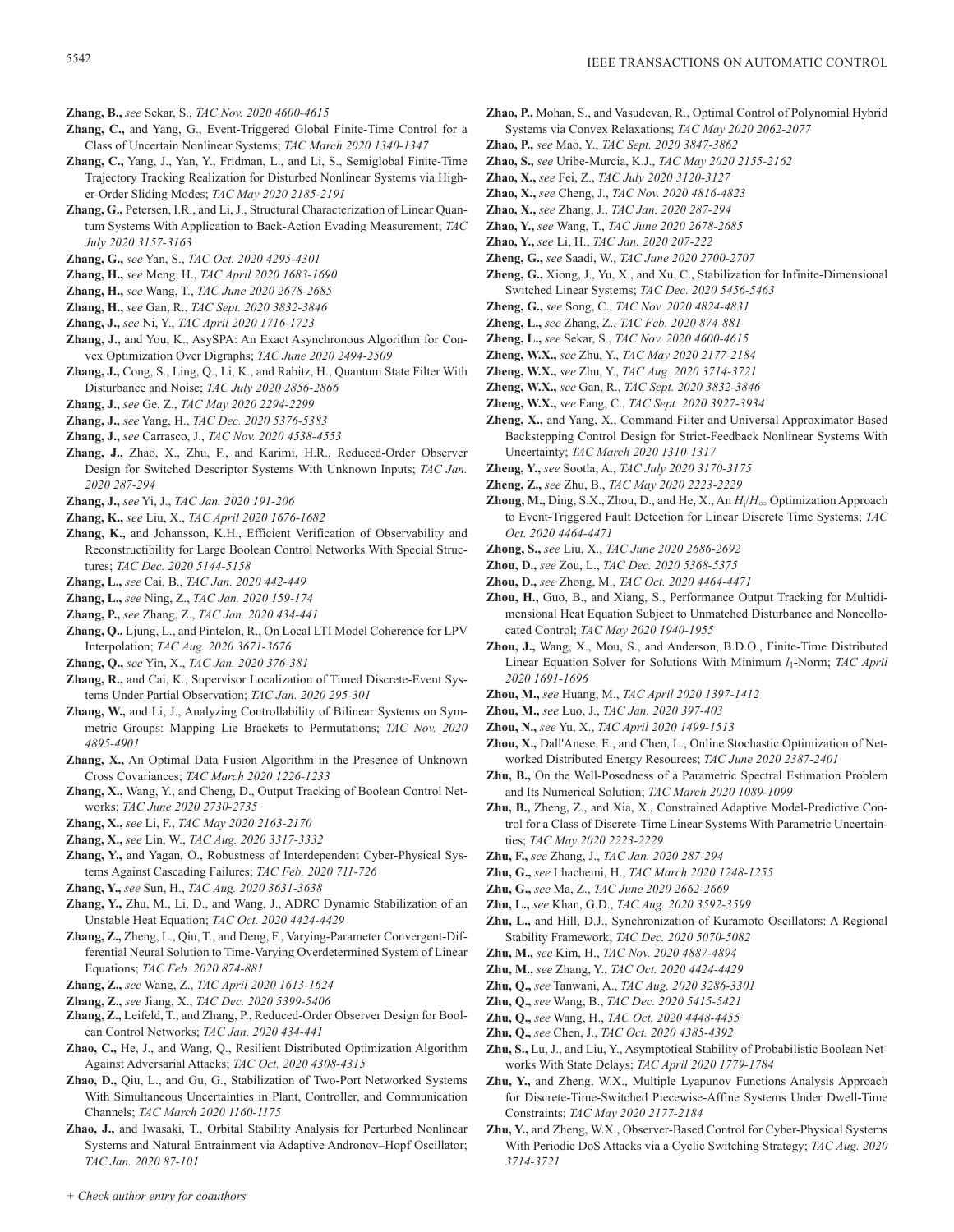- **Zhang, B.,** *see* Sekar, S., *TAC Nov. 2020 4600-4615*
- **Zhang, C.,** and Yang, G., Event-Triggered Global Finite-Time Control for a Class of Uncertain Nonlinear Systems; *TAC March 2020 1340-1347*
- **Zhang, C.,** Yang, J., Yan, Y., Fridman, L., and Li, S., Semiglobal Finite-Time Trajectory Tracking Realization for Disturbed Nonlinear Systems via Higher-Order Sliding Modes; *TAC May 2020 2185-2191*
- **Zhang, G.,** Petersen, I.R., and Li, J., Structural Characterization of Linear Quantum Systems With Application to Back-Action Evading Measurement; *TAC July 2020 3157-3163*
- **Zhang, G.,** *see* Yan, S., *TAC Oct. 2020 4295-4301*
- **Zhang, H.,** *see* Meng, H., *TAC April 2020 1683-1690*
- **Zhang, H.,** *see* Wang, T., *TAC June 2020 2678-2685*
- **Zhang, H.,** *see* Gan, R., *TAC Sept. 2020 3832-3846*
- **Zhang, J.,** *see* Ni, Y., *TAC April 2020 1716-1723*
- **Zhang, J.,** and You, K., AsySPA: An Exact Asynchronous Algorithm for Convex Optimization Over Digraphs; *TAC June 2020 2494-2509*
- **Zhang, J.,** Cong, S., Ling, Q., Li, K., and Rabitz, H., Quantum State Filter With Disturbance and Noise; *TAC July 2020 2856-2866*
- **Zhang, J.,** *see* Ge, Z., *TAC May 2020 2294-2299*
- **Zhang, J.,** *see* Yang, H., *TAC Dec. 2020 5376-5383*
- **Zhang, J.,** *see* Carrasco, J., *TAC Nov. 2020 4538-4553*
- **Zhang, J.,** Zhao, X., Zhu, F., and Karimi, H.R., Reduced-Order Observer Design for Switched Descriptor Systems With Unknown Inputs; *TAC Jan. 2020 287-294*
- **Zhang, J.,** *see* Yi, J., *TAC Jan. 2020 191-206*
- **Zhang, K.,** *see* Liu, X., *TAC April 2020 1676-1682*
- **Zhang, K.,** and Johansson, K.H., Efficient Verification of Observability and Reconstructibility for Large Boolean Control Networks With Special Structures; *TAC Dec. 2020 5144-5158*
- **Zhang, L.,** *see* Cai, B., *TAC Jan. 2020 442-449*
- **Zhang, L.,** *see* Ning, Z., *TAC Jan. 2020 159-174*
- **Zhang, P.,** *see* Zhang, Z., *TAC Jan. 2020 434-441*
- **Zhang, Q.,** Ljung, L., and Pintelon, R., On Local LTI Model Coherence for LPV Interpolation; *TAC Aug. 2020 3671-3676*
- **Zhang, Q.,** *see* Yin, X., *TAC Jan. 2020 376-381*
- **Zhang, R.,** and Cai, K., Supervisor Localization of Timed Discrete-Event Systems Under Partial Observation; *TAC Jan. 2020 295-301*
- **Zhang, W.,** and Li, J., Analyzing Controllability of Bilinear Systems on Symmetric Groups: Mapping Lie Brackets to Permutations; *TAC Nov. 2020 4895-4901*
- **Zhang, X.,** An Optimal Data Fusion Algorithm in the Presence of Unknown Cross Covariances; *TAC March 2020 1226-1233*
- **Zhang, X.,** Wang, Y., and Cheng, D., Output Tracking of Boolean Control Networks; *TAC June 2020 2730-2735*
- **Zhang, X.,** *see* Li, F., *TAC May 2020 2163-2170*
- **Zhang, X.,** *see* Lin, W., *TAC Aug. 2020 3317-3332*
- **Zhang, Y.,** and Yagan, O., Robustness of Interdependent Cyber-Physical Systems Against Cascading Failures; *TAC Feb. 2020 711-726*
- **Zhang, Y.,** *see* Sun, H., *TAC Aug. 2020 3631-3638*
- **Zhang, Y.,** Zhu, M., Li, D., and Wang, J., ADRC Dynamic Stabilization of an Unstable Heat Equation; *TAC Oct. 2020 4424-4429*
- **Zhang, Z.,** Zheng, L., Qiu, T., and Deng, F., Varying-Parameter Convergent-Differential Neural Solution to Time-Varying Overdetermined System of Linear Equations; *TAC Feb. 2020 874-881*
- **Zhang, Z.,** *see* Wang, Z., *TAC April 2020 1613-1624*
- **Zhang, Z.,** *see* Jiang, X., *TAC Dec. 2020 5399-5406*
- **Zhang, Z.,** Leifeld, T., and Zhang, P., Reduced-Order Observer Design for Boolean Control Networks; *TAC Jan. 2020 434-441*
- **Zhao, C.,** He, J., and Wang, Q., Resilient Distributed Optimization Algorithm Against Adversarial Attacks; *TAC Oct. 2020 4308-4315*
- **Zhao, D.,** Qiu, L., and Gu, G., Stabilization of Two-Port Networked Systems With Simultaneous Uncertainties in Plant, Controller, and Communication Channels; *TAC March 2020 1160-1175*
- **Zhao, J.,** and Iwasaki, T., Orbital Stability Analysis for Perturbed Nonlinear Systems and Natural Entrainment via Adaptive Andronov–Hopf Oscillator; *TAC Jan. 2020 87-101*
- **Zhao, P.,** Mohan, S., and Vasudevan, R., Optimal Control of Polynomial Hybrid Systems via Convex Relaxations; *TAC May 2020 2062-2077*
- **Zhao, P.,** *see* Mao, Y., *TAC Sept. 2020 3847-3862*
- **Zhao, S.,** *see* Uribe-Murcia, K.J., *TAC May 2020 2155-2162*
- **Zhao, X.,** *see* Fei, Z., *TAC July 2020 3120-3127*
- **Zhao, X.,** *see* Cheng, J., *TAC Nov. 2020 4816-4823*
- **Zhao, X.,** *see* Zhang, J., *TAC Jan. 2020 287-294*
- **Zhao, Y.,** *see* Wang, T., *TAC June 2020 2678-2685*
- **Zhao, Y.,** *see* Li, H., *TAC Jan. 2020 207-222* **Zheng, G.,** *see* Saadi, W., *TAC June 2020 2700-2707*
- **Zheng, G.,** Xiong, J., Yu, X., and Xu, C., Stabilization for Infinite-Dimensional Switched Linear Systems; *TAC Dec. 2020 5456-5463*
- **Zheng, G.,** *see* Song, C., *TAC Nov. 2020 4824-4831*
- **Zheng, L.,** *see* Zhang, Z., *TAC Feb. 2020 874-881*
- **Zheng, L.,** *see* Sekar, S., *TAC Nov. 2020 4600-4615*
- **Zheng, W.X.,** *see* Zhu, Y., *TAC May 2020 2177-2184*
- **Zheng, W.X.,** *see* Zhu, Y., *TAC Aug. 2020 3714-3721*
- **Zheng, W.X.,** *see* Gan, R., *TAC Sept. 2020 3832-3846*
- **Zheng, W.X.,** *see* Fang, C., *TAC Sept. 2020 3927-3934*
- **Zheng, X.,** and Yang, X., Command Filter and Universal Approximator Based Backstepping Control Design for Strict-Feedback Nonlinear Systems With Uncertainty; *TAC March 2020 1310-1317*
- **Zheng, Y.,** *see* Sootla, A., *TAC July 2020 3170-3175*
- **Zheng, Z.,** *see* Zhu, B., *TAC May 2020 2223-2229*
- **Zhong, M.,** Ding, S.X., Zhou, D., and He, X., An  $H_i/H_{\infty}$  Optimization Approach to Event-Triggered Fault Detection for Linear Discrete Time Systems; *TAC Oct. 2020 4464-4471*
- **Zhong, S.,** *see* Liu, X., *TAC June 2020 2686-2692*
- **Zhou, D.,** *see* Zou, L., *TAC Dec. 2020 5368-5375*
- **Zhou, D.,** *see* Zhong, M., *TAC Oct. 2020 4464-4471*
- **Zhou, H.,** Guo, B., and Xiang, S., Performance Output Tracking for Multidimensional Heat Equation Subject to Unmatched Disturbance and Noncollocated Control; *TAC May 2020 1940-1955*
- **Zhou, J.,** Wang, X., Mou, S., and Anderson, B.D.O., Finite-Time Distributed Linear Equation Solver for Solutions With Minimum *l*1-Norm; *TAC April 2020 1691-1696*
- **Zhou, M.,** *see* Huang, M., *TAC April 2020 1397-1412*
- **Zhou, M.,** *see* Luo, J., *TAC Jan. 2020 397-403*
- **Zhou, N.,** *see* Yu, X., *TAC April 2020 1499-1513*
- **Zhou, X.,** Dall'Anese, E., and Chen, L., Online Stochastic Optimization of Networked Distributed Energy Resources; *TAC June 2020 2387-2401*
- **Zhu, B.,** On the Well-Posedness of a Parametric Spectral Estimation Problem and Its Numerical Solution; *TAC March 2020 1089-1099*
- **Zhu, B.,** Zheng, Z., and Xia, X., Constrained Adaptive Model-Predictive Control for a Class of Discrete-Time Linear Systems With Parametric Uncertainties; *TAC May 2020 2223-2229*
- **Zhu, F.,** *see* Zhang, J., *TAC Jan. 2020 287-294*
- **Zhu, G.,** *see* Lhachemi, H., *TAC March 2020 1248-1255*
- **Zhu, G.,** *see* Ma, Z., *TAC June 2020 2662-2669*
- **Zhu, L.,** *see* Khan, G.D., *TAC Aug. 2020 3592-3599*
- **Zhu, L.,** and Hill, D.J., Synchronization of Kuramoto Oscillators: A Regional Stability Framework; *TAC Dec. 2020 5070-5082*
- **Zhu, M.,** *see* Kim, H., *TAC Nov. 2020 4887-4894*
- **Zhu, M.,** *see* Zhang, Y., *TAC Oct. 2020 4424-4429*
- **Zhu, Q.,** *see* Tanwani, A., *TAC Aug. 2020 3286-3301*
- **Zhu, Q.,** *see* Wang, B., *TAC Dec. 2020 5415-5421*
- **Zhu, Q.,** *see* Wang, H., *TAC Oct. 2020 4448-4455*
- **Zhu, Q.,** *see* Chen, J., *TAC Oct. 2020 4385-4392*
- **Zhu, S.,** Lu, J., and Liu, Y., Asymptotical Stability of Probabilistic Boolean Networks With State Delays; *TAC April 2020 1779-1784*
- **Zhu, Y.,** and Zheng, W.X., Multiple Lyapunov Functions Analysis Approach for Discrete-Time-Switched Piecewise-Affine Systems Under Dwell-Time Constraints; *TAC May 2020 2177-2184*
- **Zhu, Y.,** and Zheng, W.X., Observer-Based Control for Cyber-Physical Systems With Periodic DoS Attacks via a Cyclic Switching Strategy; *TAC Aug. 2020 3714-3721*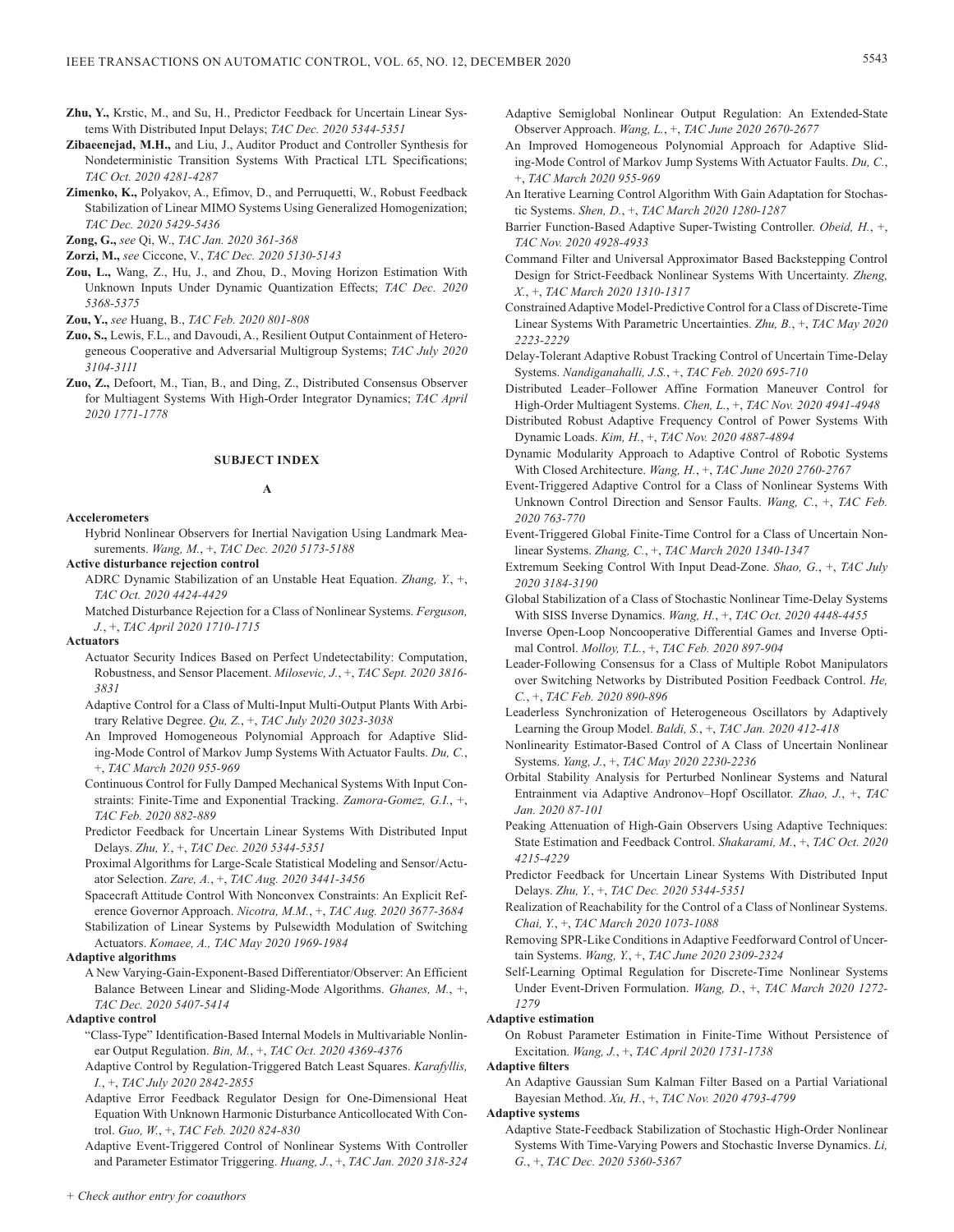- **Zhu, Y.,** Krstic, M., and Su, H., Predictor Feedback for Uncertain Linear Systems With Distributed Input Delays; *TAC Dec. 2020 5344-5351*
- **Zibaeenejad, M.H.,** and Liu, J., Auditor Product and Controller Synthesis for Nondeterministic Transition Systems With Practical LTL Specifications; *TAC Oct. 2020 4281-4287*
- **Zimenko, K.,** Polyakov, A., Efimov, D., and Perruquetti, W., Robust Feedback Stabilization of Linear MIMO Systems Using Generalized Homogenization; *TAC Dec. 2020 5429-5436*

**Zong, G.,** *see* Qi, W., *TAC Jan. 2020 361-368*

- **Zorzi, M.,** *see* Ciccone, V., *TAC Dec. 2020 5130-5143*
- **Zou, L.,** Wang, Z., Hu, J., and Zhou, D., Moving Horizon Estimation With Unknown Inputs Under Dynamic Quantization Effects; *TAC Dec. 2020 5368-5375*

**Zou, Y.,** *see* Huang, B., *TAC Feb. 2020 801-808*

- **Zuo, S.,** Lewis, F.L., and Davoudi, A., Resilient Output Containment of Heterogeneous Cooperative and Adversarial Multigroup Systems; *TAC July 2020 3104-3111*
- **Zuo, Z.,** Defoort, M., Tian, B., and Ding, Z., Distributed Consensus Observer for Multiagent Systems With High-Order Integrator Dynamics; *TAC April 2020 1771-1778*

# **SUBJECT INDEX**

### **A**

# **Accelerometers**

- Hybrid Nonlinear Observers for Inertial Navigation Using Landmark Measurements. *Wang, M.*, +, *TAC Dec. 2020 5173-5188*
- **Active disturbance rejection control**
	- ADRC Dynamic Stabilization of an Unstable Heat Equation. *Zhang, Y.*, +, *TAC Oct. 2020 4424-4429*

Matched Disturbance Rejection for a Class of Nonlinear Systems. *Ferguson, J.*, +, *TAC April 2020 1710-1715*

### **Actuators**

- Actuator Security Indices Based on Perfect Undetectability: Computation, Robustness, and Sensor Placement. *Milosevic, J.*, +, *TAC Sept. 2020 3816- 3831*
- Adaptive Control for a Class of Multi-Input Multi-Output Plants With Arbitrary Relative Degree. *Qu, Z.*, +, *TAC July 2020 3023-3038*
- An Improved Homogeneous Polynomial Approach for Adaptive Sliding-Mode Control of Markov Jump Systems With Actuator Faults. *Du, C.*, +, *TAC March 2020 955-969*
- Continuous Control for Fully Damped Mechanical Systems With Input Constraints: Finite-Time and Exponential Tracking. *Zamora-Gomez, G.I.*, +, *TAC Feb. 2020 882-889*
- Predictor Feedback for Uncertain Linear Systems With Distributed Input Delays. *Zhu, Y.*, +, *TAC Dec. 2020 5344-5351*
- Proximal Algorithms for Large-Scale Statistical Modeling and Sensor/Actuator Selection. *Zare, A.*, +, *TAC Aug. 2020 3441-3456*
- Spacecraft Attitude Control With Nonconvex Constraints: An Explicit Reference Governor Approach. *Nicotra, M.M.*, +, *TAC Aug. 2020 3677-3684* Stabilization of Linear Systems by Pulsewidth Modulation of Switching Actuators. *Komaee, A., TAC May 2020 1969-1984*

### **Adaptive algorithms**

A New Varying-Gain-Exponent-Based Differentiator/Observer: An Efficient Balance Between Linear and Sliding-Mode Algorithms. *Ghanes, M.*, +, *TAC Dec. 2020 5407-5414*

# **Adaptive control**

- "Class-Type" Identification-Based Internal Models in Multivariable Nonlinear Output Regulation. *Bin, M.*, +, *TAC Oct. 2020 4369-4376*
- Adaptive Control by Regulation-Triggered Batch Least Squares. *Karafyllis, I.*, +, *TAC July 2020 2842-2855*
- Adaptive Error Feedback Regulator Design for One-Dimensional Heat Equation With Unknown Harmonic Disturbance Anticollocated With Control. *Guo, W.*, +, *TAC Feb. 2020 824-830*
- Adaptive Event-Triggered Control of Nonlinear Systems With Controller and Parameter Estimator Triggering. *Huang, J.*, +, *TAC Jan. 2020 318-324*
- *+ Check author entry for coauthors*
- Adaptive Semiglobal Nonlinear Output Regulation: An Extended-State Observer Approach. *Wang, L.*, +, *TAC June 2020 2670-2677*
- An Improved Homogeneous Polynomial Approach for Adaptive Sliding-Mode Control of Markov Jump Systems With Actuator Faults. *Du, C.*, +, *TAC March 2020 955-969*
- An Iterative Learning Control Algorithm With Gain Adaptation for Stochastic Systems. *Shen, D.*, +, *TAC March 2020 1280-1287*
- Barrier Function-Based Adaptive Super-Twisting Controller. *Obeid, H.*, +, *TAC Nov. 2020 4928-4933*
- Command Filter and Universal Approximator Based Backstepping Control Design for Strict-Feedback Nonlinear Systems With Uncertainty. *Zheng, X.*, +, *TAC March 2020 1310-1317*
- Constrained Adaptive Model-Predictive Control for a Class of Discrete-Time Linear Systems With Parametric Uncertainties. *Zhu, B.*, +, *TAC May 2020 2223-2229*
- Delay-Tolerant Adaptive Robust Tracking Control of Uncertain Time-Delay Systems. *Nandiganahalli, J.S.*, +, *TAC Feb. 2020 695-710*
- Distributed Leader–Follower Affine Formation Maneuver Control for High-Order Multiagent Systems. *Chen, L.*, +, *TAC Nov. 2020 4941-4948*
- Distributed Robust Adaptive Frequency Control of Power Systems With Dynamic Loads. *Kim, H.*, +, *TAC Nov. 2020 4887-4894*
- Dynamic Modularity Approach to Adaptive Control of Robotic Systems With Closed Architecture. *Wang, H.*, +, *TAC June 2020 2760-2767*
- Event-Triggered Adaptive Control for a Class of Nonlinear Systems With Unknown Control Direction and Sensor Faults. *Wang, C.*, +, *TAC Feb. 2020 763-770*
- Event-Triggered Global Finite-Time Control for a Class of Uncertain Nonlinear Systems. *Zhang, C.*, +, *TAC March 2020 1340-1347*
- Extremum Seeking Control With Input Dead-Zone. *Shao, G.*, +, *TAC July 2020 3184-3190*
- Global Stabilization of a Class of Stochastic Nonlinear Time-Delay Systems With SISS Inverse Dynamics. *Wang, H.*, +, *TAC Oct. 2020 4448-4455*
- Inverse Open-Loop Noncooperative Differential Games and Inverse Optimal Control. *Molloy, T.L.*, +, *TAC Feb. 2020 897-904*
- Leader-Following Consensus for a Class of Multiple Robot Manipulators over Switching Networks by Distributed Position Feedback Control. *He, C.*, +, *TAC Feb. 2020 890-896*
- Leaderless Synchronization of Heterogeneous Oscillators by Adaptively Learning the Group Model. *Baldi, S.*, +, *TAC Jan. 2020 412-418*
- Nonlinearity Estimator-Based Control of A Class of Uncertain Nonlinear Systems. *Yang, J.*, +, *TAC May 2020 2230-2236*
- Orbital Stability Analysis for Perturbed Nonlinear Systems and Natural Entrainment via Adaptive Andronov–Hopf Oscillator. *Zhao, J.*, +, *TAC Jan. 2020 87-101*
- Peaking Attenuation of High-Gain Observers Using Adaptive Techniques: State Estimation and Feedback Control. *Shakarami, M.*, +, *TAC Oct. 2020 4215-4229*
- Predictor Feedback for Uncertain Linear Systems With Distributed Input Delays. *Zhu, Y.*, +, *TAC Dec. 2020 5344-5351*
- Realization of Reachability for the Control of a Class of Nonlinear Systems. *Chai, Y.*, +, *TAC March 2020 1073-1088*
- Removing SPR-Like Conditions in Adaptive Feedforward Control of Uncertain Systems. *Wang, Y.*, +, *TAC June 2020 2309-2324*
- Self-Learning Optimal Regulation for Discrete-Time Nonlinear Systems Under Event-Driven Formulation. *Wang, D.*, +, *TAC March 2020 1272- 1279*

### **Adaptive estimation**

On Robust Parameter Estimation in Finite-Time Without Persistence of Excitation. *Wang, J.*, +, *TAC April 2020 1731-1738*

# **Adaptive filters**

An Adaptive Gaussian Sum Kalman Filter Based on a Partial Variational Bayesian Method. *Xu, H.*, +, *TAC Nov. 2020 4793-4799*

# **Adaptive systems**

Adaptive State-Feedback Stabilization of Stochastic High-Order Nonlinear Systems With Time-Varying Powers and Stochastic Inverse Dynamics. *Li, G.*, +, *TAC Dec. 2020 5360-5367*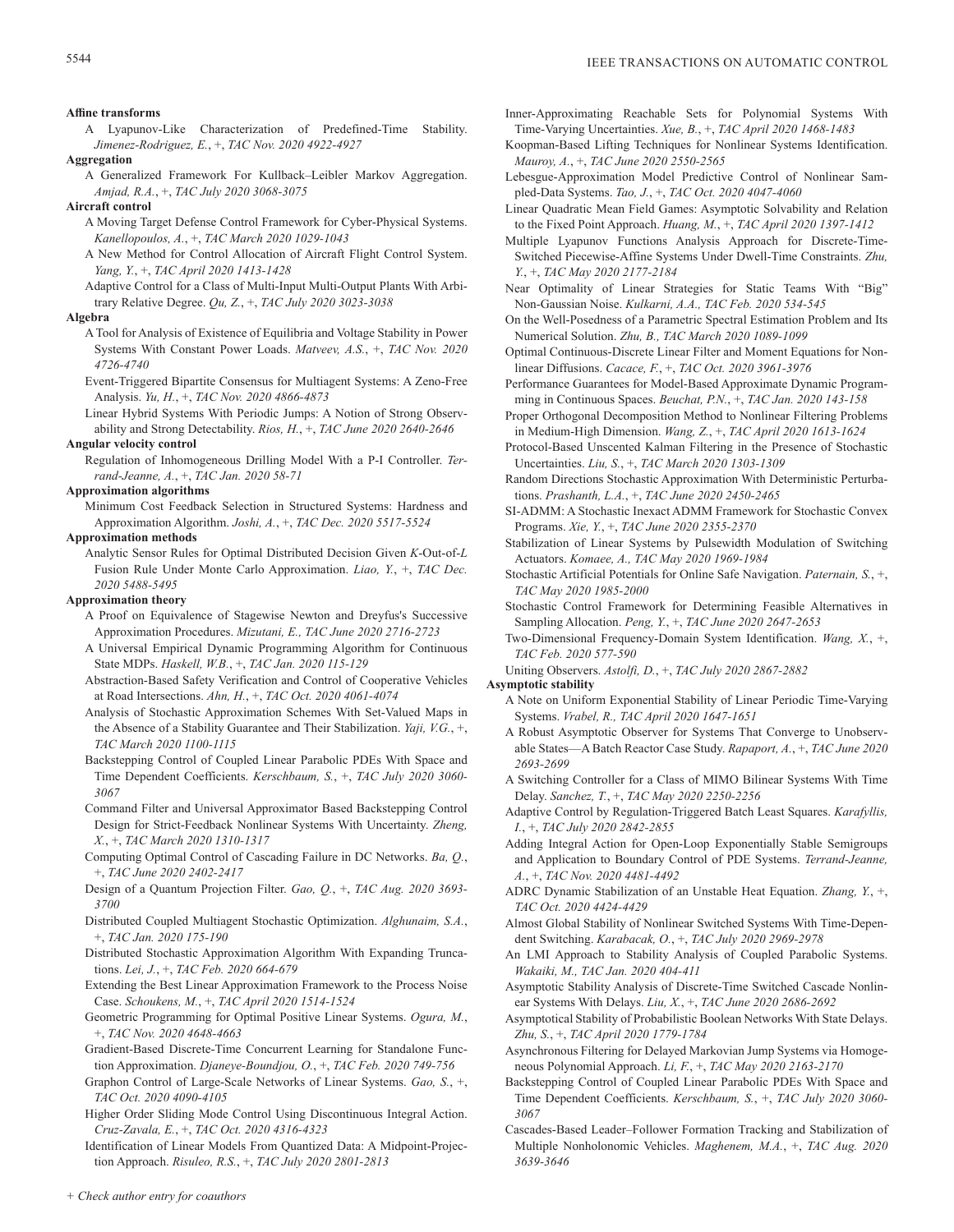# **Affine transforms**

A Lyapunov-Like Characterization of Predefined-Time Stability. *Jimenez-Rodriguez, E.*, +, *TAC Nov. 2020 4922-4927*

### **Aggregation**

A Generalized Framework For Kullback–Leibler Markov Aggregation. *Amjad, R.A.*, +, *TAC July 2020 3068-3075*

# **Aircraft control**

- A Moving Target Defense Control Framework for Cyber-Physical Systems. *Kanellopoulos, A.*, +, *TAC March 2020 1029-1043*
- A New Method for Control Allocation of Aircraft Flight Control System. *Yang, Y.*, +, *TAC April 2020 1413-1428*
- Adaptive Control for a Class of Multi-Input Multi-Output Plants With Arbitrary Relative Degree. *Qu, Z.*, +, *TAC July 2020 3023-3038*

# **Algebra**

- A Tool for Analysis of Existence of Equilibria and Voltage Stability in Power Systems With Constant Power Loads. *Matveev, A.S.*, +, *TAC Nov. 2020 4726-4740*
- Event-Triggered Bipartite Consensus for Multiagent Systems: A Zeno-Free Analysis. *Yu, H.*, +, *TAC Nov. 2020 4866-4873*
- Linear Hybrid Systems With Periodic Jumps: A Notion of Strong Observability and Strong Detectability. *Rios, H.*, +, *TAC June 2020 2640-2646*

# **Angular velocity control**

Regulation of Inhomogeneous Drilling Model With a P-I Controller. *Terrand-Jeanne, A.*, +, *TAC Jan. 2020 58-71*

# **Approximation algorithms**

Minimum Cost Feedback Selection in Structured Systems: Hardness and Approximation Algorithm. *Joshi, A.*, +, *TAC Dec. 2020 5517-5524*

# **Approximation methods**

Analytic Sensor Rules for Optimal Distributed Decision Given *K*-Out-of-*L* Fusion Rule Under Monte Carlo Approximation. *Liao, Y.*, +, *TAC Dec. 2020 5488-5495*

# **Approximation theory**

- A Proof on Equivalence of Stagewise Newton and Dreyfus's Successive Approximation Procedures. *Mizutani, E., TAC June 2020 2716-2723*
- A Universal Empirical Dynamic Programming Algorithm for Continuous State MDPs. *Haskell, W.B.*, +, *TAC Jan. 2020 115-129*
- Abstraction-Based Safety Verification and Control of Cooperative Vehicles at Road Intersections. *Ahn, H.*, +, *TAC Oct. 2020 4061-4074*
- Analysis of Stochastic Approximation Schemes With Set-Valued Maps in the Absence of a Stability Guarantee and Their Stabilization. *Yaji, V.G.*, +, *TAC March 2020 1100-1115*
- Backstepping Control of Coupled Linear Parabolic PDEs With Space and Time Dependent Coefficients. *Kerschbaum, S.*, +, *TAC July 2020 3060- 3067*
- Command Filter and Universal Approximator Based Backstepping Control Design for Strict-Feedback Nonlinear Systems With Uncertainty. *Zheng, X.*, +, *TAC March 2020 1310-1317*
- Computing Optimal Control of Cascading Failure in DC Networks. *Ba, Q.*, +, *TAC June 2020 2402-2417*
- Design of a Quantum Projection Filter. *Gao, Q.*, +, *TAC Aug. 2020 3693- 3700*
- Distributed Coupled Multiagent Stochastic Optimization. *Alghunaim, S.A.*, +, *TAC Jan. 2020 175-190*
- Distributed Stochastic Approximation Algorithm With Expanding Truncations. *Lei, J.*, +, *TAC Feb. 2020 664-679*
- Extending the Best Linear Approximation Framework to the Process Noise Case. *Schoukens, M.*, +, *TAC April 2020 1514-1524*
- Geometric Programming for Optimal Positive Linear Systems. *Ogura, M.*, +, *TAC Nov. 2020 4648-4663*
- Gradient-Based Discrete-Time Concurrent Learning for Standalone Function Approximation. *Djaneye-Boundjou, O.*, +, *TAC Feb. 2020 749-756*
- Graphon Control of Large-Scale Networks of Linear Systems. *Gao, S.*, +, *TAC Oct. 2020 4090-4105*
- Higher Order Sliding Mode Control Using Discontinuous Integral Action. *Cruz-Zavala, E.*, +, *TAC Oct. 2020 4316-4323*
- Identification of Linear Models From Quantized Data: A Midpoint-Projection Approach. *Risuleo, R.S.*, +, *TAC July 2020 2801-2813*
- Inner-Approximating Reachable Sets for Polynomial Systems With Time-Varying Uncertainties. *Xue, B.*, +, *TAC April 2020 1468-1483*
- Koopman-Based Lifting Techniques for Nonlinear Systems Identification. *Mauroy, A.*, +, *TAC June 2020 2550-2565*
- Lebesgue-Approximation Model Predictive Control of Nonlinear Sampled-Data Systems. *Tao, J.*, +, *TAC Oct. 2020 4047-4060*
- Linear Quadratic Mean Field Games: Asymptotic Solvability and Relation to the Fixed Point Approach. *Huang, M.*, +, *TAC April 2020 1397-1412*
- Multiple Lyapunov Functions Analysis Approach for Discrete-Time-Switched Piecewise-Affine Systems Under Dwell-Time Constraints. *Zhu, Y.*, +, *TAC May 2020 2177-2184*
- Near Optimality of Linear Strategies for Static Teams With "Big" Non-Gaussian Noise. *Kulkarni, A.A., TAC Feb. 2020 534-545*
- On the Well-Posedness of a Parametric Spectral Estimation Problem and Its Numerical Solution. *Zhu, B., TAC March 2020 1089-1099*
- Optimal Continuous-Discrete Linear Filter and Moment Equations for Nonlinear Diffusions. *Cacace, F.*, +, *TAC Oct. 2020 3961-3976*
- Performance Guarantees for Model-Based Approximate Dynamic Programming in Continuous Spaces. *Beuchat, P.N.*, +, *TAC Jan. 2020 143-158*
- Proper Orthogonal Decomposition Method to Nonlinear Filtering Problems in Medium-High Dimension. *Wang, Z.*, +, *TAC April 2020 1613-1624*
- Protocol-Based Unscented Kalman Filtering in the Presence of Stochastic Uncertainties. *Liu, S.*, +, *TAC March 2020 1303-1309*
- Random Directions Stochastic Approximation With Deterministic Perturbations. *Prashanth, L.A.*, +, *TAC June 2020 2450-2465*
- SI-ADMM: A Stochastic Inexact ADMM Framework for Stochastic Convex Programs. *Xie, Y.*, +, *TAC June 2020 2355-2370*
- Stabilization of Linear Systems by Pulsewidth Modulation of Switching Actuators. *Komaee, A., TAC May 2020 1969-1984*
- Stochastic Artificial Potentials for Online Safe Navigation. *Paternain, S.*, +, *TAC May 2020 1985-2000*
- Stochastic Control Framework for Determining Feasible Alternatives in Sampling Allocation. *Peng, Y.*, +, *TAC June 2020 2647-2653*
- Two-Dimensional Frequency-Domain System Identification. *Wang, X.*, +, *TAC Feb. 2020 577-590*
- Uniting Observers. *Astolfi, D.*, +, *TAC July 2020 2867-2882*

# **Asymptotic stability**

- A Note on Uniform Exponential Stability of Linear Periodic Time-Varying Systems. *Vrabel, R., TAC April 2020 1647-1651*
- A Robust Asymptotic Observer for Systems That Converge to Unobservable States—A Batch Reactor Case Study. *Rapaport, A.*, +, *TAC June 2020 2693-2699*
- A Switching Controller for a Class of MIMO Bilinear Systems With Time Delay. *Sanchez, T.*, +, *TAC May 2020 2250-2256*
- Adaptive Control by Regulation-Triggered Batch Least Squares. *Karafyllis, I.*, +, *TAC July 2020 2842-2855*
- Adding Integral Action for Open-Loop Exponentially Stable Semigroups and Application to Boundary Control of PDE Systems. *Terrand-Jeanne, A.*, +, *TAC Nov. 2020 4481-4492*
- ADRC Dynamic Stabilization of an Unstable Heat Equation. *Zhang, Y.*, +, *TAC Oct. 2020 4424-4429*
- Almost Global Stability of Nonlinear Switched Systems With Time-Dependent Switching. *Karabacak, O.*, +, *TAC July 2020 2969-2978*
- An LMI Approach to Stability Analysis of Coupled Parabolic Systems. *Wakaiki, M., TAC Jan. 2020 404-411*
- Asymptotic Stability Analysis of Discrete-Time Switched Cascade Nonlinear Systems With Delays. *Liu, X.*, +, *TAC June 2020 2686-2692*
- Asymptotical Stability of Probabilistic Boolean Networks With State Delays. *Zhu, S.*, +, *TAC April 2020 1779-1784*
- Asynchronous Filtering for Delayed Markovian Jump Systems via Homogeneous Polynomial Approach. *Li, F.*, +, *TAC May 2020 2163-2170*
- Backstepping Control of Coupled Linear Parabolic PDEs With Space and Time Dependent Coefficients. *Kerschbaum, S.*, +, *TAC July 2020 3060- 3067*
- Cascades-Based Leader–Follower Formation Tracking and Stabilization of Multiple Nonholonomic Vehicles. *Maghenem, M.A.*, +, *TAC Aug. 2020 3639-3646*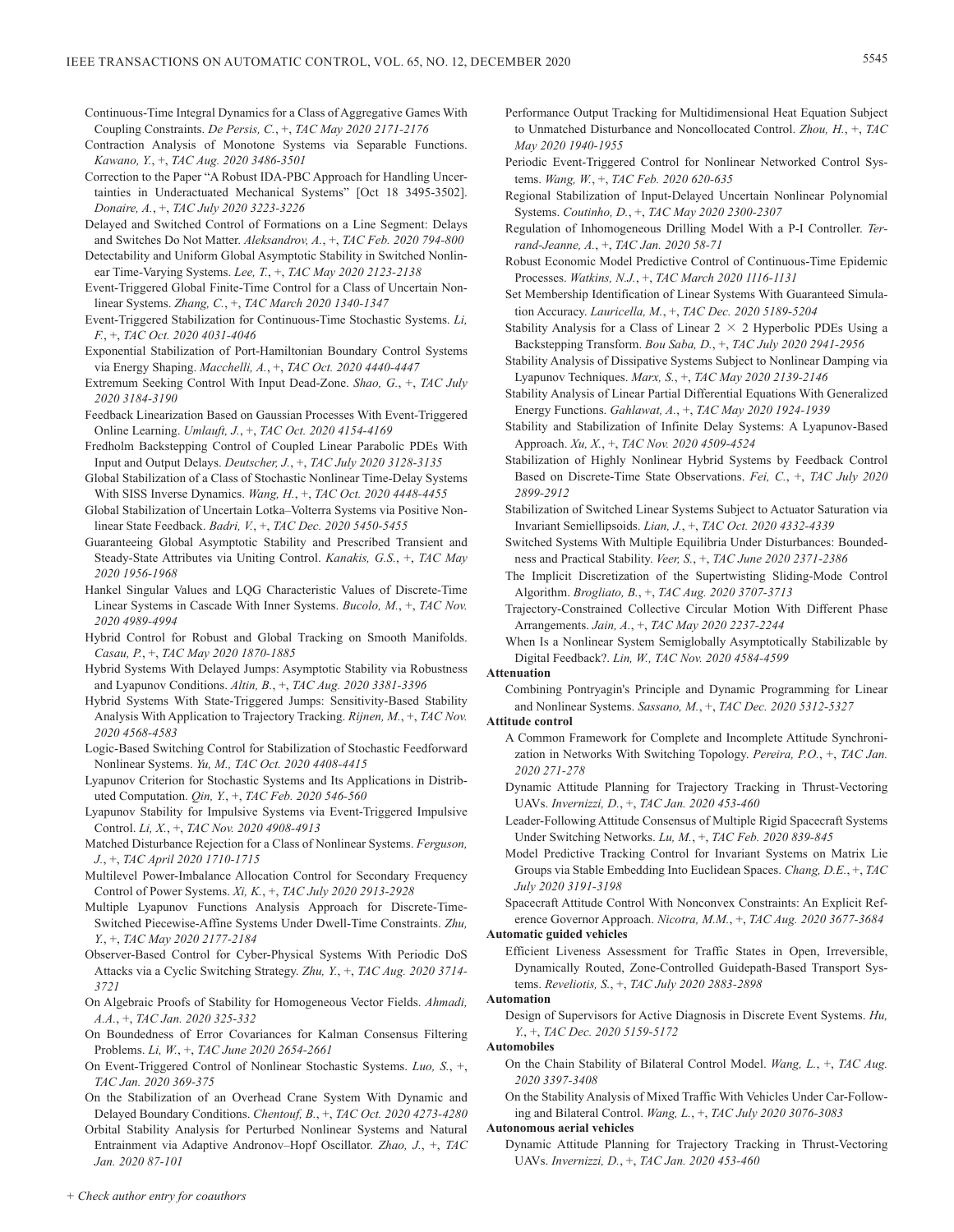- Continuous-Time Integral Dynamics for a Class of Aggregative Games With Coupling Constraints. *De Persis, C.*, +, *TAC May 2020 2171-2176*
- Contraction Analysis of Monotone Systems via Separable Functions. *Kawano, Y.*, +, *TAC Aug. 2020 3486-3501*
- Correction to the Paper "A Robust IDA-PBC Approach for Handling Uncertainties in Underactuated Mechanical Systems" [Oct 18 3495-3502]. *Donaire, A.*, +, *TAC July 2020 3223-3226*
- Delayed and Switched Control of Formations on a Line Segment: Delays and Switches Do Not Matter. *Aleksandrov, A.*, +, *TAC Feb. 2020 794-800*
- Detectability and Uniform Global Asymptotic Stability in Switched Nonlinear Time-Varying Systems. *Lee, T.*, +, *TAC May 2020 2123-2138*
- Event-Triggered Global Finite-Time Control for a Class of Uncertain Nonlinear Systems. *Zhang, C.*, +, *TAC March 2020 1340-1347*
- Event-Triggered Stabilization for Continuous-Time Stochastic Systems. *Li, F.*, +, *TAC Oct. 2020 4031-4046*
- Exponential Stabilization of Port-Hamiltonian Boundary Control Systems via Energy Shaping. *Macchelli, A.*, +, *TAC Oct. 2020 4440-4447*
- Extremum Seeking Control With Input Dead-Zone. *Shao, G.*, +, *TAC July 2020 3184-3190*
- Feedback Linearization Based on Gaussian Processes With Event-Triggered Online Learning. *Umlauft, J.*, +, *TAC Oct. 2020 4154-4169*
- Fredholm Backstepping Control of Coupled Linear Parabolic PDEs With Input and Output Delays. *Deutscher, J.*, +, *TAC July 2020 3128-3135*
- Global Stabilization of a Class of Stochastic Nonlinear Time-Delay Systems With SISS Inverse Dynamics. *Wang, H.*, +, *TAC Oct. 2020 4448-4455*
- Global Stabilization of Uncertain Lotka–Volterra Systems via Positive Nonlinear State Feedback. *Badri, V.*, +, *TAC Dec. 2020 5450-5455*
- Guaranteeing Global Asymptotic Stability and Prescribed Transient and Steady-State Attributes via Uniting Control. *Kanakis, G.S.*, +, *TAC May 2020 1956-1968*
- Hankel Singular Values and LQG Characteristic Values of Discrete-Time Linear Systems in Cascade With Inner Systems. *Bucolo, M.*, +, *TAC Nov. 2020 4989-4994*
- Hybrid Control for Robust and Global Tracking on Smooth Manifolds. *Casau, P.*, +, *TAC May 2020 1870-1885*
- Hybrid Systems With Delayed Jumps: Asymptotic Stability via Robustness and Lyapunov Conditions. *Altin, B.*, +, *TAC Aug. 2020 3381-3396*
- Hybrid Systems With State-Triggered Jumps: Sensitivity-Based Stability Analysis With Application to Trajectory Tracking. *Rijnen, M.*, +, *TAC Nov. 2020 4568-4583*
- Logic-Based Switching Control for Stabilization of Stochastic Feedforward Nonlinear Systems. *Yu, M., TAC Oct. 2020 4408-4415*
- Lyapunov Criterion for Stochastic Systems and Its Applications in Distributed Computation. *Qin, Y.*, +, *TAC Feb. 2020 546-560*
- Lyapunov Stability for Impulsive Systems via Event-Triggered Impulsive Control. *Li, X.*, +, *TAC Nov. 2020 4908-4913*
- Matched Disturbance Rejection for a Class of Nonlinear Systems. *Ferguson, J.*, +, *TAC April 2020 1710-1715*
- Multilevel Power-Imbalance Allocation Control for Secondary Frequency Control of Power Systems. *Xi, K.*, +, *TAC July 2020 2913-2928*
- Multiple Lyapunov Functions Analysis Approach for Discrete-Time-Switched Piecewise-Affine Systems Under Dwell-Time Constraints. *Zhu, Y.*, +, *TAC May 2020 2177-2184*
- Observer-Based Control for Cyber-Physical Systems With Periodic DoS Attacks via a Cyclic Switching Strategy. *Zhu, Y.*, +, *TAC Aug. 2020 3714- 3721*
- On Algebraic Proofs of Stability for Homogeneous Vector Fields. *Ahmadi, A.A.*, +, *TAC Jan. 2020 325-332*
- On Boundedness of Error Covariances for Kalman Consensus Filtering Problems. *Li, W.*, +, *TAC June 2020 2654-2661*
- On Event-Triggered Control of Nonlinear Stochastic Systems. *Luo, S.*, +, *TAC Jan. 2020 369-375*
- On the Stabilization of an Overhead Crane System With Dynamic and Delayed Boundary Conditions. *Chentouf, B.*, +, *TAC Oct. 2020 4273-4280*
- Orbital Stability Analysis for Perturbed Nonlinear Systems and Natural Entrainment via Adaptive Andronov–Hopf Oscillator. *Zhao, J.*, +, *TAC Jan. 2020 87-101*
- Performance Output Tracking for Multidimensional Heat Equation Subject to Unmatched Disturbance and Noncollocated Control. *Zhou, H.*, +, *TAC May 2020 1940-1955*
- Periodic Event-Triggered Control for Nonlinear Networked Control Systems. *Wang, W.*, +, *TAC Feb. 2020 620-635*
- Regional Stabilization of Input-Delayed Uncertain Nonlinear Polynomial Systems. *Coutinho, D.*, +, *TAC May 2020 2300-2307*
- Regulation of Inhomogeneous Drilling Model With a P-I Controller. *Terrand-Jeanne, A.*, +, *TAC Jan. 2020 58-71*
- Robust Economic Model Predictive Control of Continuous-Time Epidemic Processes. *Watkins, N.J.*, +, *TAC March 2020 1116-1131*
- Set Membership Identification of Linear Systems With Guaranteed Simulation Accuracy. *Lauricella, M.*, +, *TAC Dec. 2020 5189-5204*
- Stability Analysis for a Class of Linear  $2 \times 2$  Hyperbolic PDEs Using a Backstepping Transform. *Bou Saba, D.*, +, *TAC July 2020 2941-2956*
- Stability Analysis of Dissipative Systems Subject to Nonlinear Damping via Lyapunov Techniques. *Marx, S.*, +, *TAC May 2020 2139-2146*
- Stability Analysis of Linear Partial Differential Equations With Generalized Energy Functions. *Gahlawat, A.*, +, *TAC May 2020 1924-1939*
- Stability and Stabilization of Infinite Delay Systems: A Lyapunov-Based Approach. *Xu, X.*, +, *TAC Nov. 2020 4509-4524*
- Stabilization of Highly Nonlinear Hybrid Systems by Feedback Control Based on Discrete-Time State Observations. *Fei, C.*, +, *TAC July 2020 2899-2912*
- Stabilization of Switched Linear Systems Subject to Actuator Saturation via Invariant Semiellipsoids. *Lian, J.*, +, *TAC Oct. 2020 4332-4339*
- Switched Systems With Multiple Equilibria Under Disturbances: Boundedness and Practical Stability. *Veer, S.*, +, *TAC June 2020 2371-2386*
- The Implicit Discretization of the Supertwisting Sliding-Mode Control Algorithm. *Brogliato, B.*, +, *TAC Aug. 2020 3707-3713*
- Trajectory-Constrained Collective Circular Motion With Different Phase Arrangements. *Jain, A.*, +, *TAC May 2020 2237-2244*
- When Is a Nonlinear System Semiglobally Asymptotically Stabilizable by Digital Feedback?. *Lin, W., TAC Nov. 2020 4584-4599*

# **Attenuation**

Combining Pontryagin's Principle and Dynamic Programming for Linear and Nonlinear Systems. *Sassano, M.*, +, *TAC Dec. 2020 5312-5327*

### **Attitude control**

- A Common Framework for Complete and Incomplete Attitude Synchronization in Networks With Switching Topology. *Pereira, P.O.*, +, *TAC Jan. 2020 271-278*
- Dynamic Attitude Planning for Trajectory Tracking in Thrust-Vectoring UAVs. *Invernizzi, D.*, +, *TAC Jan. 2020 453-460*
- Leader-Following Attitude Consensus of Multiple Rigid Spacecraft Systems Under Switching Networks. *Lu, M.*, +, *TAC Feb. 2020 839-845*
- Model Predictive Tracking Control for Invariant Systems on Matrix Lie Groups via Stable Embedding Into Euclidean Spaces. *Chang, D.E.*, +, *TAC July 2020 3191-3198*
- Spacecraft Attitude Control With Nonconvex Constraints: An Explicit Reference Governor Approach. *Nicotra, M.M.*, +, *TAC Aug. 2020 3677-3684*

### **Automatic guided vehicles**

Efficient Liveness Assessment for Traffic States in Open, Irreversible, Dynamically Routed, Zone-Controlled Guidepath-Based Transport Systems. *Reveliotis, S.*, +, *TAC July 2020 2883-2898*

# **Automation**

Design of Supervisors for Active Diagnosis in Discrete Event Systems. *Hu, Y.*, +, *TAC Dec. 2020 5159-5172*

# **Automobiles**

- On the Chain Stability of Bilateral Control Model. *Wang, L.*, +, *TAC Aug. 2020 3397-3408*
- On the Stability Analysis of Mixed Traffic With Vehicles Under Car-Following and Bilateral Control. *Wang, L.*, +, *TAC July 2020 3076-3083*

### **Autonomous aerial vehicles**

Dynamic Attitude Planning for Trajectory Tracking in Thrust-Vectoring UAVs. *Invernizzi, D.*, +, *TAC Jan. 2020 453-460*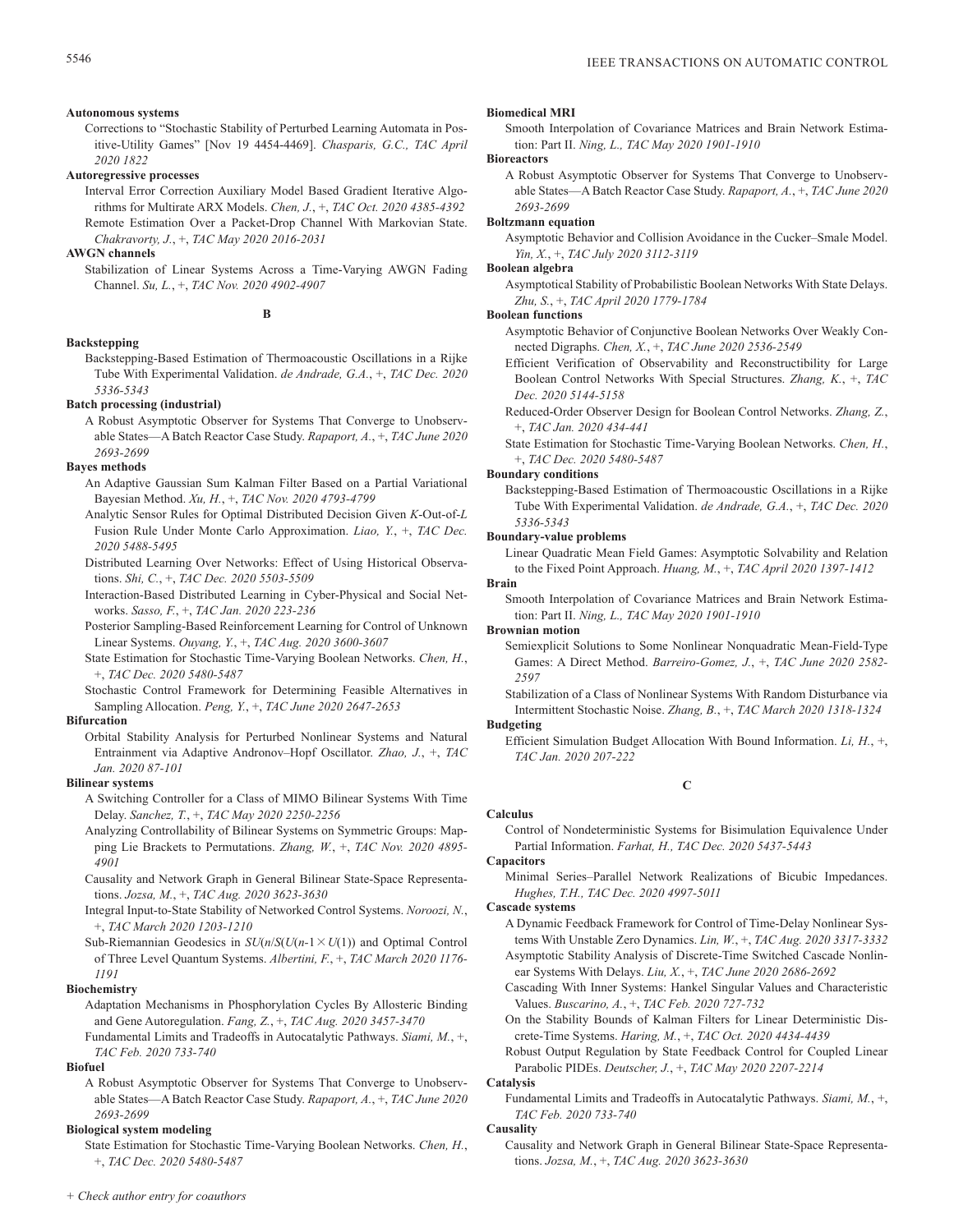# **Autonomous systems**

Corrections to "Stochastic Stability of Perturbed Learning Automata in Positive-Utility Games" [Nov 19 4454-4469]. *Chasparis, G.C., TAC April 2020 1822*

### **Autoregressive processes**

Interval Error Correction Auxiliary Model Based Gradient Iterative Algorithms for Multirate ARX Models. *Chen, J.*, +, *TAC Oct. 2020 4385-4392* Remote Estimation Over a Packet-Drop Channel With Markovian State. *Chakravorty, J.*, +, *TAC May 2020 2016-2031*

# **AWGN channels**

Stabilization of Linear Systems Across a Time-Varying AWGN Fading Channel. *Su, L.*, +, *TAC Nov. 2020 4902-4907*

**B**

# **Backstepping**

Backstepping-Based Estimation of Thermoacoustic Oscillations in a Rijke Tube With Experimental Validation. *de Andrade, G.A.*, +, *TAC Dec. 2020 5336-5343*

# **Batch processing (industrial)**

A Robust Asymptotic Observer for Systems That Converge to Unobservable States—A Batch Reactor Case Study. *Rapaport, A.*, +, *TAC June 2020 2693-2699*

# **Bayes methods**

- An Adaptive Gaussian Sum Kalman Filter Based on a Partial Variational Bayesian Method. *Xu, H.*, +, *TAC Nov. 2020 4793-4799*
- Analytic Sensor Rules for Optimal Distributed Decision Given *K*-Out-of-*L* Fusion Rule Under Monte Carlo Approximation. *Liao, Y.*, +, *TAC Dec. 2020 5488-5495*
- Distributed Learning Over Networks: Effect of Using Historical Observations. *Shi, C.*, +, *TAC Dec. 2020 5503-5509*
- Interaction-Based Distributed Learning in Cyber-Physical and Social Networks. *Sasso, F.*, +, *TAC Jan. 2020 223-236*
- Posterior Sampling-Based Reinforcement Learning for Control of Unknown Linear Systems. *Ouyang, Y.*, +, *TAC Aug. 2020 3600-3607*
- State Estimation for Stochastic Time-Varying Boolean Networks. *Chen, H.*, +, *TAC Dec. 2020 5480-5487*
- Stochastic Control Framework for Determining Feasible Alternatives in Sampling Allocation. *Peng, Y.*, +, *TAC June 2020 2647-2653*

### **Bifurcation**

Orbital Stability Analysis for Perturbed Nonlinear Systems and Natural Entrainment via Adaptive Andronov–Hopf Oscillator. *Zhao, J.*, +, *TAC Jan. 2020 87-101*

### **Bilinear systems**

- A Switching Controller for a Class of MIMO Bilinear Systems With Time Delay. *Sanchez, T.*, +, *TAC May 2020 2250-2256*
- Analyzing Controllability of Bilinear Systems on Symmetric Groups: Mapping Lie Brackets to Permutations. *Zhang, W.*, +, *TAC Nov. 2020 4895- 4901*
- Causality and Network Graph in General Bilinear State-Space Representations. *Jozsa, M.*, +, *TAC Aug. 2020 3623-3630*
- Integral Input-to-State Stability of Networked Control Systems. *Noroozi, N.*, +, *TAC March 2020 1203-1210*
- Sub-Riemannian Geodesics in  $SU(n/S(U(n-1 \times U(1)))$  and Optimal Control of Three Level Quantum Systems. *Albertini, F.*, +, *TAC March 2020 1176- 1191*

### **Biochemistry**

Adaptation Mechanisms in Phosphorylation Cycles By Allosteric Binding and Gene Autoregulation. *Fang, Z.*, +, *TAC Aug. 2020 3457-3470*

Fundamental Limits and Tradeoffs in Autocatalytic Pathways. *Siami, M.*, +, *TAC Feb. 2020 733-740*

# **Biofuel**

A Robust Asymptotic Observer for Systems That Converge to Unobservable States—A Batch Reactor Case Study. *Rapaport, A.*, +, *TAC June 2020 2693-2699*

# **Biological system modeling**

State Estimation for Stochastic Time-Varying Boolean Networks. *Chen, H.*, +, *TAC Dec. 2020 5480-5487*

# **Biomedical MRI**

Smooth Interpolation of Covariance Matrices and Brain Network Estimation: Part II. *Ning, L., TAC May 2020 1901-1910*

# **Bioreactors**

A Robust Asymptotic Observer for Systems That Converge to Unobservable States—A Batch Reactor Case Study. *Rapaport, A.*, +, *TAC June 2020 2693-2699*

# **Boltzmann equation**

Asymptotic Behavior and Collision Avoidance in the Cucker–Smale Model. *Yin, X.*, +, *TAC July 2020 3112-3119*

### **Boolean algebra**

Asymptotical Stability of Probabilistic Boolean Networks With State Delays. *Zhu, S.*, +, *TAC April 2020 1779-1784*

# **Boolean functions**

- Asymptotic Behavior of Conjunctive Boolean Networks Over Weakly Connected Digraphs. *Chen, X.*, +, *TAC June 2020 2536-2549*
- Efficient Verification of Observability and Reconstructibility for Large Boolean Control Networks With Special Structures. *Zhang, K.*, +, *TAC Dec. 2020 5144-5158*

Reduced-Order Observer Design for Boolean Control Networks. *Zhang, Z.*, +, *TAC Jan. 2020 434-441*

State Estimation for Stochastic Time-Varying Boolean Networks. *Chen, H.*, +, *TAC Dec. 2020 5480-5487*

# **Boundary conditions**

Backstepping-Based Estimation of Thermoacoustic Oscillations in a Rijke Tube With Experimental Validation. *de Andrade, G.A.*, +, *TAC Dec. 2020 5336-5343*

# **Boundary-value problems**

Linear Quadratic Mean Field Games: Asymptotic Solvability and Relation to the Fixed Point Approach. *Huang, M.*, +, *TAC April 2020 1397-1412*

# **Brain**

Smooth Interpolation of Covariance Matrices and Brain Network Estimation: Part II. *Ning, L., TAC May 2020 1901-1910*

# **Brownian motion**

Semiexplicit Solutions to Some Nonlinear Nonquadratic Mean-Field-Type Games: A Direct Method. *Barreiro-Gomez, J.*, +, *TAC June 2020 2582- 2597*

Stabilization of a Class of Nonlinear Systems With Random Disturbance via Intermittent Stochastic Noise. *Zhang, B.*, +, *TAC March 2020 1318-1324*

# **Budgeting**

Efficient Simulation Budget Allocation With Bound Information. *Li, H.*, +, *TAC Jan. 2020 207-222*

# **C**

Control of Nondeterministic Systems for Bisimulation Equivalence Under Partial Information. *Farhat, H., TAC Dec. 2020 5437-5443*

# **Capacitors**

**Calculus**

Minimal Series–Parallel Network Realizations of Bicubic Impedances. *Hughes, T.H., TAC Dec. 2020 4997-5011*

### **Cascade systems**

A Dynamic Feedback Framework for Control of Time-Delay Nonlinear Systems With Unstable Zero Dynamics. *Lin, W.*, +, *TAC Aug. 2020 3317-3332*

Asymptotic Stability Analysis of Discrete-Time Switched Cascade Nonlinear Systems With Delays. *Liu, X.*, +, *TAC June 2020 2686-2692*

- Cascading With Inner Systems: Hankel Singular Values and Characteristic Values. *Buscarino, A.*, +, *TAC Feb. 2020 727-732*
- On the Stability Bounds of Kalman Filters for Linear Deterministic Discrete-Time Systems. *Haring, M.*, +, *TAC Oct. 2020 4434-4439*
- Robust Output Regulation by State Feedback Control for Coupled Linear Parabolic PIDEs. *Deutscher, J.*, +, *TAC May 2020 2207-2214*

# **Catalysis**

Fundamental Limits and Tradeoffs in Autocatalytic Pathways. *Siami, M.*, +, *TAC Feb. 2020 733-740*

### **Causality**

Causality and Network Graph in General Bilinear State-Space Representations. *Jozsa, M.*, +, *TAC Aug. 2020 3623-3630*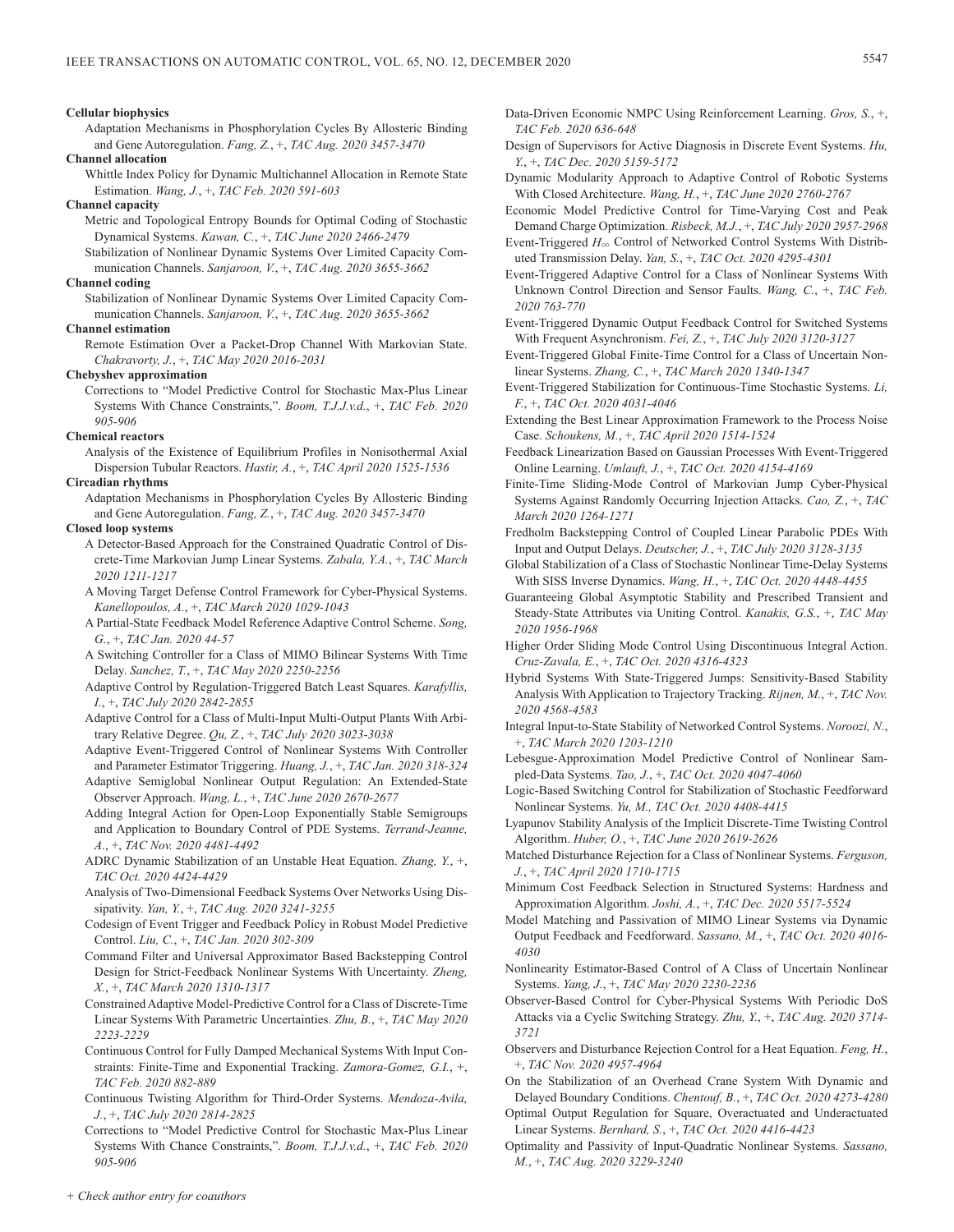### **Cellular biophysics**

Adaptation Mechanisms in Phosphorylation Cycles By Allosteric Binding and Gene Autoregulation. *Fang, Z.*, +, *TAC Aug. 2020 3457-3470*

**Channel allocation**

Whittle Index Policy for Dynamic Multichannel Allocation in Remote State Estimation. *Wang, J.*, +, *TAC Feb. 2020 591-603*

# **Channel capacity**

- Metric and Topological Entropy Bounds for Optimal Coding of Stochastic Dynamical Systems. *Kawan, C.*, +, *TAC June 2020 2466-2479*
- Stabilization of Nonlinear Dynamic Systems Over Limited Capacity Communication Channels. *Sanjaroon, V.*, +, *TAC Aug. 2020 3655-3662*

# **Channel coding**

Stabilization of Nonlinear Dynamic Systems Over Limited Capacity Communication Channels. *Sanjaroon, V.*, +, *TAC Aug. 2020 3655-3662*

# **Channel estimation**

Remote Estimation Over a Packet-Drop Channel With Markovian State. *Chakravorty, J.*, +, *TAC May 2020 2016-2031*

### **Chebyshev approximation**

Corrections to "Model Predictive Control for Stochastic Max-Plus Linear Systems With Chance Constraints,". *Boom, T.J.J.v.d.*, +, *TAC Feb. 2020 905-906*

# **Chemical reactors**

Analysis of the Existence of Equilibrium Profiles in Nonisothermal Axial Dispersion Tubular Reactors. *Hastir, A.*, +, *TAC April 2020 1525-1536*

# **Circadian rhythms**

Adaptation Mechanisms in Phosphorylation Cycles By Allosteric Binding and Gene Autoregulation. *Fang, Z.*, +, *TAC Aug. 2020 3457-3470*

# **Closed loop systems**

- A Detector-Based Approach for the Constrained Quadratic Control of Discrete-Time Markovian Jump Linear Systems. *Zabala, Y.A.*, +, *TAC March 2020 1211-1217*
- A Moving Target Defense Control Framework for Cyber-Physical Systems. *Kanellopoulos, A.*, +, *TAC March 2020 1029-1043*
- A Partial-State Feedback Model Reference Adaptive Control Scheme. *Song, G.*, +, *TAC Jan. 2020 44-57*
- A Switching Controller for a Class of MIMO Bilinear Systems With Time Delay. *Sanchez, T.*, +, *TAC May 2020 2250-2256*
- Adaptive Control by Regulation-Triggered Batch Least Squares. *Karafyllis, I.*, +, *TAC July 2020 2842-2855*
- Adaptive Control for a Class of Multi-Input Multi-Output Plants With Arbitrary Relative Degree. *Qu, Z.*, +, *TAC July 2020 3023-3038*
- Adaptive Event-Triggered Control of Nonlinear Systems With Controller and Parameter Estimator Triggering. *Huang, J.*, +, *TAC Jan. 2020 318-324*
- Adaptive Semiglobal Nonlinear Output Regulation: An Extended-State Observer Approach. *Wang, L.*, +, *TAC June 2020 2670-2677*
- Adding Integral Action for Open-Loop Exponentially Stable Semigroups and Application to Boundary Control of PDE Systems. *Terrand-Jeanne, A.*, +, *TAC Nov. 2020 4481-4492*
- ADRC Dynamic Stabilization of an Unstable Heat Equation. *Zhang, Y.*, +, *TAC Oct. 2020 4424-4429*
- Analysis of Two-Dimensional Feedback Systems Over Networks Using Dissipativity. *Yan, Y.*, +, *TAC Aug. 2020 3241-3255*
- Codesign of Event Trigger and Feedback Policy in Robust Model Predictive Control. *Liu, C.*, +, *TAC Jan. 2020 302-309*
- Command Filter and Universal Approximator Based Backstepping Control Design for Strict-Feedback Nonlinear Systems With Uncertainty. *Zheng, X.*, +, *TAC March 2020 1310-1317*
- Constrained Adaptive Model-Predictive Control for a Class of Discrete-Time Linear Systems With Parametric Uncertainties. *Zhu, B.*, +, *TAC May 2020 2223-2229*
- Continuous Control for Fully Damped Mechanical Systems With Input Constraints: Finite-Time and Exponential Tracking. *Zamora-Gomez, G.I.*, +, *TAC Feb. 2020 882-889*
- Continuous Twisting Algorithm for Third-Order Systems. *Mendoza-Avila, J.*, +, *TAC July 2020 2814-2825*
- Corrections to "Model Predictive Control for Stochastic Max-Plus Linear Systems With Chance Constraints,". *Boom, T.J.J.v.d.*, +, *TAC Feb. 2020 905-906*
- Data-Driven Economic NMPC Using Reinforcement Learning. *Gros, S.*, +, *TAC Feb. 2020 636-648*
- Design of Supervisors for Active Diagnosis in Discrete Event Systems. *Hu, Y.*, +, *TAC Dec. 2020 5159-5172*
- Dynamic Modularity Approach to Adaptive Control of Robotic Systems With Closed Architecture. *Wang, H.*, +, *TAC June 2020 2760-2767*
- Economic Model Predictive Control for Time-Varying Cost and Peak Demand Charge Optimization. *Risbeck, M.J.*, +, *TAC July 2020 2957-2968*
- Event-Triggered  $H_{\infty}$  Control of Networked Control Systems With Distributed Transmission Delay. *Yan, S.*, +, *TAC Oct. 2020 4295-4301*
- Event-Triggered Adaptive Control for a Class of Nonlinear Systems With Unknown Control Direction and Sensor Faults. *Wang, C.*, +, *TAC Feb. 2020 763-770*
- Event-Triggered Dynamic Output Feedback Control for Switched Systems With Frequent Asynchronism. *Fei, Z.*, +, *TAC July 2020 3120-3127*
- Event-Triggered Global Finite-Time Control for a Class of Uncertain Nonlinear Systems. *Zhang, C.*, +, *TAC March 2020 1340-1347*
- Event-Triggered Stabilization for Continuous-Time Stochastic Systems. *Li, F.*, +, *TAC Oct. 2020 4031-4046*
- Extending the Best Linear Approximation Framework to the Process Noise Case. *Schoukens, M.*, +, *TAC April 2020 1514-1524*
- Feedback Linearization Based on Gaussian Processes With Event-Triggered Online Learning. *Umlauft, J.*, +, *TAC Oct. 2020 4154-4169*
- Finite-Time Sliding-Mode Control of Markovian Jump Cyber-Physical Systems Against Randomly Occurring Injection Attacks. *Cao, Z.*, +, *TAC March 2020 1264-1271*
- Fredholm Backstepping Control of Coupled Linear Parabolic PDEs With Input and Output Delays. *Deutscher, J.*, +, *TAC July 2020 3128-3135*
- Global Stabilization of a Class of Stochastic Nonlinear Time-Delay Systems With SISS Inverse Dynamics. *Wang, H.*, +, *TAC Oct. 2020 4448-4455*
- Guaranteeing Global Asymptotic Stability and Prescribed Transient and Steady-State Attributes via Uniting Control. *Kanakis, G.S.*, +, *TAC May 2020 1956-1968*
- Higher Order Sliding Mode Control Using Discontinuous Integral Action. *Cruz-Zavala, E.*, +, *TAC Oct. 2020 4316-4323*
- Hybrid Systems With State-Triggered Jumps: Sensitivity-Based Stability Analysis With Application to Trajectory Tracking. *Rijnen, M.*, +, *TAC Nov. 2020 4568-4583*
- Integral Input-to-State Stability of Networked Control Systems. *Noroozi, N.*, +, *TAC March 2020 1203-1210*
- Lebesgue-Approximation Model Predictive Control of Nonlinear Sampled-Data Systems. *Tao, J.*, +, *TAC Oct. 2020 4047-4060*
- Logic-Based Switching Control for Stabilization of Stochastic Feedforward Nonlinear Systems. *Yu, M., TAC Oct. 2020 4408-4415*
- Lyapunov Stability Analysis of the Implicit Discrete-Time Twisting Control Algorithm. *Huber, O.*, +, *TAC June 2020 2619-2626*
- Matched Disturbance Rejection for a Class of Nonlinear Systems. *Ferguson, J.*, +, *TAC April 2020 1710-1715*
- Minimum Cost Feedback Selection in Structured Systems: Hardness and Approximation Algorithm. *Joshi, A.*, +, *TAC Dec. 2020 5517-5524*
- Model Matching and Passivation of MIMO Linear Systems via Dynamic Output Feedback and Feedforward. *Sassano, M.*, +, *TAC Oct. 2020 4016- 4030*
- Nonlinearity Estimator-Based Control of A Class of Uncertain Nonlinear Systems. *Yang, J.*, +, *TAC May 2020 2230-2236*
- Observer-Based Control for Cyber-Physical Systems With Periodic DoS Attacks via a Cyclic Switching Strategy. *Zhu, Y.*, +, *TAC Aug. 2020 3714- 3721*
- Observers and Disturbance Rejection Control for a Heat Equation. *Feng, H.*, +, *TAC Nov. 2020 4957-4964*
- On the Stabilization of an Overhead Crane System With Dynamic and Delayed Boundary Conditions. *Chentouf, B.*, +, *TAC Oct. 2020 4273-4280*
- Optimal Output Regulation for Square, Overactuated and Underactuated Linear Systems. *Bernhard, S.*, +, *TAC Oct. 2020 4416-4423*
- Optimality and Passivity of Input-Quadratic Nonlinear Systems. *Sassano, M.*, +, *TAC Aug. 2020 3229-3240*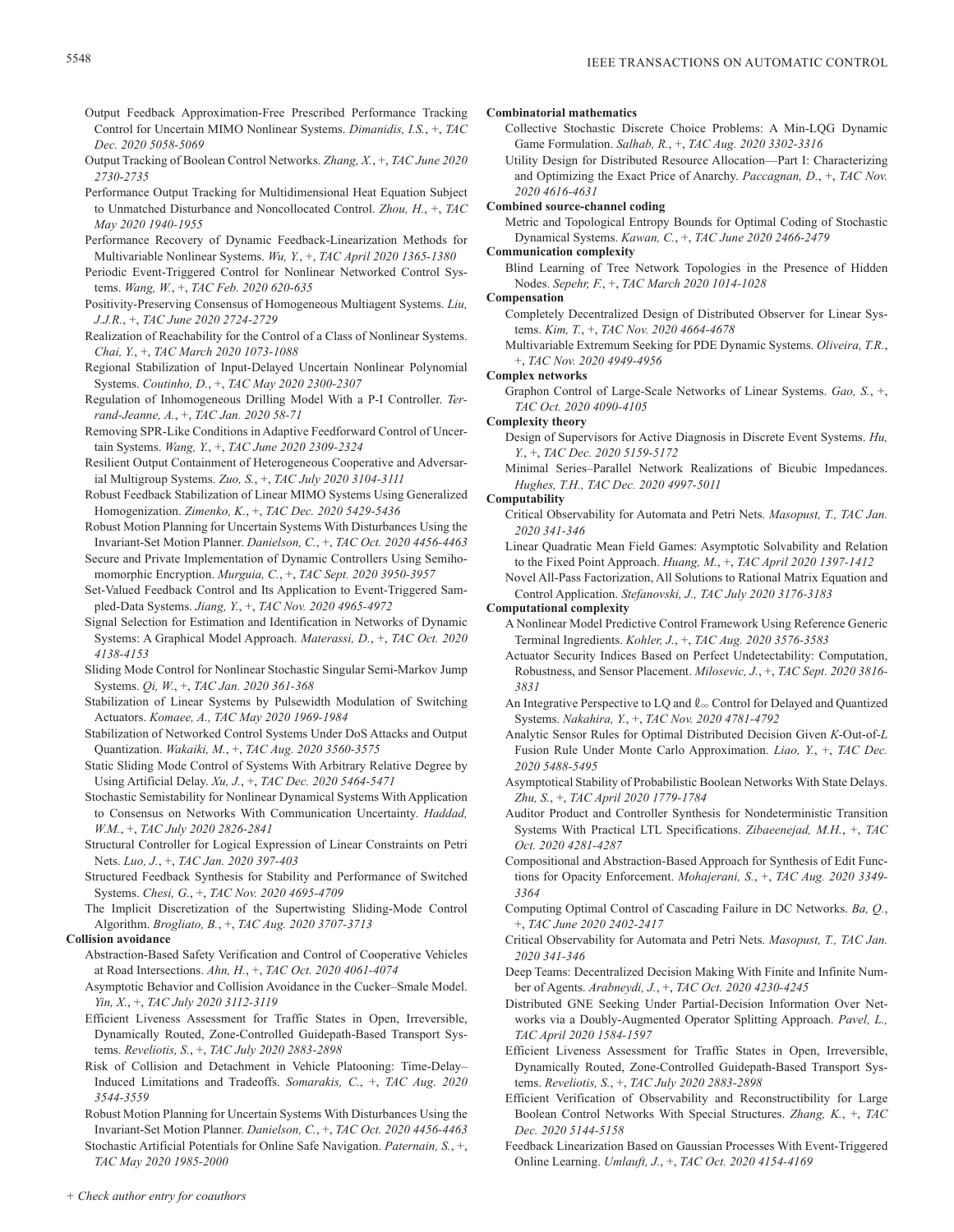- Output Feedback Approximation-Free Prescribed Performance Tracking Control for Uncertain MIMO Nonlinear Systems. *Dimanidis, I.S.*, +, *TAC Dec. 2020 5058-5069*
- Output Tracking of Boolean Control Networks. *Zhang, X.*, +, *TAC June 2020 2730-2735*
- Performance Output Tracking for Multidimensional Heat Equation Subject to Unmatched Disturbance and Noncollocated Control. *Zhou, H.*, +, *TAC May 2020 1940-1955*
- Performance Recovery of Dynamic Feedback-Linearization Methods for Multivariable Nonlinear Systems. *Wu, Y.*, +, *TAC April 2020 1365-1380*
- Periodic Event-Triggered Control for Nonlinear Networked Control Systems. *Wang, W.*, +, *TAC Feb. 2020 620-635*
- Positivity-Preserving Consensus of Homogeneous Multiagent Systems. *Liu, J.J.R.*, +, *TAC June 2020 2724-2729*
- Realization of Reachability for the Control of a Class of Nonlinear Systems. *Chai, Y.*, +, *TAC March 2020 1073-1088*
- Regional Stabilization of Input-Delayed Uncertain Nonlinear Polynomial Systems. *Coutinho, D.*, +, *TAC May 2020 2300-2307*
- Regulation of Inhomogeneous Drilling Model With a P-I Controller. *Terrand-Jeanne, A.*, +, *TAC Jan. 2020 58-71*
- Removing SPR-Like Conditions in Adaptive Feedforward Control of Uncertain Systems. *Wang, Y.*, +, *TAC June 2020 2309-2324*
- Resilient Output Containment of Heterogeneous Cooperative and Adversarial Multigroup Systems. *Zuo, S.*, +, *TAC July 2020 3104-3111*
- Robust Feedback Stabilization of Linear MIMO Systems Using Generalized Homogenization. *Zimenko, K.*, +, *TAC Dec. 2020 5429-5436*
- Robust Motion Planning for Uncertain Systems With Disturbances Using the Invariant-Set Motion Planner. *Danielson, C.*, +, *TAC Oct. 2020 4456-4463*
- Secure and Private Implementation of Dynamic Controllers Using Semihomomorphic Encryption. *Murguia, C.*, +, *TAC Sept. 2020 3950-3957*
- Set-Valued Feedback Control and Its Application to Event-Triggered Sampled-Data Systems. *Jiang, Y.*, +, *TAC Nov. 2020 4965-4972*
- Signal Selection for Estimation and Identification in Networks of Dynamic Systems: A Graphical Model Approach. *Materassi, D.*, +, *TAC Oct. 2020 4138-4153*
- Sliding Mode Control for Nonlinear Stochastic Singular Semi-Markov Jump Systems. *Qi, W.*, +, *TAC Jan. 2020 361-368*
- Stabilization of Linear Systems by Pulsewidth Modulation of Switching Actuators. *Komaee, A., TAC May 2020 1969-1984*
- Stabilization of Networked Control Systems Under DoS Attacks and Output Quantization. *Wakaiki, M.*, +, *TAC Aug. 2020 3560-3575*
- Static Sliding Mode Control of Systems With Arbitrary Relative Degree by Using Artificial Delay. *Xu, J.*, +, *TAC Dec. 2020 5464-5471*
- Stochastic Semistability for Nonlinear Dynamical Systems With Application to Consensus on Networks With Communication Uncertainty. *Haddad, W.M.*, +, *TAC July 2020 2826-2841*
- Structural Controller for Logical Expression of Linear Constraints on Petri Nets. *Luo, J.*, +, *TAC Jan. 2020 397-403*
- Structured Feedback Synthesis for Stability and Performance of Switched Systems. *Chesi, G.*, +, *TAC Nov. 2020 4695-4709*
- The Implicit Discretization of the Supertwisting Sliding-Mode Control Algorithm. *Brogliato, B.*, +, *TAC Aug. 2020 3707-3713*

# **Collision avoidance**

- Abstraction-Based Safety Verification and Control of Cooperative Vehicles at Road Intersections. *Ahn, H.*, +, *TAC Oct. 2020 4061-4074*
- Asymptotic Behavior and Collision Avoidance in the Cucker–Smale Model. *Yin, X.*, +, *TAC July 2020 3112-3119*
- Efficient Liveness Assessment for Traffic States in Open, Irreversible, Dynamically Routed, Zone-Controlled Guidepath-Based Transport Systems. *Reveliotis, S.*, +, *TAC July 2020 2883-2898*
- Risk of Collision and Detachment in Vehicle Platooning: Time-Delay– Induced Limitations and Tradeoffs. *Somarakis, C.*, +, *TAC Aug. 2020 3544-3559*
- Robust Motion Planning for Uncertain Systems With Disturbances Using the Invariant-Set Motion Planner. *Danielson, C.*, +, *TAC Oct. 2020 4456-4463*

Stochastic Artificial Potentials for Online Safe Navigation. *Paternain, S.*, +, *TAC May 2020 1985-2000*

# **Combinatorial mathematics**

- Collective Stochastic Discrete Choice Problems: A Min-LQG Dynamic Game Formulation. *Salhab, R.*, +, *TAC Aug. 2020 3302-3316*
- Utility Design for Distributed Resource Allocation—Part I: Characterizing and Optimizing the Exact Price of Anarchy. *Paccagnan, D.*, +, *TAC Nov. 2020 4616-4631*

# **Combined source-channel coding**

Metric and Topological Entropy Bounds for Optimal Coding of Stochastic Dynamical Systems. *Kawan, C.*, +, *TAC June 2020 2466-2479*

# **Communication complexity**

Blind Learning of Tree Network Topologies in the Presence of Hidden Nodes. *Sepehr, F.*, +, *TAC March 2020 1014-1028*

# **Compensation**

- Completely Decentralized Design of Distributed Observer for Linear Systems. *Kim, T.*, +, *TAC Nov. 2020 4664-4678*
- Multivariable Extremum Seeking for PDE Dynamic Systems. *Oliveira, T.R.*, +, *TAC Nov. 2020 4949-4956*

# **Complex networks**

Graphon Control of Large-Scale Networks of Linear Systems. *Gao, S.*, +, *TAC Oct. 2020 4090-4105*

# **Complexity theory**

- Design of Supervisors for Active Diagnosis in Discrete Event Systems. *Hu, Y.*, +, *TAC Dec. 2020 5159-5172*
- Minimal Series–Parallel Network Realizations of Bicubic Impedances. *Hughes, T.H., TAC Dec. 2020 4997-5011*

# **Computability**

- Critical Observability for Automata and Petri Nets. *Masopust, T., TAC Jan. 2020 341-346*
- Linear Quadratic Mean Field Games: Asymptotic Solvability and Relation to the Fixed Point Approach. *Huang, M.*, +, *TAC April 2020 1397-1412*

Novel All-Pass Factorization, All Solutions to Rational Matrix Equation and Control Application. *Stefanovski, J., TAC July 2020 3176-3183*

# **Computational complexity**

- A Nonlinear Model Predictive Control Framework Using Reference Generic Terminal Ingredients. *Kohler, J.*, +, *TAC Aug. 2020 3576-3583*
- Actuator Security Indices Based on Perfect Undetectability: Computation, Robustness, and Sensor Placement. *Milosevic, J.*, +, *TAC Sept. 2020 3816- 3831*
- An Integrative Perspective to LQ and  $\ell_{\infty}$  Control for Delayed and Quantized Systems. *Nakahira, Y.*, +, *TAC Nov. 2020 4781-4792*
- Analytic Sensor Rules for Optimal Distributed Decision Given *K*-Out-of-*L* Fusion Rule Under Monte Carlo Approximation. *Liao, Y.*, +, *TAC Dec. 2020 5488-5495*
- Asymptotical Stability of Probabilistic Boolean Networks With State Delays. *Zhu, S.*, +, *TAC April 2020 1779-1784*
- Auditor Product and Controller Synthesis for Nondeterministic Transition Systems With Practical LTL Specifications. *Zibaeenejad, M.H.*, +, *TAC Oct. 2020 4281-4287*
- Compositional and Abstraction-Based Approach for Synthesis of Edit Functions for Opacity Enforcement. *Mohajerani, S.*, +, *TAC Aug. 2020 3349- 3364*
- Computing Optimal Control of Cascading Failure in DC Networks. *Ba, Q.*, +, *TAC June 2020 2402-2417*
- Critical Observability for Automata and Petri Nets. *Masopust, T., TAC Jan. 2020 341-346*
- Deep Teams: Decentralized Decision Making With Finite and Infinite Number of Agents. *Arabneydi, J.*, +, *TAC Oct. 2020 4230-4245*
- Distributed GNE Seeking Under Partial-Decision Information Over Networks via a Doubly-Augmented Operator Splitting Approach. *Pavel, L., TAC April 2020 1584-1597*
- Efficient Liveness Assessment for Traffic States in Open, Irreversible, Dynamically Routed, Zone-Controlled Guidepath-Based Transport Systems. *Reveliotis, S.*, +, *TAC July 2020 2883-2898*
- Efficient Verification of Observability and Reconstructibility for Large Boolean Control Networks With Special Structures. *Zhang, K.*, +, *TAC Dec. 2020 5144-5158*
- Feedback Linearization Based on Gaussian Processes With Event-Triggered Online Learning. *Umlauft, J.*, +, *TAC Oct. 2020 4154-4169*

*+ Check author entry for coauthors*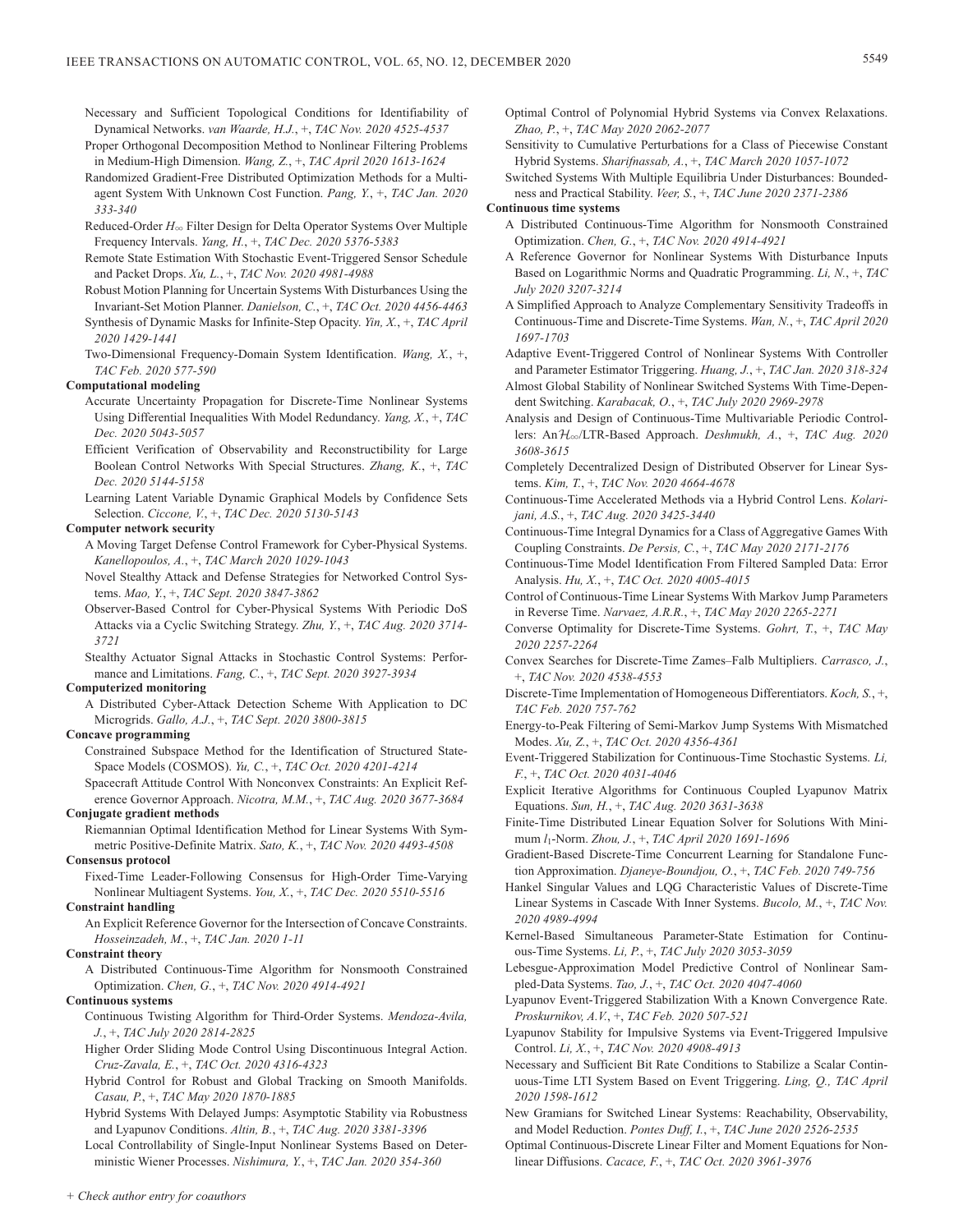- Necessary and Sufficient Topological Conditions for Identifiability of Dynamical Networks. *van Waarde, H.J.*, +, *TAC Nov. 2020 4525-4537*
- Proper Orthogonal Decomposition Method to Nonlinear Filtering Problems in Medium-High Dimension. *Wang, Z.*, +, *TAC April 2020 1613-1624*
- Randomized Gradient-Free Distributed Optimization Methods for a Multiagent System With Unknown Cost Function. *Pang, Y.*, +, *TAC Jan. 2020 333-340*
- Reduced-Order *H*3 Filter Design for Delta Operator Systems Over Multiple Frequency Intervals. *Yang, H.*, +, *TAC Dec. 2020 5376-5383*
- Remote State Estimation With Stochastic Event-Triggered Sensor Schedule and Packet Drops. *Xu, L.*, +, *TAC Nov. 2020 4981-4988*
- Robust Motion Planning for Uncertain Systems With Disturbances Using the Invariant-Set Motion Planner. *Danielson, C.*, +, *TAC Oct. 2020 4456-4463*
- Synthesis of Dynamic Masks for Infinite-Step Opacity. *Yin, X.*, +, *TAC April 2020 1429-1441*
- Two-Dimensional Frequency-Domain System Identification. *Wang, X.*, +, *TAC Feb. 2020 577-590*

# **Computational modeling**

- Accurate Uncertainty Propagation for Discrete-Time Nonlinear Systems Using Differential Inequalities With Model Redundancy. *Yang, X.*, +, *TAC Dec. 2020 5043-5057*
- Efficient Verification of Observability and Reconstructibility for Large Boolean Control Networks With Special Structures. *Zhang, K.*, +, *TAC Dec. 2020 5144-5158*
- Learning Latent Variable Dynamic Graphical Models by Confidence Sets Selection. *Ciccone, V.*, +, *TAC Dec. 2020 5130-5143*

# **Computer network security**

- A Moving Target Defense Control Framework for Cyber-Physical Systems. *Kanellopoulos, A.*, +, *TAC March 2020 1029-1043*
- Novel Stealthy Attack and Defense Strategies for Networked Control Systems. *Mao, Y.*, +, *TAC Sept. 2020 3847-3862*
- Observer-Based Control for Cyber-Physical Systems With Periodic DoS Attacks via a Cyclic Switching Strategy. *Zhu, Y.*, +, *TAC Aug. 2020 3714- 3721*
- Stealthy Actuator Signal Attacks in Stochastic Control Systems: Performance and Limitations. *Fang, C.*, +, *TAC Sept. 2020 3927-3934*

# **Computerized monitoring**

A Distributed Cyber-Attack Detection Scheme With Application to DC Microgrids. *Gallo, A.J.*, +, *TAC Sept. 2020 3800-3815*

### **Concave programming**

- Constrained Subspace Method for the Identification of Structured State-Space Models (COSMOS). *Yu, C.*, +, *TAC Oct. 2020 4201-4214*
- Spacecraft Attitude Control With Nonconvex Constraints: An Explicit Reference Governor Approach. *Nicotra, M.M.*, +, *TAC Aug. 2020 3677-3684* **Conjugate gradient methods**
	- Riemannian Optimal Identification Method for Linear Systems With Symmetric Positive-Definite Matrix. *Sato, K.*, +, *TAC Nov. 2020 4493-4508*

# **Consensus protocol**

Fixed-Time Leader-Following Consensus for High-Order Time-Varying Nonlinear Multiagent Systems. *You, X.*, +, *TAC Dec. 2020 5510-5516*

# **Constraint handling**

An Explicit Reference Governor for the Intersection of Concave Constraints. *Hosseinzadeh, M.*, +, *TAC Jan. 2020 1-11*

# **Constraint theory**

A Distributed Continuous-Time Algorithm for Nonsmooth Constrained Optimization. *Chen, G.*, +, *TAC Nov. 2020 4914-4921*

# **Continuous systems**

- Continuous Twisting Algorithm for Third-Order Systems. *Mendoza-Avila, J.*, +, *TAC July 2020 2814-2825*
- Higher Order Sliding Mode Control Using Discontinuous Integral Action. *Cruz-Zavala, E.*, +, *TAC Oct. 2020 4316-4323*
- Hybrid Control for Robust and Global Tracking on Smooth Manifolds. *Casau, P.*, +, *TAC May 2020 1870-1885*
- Hybrid Systems With Delayed Jumps: Asymptotic Stability via Robustness and Lyapunov Conditions. *Altin, B.*, +, *TAC Aug. 2020 3381-3396*

Local Controllability of Single-Input Nonlinear Systems Based on Deterministic Wiener Processes. *Nishimura, Y.*, +, *TAC Jan. 2020 354-360*

- Optimal Control of Polynomial Hybrid Systems via Convex Relaxations. *Zhao, P.*, +, *TAC May 2020 2062-2077*
- Sensitivity to Cumulative Perturbations for a Class of Piecewise Constant Hybrid Systems. *Sharifnassab, A.*, +, *TAC March 2020 1057-1072*
- Switched Systems With Multiple Equilibria Under Disturbances: Boundedness and Practical Stability. *Veer, S.*, +, *TAC June 2020 2371-2386*

# **Continuous time systems**

- A Distributed Continuous-Time Algorithm for Nonsmooth Constrained Optimization. *Chen, G.*, +, *TAC Nov. 2020 4914-4921*
- A Reference Governor for Nonlinear Systems With Disturbance Inputs Based on Logarithmic Norms and Quadratic Programming. *Li, N.*, +, *TAC July 2020 3207-3214*
- A Simplified Approach to Analyze Complementary Sensitivity Tradeoffs in Continuous-Time and Discrete-Time Systems. *Wan, N.*, +, *TAC April 2020 1697-1703*
- Adaptive Event-Triggered Control of Nonlinear Systems With Controller and Parameter Estimator Triggering. *Huang, J.*, +, *TAC Jan. 2020 318-324*
- Almost Global Stability of Nonlinear Switched Systems With Time-Dependent Switching. *Karabacak, O.*, +, *TAC July 2020 2969-2978*
- Analysis and Design of Continuous-Time Multivariable Periodic Controllers: AnH3/LTR-Based Approach. *Deshmukh, A.*, +, *TAC Aug. 2020 3608-3615*
- Completely Decentralized Design of Distributed Observer for Linear Systems. *Kim, T.*, +, *TAC Nov. 2020 4664-4678*
- Continuous-Time Accelerated Methods via a Hybrid Control Lens. *Kolarijani, A.S.*, +, *TAC Aug. 2020 3425-3440*
- Continuous-Time Integral Dynamics for a Class of Aggregative Games With Coupling Constraints. *De Persis, C.*, +, *TAC May 2020 2171-2176*
- Continuous-Time Model Identification From Filtered Sampled Data: Error Analysis. *Hu, X.*, +, *TAC Oct. 2020 4005-4015*
- Control of Continuous-Time Linear Systems With Markov Jump Parameters in Reverse Time. *Narvaez, A.R.R.*, +, *TAC May 2020 2265-2271*
- Converse Optimality for Discrete-Time Systems. *Gohrt, T.*, +, *TAC May 2020 2257-2264*
- Convex Searches for Discrete-Time Zames–Falb Multipliers. *Carrasco, J.*, +, *TAC Nov. 2020 4538-4553*
- Discrete-Time Implementation of Homogeneous Differentiators. *Koch, S.*, +, *TAC Feb. 2020 757-762*
- Energy-to-Peak Filtering of Semi-Markov Jump Systems With Mismatched Modes. *Xu, Z.*, +, *TAC Oct. 2020 4356-4361*
- Event-Triggered Stabilization for Continuous-Time Stochastic Systems. *Li, F.*, +, *TAC Oct. 2020 4031-4046*
- Explicit Iterative Algorithms for Continuous Coupled Lyapunov Matrix Equations. *Sun, H.*, +, *TAC Aug. 2020 3631-3638*
- Finite-Time Distributed Linear Equation Solver for Solutions With Minimum *l*1-Norm. *Zhou, J.*, +, *TAC April 2020 1691-1696*
- Gradient-Based Discrete-Time Concurrent Learning for Standalone Function Approximation. *Djaneye-Boundjou, O.*, +, *TAC Feb. 2020 749-756*
- Hankel Singular Values and LQG Characteristic Values of Discrete-Time Linear Systems in Cascade With Inner Systems. *Bucolo, M.*, +, *TAC Nov. 2020 4989-4994*
- Kernel-Based Simultaneous Parameter-State Estimation for Continuous-Time Systems. *Li, P.*, +, *TAC July 2020 3053-3059*
- Lebesgue-Approximation Model Predictive Control of Nonlinear Sampled-Data Systems. *Tao, J.*, +, *TAC Oct. 2020 4047-4060*
- Lyapunov Event-Triggered Stabilization With a Known Convergence Rate. *Proskurnikov, A.V.*, +, *TAC Feb. 2020 507-521*
- Lyapunov Stability for Impulsive Systems via Event-Triggered Impulsive Control. *Li, X.*, +, *TAC Nov. 2020 4908-4913*
- Necessary and Sufficient Bit Rate Conditions to Stabilize a Scalar Continuous-Time LTI System Based on Event Triggering. *Ling, Q., TAC April 2020 1598-1612*
- New Gramians for Switched Linear Systems: Reachability, Observability, and Model Reduction. *Pontes Duff, I.*, +, *TAC June 2020 2526-2535*
- Optimal Continuous-Discrete Linear Filter and Moment Equations for Nonlinear Diffusions. *Cacace, F.*, +, *TAC Oct. 2020 3961-3976*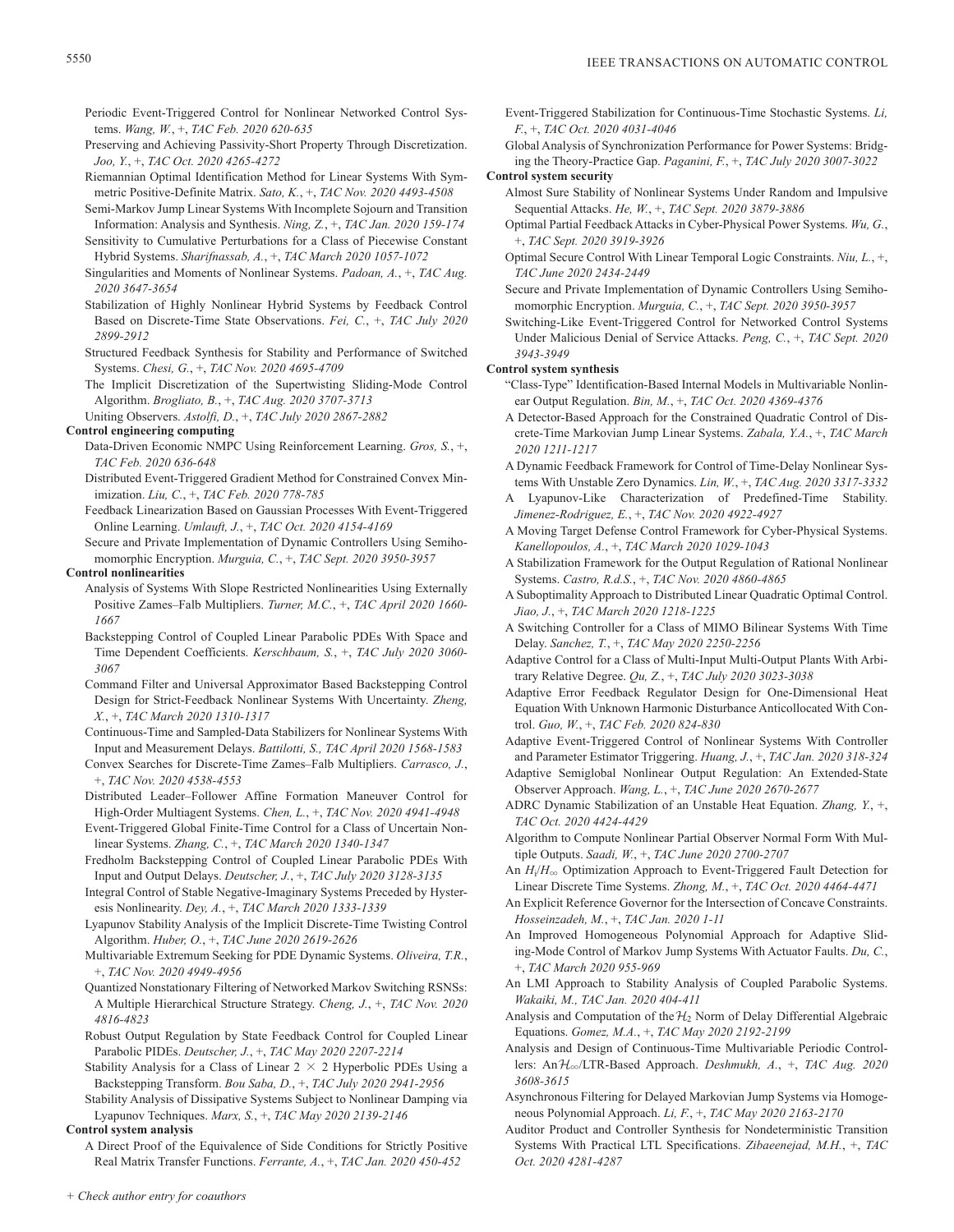- Periodic Event-Triggered Control for Nonlinear Networked Control Systems. *Wang, W.*, +, *TAC Feb. 2020 620-635*
- Preserving and Achieving Passivity-Short Property Through Discretization. *Joo, Y.*, +, *TAC Oct. 2020 4265-4272*
- Riemannian Optimal Identification Method for Linear Systems With Symmetric Positive-Definite Matrix. *Sato, K.*, +, *TAC Nov. 2020 4493-4508*
- Semi-Markov Jump Linear Systems With Incomplete Sojourn and Transition Information: Analysis and Synthesis. *Ning, Z.*, +, *TAC Jan. 2020 159-174*
- Sensitivity to Cumulative Perturbations for a Class of Piecewise Constant Hybrid Systems. *Sharifnassab, A.*, +, *TAC March 2020 1057-1072*
- Singularities and Moments of Nonlinear Systems. *Padoan, A.*, +, *TAC Aug. 2020 3647-3654*
- Stabilization of Highly Nonlinear Hybrid Systems by Feedback Control Based on Discrete-Time State Observations. *Fei, C.*, +, *TAC July 2020 2899-2912*
- Structured Feedback Synthesis for Stability and Performance of Switched Systems. *Chesi, G.*, +, *TAC Nov. 2020 4695-4709*
- The Implicit Discretization of the Supertwisting Sliding-Mode Control Algorithm. *Brogliato, B.*, +, *TAC Aug. 2020 3707-3713*

Uniting Observers. *Astolfi, D.*, +, *TAC July 2020 2867-2882*

# **Control engineering computing**

- Data-Driven Economic NMPC Using Reinforcement Learning. *Gros, S.*, +, *TAC Feb. 2020 636-648*
- Distributed Event-Triggered Gradient Method for Constrained Convex Minimization. *Liu, C.*, +, *TAC Feb. 2020 778-785*
- Feedback Linearization Based on Gaussian Processes With Event-Triggered Online Learning. *Umlauft, J.*, +, *TAC Oct. 2020 4154-4169*
- Secure and Private Implementation of Dynamic Controllers Using Semihomomorphic Encryption. *Murguia, C.*, +, *TAC Sept. 2020 3950-3957*

# **Control nonlinearities**

- Analysis of Systems With Slope Restricted Nonlinearities Using Externally Positive Zames–Falb Multipliers. *Turner, M.C.*, +, *TAC April 2020 1660- 1667*
- Backstepping Control of Coupled Linear Parabolic PDEs With Space and Time Dependent Coefficients. *Kerschbaum, S.*, +, *TAC July 2020 3060- 3067*
- Command Filter and Universal Approximator Based Backstepping Control Design for Strict-Feedback Nonlinear Systems With Uncertainty. *Zheng, X.*, +, *TAC March 2020 1310-1317*
- Continuous-Time and Sampled-Data Stabilizers for Nonlinear Systems With Input and Measurement Delays. *Battilotti, S., TAC April 2020 1568-1583*
- Convex Searches for Discrete-Time Zames–Falb Multipliers. *Carrasco, J.*, +, *TAC Nov. 2020 4538-4553*
- Distributed Leader–Follower Affine Formation Maneuver Control for High-Order Multiagent Systems. *Chen, L.*, +, *TAC Nov. 2020 4941-4948*
- Event-Triggered Global Finite-Time Control for a Class of Uncertain Nonlinear Systems. *Zhang, C.*, +, *TAC March 2020 1340-1347*
- Fredholm Backstepping Control of Coupled Linear Parabolic PDEs With Input and Output Delays. *Deutscher, J.*, +, *TAC July 2020 3128-3135*
- Integral Control of Stable Negative-Imaginary Systems Preceded by Hysteresis Nonlinearity. *Dey, A.*, +, *TAC March 2020 1333-1339*
- Lyapunov Stability Analysis of the Implicit Discrete-Time Twisting Control Algorithm. *Huber, O.*, +, *TAC June 2020 2619-2626*
- Multivariable Extremum Seeking for PDE Dynamic Systems. *Oliveira, T.R.*, +, *TAC Nov. 2020 4949-4956*
- Quantized Nonstationary Filtering of Networked Markov Switching RSNSs: A Multiple Hierarchical Structure Strategy. *Cheng, J.*, +, *TAC Nov. 2020 4816-4823*
- Robust Output Regulation by State Feedback Control for Coupled Linear Parabolic PIDEs. *Deutscher, J.*, +, *TAC May 2020 2207-2214*
- Stability Analysis for a Class of Linear  $2 \times 2$  Hyperbolic PDEs Using a Backstepping Transform. *Bou Saba, D.*, +, *TAC July 2020 2941-2956*
- Stability Analysis of Dissipative Systems Subject to Nonlinear Damping via Lyapunov Techniques. *Marx, S.*, +, *TAC May 2020 2139-2146*

# **Control system analysis**

A Direct Proof of the Equivalence of Side Conditions for Strictly Positive Real Matrix Transfer Functions. *Ferrante, A.*, +, *TAC Jan. 2020 450-452*

- Event-Triggered Stabilization for Continuous-Time Stochastic Systems. *Li, F.*, +, *TAC Oct. 2020 4031-4046*
- Global Analysis of Synchronization Performance for Power Systems: Bridging the Theory-Practice Gap. *Paganini, F.*, +, *TAC July 2020 3007-3022*

# **Control system security**

- Almost Sure Stability of Nonlinear Systems Under Random and Impulsive Sequential Attacks. *He, W.*, +, *TAC Sept. 2020 3879-3886*
- Optimal Partial Feedback Attacks in Cyber-Physical Power Systems. *Wu, G.*, +, *TAC Sept. 2020 3919-3926*
- Optimal Secure Control With Linear Temporal Logic Constraints. *Niu, L.*, +, *TAC June 2020 2434-2449*
- Secure and Private Implementation of Dynamic Controllers Using Semihomomorphic Encryption. *Murguia, C.*, +, *TAC Sept. 2020 3950-3957*
- Switching-Like Event-Triggered Control for Networked Control Systems Under Malicious Denial of Service Attacks. *Peng, C.*, +, *TAC Sept. 2020 3943-3949*

# **Control system synthesis**

- "Class-Type" Identification-Based Internal Models in Multivariable Nonlinear Output Regulation. *Bin, M.*, +, *TAC Oct. 2020 4369-4376*
- A Detector-Based Approach for the Constrained Quadratic Control of Discrete-Time Markovian Jump Linear Systems. *Zabala, Y.A.*, +, *TAC March 2020 1211-1217*
- A Dynamic Feedback Framework for Control of Time-Delay Nonlinear Systems With Unstable Zero Dynamics. *Lin, W.*, +, *TAC Aug. 2020 3317-3332*
- A Lyapunov-Like Characterization of Predefined-Time Stability. *Jimenez-Rodriguez, E.*, +, *TAC Nov. 2020 4922-4927*
- A Moving Target Defense Control Framework for Cyber-Physical Systems. *Kanellopoulos, A.*, +, *TAC March 2020 1029-1043*
- A Stabilization Framework for the Output Regulation of Rational Nonlinear Systems. *Castro, R.d.S.*, +, *TAC Nov. 2020 4860-4865*
- A Suboptimality Approach to Distributed Linear Quadratic Optimal Control. *Jiao, J.*, +, *TAC March 2020 1218-1225*
- A Switching Controller for a Class of MIMO Bilinear Systems With Time Delay. *Sanchez, T.*, +, *TAC May 2020 2250-2256*
- Adaptive Control for a Class of Multi-Input Multi-Output Plants With Arbitrary Relative Degree. *Qu, Z.*, +, *TAC July 2020 3023-3038*
- Adaptive Error Feedback Regulator Design for One-Dimensional Heat Equation With Unknown Harmonic Disturbance Anticollocated With Control. *Guo, W.*, +, *TAC Feb. 2020 824-830*
- Adaptive Event-Triggered Control of Nonlinear Systems With Controller and Parameter Estimator Triggering. *Huang, J.*, +, *TAC Jan. 2020 318-324*
- Adaptive Semiglobal Nonlinear Output Regulation: An Extended-State Observer Approach. *Wang, L.*, +, *TAC June 2020 2670-2677*
- ADRC Dynamic Stabilization of an Unstable Heat Equation. *Zhang, Y.*, +, *TAC Oct. 2020 4424-4429*
- Algorithm to Compute Nonlinear Partial Observer Normal Form With Multiple Outputs. *Saadi, W.*, +, *TAC June 2020 2700-2707*
- An  $H_i/H_\infty$  Optimization Approach to Event-Triggered Fault Detection for Linear Discrete Time Systems. *Zhong, M.*, +, *TAC Oct. 2020 4464-4471*
- An Explicit Reference Governor for the Intersection of Concave Constraints. *Hosseinzadeh, M.*, +, *TAC Jan. 2020 1-11*
- An Improved Homogeneous Polynomial Approach for Adaptive Sliding-Mode Control of Markov Jump Systems With Actuator Faults. *Du, C.*, +, *TAC March 2020 955-969*
- An LMI Approach to Stability Analysis of Coupled Parabolic Systems. *Wakaiki, M., TAC Jan. 2020 404-411*
- Analysis and Computation of the  $H_2$  Norm of Delay Differential Algebraic Equations. *Gomez, M.A.*, +, *TAC May 2020 2192-2199*
- Analysis and Design of Continuous-Time Multivariable Periodic Controllers: AnH3/LTR-Based Approach. *Deshmukh, A.*, +, *TAC Aug. 2020 3608-3615*
- Asynchronous Filtering for Delayed Markovian Jump Systems via Homogeneous Polynomial Approach. *Li, F.*, +, *TAC May 2020 2163-2170*
- Auditor Product and Controller Synthesis for Nondeterministic Transition Systems With Practical LTL Specifications. *Zibaeenejad, M.H.*, +, *TAC Oct. 2020 4281-4287*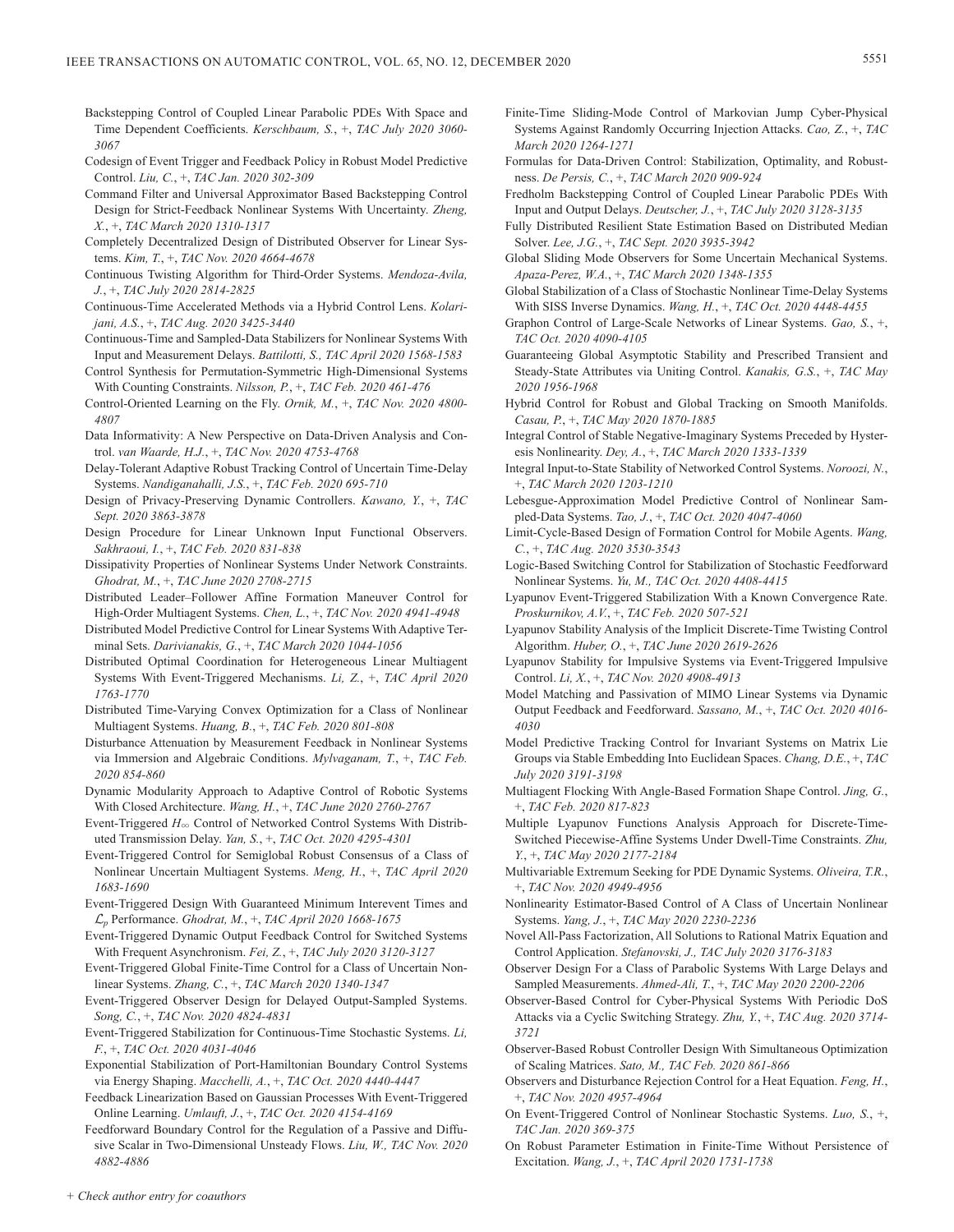- Backstepping Control of Coupled Linear Parabolic PDEs With Space and Time Dependent Coefficients. *Kerschbaum, S.*, +, *TAC July 2020 3060- 3067*
- Codesign of Event Trigger and Feedback Policy in Robust Model Predictive Control. *Liu, C.*, +, *TAC Jan. 2020 302-309*
- Command Filter and Universal Approximator Based Backstepping Control Design for Strict-Feedback Nonlinear Systems With Uncertainty. *Zheng, X.*, +, *TAC March 2020 1310-1317*
- Completely Decentralized Design of Distributed Observer for Linear Systems. *Kim, T.*, +, *TAC Nov. 2020 4664-4678*
- Continuous Twisting Algorithm for Third-Order Systems. *Mendoza-Avila, J.*, +, *TAC July 2020 2814-2825*
- Continuous-Time Accelerated Methods via a Hybrid Control Lens. *Kolarijani, A.S.*, +, *TAC Aug. 2020 3425-3440*
- Continuous-Time and Sampled-Data Stabilizers for Nonlinear Systems With Input and Measurement Delays. *Battilotti, S., TAC April 2020 1568-1583*
- Control Synthesis for Permutation-Symmetric High-Dimensional Systems With Counting Constraints. *Nilsson, P.*, +, *TAC Feb. 2020 461-476*
- Control-Oriented Learning on the Fly. *Ornik, M.*, +, *TAC Nov. 2020 4800- 4807*
- Data Informativity: A New Perspective on Data-Driven Analysis and Control. *van Waarde, H.J.*, +, *TAC Nov. 2020 4753-4768*
- Delay-Tolerant Adaptive Robust Tracking Control of Uncertain Time-Delay Systems. *Nandiganahalli, J.S.*, +, *TAC Feb. 2020 695-710*
- Design of Privacy-Preserving Dynamic Controllers. *Kawano, Y.*, +, *TAC Sept. 2020 3863-3878*
- Design Procedure for Linear Unknown Input Functional Observers. *Sakhraoui, I.*, +, *TAC Feb. 2020 831-838*
- Dissipativity Properties of Nonlinear Systems Under Network Constraints. *Ghodrat, M.*, +, *TAC June 2020 2708-2715*
- Distributed Leader–Follower Affine Formation Maneuver Control for High-Order Multiagent Systems. *Chen, L.*, +, *TAC Nov. 2020 4941-4948*
- Distributed Model Predictive Control for Linear Systems With Adaptive Terminal Sets. *Darivianakis, G.*, +, *TAC March 2020 1044-1056*
- Distributed Optimal Coordination for Heterogeneous Linear Multiagent Systems With Event-Triggered Mechanisms. *Li, Z.*, +, *TAC April 2020 1763-1770*
- Distributed Time-Varying Convex Optimization for a Class of Nonlinear Multiagent Systems. *Huang, B.*, +, *TAC Feb. 2020 801-808*
- Disturbance Attenuation by Measurement Feedback in Nonlinear Systems via Immersion and Algebraic Conditions. *Mylvaganam, T.*, +, *TAC Feb. 2020 854-860*
- Dynamic Modularity Approach to Adaptive Control of Robotic Systems With Closed Architecture. *Wang, H.*, +, *TAC June 2020 2760-2767*
- Event-Triggered  $H_{\infty}$  Control of Networked Control Systems With Distributed Transmission Delay. *Yan, S.*, +, *TAC Oct. 2020 4295-4301*
- Event-Triggered Control for Semiglobal Robust Consensus of a Class of Nonlinear Uncertain Multiagent Systems. *Meng, H.*, +, *TAC April 2020 1683-1690*
- Event-Triggered Design With Guaranteed Minimum Interevent Times and L*p* Performance. *Ghodrat, M.*, +, *TAC April 2020 1668-1675*
- Event-Triggered Dynamic Output Feedback Control for Switched Systems With Frequent Asynchronism. *Fei, Z.*, +, *TAC July 2020 3120-3127*
- Event-Triggered Global Finite-Time Control for a Class of Uncertain Nonlinear Systems. *Zhang, C.*, +, *TAC March 2020 1340-1347*
- Event-Triggered Observer Design for Delayed Output-Sampled Systems. *Song, C.*, +, *TAC Nov. 2020 4824-4831*
- Event-Triggered Stabilization for Continuous-Time Stochastic Systems. *Li, F.*, +, *TAC Oct. 2020 4031-4046*
- Exponential Stabilization of Port-Hamiltonian Boundary Control Systems via Energy Shaping. *Macchelli, A.*, +, *TAC Oct. 2020 4440-4447*
- Feedback Linearization Based on Gaussian Processes With Event-Triggered Online Learning. *Umlauft, J.*, +, *TAC Oct. 2020 4154-4169*
- Feedforward Boundary Control for the Regulation of a Passive and Diffusive Scalar in Two-Dimensional Unsteady Flows. *Liu, W., TAC Nov. 2020 4882-4886*
- Finite-Time Sliding-Mode Control of Markovian Jump Cyber-Physical Systems Against Randomly Occurring Injection Attacks. *Cao, Z.*, +, *TAC March 2020 1264-1271*
- Formulas for Data-Driven Control: Stabilization, Optimality, and Robustness. *De Persis, C.*, +, *TAC March 2020 909-924*
- Fredholm Backstepping Control of Coupled Linear Parabolic PDEs With Input and Output Delays. *Deutscher, J.*, +, *TAC July 2020 3128-3135*
- Fully Distributed Resilient State Estimation Based on Distributed Median Solver. *Lee, J.G.*, +, *TAC Sept. 2020 3935-3942*
- Global Sliding Mode Observers for Some Uncertain Mechanical Systems. *Apaza-Perez, W.A.*, +, *TAC March 2020 1348-1355*
- Global Stabilization of a Class of Stochastic Nonlinear Time-Delay Systems With SISS Inverse Dynamics. *Wang, H.*, +, *TAC Oct. 2020 4448-4455*
- Graphon Control of Large-Scale Networks of Linear Systems. *Gao, S.*, +, *TAC Oct. 2020 4090-4105*
- Guaranteeing Global Asymptotic Stability and Prescribed Transient and Steady-State Attributes via Uniting Control. *Kanakis, G.S.*, +, *TAC May 2020 1956-1968*
- Hybrid Control for Robust and Global Tracking on Smooth Manifolds. *Casau, P.*, +, *TAC May 2020 1870-1885*
- Integral Control of Stable Negative-Imaginary Systems Preceded by Hysteresis Nonlinearity. *Dey, A.*, +, *TAC March 2020 1333-1339*
- Integral Input-to-State Stability of Networked Control Systems. *Noroozi, N.*, +, *TAC March 2020 1203-1210*
- Lebesgue-Approximation Model Predictive Control of Nonlinear Sampled-Data Systems. *Tao, J.*, +, *TAC Oct. 2020 4047-4060*
- Limit-Cycle-Based Design of Formation Control for Mobile Agents. *Wang, C.*, +, *TAC Aug. 2020 3530-3543*
- Logic-Based Switching Control for Stabilization of Stochastic Feedforward Nonlinear Systems. *Yu, M., TAC Oct. 2020 4408-4415*
- Lyapunov Event-Triggered Stabilization With a Known Convergence Rate. *Proskurnikov, A.V.*, +, *TAC Feb. 2020 507-521*
- Lyapunov Stability Analysis of the Implicit Discrete-Time Twisting Control Algorithm. *Huber, O.*, +, *TAC June 2020 2619-2626*
- Lyapunov Stability for Impulsive Systems via Event-Triggered Impulsive Control. *Li, X.*, +, *TAC Nov. 2020 4908-4913*
- Model Matching and Passivation of MIMO Linear Systems via Dynamic Output Feedback and Feedforward. *Sassano, M.*, +, *TAC Oct. 2020 4016- 4030*
- Model Predictive Tracking Control for Invariant Systems on Matrix Lie Groups via Stable Embedding Into Euclidean Spaces. *Chang, D.E.*, +, *TAC July 2020 3191-3198*
- Multiagent Flocking With Angle-Based Formation Shape Control. *Jing, G.*, +, *TAC Feb. 2020 817-823*
- Multiple Lyapunov Functions Analysis Approach for Discrete-Time-Switched Piecewise-Affine Systems Under Dwell-Time Constraints. *Zhu, Y.*, +, *TAC May 2020 2177-2184*
- Multivariable Extremum Seeking for PDE Dynamic Systems. *Oliveira, T.R.*, +, *TAC Nov. 2020 4949-4956*
- Nonlinearity Estimator-Based Control of A Class of Uncertain Nonlinear Systems. *Yang, J.*, +, *TAC May 2020 2230-2236*
- Novel All-Pass Factorization, All Solutions to Rational Matrix Equation and Control Application. *Stefanovski, J., TAC July 2020 3176-3183*
- Observer Design For a Class of Parabolic Systems With Large Delays and Sampled Measurements. *Ahmed-Ali, T.*, +, *TAC May 2020 2200-2206*
- Observer-Based Control for Cyber-Physical Systems With Periodic DoS Attacks via a Cyclic Switching Strategy. *Zhu, Y.*, +, *TAC Aug. 2020 3714- 3721*
- Observer-Based Robust Controller Design With Simultaneous Optimization of Scaling Matrices. *Sato, M., TAC Feb. 2020 861-866*
- Observers and Disturbance Rejection Control for a Heat Equation. *Feng, H.*, +, *TAC Nov. 2020 4957-4964*
- On Event-Triggered Control of Nonlinear Stochastic Systems. *Luo, S.*, +, *TAC Jan. 2020 369-375*
- On Robust Parameter Estimation in Finite-Time Without Persistence of Excitation. *Wang, J.*, +, *TAC April 2020 1731-1738*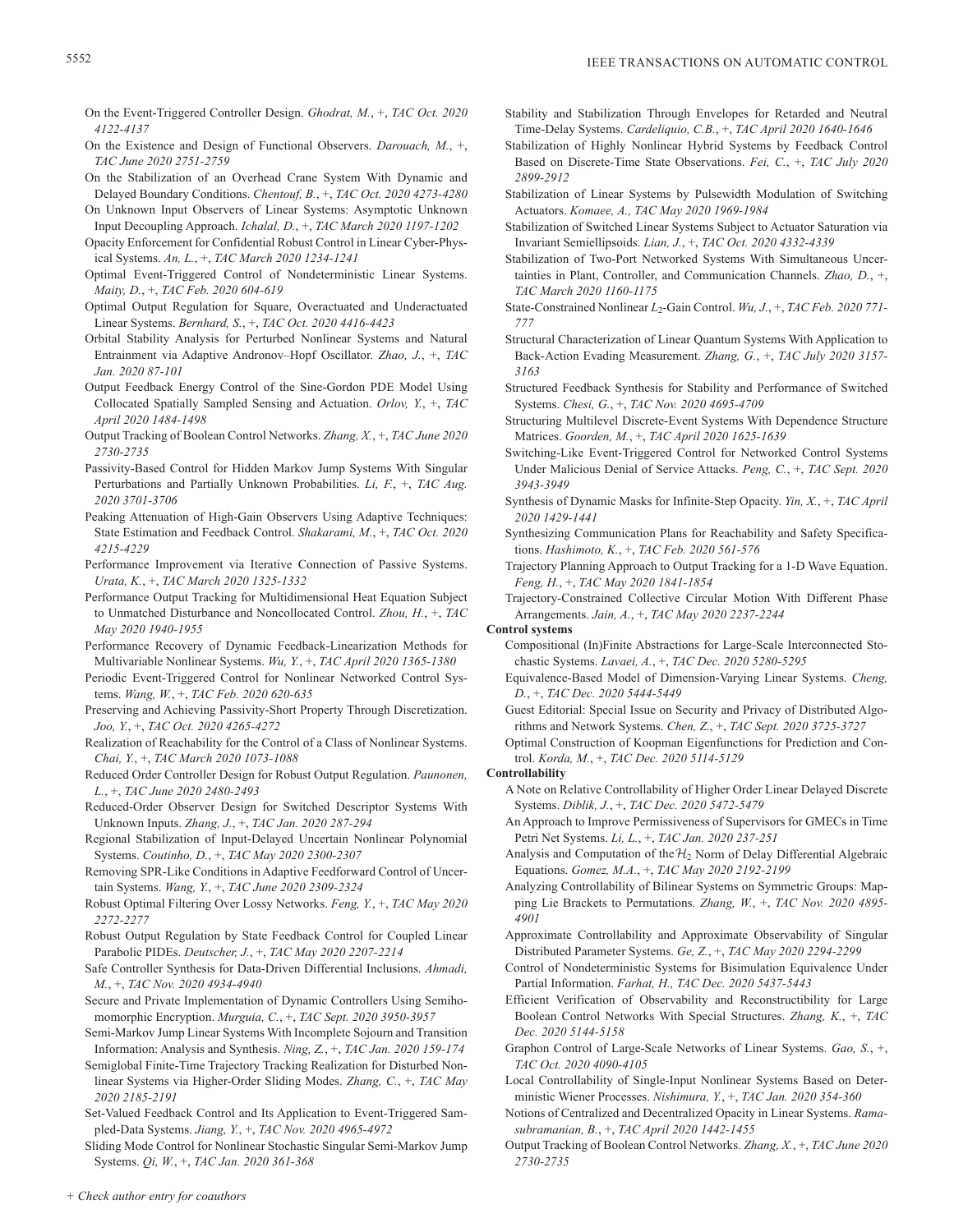- On the Event-Triggered Controller Design. *Ghodrat, M.*, +, *TAC Oct. 2020 4122-4137*
- On the Existence and Design of Functional Observers. *Darouach, M.*, +, *TAC June 2020 2751-2759*
- On the Stabilization of an Overhead Crane System With Dynamic and Delayed Boundary Conditions. *Chentouf, B.*, +, *TAC Oct. 2020 4273-4280*
- On Unknown Input Observers of Linear Systems: Asymptotic Unknown Input Decoupling Approach. *Ichalal, D.*, +, *TAC March 2020 1197-1202*
- Opacity Enforcement for Confidential Robust Control in Linear Cyber-Physical Systems. *An, L.*, +, *TAC March 2020 1234-1241*
- Optimal Event-Triggered Control of Nondeterministic Linear Systems. *Maity, D.*, +, *TAC Feb. 2020 604-619*
- Optimal Output Regulation for Square, Overactuated and Underactuated Linear Systems. *Bernhard, S.*, +, *TAC Oct. 2020 4416-4423*
- Orbital Stability Analysis for Perturbed Nonlinear Systems and Natural Entrainment via Adaptive Andronov–Hopf Oscillator. *Zhao, J.*, +, *TAC Jan. 2020 87-101*
- Output Feedback Energy Control of the Sine-Gordon PDE Model Using Collocated Spatially Sampled Sensing and Actuation. *Orlov, Y.*, +, *TAC April 2020 1484-1498*
- Output Tracking of Boolean Control Networks. *Zhang, X.*, +, *TAC June 2020 2730-2735*
- Passivity-Based Control for Hidden Markov Jump Systems With Singular Perturbations and Partially Unknown Probabilities. *Li, F.*, +, *TAC Aug. 2020 3701-3706*
- Peaking Attenuation of High-Gain Observers Using Adaptive Techniques: State Estimation and Feedback Control. *Shakarami, M.*, +, *TAC Oct. 2020 4215-4229*
- Performance Improvement via Iterative Connection of Passive Systems. *Urata, K.*, +, *TAC March 2020 1325-1332*
- Performance Output Tracking for Multidimensional Heat Equation Subject to Unmatched Disturbance and Noncollocated Control. *Zhou, H.*, +, *TAC May 2020 1940-1955*
- Performance Recovery of Dynamic Feedback-Linearization Methods for Multivariable Nonlinear Systems. *Wu, Y.*, +, *TAC April 2020 1365-1380*
- Periodic Event-Triggered Control for Nonlinear Networked Control Systems. *Wang, W.*, +, *TAC Feb. 2020 620-635*
- Preserving and Achieving Passivity-Short Property Through Discretization. *Joo, Y.*, +, *TAC Oct. 2020 4265-4272*
- Realization of Reachability for the Control of a Class of Nonlinear Systems. *Chai, Y.*, +, *TAC March 2020 1073-1088*
- Reduced Order Controller Design for Robust Output Regulation. *Paunonen, L.*, +, *TAC June 2020 2480-2493*
- Reduced-Order Observer Design for Switched Descriptor Systems With Unknown Inputs. *Zhang, J.*, +, *TAC Jan. 2020 287-294*
- Regional Stabilization of Input-Delayed Uncertain Nonlinear Polynomial Systems. *Coutinho, D.*, +, *TAC May 2020 2300-2307*
- Removing SPR-Like Conditions in Adaptive Feedforward Control of Uncertain Systems. *Wang, Y.*, +, *TAC June 2020 2309-2324*
- Robust Optimal Filtering Over Lossy Networks. *Feng, Y.*, +, *TAC May 2020 2272-2277*
- Robust Output Regulation by State Feedback Control for Coupled Linear Parabolic PIDEs. *Deutscher, J.*, +, *TAC May 2020 2207-2214*
- Safe Controller Synthesis for Data-Driven Differential Inclusions. *Ahmadi, M.*, +, *TAC Nov. 2020 4934-4940*
- Secure and Private Implementation of Dynamic Controllers Using Semihomomorphic Encryption. *Murguia, C.*, +, *TAC Sept. 2020 3950-3957*
- Semi-Markov Jump Linear Systems With Incomplete Sojourn and Transition Information: Analysis and Synthesis. *Ning, Z.*, +, *TAC Jan. 2020 159-174*
- Semiglobal Finite-Time Trajectory Tracking Realization for Disturbed Nonlinear Systems via Higher-Order Sliding Modes. *Zhang, C.*, +, *TAC May 2020 2185-2191*
- Set-Valued Feedback Control and Its Application to Event-Triggered Sampled-Data Systems. *Jiang, Y.*, +, *TAC Nov. 2020 4965-4972*

Sliding Mode Control for Nonlinear Stochastic Singular Semi-Markov Jump Systems. *Qi, W.*, +, *TAC Jan. 2020 361-368*

- Stability and Stabilization Through Envelopes for Retarded and Neutral Time-Delay Systems. *Cardeliquio, C.B.*, +, *TAC April 2020 1640-1646*
- Stabilization of Highly Nonlinear Hybrid Systems by Feedback Control Based on Discrete-Time State Observations. *Fei, C.*, +, *TAC July 2020 2899-2912*
- Stabilization of Linear Systems by Pulsewidth Modulation of Switching Actuators. *Komaee, A., TAC May 2020 1969-1984*
- Stabilization of Switched Linear Systems Subject to Actuator Saturation via Invariant Semiellipsoids. *Lian, J.*, +, *TAC Oct. 2020 4332-4339*
- Stabilization of Two-Port Networked Systems With Simultaneous Uncertainties in Plant, Controller, and Communication Channels. *Zhao, D.*, +, *TAC March 2020 1160-1175*
- State-Constrained Nonlinear *L*2-Gain Control. *Wu, J.*, +, *TAC Feb. 2020 771- 777*
- Structural Characterization of Linear Quantum Systems With Application to Back-Action Evading Measurement. *Zhang, G.*, +, *TAC July 2020 3157- 3163*
- Structured Feedback Synthesis for Stability and Performance of Switched Systems. *Chesi, G.*, +, *TAC Nov. 2020 4695-4709*
- Structuring Multilevel Discrete-Event Systems With Dependence Structure Matrices. *Goorden, M.*, +, *TAC April 2020 1625-1639*
- Switching-Like Event-Triggered Control for Networked Control Systems Under Malicious Denial of Service Attacks. *Peng, C.*, +, *TAC Sept. 2020 3943-3949*
- Synthesis of Dynamic Masks for Infinite-Step Opacity. *Yin, X.*, +, *TAC April 2020 1429-1441*
- Synthesizing Communication Plans for Reachability and Safety Specifications. *Hashimoto, K.*, +, *TAC Feb. 2020 561-576*
- Trajectory Planning Approach to Output Tracking for a 1-D Wave Equation. *Feng, H.*, +, *TAC May 2020 1841-1854*

Trajectory-Constrained Collective Circular Motion With Different Phase Arrangements. *Jain, A.*, +, *TAC May 2020 2237-2244*

**Control systems**

- Compositional (In)Finite Abstractions for Large-Scale Interconnected Stochastic Systems. *Lavaei, A.*, +, *TAC Dec. 2020 5280-5295*
- Equivalence-Based Model of Dimension-Varying Linear Systems. *Cheng, D.*, +, *TAC Dec. 2020 5444-5449*
- Guest Editorial: Special Issue on Security and Privacy of Distributed Algorithms and Network Systems. *Chen, Z.*, +, *TAC Sept. 2020 3725-3727*
- Optimal Construction of Koopman Eigenfunctions for Prediction and Control. *Korda, M.*, +, *TAC Dec. 2020 5114-5129*

# **Controllability**

- A Note on Relative Controllability of Higher Order Linear Delayed Discrete Systems. *Diblik, J.*, +, *TAC Dec. 2020 5472-5479*
- An Approach to Improve Permissiveness of Supervisors for GMECs in Time Petri Net Systems. *Li, L.*, +, *TAC Jan. 2020 237-251*
- Analysis and Computation of the  $H_2$  Norm of Delay Differential Algebraic Equations. *Gomez, M.A.*, +, *TAC May 2020 2192-2199*
- Analyzing Controllability of Bilinear Systems on Symmetric Groups: Mapping Lie Brackets to Permutations. *Zhang, W.*, +, *TAC Nov. 2020 4895- 4901*
- Approximate Controllability and Approximate Observability of Singular Distributed Parameter Systems. *Ge, Z.*, +, *TAC May 2020 2294-2299*
- Control of Nondeterministic Systems for Bisimulation Equivalence Under Partial Information. *Farhat, H., TAC Dec. 2020 5437-5443*
- Efficient Verification of Observability and Reconstructibility for Large Boolean Control Networks With Special Structures. *Zhang, K.*, +, *TAC Dec. 2020 5144-5158*
- Graphon Control of Large-Scale Networks of Linear Systems. *Gao, S.*, +, *TAC Oct. 2020 4090-4105*
- Local Controllability of Single-Input Nonlinear Systems Based on Deterministic Wiener Processes. *Nishimura, Y.*, +, *TAC Jan. 2020 354-360*
- Notions of Centralized and Decentralized Opacity in Linear Systems. *Ramasubramanian, B.*, +, *TAC April 2020 1442-1455*
- Output Tracking of Boolean Control Networks. *Zhang, X.*, +, *TAC June 2020 2730-2735*

*+ Check author entry for coauthors*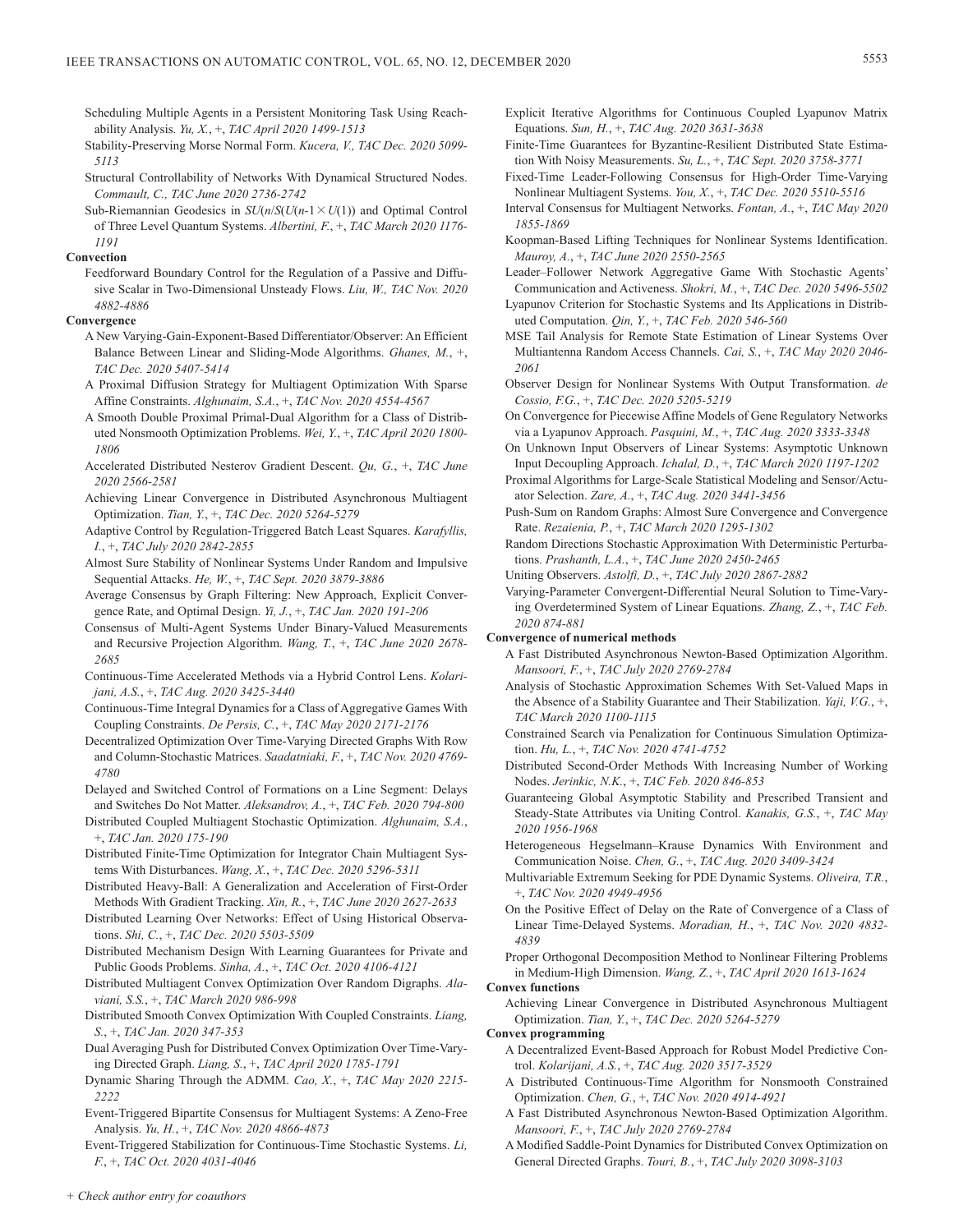- Scheduling Multiple Agents in a Persistent Monitoring Task Using Reachability Analysis. *Yu, X.*, +, *TAC April 2020 1499-1513*
- Stability-Preserving Morse Normal Form. *Kucera, V., TAC Dec. 2020 5099- 5113*
- Structural Controllability of Networks With Dynamical Structured Nodes. *Commault, C., TAC June 2020 2736-2742*
- Sub-Riemannian Geodesics in  $SU(n/S(U(n-1 \times U(1)))$  and Optimal Control of Three Level Quantum Systems. *Albertini, F.*, +, *TAC March 2020 1176- 1191*

# **Convection**

Feedforward Boundary Control for the Regulation of a Passive and Diffusive Scalar in Two-Dimensional Unsteady Flows. *Liu, W., TAC Nov. 2020 4882-4886*

# **Convergence**

- A New Varying-Gain-Exponent-Based Differentiator/Observer: An Efficient Balance Between Linear and Sliding-Mode Algorithms. *Ghanes, M.*, +, *TAC Dec. 2020 5407-5414*
- A Proximal Diffusion Strategy for Multiagent Optimization With Sparse Affine Constraints. *Alghunaim, S.A.*, +, *TAC Nov. 2020 4554-4567*
- A Smooth Double Proximal Primal-Dual Algorithm for a Class of Distributed Nonsmooth Optimization Problems. *Wei, Y.*, +, *TAC April 2020 1800- 1806*
- Accelerated Distributed Nesterov Gradient Descent. *Qu, G.*, +, *TAC June 2020 2566-2581*
- Achieving Linear Convergence in Distributed Asynchronous Multiagent Optimization. *Tian, Y.*, +, *TAC Dec. 2020 5264-5279*
- Adaptive Control by Regulation-Triggered Batch Least Squares. *Karafyllis, I.*, +, *TAC July 2020 2842-2855*
- Almost Sure Stability of Nonlinear Systems Under Random and Impulsive Sequential Attacks. *He, W.*, +, *TAC Sept. 2020 3879-3886*
- Average Consensus by Graph Filtering: New Approach, Explicit Convergence Rate, and Optimal Design. *Yi, J.*, +, *TAC Jan. 2020 191-206*
- Consensus of Multi-Agent Systems Under Binary-Valued Measurements and Recursive Projection Algorithm. *Wang, T.*, +, *TAC June 2020 2678- 2685*
- Continuous-Time Accelerated Methods via a Hybrid Control Lens. *Kolarijani, A.S.*, +, *TAC Aug. 2020 3425-3440*
- Continuous-Time Integral Dynamics for a Class of Aggregative Games With Coupling Constraints. *De Persis, C.*, +, *TAC May 2020 2171-2176*
- Decentralized Optimization Over Time-Varying Directed Graphs With Row and Column-Stochastic Matrices. *Saadatniaki, F.*, +, *TAC Nov. 2020 4769- 4780*
- Delayed and Switched Control of Formations on a Line Segment: Delays and Switches Do Not Matter. *Aleksandrov, A.*, +, *TAC Feb. 2020 794-800*
- Distributed Coupled Multiagent Stochastic Optimization. *Alghunaim, S.A.*, +, *TAC Jan. 2020 175-190*
- Distributed Finite-Time Optimization for Integrator Chain Multiagent Systems With Disturbances. *Wang, X.*, +, *TAC Dec. 2020 5296-5311*
- Distributed Heavy-Ball: A Generalization and Acceleration of First-Order Methods With Gradient Tracking. *Xin, R.*, +, *TAC June 2020 2627-2633*
- Distributed Learning Over Networks: Effect of Using Historical Observations. *Shi, C.*, +, *TAC Dec. 2020 5503-5509*
- Distributed Mechanism Design With Learning Guarantees for Private and Public Goods Problems. *Sinha, A.*, +, *TAC Oct. 2020 4106-4121*
- Distributed Multiagent Convex Optimization Over Random Digraphs. *Alaviani, S.S.*, +, *TAC March 2020 986-998*
- Distributed Smooth Convex Optimization With Coupled Constraints. *Liang, S.*, +, *TAC Jan. 2020 347-353*
- Dual Averaging Push for Distributed Convex Optimization Over Time-Varying Directed Graph. *Liang, S.*, +, *TAC April 2020 1785-1791*
- Dynamic Sharing Through the ADMM. *Cao, X.*, +, *TAC May 2020 2215- 2222*
- Event-Triggered Bipartite Consensus for Multiagent Systems: A Zeno-Free Analysis. *Yu, H.*, +, *TAC Nov. 2020 4866-4873*

Event-Triggered Stabilization for Continuous-Time Stochastic Systems. *Li, F.*, +, *TAC Oct. 2020 4031-4046*

- Explicit Iterative Algorithms for Continuous Coupled Lyapunov Matrix Equations. *Sun, H.*, +, *TAC Aug. 2020 3631-3638*
- Finite-Time Guarantees for Byzantine-Resilient Distributed State Estimation With Noisy Measurements. *Su, L.*, +, *TAC Sept. 2020 3758-3771*
- Fixed-Time Leader-Following Consensus for High-Order Time-Varying Nonlinear Multiagent Systems. *You, X.*, +, *TAC Dec. 2020 5510-5516*
- Interval Consensus for Multiagent Networks. *Fontan, A.*, +, *TAC May 2020 1855-1869*
- Koopman-Based Lifting Techniques for Nonlinear Systems Identification. *Mauroy, A.*, +, *TAC June 2020 2550-2565*

Leader–Follower Network Aggregative Game With Stochastic Agents' Communication and Activeness. *Shokri, M.*, +, *TAC Dec. 2020 5496-5502*

- Lyapunov Criterion for Stochastic Systems and Its Applications in Distributed Computation. *Qin, Y.*, +, *TAC Feb. 2020 546-560*
- MSE Tail Analysis for Remote State Estimation of Linear Systems Over Multiantenna Random Access Channels. *Cai, S.*, +, *TAC May 2020 2046- 2061*
- Observer Design for Nonlinear Systems With Output Transformation. *de Cossio, F.G.*, +, *TAC Dec. 2020 5205-5219*
- On Convergence for Piecewise Affine Models of Gene Regulatory Networks via a Lyapunov Approach. *Pasquini, M.*, +, *TAC Aug. 2020 3333-3348*
- On Unknown Input Observers of Linear Systems: Asymptotic Unknown Input Decoupling Approach. *Ichalal, D.*, +, *TAC March 2020 1197-1202*
- Proximal Algorithms for Large-Scale Statistical Modeling and Sensor/Actuator Selection. *Zare, A.*, +, *TAC Aug. 2020 3441-3456*
- Push-Sum on Random Graphs: Almost Sure Convergence and Convergence Rate. *Rezaienia, P.*, +, *TAC March 2020 1295-1302*
- Random Directions Stochastic Approximation With Deterministic Perturbations. *Prashanth, L.A.*, +, *TAC June 2020 2450-2465*
- Uniting Observers. *Astolfi, D.*, +, *TAC July 2020 2867-2882*
- Varying-Parameter Convergent-Differential Neural Solution to Time-Varying Overdetermined System of Linear Equations. *Zhang, Z.*, +, *TAC Feb. 2020 874-881*

# **Convergence of numerical methods**

- A Fast Distributed Asynchronous Newton-Based Optimization Algorithm. *Mansoori, F.*, +, *TAC July 2020 2769-2784*
- Analysis of Stochastic Approximation Schemes With Set-Valued Maps in the Absence of a Stability Guarantee and Their Stabilization. *Yaji, V.G.*, +, *TAC March 2020 1100-1115*
- Constrained Search via Penalization for Continuous Simulation Optimization. *Hu, L.*, +, *TAC Nov. 2020 4741-4752*
- Distributed Second-Order Methods With Increasing Number of Working Nodes. *Jerinkic, N.K.*, +, *TAC Feb. 2020 846-853*
- Guaranteeing Global Asymptotic Stability and Prescribed Transient and Steady-State Attributes via Uniting Control. *Kanakis, G.S.*, +, *TAC May 2020 1956-1968*
- Heterogeneous Hegselmann–Krause Dynamics With Environment and Communication Noise. *Chen, G.*, +, *TAC Aug. 2020 3409-3424*
- Multivariable Extremum Seeking for PDE Dynamic Systems. *Oliveira, T.R.*, +, *TAC Nov. 2020 4949-4956*
- On the Positive Effect of Delay on the Rate of Convergence of a Class of Linear Time-Delayed Systems. *Moradian, H.*, +, *TAC Nov. 2020 4832- 4839*

Proper Orthogonal Decomposition Method to Nonlinear Filtering Problems in Medium-High Dimension. *Wang, Z.*, +, *TAC April 2020 1613-1624*

### **Convex functions**

Achieving Linear Convergence in Distributed Asynchronous Multiagent Optimization. *Tian, Y.*, +, *TAC Dec. 2020 5264-5279*

### **Convex programming**

- A Decentralized Event-Based Approach for Robust Model Predictive Control. *Kolarijani, A.S.*, +, *TAC Aug. 2020 3517-3529*
- A Distributed Continuous-Time Algorithm for Nonsmooth Constrained Optimization. *Chen, G.*, +, *TAC Nov. 2020 4914-4921*
- A Fast Distributed Asynchronous Newton-Based Optimization Algorithm. *Mansoori, F.*, +, *TAC July 2020 2769-2784*
- A Modified Saddle-Point Dynamics for Distributed Convex Optimization on General Directed Graphs. *Touri, B.*, +, *TAC July 2020 3098-3103*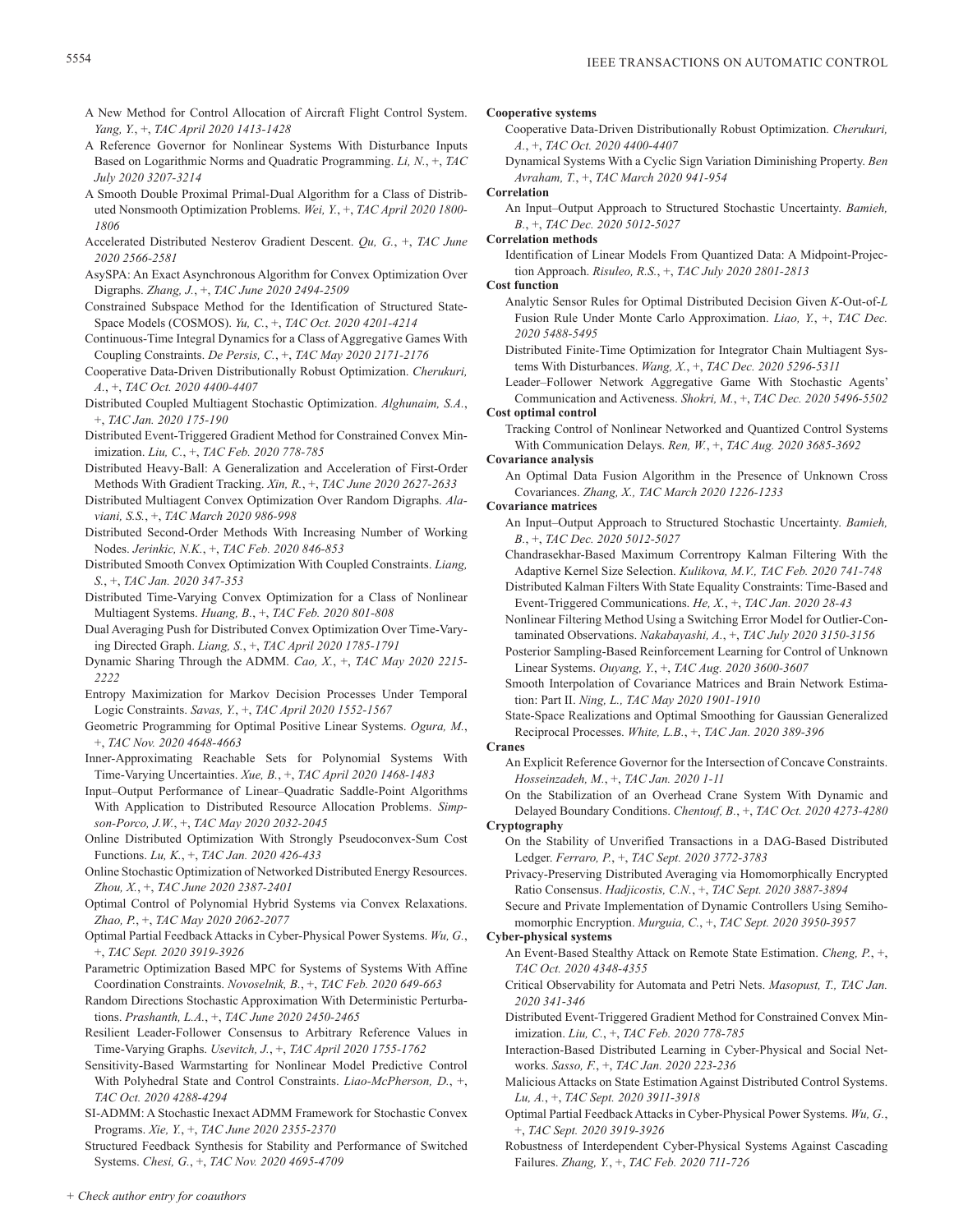- A New Method for Control Allocation of Aircraft Flight Control System. *Yang, Y.*, +, *TAC April 2020 1413-1428*
- A Reference Governor for Nonlinear Systems With Disturbance Inputs Based on Logarithmic Norms and Quadratic Programming. *Li, N.*, +, *TAC July 2020 3207-3214*
- A Smooth Double Proximal Primal-Dual Algorithm for a Class of Distributed Nonsmooth Optimization Problems. *Wei, Y.*, +, *TAC April 2020 1800- 1806*
- Accelerated Distributed Nesterov Gradient Descent. *Qu, G.*, +, *TAC June 2020 2566-2581*
- AsySPA: An Exact Asynchronous Algorithm for Convex Optimization Over Digraphs. *Zhang, J.*, +, *TAC June 2020 2494-2509*
- Constrained Subspace Method for the Identification of Structured State-Space Models (COSMOS). *Yu, C.*, +, *TAC Oct. 2020 4201-4214*
- Continuous-Time Integral Dynamics for a Class of Aggregative Games With Coupling Constraints. *De Persis, C.*, +, *TAC May 2020 2171-2176*
- Cooperative Data-Driven Distributionally Robust Optimization. *Cherukuri, A.*, +, *TAC Oct. 2020 4400-4407*
- Distributed Coupled Multiagent Stochastic Optimization. *Alghunaim, S.A.*, +, *TAC Jan. 2020 175-190*
- Distributed Event-Triggered Gradient Method for Constrained Convex Minimization. *Liu, C.*, +, *TAC Feb. 2020 778-785*
- Distributed Heavy-Ball: A Generalization and Acceleration of First-Order Methods With Gradient Tracking. *Xin, R.*, +, *TAC June 2020 2627-2633*
- Distributed Multiagent Convex Optimization Over Random Digraphs. *Alaviani, S.S.*, +, *TAC March 2020 986-998*
- Distributed Second-Order Methods With Increasing Number of Working Nodes. *Jerinkic, N.K.*, +, *TAC Feb. 2020 846-853*
- Distributed Smooth Convex Optimization With Coupled Constraints. *Liang, S.*, +, *TAC Jan. 2020 347-353*
- Distributed Time-Varying Convex Optimization for a Class of Nonlinear Multiagent Systems. *Huang, B.*, +, *TAC Feb. 2020 801-808*
- Dual Averaging Push for Distributed Convex Optimization Over Time-Varying Directed Graph. *Liang, S.*, +, *TAC April 2020 1785-1791*
- Dynamic Sharing Through the ADMM. *Cao, X.*, +, *TAC May 2020 2215- 2222*
- Entropy Maximization for Markov Decision Processes Under Temporal Logic Constraints. *Savas, Y.*, +, *TAC April 2020 1552-1567*
- Geometric Programming for Optimal Positive Linear Systems. *Ogura, M.*, +, *TAC Nov. 2020 4648-4663*
- Inner-Approximating Reachable Sets for Polynomial Systems With Time-Varying Uncertainties. *Xue, B.*, +, *TAC April 2020 1468-1483*
- Input–Output Performance of Linear–Quadratic Saddle-Point Algorithms With Application to Distributed Resource Allocation Problems. *Simpson-Porco, J.W.*, +, *TAC May 2020 2032-2045*
- Online Distributed Optimization With Strongly Pseudoconvex-Sum Cost Functions. *Lu, K.*, +, *TAC Jan. 2020 426-433*
- Online Stochastic Optimization of Networked Distributed Energy Resources. *Zhou, X.*, +, *TAC June 2020 2387-2401*
- Optimal Control of Polynomial Hybrid Systems via Convex Relaxations. *Zhao, P.*, +, *TAC May 2020 2062-2077*
- Optimal Partial Feedback Attacks in Cyber-Physical Power Systems. *Wu, G.*, +, *TAC Sept. 2020 3919-3926*
- Parametric Optimization Based MPC for Systems of Systems With Affine Coordination Constraints. *Novoselnik, B.*, +, *TAC Feb. 2020 649-663*
- Random Directions Stochastic Approximation With Deterministic Perturbations. *Prashanth, L.A.*, +, *TAC June 2020 2450-2465*
- Resilient Leader-Follower Consensus to Arbitrary Reference Values in Time-Varying Graphs. *Usevitch, J.*, +, *TAC April 2020 1755-1762*
- Sensitivity-Based Warmstarting for Nonlinear Model Predictive Control With Polyhedral State and Control Constraints. *Liao-McPherson, D.*, +, *TAC Oct. 2020 4288-4294*
- SI-ADMM: A Stochastic Inexact ADMM Framework for Stochastic Convex Programs. *Xie, Y.*, +, *TAC June 2020 2355-2370*

Structured Feedback Synthesis for Stability and Performance of Switched Systems. *Chesi, G.*, +, *TAC Nov. 2020 4695-4709*

# **Cooperative systems**

- Cooperative Data-Driven Distributionally Robust Optimization. *Cherukuri, A.*, +, *TAC Oct. 2020 4400-4407*
- Dynamical Systems With a Cyclic Sign Variation Diminishing Property. *Ben Avraham, T.*, +, *TAC March 2020 941-954*

# **Correlation**

An Input–Output Approach to Structured Stochastic Uncertainty. *Bamieh, B.*, +, *TAC Dec. 2020 5012-5027*

**Correlation methods**

Identification of Linear Models From Quantized Data: A Midpoint-Projection Approach. *Risuleo, R.S.*, +, *TAC July 2020 2801-2813*

**Cost function**

- Analytic Sensor Rules for Optimal Distributed Decision Given *K*-Out-of-*L* Fusion Rule Under Monte Carlo Approximation. *Liao, Y.*, +, *TAC Dec. 2020 5488-5495*
- Distributed Finite-Time Optimization for Integrator Chain Multiagent Systems With Disturbances. *Wang, X.*, +, *TAC Dec. 2020 5296-5311*
- Leader–Follower Network Aggregative Game With Stochastic Agents' Communication and Activeness. *Shokri, M.*, +, *TAC Dec. 2020 5496-5502*

**Cost optimal control**

Tracking Control of Nonlinear Networked and Quantized Control Systems With Communication Delays. *Ren, W.*, +, *TAC Aug. 2020 3685-3692*

**Covariance analysis**

An Optimal Data Fusion Algorithm in the Presence of Unknown Cross Covariances. *Zhang, X., TAC March 2020 1226-1233*

**Covariance matrices**

- An Input–Output Approach to Structured Stochastic Uncertainty. *Bamieh, B.*, +, *TAC Dec. 2020 5012-5027*
- Chandrasekhar-Based Maximum Correntropy Kalman Filtering With the Adaptive Kernel Size Selection. *Kulikova, M.V., TAC Feb. 2020 741-748*
- Distributed Kalman Filters With State Equality Constraints: Time-Based and Event-Triggered Communications. *He, X.*, +, *TAC Jan. 2020 28-43*
- Nonlinear Filtering Method Using a Switching Error Model for Outlier-Contaminated Observations. *Nakabayashi, A.*, +, *TAC July 2020 3150-3156*
- Posterior Sampling-Based Reinforcement Learning for Control of Unknown Linear Systems. *Ouyang, Y.*, +, *TAC Aug. 2020 3600-3607*
- Smooth Interpolation of Covariance Matrices and Brain Network Estimation: Part II. *Ning, L., TAC May 2020 1901-1910*
- State-Space Realizations and Optimal Smoothing for Gaussian Generalized Reciprocal Processes. *White, L.B.*, +, *TAC Jan. 2020 389-396*
- **Cranes**
	- An Explicit Reference Governor for the Intersection of Concave Constraints. *Hosseinzadeh, M.*, +, *TAC Jan. 2020 1-11*
- On the Stabilization of an Overhead Crane System With Dynamic and Delayed Boundary Conditions. *Chentouf, B.*, +, *TAC Oct. 2020 4273-4280* **Cryptography**
	- On the Stability of Unverified Transactions in a DAG-Based Distributed Ledger. *Ferraro, P.*, +, *TAC Sept. 2020 3772-3783*
	- Privacy-Preserving Distributed Averaging via Homomorphically Encrypted Ratio Consensus. *Hadjicostis, C.N.*, +, *TAC Sept. 2020 3887-3894*
	- Secure and Private Implementation of Dynamic Controllers Using Semihomomorphic Encryption. *Murguia, C.*, +, *TAC Sept. 2020 3950-3957*

# **Cyber-physical systems**

- An Event-Based Stealthy Attack on Remote State Estimation. *Cheng, P.*, +, *TAC Oct. 2020 4348-4355*
- Critical Observability for Automata and Petri Nets. *Masopust, T., TAC Jan. 2020 341-346*
- Distributed Event-Triggered Gradient Method for Constrained Convex Minimization. *Liu, C.*, +, *TAC Feb. 2020 778-785*
- Interaction-Based Distributed Learning in Cyber-Physical and Social Networks. *Sasso, F.*, +, *TAC Jan. 2020 223-236*
- Malicious Attacks on State Estimation Against Distributed Control Systems. *Lu, A.*, +, *TAC Sept. 2020 3911-3918*
- Optimal Partial Feedback Attacks in Cyber-Physical Power Systems. *Wu, G.*, +, *TAC Sept. 2020 3919-3926*
- Robustness of Interdependent Cyber-Physical Systems Against Cascading Failures. *Zhang, Y.*, +, *TAC Feb. 2020 711-726*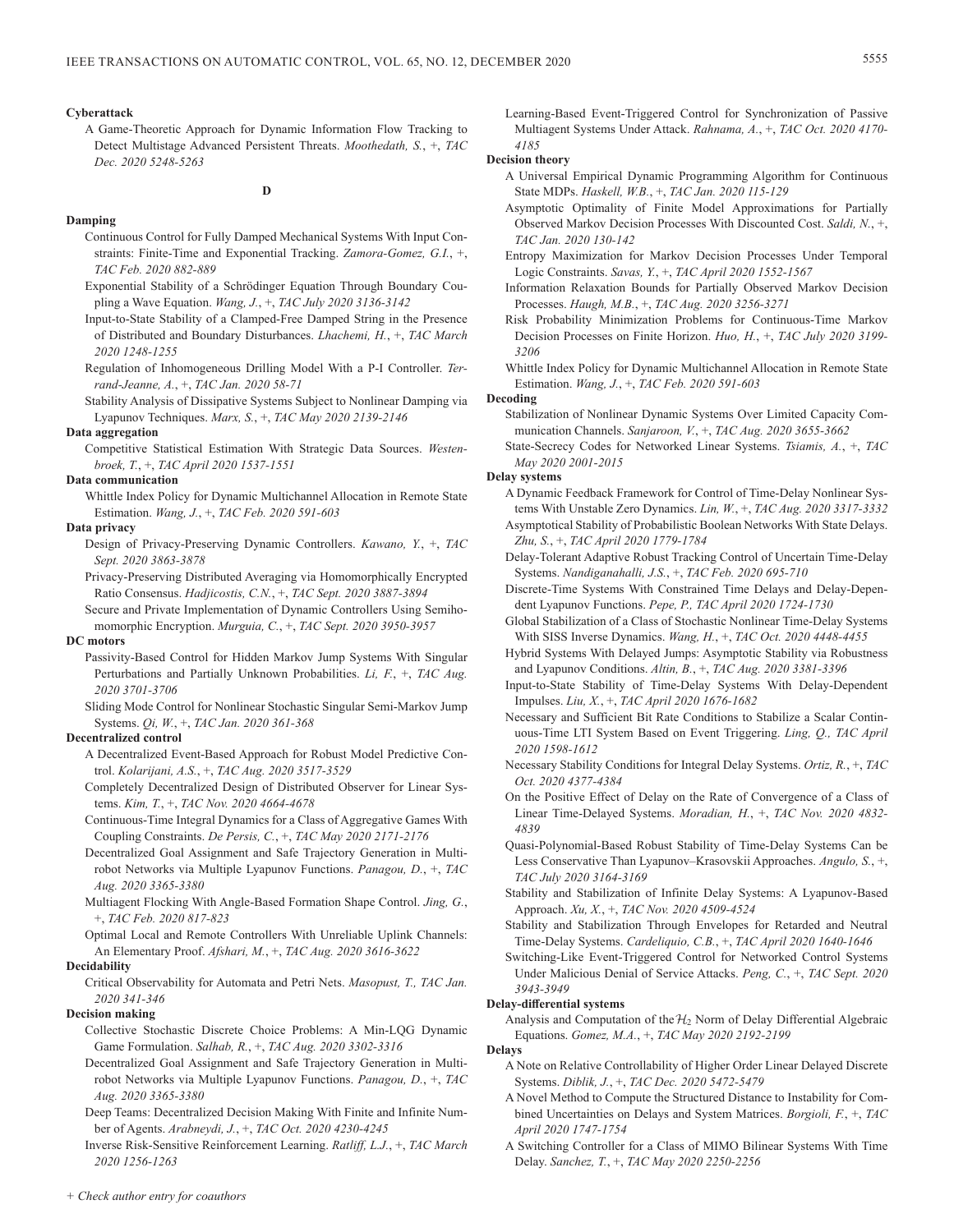# **Cyberattack**

A Game-Theoretic Approach for Dynamic Information Flow Tracking to Detect Multistage Advanced Persistent Threats. *Moothedath, S.*, +, *TAC Dec. 2020 5248-5263*

# **D**

# **Damping**

- Continuous Control for Fully Damped Mechanical Systems With Input Constraints: Finite-Time and Exponential Tracking. *Zamora-Gomez, G.I.*, +, *TAC Feb. 2020 882-889*
- Exponential Stability of a Schrödinger Equation Through Boundary Coupling a Wave Equation. *Wang, J.*, +, *TAC July 2020 3136-3142*
- Input-to-State Stability of a Clamped-Free Damped String in the Presence of Distributed and Boundary Disturbances. *Lhachemi, H.*, +, *TAC March 2020 1248-1255*
- Regulation of Inhomogeneous Drilling Model With a P-I Controller. *Terrand-Jeanne, A.*, +, *TAC Jan. 2020 58-71*
- Stability Analysis of Dissipative Systems Subject to Nonlinear Damping via Lyapunov Techniques. *Marx, S.*, +, *TAC May 2020 2139-2146*

### **Data aggregation**

Competitive Statistical Estimation With Strategic Data Sources. *Westenbroek, T.*, +, *TAC April 2020 1537-1551*

# **Data communication**

Whittle Index Policy for Dynamic Multichannel Allocation in Remote State Estimation. *Wang, J.*, +, *TAC Feb. 2020 591-603*

### **Data privacy**

- Design of Privacy-Preserving Dynamic Controllers. *Kawano, Y.*, +, *TAC Sept. 2020 3863-3878*
- Privacy-Preserving Distributed Averaging via Homomorphically Encrypted Ratio Consensus. *Hadjicostis, C.N.*, +, *TAC Sept. 2020 3887-3894*
- Secure and Private Implementation of Dynamic Controllers Using Semihomomorphic Encryption. *Murguia, C.*, +, *TAC Sept. 2020 3950-3957*

# **DC motors**

- Passivity-Based Control for Hidden Markov Jump Systems With Singular Perturbations and Partially Unknown Probabilities. *Li, F.*, +, *TAC Aug. 2020 3701-3706*
- Sliding Mode Control for Nonlinear Stochastic Singular Semi-Markov Jump Systems. *Qi, W.*, +, *TAC Jan. 2020 361-368*

### **Decentralized control**

- A Decentralized Event-Based Approach for Robust Model Predictive Control. *Kolarijani, A.S.*, +, *TAC Aug. 2020 3517-3529*
- Completely Decentralized Design of Distributed Observer for Linear Systems. *Kim, T.*, +, *TAC Nov. 2020 4664-4678*
- Continuous-Time Integral Dynamics for a Class of Aggregative Games With Coupling Constraints. *De Persis, C.*, +, *TAC May 2020 2171-2176*
- Decentralized Goal Assignment and Safe Trajectory Generation in Multirobot Networks via Multiple Lyapunov Functions. *Panagou, D.*, +, *TAC Aug. 2020 3365-3380*
- Multiagent Flocking With Angle-Based Formation Shape Control. *Jing, G.*, +, *TAC Feb. 2020 817-823*
- Optimal Local and Remote Controllers With Unreliable Uplink Channels: An Elementary Proof. *Afshari, M.*, +, *TAC Aug. 2020 3616-3622*

### **Decidability**

Critical Observability for Automata and Petri Nets. *Masopust, T., TAC Jan. 2020 341-346*

# **Decision making**

- Collective Stochastic Discrete Choice Problems: A Min-LQG Dynamic Game Formulation. *Salhab, R.*, +, *TAC Aug. 2020 3302-3316*
- Decentralized Goal Assignment and Safe Trajectory Generation in Multirobot Networks via Multiple Lyapunov Functions. *Panagou, D.*, +, *TAC Aug. 2020 3365-3380*
- Deep Teams: Decentralized Decision Making With Finite and Infinite Number of Agents. *Arabneydi, J.*, +, *TAC Oct. 2020 4230-4245*

Inverse Risk-Sensitive Reinforcement Learning. *Ratliff, L.J.*, +, *TAC March 2020 1256-1263*

Learning-Based Event-Triggered Control for Synchronization of Passive Multiagent Systems Under Attack. *Rahnama, A.*, +, *TAC Oct. 2020 4170- 4185*

### **Decision theory**

- A Universal Empirical Dynamic Programming Algorithm for Continuous State MDPs. *Haskell, W.B.*, +, *TAC Jan. 2020 115-129*
- Asymptotic Optimality of Finite Model Approximations for Partially Observed Markov Decision Processes With Discounted Cost. *Saldi, N.*, +, *TAC Jan. 2020 130-142*
- Entropy Maximization for Markov Decision Processes Under Temporal Logic Constraints. *Savas, Y.*, +, *TAC April 2020 1552-1567*
- Information Relaxation Bounds for Partially Observed Markov Decision Processes. *Haugh, M.B.*, +, *TAC Aug. 2020 3256-3271*
- Risk Probability Minimization Problems for Continuous-Time Markov Decision Processes on Finite Horizon. *Huo, H.*, +, *TAC July 2020 3199- 3206*
- Whittle Index Policy for Dynamic Multichannel Allocation in Remote State Estimation. *Wang, J.*, +, *TAC Feb. 2020 591-603*

# **Decoding**

- Stabilization of Nonlinear Dynamic Systems Over Limited Capacity Communication Channels. *Sanjaroon, V.*, +, *TAC Aug. 2020 3655-3662*
- State-Secrecy Codes for Networked Linear Systems. *Tsiamis, A.*, +, *TAC May 2020 2001-2015*

# **Delay systems**

- A Dynamic Feedback Framework for Control of Time-Delay Nonlinear Systems With Unstable Zero Dynamics. *Lin, W.*, +, *TAC Aug. 2020 3317-3332* Asymptotical Stability of Probabilistic Boolean Networks With State Delays.
- *Zhu, S.*, +, *TAC April 2020 1779-1784* Delay-Tolerant Adaptive Robust Tracking Control of Uncertain Time-Delay Systems. *Nandiganahalli, J.S.*, +, *TAC Feb. 2020 695-710*
- Discrete-Time Systems With Constrained Time Delays and Delay-Dependent Lyapunov Functions. *Pepe, P., TAC April 2020 1724-1730*
- Global Stabilization of a Class of Stochastic Nonlinear Time-Delay Systems With SISS Inverse Dynamics. *Wang, H.*, +, *TAC Oct. 2020 4448-4455*
- Hybrid Systems With Delayed Jumps: Asymptotic Stability via Robustness and Lyapunov Conditions. *Altin, B.*, +, *TAC Aug. 2020 3381-3396*
- Input-to-State Stability of Time-Delay Systems With Delay-Dependent Impulses. *Liu, X.*, +, *TAC April 2020 1676-1682*
- Necessary and Sufficient Bit Rate Conditions to Stabilize a Scalar Continuous-Time LTI System Based on Event Triggering. *Ling, Q., TAC April 2020 1598-1612*
- Necessary Stability Conditions for Integral Delay Systems. *Ortiz, R.*, +, *TAC Oct. 2020 4377-4384*
- On the Positive Effect of Delay on the Rate of Convergence of a Class of Linear Time-Delayed Systems. *Moradian, H.*, +, *TAC Nov. 2020 4832- 4839*
- Quasi-Polynomial-Based Robust Stability of Time-Delay Systems Can be Less Conservative Than Lyapunov–Krasovskii Approaches. *Angulo, S.*, +, *TAC July 2020 3164-3169*
- Stability and Stabilization of Infinite Delay Systems: A Lyapunov-Based Approach. *Xu, X.*, +, *TAC Nov. 2020 4509-4524*
- Stability and Stabilization Through Envelopes for Retarded and Neutral Time-Delay Systems. *Cardeliquio, C.B.*, +, *TAC April 2020 1640-1646*
- Switching-Like Event-Triggered Control for Networked Control Systems Under Malicious Denial of Service Attacks. *Peng, C.*, +, *TAC Sept. 2020 3943-3949*

# **Delay-differential systems**

Analysis and Computation of the  $\mathcal{H}_2$  Norm of Delay Differential Algebraic Equations. *Gomez, M.A.*, +, *TAC May 2020 2192-2199*

**Delays**

- A Note on Relative Controllability of Higher Order Linear Delayed Discrete Systems. *Diblik, J.*, +, *TAC Dec. 2020 5472-5479*
- A Novel Method to Compute the Structured Distance to Instability for Combined Uncertainties on Delays and System Matrices. *Borgioli, F.*, +, *TAC April 2020 1747-1754*
- A Switching Controller for a Class of MIMO Bilinear Systems With Time Delay. *Sanchez, T.*, +, *TAC May 2020 2250-2256*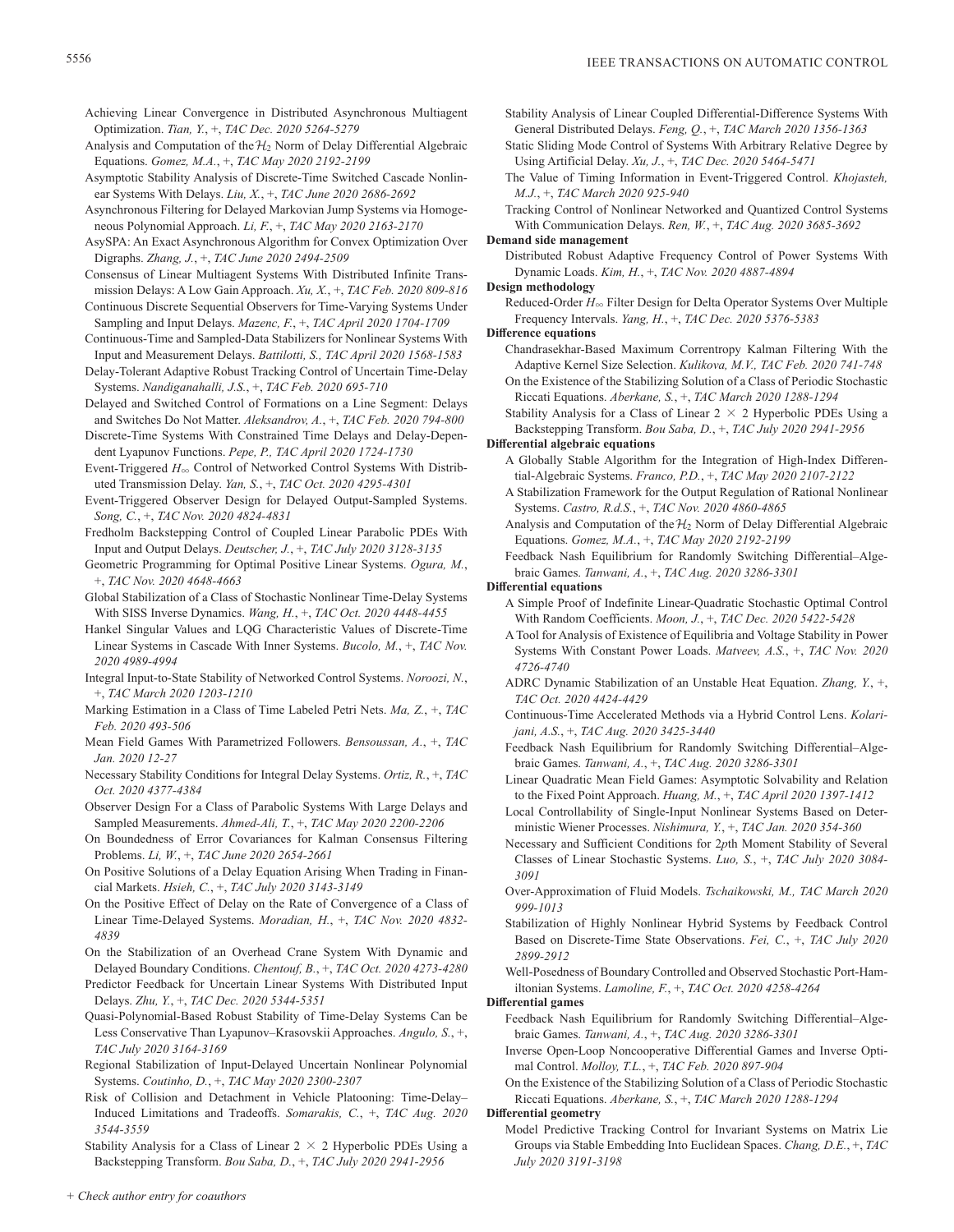Achieving Linear Convergence in Distributed Asynchronous Multiagent Optimization. *Tian, Y.*, +, *TAC Dec. 2020 5264-5279*

- Analysis and Computation of the  $\mathcal{H}_2$  Norm of Delay Differential Algebraic Equations. *Gomez, M.A.*, +, *TAC May 2020 2192-2199*
- Asymptotic Stability Analysis of Discrete-Time Switched Cascade Nonlinear Systems With Delays. *Liu, X.*, +, *TAC June 2020 2686-2692*
- Asynchronous Filtering for Delayed Markovian Jump Systems via Homogeneous Polynomial Approach. *Li, F.*, +, *TAC May 2020 2163-2170*
- AsySPA: An Exact Asynchronous Algorithm for Convex Optimization Over Digraphs. *Zhang, J.*, +, *TAC June 2020 2494-2509*

Consensus of Linear Multiagent Systems With Distributed Infinite Transmission Delays: A Low Gain Approach. *Xu, X.*, +, *TAC Feb. 2020 809-816*

Continuous Discrete Sequential Observers for Time-Varying Systems Under Sampling and Input Delays. *Mazenc, F.*, +, *TAC April 2020 1704-1709*

Continuous-Time and Sampled-Data Stabilizers for Nonlinear Systems With Input and Measurement Delays. *Battilotti, S., TAC April 2020 1568-1583*

Delay-Tolerant Adaptive Robust Tracking Control of Uncertain Time-Delay Systems. *Nandiganahalli, J.S.*, +, *TAC Feb. 2020 695-710*

Delayed and Switched Control of Formations on a Line Segment: Delays and Switches Do Not Matter. *Aleksandrov, A.*, +, *TAC Feb. 2020 794-800*

Discrete-Time Systems With Constrained Time Delays and Delay-Dependent Lyapunov Functions. *Pepe, P., TAC April 2020 1724-1730*

- Event-Triggered  $H_{\infty}$  Control of Networked Control Systems With Distributed Transmission Delay. *Yan, S.*, +, *TAC Oct. 2020 4295-4301*
- Event-Triggered Observer Design for Delayed Output-Sampled Systems. *Song, C.*, +, *TAC Nov. 2020 4824-4831*
- Fredholm Backstepping Control of Coupled Linear Parabolic PDEs With Input and Output Delays. *Deutscher, J.*, +, *TAC July 2020 3128-3135*
- Geometric Programming for Optimal Positive Linear Systems. *Ogura, M.*, +, *TAC Nov. 2020 4648-4663*
- Global Stabilization of a Class of Stochastic Nonlinear Time-Delay Systems With SISS Inverse Dynamics. *Wang, H.*, +, *TAC Oct. 2020 4448-4455*

Hankel Singular Values and LQG Characteristic Values of Discrete-Time Linear Systems in Cascade With Inner Systems. *Bucolo, M.*, +, *TAC Nov. 2020 4989-4994*

Integral Input-to-State Stability of Networked Control Systems. *Noroozi, N.*, +, *TAC March 2020 1203-1210*

Marking Estimation in a Class of Time Labeled Petri Nets. *Ma, Z.*, +, *TAC Feb. 2020 493-506*

- Mean Field Games With Parametrized Followers. *Bensoussan, A.*, +, *TAC Jan. 2020 12-27*
- Necessary Stability Conditions for Integral Delay Systems. *Ortiz, R.*, +, *TAC Oct. 2020 4377-4384*
- Observer Design For a Class of Parabolic Systems With Large Delays and Sampled Measurements. *Ahmed-Ali, T.*, +, *TAC May 2020 2200-2206*

On Boundedness of Error Covariances for Kalman Consensus Filtering Problems. *Li, W.*, +, *TAC June 2020 2654-2661*

On Positive Solutions of a Delay Equation Arising When Trading in Financial Markets. *Hsieh, C.*, +, *TAC July 2020 3143-3149*

On the Positive Effect of Delay on the Rate of Convergence of a Class of Linear Time-Delayed Systems. *Moradian, H.*, +, *TAC Nov. 2020 4832- 4839*

On the Stabilization of an Overhead Crane System With Dynamic and Delayed Boundary Conditions. *Chentouf, B.*, +, *TAC Oct. 2020 4273-4280*

Predictor Feedback for Uncertain Linear Systems With Distributed Input Delays. *Zhu, Y.*, +, *TAC Dec. 2020 5344-5351*

Quasi-Polynomial-Based Robust Stability of Time-Delay Systems Can be Less Conservative Than Lyapunov–Krasovskii Approaches. *Angulo, S.*, +, *TAC July 2020 3164-3169*

Regional Stabilization of Input-Delayed Uncertain Nonlinear Polynomial Systems. *Coutinho, D.*, +, *TAC May 2020 2300-2307*

Risk of Collision and Detachment in Vehicle Platooning: Time-Delay– Induced Limitations and Tradeoffs. *Somarakis, C.*, +, *TAC Aug. 2020 3544-3559*

Stability Analysis for a Class of Linear  $2 \times 2$  Hyperbolic PDEs Using a Backstepping Transform. *Bou Saba, D.*, +, *TAC July 2020 2941-2956*

Stability Analysis of Linear Coupled Differential-Difference Systems With General Distributed Delays. *Feng, Q.*, +, *TAC March 2020 1356-1363*

- Static Sliding Mode Control of Systems With Arbitrary Relative Degree by Using Artificial Delay. *Xu, J.*, +, *TAC Dec. 2020 5464-5471*
- The Value of Timing Information in Event-Triggered Control. *Khojasteh, M.J.*, +, *TAC March 2020 925-940*

Tracking Control of Nonlinear Networked and Quantized Control Systems With Communication Delays. *Ren, W.*, +, *TAC Aug. 2020 3685-3692*

**Demand side management**

Distributed Robust Adaptive Frequency Control of Power Systems With Dynamic Loads. *Kim, H.*, +, *TAC Nov. 2020 4887-4894*

**Design methodology**

Reduced-Order  $H_{\infty}$  Filter Design for Delta Operator Systems Over Multiple Frequency Intervals. *Yang, H.*, +, *TAC Dec. 2020 5376-5383*

**Difference equations**

Chandrasekhar-Based Maximum Correntropy Kalman Filtering With the Adaptive Kernel Size Selection. *Kulikova, M.V., TAC Feb. 2020 741-748* On the Existence of the Stabilizing Solution of a Class of Periodic Stochastic Riccati Equations. *Aberkane, S.*, +, *TAC March 2020 1288-1294*

Stability Analysis for a Class of Linear  $2 \times 2$  Hyperbolic PDEs Using a Backstepping Transform. *Bou Saba, D.*, +, *TAC July 2020 2941-2956*

**Differential algebraic equations**

- A Globally Stable Algorithm for the Integration of High-Index Differential-Algebraic Systems. *Franco, P.D.*, +, *TAC May 2020 2107-2122*
- A Stabilization Framework for the Output Regulation of Rational Nonlinear Systems. *Castro, R.d.S.*, +, *TAC Nov. 2020 4860-4865*
- Analysis and Computation of the  $\mathcal{H}_2$  Norm of Delay Differential Algebraic Equations. *Gomez, M.A.*, +, *TAC May 2020 2192-2199*

Feedback Nash Equilibrium for Randomly Switching Differential–Algebraic Games. *Tanwani, A.*, +, *TAC Aug. 2020 3286-3301*

**Differential equations**

- A Simple Proof of Indefinite Linear-Quadratic Stochastic Optimal Control With Random Coefficients. *Moon, J.*, +, *TAC Dec. 2020 5422-5428*
- A Tool for Analysis of Existence of Equilibria and Voltage Stability in Power Systems With Constant Power Loads. *Matveev, A.S.*, +, *TAC Nov. 2020 4726-4740*
- ADRC Dynamic Stabilization of an Unstable Heat Equation. *Zhang, Y.*, +, *TAC Oct. 2020 4424-4429*
- Continuous-Time Accelerated Methods via a Hybrid Control Lens. *Kolarijani, A.S.*, +, *TAC Aug. 2020 3425-3440*
- Feedback Nash Equilibrium for Randomly Switching Differential–Algebraic Games. *Tanwani, A.*, +, *TAC Aug. 2020 3286-3301*
- Linear Quadratic Mean Field Games: Asymptotic Solvability and Relation to the Fixed Point Approach. *Huang, M.*, +, *TAC April 2020 1397-1412*
- Local Controllability of Single-Input Nonlinear Systems Based on Deterministic Wiener Processes. *Nishimura, Y.*, +, *TAC Jan. 2020 354-360*
- Necessary and Sufficient Conditions for 2*p*th Moment Stability of Several Classes of Linear Stochastic Systems. *Luo, S.*, +, *TAC July 2020 3084- 3091*
- Over-Approximation of Fluid Models. *Tschaikowski, M., TAC March 2020 999-1013*
- Stabilization of Highly Nonlinear Hybrid Systems by Feedback Control Based on Discrete-Time State Observations. *Fei, C.*, +, *TAC July 2020 2899-2912*

Well-Posedness of Boundary Controlled and Observed Stochastic Port-Hamiltonian Systems. *Lamoline, F.*, +, *TAC Oct. 2020 4258-4264*

# **Differential games**

Feedback Nash Equilibrium for Randomly Switching Differential–Algebraic Games. *Tanwani, A.*, +, *TAC Aug. 2020 3286-3301*

Inverse Open-Loop Noncooperative Differential Games and Inverse Optimal Control. *Molloy, T.L.*, +, *TAC Feb. 2020 897-904*

On the Existence of the Stabilizing Solution of a Class of Periodic Stochastic Riccati Equations. *Aberkane, S.*, +, *TAC March 2020 1288-1294*

**Differential geometry**

Model Predictive Tracking Control for Invariant Systems on Matrix Lie Groups via Stable Embedding Into Euclidean Spaces. *Chang, D.E.*, +, *TAC July 2020 3191-3198*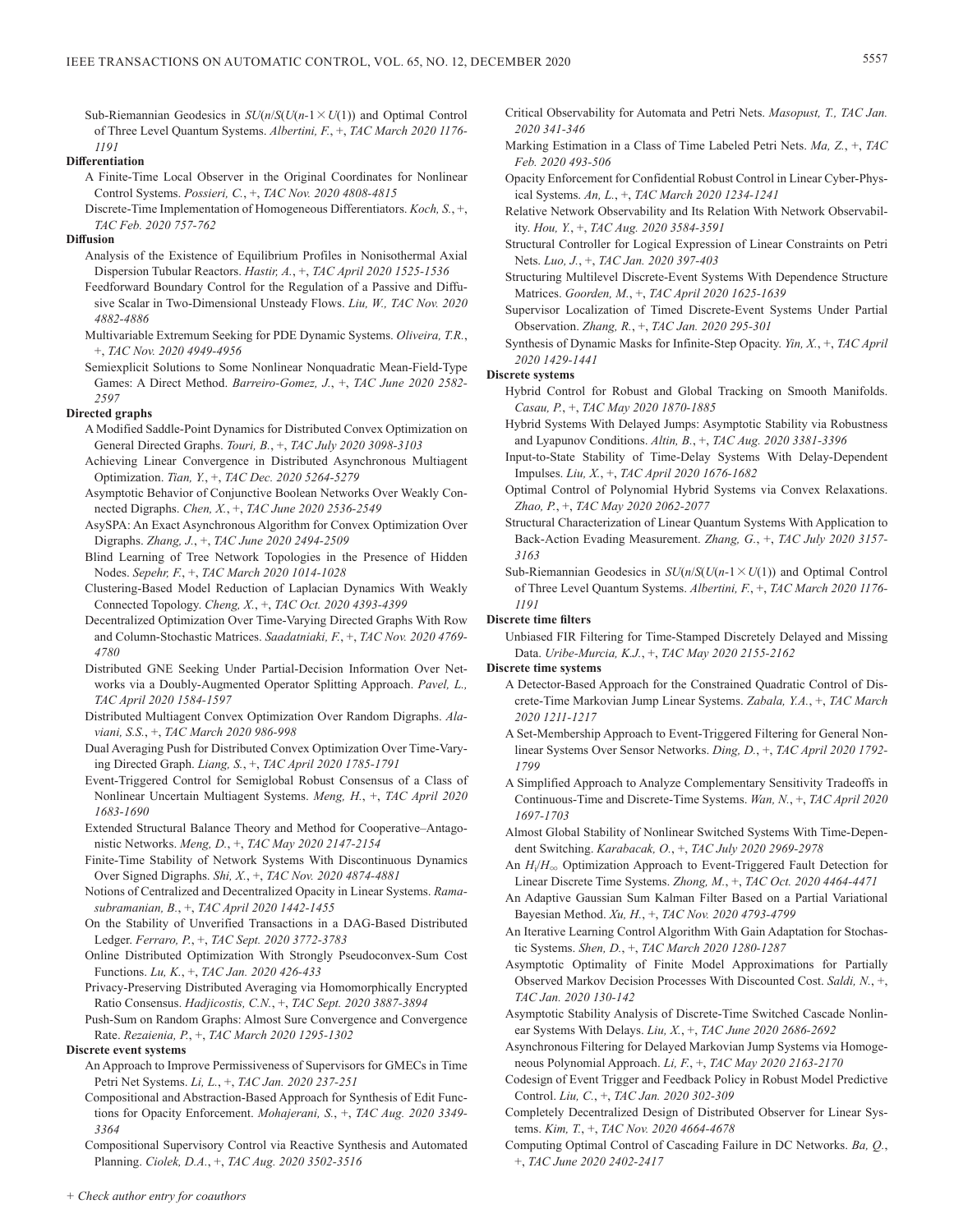Sub-Riemannian Geodesics in  $SU(n/S(U(n-1 \times U(1)))$  and Optimal Control of Three Level Quantum Systems. *Albertini, F.*, +, *TAC March 2020 1176- 1191*

# **Differentiation**

- A Finite-Time Local Observer in the Original Coordinates for Nonlinear Control Systems. *Possieri, C.*, +, *TAC Nov. 2020 4808-4815*
- Discrete-Time Implementation of Homogeneous Differentiators. *Koch, S.*, +, *TAC Feb. 2020 757-762*

# **Diffusion**

- Analysis of the Existence of Equilibrium Profiles in Nonisothermal Axial Dispersion Tubular Reactors. *Hastir, A.*, +, *TAC April 2020 1525-1536*
- Feedforward Boundary Control for the Regulation of a Passive and Diffusive Scalar in Two-Dimensional Unsteady Flows. *Liu, W., TAC Nov. 2020 4882-4886*
- Multivariable Extremum Seeking for PDE Dynamic Systems. *Oliveira, T.R.*, +, *TAC Nov. 2020 4949-4956*
- Semiexplicit Solutions to Some Nonlinear Nonquadratic Mean-Field-Type Games: A Direct Method. *Barreiro-Gomez, J.*, +, *TAC June 2020 2582- 2597*

### **Directed graphs**

- A Modified Saddle-Point Dynamics for Distributed Convex Optimization on General Directed Graphs. *Touri, B.*, +, *TAC July 2020 3098-3103*
- Achieving Linear Convergence in Distributed Asynchronous Multiagent Optimization. *Tian, Y.*, +, *TAC Dec. 2020 5264-5279*
- Asymptotic Behavior of Conjunctive Boolean Networks Over Weakly Connected Digraphs. *Chen, X.*, +, *TAC June 2020 2536-2549*
- AsySPA: An Exact Asynchronous Algorithm for Convex Optimization Over Digraphs. *Zhang, J.*, +, *TAC June 2020 2494-2509*
- Blind Learning of Tree Network Topologies in the Presence of Hidden Nodes. *Sepehr, F.*, +, *TAC March 2020 1014-1028*
- Clustering-Based Model Reduction of Laplacian Dynamics With Weakly Connected Topology. *Cheng, X.*, +, *TAC Oct. 2020 4393-4399*
- Decentralized Optimization Over Time-Varying Directed Graphs With Row and Column-Stochastic Matrices. *Saadatniaki, F.*, +, *TAC Nov. 2020 4769- 4780*
- Distributed GNE Seeking Under Partial-Decision Information Over Networks via a Doubly-Augmented Operator Splitting Approach. *Pavel, L., TAC April 2020 1584-1597*
- Distributed Multiagent Convex Optimization Over Random Digraphs. *Alaviani, S.S.*, +, *TAC March 2020 986-998*
- Dual Averaging Push for Distributed Convex Optimization Over Time-Varying Directed Graph. *Liang, S.*, +, *TAC April 2020 1785-1791*
- Event-Triggered Control for Semiglobal Robust Consensus of a Class of Nonlinear Uncertain Multiagent Systems. *Meng, H.*, +, *TAC April 2020 1683-1690*
- Extended Structural Balance Theory and Method for Cooperative–Antagonistic Networks. *Meng, D.*, +, *TAC May 2020 2147-2154*
- Finite-Time Stability of Network Systems With Discontinuous Dynamics Over Signed Digraphs. *Shi, X.*, +, *TAC Nov. 2020 4874-4881*

Notions of Centralized and Decentralized Opacity in Linear Systems. *Ramasubramanian, B.*, +, *TAC April 2020 1442-1455*

- On the Stability of Unverified Transactions in a DAG-Based Distributed Ledger. *Ferraro, P.*, +, *TAC Sept. 2020 3772-3783*
- Online Distributed Optimization With Strongly Pseudoconvex-Sum Cost Functions. *Lu, K.*, +, *TAC Jan. 2020 426-433*
- Privacy-Preserving Distributed Averaging via Homomorphically Encrypted Ratio Consensus. *Hadjicostis, C.N.*, +, *TAC Sept. 2020 3887-3894*
- Push-Sum on Random Graphs: Almost Sure Convergence and Convergence Rate. *Rezaienia, P.*, +, *TAC March 2020 1295-1302*

# **Discrete event systems**

- An Approach to Improve Permissiveness of Supervisors for GMECs in Time Petri Net Systems. *Li, L.*, +, *TAC Jan. 2020 237-251*
- Compositional and Abstraction-Based Approach for Synthesis of Edit Functions for Opacity Enforcement. *Mohajerani, S.*, +, *TAC Aug. 2020 3349- 3364*
- Compositional Supervisory Control via Reactive Synthesis and Automated Planning. *Ciolek, D.A.*, +, *TAC Aug. 2020 3502-3516*
- Critical Observability for Automata and Petri Nets. *Masopust, T., TAC Jan. 2020 341-346*
- Marking Estimation in a Class of Time Labeled Petri Nets. *Ma, Z.*, +, *TAC Feb. 2020 493-506*
- Opacity Enforcement for Confidential Robust Control in Linear Cyber-Physical Systems. *An, L.*, +, *TAC March 2020 1234-1241*
- Relative Network Observability and Its Relation With Network Observability. *Hou, Y.*, +, *TAC Aug. 2020 3584-3591*
- Structural Controller for Logical Expression of Linear Constraints on Petri Nets. *Luo, J.*, +, *TAC Jan. 2020 397-403*
- Structuring Multilevel Discrete-Event Systems With Dependence Structure Matrices. *Goorden, M.*, +, *TAC April 2020 1625-1639*
- Supervisor Localization of Timed Discrete-Event Systems Under Partial Observation. *Zhang, R.*, +, *TAC Jan. 2020 295-301*
- Synthesis of Dynamic Masks for Infinite-Step Opacity. *Yin, X.*, +, *TAC April 2020 1429-1441*

# **Discrete systems**

- Hybrid Control for Robust and Global Tracking on Smooth Manifolds. *Casau, P.*, +, *TAC May 2020 1870-1885*
- Hybrid Systems With Delayed Jumps: Asymptotic Stability via Robustness and Lyapunov Conditions. *Altin, B.*, +, *TAC Aug. 2020 3381-3396*
- Input-to-State Stability of Time-Delay Systems With Delay-Dependent Impulses. *Liu, X.*, +, *TAC April 2020 1676-1682*
- Optimal Control of Polynomial Hybrid Systems via Convex Relaxations. *Zhao, P.*, +, *TAC May 2020 2062-2077*
- Structural Characterization of Linear Quantum Systems With Application to Back-Action Evading Measurement. *Zhang, G.*, +, *TAC July 2020 3157- 3163*
- Sub-Riemannian Geodesics in  $SU(n/S(U(n-1 \times U(1)))$  and Optimal Control of Three Level Quantum Systems. *Albertini, F.*, +, *TAC March 2020 1176- 1191*

### **Discrete time filters**

Unbiased FIR Filtering for Time-Stamped Discretely Delayed and Missing Data. *Uribe-Murcia, K.J.*, +, *TAC May 2020 2155-2162*

# **Discrete time systems**

- A Detector-Based Approach for the Constrained Quadratic Control of Discrete-Time Markovian Jump Linear Systems. *Zabala, Y.A.*, +, *TAC March 2020 1211-1217*
- A Set-Membership Approach to Event-Triggered Filtering for General Nonlinear Systems Over Sensor Networks. *Ding, D.*, +, *TAC April 2020 1792- 1799*
- A Simplified Approach to Analyze Complementary Sensitivity Tradeoffs in Continuous-Time and Discrete-Time Systems. *Wan, N.*, +, *TAC April 2020 1697-1703*
- Almost Global Stability of Nonlinear Switched Systems With Time-Dependent Switching. *Karabacak, O.*, +, *TAC July 2020 2969-2978*
- An  $H_i/H_{\infty}$  Optimization Approach to Event-Triggered Fault Detection for Linear Discrete Time Systems. *Zhong, M.*, +, *TAC Oct. 2020 4464-4471*
- An Adaptive Gaussian Sum Kalman Filter Based on a Partial Variational Bayesian Method. *Xu, H.*, +, *TAC Nov. 2020 4793-4799*
- An Iterative Learning Control Algorithm With Gain Adaptation for Stochastic Systems. *Shen, D.*, +, *TAC March 2020 1280-1287*
- Asymptotic Optimality of Finite Model Approximations for Partially Observed Markov Decision Processes With Discounted Cost. *Saldi, N.*, +, *TAC Jan. 2020 130-142*
- Asymptotic Stability Analysis of Discrete-Time Switched Cascade Nonlinear Systems With Delays. *Liu, X.*, +, *TAC June 2020 2686-2692*
- Asynchronous Filtering for Delayed Markovian Jump Systems via Homogeneous Polynomial Approach. *Li, F.*, +, *TAC May 2020 2163-2170*
- Codesign of Event Trigger and Feedback Policy in Robust Model Predictive Control. *Liu, C.*, +, *TAC Jan. 2020 302-309*
- Completely Decentralized Design of Distributed Observer for Linear Systems. *Kim, T.*, +, *TAC Nov. 2020 4664-4678*
- Computing Optimal Control of Cascading Failure in DC Networks. *Ba, Q.*, +, *TAC June 2020 2402-2417*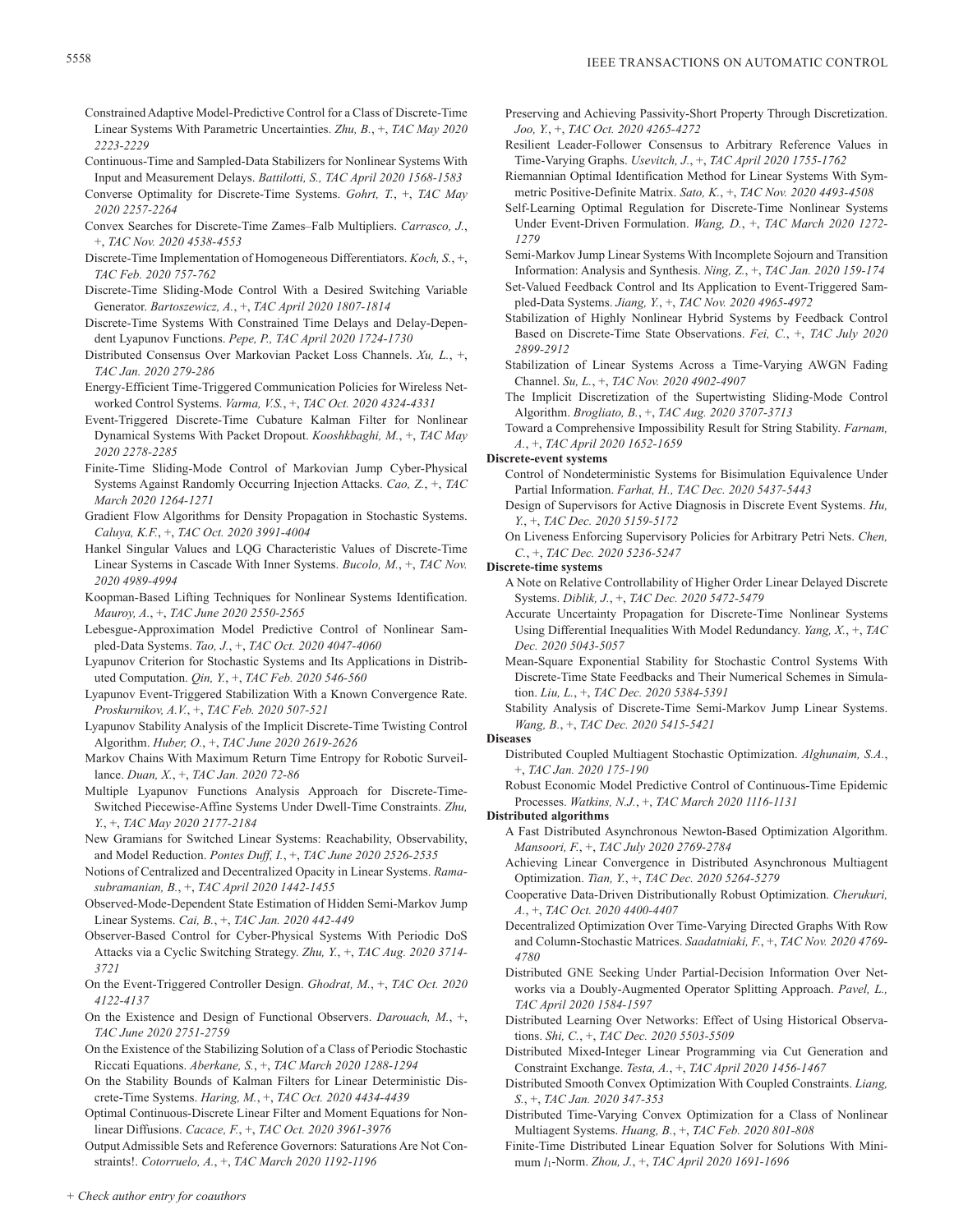- Constrained Adaptive Model-Predictive Control for a Class of Discrete-Time Linear Systems With Parametric Uncertainties. *Zhu, B.*, +, *TAC May 2020 2223-2229*
- Continuous-Time and Sampled-Data Stabilizers for Nonlinear Systems With Input and Measurement Delays. *Battilotti, S., TAC April 2020 1568-1583*
- Converse Optimality for Discrete-Time Systems. *Gohrt, T.*, +, *TAC May 2020 2257-2264*
- Convex Searches for Discrete-Time Zames–Falb Multipliers. *Carrasco, J.*, +, *TAC Nov. 2020 4538-4553*
- Discrete-Time Implementation of Homogeneous Differentiators. *Koch, S.*, +, *TAC Feb. 2020 757-762*
- Discrete-Time Sliding-Mode Control With a Desired Switching Variable Generator. *Bartoszewicz, A.*, +, *TAC April 2020 1807-1814*
- Discrete-Time Systems With Constrained Time Delays and Delay-Dependent Lyapunov Functions. *Pepe, P., TAC April 2020 1724-1730*
- Distributed Consensus Over Markovian Packet Loss Channels. *Xu, L.*, +, *TAC Jan. 2020 279-286*
- Energy-Efficient Time-Triggered Communication Policies for Wireless Networked Control Systems. *Varma, V.S.*, +, *TAC Oct. 2020 4324-4331*
- Event-Triggered Discrete-Time Cubature Kalman Filter for Nonlinear Dynamical Systems With Packet Dropout. *Kooshkbaghi, M.*, +, *TAC May 2020 2278-2285*
- Finite-Time Sliding-Mode Control of Markovian Jump Cyber-Physical Systems Against Randomly Occurring Injection Attacks. *Cao, Z.*, +, *TAC March 2020 1264-1271*
- Gradient Flow Algorithms for Density Propagation in Stochastic Systems. *Caluya, K.F.*, +, *TAC Oct. 2020 3991-4004*
- Hankel Singular Values and LQG Characteristic Values of Discrete-Time Linear Systems in Cascade With Inner Systems. *Bucolo, M.*, +, *TAC Nov. 2020 4989-4994*
- Koopman-Based Lifting Techniques for Nonlinear Systems Identification. *Mauroy, A.*, +, *TAC June 2020 2550-2565*
- Lebesgue-Approximation Model Predictive Control of Nonlinear Sampled-Data Systems. *Tao, J.*, +, *TAC Oct. 2020 4047-4060*
- Lyapunov Criterion for Stochastic Systems and Its Applications in Distributed Computation. *Qin, Y.*, +, *TAC Feb. 2020 546-560*
- Lyapunov Event-Triggered Stabilization With a Known Convergence Rate. *Proskurnikov, A.V.*, +, *TAC Feb. 2020 507-521*
- Lyapunov Stability Analysis of the Implicit Discrete-Time Twisting Control Algorithm. *Huber, O.*, +, *TAC June 2020 2619-2626*
- Markov Chains With Maximum Return Time Entropy for Robotic Surveillance. *Duan, X.*, +, *TAC Jan. 2020 72-86*
- Multiple Lyapunov Functions Analysis Approach for Discrete-Time-Switched Piecewise-Affine Systems Under Dwell-Time Constraints. *Zhu, Y.*, +, *TAC May 2020 2177-2184*
- New Gramians for Switched Linear Systems: Reachability, Observability, and Model Reduction. *Pontes Duff, I.*, +, *TAC June 2020 2526-2535*
- Notions of Centralized and Decentralized Opacity in Linear Systems. *Ramasubramanian, B.*, +, *TAC April 2020 1442-1455*
- Observed-Mode-Dependent State Estimation of Hidden Semi-Markov Jump Linear Systems. *Cai, B.*, +, *TAC Jan. 2020 442-449*
- Observer-Based Control for Cyber-Physical Systems With Periodic DoS Attacks via a Cyclic Switching Strategy. *Zhu, Y.*, +, *TAC Aug. 2020 3714- 3721*
- On the Event-Triggered Controller Design. *Ghodrat, M.*, +, *TAC Oct. 2020 4122-4137*
- On the Existence and Design of Functional Observers. *Darouach, M.*, +, *TAC June 2020 2751-2759*
- On the Existence of the Stabilizing Solution of a Class of Periodic Stochastic Riccati Equations. *Aberkane, S.*, +, *TAC March 2020 1288-1294*
- On the Stability Bounds of Kalman Filters for Linear Deterministic Discrete-Time Systems. *Haring, M.*, +, *TAC Oct. 2020 4434-4439*
- Optimal Continuous-Discrete Linear Filter and Moment Equations for Nonlinear Diffusions. *Cacace, F.*, +, *TAC Oct. 2020 3961-3976*

Output Admissible Sets and Reference Governors: Saturations Are Not Constraints!. *Cotorruelo, A.*, +, *TAC March 2020 1192-1196*

- Preserving and Achieving Passivity-Short Property Through Discretization. *Joo, Y.*, +, *TAC Oct. 2020 4265-4272*
- Resilient Leader-Follower Consensus to Arbitrary Reference Values in Time-Varying Graphs. *Usevitch, J.*, +, *TAC April 2020 1755-1762*
- Riemannian Optimal Identification Method for Linear Systems With Symmetric Positive-Definite Matrix. *Sato, K.*, +, *TAC Nov. 2020 4493-4508*
- Self-Learning Optimal Regulation for Discrete-Time Nonlinear Systems Under Event-Driven Formulation. *Wang, D.*, +, *TAC March 2020 1272- 1279*
- Semi-Markov Jump Linear Systems With Incomplete Sojourn and Transition Information: Analysis and Synthesis. *Ning, Z.*, +, *TAC Jan. 2020 159-174*
- Set-Valued Feedback Control and Its Application to Event-Triggered Sampled-Data Systems. *Jiang, Y.*, +, *TAC Nov. 2020 4965-4972*
- Stabilization of Highly Nonlinear Hybrid Systems by Feedback Control Based on Discrete-Time State Observations. *Fei, C.*, +, *TAC July 2020 2899-2912*
- Stabilization of Linear Systems Across a Time-Varying AWGN Fading Channel. *Su, L.*, +, *TAC Nov. 2020 4902-4907*
- The Implicit Discretization of the Supertwisting Sliding-Mode Control Algorithm. *Brogliato, B.*, +, *TAC Aug. 2020 3707-3713*

Toward a Comprehensive Impossibility Result for String Stability. *Farnam, A.*, +, *TAC April 2020 1652-1659*

# **Discrete-event systems**

- Control of Nondeterministic Systems for Bisimulation Equivalence Under Partial Information. *Farhat, H., TAC Dec. 2020 5437-5443*
- Design of Supervisors for Active Diagnosis in Discrete Event Systems. *Hu, Y.*, +, *TAC Dec. 2020 5159-5172*
- On Liveness Enforcing Supervisory Policies for Arbitrary Petri Nets. *Chen, C.*, +, *TAC Dec. 2020 5236-5247*
- **Discrete-time systems**
	- A Note on Relative Controllability of Higher Order Linear Delayed Discrete Systems. *Diblik, J.*, +, *TAC Dec. 2020 5472-5479*
	- Accurate Uncertainty Propagation for Discrete-Time Nonlinear Systems Using Differential Inequalities With Model Redundancy. *Yang, X.*, +, *TAC Dec. 2020 5043-5057*
	- Mean-Square Exponential Stability for Stochastic Control Systems With Discrete-Time State Feedbacks and Their Numerical Schemes in Simulation. *Liu, L.*, +, *TAC Dec. 2020 5384-5391*
	- Stability Analysis of Discrete-Time Semi-Markov Jump Linear Systems. *Wang, B.*, +, *TAC Dec. 2020 5415-5421*

# **Diseases**

- Distributed Coupled Multiagent Stochastic Optimization. *Alghunaim, S.A.*, +, *TAC Jan. 2020 175-190*
- Robust Economic Model Predictive Control of Continuous-Time Epidemic Processes. *Watkins, N.J.*, +, *TAC March 2020 1116-1131*

**Distributed algorithms**

- A Fast Distributed Asynchronous Newton-Based Optimization Algorithm. *Mansoori, F.*, +, *TAC July 2020 2769-2784*
- Achieving Linear Convergence in Distributed Asynchronous Multiagent Optimization. *Tian, Y.*, +, *TAC Dec. 2020 5264-5279*
- Cooperative Data-Driven Distributionally Robust Optimization. *Cherukuri, A.*, +, *TAC Oct. 2020 4400-4407*
- Decentralized Optimization Over Time-Varying Directed Graphs With Row and Column-Stochastic Matrices. *Saadatniaki, F.*, +, *TAC Nov. 2020 4769- 4780*
- Distributed GNE Seeking Under Partial-Decision Information Over Networks via a Doubly-Augmented Operator Splitting Approach. *Pavel, L., TAC April 2020 1584-1597*
- Distributed Learning Over Networks: Effect of Using Historical Observations. *Shi, C.*, +, *TAC Dec. 2020 5503-5509*
- Distributed Mixed-Integer Linear Programming via Cut Generation and Constraint Exchange. *Testa, A.*, +, *TAC April 2020 1456-1467*
- Distributed Smooth Convex Optimization With Coupled Constraints. *Liang, S.*, +, *TAC Jan. 2020 347-353*
- Distributed Time-Varying Convex Optimization for a Class of Nonlinear Multiagent Systems. *Huang, B.*, +, *TAC Feb. 2020 801-808*
- Finite-Time Distributed Linear Equation Solver for Solutions With Minimum *l*1-Norm. *Zhou, J.*, +, *TAC April 2020 1691-1696*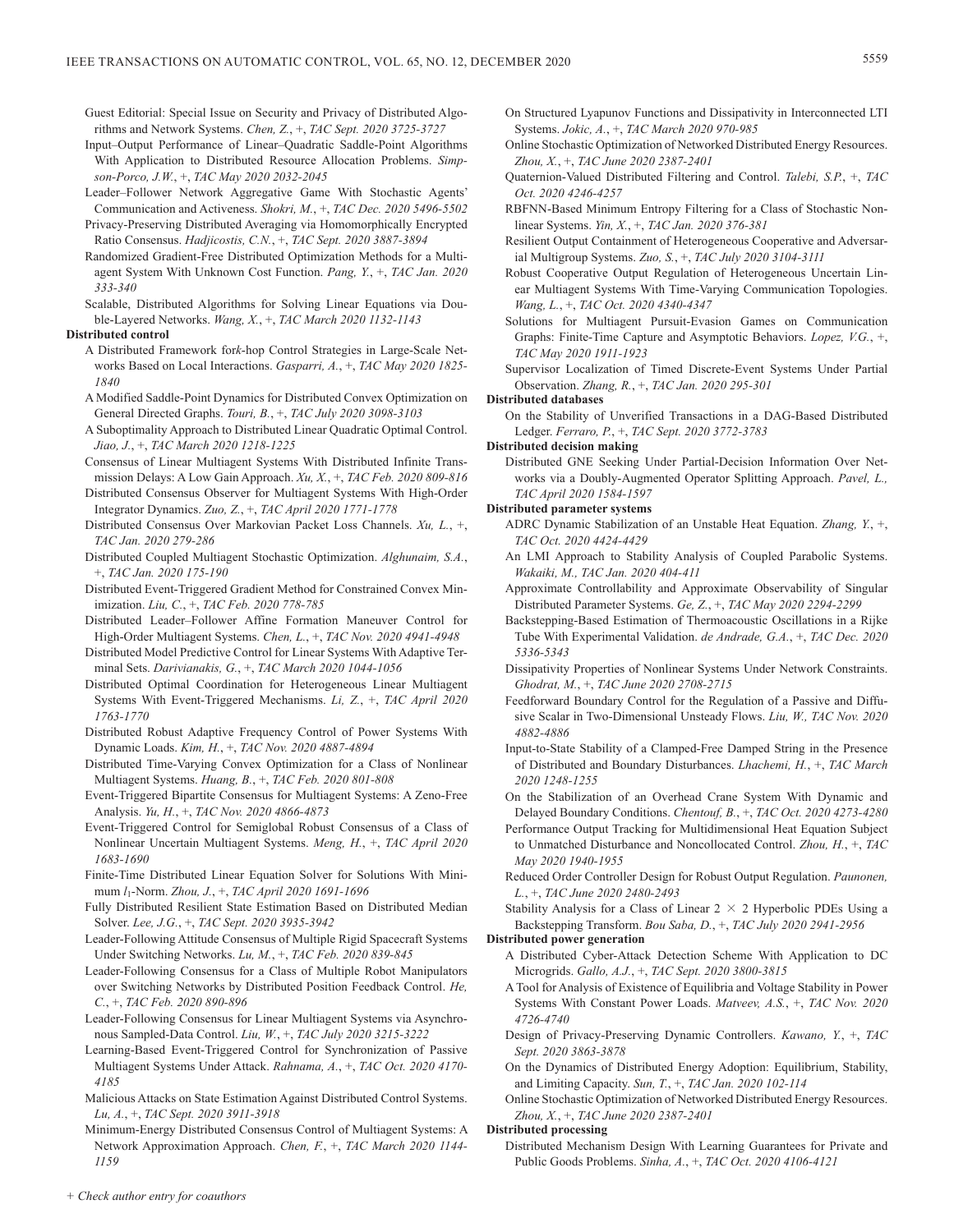- Guest Editorial: Special Issue on Security and Privacy of Distributed Algorithms and Network Systems. *Chen, Z.*, +, *TAC Sept. 2020 3725-3727*
- Input–Output Performance of Linear–Quadratic Saddle-Point Algorithms With Application to Distributed Resource Allocation Problems. *Simpson-Porco, J.W.*, +, *TAC May 2020 2032-2045*
- Leader–Follower Network Aggregative Game With Stochastic Agents' Communication and Activeness. *Shokri, M.*, +, *TAC Dec. 2020 5496-5502*
- Privacy-Preserving Distributed Averaging via Homomorphically Encrypted Ratio Consensus. *Hadjicostis, C.N.*, +, *TAC Sept. 2020 3887-3894*
- Randomized Gradient-Free Distributed Optimization Methods for a Multiagent System With Unknown Cost Function. *Pang, Y.*, +, *TAC Jan. 2020 333-340*
- Scalable, Distributed Algorithms for Solving Linear Equations via Double-Layered Networks. *Wang, X.*, +, *TAC March 2020 1132-1143*

### **Distributed control**

- A Distributed Framework for*k*-hop Control Strategies in Large-Scale Networks Based on Local Interactions. *Gasparri, A.*, +, *TAC May 2020 1825- 1840*
- A Modified Saddle-Point Dynamics for Distributed Convex Optimization on General Directed Graphs. *Touri, B.*, +, *TAC July 2020 3098-3103*
- A Suboptimality Approach to Distributed Linear Quadratic Optimal Control. *Jiao, J.*, +, *TAC March 2020 1218-1225*
- Consensus of Linear Multiagent Systems With Distributed Infinite Transmission Delays: A Low Gain Approach. *Xu, X.*, +, *TAC Feb. 2020 809-816*
- Distributed Consensus Observer for Multiagent Systems With High-Order Integrator Dynamics. *Zuo, Z.*, +, *TAC April 2020 1771-1778*
- Distributed Consensus Over Markovian Packet Loss Channels. *Xu, L.*, +, *TAC Jan. 2020 279-286*
- Distributed Coupled Multiagent Stochastic Optimization. *Alghunaim, S.A.*, +, *TAC Jan. 2020 175-190*
- Distributed Event-Triggered Gradient Method for Constrained Convex Minimization. *Liu, C.*, +, *TAC Feb. 2020 778-785*
- Distributed Leader–Follower Affine Formation Maneuver Control for High-Order Multiagent Systems. *Chen, L.*, +, *TAC Nov. 2020 4941-4948*
- Distributed Model Predictive Control for Linear Systems With Adaptive Terminal Sets. *Darivianakis, G.*, +, *TAC March 2020 1044-1056*
- Distributed Optimal Coordination for Heterogeneous Linear Multiagent Systems With Event-Triggered Mechanisms. *Li, Z.*, +, *TAC April 2020 1763-1770*
- Distributed Robust Adaptive Frequency Control of Power Systems With Dynamic Loads. *Kim, H.*, +, *TAC Nov. 2020 4887-4894*
- Distributed Time-Varying Convex Optimization for a Class of Nonlinear Multiagent Systems. *Huang, B.*, +, *TAC Feb. 2020 801-808*
- Event-Triggered Bipartite Consensus for Multiagent Systems: A Zeno-Free Analysis. *Yu, H.*, +, *TAC Nov. 2020 4866-4873*
- Event-Triggered Control for Semiglobal Robust Consensus of a Class of Nonlinear Uncertain Multiagent Systems. *Meng, H.*, +, *TAC April 2020 1683-1690*
- Finite-Time Distributed Linear Equation Solver for Solutions With Minimum *l*1-Norm. *Zhou, J.*, +, *TAC April 2020 1691-1696*
- Fully Distributed Resilient State Estimation Based on Distributed Median Solver. *Lee, J.G.*, +, *TAC Sept. 2020 3935-3942*
- Leader-Following Attitude Consensus of Multiple Rigid Spacecraft Systems Under Switching Networks. *Lu, M.*, +, *TAC Feb. 2020 839-845*
- Leader-Following Consensus for a Class of Multiple Robot Manipulators over Switching Networks by Distributed Position Feedback Control. *He, C.*, +, *TAC Feb. 2020 890-896*
- Leader-Following Consensus for Linear Multiagent Systems via Asynchronous Sampled-Data Control. *Liu, W.*, +, *TAC July 2020 3215-3222*
- Learning-Based Event-Triggered Control for Synchronization of Passive Multiagent Systems Under Attack. *Rahnama, A.*, +, *TAC Oct. 2020 4170- 4185*
- Malicious Attacks on State Estimation Against Distributed Control Systems. *Lu, A.*, +, *TAC Sept. 2020 3911-3918*
- Minimum-Energy Distributed Consensus Control of Multiagent Systems: A Network Approximation Approach. *Chen, F.*, +, *TAC March 2020 1144- 1159*
- On Structured Lyapunov Functions and Dissipativity in Interconnected LTI Systems. *Jokic, A.*, +, *TAC March 2020 970-985*
- Online Stochastic Optimization of Networked Distributed Energy Resources. *Zhou, X.*, +, *TAC June 2020 2387-2401*
- Quaternion-Valued Distributed Filtering and Control. *Talebi, S.P.*, +, *TAC Oct. 2020 4246-4257*
- RBFNN-Based Minimum Entropy Filtering for a Class of Stochastic Nonlinear Systems. *Yin, X.*, +, *TAC Jan. 2020 376-381*
- Resilient Output Containment of Heterogeneous Cooperative and Adversarial Multigroup Systems. *Zuo, S.*, +, *TAC July 2020 3104-3111*
- Robust Cooperative Output Regulation of Heterogeneous Uncertain Linear Multiagent Systems With Time-Varying Communication Topologies. *Wang, L.*, +, *TAC Oct. 2020 4340-4347*
- Solutions for Multiagent Pursuit-Evasion Games on Communication Graphs: Finite-Time Capture and Asymptotic Behaviors. *Lopez, V.G.*, +, *TAC May 2020 1911-1923*
- Supervisor Localization of Timed Discrete-Event Systems Under Partial Observation. *Zhang, R.*, +, *TAC Jan. 2020 295-301*

# **Distributed databases**

- On the Stability of Unverified Transactions in a DAG-Based Distributed Ledger. *Ferraro, P.*, +, *TAC Sept. 2020 3772-3783*
- **Distributed decision making**
	- Distributed GNE Seeking Under Partial-Decision Information Over Networks via a Doubly-Augmented Operator Splitting Approach. *Pavel, L., TAC April 2020 1584-1597*

# **Distributed parameter systems**

- ADRC Dynamic Stabilization of an Unstable Heat Equation. *Zhang, Y.*, +, *TAC Oct. 2020 4424-4429*
- An LMI Approach to Stability Analysis of Coupled Parabolic Systems. *Wakaiki, M., TAC Jan. 2020 404-411*
- Approximate Controllability and Approximate Observability of Singular Distributed Parameter Systems. *Ge, Z.*, +, *TAC May 2020 2294-2299*
- Backstepping-Based Estimation of Thermoacoustic Oscillations in a Rijke Tube With Experimental Validation. *de Andrade, G.A.*, +, *TAC Dec. 2020 5336-5343*
- Dissipativity Properties of Nonlinear Systems Under Network Constraints. *Ghodrat, M.*, +, *TAC June 2020 2708-2715*
- Feedforward Boundary Control for the Regulation of a Passive and Diffusive Scalar in Two-Dimensional Unsteady Flows. *Liu, W., TAC Nov. 2020 4882-4886*
- Input-to-State Stability of a Clamped-Free Damped String in the Presence of Distributed and Boundary Disturbances. *Lhachemi, H.*, +, *TAC March 2020 1248-1255*
- On the Stabilization of an Overhead Crane System With Dynamic and Delayed Boundary Conditions. *Chentouf, B.*, +, *TAC Oct. 2020 4273-4280*
- Performance Output Tracking for Multidimensional Heat Equation Subject to Unmatched Disturbance and Noncollocated Control. *Zhou, H.*, +, *TAC May 2020 1940-1955*
- Reduced Order Controller Design for Robust Output Regulation. *Paunonen, L.*, +, *TAC June 2020 2480-2493*
- Stability Analysis for a Class of Linear  $2 \times 2$  Hyperbolic PDEs Using a Backstepping Transform. *Bou Saba, D.*, +, *TAC July 2020 2941-2956*

### **Distributed power generation**

- A Distributed Cyber-Attack Detection Scheme With Application to DC Microgrids. *Gallo, A.J.*, +, *TAC Sept. 2020 3800-3815*
- A Tool for Analysis of Existence of Equilibria and Voltage Stability in Power Systems With Constant Power Loads. *Matveev, A.S.*, +, *TAC Nov. 2020 4726-4740*
- Design of Privacy-Preserving Dynamic Controllers. *Kawano, Y.*, +, *TAC Sept. 2020 3863-3878*
- On the Dynamics of Distributed Energy Adoption: Equilibrium, Stability, and Limiting Capacity. *Sun, T.*, +, *TAC Jan. 2020 102-114*
- Online Stochastic Optimization of Networked Distributed Energy Resources. *Zhou, X.*, +, *TAC June 2020 2387-2401*
- **Distributed processing**
	- Distributed Mechanism Design With Learning Guarantees for Private and Public Goods Problems. *Sinha, A.*, +, *TAC Oct. 2020 4106-4121*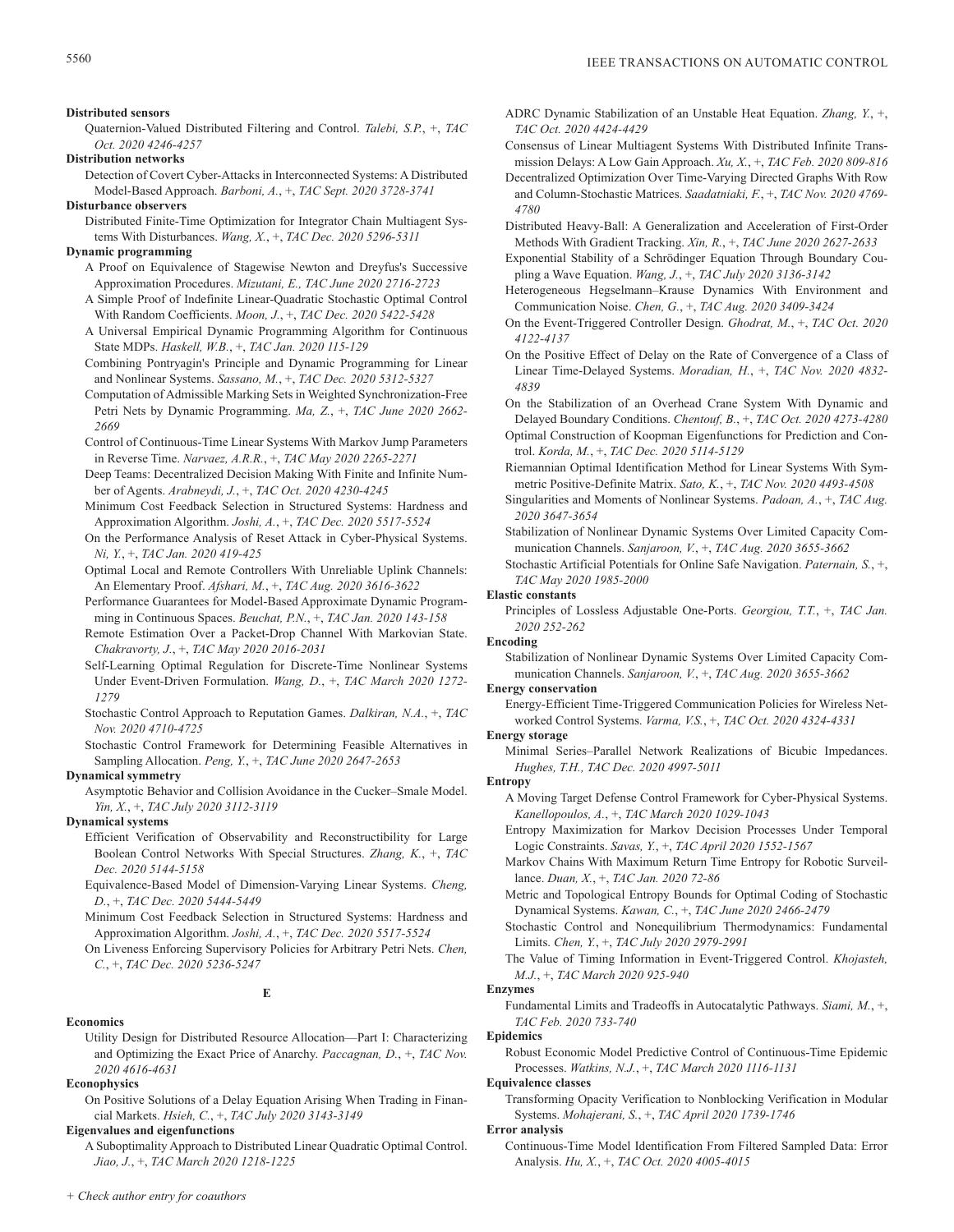**Distributed sensors**

Quaternion-Valued Distributed Filtering and Control. *Talebi, S.P.*, +, *TAC Oct. 2020 4246-4257*

**Distribution networks**

- Detection of Covert Cyber-Attacks in Interconnected Systems: A Distributed Model-Based Approach. *Barboni, A.*, +, *TAC Sept. 2020 3728-3741*
- **Disturbance observers**

# Distributed Finite-Time Optimization for Integrator Chain Multiagent Systems With Disturbances. *Wang, X.*, +, *TAC Dec. 2020 5296-5311*

# **Dynamic programming**

- A Proof on Equivalence of Stagewise Newton and Dreyfus's Successive Approximation Procedures. *Mizutani, E., TAC June 2020 2716-2723*
- A Simple Proof of Indefinite Linear-Quadratic Stochastic Optimal Control With Random Coefficients. *Moon, J.*, +, *TAC Dec. 2020 5422-5428*
- A Universal Empirical Dynamic Programming Algorithm for Continuous State MDPs. *Haskell, W.B.*, +, *TAC Jan. 2020 115-129*
- Combining Pontryagin's Principle and Dynamic Programming for Linear and Nonlinear Systems. *Sassano, M.*, +, *TAC Dec. 2020 5312-5327*
- Computation of Admissible Marking Sets in Weighted Synchronization-Free Petri Nets by Dynamic Programming. *Ma, Z.*, +, *TAC June 2020 2662- 2669*
- Control of Continuous-Time Linear Systems With Markov Jump Parameters in Reverse Time. *Narvaez, A.R.R.*, +, *TAC May 2020 2265-2271*
- Deep Teams: Decentralized Decision Making With Finite and Infinite Number of Agents. *Arabneydi, J.*, +, *TAC Oct. 2020 4230-4245*
- Minimum Cost Feedback Selection in Structured Systems: Hardness and Approximation Algorithm. *Joshi, A.*, +, *TAC Dec. 2020 5517-5524*

On the Performance Analysis of Reset Attack in Cyber-Physical Systems. *Ni, Y.*, +, *TAC Jan. 2020 419-425*

- Optimal Local and Remote Controllers With Unreliable Uplink Channels: An Elementary Proof. *Afshari, M.*, +, *TAC Aug. 2020 3616-3622*
- Performance Guarantees for Model-Based Approximate Dynamic Programming in Continuous Spaces. *Beuchat, P.N.*, +, *TAC Jan. 2020 143-158*
- Remote Estimation Over a Packet-Drop Channel With Markovian State. *Chakravorty, J.*, +, *TAC May 2020 2016-2031*
- Self-Learning Optimal Regulation for Discrete-Time Nonlinear Systems Under Event-Driven Formulation. *Wang, D.*, +, *TAC March 2020 1272- 1279*
- Stochastic Control Approach to Reputation Games. *Dalkiran, N.A.*, +, *TAC Nov. 2020 4710-4725*
- Stochastic Control Framework for Determining Feasible Alternatives in Sampling Allocation. *Peng, Y.*, +, *TAC June 2020 2647-2653*

# **Dynamical symmetry**

Asymptotic Behavior and Collision Avoidance in the Cucker–Smale Model. *Yin, X.*, +, *TAC July 2020 3112-3119*

# **Dynamical systems**

- Efficient Verification of Observability and Reconstructibility for Large Boolean Control Networks With Special Structures. *Zhang, K.*, +, *TAC Dec. 2020 5144-5158*
- Equivalence-Based Model of Dimension-Varying Linear Systems. *Cheng, D.*, +, *TAC Dec. 2020 5444-5449*
- Minimum Cost Feedback Selection in Structured Systems: Hardness and Approximation Algorithm. *Joshi, A.*, +, *TAC Dec. 2020 5517-5524*

On Liveness Enforcing Supervisory Policies for Arbitrary Petri Nets. *Chen, C.*, +, *TAC Dec. 2020 5236-5247*

# **E**

### **Economics**

Utility Design for Distributed Resource Allocation—Part I: Characterizing and Optimizing the Exact Price of Anarchy. *Paccagnan, D.*, +, *TAC Nov. 2020 4616-4631*

# **Econophysics**

On Positive Solutions of a Delay Equation Arising When Trading in Financial Markets. *Hsieh, C.*, +, *TAC July 2020 3143-3149*

# **Eigenvalues and eigenfunctions**

A Suboptimality Approach to Distributed Linear Quadratic Optimal Control. *Jiao, J.*, +, *TAC March 2020 1218-1225*

- ADRC Dynamic Stabilization of an Unstable Heat Equation. *Zhang, Y.*, +, *TAC Oct. 2020 4424-4429*
- Consensus of Linear Multiagent Systems With Distributed Infinite Transmission Delays: A Low Gain Approach. *Xu, X.*, +, *TAC Feb. 2020 809-816*
- Decentralized Optimization Over Time-Varying Directed Graphs With Row and Column-Stochastic Matrices. *Saadatniaki, F.*, +, *TAC Nov. 2020 4769- 4780*
- Distributed Heavy-Ball: A Generalization and Acceleration of First-Order Methods With Gradient Tracking. *Xin, R.*, +, *TAC June 2020 2627-2633*
- Exponential Stability of a Schrödinger Equation Through Boundary Coupling a Wave Equation. *Wang, J.*, +, *TAC July 2020 3136-3142*
- Heterogeneous Hegselmann–Krause Dynamics With Environment and Communication Noise. *Chen, G.*, +, *TAC Aug. 2020 3409-3424*
- On the Event-Triggered Controller Design. *Ghodrat, M.*, +, *TAC Oct. 2020 4122-4137*
- On the Positive Effect of Delay on the Rate of Convergence of a Class of Linear Time-Delayed Systems. *Moradian, H.*, +, *TAC Nov. 2020 4832- 4839*
- On the Stabilization of an Overhead Crane System With Dynamic and Delayed Boundary Conditions. *Chentouf, B.*, +, *TAC Oct. 2020 4273-4280*
- Optimal Construction of Koopman Eigenfunctions for Prediction and Control. *Korda, M.*, +, *TAC Dec. 2020 5114-5129*
- Riemannian Optimal Identification Method for Linear Systems With Symmetric Positive-Definite Matrix. *Sato, K.*, +, *TAC Nov. 2020 4493-4508*
- Singularities and Moments of Nonlinear Systems. *Padoan, A.*, +, *TAC Aug. 2020 3647-3654*
- Stabilization of Nonlinear Dynamic Systems Over Limited Capacity Communication Channels. *Sanjaroon, V.*, +, *TAC Aug. 2020 3655-3662*
- Stochastic Artificial Potentials for Online Safe Navigation. *Paternain, S.*, +, *TAC May 2020 1985-2000*

# **Elastic constants**

Principles of Lossless Adjustable One-Ports. *Georgiou, T.T.*, +, *TAC Jan. 2020 252-262*

# **Encoding**

Stabilization of Nonlinear Dynamic Systems Over Limited Capacity Communication Channels. *Sanjaroon, V.*, +, *TAC Aug. 2020 3655-3662*

### **Energy conservation**

Energy-Efficient Time-Triggered Communication Policies for Wireless Networked Control Systems. *Varma, V.S.*, +, *TAC Oct. 2020 4324-4331*

# **Energy storage**

Minimal Series–Parallel Network Realizations of Bicubic Impedances. *Hughes, T.H., TAC Dec. 2020 4997-5011*

### **Entropy**

- A Moving Target Defense Control Framework for Cyber-Physical Systems. *Kanellopoulos, A.*, +, *TAC March 2020 1029-1043*
- Entropy Maximization for Markov Decision Processes Under Temporal Logic Constraints. *Savas, Y.*, +, *TAC April 2020 1552-1567*
- Markov Chains With Maximum Return Time Entropy for Robotic Surveillance. *Duan, X.*, +, *TAC Jan. 2020 72-86*
- Metric and Topological Entropy Bounds for Optimal Coding of Stochastic Dynamical Systems. *Kawan, C.*, +, *TAC June 2020 2466-2479*
- Stochastic Control and Nonequilibrium Thermodynamics: Fundamental Limits. *Chen, Y.*, +, *TAC July 2020 2979-2991*
- The Value of Timing Information in Event-Triggered Control. *Khojasteh, M.J.*, +, *TAC March 2020 925-940*

# **Enzymes**

Fundamental Limits and Tradeoffs in Autocatalytic Pathways. *Siami, M.*, +, *TAC Feb. 2020 733-740*

### **Epidemics**

Robust Economic Model Predictive Control of Continuous-Time Epidemic Processes. *Watkins, N.J.*, +, *TAC March 2020 1116-1131*

# **Equivalence classes**

Transforming Opacity Verification to Nonblocking Verification in Modular Systems. *Mohajerani, S.*, +, *TAC April 2020 1739-1746*

### **Error analysis**

Continuous-Time Model Identification From Filtered Sampled Data: Error Analysis. *Hu, X.*, +, *TAC Oct. 2020 4005-4015*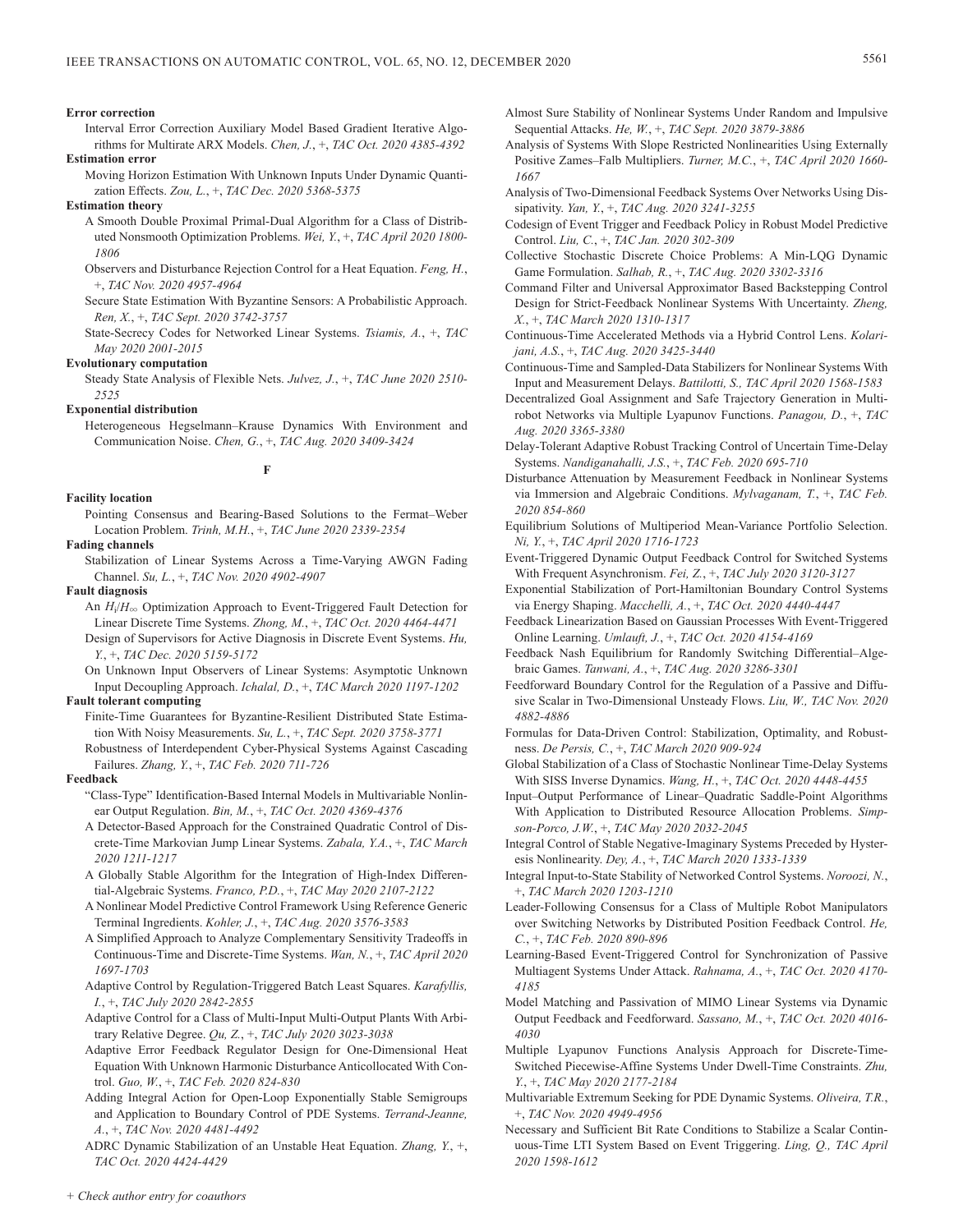#### **Error correction**

Interval Error Correction Auxiliary Model Based Gradient Iterative Algorithms for Multirate ARX Models. *Chen, J.*, +, *TAC Oct. 2020 4385-4392*

- **Estimation error**
	- Moving Horizon Estimation With Unknown Inputs Under Dynamic Quantization Effects. *Zou, L.*, +, *TAC Dec. 2020 5368-5375*

#### **Estimation theory**

- A Smooth Double Proximal Primal-Dual Algorithm for a Class of Distributed Nonsmooth Optimization Problems. *Wei, Y.*, +, *TAC April 2020 1800- 1806*
- Observers and Disturbance Rejection Control for a Heat Equation. *Feng, H.*, +, *TAC Nov. 2020 4957-4964*
- Secure State Estimation With Byzantine Sensors: A Probabilistic Approach. *Ren, X.*, +, *TAC Sept. 2020 3742-3757*
- State-Secrecy Codes for Networked Linear Systems. *Tsiamis, A.*, +, *TAC May 2020 2001-2015*

#### **Evolutionary computation**

Steady State Analysis of Flexible Nets. *Julvez, J.*, +, *TAC June 2020 2510- 2525*

#### **Exponential distribution**

Heterogeneous Hegselmann–Krause Dynamics With Environment and Communication Noise. *Chen, G.*, +, *TAC Aug. 2020 3409-3424*

**F**

## **Facility location**

Pointing Consensus and Bearing-Based Solutions to the Fermat–Weber Location Problem. *Trinh, M.H.*, +, *TAC June 2020 2339-2354*

## **Fading channels**

Stabilization of Linear Systems Across a Time-Varying AWGN Fading Channel. *Su, L.*, +, *TAC Nov. 2020 4902-4907*

## **Fault diagnosis**

- An  $H_i/H_{\infty}$  Optimization Approach to Event-Triggered Fault Detection for Linear Discrete Time Systems. *Zhong, M.*, +, *TAC Oct. 2020 4464-4471*
- Design of Supervisors for Active Diagnosis in Discrete Event Systems. *Hu, Y.*, +, *TAC Dec. 2020 5159-5172*

On Unknown Input Observers of Linear Systems: Asymptotic Unknown Input Decoupling Approach. *Ichalal, D.*, +, *TAC March 2020 1197-1202*

## **Fault tolerant computing**

- Finite-Time Guarantees for Byzantine-Resilient Distributed State Estimation With Noisy Measurements. *Su, L.*, +, *TAC Sept. 2020 3758-3771*
- Robustness of Interdependent Cyber-Physical Systems Against Cascading Failures. *Zhang, Y.*, +, *TAC Feb. 2020 711-726*

#### **Feedback**

- "Class-Type" Identification-Based Internal Models in Multivariable Nonlinear Output Regulation. *Bin, M.*, +, *TAC Oct. 2020 4369-4376*
- A Detector-Based Approach for the Constrained Quadratic Control of Discrete-Time Markovian Jump Linear Systems. *Zabala, Y.A.*, +, *TAC March 2020 1211-1217*
- A Globally Stable Algorithm for the Integration of High-Index Differential-Algebraic Systems. *Franco, P.D.*, +, *TAC May 2020 2107-2122*
- A Nonlinear Model Predictive Control Framework Using Reference Generic Terminal Ingredients. *Kohler, J.*, +, *TAC Aug. 2020 3576-3583*
- A Simplified Approach to Analyze Complementary Sensitivity Tradeoffs in Continuous-Time and Discrete-Time Systems. *Wan, N.*, +, *TAC April 2020 1697-1703*
- Adaptive Control by Regulation-Triggered Batch Least Squares. *Karafyllis, I.*, +, *TAC July 2020 2842-2855*
- Adaptive Control for a Class of Multi-Input Multi-Output Plants With Arbitrary Relative Degree. *Qu, Z.*, +, *TAC July 2020 3023-3038*
- Adaptive Error Feedback Regulator Design for One-Dimensional Heat Equation With Unknown Harmonic Disturbance Anticollocated With Control. *Guo, W.*, +, *TAC Feb. 2020 824-830*
- Adding Integral Action for Open-Loop Exponentially Stable Semigroups and Application to Boundary Control of PDE Systems. *Terrand-Jeanne, A.*, +, *TAC Nov. 2020 4481-4492*
- ADRC Dynamic Stabilization of an Unstable Heat Equation. *Zhang, Y.*, +, *TAC Oct. 2020 4424-4429*
- Almost Sure Stability of Nonlinear Systems Under Random and Impulsive Sequential Attacks. *He, W.*, +, *TAC Sept. 2020 3879-3886*
- Analysis of Systems With Slope Restricted Nonlinearities Using Externally Positive Zames–Falb Multipliers. *Turner, M.C.*, +, *TAC April 2020 1660- 1667*
- Analysis of Two-Dimensional Feedback Systems Over Networks Using Dissipativity. *Yan, Y.*, +, *TAC Aug. 2020 3241-3255*
- Codesign of Event Trigger and Feedback Policy in Robust Model Predictive Control. *Liu, C.*, +, *TAC Jan. 2020 302-309*
- Collective Stochastic Discrete Choice Problems: A Min-LQG Dynamic Game Formulation. *Salhab, R.*, +, *TAC Aug. 2020 3302-3316*
- Command Filter and Universal Approximator Based Backstepping Control Design for Strict-Feedback Nonlinear Systems With Uncertainty. *Zheng, X.*, +, *TAC March 2020 1310-1317*
- Continuous-Time Accelerated Methods via a Hybrid Control Lens. *Kolarijani, A.S.*, +, *TAC Aug. 2020 3425-3440*
- Continuous-Time and Sampled-Data Stabilizers for Nonlinear Systems With Input and Measurement Delays. *Battilotti, S., TAC April 2020 1568-1583*
- Decentralized Goal Assignment and Safe Trajectory Generation in Multirobot Networks via Multiple Lyapunov Functions. *Panagou, D.*, +, *TAC Aug. 2020 3365-3380*
- Delay-Tolerant Adaptive Robust Tracking Control of Uncertain Time-Delay Systems. *Nandiganahalli, J.S.*, +, *TAC Feb. 2020 695-710*
- Disturbance Attenuation by Measurement Feedback in Nonlinear Systems via Immersion and Algebraic Conditions. *Mylvaganam, T.*, +, *TAC Feb. 2020 854-860*
- Equilibrium Solutions of Multiperiod Mean-Variance Portfolio Selection. *Ni, Y.*, +, *TAC April 2020 1716-1723*
- Event-Triggered Dynamic Output Feedback Control for Switched Systems With Frequent Asynchronism. *Fei, Z.*, +, *TAC July 2020 3120-3127*
- Exponential Stabilization of Port-Hamiltonian Boundary Control Systems via Energy Shaping. *Macchelli, A.*, +, *TAC Oct. 2020 4440-4447*
- Feedback Linearization Based on Gaussian Processes With Event-Triggered Online Learning. *Umlauft, J.*, +, *TAC Oct. 2020 4154-4169*
- Feedback Nash Equilibrium for Randomly Switching Differential–Algebraic Games. *Tanwani, A.*, +, *TAC Aug. 2020 3286-3301*
- Feedforward Boundary Control for the Regulation of a Passive and Diffusive Scalar in Two-Dimensional Unsteady Flows. *Liu, W., TAC Nov. 2020 4882-4886*
- Formulas for Data-Driven Control: Stabilization, Optimality, and Robustness. *De Persis, C.*, +, *TAC March 2020 909-924*
- Global Stabilization of a Class of Stochastic Nonlinear Time-Delay Systems With SISS Inverse Dynamics. *Wang, H.*, +, *TAC Oct. 2020 4448-4455*
- Input–Output Performance of Linear–Quadratic Saddle-Point Algorithms With Application to Distributed Resource Allocation Problems. *Simpson-Porco, J.W.*, +, *TAC May 2020 2032-2045*
- Integral Control of Stable Negative-Imaginary Systems Preceded by Hysteresis Nonlinearity. *Dey, A.*, +, *TAC March 2020 1333-1339*
- Integral Input-to-State Stability of Networked Control Systems. *Noroozi, N.*, +, *TAC March 2020 1203-1210*
- Leader-Following Consensus for a Class of Multiple Robot Manipulators over Switching Networks by Distributed Position Feedback Control. *He, C.*, +, *TAC Feb. 2020 890-896*
- Learning-Based Event-Triggered Control for Synchronization of Passive Multiagent Systems Under Attack. *Rahnama, A.*, +, *TAC Oct. 2020 4170- 4185*
- Model Matching and Passivation of MIMO Linear Systems via Dynamic Output Feedback and Feedforward. *Sassano, M.*, +, *TAC Oct. 2020 4016- 4030*
- Multiple Lyapunov Functions Analysis Approach for Discrete-Time-Switched Piecewise-Affine Systems Under Dwell-Time Constraints. *Zhu, Y.*, +, *TAC May 2020 2177-2184*
- Multivariable Extremum Seeking for PDE Dynamic Systems. *Oliveira, T.R.*, +, *TAC Nov. 2020 4949-4956*
- Necessary and Sufficient Bit Rate Conditions to Stabilize a Scalar Continuous-Time LTI System Based on Event Triggering. *Ling, Q., TAC April 2020 1598-1612*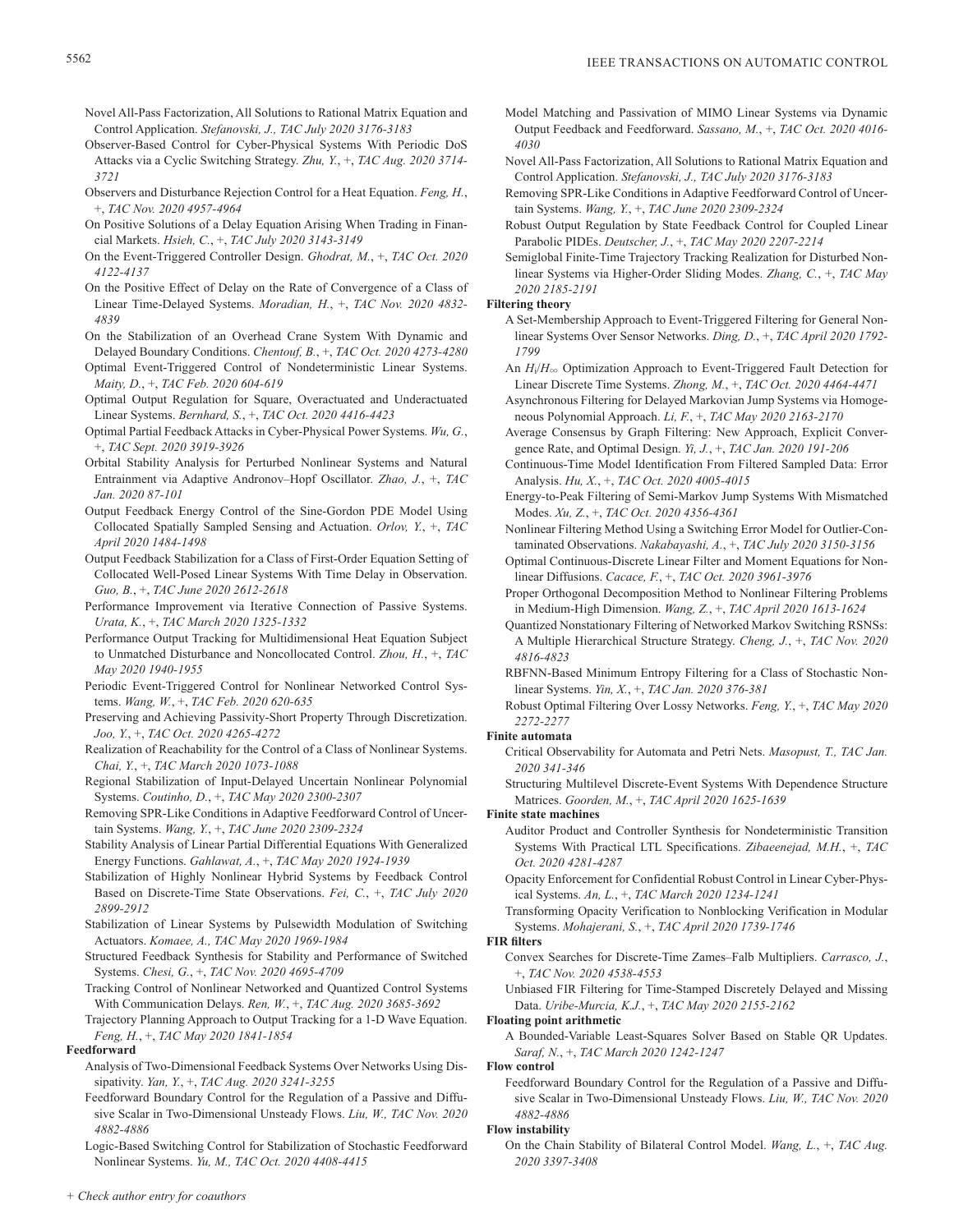- Novel All-Pass Factorization, All Solutions to Rational Matrix Equation and Control Application. *Stefanovski, J., TAC July 2020 3176-3183*
- Observer-Based Control for Cyber-Physical Systems With Periodic DoS Attacks via a Cyclic Switching Strategy. *Zhu, Y.*, +, *TAC Aug. 2020 3714- 3721*
- Observers and Disturbance Rejection Control for a Heat Equation. *Feng, H.*, +, *TAC Nov. 2020 4957-4964*
- On Positive Solutions of a Delay Equation Arising When Trading in Financial Markets. *Hsieh, C.*, +, *TAC July 2020 3143-3149*
- On the Event-Triggered Controller Design. *Ghodrat, M.*, +, *TAC Oct. 2020 4122-4137*
- On the Positive Effect of Delay on the Rate of Convergence of a Class of Linear Time-Delayed Systems. *Moradian, H.*, +, *TAC Nov. 2020 4832- 4839*
- On the Stabilization of an Overhead Crane System With Dynamic and Delayed Boundary Conditions. *Chentouf, B.*, +, *TAC Oct. 2020 4273-4280*
- Optimal Event-Triggered Control of Nondeterministic Linear Systems. *Maity, D.*, +, *TAC Feb. 2020 604-619*
- Optimal Output Regulation for Square, Overactuated and Underactuated Linear Systems. *Bernhard, S.*, +, *TAC Oct. 2020 4416-4423*
- Optimal Partial Feedback Attacks in Cyber-Physical Power Systems. *Wu, G.*, +, *TAC Sept. 2020 3919-3926*
- Orbital Stability Analysis for Perturbed Nonlinear Systems and Natural Entrainment via Adaptive Andronov–Hopf Oscillator. *Zhao, J.*, +, *TAC Jan. 2020 87-101*
- Output Feedback Energy Control of the Sine-Gordon PDE Model Using Collocated Spatially Sampled Sensing and Actuation. *Orlov, Y.*, +, *TAC April 2020 1484-1498*
- Output Feedback Stabilization for a Class of First-Order Equation Setting of Collocated Well-Posed Linear Systems With Time Delay in Observation. *Guo, B.*, +, *TAC June 2020 2612-2618*
- Performance Improvement via Iterative Connection of Passive Systems. *Urata, K.*, +, *TAC March 2020 1325-1332*
- Performance Output Tracking for Multidimensional Heat Equation Subject to Unmatched Disturbance and Noncollocated Control. *Zhou, H.*, +, *TAC May 2020 1940-1955*
- Periodic Event-Triggered Control for Nonlinear Networked Control Systems. *Wang, W.*, +, *TAC Feb. 2020 620-635*
- Preserving and Achieving Passivity-Short Property Through Discretization. *Joo, Y.*, +, *TAC Oct. 2020 4265-4272*
- Realization of Reachability for the Control of a Class of Nonlinear Systems. *Chai, Y.*, +, *TAC March 2020 1073-1088*
- Regional Stabilization of Input-Delayed Uncertain Nonlinear Polynomial Systems. *Coutinho, D.*, +, *TAC May 2020 2300-2307*
- Removing SPR-Like Conditions in Adaptive Feedforward Control of Uncertain Systems. *Wang, Y.*, +, *TAC June 2020 2309-2324*
- Stability Analysis of Linear Partial Differential Equations With Generalized Energy Functions. *Gahlawat, A.*, +, *TAC May 2020 1924-1939*
- Stabilization of Highly Nonlinear Hybrid Systems by Feedback Control Based on Discrete-Time State Observations. *Fei, C.*, +, *TAC July 2020 2899-2912*
- Stabilization of Linear Systems by Pulsewidth Modulation of Switching Actuators. *Komaee, A., TAC May 2020 1969-1984*
- Structured Feedback Synthesis for Stability and Performance of Switched Systems. *Chesi, G.*, +, *TAC Nov. 2020 4695-4709*
- Tracking Control of Nonlinear Networked and Quantized Control Systems With Communication Delays. *Ren, W.*, +, *TAC Aug. 2020 3685-3692*
- Trajectory Planning Approach to Output Tracking for a 1-D Wave Equation. *Feng, H.*, +, *TAC May 2020 1841-1854*

## **Feedforward**

- Analysis of Two-Dimensional Feedback Systems Over Networks Using Dissipativity. *Yan, Y.*, +, *TAC Aug. 2020 3241-3255*
- Feedforward Boundary Control for the Regulation of a Passive and Diffusive Scalar in Two-Dimensional Unsteady Flows. *Liu, W., TAC Nov. 2020 4882-4886*
- Logic-Based Switching Control for Stabilization of Stochastic Feedforward Nonlinear Systems. *Yu, M., TAC Oct. 2020 4408-4415*
- Model Matching and Passivation of MIMO Linear Systems via Dynamic Output Feedback and Feedforward. *Sassano, M.*, +, *TAC Oct. 2020 4016- 4030*
- Novel All-Pass Factorization, All Solutions to Rational Matrix Equation and Control Application. *Stefanovski, J., TAC July 2020 3176-3183*
- Removing SPR-Like Conditions in Adaptive Feedforward Control of Uncertain Systems. *Wang, Y.*, +, *TAC June 2020 2309-2324*
- Robust Output Regulation by State Feedback Control for Coupled Linear Parabolic PIDEs. *Deutscher, J.*, +, *TAC May 2020 2207-2214*
- Semiglobal Finite-Time Trajectory Tracking Realization for Disturbed Nonlinear Systems via Higher-Order Sliding Modes. *Zhang, C.*, +, *TAC May 2020 2185-2191*

## **Filtering theory**

- A Set-Membership Approach to Event-Triggered Filtering for General Nonlinear Systems Over Sensor Networks. *Ding, D.*, +, *TAC April 2020 1792- 1799*
- An  $H_i/H_{\infty}$  Optimization Approach to Event-Triggered Fault Detection for Linear Discrete Time Systems. *Zhong, M.*, +, *TAC Oct. 2020 4464-4471*
- Asynchronous Filtering for Delayed Markovian Jump Systems via Homogeneous Polynomial Approach. *Li, F.*, +, *TAC May 2020 2163-2170*
- Average Consensus by Graph Filtering: New Approach, Explicit Convergence Rate, and Optimal Design. *Yi, J.*, +, *TAC Jan. 2020 191-206*
- Continuous-Time Model Identification From Filtered Sampled Data: Error Analysis. *Hu, X.*, +, *TAC Oct. 2020 4005-4015*
- Energy-to-Peak Filtering of Semi-Markov Jump Systems With Mismatched Modes. *Xu, Z.*, +, *TAC Oct. 2020 4356-4361*
- Nonlinear Filtering Method Using a Switching Error Model for Outlier-Contaminated Observations. *Nakabayashi, A.*, +, *TAC July 2020 3150-3156*
- Optimal Continuous-Discrete Linear Filter and Moment Equations for Nonlinear Diffusions. *Cacace, F.*, +, *TAC Oct. 2020 3961-3976*
- Proper Orthogonal Decomposition Method to Nonlinear Filtering Problems in Medium-High Dimension. *Wang, Z.*, +, *TAC April 2020 1613-1624*
- Quantized Nonstationary Filtering of Networked Markov Switching RSNSs: A Multiple Hierarchical Structure Strategy. *Cheng, J.*, +, *TAC Nov. 2020 4816-4823*
- RBFNN-Based Minimum Entropy Filtering for a Class of Stochastic Nonlinear Systems. *Yin, X.*, +, *TAC Jan. 2020 376-381*
- Robust Optimal Filtering Over Lossy Networks. *Feng, Y.*, +, *TAC May 2020 2272-2277*

## **Finite automata**

- Critical Observability for Automata and Petri Nets. *Masopust, T., TAC Jan. 2020 341-346*
- Structuring Multilevel Discrete-Event Systems With Dependence Structure Matrices. *Goorden, M.*, +, *TAC April 2020 1625-1639*

## **Finite state machines**

- Auditor Product and Controller Synthesis for Nondeterministic Transition Systems With Practical LTL Specifications. *Zibaeenejad, M.H.*, +, *TAC Oct. 2020 4281-4287*
- Opacity Enforcement for Confidential Robust Control in Linear Cyber-Physical Systems. *An, L.*, +, *TAC March 2020 1234-1241*
- Transforming Opacity Verification to Nonblocking Verification in Modular Systems. *Mohajerani, S.*, +, *TAC April 2020 1739-1746*

## **FIR filters**

- Convex Searches for Discrete-Time Zames–Falb Multipliers. *Carrasco, J.*, +, *TAC Nov. 2020 4538-4553*
- Unbiased FIR Filtering for Time-Stamped Discretely Delayed and Missing Data. *Uribe-Murcia, K.J.*, +, *TAC May 2020 2155-2162*

#### **Floating point arithmetic**

A Bounded-Variable Least-Squares Solver Based on Stable QR Updates. *Saraf, N.*, +, *TAC March 2020 1242-1247*

## **Flow control**

Feedforward Boundary Control for the Regulation of a Passive and Diffusive Scalar in Two-Dimensional Unsteady Flows. *Liu, W., TAC Nov. 2020 4882-4886*

## **Flow instability**

On the Chain Stability of Bilateral Control Model. *Wang, L.*, +, *TAC Aug. 2020 3397-3408*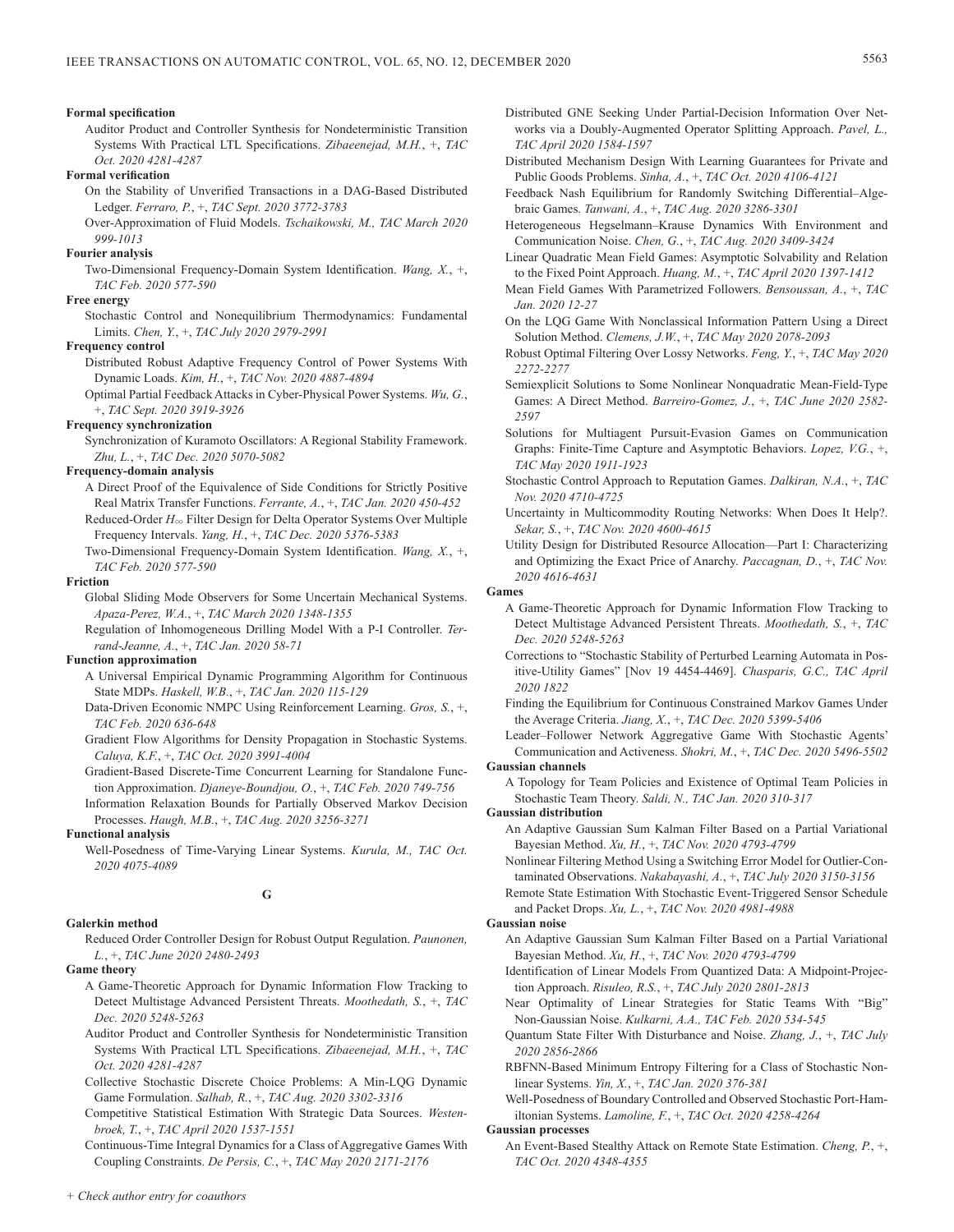#### **Formal specification**

Auditor Product and Controller Synthesis for Nondeterministic Transition Systems With Practical LTL Specifications. *Zibaeenejad, M.H.*, +, *TAC Oct. 2020 4281-4287*

#### **Formal verification**

- On the Stability of Unverified Transactions in a DAG-Based Distributed Ledger. *Ferraro, P.*, +, *TAC Sept. 2020 3772-3783*
- Over-Approximation of Fluid Models. *Tschaikowski, M., TAC March 2020 999-1013*

## **Fourier analysis**

Two-Dimensional Frequency-Domain System Identification. *Wang, X.*, +, *TAC Feb. 2020 577-590*

#### **Free energy**

Stochastic Control and Nonequilibrium Thermodynamics: Fundamental Limits. *Chen, Y.*, +, *TAC July 2020 2979-2991*

#### **Frequency control**

- Distributed Robust Adaptive Frequency Control of Power Systems With Dynamic Loads. *Kim, H.*, +, *TAC Nov. 2020 4887-4894*
- Optimal Partial Feedback Attacks in Cyber-Physical Power Systems. *Wu, G.*, +, *TAC Sept. 2020 3919-3926*

## **Frequency synchronization**

Synchronization of Kuramoto Oscillators: A Regional Stability Framework. *Zhu, L.*, +, *TAC Dec. 2020 5070-5082*

#### **Frequency-domain analysis**

A Direct Proof of the Equivalence of Side Conditions for Strictly Positive Real Matrix Transfer Functions. *Ferrante, A.*, +, *TAC Jan. 2020 450-452* Reduced-Order  $H_{\infty}$  Filter Design for Delta Operator Systems Over Multiple

Frequency Intervals. *Yang, H.*, +, *TAC Dec. 2020 5376-5383*

Two-Dimensional Frequency-Domain System Identification. *Wang, X.*, +, *TAC Feb. 2020 577-590*

## **Friction**

- Global Sliding Mode Observers for Some Uncertain Mechanical Systems. *Apaza-Perez, W.A.*, +, *TAC March 2020 1348-1355*
- Regulation of Inhomogeneous Drilling Model With a P-I Controller. *Terrand-Jeanne, A.*, +, *TAC Jan. 2020 58-71*

#### **Function approximation**

- A Universal Empirical Dynamic Programming Algorithm for Continuous State MDPs. *Haskell, W.B.*, +, *TAC Jan. 2020 115-129*
- Data-Driven Economic NMPC Using Reinforcement Learning. *Gros, S.*, +, *TAC Feb. 2020 636-648*
- Gradient Flow Algorithms for Density Propagation in Stochastic Systems. *Caluya, K.F.*, +, *TAC Oct. 2020 3991-4004*
- Gradient-Based Discrete-Time Concurrent Learning for Standalone Function Approximation. *Djaneye-Boundjou, O.*, +, *TAC Feb. 2020 749-756*

Information Relaxation Bounds for Partially Observed Markov Decision Processes. *Haugh, M.B.*, +, *TAC Aug. 2020 3256-3271*

## **Functional analysis**

Well-Posedness of Time-Varying Linear Systems. *Kurula, M., TAC Oct. 2020 4075-4089*

## **G**

#### **Galerkin method**

Reduced Order Controller Design for Robust Output Regulation. *Paunonen, L.*, +, *TAC June 2020 2480-2493*

**Game theory**

- A Game-Theoretic Approach for Dynamic Information Flow Tracking to Detect Multistage Advanced Persistent Threats. *Moothedath, S.*, +, *TAC Dec. 2020 5248-5263*
- Auditor Product and Controller Synthesis for Nondeterministic Transition Systems With Practical LTL Specifications. *Zibaeenejad, M.H.*, +, *TAC Oct. 2020 4281-4287*
- Collective Stochastic Discrete Choice Problems: A Min-LQG Dynamic Game Formulation. *Salhab, R.*, +, *TAC Aug. 2020 3302-3316*
- Competitive Statistical Estimation With Strategic Data Sources. *Westenbroek, T.*, +, *TAC April 2020 1537-1551*
- Continuous-Time Integral Dynamics for a Class of Aggregative Games With Coupling Constraints. *De Persis, C.*, +, *TAC May 2020 2171-2176*
- Distributed GNE Seeking Under Partial-Decision Information Over Networks via a Doubly-Augmented Operator Splitting Approach. *Pavel, L., TAC April 2020 1584-1597*
- Distributed Mechanism Design With Learning Guarantees for Private and Public Goods Problems. *Sinha, A.*, +, *TAC Oct. 2020 4106-4121*
- Feedback Nash Equilibrium for Randomly Switching Differential–Algebraic Games. *Tanwani, A.*, +, *TAC Aug. 2020 3286-3301*
- Heterogeneous Hegselmann–Krause Dynamics With Environment and Communication Noise. *Chen, G.*, +, *TAC Aug. 2020 3409-3424*
- Linear Quadratic Mean Field Games: Asymptotic Solvability and Relation to the Fixed Point Approach. *Huang, M.*, +, *TAC April 2020 1397-1412*
- Mean Field Games With Parametrized Followers. *Bensoussan, A.*, +, *TAC Jan. 2020 12-27*
- On the LQG Game With Nonclassical Information Pattern Using a Direct Solution Method. *Clemens, J.W.*, +, *TAC May 2020 2078-2093*
- Robust Optimal Filtering Over Lossy Networks. *Feng, Y.*, +, *TAC May 2020 2272-2277*
- Semiexplicit Solutions to Some Nonlinear Nonquadratic Mean-Field-Type Games: A Direct Method. *Barreiro-Gomez, J.*, +, *TAC June 2020 2582- 2597*
- Solutions for Multiagent Pursuit-Evasion Games on Communication Graphs: Finite-Time Capture and Asymptotic Behaviors. *Lopez, V.G.*, +, *TAC May 2020 1911-1923*
- Stochastic Control Approach to Reputation Games. *Dalkiran, N.A.*, +, *TAC Nov. 2020 4710-4725*
- Uncertainty in Multicommodity Routing Networks: When Does It Help?. *Sekar, S.*, +, *TAC Nov. 2020 4600-4615*
- Utility Design for Distributed Resource Allocation—Part I: Characterizing and Optimizing the Exact Price of Anarchy. *Paccagnan, D.*, +, *TAC Nov. 2020 4616-4631*

#### **Games**

- A Game-Theoretic Approach for Dynamic Information Flow Tracking to Detect Multistage Advanced Persistent Threats. *Moothedath, S.*, +, *TAC Dec. 2020 5248-5263*
- Corrections to "Stochastic Stability of Perturbed Learning Automata in Positive-Utility Games" [Nov 19 4454-4469]. *Chasparis, G.C., TAC April 2020 1822*
- Finding the Equilibrium for Continuous Constrained Markov Games Under the Average Criteria. *Jiang, X.*, +, *TAC Dec. 2020 5399-5406*
- Leader–Follower Network Aggregative Game With Stochastic Agents' Communication and Activeness. *Shokri, M.*, +, *TAC Dec. 2020 5496-5502* **Gaussian channels**

# A Topology for Team Policies and Existence of Optimal Team Policies in

Stochastic Team Theory. *Saldi, N., TAC Jan. 2020 310-317*

#### **Gaussian distribution**

- An Adaptive Gaussian Sum Kalman Filter Based on a Partial Variational Bayesian Method. *Xu, H.*, +, *TAC Nov. 2020 4793-4799*
- Nonlinear Filtering Method Using a Switching Error Model for Outlier-Contaminated Observations. *Nakabayashi, A.*, +, *TAC July 2020 3150-3156*
- Remote State Estimation With Stochastic Event-Triggered Sensor Schedule and Packet Drops. *Xu, L.*, +, *TAC Nov. 2020 4981-4988*

#### **Gaussian noise**

- An Adaptive Gaussian Sum Kalman Filter Based on a Partial Variational Bayesian Method. *Xu, H.*, +, *TAC Nov. 2020 4793-4799*
- Identification of Linear Models From Quantized Data: A Midpoint-Projection Approach. *Risuleo, R.S.*, +, *TAC July 2020 2801-2813*
- Near Optimality of Linear Strategies for Static Teams With "Big" Non-Gaussian Noise. *Kulkarni, A.A., TAC Feb. 2020 534-545*
- Quantum State Filter With Disturbance and Noise. *Zhang, J.*, +, *TAC July 2020 2856-2866*
- RBFNN-Based Minimum Entropy Filtering for a Class of Stochastic Nonlinear Systems. *Yin, X.*, +, *TAC Jan. 2020 376-381*
- Well-Posedness of Boundary Controlled and Observed Stochastic Port-Hamiltonian Systems. *Lamoline, F.*, +, *TAC Oct. 2020 4258-4264*

## **Gaussian processes**

An Event-Based Stealthy Attack on Remote State Estimation. *Cheng, P.*, +, *TAC Oct. 2020 4348-4355*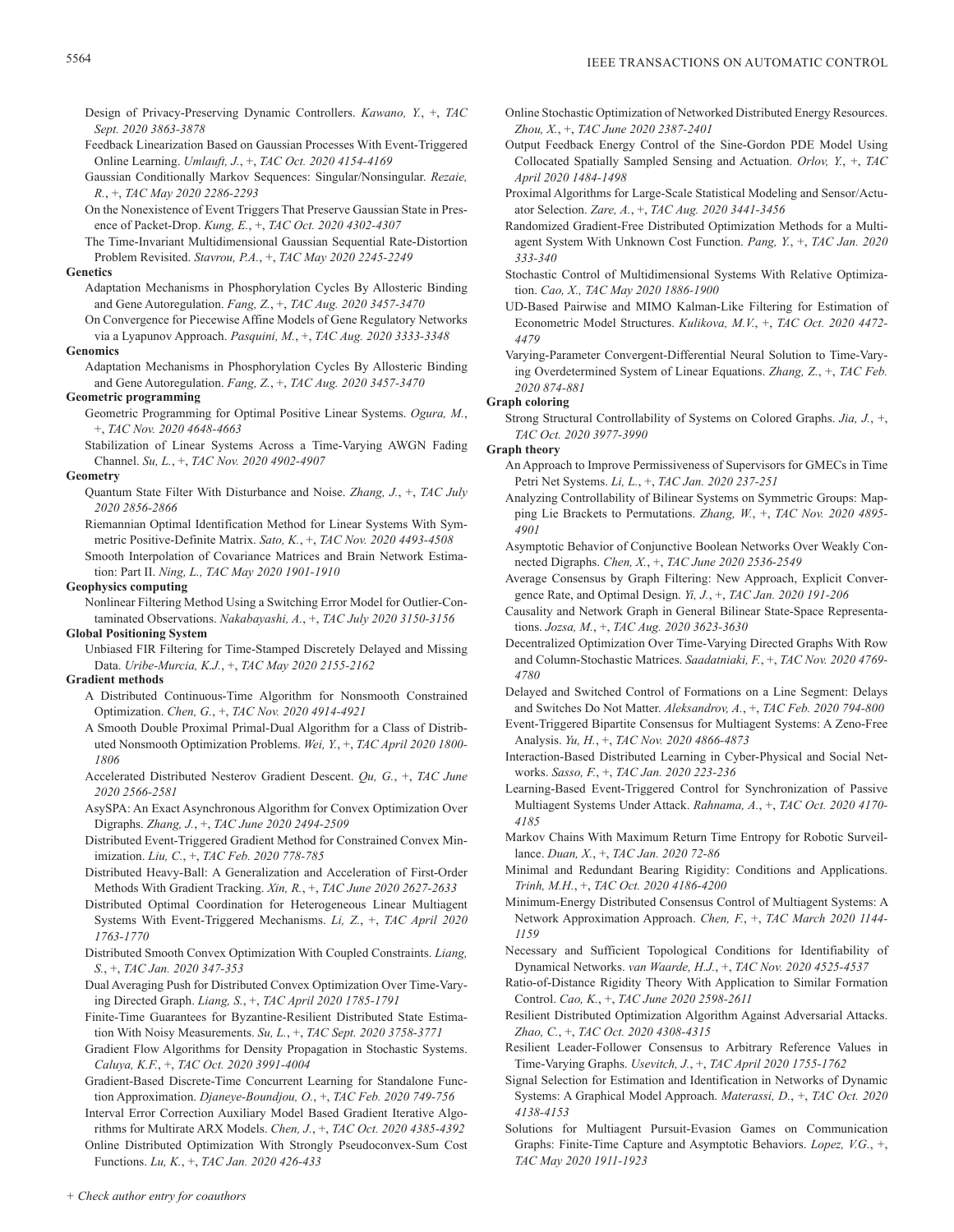- Design of Privacy-Preserving Dynamic Controllers. *Kawano, Y.*, +, *TAC Sept. 2020 3863-3878*
- Feedback Linearization Based on Gaussian Processes With Event-Triggered Online Learning. *Umlauft, J.*, +, *TAC Oct. 2020 4154-4169*
- Gaussian Conditionally Markov Sequences: Singular/Nonsingular. *Rezaie, R.*, +, *TAC May 2020 2286-2293*
- On the Nonexistence of Event Triggers That Preserve Gaussian State in Presence of Packet-Drop. *Kung, E.*, +, *TAC Oct. 2020 4302-4307*
- The Time-Invariant Multidimensional Gaussian Sequential Rate-Distortion Problem Revisited. *Stavrou, P.A.*, +, *TAC May 2020 2245-2249*

#### **Genetics**

- Adaptation Mechanisms in Phosphorylation Cycles By Allosteric Binding and Gene Autoregulation. *Fang, Z.*, +, *TAC Aug. 2020 3457-3470*
- On Convergence for Piecewise Affine Models of Gene Regulatory Networks via a Lyapunov Approach. *Pasquini, M.*, +, *TAC Aug. 2020 3333-3348*

#### **Genomics**

Adaptation Mechanisms in Phosphorylation Cycles By Allosteric Binding and Gene Autoregulation. *Fang, Z.*, +, *TAC Aug. 2020 3457-3470*

## **Geometric programming**

- Geometric Programming for Optimal Positive Linear Systems. *Ogura, M.*, +, *TAC Nov. 2020 4648-4663*
- Stabilization of Linear Systems Across a Time-Varying AWGN Fading Channel. *Su, L.*, +, *TAC Nov. 2020 4902-4907*

## **Geometry**

Quantum State Filter With Disturbance and Noise. *Zhang, J.*, +, *TAC July 2020 2856-2866*

Riemannian Optimal Identification Method for Linear Systems With Symmetric Positive-Definite Matrix. *Sato, K.*, +, *TAC Nov. 2020 4493-4508*

Smooth Interpolation of Covariance Matrices and Brain Network Estimation: Part II. *Ning, L., TAC May 2020 1901-1910*

**Geophysics computing**

Nonlinear Filtering Method Using a Switching Error Model for Outlier-Contaminated Observations. *Nakabayashi, A.*, +, *TAC July 2020 3150-3156*

#### **Global Positioning System**

Unbiased FIR Filtering for Time-Stamped Discretely Delayed and Missing Data. *Uribe-Murcia, K.J.*, +, *TAC May 2020 2155-2162*

## **Gradient methods**

- A Distributed Continuous-Time Algorithm for Nonsmooth Constrained Optimization. *Chen, G.*, +, *TAC Nov. 2020 4914-4921*
- A Smooth Double Proximal Primal-Dual Algorithm for a Class of Distributed Nonsmooth Optimization Problems. *Wei, Y.*, +, *TAC April 2020 1800- 1806*
- Accelerated Distributed Nesterov Gradient Descent. *Qu, G.*, +, *TAC June 2020 2566-2581*
- AsySPA: An Exact Asynchronous Algorithm for Convex Optimization Over Digraphs. *Zhang, J.*, +, *TAC June 2020 2494-2509*
- Distributed Event-Triggered Gradient Method for Constrained Convex Minimization. *Liu, C.*, +, *TAC Feb. 2020 778-785*
- Distributed Heavy-Ball: A Generalization and Acceleration of First-Order Methods With Gradient Tracking. *Xin, R.*, +, *TAC June 2020 2627-2633*
- Distributed Optimal Coordination for Heterogeneous Linear Multiagent Systems With Event-Triggered Mechanisms. *Li, Z.*, +, *TAC April 2020 1763-1770*
- Distributed Smooth Convex Optimization With Coupled Constraints. *Liang, S.*, +, *TAC Jan. 2020 347-353*

Dual Averaging Push for Distributed Convex Optimization Over Time-Varying Directed Graph. *Liang, S.*, +, *TAC April 2020 1785-1791*

- Finite-Time Guarantees for Byzantine-Resilient Distributed State Estimation With Noisy Measurements. *Su, L.*, +, *TAC Sept. 2020 3758-3771*
- Gradient Flow Algorithms for Density Propagation in Stochastic Systems. *Caluya, K.F.*, +, *TAC Oct. 2020 3991-4004*
- Gradient-Based Discrete-Time Concurrent Learning for Standalone Function Approximation. *Djaneye-Boundjou, O.*, +, *TAC Feb. 2020 749-756*
- Interval Error Correction Auxiliary Model Based Gradient Iterative Algorithms for Multirate ARX Models. *Chen, J.*, +, *TAC Oct. 2020 4385-4392*

Online Distributed Optimization With Strongly Pseudoconvex-Sum Cost Functions. *Lu, K.*, +, *TAC Jan. 2020 426-433*

- Online Stochastic Optimization of Networked Distributed Energy Resources. *Zhou, X.*, +, *TAC June 2020 2387-2401*
- Output Feedback Energy Control of the Sine-Gordon PDE Model Using Collocated Spatially Sampled Sensing and Actuation. *Orlov, Y.*, +, *TAC April 2020 1484-1498*
- Proximal Algorithms for Large-Scale Statistical Modeling and Sensor/Actuator Selection. *Zare, A.*, +, *TAC Aug. 2020 3441-3456*
- Randomized Gradient-Free Distributed Optimization Methods for a Multiagent System With Unknown Cost Function. *Pang, Y.*, +, *TAC Jan. 2020 333-340*
- Stochastic Control of Multidimensional Systems With Relative Optimization. *Cao, X., TAC May 2020 1886-1900*
- UD-Based Pairwise and MIMO Kalman-Like Filtering for Estimation of Econometric Model Structures. *Kulikova, M.V.*, +, *TAC Oct. 2020 4472- 4479*

Varying-Parameter Convergent-Differential Neural Solution to Time-Varying Overdetermined System of Linear Equations. *Zhang, Z.*, +, *TAC Feb. 2020 874-881*

## **Graph coloring**

Strong Structural Controllability of Systems on Colored Graphs. *Jia, J.*, +, *TAC Oct. 2020 3977-3990*

**Graph theory**

- An Approach to Improve Permissiveness of Supervisors for GMECs in Time Petri Net Systems. *Li, L.*, +, *TAC Jan. 2020 237-251*
- Analyzing Controllability of Bilinear Systems on Symmetric Groups: Mapping Lie Brackets to Permutations. *Zhang, W.*, +, *TAC Nov. 2020 4895- 4901*
- Asymptotic Behavior of Conjunctive Boolean Networks Over Weakly Connected Digraphs. *Chen, X.*, +, *TAC June 2020 2536-2549*
- Average Consensus by Graph Filtering: New Approach, Explicit Convergence Rate, and Optimal Design. *Yi, J.*, +, *TAC Jan. 2020 191-206*
- Causality and Network Graph in General Bilinear State-Space Representations. *Jozsa, M.*, +, *TAC Aug. 2020 3623-3630*
- Decentralized Optimization Over Time-Varying Directed Graphs With Row and Column-Stochastic Matrices. *Saadatniaki, F.*, +, *TAC Nov. 2020 4769- 4780*
- Delayed and Switched Control of Formations on a Line Segment: Delays and Switches Do Not Matter. *Aleksandrov, A.*, +, *TAC Feb. 2020 794-800*
- Event-Triggered Bipartite Consensus for Multiagent Systems: A Zeno-Free Analysis. *Yu, H.*, +, *TAC Nov. 2020 4866-4873*
- Interaction-Based Distributed Learning in Cyber-Physical and Social Networks. *Sasso, F.*, +, *TAC Jan. 2020 223-236*
- Learning-Based Event-Triggered Control for Synchronization of Passive Multiagent Systems Under Attack. *Rahnama, A.*, +, *TAC Oct. 2020 4170- 4185*
- Markov Chains With Maximum Return Time Entropy for Robotic Surveillance. *Duan, X.*, +, *TAC Jan. 2020 72-86*
- Minimal and Redundant Bearing Rigidity: Conditions and Applications. *Trinh, M.H.*, +, *TAC Oct. 2020 4186-4200*
- Minimum-Energy Distributed Consensus Control of Multiagent Systems: A Network Approximation Approach. *Chen, F.*, +, *TAC March 2020 1144- 1159*
- Necessary and Sufficient Topological Conditions for Identifiability of Dynamical Networks. *van Waarde, H.J.*, +, *TAC Nov. 2020 4525-4537*
- Ratio-of-Distance Rigidity Theory With Application to Similar Formation Control. *Cao, K.*, +, *TAC June 2020 2598-2611*
- Resilient Distributed Optimization Algorithm Against Adversarial Attacks. *Zhao, C.*, +, *TAC Oct. 2020 4308-4315*
- Resilient Leader-Follower Consensus to Arbitrary Reference Values in Time-Varying Graphs. *Usevitch, J.*, +, *TAC April 2020 1755-1762*
- Signal Selection for Estimation and Identification in Networks of Dynamic Systems: A Graphical Model Approach. *Materassi, D.*, +, *TAC Oct. 2020 4138-4153*
- Solutions for Multiagent Pursuit-Evasion Games on Communication Graphs: Finite-Time Capture and Asymptotic Behaviors. *Lopez, V.G.*, +, *TAC May 2020 1911-1923*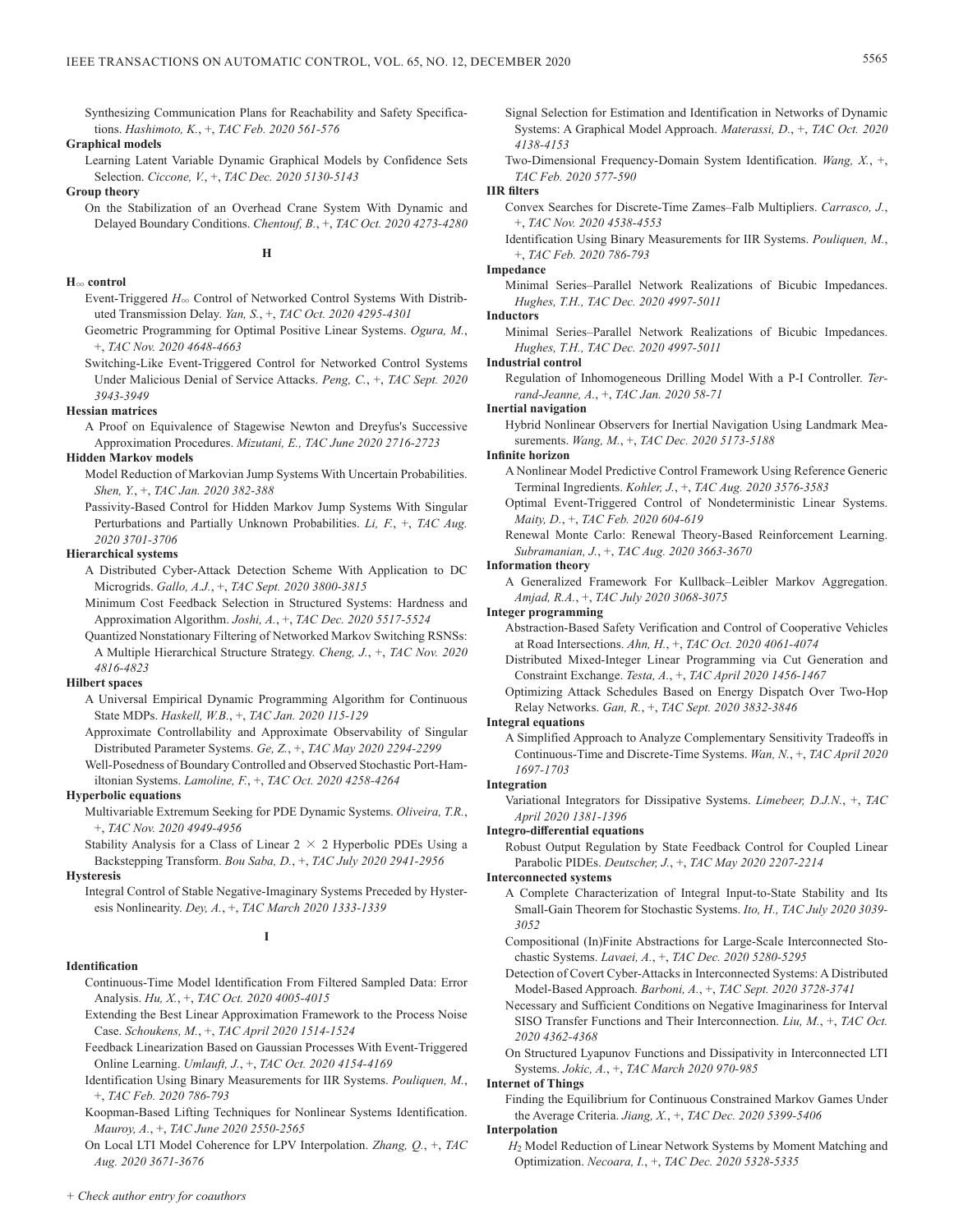Synthesizing Communication Plans for Reachability and Safety Specifications. *Hashimoto, K.*, +, *TAC Feb. 2020 561-576*

## **Graphical models**

Learning Latent Variable Dynamic Graphical Models by Confidence Sets Selection. *Ciccone, V.*, +, *TAC Dec. 2020 5130-5143*

#### **Group theory**

On the Stabilization of an Overhead Crane System With Dynamic and Delayed Boundary Conditions. *Chentouf, B.*, +, *TAC Oct. 2020 4273-4280*

#### **H**3 **control**

Event-Triggered  $H_{\infty}$  Control of Networked Control Systems With Distributed Transmission Delay. *Yan, S.*, +, *TAC Oct. 2020 4295-4301*

**H**

Geometric Programming for Optimal Positive Linear Systems. *Ogura, M.*, +, *TAC Nov. 2020 4648-4663*

Switching-Like Event-Triggered Control for Networked Control Systems Under Malicious Denial of Service Attacks. *Peng, C.*, +, *TAC Sept. 2020 3943-3949*

## **Hessian matrices**

A Proof on Equivalence of Stagewise Newton and Dreyfus's Successive Approximation Procedures. *Mizutani, E., TAC June 2020 2716-2723*

## **Hidden Markov models**

Model Reduction of Markovian Jump Systems With Uncertain Probabilities. *Shen, Y.*, +, *TAC Jan. 2020 382-388*

Passivity-Based Control for Hidden Markov Jump Systems With Singular Perturbations and Partially Unknown Probabilities. *Li, F.*, +, *TAC Aug. 2020 3701-3706*

#### **Hierarchical systems**

A Distributed Cyber-Attack Detection Scheme With Application to DC Microgrids. *Gallo, A.J.*, +, *TAC Sept. 2020 3800-3815*

Minimum Cost Feedback Selection in Structured Systems: Hardness and Approximation Algorithm. *Joshi, A.*, +, *TAC Dec. 2020 5517-5524*

Quantized Nonstationary Filtering of Networked Markov Switching RSNSs: A Multiple Hierarchical Structure Strategy. *Cheng, J.*, +, *TAC Nov. 2020 4816-4823*

## **Hilbert spaces**

- A Universal Empirical Dynamic Programming Algorithm for Continuous State MDPs. *Haskell, W.B.*, +, *TAC Jan. 2020 115-129*
- Approximate Controllability and Approximate Observability of Singular Distributed Parameter Systems. *Ge, Z.*, +, *TAC May 2020 2294-2299*
- Well-Posedness of Boundary Controlled and Observed Stochastic Port-Hamiltonian Systems. *Lamoline, F.*, +, *TAC Oct. 2020 4258-4264*

#### **Hyperbolic equations**

Multivariable Extremum Seeking for PDE Dynamic Systems. *Oliveira, T.R.*, +, *TAC Nov. 2020 4949-4956*

Stability Analysis for a Class of Linear  $2 \times 2$  Hyperbolic PDEs Using a Backstepping Transform. *Bou Saba, D.*, +, *TAC July 2020 2941-2956*

#### **Hysteresis**

Integral Control of Stable Negative-Imaginary Systems Preceded by Hysteresis Nonlinearity. *Dey, A.*, +, *TAC March 2020 1333-1339*

**I**

## **Identification**

Continuous-Time Model Identification From Filtered Sampled Data: Error Analysis. *Hu, X.*, +, *TAC Oct. 2020 4005-4015*

Extending the Best Linear Approximation Framework to the Process Noise Case. *Schoukens, M.*, +, *TAC April 2020 1514-1524*

- Feedback Linearization Based on Gaussian Processes With Event-Triggered Online Learning. *Umlauft, J.*, +, *TAC Oct. 2020 4154-4169*
- Identification Using Binary Measurements for IIR Systems. *Pouliquen, M.*, +, *TAC Feb. 2020 786-793*
- Koopman-Based Lifting Techniques for Nonlinear Systems Identification. *Mauroy, A.*, +, *TAC June 2020 2550-2565*

On Local LTI Model Coherence for LPV Interpolation. *Zhang, Q.*, +, *TAC Aug. 2020 3671-3676*

- Signal Selection for Estimation and Identification in Networks of Dynamic Systems: A Graphical Model Approach. *Materassi, D.*, +, *TAC Oct. 2020 4138-4153*
- Two-Dimensional Frequency-Domain System Identification. *Wang, X.*, +, *TAC Feb. 2020 577-590*

## **IIR filters**

Convex Searches for Discrete-Time Zames–Falb Multipliers. *Carrasco, J.*, +, *TAC Nov. 2020 4538-4553*

Identification Using Binary Measurements for IIR Systems. *Pouliquen, M.*, +, *TAC Feb. 2020 786-793*

## **Impedance**

Minimal Series–Parallel Network Realizations of Bicubic Impedances. *Hughes, T.H., TAC Dec. 2020 4997-5011*

#### **Inductors**

Minimal Series–Parallel Network Realizations of Bicubic Impedances. *Hughes, T.H., TAC Dec. 2020 4997-5011*

#### **Industrial control**

Regulation of Inhomogeneous Drilling Model With a P-I Controller. *Terrand-Jeanne, A.*, +, *TAC Jan. 2020 58-71*

## **Inertial navigation**

Hybrid Nonlinear Observers for Inertial Navigation Using Landmark Measurements. *Wang, M.*, +, *TAC Dec. 2020 5173-5188*

#### **Infinite horizon**

- A Nonlinear Model Predictive Control Framework Using Reference Generic Terminal Ingredients. *Kohler, J.*, +, *TAC Aug. 2020 3576-3583*
- Optimal Event-Triggered Control of Nondeterministic Linear Systems. *Maity, D.*, +, *TAC Feb. 2020 604-619*
- Renewal Monte Carlo: Renewal Theory-Based Reinforcement Learning. *Subramanian, J.*, +, *TAC Aug. 2020 3663-3670*

#### **Information theory**

A Generalized Framework For Kullback–Leibler Markov Aggregation. *Amjad, R.A.*, +, *TAC July 2020 3068-3075*

#### **Integer programming**

- Abstraction-Based Safety Verification and Control of Cooperative Vehicles at Road Intersections. *Ahn, H.*, +, *TAC Oct. 2020 4061-4074*
- Distributed Mixed-Integer Linear Programming via Cut Generation and Constraint Exchange. *Testa, A.*, +, *TAC April 2020 1456-1467*
- Optimizing Attack Schedules Based on Energy Dispatch Over Two-Hop Relay Networks. *Gan, R.*, +, *TAC Sept. 2020 3832-3846*

## **Integral equations**

A Simplified Approach to Analyze Complementary Sensitivity Tradeoffs in Continuous-Time and Discrete-Time Systems. *Wan, N.*, +, *TAC April 2020 1697-1703*

#### **Integration**

Variational Integrators for Dissipative Systems. *Limebeer, D.J.N.*, +, *TAC April 2020 1381-1396*

#### **Integro-differential equations**

Robust Output Regulation by State Feedback Control for Coupled Linear Parabolic PIDEs. *Deutscher, J.*, +, *TAC May 2020 2207-2214*

#### **Interconnected systems**

- A Complete Characterization of Integral Input-to-State Stability and Its Small-Gain Theorem for Stochastic Systems. *Ito, H., TAC July 2020 3039- 3052*
- Compositional (In)Finite Abstractions for Large-Scale Interconnected Stochastic Systems. *Lavaei, A.*, +, *TAC Dec. 2020 5280-5295*
- Detection of Covert Cyber-Attacks in Interconnected Systems: A Distributed Model-Based Approach. *Barboni, A.*, +, *TAC Sept. 2020 3728-3741*
- Necessary and Sufficient Conditions on Negative Imaginariness for Interval SISO Transfer Functions and Their Interconnection. *Liu, M.*, +, *TAC Oct. 2020 4362-4368*
- On Structured Lyapunov Functions and Dissipativity in Interconnected LTI Systems. *Jokic, A.*, +, *TAC March 2020 970-985*

#### **Internet of Things**

Finding the Equilibrium for Continuous Constrained Markov Games Under the Average Criteria. *Jiang, X.*, +, *TAC Dec. 2020 5399-5406*

#### **Interpolation**

*H*2 Model Reduction of Linear Network Systems by Moment Matching and Optimization. *Necoara, I.*, +, *TAC Dec. 2020 5328-5335*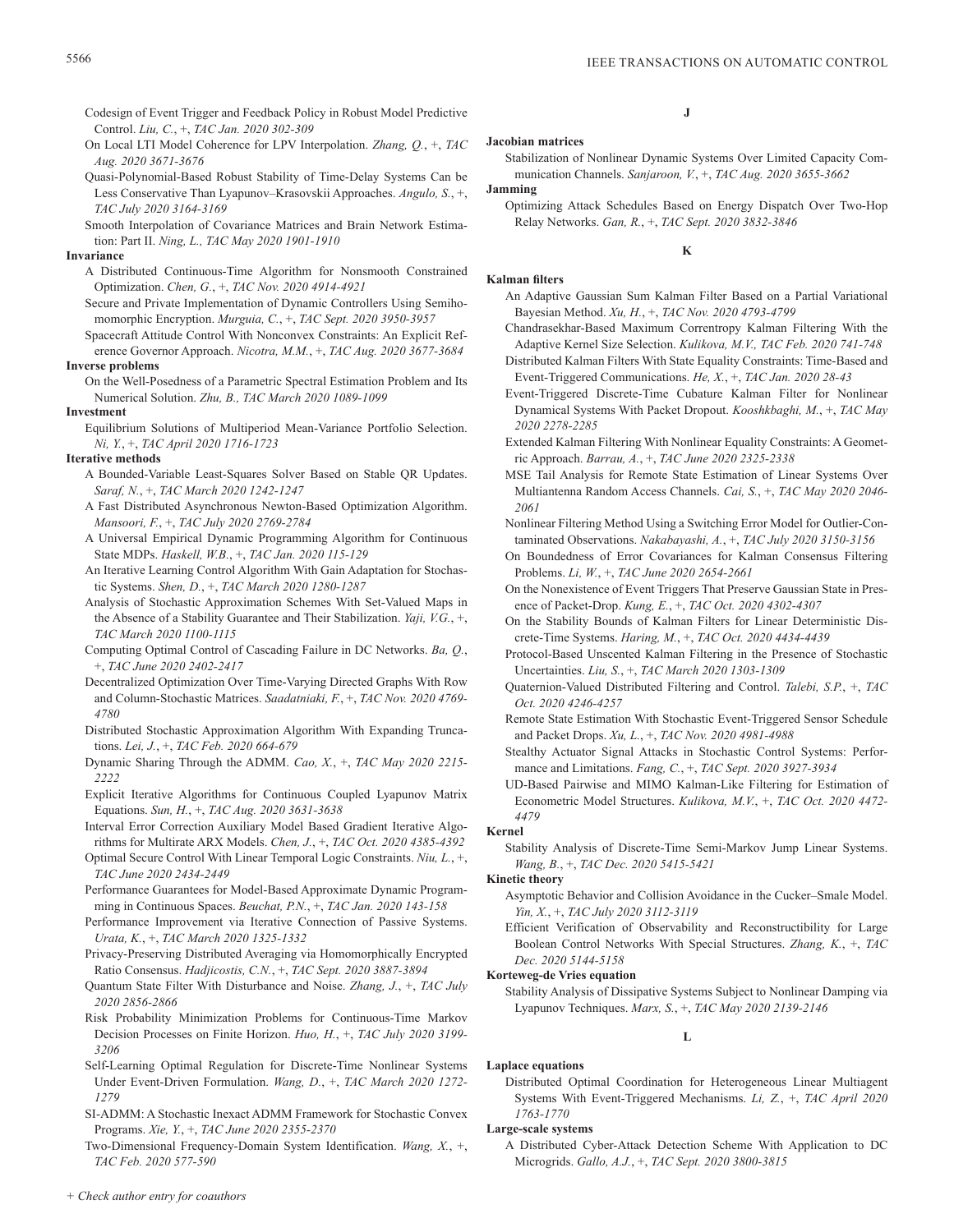- Codesign of Event Trigger and Feedback Policy in Robust Model Predictive Control. *Liu, C.*, +, *TAC Jan. 2020 302-309*
- On Local LTI Model Coherence for LPV Interpolation. *Zhang, Q.*, +, *TAC Aug. 2020 3671-3676*
- Quasi-Polynomial-Based Robust Stability of Time-Delay Systems Can be Less Conservative Than Lyapunov–Krasovskii Approaches. *Angulo, S.*, +, *TAC July 2020 3164-3169*
- Smooth Interpolation of Covariance Matrices and Brain Network Estimation: Part II. *Ning, L., TAC May 2020 1901-1910*

#### **Invariance**

- A Distributed Continuous-Time Algorithm for Nonsmooth Constrained Optimization. *Chen, G.*, +, *TAC Nov. 2020 4914-4921*
- Secure and Private Implementation of Dynamic Controllers Using Semihomomorphic Encryption. *Murguia, C.*, +, *TAC Sept. 2020 3950-3957*
- Spacecraft Attitude Control With Nonconvex Constraints: An Explicit Reference Governor Approach. *Nicotra, M.M.*, +, *TAC Aug. 2020 3677-3684*

## **Inverse problems**

On the Well-Posedness of a Parametric Spectral Estimation Problem and Its Numerical Solution. *Zhu, B., TAC March 2020 1089-1099*

## **Investment**

Equilibrium Solutions of Multiperiod Mean-Variance Portfolio Selection. *Ni, Y.*, +, *TAC April 2020 1716-1723*

## **Iterative methods**

- A Bounded-Variable Least-Squares Solver Based on Stable QR Updates. *Saraf, N.*, +, *TAC March 2020 1242-1247*
- A Fast Distributed Asynchronous Newton-Based Optimization Algorithm. *Mansoori, F.*, +, *TAC July 2020 2769-2784*
- A Universal Empirical Dynamic Programming Algorithm for Continuous State MDPs. *Haskell, W.B.*, +, *TAC Jan. 2020 115-129*
- An Iterative Learning Control Algorithm With Gain Adaptation for Stochastic Systems. *Shen, D.*, +, *TAC March 2020 1280-1287*
- Analysis of Stochastic Approximation Schemes With Set-Valued Maps in the Absence of a Stability Guarantee and Their Stabilization. *Yaji, V.G.*, +, *TAC March 2020 1100-1115*
- Computing Optimal Control of Cascading Failure in DC Networks. *Ba, Q.*, +, *TAC June 2020 2402-2417*
- Decentralized Optimization Over Time-Varying Directed Graphs With Row and Column-Stochastic Matrices. *Saadatniaki, F.*, +, *TAC Nov. 2020 4769- 4780*
- Distributed Stochastic Approximation Algorithm With Expanding Truncations. *Lei, J.*, +, *TAC Feb. 2020 664-679*
- Dynamic Sharing Through the ADMM. *Cao, X.*, +, *TAC May 2020 2215- 2222*
- Explicit Iterative Algorithms for Continuous Coupled Lyapunov Matrix Equations. *Sun, H.*, +, *TAC Aug. 2020 3631-3638*
- Interval Error Correction Auxiliary Model Based Gradient Iterative Algorithms for Multirate ARX Models. *Chen, J.*, +, *TAC Oct. 2020 4385-4392*
- Optimal Secure Control With Linear Temporal Logic Constraints. *Niu, L.*, +, *TAC June 2020 2434-2449*
- Performance Guarantees for Model-Based Approximate Dynamic Programming in Continuous Spaces. *Beuchat, P.N.*, +, *TAC Jan. 2020 143-158*
- Performance Improvement via Iterative Connection of Passive Systems. *Urata, K.*, +, *TAC March 2020 1325-1332*
- Privacy-Preserving Distributed Averaging via Homomorphically Encrypted Ratio Consensus. *Hadjicostis, C.N.*, +, *TAC Sept. 2020 3887-3894*
- Quantum State Filter With Disturbance and Noise. *Zhang, J.*, +, *TAC July 2020 2856-2866*
- Risk Probability Minimization Problems for Continuous-Time Markov Decision Processes on Finite Horizon. *Huo, H.*, +, *TAC July 2020 3199- 3206*
- Self-Learning Optimal Regulation for Discrete-Time Nonlinear Systems Under Event-Driven Formulation. *Wang, D.*, +, *TAC March 2020 1272- 1279*
- SI-ADMM: A Stochastic Inexact ADMM Framework for Stochastic Convex Programs. *Xie, Y.*, +, *TAC June 2020 2355-2370*

Two-Dimensional Frequency-Domain System Identification. *Wang, X.*, +, *TAC Feb. 2020 577-590*

# **J**

# **Jacobian matrices**

# Stabilization of Nonlinear Dynamic Systems Over Limited Capacity Communication Channels. *Sanjaroon, V.*, +, *TAC Aug. 2020 3655-3662*

## **Jamming**

Optimizing Attack Schedules Based on Energy Dispatch Over Two-Hop Relay Networks. *Gan, R.*, +, *TAC Sept. 2020 3832-3846*

## **K**

# **Kalman filters**

- An Adaptive Gaussian Sum Kalman Filter Based on a Partial Variational Bayesian Method. *Xu, H.*, +, *TAC Nov. 2020 4793-4799*
- Chandrasekhar-Based Maximum Correntropy Kalman Filtering With the Adaptive Kernel Size Selection. *Kulikova, M.V., TAC Feb. 2020 741-748*
- Distributed Kalman Filters With State Equality Constraints: Time-Based and Event-Triggered Communications. *He, X.*, +, *TAC Jan. 2020 28-43*
- Event-Triggered Discrete-Time Cubature Kalman Filter for Nonlinear Dynamical Systems With Packet Dropout. *Kooshkbaghi, M.*, +, *TAC May 2020 2278-2285*
- Extended Kalman Filtering With Nonlinear Equality Constraints: A Geometric Approach. *Barrau, A.*, +, *TAC June 2020 2325-2338*
- MSE Tail Analysis for Remote State Estimation of Linear Systems Over Multiantenna Random Access Channels. *Cai, S.*, +, *TAC May 2020 2046- 2061*
- Nonlinear Filtering Method Using a Switching Error Model for Outlier-Contaminated Observations. *Nakabayashi, A.*, +, *TAC July 2020 3150-3156*
- On Boundedness of Error Covariances for Kalman Consensus Filtering Problems. *Li, W.*, +, *TAC June 2020 2654-2661*
- On the Nonexistence of Event Triggers That Preserve Gaussian State in Presence of Packet-Drop. *Kung, E.*, +, *TAC Oct. 2020 4302-4307*
- On the Stability Bounds of Kalman Filters for Linear Deterministic Discrete-Time Systems. *Haring, M.*, +, *TAC Oct. 2020 4434-4439*
- Protocol-Based Unscented Kalman Filtering in the Presence of Stochastic Uncertainties. *Liu, S.*, +, *TAC March 2020 1303-1309*
- Quaternion-Valued Distributed Filtering and Control. *Talebi, S.P.*, +, *TAC Oct. 2020 4246-4257*
- Remote State Estimation With Stochastic Event-Triggered Sensor Schedule and Packet Drops. *Xu, L.*, +, *TAC Nov. 2020 4981-4988*
- Stealthy Actuator Signal Attacks in Stochastic Control Systems: Performance and Limitations. *Fang, C.*, +, *TAC Sept. 2020 3927-3934*
- UD-Based Pairwise and MIMO Kalman-Like Filtering for Estimation of Econometric Model Structures. *Kulikova, M.V.*, +, *TAC Oct. 2020 4472- 4479*

#### **Kernel**

Stability Analysis of Discrete-Time Semi-Markov Jump Linear Systems. *Wang, B.*, +, *TAC Dec. 2020 5415-5421*

## **Kinetic theory**

- Asymptotic Behavior and Collision Avoidance in the Cucker–Smale Model. *Yin, X.*, +, *TAC July 2020 3112-3119*
- Efficient Verification of Observability and Reconstructibility for Large Boolean Control Networks With Special Structures. *Zhang, K.*, +, *TAC Dec. 2020 5144-5158*

#### **Korteweg-de Vries equation**

Stability Analysis of Dissipative Systems Subject to Nonlinear Damping via Lyapunov Techniques. *Marx, S.*, +, *TAC May 2020 2139-2146*

**L**

## **Laplace equations** Distributed Optimal Coordination for Heterogeneous Linear Multiagent Systems With Event-Triggered Mechanisms. *Li, Z.*, +, *TAC April 2020 1763-1770*

#### **Large-scale systems**

A Distributed Cyber-Attack Detection Scheme With Application to DC Microgrids. *Gallo, A.J.*, +, *TAC Sept. 2020 3800-3815*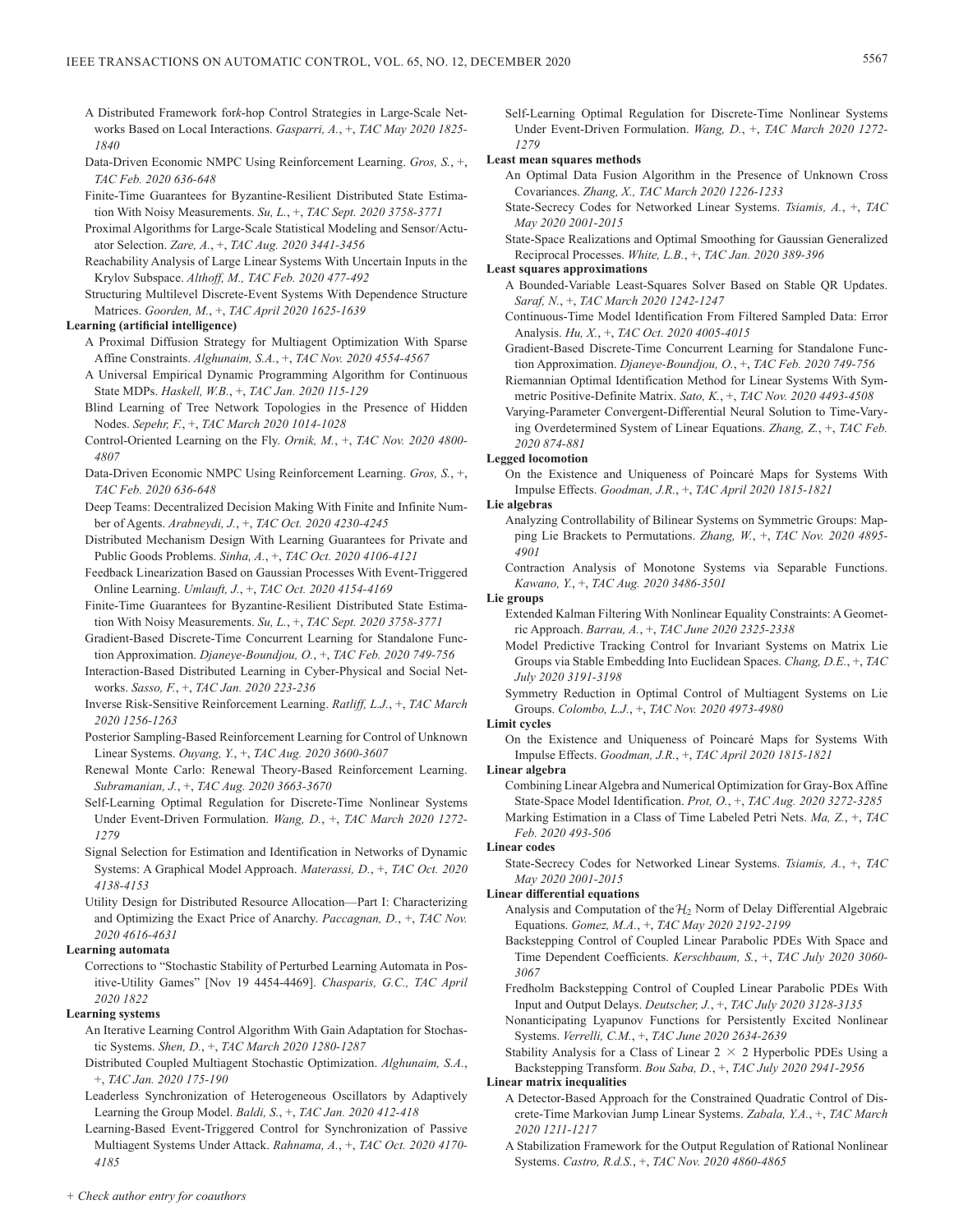- A Distributed Framework for*k*-hop Control Strategies in Large-Scale Networks Based on Local Interactions. *Gasparri, A.*, +, *TAC May 2020 1825- 1840*
- Data-Driven Economic NMPC Using Reinforcement Learning. *Gros, S.*, +, *TAC Feb. 2020 636-648*
- Finite-Time Guarantees for Byzantine-Resilient Distributed State Estimation With Noisy Measurements. *Su, L.*, +, *TAC Sept. 2020 3758-3771*
- Proximal Algorithms for Large-Scale Statistical Modeling and Sensor/Actuator Selection. *Zare, A.*, +, *TAC Aug. 2020 3441-3456*
- Reachability Analysis of Large Linear Systems With Uncertain Inputs in the Krylov Subspace. *Althoff, M., TAC Feb. 2020 477-492*
- Structuring Multilevel Discrete-Event Systems With Dependence Structure Matrices. *Goorden, M.*, +, *TAC April 2020 1625-1639*

## **Learning (artificial intelligence)**

- A Proximal Diffusion Strategy for Multiagent Optimization With Sparse Affine Constraints. *Alghunaim, S.A.*, +, *TAC Nov. 2020 4554-4567*
- A Universal Empirical Dynamic Programming Algorithm for Continuous State MDPs. *Haskell, W.B.*, +, *TAC Jan. 2020 115-129*
- Blind Learning of Tree Network Topologies in the Presence of Hidden Nodes. *Sepehr, F.*, +, *TAC March 2020 1014-1028*
- Control-Oriented Learning on the Fly. *Ornik, M.*, +, *TAC Nov. 2020 4800- 4807*
- Data-Driven Economic NMPC Using Reinforcement Learning. *Gros, S.*, +, *TAC Feb. 2020 636-648*
- Deep Teams: Decentralized Decision Making With Finite and Infinite Number of Agents. *Arabneydi, J.*, +, *TAC Oct. 2020 4230-4245*
- Distributed Mechanism Design With Learning Guarantees for Private and Public Goods Problems. *Sinha, A.*, +, *TAC Oct. 2020 4106-4121*
- Feedback Linearization Based on Gaussian Processes With Event-Triggered Online Learning. *Umlauft, J.*, +, *TAC Oct. 2020 4154-4169*
- Finite-Time Guarantees for Byzantine-Resilient Distributed State Estimation With Noisy Measurements. *Su, L.*, +, *TAC Sept. 2020 3758-3771*
- Gradient-Based Discrete-Time Concurrent Learning for Standalone Function Approximation. *Djaneye-Boundjou, O.*, +, *TAC Feb. 2020 749-756*
- Interaction-Based Distributed Learning in Cyber-Physical and Social Networks. *Sasso, F.*, +, *TAC Jan. 2020 223-236*
- Inverse Risk-Sensitive Reinforcement Learning. *Ratliff, L.J.*, +, *TAC March 2020 1256-1263*
- Posterior Sampling-Based Reinforcement Learning for Control of Unknown Linear Systems. *Ouyang, Y.*, +, *TAC Aug. 2020 3600-3607*
- Renewal Monte Carlo: Renewal Theory-Based Reinforcement Learning. *Subramanian, J.*, +, *TAC Aug. 2020 3663-3670*
- Self-Learning Optimal Regulation for Discrete-Time Nonlinear Systems Under Event-Driven Formulation. *Wang, D.*, +, *TAC March 2020 1272- 1279*
- Signal Selection for Estimation and Identification in Networks of Dynamic Systems: A Graphical Model Approach. *Materassi, D.*, +, *TAC Oct. 2020 4138-4153*
- Utility Design for Distributed Resource Allocation—Part I: Characterizing and Optimizing the Exact Price of Anarchy. *Paccagnan, D.*, +, *TAC Nov. 2020 4616-4631*

#### **Learning automata**

Corrections to "Stochastic Stability of Perturbed Learning Automata in Positive-Utility Games" [Nov 19 4454-4469]. *Chasparis, G.C., TAC April 2020 1822*

## **Learning systems**

- An Iterative Learning Control Algorithm With Gain Adaptation for Stochastic Systems. *Shen, D.*, +, *TAC March 2020 1280-1287*
- Distributed Coupled Multiagent Stochastic Optimization. *Alghunaim, S.A.*, +, *TAC Jan. 2020 175-190*
- Leaderless Synchronization of Heterogeneous Oscillators by Adaptively Learning the Group Model. *Baldi, S.*, +, *TAC Jan. 2020 412-418*
- Learning-Based Event-Triggered Control for Synchronization of Passive Multiagent Systems Under Attack. *Rahnama, A.*, +, *TAC Oct. 2020 4170- 4185*

Self-Learning Optimal Regulation for Discrete-Time Nonlinear Systems Under Event-Driven Formulation. *Wang, D.*, +, *TAC March 2020 1272- 1279*

#### **Least mean squares methods**

- An Optimal Data Fusion Algorithm in the Presence of Unknown Cross Covariances. *Zhang, X., TAC March 2020 1226-1233*
- State-Secrecy Codes for Networked Linear Systems. *Tsiamis, A.*, +, *TAC May 2020 2001-2015*
- State-Space Realizations and Optimal Smoothing for Gaussian Generalized Reciprocal Processes. *White, L.B.*, +, *TAC Jan. 2020 389-396*

## **Least squares approximations**

- A Bounded-Variable Least-Squares Solver Based on Stable QR Updates. *Saraf, N.*, +, *TAC March 2020 1242-1247*
- Continuous-Time Model Identification From Filtered Sampled Data: Error Analysis. *Hu, X.*, +, *TAC Oct. 2020 4005-4015*
- Gradient-Based Discrete-Time Concurrent Learning for Standalone Function Approximation. *Djaneye-Boundjou, O.*, +, *TAC Feb. 2020 749-756*
- Riemannian Optimal Identification Method for Linear Systems With Symmetric Positive-Definite Matrix. *Sato, K.*, +, *TAC Nov. 2020 4493-4508*
- Varying-Parameter Convergent-Differential Neural Solution to Time-Varying Overdetermined System of Linear Equations. *Zhang, Z.*, +, *TAC Feb. 2020 874-881*

#### **Legged locomotion**

On the Existence and Uniqueness of Poincaré Maps for Systems With Impulse Effects. *Goodman, J.R.*, +, *TAC April 2020 1815-1821*

#### **Lie algebras**

- Analyzing Controllability of Bilinear Systems on Symmetric Groups: Mapping Lie Brackets to Permutations. *Zhang, W.*, +, *TAC Nov. 2020 4895- 4901*
- Contraction Analysis of Monotone Systems via Separable Functions. *Kawano, Y.*, +, *TAC Aug. 2020 3486-3501*

## **Lie groups**

- Extended Kalman Filtering With Nonlinear Equality Constraints: A Geometric Approach. *Barrau, A.*, +, *TAC June 2020 2325-2338*
- Model Predictive Tracking Control for Invariant Systems on Matrix Lie Groups via Stable Embedding Into Euclidean Spaces. *Chang, D.E.*, +, *TAC July 2020 3191-3198*
- Symmetry Reduction in Optimal Control of Multiagent Systems on Lie Groups. *Colombo, L.J.*, +, *TAC Nov. 2020 4973-4980*

## **Limit cycles**

On the Existence and Uniqueness of Poincaré Maps for Systems With Impulse Effects. *Goodman, J.R.*, +, *TAC April 2020 1815-1821*

#### **Linear algebra**

Combining Linear Algebra and Numerical Optimization for Gray-Box Affine State-Space Model Identification. *Prot, O.*, +, *TAC Aug. 2020 3272-3285* Marking Estimation in a Class of Time Labeled Petri Nets. *Ma, Z.*, +, *TAC Feb. 2020 493-506*

#### **Linear codes**

State-Secrecy Codes for Networked Linear Systems. *Tsiamis, A.*, +, *TAC May 2020 2001-2015*

#### **Linear differential equations**

- Analysis and Computation of the  $H_2$  Norm of Delay Differential Algebraic Equations. *Gomez, M.A.*, +, *TAC May 2020 2192-2199*
- Backstepping Control of Coupled Linear Parabolic PDEs With Space and Time Dependent Coefficients. *Kerschbaum, S.*, +, *TAC July 2020 3060- 3067*
- Fredholm Backstepping Control of Coupled Linear Parabolic PDEs With Input and Output Delays. *Deutscher, J.*, +, *TAC July 2020 3128-3135*
- Nonanticipating Lyapunov Functions for Persistently Excited Nonlinear Systems. *Verrelli, C.M.*, +, *TAC June 2020 2634-2639*
- Stability Analysis for a Class of Linear  $2 \times 2$  Hyperbolic PDEs Using a Backstepping Transform. *Bou Saba, D.*, +, *TAC July 2020 2941-2956*

## **Linear matrix inequalities**

- A Detector-Based Approach for the Constrained Quadratic Control of Discrete-Time Markovian Jump Linear Systems. *Zabala, Y.A.*, +, *TAC March 2020 1211-1217*
- A Stabilization Framework for the Output Regulation of Rational Nonlinear Systems. *Castro, R.d.S.*, +, *TAC Nov. 2020 4860-4865*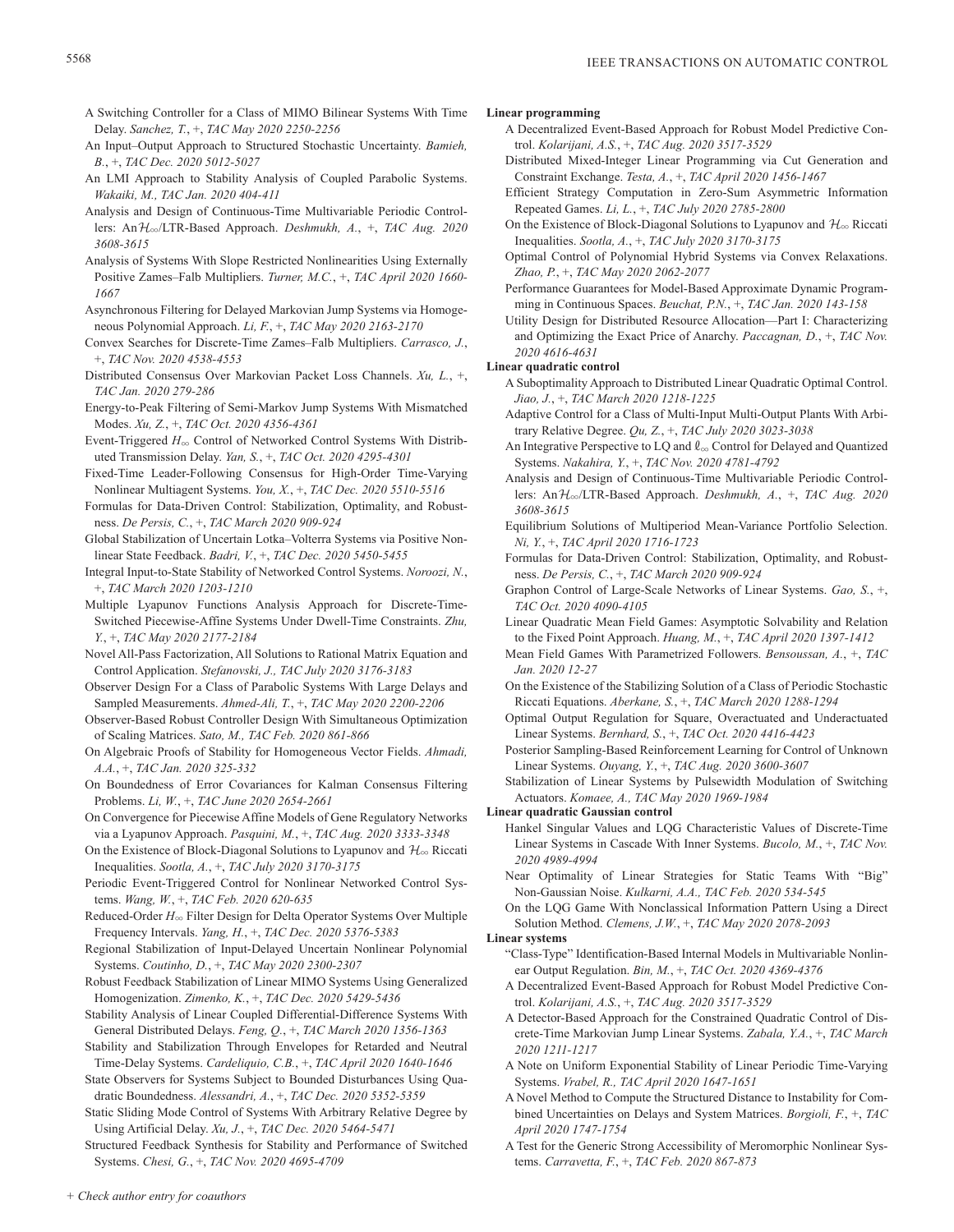- A Switching Controller for a Class of MIMO Bilinear Systems With Time Delay. *Sanchez, T.*, +, *TAC May 2020 2250-2256*
- An Input–Output Approach to Structured Stochastic Uncertainty. *Bamieh, B.*, +, *TAC Dec. 2020 5012-5027*
- An LMI Approach to Stability Analysis of Coupled Parabolic Systems. *Wakaiki, M., TAC Jan. 2020 404-411*
- Analysis and Design of Continuous-Time Multivariable Periodic Controllers: AnH3/LTR-Based Approach. *Deshmukh, A.*, +, *TAC Aug. 2020 3608-3615*
- Analysis of Systems With Slope Restricted Nonlinearities Using Externally Positive Zames–Falb Multipliers. *Turner, M.C.*, +, *TAC April 2020 1660- 1667*
- Asynchronous Filtering for Delayed Markovian Jump Systems via Homogeneous Polynomial Approach. *Li, F.*, +, *TAC May 2020 2163-2170*
- Convex Searches for Discrete-Time Zames–Falb Multipliers. *Carrasco, J.*, +, *TAC Nov. 2020 4538-4553*
- Distributed Consensus Over Markovian Packet Loss Channels. *Xu, L.*, +, *TAC Jan. 2020 279-286*
- Energy-to-Peak Filtering of Semi-Markov Jump Systems With Mismatched Modes. *Xu, Z.*, +, *TAC Oct. 2020 4356-4361*
- Event-Triggered  $H_{\infty}$  Control of Networked Control Systems With Distributed Transmission Delay. *Yan, S.*, +, *TAC Oct. 2020 4295-4301*
- Fixed-Time Leader-Following Consensus for High-Order Time-Varying Nonlinear Multiagent Systems. *You, X.*, +, *TAC Dec. 2020 5510-5516*
- Formulas for Data-Driven Control: Stabilization, Optimality, and Robustness. *De Persis, C.*, +, *TAC March 2020 909-924*
- Global Stabilization of Uncertain Lotka–Volterra Systems via Positive Nonlinear State Feedback. *Badri, V.*, +, *TAC Dec. 2020 5450-5455*
- Integral Input-to-State Stability of Networked Control Systems. *Noroozi, N.*, +, *TAC March 2020 1203-1210*
- Multiple Lyapunov Functions Analysis Approach for Discrete-Time-Switched Piecewise-Affine Systems Under Dwell-Time Constraints. *Zhu, Y.*, +, *TAC May 2020 2177-2184*
- Novel All-Pass Factorization, All Solutions to Rational Matrix Equation and Control Application. *Stefanovski, J., TAC July 2020 3176-3183*
- Observer Design For a Class of Parabolic Systems With Large Delays and Sampled Measurements. *Ahmed-Ali, T.*, +, *TAC May 2020 2200-2206*
- Observer-Based Robust Controller Design With Simultaneous Optimization of Scaling Matrices. *Sato, M., TAC Feb. 2020 861-866*
- On Algebraic Proofs of Stability for Homogeneous Vector Fields. *Ahmadi, A.A.*, +, *TAC Jan. 2020 325-332*
- On Boundedness of Error Covariances for Kalman Consensus Filtering Problems. *Li, W.*, +, *TAC June 2020 2654-2661*
- On Convergence for Piecewise Affine Models of Gene Regulatory Networks via a Lyapunov Approach. *Pasquini, M.*, +, *TAC Aug. 2020 3333-3348*
- On the Existence of Block-Diagonal Solutions to Lyapunov and  $\mathcal{H}_{\infty}$  Riccati Inequalities. *Sootla, A.*, +, *TAC July 2020 3170-3175*
- Periodic Event-Triggered Control for Nonlinear Networked Control Systems. *Wang, W.*, +, *TAC Feb. 2020 620-635*
- Reduced-Order  $H_{\infty}$  Filter Design for Delta Operator Systems Over Multiple Frequency Intervals. *Yang, H.*, +, *TAC Dec. 2020 5376-5383*
- Regional Stabilization of Input-Delayed Uncertain Nonlinear Polynomial Systems. *Coutinho, D.*, +, *TAC May 2020 2300-2307*
- Robust Feedback Stabilization of Linear MIMO Systems Using Generalized Homogenization. *Zimenko, K.*, +, *TAC Dec. 2020 5429-5436*
- Stability Analysis of Linear Coupled Differential-Difference Systems With General Distributed Delays. *Feng, Q.*, +, *TAC March 2020 1356-1363*
- Stability and Stabilization Through Envelopes for Retarded and Neutral Time-Delay Systems. *Cardeliquio, C.B.*, +, *TAC April 2020 1640-1646*
- State Observers for Systems Subject to Bounded Disturbances Using Quadratic Boundedness. *Alessandri, A.*, +, *TAC Dec. 2020 5352-5359*
- Static Sliding Mode Control of Systems With Arbitrary Relative Degree by Using Artificial Delay. *Xu, J.*, +, *TAC Dec. 2020 5464-5471*
- Structured Feedback Synthesis for Stability and Performance of Switched Systems. *Chesi, G.*, +, *TAC Nov. 2020 4695-4709*

## **Linear programming**

- A Decentralized Event-Based Approach for Robust Model Predictive Control. *Kolarijani, A.S.*, +, *TAC Aug. 2020 3517-3529*
- Distributed Mixed-Integer Linear Programming via Cut Generation and Constraint Exchange. *Testa, A.*, +, *TAC April 2020 1456-1467*
- Efficient Strategy Computation in Zero-Sum Asymmetric Information Repeated Games. *Li, L.*, +, *TAC July 2020 2785-2800*
- On the Existence of Block-Diagonal Solutions to Lyapunov and  $\mathcal{H}_{\infty}$  Riccati Inequalities. *Sootla, A.*, +, *TAC July 2020 3170-3175*
- Optimal Control of Polynomial Hybrid Systems via Convex Relaxations. *Zhao, P.*, +, *TAC May 2020 2062-2077*
- Performance Guarantees for Model-Based Approximate Dynamic Programming in Continuous Spaces. *Beuchat, P.N.*, +, *TAC Jan. 2020 143-158*
- Utility Design for Distributed Resource Allocation—Part I: Characterizing and Optimizing the Exact Price of Anarchy. *Paccagnan, D.*, +, *TAC Nov. 2020 4616-4631*

## **Linear quadratic control**

- A Suboptimality Approach to Distributed Linear Quadratic Optimal Control. *Jiao, J.*, +, *TAC March 2020 1218-1225*
- Adaptive Control for a Class of Multi-Input Multi-Output Plants With Arbitrary Relative Degree. *Qu, Z.*, +, *TAC July 2020 3023-3038*
- An Integrative Perspective to LQ and  $\ell_{\infty}$  Control for Delayed and Quantized Systems. *Nakahira, Y.*, +, *TAC Nov. 2020 4781-4792*
- Analysis and Design of Continuous-Time Multivariable Periodic Controllers: AnH3/LTR-Based Approach. *Deshmukh, A.*, +, *TAC Aug. 2020 3608-3615*
- Equilibrium Solutions of Multiperiod Mean-Variance Portfolio Selection. *Ni, Y.*, +, *TAC April 2020 1716-1723*
- Formulas for Data-Driven Control: Stabilization, Optimality, and Robustness. *De Persis, C.*, +, *TAC March 2020 909-924*
- Graphon Control of Large-Scale Networks of Linear Systems. *Gao, S.*, +, *TAC Oct. 2020 4090-4105*
- Linear Quadratic Mean Field Games: Asymptotic Solvability and Relation to the Fixed Point Approach. *Huang, M.*, +, *TAC April 2020 1397-1412*
- Mean Field Games With Parametrized Followers. *Bensoussan, A.*, +, *TAC Jan. 2020 12-27*
- On the Existence of the Stabilizing Solution of a Class of Periodic Stochastic Riccati Equations. *Aberkane, S.*, +, *TAC March 2020 1288-1294*
- Optimal Output Regulation for Square, Overactuated and Underactuated Linear Systems. *Bernhard, S.*, +, *TAC Oct. 2020 4416-4423*
- Posterior Sampling-Based Reinforcement Learning for Control of Unknown Linear Systems. *Ouyang, Y.*, +, *TAC Aug. 2020 3600-3607*
- Stabilization of Linear Systems by Pulsewidth Modulation of Switching Actuators. *Komaee, A., TAC May 2020 1969-1984*

## **Linear quadratic Gaussian control**

- Hankel Singular Values and LQG Characteristic Values of Discrete-Time Linear Systems in Cascade With Inner Systems. *Bucolo, M.*, +, *TAC Nov. 2020 4989-4994*
- Near Optimality of Linear Strategies for Static Teams With "Big" Non-Gaussian Noise. *Kulkarni, A.A., TAC Feb. 2020 534-545*
- On the LQG Game With Nonclassical Information Pattern Using a Direct Solution Method. *Clemens, J.W.*, +, *TAC May 2020 2078-2093*

## **Linear systems**

- "Class-Type" Identification-Based Internal Models in Multivariable Nonlinear Output Regulation. *Bin, M.*, +, *TAC Oct. 2020 4369-4376*
- A Decentralized Event-Based Approach for Robust Model Predictive Control. *Kolarijani, A.S.*, +, *TAC Aug. 2020 3517-3529*
- A Detector-Based Approach for the Constrained Quadratic Control of Discrete-Time Markovian Jump Linear Systems. *Zabala, Y.A.*, +, *TAC March 2020 1211-1217*
- A Note on Uniform Exponential Stability of Linear Periodic Time-Varying Systems. *Vrabel, R., TAC April 2020 1647-1651*
- A Novel Method to Compute the Structured Distance to Instability for Combined Uncertainties on Delays and System Matrices. *Borgioli, F.*, +, *TAC April 2020 1747-1754*
- A Test for the Generic Strong Accessibility of Meromorphic Nonlinear Systems. *Carravetta, F.*, +, *TAC Feb. 2020 867-873*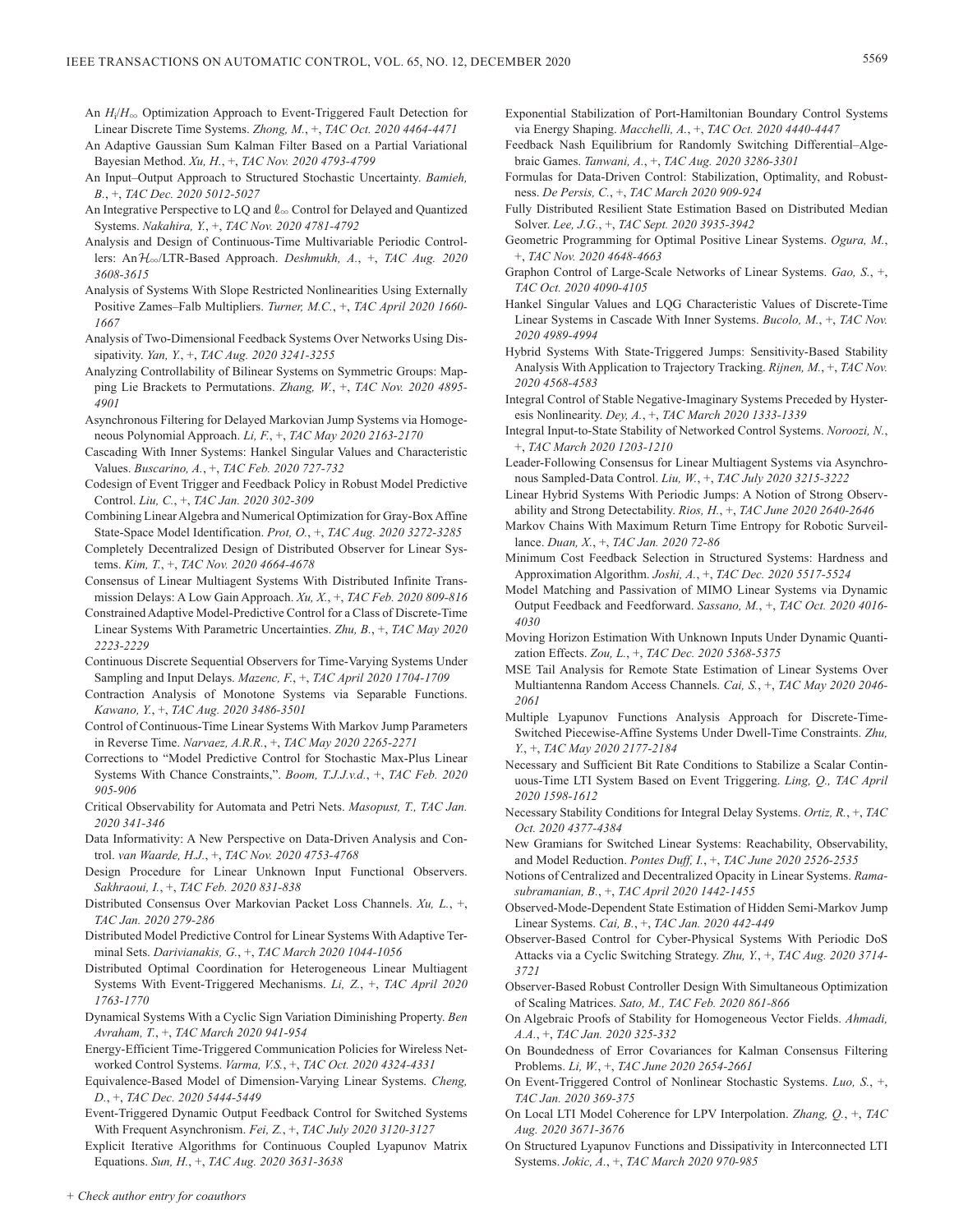- An  $H_i/H_{\infty}$  Optimization Approach to Event-Triggered Fault Detection for Linear Discrete Time Systems. *Zhong, M.*, +, *TAC Oct. 2020 4464-4471*
- An Adaptive Gaussian Sum Kalman Filter Based on a Partial Variational Bayesian Method. *Xu, H.*, +, *TAC Nov. 2020 4793-4799*
- An Input–Output Approach to Structured Stochastic Uncertainty. *Bamieh, B.*, +, *TAC Dec. 2020 5012-5027*
- An Integrative Perspective to LQ and  $\ell_{\infty}$  Control for Delayed and Quantized Systems. *Nakahira, Y.*, +, *TAC Nov. 2020 4781-4792*
- Analysis and Design of Continuous-Time Multivariable Periodic Controllers: AnH3/LTR-Based Approach. *Deshmukh, A.*, +, *TAC Aug. 2020 3608-3615*
- Analysis of Systems With Slope Restricted Nonlinearities Using Externally Positive Zames–Falb Multipliers. *Turner, M.C.*, +, *TAC April 2020 1660- 1667*
- Analysis of Two-Dimensional Feedback Systems Over Networks Using Dissipativity. *Yan, Y.*, +, *TAC Aug. 2020 3241-3255*
- Analyzing Controllability of Bilinear Systems on Symmetric Groups: Mapping Lie Brackets to Permutations. *Zhang, W.*, +, *TAC Nov. 2020 4895- 4901*
- Asynchronous Filtering for Delayed Markovian Jump Systems via Homogeneous Polynomial Approach. *Li, F.*, +, *TAC May 2020 2163-2170*
- Cascading With Inner Systems: Hankel Singular Values and Characteristic Values. *Buscarino, A.*, +, *TAC Feb. 2020 727-732*
- Codesign of Event Trigger and Feedback Policy in Robust Model Predictive Control. *Liu, C.*, +, *TAC Jan. 2020 302-309*
- Combining Linear Algebra and Numerical Optimization for Gray-Box Affine State-Space Model Identification. *Prot, O.*, +, *TAC Aug. 2020 3272-3285*
- Completely Decentralized Design of Distributed Observer for Linear Systems. *Kim, T.*, +, *TAC Nov. 2020 4664-4678*
- Consensus of Linear Multiagent Systems With Distributed Infinite Transmission Delays: A Low Gain Approach. *Xu, X.*, +, *TAC Feb. 2020 809-816*
- Constrained Adaptive Model-Predictive Control for a Class of Discrete-Time Linear Systems With Parametric Uncertainties. *Zhu, B.*, +, *TAC May 2020 2223-2229*
- Continuous Discrete Sequential Observers for Time-Varying Systems Under Sampling and Input Delays. *Mazenc, F.*, +, *TAC April 2020 1704-1709*
- Contraction Analysis of Monotone Systems via Separable Functions. *Kawano, Y.*, +, *TAC Aug. 2020 3486-3501*
- Control of Continuous-Time Linear Systems With Markov Jump Parameters in Reverse Time. *Narvaez, A.R.R.*, +, *TAC May 2020 2265-2271*
- Corrections to "Model Predictive Control for Stochastic Max-Plus Linear Systems With Chance Constraints,". *Boom, T.J.J.v.d.*, +, *TAC Feb. 2020 905-906*
- Critical Observability for Automata and Petri Nets. *Masopust, T., TAC Jan. 2020 341-346*
- Data Informativity: A New Perspective on Data-Driven Analysis and Control. *van Waarde, H.J.*, +, *TAC Nov. 2020 4753-4768*
- Design Procedure for Linear Unknown Input Functional Observers. *Sakhraoui, I.*, +, *TAC Feb. 2020 831-838*
- Distributed Consensus Over Markovian Packet Loss Channels. *Xu, L.*, +, *TAC Jan. 2020 279-286*
- Distributed Model Predictive Control for Linear Systems With Adaptive Terminal Sets. *Darivianakis, G.*, +, *TAC March 2020 1044-1056*
- Distributed Optimal Coordination for Heterogeneous Linear Multiagent Systems With Event-Triggered Mechanisms. *Li, Z.*, +, *TAC April 2020 1763-1770*
- Dynamical Systems With a Cyclic Sign Variation Diminishing Property. *Ben Avraham, T.*, +, *TAC March 2020 941-954*
- Energy-Efficient Time-Triggered Communication Policies for Wireless Networked Control Systems. *Varma, V.S.*, +, *TAC Oct. 2020 4324-4331*
- Equivalence-Based Model of Dimension-Varying Linear Systems. *Cheng, D.*, +, *TAC Dec. 2020 5444-5449*
- Event-Triggered Dynamic Output Feedback Control for Switched Systems With Frequent Asynchronism. *Fei, Z.*, +, *TAC July 2020 3120-3127*

Explicit Iterative Algorithms for Continuous Coupled Lyapunov Matrix Equations. *Sun, H.*, +, *TAC Aug. 2020 3631-3638*

- Exponential Stabilization of Port-Hamiltonian Boundary Control Systems via Energy Shaping. *Macchelli, A.*, +, *TAC Oct. 2020 4440-4447*
- Feedback Nash Equilibrium for Randomly Switching Differential–Algebraic Games. *Tanwani, A.*, +, *TAC Aug. 2020 3286-3301*
- Formulas for Data-Driven Control: Stabilization, Optimality, and Robustness. *De Persis, C.*, +, *TAC March 2020 909-924*
- Fully Distributed Resilient State Estimation Based on Distributed Median Solver. *Lee, J.G.*, +, *TAC Sept. 2020 3935-3942*
- Geometric Programming for Optimal Positive Linear Systems. *Ogura, M.*, +, *TAC Nov. 2020 4648-4663*
- Graphon Control of Large-Scale Networks of Linear Systems. *Gao, S.*, +, *TAC Oct. 2020 4090-4105*
- Hankel Singular Values and LQG Characteristic Values of Discrete-Time Linear Systems in Cascade With Inner Systems. *Bucolo, M.*, +, *TAC Nov. 2020 4989-4994*
- Hybrid Systems With State-Triggered Jumps: Sensitivity-Based Stability Analysis With Application to Trajectory Tracking. *Rijnen, M.*, +, *TAC Nov. 2020 4568-4583*
- Integral Control of Stable Negative-Imaginary Systems Preceded by Hysteresis Nonlinearity. *Dey, A.*, +, *TAC March 2020 1333-1339*
- Integral Input-to-State Stability of Networked Control Systems. *Noroozi, N.*, +, *TAC March 2020 1203-1210*
- Leader-Following Consensus for Linear Multiagent Systems via Asynchronous Sampled-Data Control. *Liu, W.*, +, *TAC July 2020 3215-3222*
- Linear Hybrid Systems With Periodic Jumps: A Notion of Strong Observability and Strong Detectability. *Rios, H.*, +, *TAC June 2020 2640-2646*
- Markov Chains With Maximum Return Time Entropy for Robotic Surveillance. *Duan, X.*, +, *TAC Jan. 2020 72-86*
- Minimum Cost Feedback Selection in Structured Systems: Hardness and Approximation Algorithm. *Joshi, A.*, +, *TAC Dec. 2020 5517-5524*
- Model Matching and Passivation of MIMO Linear Systems via Dynamic Output Feedback and Feedforward. *Sassano, M.*, +, *TAC Oct. 2020 4016- 4030*
- Moving Horizon Estimation With Unknown Inputs Under Dynamic Quantization Effects. *Zou, L.*, +, *TAC Dec. 2020 5368-5375*
- MSE Tail Analysis for Remote State Estimation of Linear Systems Over Multiantenna Random Access Channels. *Cai, S.*, +, *TAC May 2020 2046- 2061*
- Multiple Lyapunov Functions Analysis Approach for Discrete-Time-Switched Piecewise-Affine Systems Under Dwell-Time Constraints. *Zhu, Y.*, +, *TAC May 2020 2177-2184*
- Necessary and Sufficient Bit Rate Conditions to Stabilize a Scalar Continuous-Time LTI System Based on Event Triggering. *Ling, Q., TAC April 2020 1598-1612*
- Necessary Stability Conditions for Integral Delay Systems. *Ortiz, R.*, +, *TAC Oct. 2020 4377-4384*
- New Gramians for Switched Linear Systems: Reachability, Observability, and Model Reduction. *Pontes Duff, I.*, +, *TAC June 2020 2526-2535*
- Notions of Centralized and Decentralized Opacity in Linear Systems. *Ramasubramanian, B.*, +, *TAC April 2020 1442-1455*
- Observed-Mode-Dependent State Estimation of Hidden Semi-Markov Jump Linear Systems. *Cai, B.*, +, *TAC Jan. 2020 442-449*
- Observer-Based Control for Cyber-Physical Systems With Periodic DoS Attacks via a Cyclic Switching Strategy. *Zhu, Y.*, +, *TAC Aug. 2020 3714- 3721*
- Observer-Based Robust Controller Design With Simultaneous Optimization of Scaling Matrices. *Sato, M., TAC Feb. 2020 861-866*
- On Algebraic Proofs of Stability for Homogeneous Vector Fields. *Ahmadi, A.A.*, +, *TAC Jan. 2020 325-332*
- On Boundedness of Error Covariances for Kalman Consensus Filtering Problems. *Li, W.*, +, *TAC June 2020 2654-2661*
- On Event-Triggered Control of Nonlinear Stochastic Systems. *Luo, S.*, +, *TAC Jan. 2020 369-375*
- On Local LTI Model Coherence for LPV Interpolation. *Zhang, Q.*, +, *TAC Aug. 2020 3671-3676*
- On Structured Lyapunov Functions and Dissipativity in Interconnected LTI Systems. *Jokic, A.*, +, *TAC March 2020 970-985*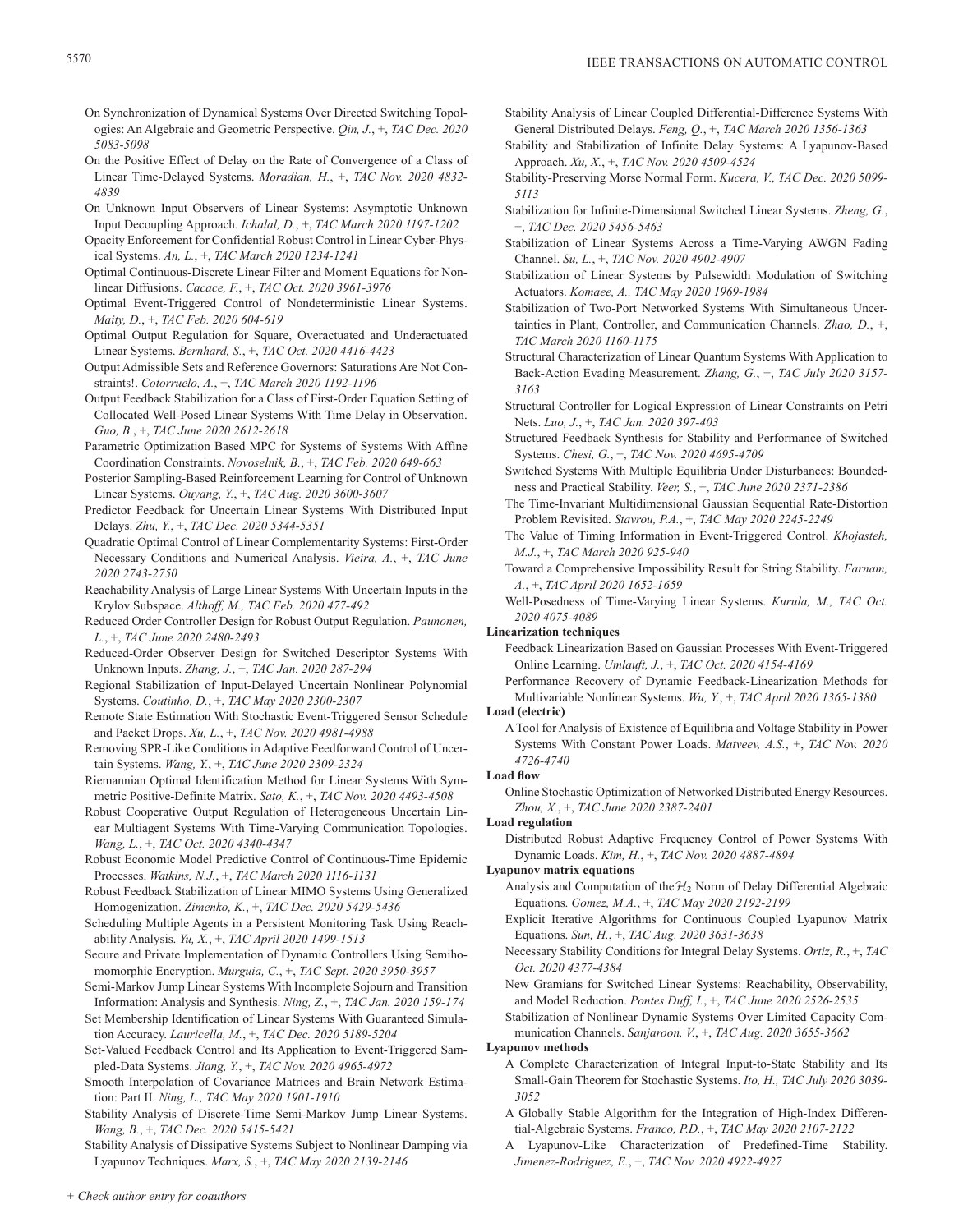- On Synchronization of Dynamical Systems Over Directed Switching Topologies: An Algebraic and Geometric Perspective. *Qin, J.*, +, *TAC Dec. 2020 5083-5098*
- On the Positive Effect of Delay on the Rate of Convergence of a Class of Linear Time-Delayed Systems. *Moradian, H.*, +, *TAC Nov. 2020 4832- 4839*
- On Unknown Input Observers of Linear Systems: Asymptotic Unknown Input Decoupling Approach. *Ichalal, D.*, +, *TAC March 2020 1197-1202*
- Opacity Enforcement for Confidential Robust Control in Linear Cyber-Physical Systems. *An, L.*, +, *TAC March 2020 1234-1241*
- Optimal Continuous-Discrete Linear Filter and Moment Equations for Nonlinear Diffusions. *Cacace, F.*, +, *TAC Oct. 2020 3961-3976*
- Optimal Event-Triggered Control of Nondeterministic Linear Systems. *Maity, D.*, +, *TAC Feb. 2020 604-619*
- Optimal Output Regulation for Square, Overactuated and Underactuated Linear Systems. *Bernhard, S.*, +, *TAC Oct. 2020 4416-4423*
- Output Admissible Sets and Reference Governors: Saturations Are Not Constraints!. *Cotorruelo, A.*, +, *TAC March 2020 1192-1196*
- Output Feedback Stabilization for a Class of First-Order Equation Setting of Collocated Well-Posed Linear Systems With Time Delay in Observation. *Guo, B.*, +, *TAC June 2020 2612-2618*
- Parametric Optimization Based MPC for Systems of Systems With Affine Coordination Constraints. *Novoselnik, B.*, +, *TAC Feb. 2020 649-663*
- Posterior Sampling-Based Reinforcement Learning for Control of Unknown Linear Systems. *Ouyang, Y.*, +, *TAC Aug. 2020 3600-3607*
- Predictor Feedback for Uncertain Linear Systems With Distributed Input Delays. *Zhu, Y.*, +, *TAC Dec. 2020 5344-5351*
- Quadratic Optimal Control of Linear Complementarity Systems: First-Order Necessary Conditions and Numerical Analysis. *Vieira, A.*, +, *TAC June 2020 2743-2750*
- Reachability Analysis of Large Linear Systems With Uncertain Inputs in the Krylov Subspace. *Althoff, M., TAC Feb. 2020 477-492*
- Reduced Order Controller Design for Robust Output Regulation. *Paunonen, L.*, +, *TAC June 2020 2480-2493*
- Reduced-Order Observer Design for Switched Descriptor Systems With Unknown Inputs. *Zhang, J.*, +, *TAC Jan. 2020 287-294*
- Regional Stabilization of Input-Delayed Uncertain Nonlinear Polynomial Systems. *Coutinho, D.*, +, *TAC May 2020 2300-2307*
- Remote State Estimation With Stochastic Event-Triggered Sensor Schedule and Packet Drops. *Xu, L.*, +, *TAC Nov. 2020 4981-4988*
- Removing SPR-Like Conditions in Adaptive Feedforward Control of Uncertain Systems. *Wang, Y.*, +, *TAC June 2020 2309-2324*
- Riemannian Optimal Identification Method for Linear Systems With Symmetric Positive-Definite Matrix. *Sato, K.*, +, *TAC Nov. 2020 4493-4508*
- Robust Cooperative Output Regulation of Heterogeneous Uncertain Linear Multiagent Systems With Time-Varying Communication Topologies. *Wang, L.*, +, *TAC Oct. 2020 4340-4347*
- Robust Economic Model Predictive Control of Continuous-Time Epidemic Processes. *Watkins, N.J.*, +, *TAC March 2020 1116-1131*
- Robust Feedback Stabilization of Linear MIMO Systems Using Generalized Homogenization. *Zimenko, K.*, +, *TAC Dec. 2020 5429-5436*
- Scheduling Multiple Agents in a Persistent Monitoring Task Using Reachability Analysis. *Yu, X.*, +, *TAC April 2020 1499-1513*
- Secure and Private Implementation of Dynamic Controllers Using Semihomomorphic Encryption. *Murguia, C.*, +, *TAC Sept. 2020 3950-3957*
- Semi-Markov Jump Linear Systems With Incomplete Sojourn and Transition Information: Analysis and Synthesis. *Ning, Z.*, +, *TAC Jan. 2020 159-174*
- Set Membership Identification of Linear Systems With Guaranteed Simulation Accuracy. *Lauricella, M.*, +, *TAC Dec. 2020 5189-5204*
- Set-Valued Feedback Control and Its Application to Event-Triggered Sampled-Data Systems. *Jiang, Y.*, +, *TAC Nov. 2020 4965-4972*
- Smooth Interpolation of Covariance Matrices and Brain Network Estimation: Part II. *Ning, L., TAC May 2020 1901-1910*
- Stability Analysis of Discrete-Time Semi-Markov Jump Linear Systems. *Wang, B.*, +, *TAC Dec. 2020 5415-5421*
- Stability Analysis of Dissipative Systems Subject to Nonlinear Damping via Lyapunov Techniques. *Marx, S.*, +, *TAC May 2020 2139-2146*
- Stability Analysis of Linear Coupled Differential-Difference Systems With General Distributed Delays. *Feng, Q.*, +, *TAC March 2020 1356-1363*
- Stability and Stabilization of Infinite Delay Systems: A Lyapunov-Based Approach. *Xu, X.*, +, *TAC Nov. 2020 4509-4524*
- Stability-Preserving Morse Normal Form. *Kucera, V., TAC Dec. 2020 5099- 5113*
- Stabilization for Infinite-Dimensional Switched Linear Systems. *Zheng, G.*, +, *TAC Dec. 2020 5456-5463*
- Stabilization of Linear Systems Across a Time-Varying AWGN Fading Channel. *Su, L.*, +, *TAC Nov. 2020 4902-4907*
- Stabilization of Linear Systems by Pulsewidth Modulation of Switching Actuators. *Komaee, A., TAC May 2020 1969-1984*
- Stabilization of Two-Port Networked Systems With Simultaneous Uncertainties in Plant, Controller, and Communication Channels. *Zhao, D.*, +, *TAC March 2020 1160-1175*
- Structural Characterization of Linear Quantum Systems With Application to Back-Action Evading Measurement. *Zhang, G.*, +, *TAC July 2020 3157- 3163*
- Structural Controller for Logical Expression of Linear Constraints on Petri Nets. *Luo, J.*, +, *TAC Jan. 2020 397-403*
- Structured Feedback Synthesis for Stability and Performance of Switched Systems. *Chesi, G.*, +, *TAC Nov. 2020 4695-4709*
- Switched Systems With Multiple Equilibria Under Disturbances: Boundedness and Practical Stability. *Veer, S.*, +, *TAC June 2020 2371-2386*
- The Time-Invariant Multidimensional Gaussian Sequential Rate-Distortion Problem Revisited. *Stavrou, P.A.*, +, *TAC May 2020 2245-2249*
- The Value of Timing Information in Event-Triggered Control. *Khojasteh, M.J.*, +, *TAC March 2020 925-940*
- Toward a Comprehensive Impossibility Result for String Stability. *Farnam, A.*, +, *TAC April 2020 1652-1659*
- Well-Posedness of Time-Varying Linear Systems. *Kurula, M., TAC Oct. 2020 4075-4089*

## **Linearization techniques**

- Feedback Linearization Based on Gaussian Processes With Event-Triggered Online Learning. *Umlauft, J.*, +, *TAC Oct. 2020 4154-4169*
- Performance Recovery of Dynamic Feedback-Linearization Methods for Multivariable Nonlinear Systems. *Wu, Y.*, +, *TAC April 2020 1365-1380*

## **Load (electric)**

A Tool for Analysis of Existence of Equilibria and Voltage Stability in Power Systems With Constant Power Loads. *Matveev, A.S.*, +, *TAC Nov. 2020 4726-4740*

## **Load flow**

Online Stochastic Optimization of Networked Distributed Energy Resources. *Zhou, X.*, +, *TAC June 2020 2387-2401*

## **Load regulation**

Distributed Robust Adaptive Frequency Control of Power Systems With Dynamic Loads. *Kim, H.*, +, *TAC Nov. 2020 4887-4894*

- **Lyapunov matrix equations**
	- Analysis and Computation of the  $H_2$  Norm of Delay Differential Algebraic Equations. *Gomez, M.A.*, +, *TAC May 2020 2192-2199*
	- Explicit Iterative Algorithms for Continuous Coupled Lyapunov Matrix Equations. *Sun, H.*, +, *TAC Aug. 2020 3631-3638*
	- Necessary Stability Conditions for Integral Delay Systems. *Ortiz, R.*, +, *TAC Oct. 2020 4377-4384*
	- New Gramians for Switched Linear Systems: Reachability, Observability, and Model Reduction. *Pontes Duff, I.*, +, *TAC June 2020 2526-2535*
	- Stabilization of Nonlinear Dynamic Systems Over Limited Capacity Communication Channels. *Sanjaroon, V.*, +, *TAC Aug. 2020 3655-3662*

## **Lyapunov methods**

- A Complete Characterization of Integral Input-to-State Stability and Its Small-Gain Theorem for Stochastic Systems. *Ito, H., TAC July 2020 3039- 3052*
- A Globally Stable Algorithm for the Integration of High-Index Differential-Algebraic Systems. *Franco, P.D.*, +, *TAC May 2020 2107-2122*
- A Lyapunov-Like Characterization of Predefined-Time Stability. *Jimenez-Rodriguez, E.*, +, *TAC Nov. 2020 4922-4927*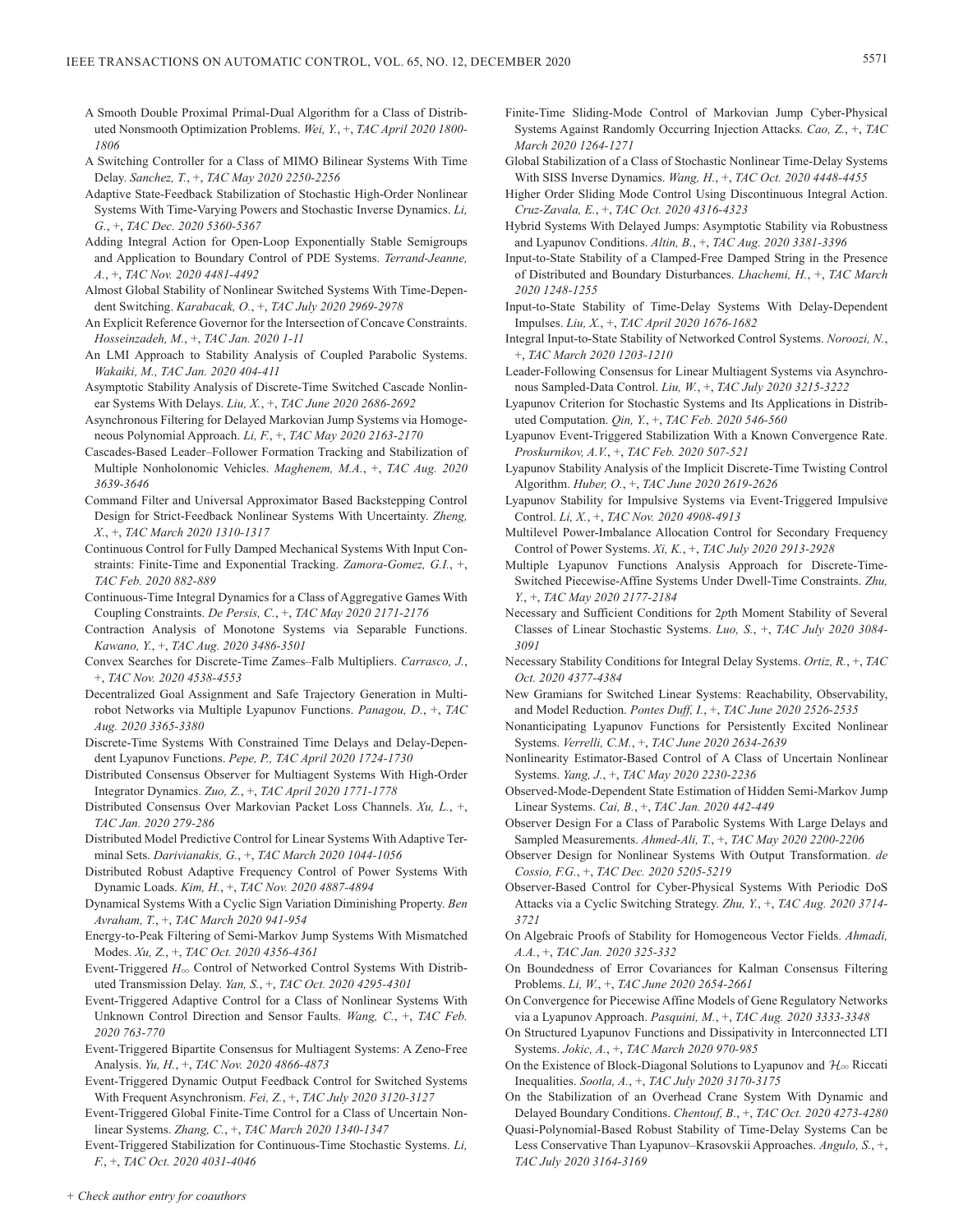- A Smooth Double Proximal Primal-Dual Algorithm for a Class of Distributed Nonsmooth Optimization Problems. *Wei, Y.*, +, *TAC April 2020 1800- 1806*
- A Switching Controller for a Class of MIMO Bilinear Systems With Time Delay. *Sanchez, T.*, +, *TAC May 2020 2250-2256*
- Adaptive State-Feedback Stabilization of Stochastic High-Order Nonlinear Systems With Time-Varying Powers and Stochastic Inverse Dynamics. *Li, G.*, +, *TAC Dec. 2020 5360-5367*
- Adding Integral Action for Open-Loop Exponentially Stable Semigroups and Application to Boundary Control of PDE Systems. *Terrand-Jeanne, A.*, +, *TAC Nov. 2020 4481-4492*
- Almost Global Stability of Nonlinear Switched Systems With Time-Dependent Switching. *Karabacak, O.*, +, *TAC July 2020 2969-2978*
- An Explicit Reference Governor for the Intersection of Concave Constraints. *Hosseinzadeh, M.*, +, *TAC Jan. 2020 1-11*
- An LMI Approach to Stability Analysis of Coupled Parabolic Systems. *Wakaiki, M., TAC Jan. 2020 404-411*
- Asymptotic Stability Analysis of Discrete-Time Switched Cascade Nonlinear Systems With Delays. *Liu, X.*, +, *TAC June 2020 2686-2692*
- Asynchronous Filtering for Delayed Markovian Jump Systems via Homogeneous Polynomial Approach. *Li, F.*, +, *TAC May 2020 2163-2170*
- Cascades-Based Leader–Follower Formation Tracking and Stabilization of Multiple Nonholonomic Vehicles. *Maghenem, M.A.*, +, *TAC Aug. 2020 3639-3646*
- Command Filter and Universal Approximator Based Backstepping Control Design for Strict-Feedback Nonlinear Systems With Uncertainty. *Zheng, X.*, +, *TAC March 2020 1310-1317*
- Continuous Control for Fully Damped Mechanical Systems With Input Constraints: Finite-Time and Exponential Tracking. *Zamora-Gomez, G.I.*, +, *TAC Feb. 2020 882-889*
- Continuous-Time Integral Dynamics for a Class of Aggregative Games With Coupling Constraints. *De Persis, C.*, +, *TAC May 2020 2171-2176*
- Contraction Analysis of Monotone Systems via Separable Functions. *Kawano, Y.*, +, *TAC Aug. 2020 3486-3501*
- Convex Searches for Discrete-Time Zames–Falb Multipliers. *Carrasco, J.*, +, *TAC Nov. 2020 4538-4553*
- Decentralized Goal Assignment and Safe Trajectory Generation in Multirobot Networks via Multiple Lyapunov Functions. *Panagou, D.*, +, *TAC Aug. 2020 3365-3380*
- Discrete-Time Systems With Constrained Time Delays and Delay-Dependent Lyapunov Functions. *Pepe, P., TAC April 2020 1724-1730*
- Distributed Consensus Observer for Multiagent Systems With High-Order Integrator Dynamics. *Zuo, Z.*, +, *TAC April 2020 1771-1778*
- Distributed Consensus Over Markovian Packet Loss Channels. *Xu, L.*, +, *TAC Jan. 2020 279-286*
- Distributed Model Predictive Control for Linear Systems With Adaptive Terminal Sets. *Darivianakis, G.*, +, *TAC March 2020 1044-1056*
- Distributed Robust Adaptive Frequency Control of Power Systems With Dynamic Loads. *Kim, H.*, +, *TAC Nov. 2020 4887-4894*
- Dynamical Systems With a Cyclic Sign Variation Diminishing Property. *Ben Avraham, T.*, +, *TAC March 2020 941-954*
- Energy-to-Peak Filtering of Semi-Markov Jump Systems With Mismatched Modes. *Xu, Z.*, +, *TAC Oct. 2020 4356-4361*
- Event-Triggered  $H_{\infty}$  Control of Networked Control Systems With Distributed Transmission Delay. *Yan, S.*, +, *TAC Oct. 2020 4295-4301*
- Event-Triggered Adaptive Control for a Class of Nonlinear Systems With Unknown Control Direction and Sensor Faults. *Wang, C.*, +, *TAC Feb. 2020 763-770*
- Event-Triggered Bipartite Consensus for Multiagent Systems: A Zeno-Free Analysis. *Yu, H.*, +, *TAC Nov. 2020 4866-4873*
- Event-Triggered Dynamic Output Feedback Control for Switched Systems With Frequent Asynchronism. *Fei, Z.*, +, *TAC July 2020 3120-3127*
- Event-Triggered Global Finite-Time Control for a Class of Uncertain Nonlinear Systems. *Zhang, C.*, +, *TAC March 2020 1340-1347*

Event-Triggered Stabilization for Continuous-Time Stochastic Systems. *Li, F.*, +, *TAC Oct. 2020 4031-4046*

- Finite-Time Sliding-Mode Control of Markovian Jump Cyber-Physical Systems Against Randomly Occurring Injection Attacks. *Cao, Z.*, +, *TAC March 2020 1264-1271*
- Global Stabilization of a Class of Stochastic Nonlinear Time-Delay Systems With SISS Inverse Dynamics. *Wang, H.*, +, *TAC Oct. 2020 4448-4455*
- Higher Order Sliding Mode Control Using Discontinuous Integral Action. *Cruz-Zavala, E.*, +, *TAC Oct. 2020 4316-4323*
- Hybrid Systems With Delayed Jumps: Asymptotic Stability via Robustness and Lyapunov Conditions. *Altin, B.*, +, *TAC Aug. 2020 3381-3396*
- Input-to-State Stability of a Clamped-Free Damped String in the Presence of Distributed and Boundary Disturbances. *Lhachemi, H.*, +, *TAC March 2020 1248-1255*
- Input-to-State Stability of Time-Delay Systems With Delay-Dependent Impulses. *Liu, X.*, +, *TAC April 2020 1676-1682*
- Integral Input-to-State Stability of Networked Control Systems. *Noroozi, N.*, +, *TAC March 2020 1203-1210*
- Leader-Following Consensus for Linear Multiagent Systems via Asynchronous Sampled-Data Control. *Liu, W.*, +, *TAC July 2020 3215-3222*
- Lyapunov Criterion for Stochastic Systems and Its Applications in Distributed Computation. *Qin, Y.*, +, *TAC Feb. 2020 546-560*
- Lyapunov Event-Triggered Stabilization With a Known Convergence Rate. *Proskurnikov, A.V.*, +, *TAC Feb. 2020 507-521*
- Lyapunov Stability Analysis of the Implicit Discrete-Time Twisting Control Algorithm. *Huber, O.*, +, *TAC June 2020 2619-2626*
- Lyapunov Stability for Impulsive Systems via Event-Triggered Impulsive Control. *Li, X.*, +, *TAC Nov. 2020 4908-4913*
- Multilevel Power-Imbalance Allocation Control for Secondary Frequency Control of Power Systems. *Xi, K.*, +, *TAC July 2020 2913-2928*
- Multiple Lyapunov Functions Analysis Approach for Discrete-Time-Switched Piecewise-Affine Systems Under Dwell-Time Constraints. *Zhu, Y.*, +, *TAC May 2020 2177-2184*
- Necessary and Sufficient Conditions for 2*p*th Moment Stability of Several Classes of Linear Stochastic Systems. *Luo, S.*, +, *TAC July 2020 3084- 3091*
- Necessary Stability Conditions for Integral Delay Systems. *Ortiz, R.*, +, *TAC Oct. 2020 4377-4384*
- New Gramians for Switched Linear Systems: Reachability, Observability, and Model Reduction. *Pontes Duff, I.*, +, *TAC June 2020 2526-2535*
- Nonanticipating Lyapunov Functions for Persistently Excited Nonlinear Systems. *Verrelli, C.M.*, +, *TAC June 2020 2634-2639*
- Nonlinearity Estimator-Based Control of A Class of Uncertain Nonlinear Systems. *Yang, J.*, +, *TAC May 2020 2230-2236*
- Observed-Mode-Dependent State Estimation of Hidden Semi-Markov Jump Linear Systems. *Cai, B.*, +, *TAC Jan. 2020 442-449*
- Observer Design For a Class of Parabolic Systems With Large Delays and Sampled Measurements. *Ahmed-Ali, T.*, +, *TAC May 2020 2200-2206*
- Observer Design for Nonlinear Systems With Output Transformation. *de Cossio, F.G.*, +, *TAC Dec. 2020 5205-5219*
- Observer-Based Control for Cyber-Physical Systems With Periodic DoS Attacks via a Cyclic Switching Strategy. *Zhu, Y.*, +, *TAC Aug. 2020 3714- 3721*
- On Algebraic Proofs of Stability for Homogeneous Vector Fields. *Ahmadi, A.A.*, +, *TAC Jan. 2020 325-332*
- On Boundedness of Error Covariances for Kalman Consensus Filtering Problems. *Li, W.*, +, *TAC June 2020 2654-2661*
- On Convergence for Piecewise Affine Models of Gene Regulatory Networks via a Lyapunov Approach. *Pasquini, M.*, +, *TAC Aug. 2020 3333-3348*
- On Structured Lyapunov Functions and Dissipativity in Interconnected LTI Systems. *Jokic, A.*, +, *TAC March 2020 970-985*
- On the Existence of Block-Diagonal Solutions to Lyapunov and  $\mathcal{H}_{\infty}$  Riccati Inequalities. *Sootla, A.*, +, *TAC July 2020 3170-3175*
- On the Stabilization of an Overhead Crane System With Dynamic and Delayed Boundary Conditions. *Chentouf, B.*, +, *TAC Oct. 2020 4273-4280*
- Quasi-Polynomial-Based Robust Stability of Time-Delay Systems Can be Less Conservative Than Lyapunov–Krasovskii Approaches. *Angulo, S.*, +, *TAC July 2020 3164-3169*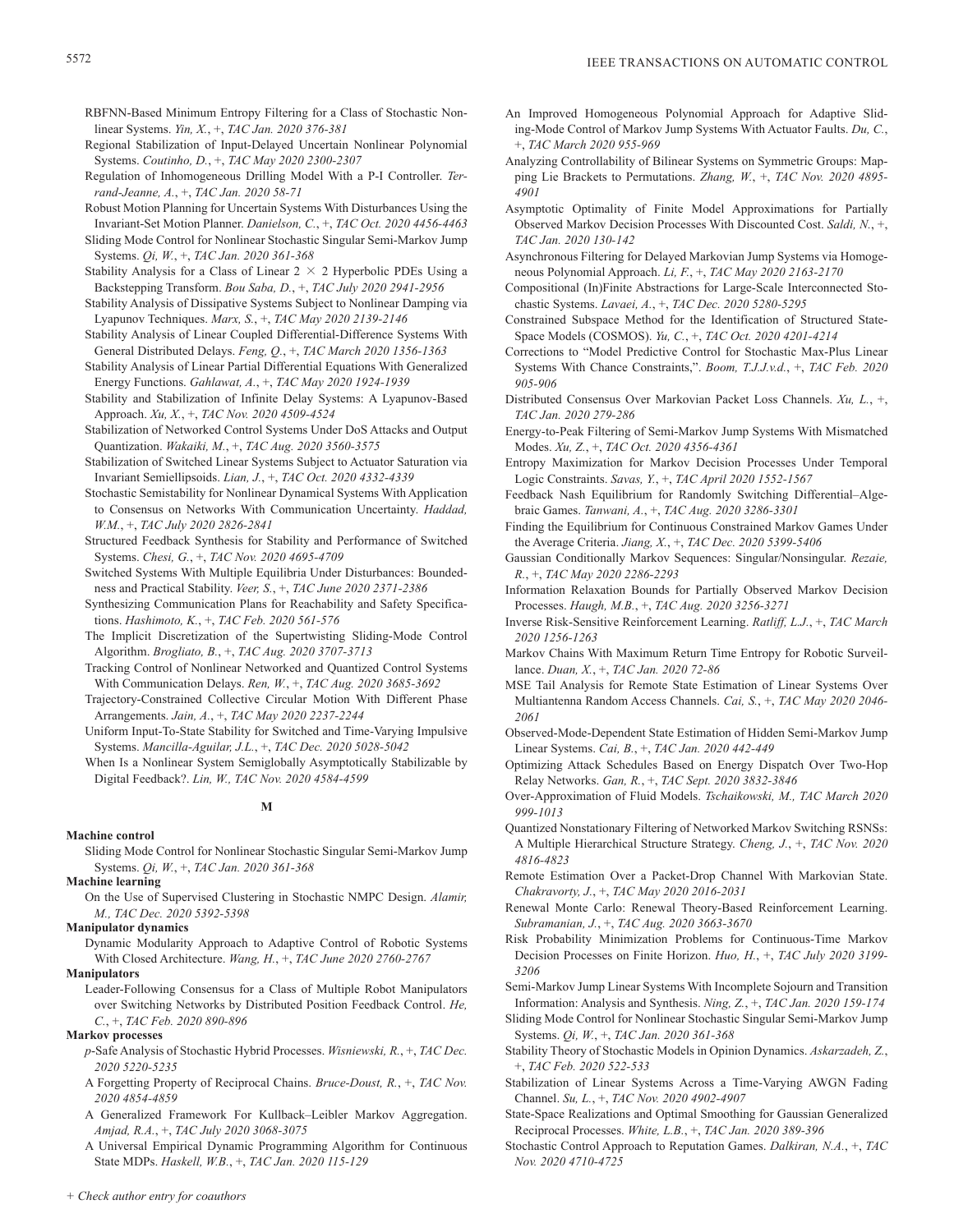RBFNN-Based Minimum Entropy Filtering for a Class of Stochastic Nonlinear Systems. *Yin, X.*, +, *TAC Jan. 2020 376-381*

- Regional Stabilization of Input-Delayed Uncertain Nonlinear Polynomial Systems. *Coutinho, D.*, +, *TAC May 2020 2300-2307*
- Regulation of Inhomogeneous Drilling Model With a P-I Controller. *Terrand-Jeanne, A.*, +, *TAC Jan. 2020 58-71*
- Robust Motion Planning for Uncertain Systems With Disturbances Using the Invariant-Set Motion Planner. *Danielson, C.*, +, *TAC Oct. 2020 4456-4463*
- Sliding Mode Control for Nonlinear Stochastic Singular Semi-Markov Jump Systems. *Qi, W.*, +, *TAC Jan. 2020 361-368*
- Stability Analysis for a Class of Linear  $2 \times 2$  Hyperbolic PDEs Using a Backstepping Transform. *Bou Saba, D.*, +, *TAC July 2020 2941-2956*
- Stability Analysis of Dissipative Systems Subject to Nonlinear Damping via Lyapunov Techniques. *Marx, S.*, +, *TAC May 2020 2139-2146*
- Stability Analysis of Linear Coupled Differential-Difference Systems With General Distributed Delays. *Feng, Q.*, +, *TAC March 2020 1356-1363*
- Stability Analysis of Linear Partial Differential Equations With Generalized Energy Functions. *Gahlawat, A.*, +, *TAC May 2020 1924-1939*
- Stability and Stabilization of Infinite Delay Systems: A Lyapunov-Based Approach. *Xu, X.*, +, *TAC Nov. 2020 4509-4524*
- Stabilization of Networked Control Systems Under DoS Attacks and Output Quantization. *Wakaiki, M.*, +, *TAC Aug. 2020 3560-3575*
- Stabilization of Switched Linear Systems Subject to Actuator Saturation via Invariant Semiellipsoids. *Lian, J.*, +, *TAC Oct. 2020 4332-4339*
- Stochastic Semistability for Nonlinear Dynamical Systems With Application to Consensus on Networks With Communication Uncertainty. *Haddad, W.M.*, +, *TAC July 2020 2826-2841*
- Structured Feedback Synthesis for Stability and Performance of Switched Systems. *Chesi, G.*, +, *TAC Nov. 2020 4695-4709*
- Switched Systems With Multiple Equilibria Under Disturbances: Boundedness and Practical Stability. *Veer, S.*, +, *TAC June 2020 2371-2386*
- Synthesizing Communication Plans for Reachability and Safety Specifications. *Hashimoto, K.*, +, *TAC Feb. 2020 561-576*
- The Implicit Discretization of the Supertwisting Sliding-Mode Control Algorithm. *Brogliato, B.*, +, *TAC Aug. 2020 3707-3713*
- Tracking Control of Nonlinear Networked and Quantized Control Systems With Communication Delays. *Ren, W.*, +, *TAC Aug. 2020 3685-3692*
- Trajectory-Constrained Collective Circular Motion With Different Phase Arrangements. *Jain, A.*, +, *TAC May 2020 2237-2244*
- Uniform Input-To-State Stability for Switched and Time-Varying Impulsive Systems. *Mancilla-Aguilar, J.L.*, +, *TAC Dec. 2020 5028-5042*
- When Is a Nonlinear System Semiglobally Asymptotically Stabilizable by Digital Feedback?. *Lin, W., TAC Nov. 2020 4584-4599*
	- **M**

## **Machine control**

## **Machine learning**

On the Use of Supervised Clustering in Stochastic NMPC Design. *Alamir, M., TAC Dec. 2020 5392-5398*

## **Manipulator dynamics**

Dynamic Modularity Approach to Adaptive Control of Robotic Systems With Closed Architecture. *Wang, H.*, +, *TAC June 2020 2760-2767*

## **Manipulators**

Leader-Following Consensus for a Class of Multiple Robot Manipulators over Switching Networks by Distributed Position Feedback Control. *He, C.*, +, *TAC Feb. 2020 890-896*

## **Markov processes**

- *p*-Safe Analysis of Stochastic Hybrid Processes. *Wisniewski, R.*, +, *TAC Dec. 2020 5220-5235*
- A Forgetting Property of Reciprocal Chains. *Bruce-Doust, R.*, +, *TAC Nov. 2020 4854-4859*
- A Generalized Framework For Kullback–Leibler Markov Aggregation. *Amjad, R.A.*, +, *TAC July 2020 3068-3075*
- A Universal Empirical Dynamic Programming Algorithm for Continuous State MDPs. *Haskell, W.B.*, +, *TAC Jan. 2020 115-129*
- An Improved Homogeneous Polynomial Approach for Adaptive Sliding-Mode Control of Markov Jump Systems With Actuator Faults. *Du, C.*, +, *TAC March 2020 955-969*
- Analyzing Controllability of Bilinear Systems on Symmetric Groups: Mapping Lie Brackets to Permutations. *Zhang, W.*, +, *TAC Nov. 2020 4895- 4901*
- Asymptotic Optimality of Finite Model Approximations for Partially Observed Markov Decision Processes With Discounted Cost. *Saldi, N.*, +, *TAC Jan. 2020 130-142*
- Asynchronous Filtering for Delayed Markovian Jump Systems via Homogeneous Polynomial Approach. *Li, F.*, +, *TAC May 2020 2163-2170*
- Compositional (In)Finite Abstractions for Large-Scale Interconnected Stochastic Systems. *Lavaei, A.*, +, *TAC Dec. 2020 5280-5295*
- Constrained Subspace Method for the Identification of Structured State-Space Models (COSMOS). *Yu, C.*, +, *TAC Oct. 2020 4201-4214*
- Corrections to "Model Predictive Control for Stochastic Max-Plus Linear Systems With Chance Constraints,". *Boom, T.J.J.v.d.*, +, *TAC Feb. 2020 905-906*
- Distributed Consensus Over Markovian Packet Loss Channels. *Xu, L.*, +, *TAC Jan. 2020 279-286*
- Energy-to-Peak Filtering of Semi-Markov Jump Systems With Mismatched Modes. *Xu, Z.*, +, *TAC Oct. 2020 4356-4361*
- Entropy Maximization for Markov Decision Processes Under Temporal Logic Constraints. *Savas, Y.*, +, *TAC April 2020 1552-1567*
- Feedback Nash Equilibrium for Randomly Switching Differential–Algebraic Games. *Tanwani, A.*, +, *TAC Aug. 2020 3286-3301*
- Finding the Equilibrium for Continuous Constrained Markov Games Under the Average Criteria. *Jiang, X.*, +, *TAC Dec. 2020 5399-5406*
- Gaussian Conditionally Markov Sequences: Singular/Nonsingular. *Rezaie, R.*, +, *TAC May 2020 2286-2293*
- Information Relaxation Bounds for Partially Observed Markov Decision Processes. *Haugh, M.B.*, +, *TAC Aug. 2020 3256-3271*
- Inverse Risk-Sensitive Reinforcement Learning. *Ratliff, L.J.*, +, *TAC March 2020 1256-1263*
- Markov Chains With Maximum Return Time Entropy for Robotic Surveillance. *Duan, X.*, +, *TAC Jan. 2020 72-86*
- MSE Tail Analysis for Remote State Estimation of Linear Systems Over Multiantenna Random Access Channels. *Cai, S.*, +, *TAC May 2020 2046- 2061*
- Observed-Mode-Dependent State Estimation of Hidden Semi-Markov Jump Linear Systems. *Cai, B.*, +, *TAC Jan. 2020 442-449*
- Optimizing Attack Schedules Based on Energy Dispatch Over Two-Hop Relay Networks. *Gan, R.*, +, *TAC Sept. 2020 3832-3846*
- Over-Approximation of Fluid Models. *Tschaikowski, M., TAC March 2020 999-1013*
- Quantized Nonstationary Filtering of Networked Markov Switching RSNSs: A Multiple Hierarchical Structure Strategy. *Cheng, J.*, +, *TAC Nov. 2020 4816-4823*
- Remote Estimation Over a Packet-Drop Channel With Markovian State. *Chakravorty, J.*, +, *TAC May 2020 2016-2031*
- Renewal Monte Carlo: Renewal Theory-Based Reinforcement Learning. *Subramanian, J.*, +, *TAC Aug. 2020 3663-3670*
- Risk Probability Minimization Problems for Continuous-Time Markov Decision Processes on Finite Horizon. *Huo, H.*, +, *TAC July 2020 3199- 3206*
- Semi-Markov Jump Linear Systems With Incomplete Sojourn and Transition Information: Analysis and Synthesis. *Ning, Z.*, +, *TAC Jan. 2020 159-174*
- Sliding Mode Control for Nonlinear Stochastic Singular Semi-Markov Jump Systems. *Qi, W.*, +, *TAC Jan. 2020 361-368*
- Stability Theory of Stochastic Models in Opinion Dynamics. *Askarzadeh, Z.*, +, *TAC Feb. 2020 522-533*
- Stabilization of Linear Systems Across a Time-Varying AWGN Fading Channel. *Su, L.*, +, *TAC Nov. 2020 4902-4907*
- State-Space Realizations and Optimal Smoothing for Gaussian Generalized Reciprocal Processes. *White, L.B.*, +, *TAC Jan. 2020 389-396*
- Stochastic Control Approach to Reputation Games. *Dalkiran, N.A.*, +, *TAC Nov. 2020 4710-4725*

Sliding Mode Control for Nonlinear Stochastic Singular Semi-Markov Jump Systems. *Qi, W.*, +, *TAC Jan. 2020 361-368*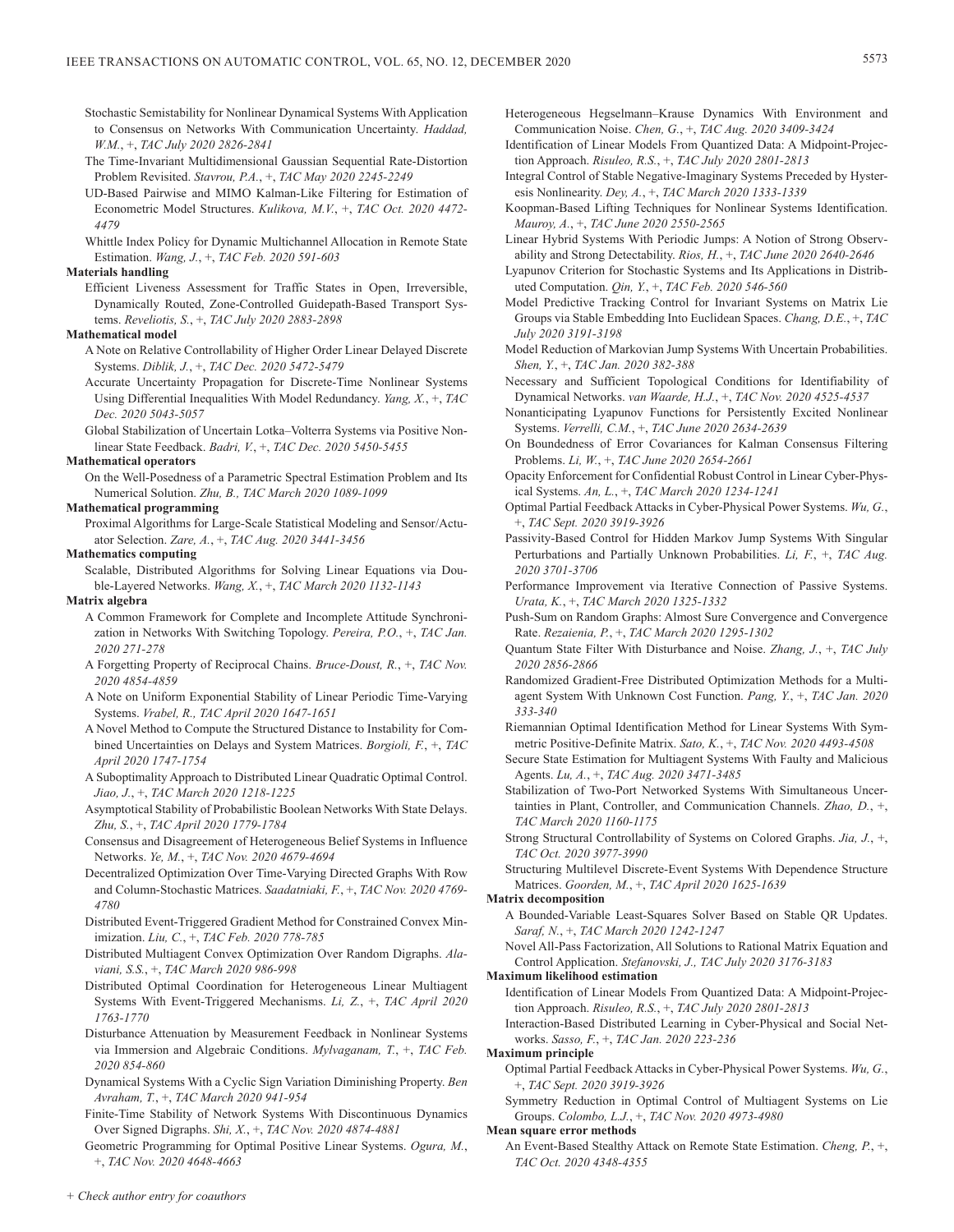- Stochastic Semistability for Nonlinear Dynamical Systems With Application to Consensus on Networks With Communication Uncertainty. *Haddad, W.M.*, +, *TAC July 2020 2826-2841*
- The Time-Invariant Multidimensional Gaussian Sequential Rate-Distortion Problem Revisited. *Stavrou, P.A.*, +, *TAC May 2020 2245-2249*
- UD-Based Pairwise and MIMO Kalman-Like Filtering for Estimation of Econometric Model Structures. *Kulikova, M.V.*, +, *TAC Oct. 2020 4472- 4479*
- Whittle Index Policy for Dynamic Multichannel Allocation in Remote State Estimation. *Wang, J.*, +, *TAC Feb. 2020 591-603*

## **Materials handling**

Efficient Liveness Assessment for Traffic States in Open, Irreversible, Dynamically Routed, Zone-Controlled Guidepath-Based Transport Systems. *Reveliotis, S.*, +, *TAC July 2020 2883-2898*

#### **Mathematical model**

- A Note on Relative Controllability of Higher Order Linear Delayed Discrete Systems. *Diblik, J.*, +, *TAC Dec. 2020 5472-5479*
- Accurate Uncertainty Propagation for Discrete-Time Nonlinear Systems Using Differential Inequalities With Model Redundancy. *Yang, X.*, +, *TAC Dec. 2020 5043-5057*
- Global Stabilization of Uncertain Lotka–Volterra Systems via Positive Nonlinear State Feedback. *Badri, V.*, +, *TAC Dec. 2020 5450-5455*

## **Mathematical operators**

On the Well-Posedness of a Parametric Spectral Estimation Problem and Its Numerical Solution. *Zhu, B., TAC March 2020 1089-1099*

## **Mathematical programming**

Proximal Algorithms for Large-Scale Statistical Modeling and Sensor/Actuator Selection. *Zare, A.*, +, *TAC Aug. 2020 3441-3456*

#### **Mathematics computing**

Scalable, Distributed Algorithms for Solving Linear Equations via Double-Layered Networks. *Wang, X.*, +, *TAC March 2020 1132-1143*

#### **Matrix algebra**

- A Common Framework for Complete and Incomplete Attitude Synchronization in Networks With Switching Topology. *Pereira, P.O.*, +, *TAC Jan. 2020 271-278*
- A Forgetting Property of Reciprocal Chains. *Bruce-Doust, R.*, +, *TAC Nov. 2020 4854-4859*
- A Note on Uniform Exponential Stability of Linear Periodic Time-Varying Systems. *Vrabel, R., TAC April 2020 1647-1651*
- A Novel Method to Compute the Structured Distance to Instability for Combined Uncertainties on Delays and System Matrices. *Borgioli, F.*, +, *TAC April 2020 1747-1754*
- A Suboptimality Approach to Distributed Linear Quadratic Optimal Control. *Jiao, J.*, +, *TAC March 2020 1218-1225*
- Asymptotical Stability of Probabilistic Boolean Networks With State Delays. *Zhu, S.*, +, *TAC April 2020 1779-1784*
- Consensus and Disagreement of Heterogeneous Belief Systems in Influence Networks. *Ye, M.*, +, *TAC Nov. 2020 4679-4694*
- Decentralized Optimization Over Time-Varying Directed Graphs With Row and Column-Stochastic Matrices. *Saadatniaki, F.*, +, *TAC Nov. 2020 4769- 4780*
- Distributed Event-Triggered Gradient Method for Constrained Convex Minimization. *Liu, C.*, +, *TAC Feb. 2020 778-785*
- Distributed Multiagent Convex Optimization Over Random Digraphs. *Alaviani, S.S.*, +, *TAC March 2020 986-998*
- Distributed Optimal Coordination for Heterogeneous Linear Multiagent Systems With Event-Triggered Mechanisms. *Li, Z.*, +, *TAC April 2020 1763-1770*
- Disturbance Attenuation by Measurement Feedback in Nonlinear Systems via Immersion and Algebraic Conditions. *Mylvaganam, T.*, +, *TAC Feb. 2020 854-860*
- Dynamical Systems With a Cyclic Sign Variation Diminishing Property. *Ben Avraham, T.*, +, *TAC March 2020 941-954*
- Finite-Time Stability of Network Systems With Discontinuous Dynamics Over Signed Digraphs. *Shi, X.*, +, *TAC Nov. 2020 4874-4881*

Geometric Programming for Optimal Positive Linear Systems. *Ogura, M.*, +, *TAC Nov. 2020 4648-4663*

- Heterogeneous Hegselmann–Krause Dynamics With Environment and Communication Noise. *Chen, G.*, +, *TAC Aug. 2020 3409-3424*
- Identification of Linear Models From Quantized Data: A Midpoint-Projection Approach. *Risuleo, R.S.*, +, *TAC July 2020 2801-2813*
- Integral Control of Stable Negative-Imaginary Systems Preceded by Hysteresis Nonlinearity. *Dey, A.*, +, *TAC March 2020 1333-1339*
- Koopman-Based Lifting Techniques for Nonlinear Systems Identification. *Mauroy, A.*, +, *TAC June 2020 2550-2565*
- Linear Hybrid Systems With Periodic Jumps: A Notion of Strong Observability and Strong Detectability. *Rios, H.*, +, *TAC June 2020 2640-2646*
- Lyapunov Criterion for Stochastic Systems and Its Applications in Distributed Computation. *Qin, Y.*, +, *TAC Feb. 2020 546-560*
- Model Predictive Tracking Control for Invariant Systems on Matrix Lie Groups via Stable Embedding Into Euclidean Spaces. *Chang, D.E.*, +, *TAC July 2020 3191-3198*
- Model Reduction of Markovian Jump Systems With Uncertain Probabilities. *Shen, Y.*, +, *TAC Jan. 2020 382-388*
- Necessary and Sufficient Topological Conditions for Identifiability of Dynamical Networks. *van Waarde, H.J.*, +, *TAC Nov. 2020 4525-4537*
- Nonanticipating Lyapunov Functions for Persistently Excited Nonlinear Systems. *Verrelli, C.M.*, +, *TAC June 2020 2634-2639*
- On Boundedness of Error Covariances for Kalman Consensus Filtering Problems. *Li, W.*, +, *TAC June 2020 2654-2661*
- Opacity Enforcement for Confidential Robust Control in Linear Cyber-Physical Systems. *An, L.*, +, *TAC March 2020 1234-1241*
- Optimal Partial Feedback Attacks in Cyber-Physical Power Systems. *Wu, G.*, +, *TAC Sept. 2020 3919-3926*
- Passivity-Based Control for Hidden Markov Jump Systems With Singular Perturbations and Partially Unknown Probabilities. *Li, F.*, +, *TAC Aug. 2020 3701-3706*
- Performance Improvement via Iterative Connection of Passive Systems. *Urata, K.*, +, *TAC March 2020 1325-1332*
- Push-Sum on Random Graphs: Almost Sure Convergence and Convergence Rate. *Rezaienia, P.*, +, *TAC March 2020 1295-1302*
- Quantum State Filter With Disturbance and Noise. *Zhang, J.*, +, *TAC July 2020 2856-2866*
- Randomized Gradient-Free Distributed Optimization Methods for a Multiagent System With Unknown Cost Function. *Pang, Y.*, +, *TAC Jan. 2020 333-340*
- Riemannian Optimal Identification Method for Linear Systems With Symmetric Positive-Definite Matrix. *Sato, K.*, +, *TAC Nov. 2020 4493-4508*
- Secure State Estimation for Multiagent Systems With Faulty and Malicious Agents. *Lu, A.*, +, *TAC Aug. 2020 3471-3485*
- Stabilization of Two-Port Networked Systems With Simultaneous Uncertainties in Plant, Controller, and Communication Channels. *Zhao, D.*, +, *TAC March 2020 1160-1175*
- Strong Structural Controllability of Systems on Colored Graphs. *Jia, J.*, +, *TAC Oct. 2020 3977-3990*
- Structuring Multilevel Discrete-Event Systems With Dependence Structure Matrices. *Goorden, M.*, +, *TAC April 2020 1625-1639*

## **Matrix decomposition**

A Bounded-Variable Least-Squares Solver Based on Stable QR Updates. *Saraf, N.*, +, *TAC March 2020 1242-1247*

Novel All-Pass Factorization, All Solutions to Rational Matrix Equation and Control Application. *Stefanovski, J., TAC July 2020 3176-3183*

#### **Maximum likelihood estimation**

Identification of Linear Models From Quantized Data: A Midpoint-Projection Approach. *Risuleo, R.S.*, +, *TAC July 2020 2801-2813*

Interaction-Based Distributed Learning in Cyber-Physical and Social Networks. *Sasso, F.*, +, *TAC Jan. 2020 223-236*

#### **Maximum principle**

Optimal Partial Feedback Attacks in Cyber-Physical Power Systems. *Wu, G.*, +, *TAC Sept. 2020 3919-3926*

Symmetry Reduction in Optimal Control of Multiagent Systems on Lie Groups. *Colombo, L.J.*, +, *TAC Nov. 2020 4973-4980*

#### **Mean square error methods**

An Event-Based Stealthy Attack on Remote State Estimation. *Cheng, P.*, +, *TAC Oct. 2020 4348-4355*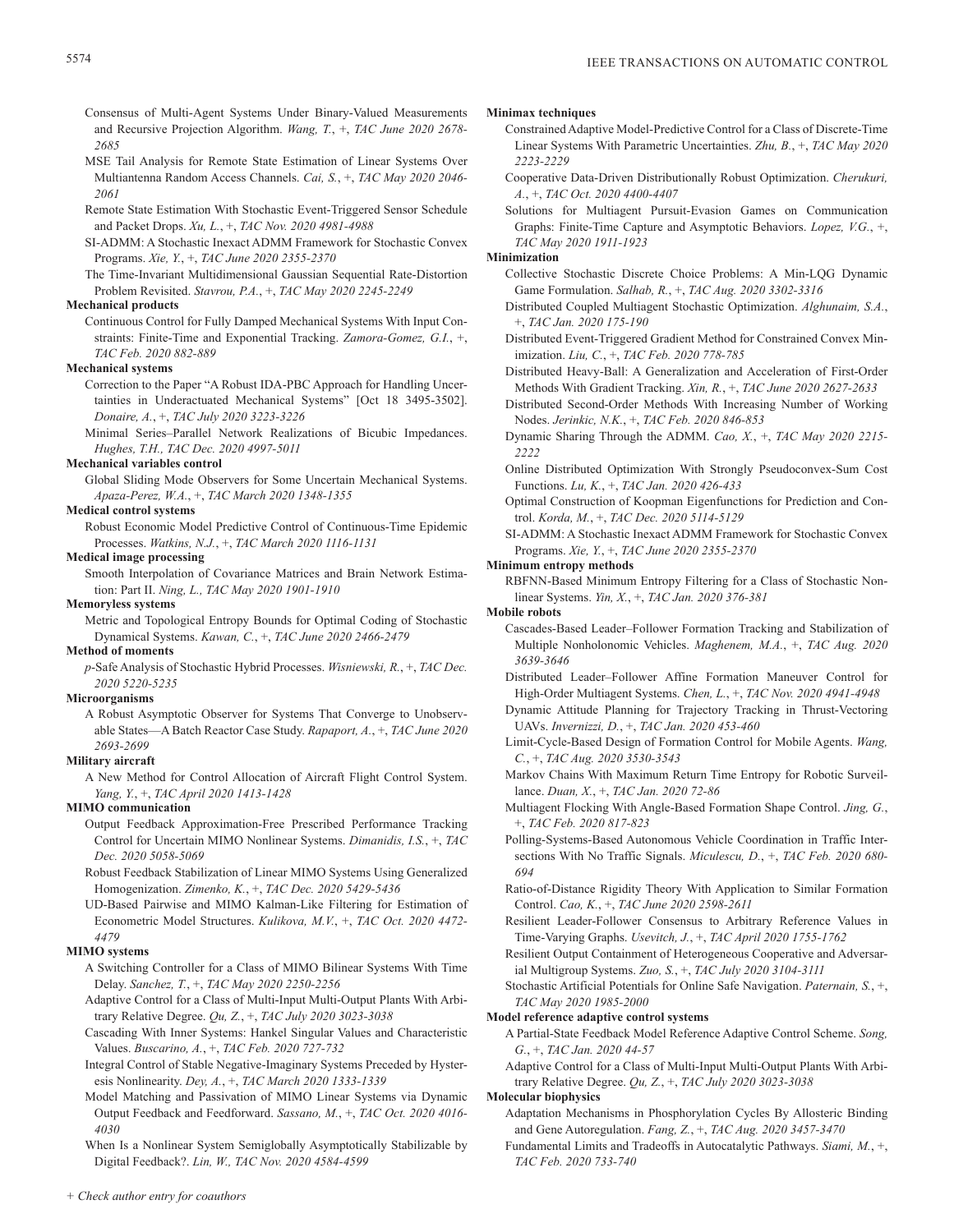Consensus of Multi-Agent Systems Under Binary-Valued Measurements and Recursive Projection Algorithm. *Wang, T.*, +, *TAC June 2020 2678- 2685*

- MSE Tail Analysis for Remote State Estimation of Linear Systems Over Multiantenna Random Access Channels. *Cai, S.*, +, *TAC May 2020 2046- 2061*
- Remote State Estimation With Stochastic Event-Triggered Sensor Schedule and Packet Drops. *Xu, L.*, +, *TAC Nov. 2020 4981-4988*
- SI-ADMM: A Stochastic Inexact ADMM Framework for Stochastic Convex Programs. *Xie, Y.*, +, *TAC June 2020 2355-2370*

The Time-Invariant Multidimensional Gaussian Sequential Rate-Distortion Problem Revisited. *Stavrou, P.A.*, +, *TAC May 2020 2245-2249*

## **Mechanical products**

Continuous Control for Fully Damped Mechanical Systems With Input Constraints: Finite-Time and Exponential Tracking. *Zamora-Gomez, G.I.*, +, *TAC Feb. 2020 882-889*

#### **Mechanical systems**

Correction to the Paper "A Robust IDA-PBC Approach for Handling Uncertainties in Underactuated Mechanical Systems" [Oct 18 3495-3502]. *Donaire, A.*, +, *TAC July 2020 3223-3226*

Minimal Series–Parallel Network Realizations of Bicubic Impedances. *Hughes, T.H., TAC Dec. 2020 4997-5011*

## **Mechanical variables control**

Global Sliding Mode Observers for Some Uncertain Mechanical Systems. *Apaza-Perez, W.A.*, +, *TAC March 2020 1348-1355*

# **Medical control systems**

Robust Economic Model Predictive Control of Continuous-Time Epidemic Processes. *Watkins, N.J.*, +, *TAC March 2020 1116-1131*

# **Medical image processing**

Smooth Interpolation of Covariance Matrices and Brain Network Estimation: Part II. *Ning, L., TAC May 2020 1901-1910*

## **Memoryless systems**

Metric and Topological Entropy Bounds for Optimal Coding of Stochastic Dynamical Systems. *Kawan, C.*, +, *TAC June 2020 2466-2479*

**Method of moments**

*p*-Safe Analysis of Stochastic Hybrid Processes. *Wisniewski, R.*, +, *TAC Dec. 2020 5220-5235*

## **Microorganisms**

A Robust Asymptotic Observer for Systems That Converge to Unobservable States—A Batch Reactor Case Study. *Rapaport, A.*, +, *TAC June 2020 2693-2699*

## **Military aircraft**

A New Method for Control Allocation of Aircraft Flight Control System. *Yang, Y.*, +, *TAC April 2020 1413-1428*

## **MIMO communication**

Output Feedback Approximation-Free Prescribed Performance Tracking Control for Uncertain MIMO Nonlinear Systems. *Dimanidis, I.S.*, +, *TAC Dec. 2020 5058-5069*

Robust Feedback Stabilization of Linear MIMO Systems Using Generalized Homogenization. *Zimenko, K.*, +, *TAC Dec. 2020 5429-5436*

UD-Based Pairwise and MIMO Kalman-Like Filtering for Estimation of Econometric Model Structures. *Kulikova, M.V.*, +, *TAC Oct. 2020 4472- 4479*

## **MIMO systems**

- A Switching Controller for a Class of MIMO Bilinear Systems With Time Delay. *Sanchez, T.*, +, *TAC May 2020 2250-2256*
- Adaptive Control for a Class of Multi-Input Multi-Output Plants With Arbitrary Relative Degree. *Qu, Z.*, +, *TAC July 2020 3023-3038*
- Cascading With Inner Systems: Hankel Singular Values and Characteristic Values. *Buscarino, A.*, +, *TAC Feb. 2020 727-732*
- Integral Control of Stable Negative-Imaginary Systems Preceded by Hysteresis Nonlinearity. *Dey, A.*, +, *TAC March 2020 1333-1339*
- Model Matching and Passivation of MIMO Linear Systems via Dynamic Output Feedback and Feedforward. *Sassano, M.*, +, *TAC Oct. 2020 4016- 4030*

When Is a Nonlinear System Semiglobally Asymptotically Stabilizable by Digital Feedback?. *Lin, W., TAC Nov. 2020 4584-4599*

#### **Minimax techniques**

- Constrained Adaptive Model-Predictive Control for a Class of Discrete-Time Linear Systems With Parametric Uncertainties. *Zhu, B.*, +, *TAC May 2020 2223-2229*
- Cooperative Data-Driven Distributionally Robust Optimization. *Cherukuri, A.*, +, *TAC Oct. 2020 4400-4407*
- Solutions for Multiagent Pursuit-Evasion Games on Communication Graphs: Finite-Time Capture and Asymptotic Behaviors. *Lopez, V.G.*, +, *TAC May 2020 1911-1923*

#### **Minimization**

Collective Stochastic Discrete Choice Problems: A Min-LQG Dynamic Game Formulation. *Salhab, R.*, +, *TAC Aug. 2020 3302-3316*

- Distributed Coupled Multiagent Stochastic Optimization. *Alghunaim, S.A.*, +, *TAC Jan. 2020 175-190*
- Distributed Event-Triggered Gradient Method for Constrained Convex Minimization. *Liu, C.*, +, *TAC Feb. 2020 778-785*
- Distributed Heavy-Ball: A Generalization and Acceleration of First-Order Methods With Gradient Tracking. *Xin, R.*, +, *TAC June 2020 2627-2633*
- Distributed Second-Order Methods With Increasing Number of Working Nodes. *Jerinkic, N.K.*, +, *TAC Feb. 2020 846-853*
- Dynamic Sharing Through the ADMM. *Cao, X.*, +, *TAC May 2020 2215- 2222*
- Online Distributed Optimization With Strongly Pseudoconvex-Sum Cost Functions. *Lu, K.*, +, *TAC Jan. 2020 426-433*
- Optimal Construction of Koopman Eigenfunctions for Prediction and Control. *Korda, M.*, +, *TAC Dec. 2020 5114-5129*
- SI-ADMM: A Stochastic Inexact ADMM Framework for Stochastic Convex Programs. *Xie, Y.*, +, *TAC June 2020 2355-2370*

#### **Minimum entropy methods**

RBFNN-Based Minimum Entropy Filtering for a Class of Stochastic Nonlinear Systems. *Yin, X.*, +, *TAC Jan. 2020 376-381*

**Mobile robots**

- Cascades-Based Leader–Follower Formation Tracking and Stabilization of Multiple Nonholonomic Vehicles. *Maghenem, M.A.*, +, *TAC Aug. 2020 3639-3646*
- Distributed Leader–Follower Affine Formation Maneuver Control for High-Order Multiagent Systems. *Chen, L.*, +, *TAC Nov. 2020 4941-4948*
- Dynamic Attitude Planning for Trajectory Tracking in Thrust-Vectoring UAVs. *Invernizzi, D.*, +, *TAC Jan. 2020 453-460*
- Limit-Cycle-Based Design of Formation Control for Mobile Agents. *Wang, C.*, +, *TAC Aug. 2020 3530-3543*
- Markov Chains With Maximum Return Time Entropy for Robotic Surveillance. *Duan, X.*, +, *TAC Jan. 2020 72-86*
- Multiagent Flocking With Angle-Based Formation Shape Control. *Jing, G.*, +, *TAC Feb. 2020 817-823*
- Polling-Systems-Based Autonomous Vehicle Coordination in Traffic Intersections With No Traffic Signals. *Miculescu, D.*, +, *TAC Feb. 2020 680- 694*
- Ratio-of-Distance Rigidity Theory With Application to Similar Formation Control. *Cao, K.*, +, *TAC June 2020 2598-2611*
- Resilient Leader-Follower Consensus to Arbitrary Reference Values in Time-Varying Graphs. *Usevitch, J.*, +, *TAC April 2020 1755-1762*
- Resilient Output Containment of Heterogeneous Cooperative and Adversarial Multigroup Systems. *Zuo, S.*, +, *TAC July 2020 3104-3111*
- Stochastic Artificial Potentials for Online Safe Navigation. *Paternain, S.*, +, *TAC May 2020 1985-2000*

## **Model reference adaptive control systems**

A Partial-State Feedback Model Reference Adaptive Control Scheme. *Song, G.*, +, *TAC Jan. 2020 44-57*

Adaptive Control for a Class of Multi-Input Multi-Output Plants With Arbitrary Relative Degree. *Qu, Z.*, +, *TAC July 2020 3023-3038*

## **Molecular biophysics**

- Adaptation Mechanisms in Phosphorylation Cycles By Allosteric Binding and Gene Autoregulation. *Fang, Z.*, +, *TAC Aug. 2020 3457-3470*
- Fundamental Limits and Tradeoffs in Autocatalytic Pathways. *Siami, M.*, +, *TAC Feb. 2020 733-740*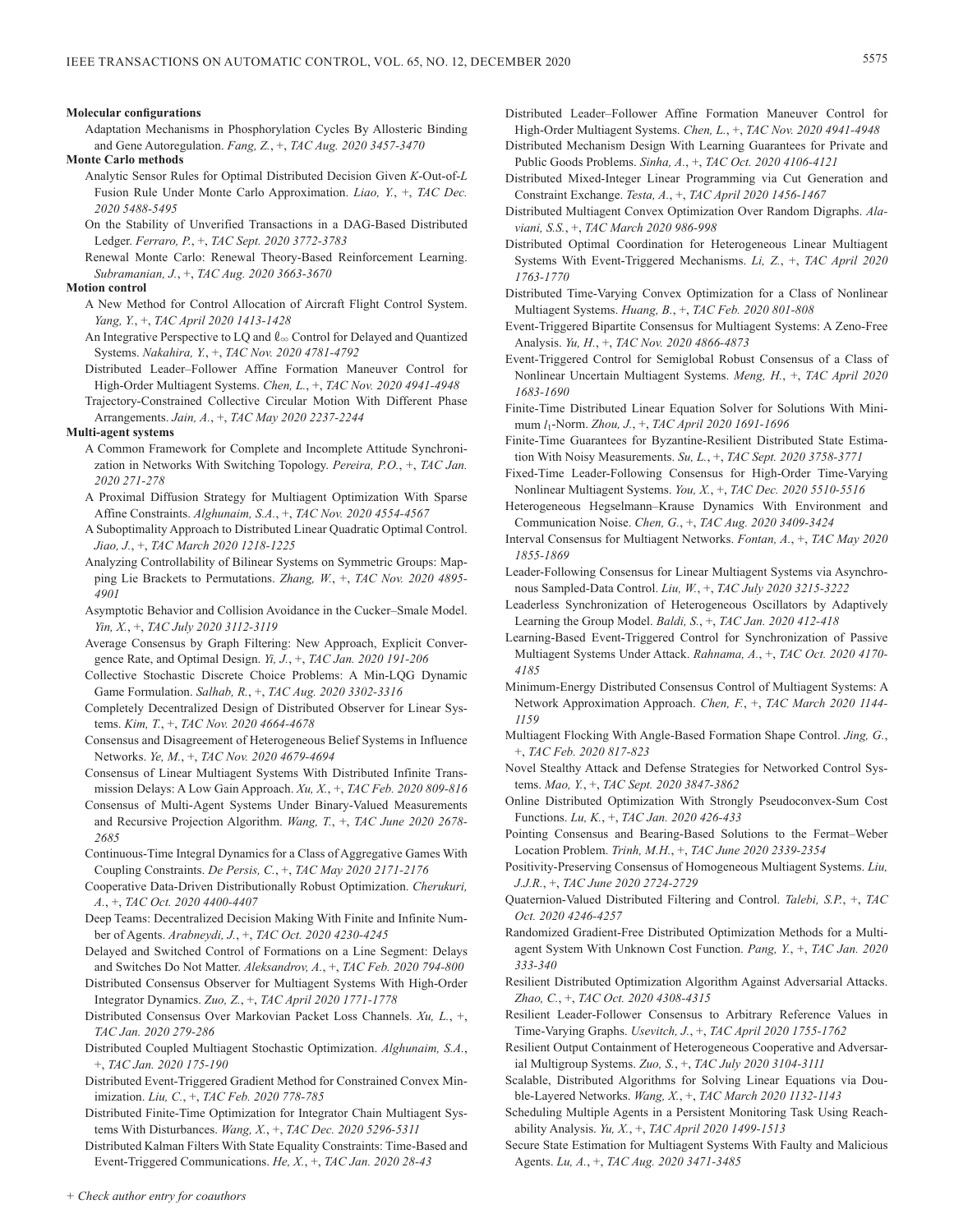#### **Molecular configurations**

Adaptation Mechanisms in Phosphorylation Cycles By Allosteric Binding and Gene Autoregulation. *Fang, Z.*, +, *TAC Aug. 2020 3457-3470*

#### **Monte Carlo methods**

- Analytic Sensor Rules for Optimal Distributed Decision Given *K*-Out-of-*L* Fusion Rule Under Monte Carlo Approximation. *Liao, Y.*, +, *TAC Dec. 2020 5488-5495*
- On the Stability of Unverified Transactions in a DAG-Based Distributed Ledger. *Ferraro, P.*, +, *TAC Sept. 2020 3772-3783*
- Renewal Monte Carlo: Renewal Theory-Based Reinforcement Learning. *Subramanian, J.*, +, *TAC Aug. 2020 3663-3670*

## **Motion control**

- A New Method for Control Allocation of Aircraft Flight Control System. *Yang, Y.*, +, *TAC April 2020 1413-1428*
- An Integrative Perspective to LQ and  $\ell_{\infty}$  Control for Delayed and Quantized Systems. *Nakahira, Y.*, +, *TAC Nov. 2020 4781-4792*
- Distributed Leader–Follower Affine Formation Maneuver Control for High-Order Multiagent Systems. *Chen, L.*, +, *TAC Nov. 2020 4941-4948* Trajectory-Constrained Collective Circular Motion With Different Phase
- Arrangements. *Jain, A.*, +, *TAC May 2020 2237-2244*

## **Multi-agent systems**

- A Common Framework for Complete and Incomplete Attitude Synchronization in Networks With Switching Topology. *Pereira, P.O.*, +, *TAC Jan. 2020 271-278*
- A Proximal Diffusion Strategy for Multiagent Optimization With Sparse Affine Constraints. *Alghunaim, S.A.*, +, *TAC Nov. 2020 4554-4567*
- A Suboptimality Approach to Distributed Linear Quadratic Optimal Control. *Jiao, J.*, +, *TAC March 2020 1218-1225*
- Analyzing Controllability of Bilinear Systems on Symmetric Groups: Mapping Lie Brackets to Permutations. *Zhang, W.*, +, *TAC Nov. 2020 4895- 4901*
- Asymptotic Behavior and Collision Avoidance in the Cucker–Smale Model. *Yin, X.*, +, *TAC July 2020 3112-3119*
- Average Consensus by Graph Filtering: New Approach, Explicit Convergence Rate, and Optimal Design. *Yi, J.*, +, *TAC Jan. 2020 191-206*
- Collective Stochastic Discrete Choice Problems: A Min-LQG Dynamic Game Formulation. *Salhab, R.*, +, *TAC Aug. 2020 3302-3316*
- Completely Decentralized Design of Distributed Observer for Linear Systems. *Kim, T.*, +, *TAC Nov. 2020 4664-4678*
- Consensus and Disagreement of Heterogeneous Belief Systems in Influence Networks. *Ye, M.*, +, *TAC Nov. 2020 4679-4694*
- Consensus of Linear Multiagent Systems With Distributed Infinite Transmission Delays: A Low Gain Approach. *Xu, X.*, +, *TAC Feb. 2020 809-816*
- Consensus of Multi-Agent Systems Under Binary-Valued Measurements and Recursive Projection Algorithm. *Wang, T.*, +, *TAC June 2020 2678- 2685*
- Continuous-Time Integral Dynamics for a Class of Aggregative Games With Coupling Constraints. *De Persis, C.*, +, *TAC May 2020 2171-2176*
- Cooperative Data-Driven Distributionally Robust Optimization. *Cherukuri, A.*, +, *TAC Oct. 2020 4400-4407*
- Deep Teams: Decentralized Decision Making With Finite and Infinite Number of Agents. *Arabneydi, J.*, +, *TAC Oct. 2020 4230-4245*
- Delayed and Switched Control of Formations on a Line Segment: Delays and Switches Do Not Matter. *Aleksandrov, A.*, +, *TAC Feb. 2020 794-800*
- Distributed Consensus Observer for Multiagent Systems With High-Order Integrator Dynamics. *Zuo, Z.*, +, *TAC April 2020 1771-1778*
- Distributed Consensus Over Markovian Packet Loss Channels. *Xu, L.*, +, *TAC Jan. 2020 279-286*
- Distributed Coupled Multiagent Stochastic Optimization. *Alghunaim, S.A.*, +, *TAC Jan. 2020 175-190*
- Distributed Event-Triggered Gradient Method for Constrained Convex Minimization. *Liu, C.*, +, *TAC Feb. 2020 778-785*
- Distributed Finite-Time Optimization for Integrator Chain Multiagent Systems With Disturbances. *Wang, X.*, +, *TAC Dec. 2020 5296-5311*

Distributed Kalman Filters With State Equality Constraints: Time-Based and Event-Triggered Communications. *He, X.*, +, *TAC Jan. 2020 28-43*

- Distributed Leader–Follower Affine Formation Maneuver Control for High-Order Multiagent Systems. *Chen, L.*, +, *TAC Nov. 2020 4941-4948*
- Distributed Mechanism Design With Learning Guarantees for Private and Public Goods Problems. *Sinha, A.*, +, *TAC Oct. 2020 4106-4121*
- Distributed Mixed-Integer Linear Programming via Cut Generation and Constraint Exchange. *Testa, A.*, +, *TAC April 2020 1456-1467*
- Distributed Multiagent Convex Optimization Over Random Digraphs. *Alaviani, S.S.*, +, *TAC March 2020 986-998*
- Distributed Optimal Coordination for Heterogeneous Linear Multiagent Systems With Event-Triggered Mechanisms. *Li, Z.*, +, *TAC April 2020 1763-1770*
- Distributed Time-Varying Convex Optimization for a Class of Nonlinear Multiagent Systems. *Huang, B.*, +, *TAC Feb. 2020 801-808*
- Event-Triggered Bipartite Consensus for Multiagent Systems: A Zeno-Free Analysis. *Yu, H.*, +, *TAC Nov. 2020 4866-4873*
- Event-Triggered Control for Semiglobal Robust Consensus of a Class of Nonlinear Uncertain Multiagent Systems. *Meng, H.*, +, *TAC April 2020 1683-1690*
- Finite-Time Distributed Linear Equation Solver for Solutions With Minimum *l*1-Norm. *Zhou, J.*, +, *TAC April 2020 1691-1696*
- Finite-Time Guarantees for Byzantine-Resilient Distributed State Estimation With Noisy Measurements. *Su, L.*, +, *TAC Sept. 2020 3758-3771*
- Fixed-Time Leader-Following Consensus for High-Order Time-Varying Nonlinear Multiagent Systems. *You, X.*, +, *TAC Dec. 2020 5510-5516*
- Heterogeneous Hegselmann–Krause Dynamics With Environment and Communication Noise. *Chen, G.*, +, *TAC Aug. 2020 3409-3424*
- Interval Consensus for Multiagent Networks. *Fontan, A.*, +, *TAC May 2020 1855-1869*
- Leader-Following Consensus for Linear Multiagent Systems via Asynchronous Sampled-Data Control. *Liu, W.*, +, *TAC July 2020 3215-3222*
- Leaderless Synchronization of Heterogeneous Oscillators by Adaptively Learning the Group Model. *Baldi, S.*, +, *TAC Jan. 2020 412-418*
- Learning-Based Event-Triggered Control for Synchronization of Passive Multiagent Systems Under Attack. *Rahnama, A.*, +, *TAC Oct. 2020 4170- 4185*
- Minimum-Energy Distributed Consensus Control of Multiagent Systems: A Network Approximation Approach. *Chen, F.*, +, *TAC March 2020 1144- 1159*
- Multiagent Flocking With Angle-Based Formation Shape Control. *Jing, G.*, +, *TAC Feb. 2020 817-823*
- Novel Stealthy Attack and Defense Strategies for Networked Control Systems. *Mao, Y.*, +, *TAC Sept. 2020 3847-3862*
- Online Distributed Optimization With Strongly Pseudoconvex-Sum Cost Functions. *Lu, K.*, +, *TAC Jan. 2020 426-433*
- Pointing Consensus and Bearing-Based Solutions to the Fermat–Weber Location Problem. *Trinh, M.H.*, +, *TAC June 2020 2339-2354*
- Positivity-Preserving Consensus of Homogeneous Multiagent Systems. *Liu, J.J.R.*, +, *TAC June 2020 2724-2729*
- Quaternion-Valued Distributed Filtering and Control. *Talebi, S.P.*, +, *TAC Oct. 2020 4246-4257*
- Randomized Gradient-Free Distributed Optimization Methods for a Multiagent System With Unknown Cost Function. *Pang, Y.*, +, *TAC Jan. 2020 333-340*
- Resilient Distributed Optimization Algorithm Against Adversarial Attacks. *Zhao, C.*, +, *TAC Oct. 2020 4308-4315*
- Resilient Leader-Follower Consensus to Arbitrary Reference Values in Time-Varying Graphs. *Usevitch, J.*, +, *TAC April 2020 1755-1762*
- Resilient Output Containment of Heterogeneous Cooperative and Adversarial Multigroup Systems. *Zuo, S.*, +, *TAC July 2020 3104-3111*
- Scalable, Distributed Algorithms for Solving Linear Equations via Double-Layered Networks. *Wang, X.*, +, *TAC March 2020 1132-1143*
- Scheduling Multiple Agents in a Persistent Monitoring Task Using Reachability Analysis. *Yu, X.*, +, *TAC April 2020 1499-1513*
- Secure State Estimation for Multiagent Systems With Faulty and Malicious Agents. *Lu, A.*, +, *TAC Aug. 2020 3471-3485*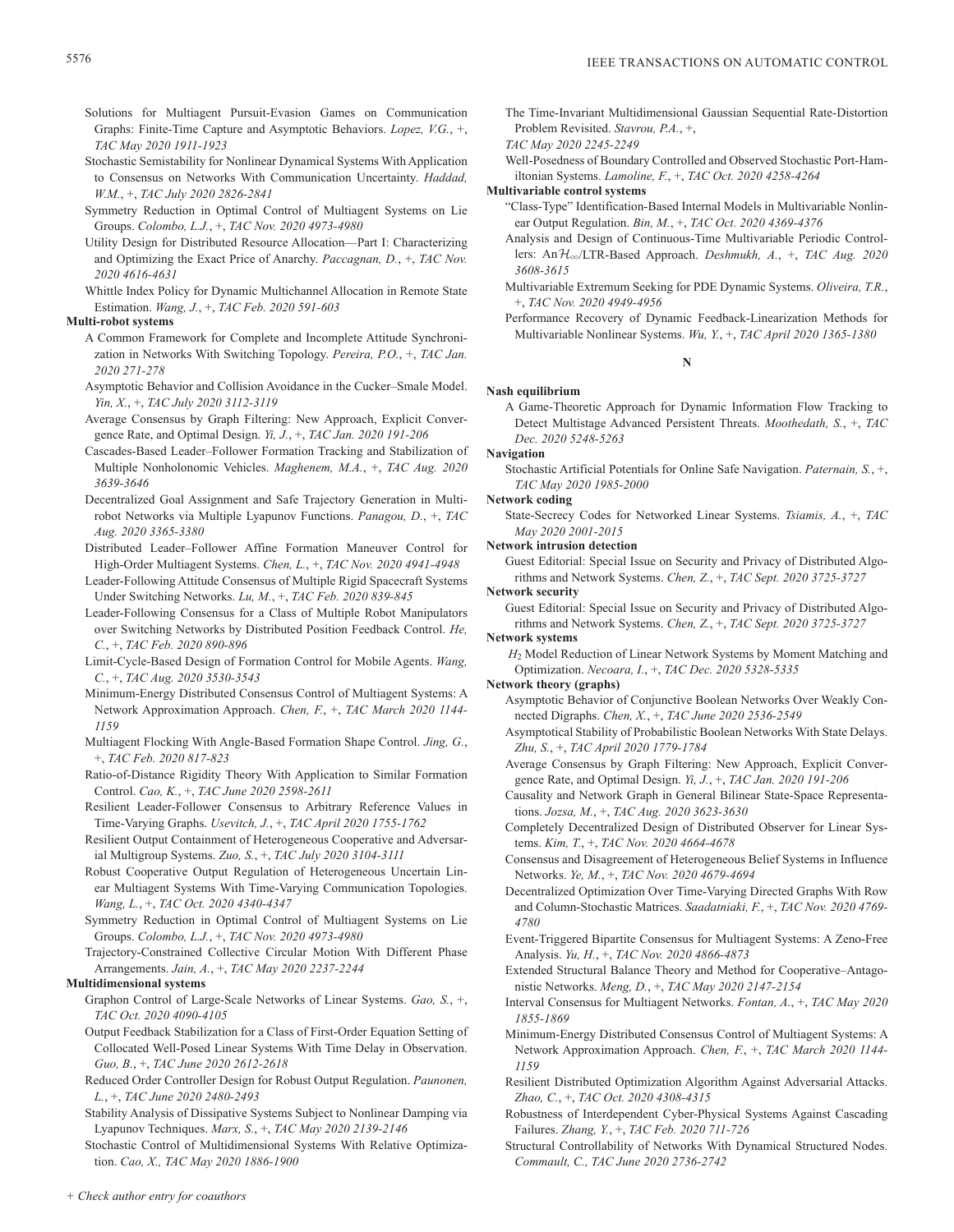- Solutions for Multiagent Pursuit-Evasion Games on Communication Graphs: Finite-Time Capture and Asymptotic Behaviors. *Lopez, V.G.*, +, *TAC May 2020 1911-1923*
- Stochastic Semistability for Nonlinear Dynamical Systems With Application to Consensus on Networks With Communication Uncertainty. *Haddad, W.M.*, +, *TAC July 2020 2826-2841*
- Symmetry Reduction in Optimal Control of Multiagent Systems on Lie Groups. *Colombo, L.J.*, +, *TAC Nov. 2020 4973-4980*
- Utility Design for Distributed Resource Allocation—Part I: Characterizing and Optimizing the Exact Price of Anarchy. *Paccagnan, D.*, +, *TAC Nov. 2020 4616-4631*

Whittle Index Policy for Dynamic Multichannel Allocation in Remote State Estimation. *Wang, J.*, +, *TAC Feb. 2020 591-603*

## **Multi-robot systems**

- A Common Framework for Complete and Incomplete Attitude Synchronization in Networks With Switching Topology. *Pereira, P.O.*, +, *TAC Jan. 2020 271-278*
- Asymptotic Behavior and Collision Avoidance in the Cucker–Smale Model. *Yin, X.*, +, *TAC July 2020 3112-3119*
- Average Consensus by Graph Filtering: New Approach, Explicit Convergence Rate, and Optimal Design. *Yi, J.*, +, *TAC Jan. 2020 191-206*
- Cascades-Based Leader–Follower Formation Tracking and Stabilization of Multiple Nonholonomic Vehicles. *Maghenem, M.A.*, +, *TAC Aug. 2020 3639-3646*
- Decentralized Goal Assignment and Safe Trajectory Generation in Multirobot Networks via Multiple Lyapunov Functions. *Panagou, D.*, +, *TAC Aug. 2020 3365-3380*
- Distributed Leader–Follower Affine Formation Maneuver Control for High-Order Multiagent Systems. *Chen, L.*, +, *TAC Nov. 2020 4941-4948*
- Leader-Following Attitude Consensus of Multiple Rigid Spacecraft Systems Under Switching Networks. *Lu, M.*, +, *TAC Feb. 2020 839-845*
- Leader-Following Consensus for a Class of Multiple Robot Manipulators over Switching Networks by Distributed Position Feedback Control. *He, C.*, +, *TAC Feb. 2020 890-896*
- Limit-Cycle-Based Design of Formation Control for Mobile Agents. *Wang, C.*, +, *TAC Aug. 2020 3530-3543*
- Minimum-Energy Distributed Consensus Control of Multiagent Systems: A Network Approximation Approach. *Chen, F.*, +, *TAC March 2020 1144- 1159*
- Multiagent Flocking With Angle-Based Formation Shape Control. *Jing, G.*, +, *TAC Feb. 2020 817-823*
- Ratio-of-Distance Rigidity Theory With Application to Similar Formation Control. *Cao, K.*, +, *TAC June 2020 2598-2611*
- Resilient Leader-Follower Consensus to Arbitrary Reference Values in Time-Varying Graphs. *Usevitch, J.*, +, *TAC April 2020 1755-1762*
- Resilient Output Containment of Heterogeneous Cooperative and Adversarial Multigroup Systems. *Zuo, S.*, +, *TAC July 2020 3104-3111*
- Robust Cooperative Output Regulation of Heterogeneous Uncertain Linear Multiagent Systems With Time-Varying Communication Topologies. *Wang, L.*, +, *TAC Oct. 2020 4340-4347*
- Symmetry Reduction in Optimal Control of Multiagent Systems on Lie Groups. *Colombo, L.J.*, +, *TAC Nov. 2020 4973-4980*
- Trajectory-Constrained Collective Circular Motion With Different Phase Arrangements. *Jain, A.*, +, *TAC May 2020 2237-2244*

## **Multidimensional systems**

- Graphon Control of Large-Scale Networks of Linear Systems. *Gao, S.*, +, *TAC Oct. 2020 4090-4105*
- Output Feedback Stabilization for a Class of First-Order Equation Setting of Collocated Well-Posed Linear Systems With Time Delay in Observation. *Guo, B.*, +, *TAC June 2020 2612-2618*
- Reduced Order Controller Design for Robust Output Regulation. *Paunonen, L.*, +, *TAC June 2020 2480-2493*
- Stability Analysis of Dissipative Systems Subject to Nonlinear Damping via Lyapunov Techniques. *Marx, S.*, +, *TAC May 2020 2139-2146*

Stochastic Control of Multidimensional Systems With Relative Optimization. *Cao, X., TAC May 2020 1886-1900*

The Time-Invariant Multidimensional Gaussian Sequential Rate-Distortion Problem Revisited. *Stavrou, P.A.*, +,

## *TAC May 2020 2245-2249*

Well-Posedness of Boundary Controlled and Observed Stochastic Port-Hamiltonian Systems. *Lamoline, F.*, +, *TAC Oct. 2020 4258-4264*

## **Multivariable control systems**

- "Class-Type" Identification-Based Internal Models in Multivariable Nonlinear Output Regulation. *Bin, M.*, +, *TAC Oct. 2020 4369-4376*
- Analysis and Design of Continuous-Time Multivariable Periodic Controllers: AnH3/LTR-Based Approach. *Deshmukh, A.*, +, *TAC Aug. 2020 3608-3615*
- Multivariable Extremum Seeking for PDE Dynamic Systems. *Oliveira, T.R.*, +, *TAC Nov. 2020 4949-4956*
- Performance Recovery of Dynamic Feedback-Linearization Methods for Multivariable Nonlinear Systems. *Wu, Y.*, +, *TAC April 2020 1365-1380*

**N**

# **Nash equilibrium**

A Game-Theoretic Approach for Dynamic Information Flow Tracking to Detect Multistage Advanced Persistent Threats. *Moothedath, S.*, +, *TAC Dec. 2020 5248-5263*

**Navigation**

Stochastic Artificial Potentials for Online Safe Navigation. *Paternain, S.*, +, *TAC May 2020 1985-2000*

## **Network coding**

State-Secrecy Codes for Networked Linear Systems. *Tsiamis, A.*, +, *TAC May 2020 2001-2015*

## **Network intrusion detection**

Guest Editorial: Special Issue on Security and Privacy of Distributed Algorithms and Network Systems. *Chen, Z.*, +, *TAC Sept. 2020 3725-3727*

## **Network security**

Guest Editorial: Special Issue on Security and Privacy of Distributed Algorithms and Network Systems. *Chen, Z.*, +, *TAC Sept. 2020 3725-3727*

**Network systems**

*H*2 Model Reduction of Linear Network Systems by Moment Matching and Optimization. *Necoara, I.*, +, *TAC Dec. 2020 5328-5335*

## **Network theory (graphs)**

- Asymptotic Behavior of Conjunctive Boolean Networks Over Weakly Connected Digraphs. *Chen, X.*, +, *TAC June 2020 2536-2549*
- Asymptotical Stability of Probabilistic Boolean Networks With State Delays. *Zhu, S.*, +, *TAC April 2020 1779-1784*
- Average Consensus by Graph Filtering: New Approach, Explicit Convergence Rate, and Optimal Design. *Yi, J.*, +, *TAC Jan. 2020 191-206*
- Causality and Network Graph in General Bilinear State-Space Representations. *Jozsa, M.*, +, *TAC Aug. 2020 3623-3630*
- Completely Decentralized Design of Distributed Observer for Linear Systems. *Kim, T.*, +, *TAC Nov. 2020 4664-4678*
- Consensus and Disagreement of Heterogeneous Belief Systems in Influence Networks. *Ye, M.*, +, *TAC Nov. 2020 4679-4694*
- Decentralized Optimization Over Time-Varying Directed Graphs With Row and Column-Stochastic Matrices. *Saadatniaki, F.*, +, *TAC Nov. 2020 4769- 4780*
- Event-Triggered Bipartite Consensus for Multiagent Systems: A Zeno-Free Analysis. *Yu, H.*, +, *TAC Nov. 2020 4866-4873*
- Extended Structural Balance Theory and Method for Cooperative–Antagonistic Networks. *Meng, D.*, +, *TAC May 2020 2147-2154*
- Interval Consensus for Multiagent Networks. *Fontan, A.*, +, *TAC May 2020 1855-1869*
- Minimum-Energy Distributed Consensus Control of Multiagent Systems: A Network Approximation Approach. *Chen, F.*, +, *TAC March 2020 1144- 1159*
- Resilient Distributed Optimization Algorithm Against Adversarial Attacks. *Zhao, C.*, +, *TAC Oct. 2020 4308-4315*
- Robustness of Interdependent Cyber-Physical Systems Against Cascading Failures. *Zhang, Y.*, +, *TAC Feb. 2020 711-726*
- Structural Controllability of Networks With Dynamical Structured Nodes. *Commault, C., TAC June 2020 2736-2742*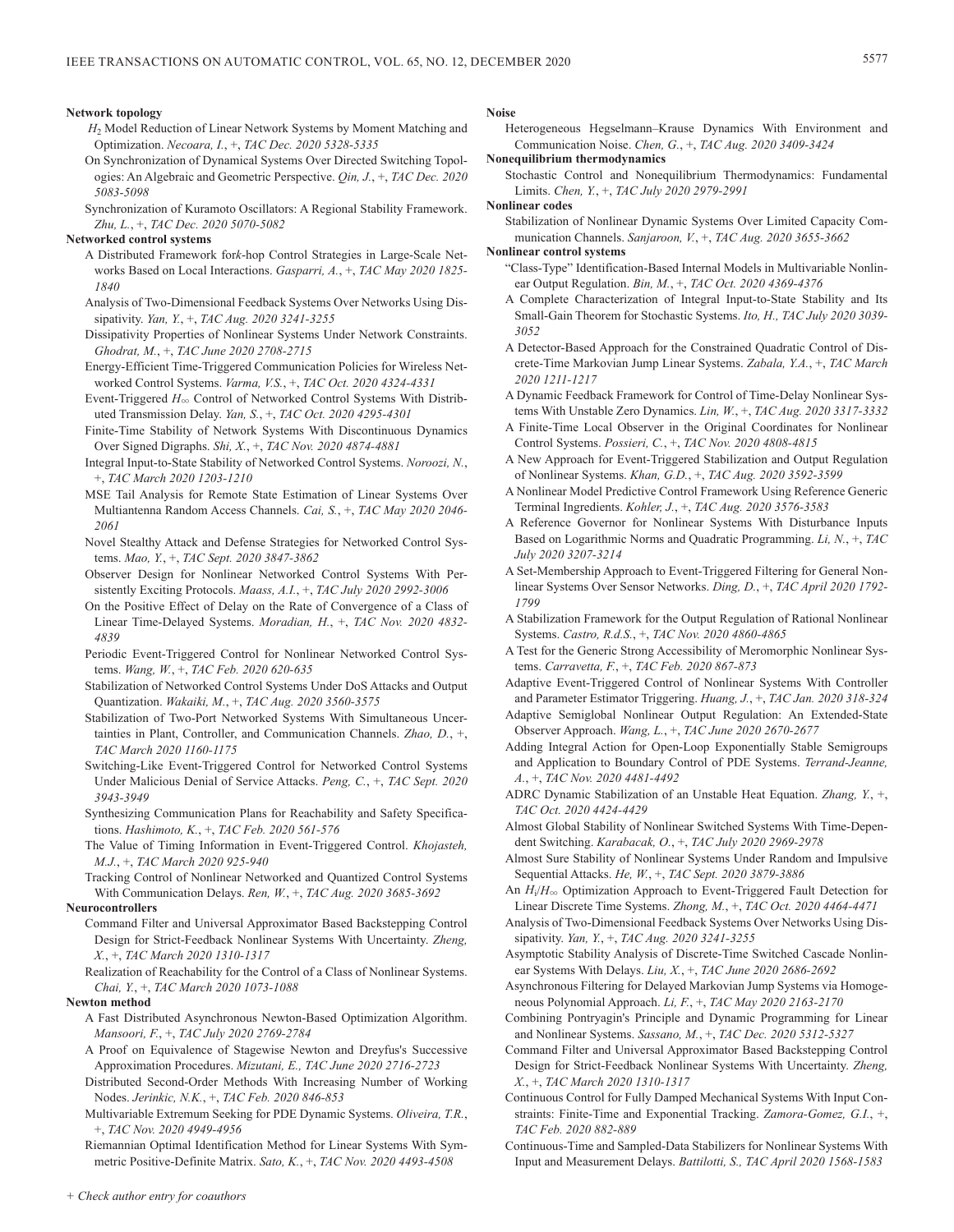### **Network topology**

- *H*2 Model Reduction of Linear Network Systems by Moment Matching and Optimization. *Necoara, I.*, +, *TAC Dec. 2020 5328-5335*
- On Synchronization of Dynamical Systems Over Directed Switching Topologies: An Algebraic and Geometric Perspective. *Qin, J.*, +, *TAC Dec. 2020 5083-5098*
- Synchronization of Kuramoto Oscillators: A Regional Stability Framework. *Zhu, L.*, +, *TAC Dec. 2020 5070-5082*
- **Networked control systems**
	- A Distributed Framework for*k*-hop Control Strategies in Large-Scale Networks Based on Local Interactions. *Gasparri, A.*, +, *TAC May 2020 1825- 1840*
	- Analysis of Two-Dimensional Feedback Systems Over Networks Using Dissipativity. *Yan, Y.*, +, *TAC Aug. 2020 3241-3255*
	- Dissipativity Properties of Nonlinear Systems Under Network Constraints. *Ghodrat, M.*, +, *TAC June 2020 2708-2715*
	- Energy-Efficient Time-Triggered Communication Policies for Wireless Networked Control Systems. *Varma, V.S.*, +, *TAC Oct. 2020 4324-4331*
	- Event-Triggered  $H_{\infty}$  Control of Networked Control Systems With Distributed Transmission Delay. *Yan, S.*, +, *TAC Oct. 2020 4295-4301*
	- Finite-Time Stability of Network Systems With Discontinuous Dynamics Over Signed Digraphs. *Shi, X.*, +, *TAC Nov. 2020 4874-4881*
	- Integral Input-to-State Stability of Networked Control Systems. *Noroozi, N.*, +, *TAC March 2020 1203-1210*
	- MSE Tail Analysis for Remote State Estimation of Linear Systems Over Multiantenna Random Access Channels. *Cai, S.*, +, *TAC May 2020 2046- 2061*
	- Novel Stealthy Attack and Defense Strategies for Networked Control Systems. *Mao, Y.*, +, *TAC Sept. 2020 3847-3862*
	- Observer Design for Nonlinear Networked Control Systems With Persistently Exciting Protocols. *Maass, A.I.*, +, *TAC July 2020 2992-3006*
	- On the Positive Effect of Delay on the Rate of Convergence of a Class of Linear Time-Delayed Systems. *Moradian, H.*, +, *TAC Nov. 2020 4832- 4839*
	- Periodic Event-Triggered Control for Nonlinear Networked Control Systems. *Wang, W.*, +, *TAC Feb. 2020 620-635*
	- Stabilization of Networked Control Systems Under DoS Attacks and Output Quantization. *Wakaiki, M.*, +, *TAC Aug. 2020 3560-3575*
	- Stabilization of Two-Port Networked Systems With Simultaneous Uncertainties in Plant, Controller, and Communication Channels. *Zhao, D.*, +, *TAC March 2020 1160-1175*
	- Switching-Like Event-Triggered Control for Networked Control Systems Under Malicious Denial of Service Attacks. *Peng, C.*, +, *TAC Sept. 2020 3943-3949*
	- Synthesizing Communication Plans for Reachability and Safety Specifications. *Hashimoto, K.*, +, *TAC Feb. 2020 561-576*
	- The Value of Timing Information in Event-Triggered Control. *Khojasteh, M.J.*, +, *TAC March 2020 925-940*
	- Tracking Control of Nonlinear Networked and Quantized Control Systems With Communication Delays. *Ren, W.*, +, *TAC Aug. 2020 3685-3692*

## **Neurocontrollers**

- Command Filter and Universal Approximator Based Backstepping Control Design for Strict-Feedback Nonlinear Systems With Uncertainty. *Zheng, X.*, +, *TAC March 2020 1310-1317*
- Realization of Reachability for the Control of a Class of Nonlinear Systems. *Chai, Y.*, +, *TAC March 2020 1073-1088*

## **Newton method**

- A Fast Distributed Asynchronous Newton-Based Optimization Algorithm. *Mansoori, F.*, +, *TAC July 2020 2769-2784*
- A Proof on Equivalence of Stagewise Newton and Dreyfus's Successive Approximation Procedures. *Mizutani, E., TAC June 2020 2716-2723*
- Distributed Second-Order Methods With Increasing Number of Working Nodes. *Jerinkic, N.K.*, +, *TAC Feb. 2020 846-853*
- Multivariable Extremum Seeking for PDE Dynamic Systems. *Oliveira, T.R.*, +, *TAC Nov. 2020 4949-4956*

Riemannian Optimal Identification Method for Linear Systems With Symmetric Positive-Definite Matrix. *Sato, K.*, +, *TAC Nov. 2020 4493-4508*

## **Noise**

Heterogeneous Hegselmann–Krause Dynamics With Environment and Communication Noise. *Chen, G.*, +, *TAC Aug. 2020 3409-3424*

**Nonequilibrium thermodynamics**

Stochastic Control and Nonequilibrium Thermodynamics: Fundamental Limits. *Chen, Y.*, +, *TAC July 2020 2979-2991*

## **Nonlinear codes**

Stabilization of Nonlinear Dynamic Systems Over Limited Capacity Communication Channels. *Sanjaroon, V.*, +, *TAC Aug. 2020 3655-3662*

#### **Nonlinear control systems**

- "Class-Type" Identification-Based Internal Models in Multivariable Nonlinear Output Regulation. *Bin, M.*, +, *TAC Oct. 2020 4369-4376*
- A Complete Characterization of Integral Input-to-State Stability and Its Small-Gain Theorem for Stochastic Systems. *Ito, H., TAC July 2020 3039- 3052*
- A Detector-Based Approach for the Constrained Quadratic Control of Discrete-Time Markovian Jump Linear Systems. *Zabala, Y.A.*, +, *TAC March 2020 1211-1217*
- A Dynamic Feedback Framework for Control of Time-Delay Nonlinear Systems With Unstable Zero Dynamics. *Lin, W.*, +, *TAC Aug. 2020 3317-3332*
- A Finite-Time Local Observer in the Original Coordinates for Nonlinear Control Systems. *Possieri, C.*, +, *TAC Nov. 2020 4808-4815*
- A New Approach for Event-Triggered Stabilization and Output Regulation of Nonlinear Systems. *Khan, G.D.*, +, *TAC Aug. 2020 3592-3599*
- A Nonlinear Model Predictive Control Framework Using Reference Generic Terminal Ingredients. *Kohler, J.*, +, *TAC Aug. 2020 3576-3583*
- A Reference Governor for Nonlinear Systems With Disturbance Inputs Based on Logarithmic Norms and Quadratic Programming. *Li, N.*, +, *TAC July 2020 3207-3214*
- A Set-Membership Approach to Event-Triggered Filtering for General Nonlinear Systems Over Sensor Networks. *Ding, D.*, +, *TAC April 2020 1792- 1799*
- A Stabilization Framework for the Output Regulation of Rational Nonlinear Systems. *Castro, R.d.S.*, +, *TAC Nov. 2020 4860-4865*
- A Test for the Generic Strong Accessibility of Meromorphic Nonlinear Systems. *Carravetta, F.*, +, *TAC Feb. 2020 867-873*
- Adaptive Event-Triggered Control of Nonlinear Systems With Controller and Parameter Estimator Triggering. *Huang, J.*, +, *TAC Jan. 2020 318-324*
- Adaptive Semiglobal Nonlinear Output Regulation: An Extended-State Observer Approach. *Wang, L.*, +, *TAC June 2020 2670-2677*
- Adding Integral Action for Open-Loop Exponentially Stable Semigroups and Application to Boundary Control of PDE Systems. *Terrand-Jeanne, A.*, +, *TAC Nov. 2020 4481-4492*
- ADRC Dynamic Stabilization of an Unstable Heat Equation. *Zhang, Y.*, +, *TAC Oct. 2020 4424-4429*
- Almost Global Stability of Nonlinear Switched Systems With Time-Dependent Switching. *Karabacak, O.*, +, *TAC July 2020 2969-2978*
- Almost Sure Stability of Nonlinear Systems Under Random and Impulsive Sequential Attacks. *He, W.*, +, *TAC Sept. 2020 3879-3886*
- An  $H_i/H_{\infty}$  Optimization Approach to Event-Triggered Fault Detection for Linear Discrete Time Systems. *Zhong, M.*, +, *TAC Oct. 2020 4464-4471*
- Analysis of Two-Dimensional Feedback Systems Over Networks Using Dissipativity. *Yan, Y.*, +, *TAC Aug. 2020 3241-3255*
- Asymptotic Stability Analysis of Discrete-Time Switched Cascade Nonlinear Systems With Delays. *Liu, X.*, +, *TAC June 2020 2686-2692*
- Asynchronous Filtering for Delayed Markovian Jump Systems via Homogeneous Polynomial Approach. *Li, F.*, +, *TAC May 2020 2163-2170*
- Combining Pontryagin's Principle and Dynamic Programming for Linear and Nonlinear Systems. *Sassano, M.*, +, *TAC Dec. 2020 5312-5327*
- Command Filter and Universal Approximator Based Backstepping Control Design for Strict-Feedback Nonlinear Systems With Uncertainty. *Zheng, X.*, +, *TAC March 2020 1310-1317*
- Continuous Control for Fully Damped Mechanical Systems With Input Constraints: Finite-Time and Exponential Tracking. *Zamora-Gomez, G.I.*, +, *TAC Feb. 2020 882-889*
- Continuous-Time and Sampled-Data Stabilizers for Nonlinear Systems With Input and Measurement Delays. *Battilotti, S., TAC April 2020 1568-1583*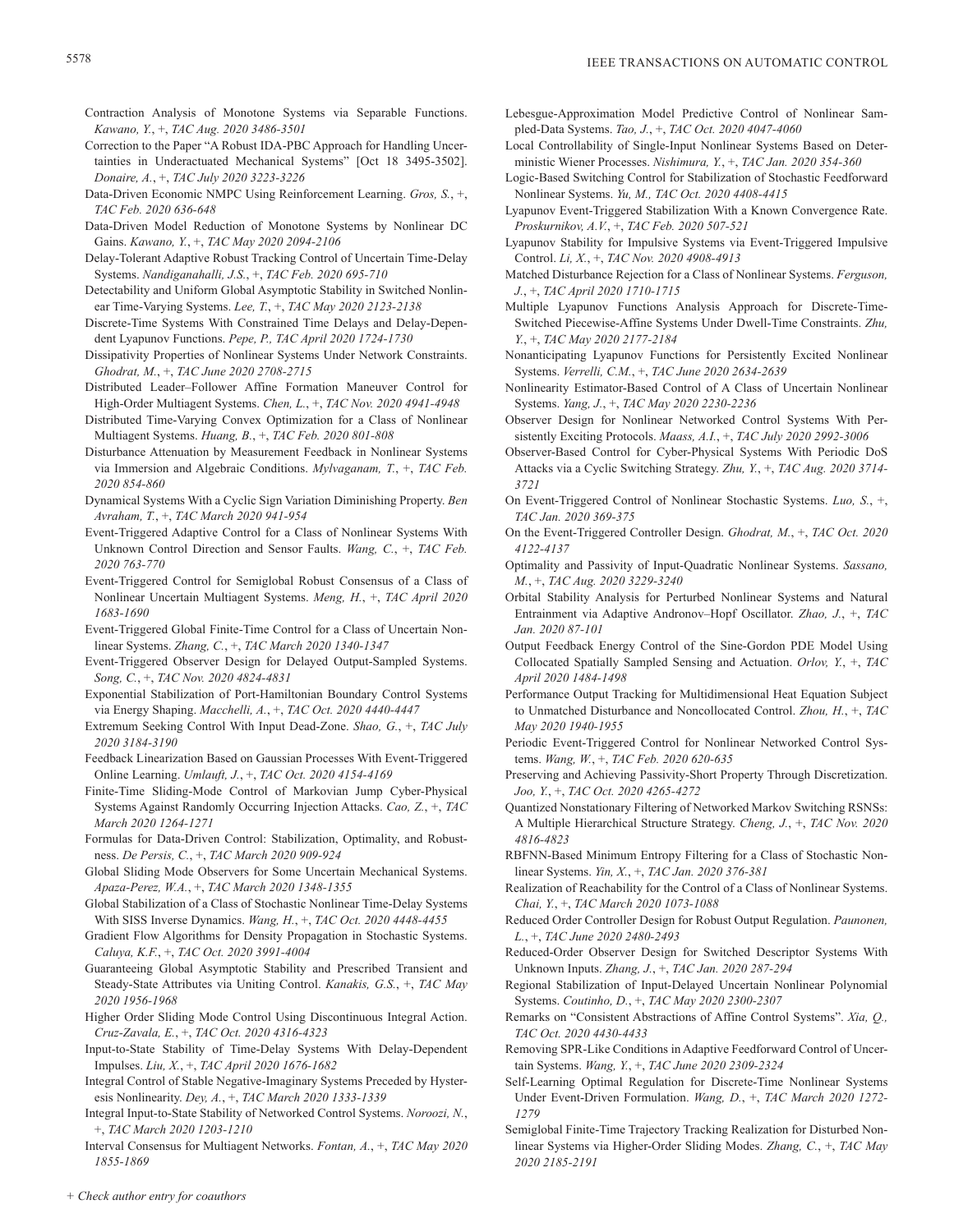- Contraction Analysis of Monotone Systems via Separable Functions. *Kawano, Y.*, +, *TAC Aug. 2020 3486-3501*
- Correction to the Paper "A Robust IDA-PBC Approach for Handling Uncertainties in Underactuated Mechanical Systems" [Oct 18 3495-3502]. *Donaire, A.*, +, *TAC July 2020 3223-3226*
- Data-Driven Economic NMPC Using Reinforcement Learning. *Gros, S.*, +, *TAC Feb. 2020 636-648*
- Data-Driven Model Reduction of Monotone Systems by Nonlinear DC Gains. *Kawano, Y.*, +, *TAC May 2020 2094-2106*
- Delay-Tolerant Adaptive Robust Tracking Control of Uncertain Time-Delay Systems. *Nandiganahalli, J.S.*, +, *TAC Feb. 2020 695-710*
- Detectability and Uniform Global Asymptotic Stability in Switched Nonlinear Time-Varying Systems. *Lee, T.*, +, *TAC May 2020 2123-2138*
- Discrete-Time Systems With Constrained Time Delays and Delay-Dependent Lyapunov Functions. *Pepe, P., TAC April 2020 1724-1730*
- Dissipativity Properties of Nonlinear Systems Under Network Constraints. *Ghodrat, M.*, +, *TAC June 2020 2708-2715*
- Distributed Leader–Follower Affine Formation Maneuver Control for High-Order Multiagent Systems. *Chen, L.*, +, *TAC Nov. 2020 4941-4948*
- Distributed Time-Varying Convex Optimization for a Class of Nonlinear Multiagent Systems. *Huang, B.*, +, *TAC Feb. 2020 801-808*
- Disturbance Attenuation by Measurement Feedback in Nonlinear Systems via Immersion and Algebraic Conditions. *Mylvaganam, T.*, +, *TAC Feb. 2020 854-860*
- Dynamical Systems With a Cyclic Sign Variation Diminishing Property. *Ben Avraham, T.*, +, *TAC March 2020 941-954*
- Event-Triggered Adaptive Control for a Class of Nonlinear Systems With Unknown Control Direction and Sensor Faults. *Wang, C.*, +, *TAC Feb. 2020 763-770*
- Event-Triggered Control for Semiglobal Robust Consensus of a Class of Nonlinear Uncertain Multiagent Systems. *Meng, H.*, +, *TAC April 2020 1683-1690*
- Event-Triggered Global Finite-Time Control for a Class of Uncertain Nonlinear Systems. *Zhang, C.*, +, *TAC March 2020 1340-1347*
- Event-Triggered Observer Design for Delayed Output-Sampled Systems. *Song, C.*, +, *TAC Nov. 2020 4824-4831*
- Exponential Stabilization of Port-Hamiltonian Boundary Control Systems via Energy Shaping. *Macchelli, A.*, +, *TAC Oct. 2020 4440-4447*
- Extremum Seeking Control With Input Dead-Zone. *Shao, G.*, +, *TAC July 2020 3184-3190*
- Feedback Linearization Based on Gaussian Processes With Event-Triggered Online Learning. *Umlauft, J.*, +, *TAC Oct. 2020 4154-4169*
- Finite-Time Sliding-Mode Control of Markovian Jump Cyber-Physical Systems Against Randomly Occurring Injection Attacks. *Cao, Z.*, +, *TAC March 2020 1264-1271*
- Formulas for Data-Driven Control: Stabilization, Optimality, and Robustness. *De Persis, C.*, +, *TAC March 2020 909-924*
- Global Sliding Mode Observers for Some Uncertain Mechanical Systems. *Apaza-Perez, W.A.*, +, *TAC March 2020 1348-1355*
- Global Stabilization of a Class of Stochastic Nonlinear Time-Delay Systems With SISS Inverse Dynamics. *Wang, H.*, +, *TAC Oct. 2020 4448-4455*
- Gradient Flow Algorithms for Density Propagation in Stochastic Systems. *Caluya, K.F.*, +, *TAC Oct. 2020 3991-4004*
- Guaranteeing Global Asymptotic Stability and Prescribed Transient and Steady-State Attributes via Uniting Control. *Kanakis, G.S.*, +, *TAC May 2020 1956-1968*
- Higher Order Sliding Mode Control Using Discontinuous Integral Action. *Cruz-Zavala, E.*, +, *TAC Oct. 2020 4316-4323*
- Input-to-State Stability of Time-Delay Systems With Delay-Dependent Impulses. *Liu, X.*, +, *TAC April 2020 1676-1682*
- Integral Control of Stable Negative-Imaginary Systems Preceded by Hysteresis Nonlinearity. *Dey, A.*, +, *TAC March 2020 1333-1339*
- Integral Input-to-State Stability of Networked Control Systems. *Noroozi, N.*, +, *TAC March 2020 1203-1210*
- Interval Consensus for Multiagent Networks. *Fontan, A.*, +, *TAC May 2020 1855-1869*
- Lebesgue-Approximation Model Predictive Control of Nonlinear Sampled-Data Systems. *Tao, J.*, +, *TAC Oct. 2020 4047-4060*
- Local Controllability of Single-Input Nonlinear Systems Based on Deterministic Wiener Processes. *Nishimura, Y.*, +, *TAC Jan. 2020 354-360*
- Logic-Based Switching Control for Stabilization of Stochastic Feedforward Nonlinear Systems. *Yu, M., TAC Oct. 2020 4408-4415*
- Lyapunov Event-Triggered Stabilization With a Known Convergence Rate. *Proskurnikov, A.V.*, +, *TAC Feb. 2020 507-521*
- Lyapunov Stability for Impulsive Systems via Event-Triggered Impulsive Control. *Li, X.*, +, *TAC Nov. 2020 4908-4913*
- Matched Disturbance Rejection for a Class of Nonlinear Systems. *Ferguson, J.*, +, *TAC April 2020 1710-1715*
- Multiple Lyapunov Functions Analysis Approach for Discrete-Time-Switched Piecewise-Affine Systems Under Dwell-Time Constraints. *Zhu, Y.*, +, *TAC May 2020 2177-2184*
- Nonanticipating Lyapunov Functions for Persistently Excited Nonlinear Systems. *Verrelli, C.M.*, +, *TAC June 2020 2634-2639*
- Nonlinearity Estimator-Based Control of A Class of Uncertain Nonlinear Systems. *Yang, J.*, +, *TAC May 2020 2230-2236*
- Observer Design for Nonlinear Networked Control Systems With Persistently Exciting Protocols. *Maass, A.I.*, +, *TAC July 2020 2992-3006*
- Observer-Based Control for Cyber-Physical Systems With Periodic DoS Attacks via a Cyclic Switching Strategy. *Zhu, Y.*, +, *TAC Aug. 2020 3714- 3721*
- On Event-Triggered Control of Nonlinear Stochastic Systems. *Luo, S.*, +, *TAC Jan. 2020 369-375*
- On the Event-Triggered Controller Design. *Ghodrat, M.*, +, *TAC Oct. 2020 4122-4137*
- Optimality and Passivity of Input-Quadratic Nonlinear Systems. *Sassano, M.*, +, *TAC Aug. 2020 3229-3240*
- Orbital Stability Analysis for Perturbed Nonlinear Systems and Natural Entrainment via Adaptive Andronov–Hopf Oscillator. *Zhao, J.*, +, *TAC Jan. 2020 87-101*
- Output Feedback Energy Control of the Sine-Gordon PDE Model Using Collocated Spatially Sampled Sensing and Actuation. *Orlov, Y.*, +, *TAC April 2020 1484-1498*
- Performance Output Tracking for Multidimensional Heat Equation Subject to Unmatched Disturbance and Noncollocated Control. *Zhou, H.*, +, *TAC May 2020 1940-1955*
- Periodic Event-Triggered Control for Nonlinear Networked Control Systems. *Wang, W.*, +, *TAC Feb. 2020 620-635*
- Preserving and Achieving Passivity-Short Property Through Discretization. *Joo, Y.*, +, *TAC Oct. 2020 4265-4272*
- Quantized Nonstationary Filtering of Networked Markov Switching RSNSs: A Multiple Hierarchical Structure Strategy. *Cheng, J.*, +, *TAC Nov. 2020 4816-4823*
- RBFNN-Based Minimum Entropy Filtering for a Class of Stochastic Nonlinear Systems. *Yin, X.*, +, *TAC Jan. 2020 376-381*
- Realization of Reachability for the Control of a Class of Nonlinear Systems. *Chai, Y.*, +, *TAC March 2020 1073-1088*
- Reduced Order Controller Design for Robust Output Regulation. *Paunonen, L.*, +, *TAC June 2020 2480-2493*
- Reduced-Order Observer Design for Switched Descriptor Systems With Unknown Inputs. *Zhang, J.*, +, *TAC Jan. 2020 287-294*
- Regional Stabilization of Input-Delayed Uncertain Nonlinear Polynomial Systems. *Coutinho, D.*, +, *TAC May 2020 2300-2307*
- Remarks on "Consistent Abstractions of Affine Control Systems". *Xia, Q., TAC Oct. 2020 4430-4433*
- Removing SPR-Like Conditions in Adaptive Feedforward Control of Uncertain Systems. *Wang, Y.*, +, *TAC June 2020 2309-2324*
- Self-Learning Optimal Regulation for Discrete-Time Nonlinear Systems Under Event-Driven Formulation. *Wang, D.*, +, *TAC March 2020 1272- 1279*
- Semiglobal Finite-Time Trajectory Tracking Realization for Disturbed Nonlinear Systems via Higher-Order Sliding Modes. *Zhang, C.*, +, *TAC May 2020 2185-2191*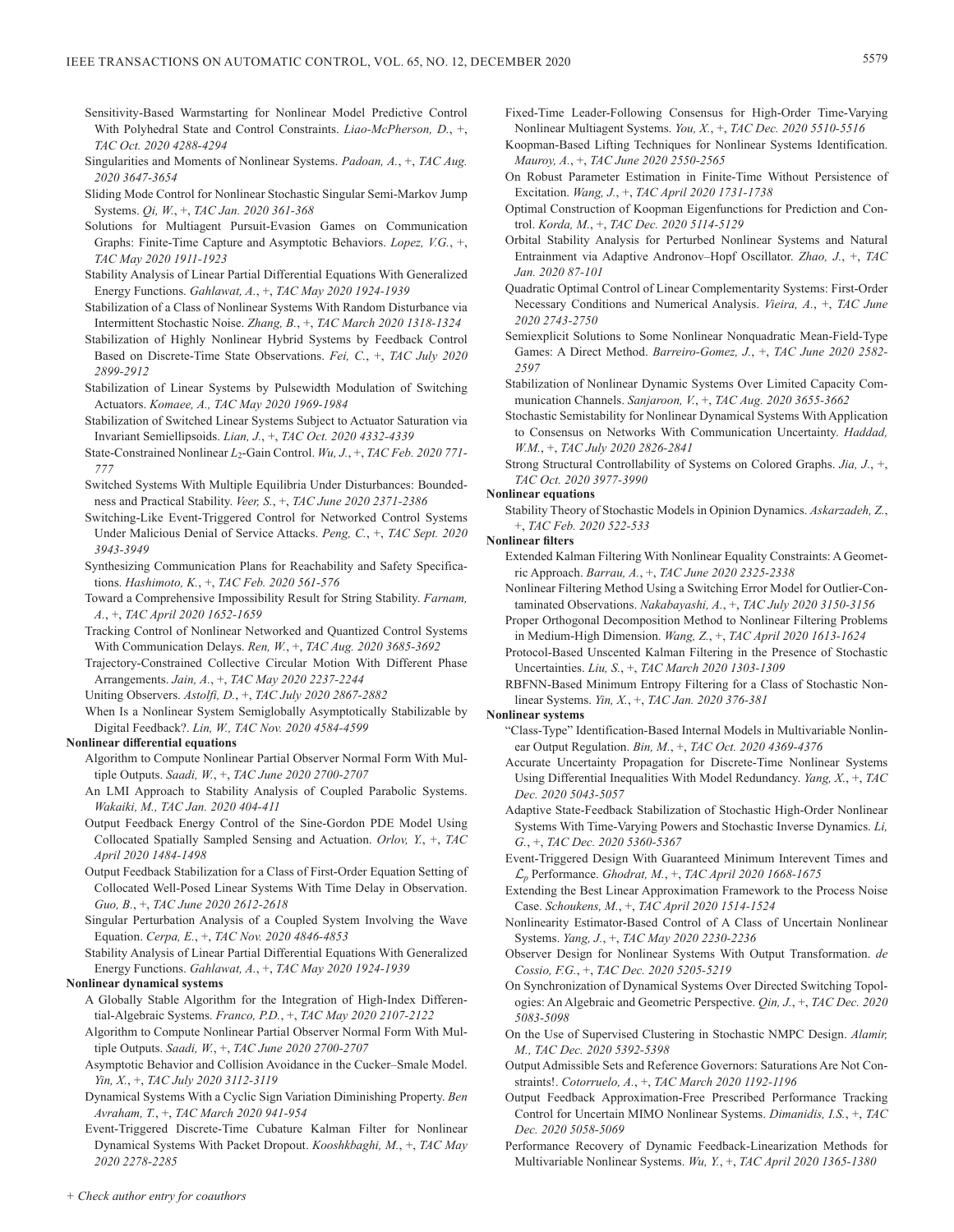- Sensitivity-Based Warmstarting for Nonlinear Model Predictive Control With Polyhedral State and Control Constraints. *Liao-McPherson, D.*, +, *TAC Oct. 2020 4288-4294*
- Singularities and Moments of Nonlinear Systems. *Padoan, A.*, +, *TAC Aug. 2020 3647-3654*
- Sliding Mode Control for Nonlinear Stochastic Singular Semi-Markov Jump Systems. *Qi, W.*, +, *TAC Jan. 2020 361-368*
- Solutions for Multiagent Pursuit-Evasion Games on Communication Graphs: Finite-Time Capture and Asymptotic Behaviors. *Lopez, V.G.*, +, *TAC May 2020 1911-1923*
- Stability Analysis of Linear Partial Differential Equations With Generalized Energy Functions. *Gahlawat, A.*, +, *TAC May 2020 1924-1939*
- Stabilization of a Class of Nonlinear Systems With Random Disturbance via Intermittent Stochastic Noise. *Zhang, B.*, +, *TAC March 2020 1318-1324*
- Stabilization of Highly Nonlinear Hybrid Systems by Feedback Control Based on Discrete-Time State Observations. *Fei, C.*, +, *TAC July 2020 2899-2912*
- Stabilization of Linear Systems by Pulsewidth Modulation of Switching Actuators. *Komaee, A., TAC May 2020 1969-1984*
- Stabilization of Switched Linear Systems Subject to Actuator Saturation via Invariant Semiellipsoids. *Lian, J.*, +, *TAC Oct. 2020 4332-4339*
- State-Constrained Nonlinear *L*<sub>2</sub>-Gain Control. *Wu, J.*, +, *TAC Feb. 2020 771*-*777*
- Switched Systems With Multiple Equilibria Under Disturbances: Boundedness and Practical Stability. *Veer, S.*, +, *TAC June 2020 2371-2386*
- Switching-Like Event-Triggered Control for Networked Control Systems Under Malicious Denial of Service Attacks. *Peng, C.*, +, *TAC Sept. 2020 3943-3949*
- Synthesizing Communication Plans for Reachability and Safety Specifications. *Hashimoto, K.*, +, *TAC Feb. 2020 561-576*
- Toward a Comprehensive Impossibility Result for String Stability. *Farnam, A.*, +, *TAC April 2020 1652-1659*
- Tracking Control of Nonlinear Networked and Quantized Control Systems With Communication Delays. *Ren, W.*, +, *TAC Aug. 2020 3685-3692*
- Trajectory-Constrained Collective Circular Motion With Different Phase Arrangements. *Jain, A.*, +, *TAC May 2020 2237-2244*
- Uniting Observers. *Astolfi, D.*, +, *TAC July 2020 2867-2882*
- When Is a Nonlinear System Semiglobally Asymptotically Stabilizable by Digital Feedback?. *Lin, W., TAC Nov. 2020 4584-4599*

#### **Nonlinear differential equations**

- Algorithm to Compute Nonlinear Partial Observer Normal Form With Multiple Outputs. *Saadi, W.*, +, *TAC June 2020 2700-2707*
- An LMI Approach to Stability Analysis of Coupled Parabolic Systems. *Wakaiki, M., TAC Jan. 2020 404-411*
- Output Feedback Energy Control of the Sine-Gordon PDE Model Using Collocated Spatially Sampled Sensing and Actuation. *Orlov, Y.*, +, *TAC April 2020 1484-1498*
- Output Feedback Stabilization for a Class of First-Order Equation Setting of Collocated Well-Posed Linear Systems With Time Delay in Observation. *Guo, B.*, +, *TAC June 2020 2612-2618*
- Singular Perturbation Analysis of a Coupled System Involving the Wave Equation. *Cerpa, E.*, +, *TAC Nov. 2020 4846-4853*
- Stability Analysis of Linear Partial Differential Equations With Generalized Energy Functions. *Gahlawat, A.*, +, *TAC May 2020 1924-1939*

## **Nonlinear dynamical systems**

- A Globally Stable Algorithm for the Integration of High-Index Differential-Algebraic Systems. *Franco, P.D.*, +, *TAC May 2020 2107-2122*
- Algorithm to Compute Nonlinear Partial Observer Normal Form With Multiple Outputs. *Saadi, W.*, +, *TAC June 2020 2700-2707*
- Asymptotic Behavior and Collision Avoidance in the Cucker–Smale Model. *Yin, X.*, +, *TAC July 2020 3112-3119*
- Dynamical Systems With a Cyclic Sign Variation Diminishing Property. *Ben Avraham, T.*, +, *TAC March 2020 941-954*
- Event-Triggered Discrete-Time Cubature Kalman Filter for Nonlinear Dynamical Systems With Packet Dropout. *Kooshkbaghi, M.*, +, *TAC May 2020 2278-2285*
- Fixed-Time Leader-Following Consensus for High-Order Time-Varying Nonlinear Multiagent Systems. *You, X.*, +, *TAC Dec. 2020 5510-5516*
- Koopman-Based Lifting Techniques for Nonlinear Systems Identification. *Mauroy, A.*, +, *TAC June 2020 2550-2565*
- On Robust Parameter Estimation in Finite-Time Without Persistence of Excitation. *Wang, J.*, +, *TAC April 2020 1731-1738*
- Optimal Construction of Koopman Eigenfunctions for Prediction and Control. *Korda, M.*, +, *TAC Dec. 2020 5114-5129*
- Orbital Stability Analysis for Perturbed Nonlinear Systems and Natural Entrainment via Adaptive Andronov–Hopf Oscillator. *Zhao, J.*, +, *TAC Jan. 2020 87-101*
- Quadratic Optimal Control of Linear Complementarity Systems: First-Order Necessary Conditions and Numerical Analysis. *Vieira, A.*, +, *TAC June 2020 2743-2750*
- Semiexplicit Solutions to Some Nonlinear Nonquadratic Mean-Field-Type Games: A Direct Method. *Barreiro-Gomez, J.*, +, *TAC June 2020 2582- 2597*
- Stabilization of Nonlinear Dynamic Systems Over Limited Capacity Communication Channels. *Sanjaroon, V.*, +, *TAC Aug. 2020 3655-3662*
- Stochastic Semistability for Nonlinear Dynamical Systems With Application to Consensus on Networks With Communication Uncertainty. *Haddad, W.M.*, +, *TAC July 2020 2826-2841*

Strong Structural Controllability of Systems on Colored Graphs. *Jia, J.*, +, *TAC Oct. 2020 3977-3990*

## **Nonlinear equations**

Stability Theory of Stochastic Models in Opinion Dynamics. *Askarzadeh, Z.*, +, *TAC Feb. 2020 522-533*

- **Nonlinear filters**
	- Extended Kalman Filtering With Nonlinear Equality Constraints: A Geometric Approach. *Barrau, A.*, +, *TAC June 2020 2325-2338*
	- Nonlinear Filtering Method Using a Switching Error Model for Outlier-Contaminated Observations. *Nakabayashi, A.*, +, *TAC July 2020 3150-3156*
	- Proper Orthogonal Decomposition Method to Nonlinear Filtering Problems in Medium-High Dimension. *Wang, Z.*, +, *TAC April 2020 1613-1624*
	- Protocol-Based Unscented Kalman Filtering in the Presence of Stochastic Uncertainties. *Liu, S.*, +, *TAC March 2020 1303-1309*
	- RBFNN-Based Minimum Entropy Filtering for a Class of Stochastic Nonlinear Systems. *Yin, X.*, +, *TAC Jan. 2020 376-381*

#### **Nonlinear systems**

- "Class-Type" Identification-Based Internal Models in Multivariable Nonlinear Output Regulation. *Bin, M.*, +, *TAC Oct. 2020 4369-4376*
- Accurate Uncertainty Propagation for Discrete-Time Nonlinear Systems Using Differential Inequalities With Model Redundancy. *Yang, X.*, +, *TAC Dec. 2020 5043-5057*
- Adaptive State-Feedback Stabilization of Stochastic High-Order Nonlinear Systems With Time-Varying Powers and Stochastic Inverse Dynamics. *Li, G.*, +, *TAC Dec. 2020 5360-5367*
- Event-Triggered Design With Guaranteed Minimum Interevent Times and L*p* Performance. *Ghodrat, M.*, +, *TAC April 2020 1668-1675*
- Extending the Best Linear Approximation Framework to the Process Noise Case. *Schoukens, M.*, +, *TAC April 2020 1514-1524*
- Nonlinearity Estimator-Based Control of A Class of Uncertain Nonlinear Systems. *Yang, J.*, +, *TAC May 2020 2230-2236*
- Observer Design for Nonlinear Systems With Output Transformation. *de Cossio, F.G.*, +, *TAC Dec. 2020 5205-5219*
- On Synchronization of Dynamical Systems Over Directed Switching Topologies: An Algebraic and Geometric Perspective. *Qin, J.*, +, *TAC Dec. 2020 5083-5098*
- On the Use of Supervised Clustering in Stochastic NMPC Design. *Alamir, M., TAC Dec. 2020 5392-5398*
- Output Admissible Sets and Reference Governors: Saturations Are Not Constraints!. *Cotorruelo, A.*, +, *TAC March 2020 1192-1196*
- Output Feedback Approximation-Free Prescribed Performance Tracking Control for Uncertain MIMO Nonlinear Systems. *Dimanidis, I.S.*, +, *TAC Dec. 2020 5058-5069*
- Performance Recovery of Dynamic Feedback-Linearization Methods for Multivariable Nonlinear Systems. *Wu, Y.*, +, *TAC April 2020 1365-1380*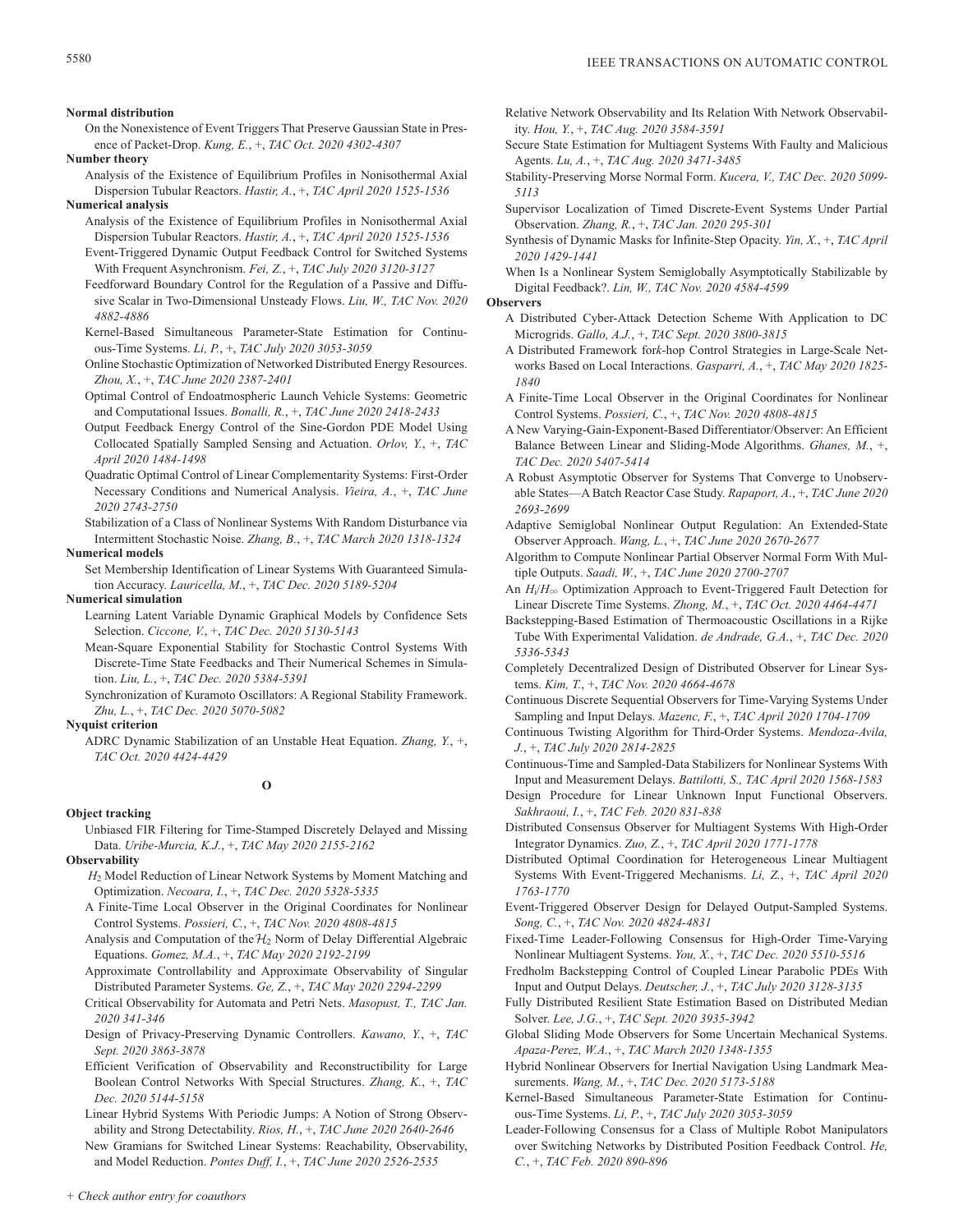**Normal distribution**

On the Nonexistence of Event Triggers That Preserve Gaussian State in Presence of Packet-Drop. *Kung, E.*, +, *TAC Oct. 2020 4302-4307*

**Number theory**

- Analysis of the Existence of Equilibrium Profiles in Nonisothermal Axial Dispersion Tubular Reactors. *Hastir, A.*, +, *TAC April 2020 1525-1536* **Numerical analysis**
	- Analysis of the Existence of Equilibrium Profiles in Nonisothermal Axial Dispersion Tubular Reactors. *Hastir, A.*, +, *TAC April 2020 1525-1536*
	- Event-Triggered Dynamic Output Feedback Control for Switched Systems With Frequent Asynchronism. *Fei, Z.*, +, *TAC July 2020 3120-3127*
	- Feedforward Boundary Control for the Regulation of a Passive and Diffusive Scalar in Two-Dimensional Unsteady Flows. *Liu, W., TAC Nov. 2020 4882-4886*
	- Kernel-Based Simultaneous Parameter-State Estimation for Continuous-Time Systems. *Li, P.*, +, *TAC July 2020 3053-3059*
	- Online Stochastic Optimization of Networked Distributed Energy Resources. *Zhou, X.*, +, *TAC June 2020 2387-2401*
	- Optimal Control of Endoatmospheric Launch Vehicle Systems: Geometric and Computational Issues. *Bonalli, R.*, +, *TAC June 2020 2418-2433*
	- Output Feedback Energy Control of the Sine-Gordon PDE Model Using Collocated Spatially Sampled Sensing and Actuation. *Orlov, Y.*, +, *TAC April 2020 1484-1498*
	- Quadratic Optimal Control of Linear Complementarity Systems: First-Order Necessary Conditions and Numerical Analysis. *Vieira, A.*, +, *TAC June 2020 2743-2750*
	- Stabilization of a Class of Nonlinear Systems With Random Disturbance via Intermittent Stochastic Noise. *Zhang, B.*, +, *TAC March 2020 1318-1324*

#### **Numerical models**

Set Membership Identification of Linear Systems With Guaranteed Simulation Accuracy. *Lauricella, M.*, +, *TAC Dec. 2020 5189-5204*

**Numerical simulation**

- Learning Latent Variable Dynamic Graphical Models by Confidence Sets Selection. *Ciccone, V.*, +, *TAC Dec. 2020 5130-5143*
- Mean-Square Exponential Stability for Stochastic Control Systems With Discrete-Time State Feedbacks and Their Numerical Schemes in Simulation. *Liu, L.*, +, *TAC Dec. 2020 5384-5391*
- Synchronization of Kuramoto Oscillators: A Regional Stability Framework. *Zhu, L.*, +, *TAC Dec. 2020 5070-5082*

**Nyquist criterion**

ADRC Dynamic Stabilization of an Unstable Heat Equation. *Zhang, Y.*, +, *TAC Oct. 2020 4424-4429*

## **O**

## **Object tracking**

Unbiased FIR Filtering for Time-Stamped Discretely Delayed and Missing Data. *Uribe-Murcia, K.J.*, +, *TAC May 2020 2155-2162*

- **Observability**
	- *H*2 Model Reduction of Linear Network Systems by Moment Matching and Optimization. *Necoara, I.*, +, *TAC Dec. 2020 5328-5335*
	- A Finite-Time Local Observer in the Original Coordinates for Nonlinear Control Systems. *Possieri, C.*, +, *TAC Nov. 2020 4808-4815*
	- Analysis and Computation of the  $H_2$  Norm of Delay Differential Algebraic Equations. *Gomez, M.A.*, +, *TAC May 2020 2192-2199*
	- Approximate Controllability and Approximate Observability of Singular Distributed Parameter Systems. *Ge, Z.*, +, *TAC May 2020 2294-2299*
	- Critical Observability for Automata and Petri Nets. *Masopust, T., TAC Jan. 2020 341-346*
	- Design of Privacy-Preserving Dynamic Controllers. *Kawano, Y.*, +, *TAC Sept. 2020 3863-3878*
	- Efficient Verification of Observability and Reconstructibility for Large Boolean Control Networks With Special Structures. *Zhang, K.*, +, *TAC Dec. 2020 5144-5158*
	- Linear Hybrid Systems With Periodic Jumps: A Notion of Strong Observability and Strong Detectability. *Rios, H.*, +, *TAC June 2020 2640-2646*

New Gramians for Switched Linear Systems: Reachability, Observability, and Model Reduction. *Pontes Duff, I.*, +, *TAC June 2020 2526-2535*

- Relative Network Observability and Its Relation With Network Observability. *Hou, Y.*, +, *TAC Aug. 2020 3584-3591*
- Secure State Estimation for Multiagent Systems With Faulty and Malicious Agents. *Lu, A.*, +, *TAC Aug. 2020 3471-3485*
- Stability-Preserving Morse Normal Form. *Kucera, V., TAC Dec. 2020 5099- 5113*
- Supervisor Localization of Timed Discrete-Event Systems Under Partial Observation. *Zhang, R.*, +, *TAC Jan. 2020 295-301*
- Synthesis of Dynamic Masks for Infinite-Step Opacity. *Yin, X.*, +, *TAC April 2020 1429-1441*
- When Is a Nonlinear System Semiglobally Asymptotically Stabilizable by Digital Feedback?. *Lin, W., TAC Nov. 2020 4584-4599*

**Observers**

- A Distributed Cyber-Attack Detection Scheme With Application to DC Microgrids. *Gallo, A.J.*, +, *TAC Sept. 2020 3800-3815*
- A Distributed Framework for*k*-hop Control Strategies in Large-Scale Networks Based on Local Interactions. *Gasparri, A.*, +, *TAC May 2020 1825- 1840*
- A Finite-Time Local Observer in the Original Coordinates for Nonlinear Control Systems. *Possieri, C.*, +, *TAC Nov. 2020 4808-4815*
- A New Varying-Gain-Exponent-Based Differentiator/Observer: An Efficient Balance Between Linear and Sliding-Mode Algorithms. *Ghanes, M.*, +, *TAC Dec. 2020 5407-5414*
- A Robust Asymptotic Observer for Systems That Converge to Unobservable States—A Batch Reactor Case Study. *Rapaport, A.*, +, *TAC June 2020 2693-2699*
- Adaptive Semiglobal Nonlinear Output Regulation: An Extended-State Observer Approach. *Wang, L.*, +, *TAC June 2020 2670-2677*
- Algorithm to Compute Nonlinear Partial Observer Normal Form With Multiple Outputs. *Saadi, W.*, +, *TAC June 2020 2700-2707*
- An *H*<sub>i</sub>/*H*<sub>∞</sub> Optimization Approach to Event-Triggered Fault Detection for Linear Discrete Time Systems. *Zhong, M.*, +, *TAC Oct. 2020 4464-4471*

Backstepping-Based Estimation of Thermoacoustic Oscillations in a Rijke Tube With Experimental Validation. *de Andrade, G.A.*, +, *TAC Dec. 2020 5336-5343*

- Completely Decentralized Design of Distributed Observer for Linear Systems. *Kim, T.*, +, *TAC Nov. 2020 4664-4678*
- Continuous Discrete Sequential Observers for Time-Varying Systems Under Sampling and Input Delays. *Mazenc, F.*, +, *TAC April 2020 1704-1709*
- Continuous Twisting Algorithm for Third-Order Systems. *Mendoza-Avila, J.*, +, *TAC July 2020 2814-2825*
- Continuous-Time and Sampled-Data Stabilizers for Nonlinear Systems With Input and Measurement Delays. *Battilotti, S., TAC April 2020 1568-1583*
- Design Procedure for Linear Unknown Input Functional Observers. *Sakhraoui, I.*, +, *TAC Feb. 2020 831-838*
- Distributed Consensus Observer for Multiagent Systems With High-Order Integrator Dynamics. *Zuo, Z.*, +, *TAC April 2020 1771-1778*
- Distributed Optimal Coordination for Heterogeneous Linear Multiagent Systems With Event-Triggered Mechanisms. *Li, Z.*, +, *TAC April 2020 1763-1770*
- Event-Triggered Observer Design for Delayed Output-Sampled Systems. *Song, C.*, +, *TAC Nov. 2020 4824-4831*
- Fixed-Time Leader-Following Consensus for High-Order Time-Varying Nonlinear Multiagent Systems. *You, X.*, +, *TAC Dec. 2020 5510-5516*
- Fredholm Backstepping Control of Coupled Linear Parabolic PDEs With Input and Output Delays. *Deutscher, J.*, +, *TAC July 2020 3128-3135*
- Fully Distributed Resilient State Estimation Based on Distributed Median Solver. *Lee, J.G.*, +, *TAC Sept. 2020 3935-3942*
- Global Sliding Mode Observers for Some Uncertain Mechanical Systems. *Apaza-Perez, W.A.*, +, *TAC March 2020 1348-1355*
- Hybrid Nonlinear Observers for Inertial Navigation Using Landmark Measurements. *Wang, M.*, +, *TAC Dec. 2020 5173-5188*
- Kernel-Based Simultaneous Parameter-State Estimation for Continuous-Time Systems. *Li, P.*, +, *TAC July 2020 3053-3059*
- Leader-Following Consensus for a Class of Multiple Robot Manipulators over Switching Networks by Distributed Position Feedback Control. *He, C.*, +, *TAC Feb. 2020 890-896*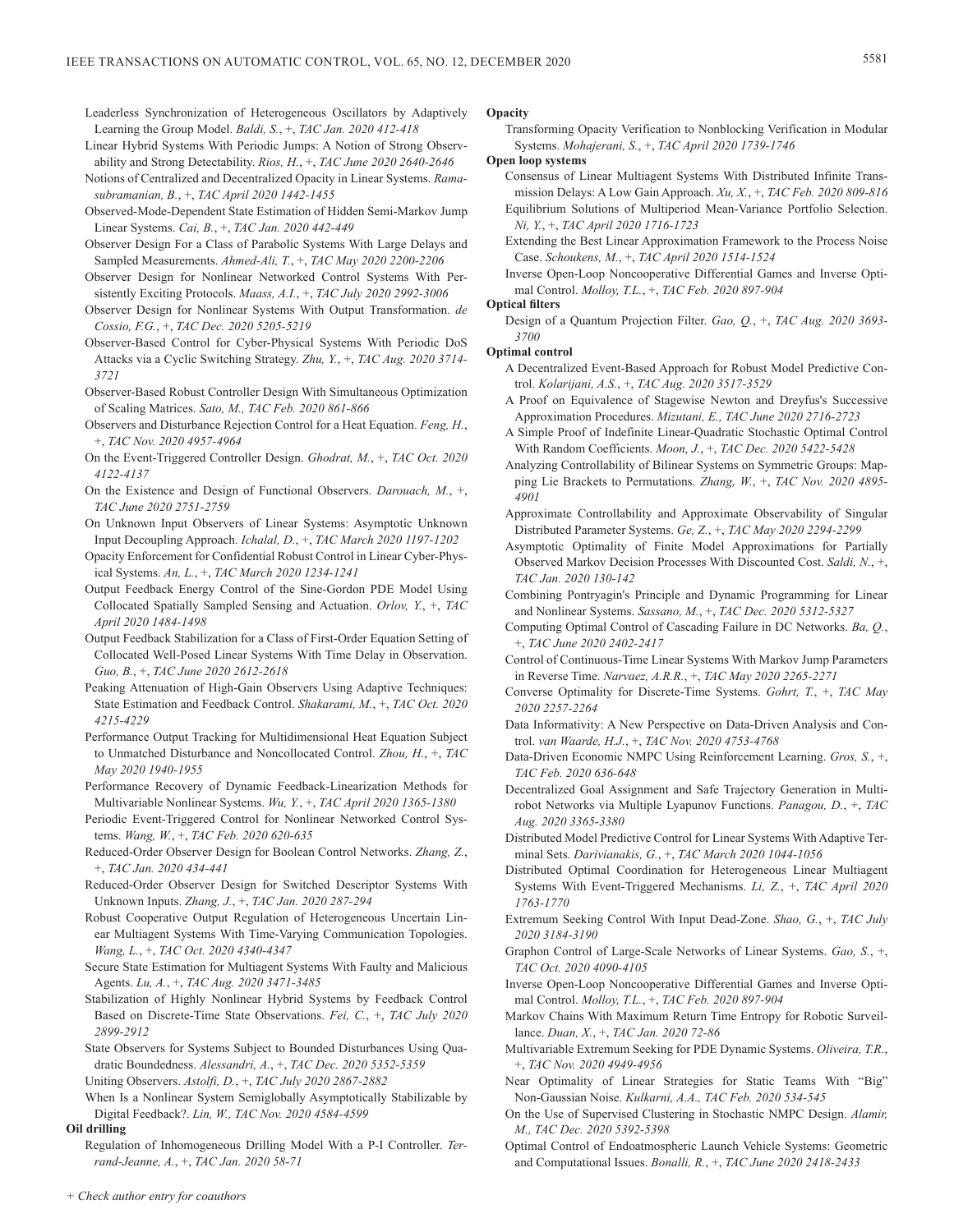Leaderless Synchronization of Heterogeneous Oscillators by Adaptively Learning the Group Model. *Baldi, S.*, +, *TAC Jan. 2020 412-418*

- Linear Hybrid Systems With Periodic Jumps: A Notion of Strong Observability and Strong Detectability. *Rios, H.*, +, *TAC June 2020 2640-2646*
- Notions of Centralized and Decentralized Opacity in Linear Systems. *Ramasubramanian, B.*, +, *TAC April 2020 1442-1455*
- Observed-Mode-Dependent State Estimation of Hidden Semi-Markov Jump Linear Systems. *Cai, B.*, +, *TAC Jan. 2020 442-449*
- Observer Design For a Class of Parabolic Systems With Large Delays and Sampled Measurements. *Ahmed-Ali, T.*, +, *TAC May 2020 2200-2206*
- Observer Design for Nonlinear Networked Control Systems With Persistently Exciting Protocols. *Maass, A.I.*, +, *TAC July 2020 2992-3006*
- Observer Design for Nonlinear Systems With Output Transformation. *de Cossio, F.G.*, +, *TAC Dec. 2020 5205-5219*
- Observer-Based Control for Cyber-Physical Systems With Periodic DoS Attacks via a Cyclic Switching Strategy. *Zhu, Y.*, +, *TAC Aug. 2020 3714- 3721*
- Observer-Based Robust Controller Design With Simultaneous Optimization of Scaling Matrices. *Sato, M., TAC Feb. 2020 861-866*
- Observers and Disturbance Rejection Control for a Heat Equation. *Feng, H.*, +, *TAC Nov. 2020 4957-4964*
- On the Event-Triggered Controller Design. *Ghodrat, M.*, +, *TAC Oct. 2020 4122-4137*
- On the Existence and Design of Functional Observers. *Darouach, M.*, +, *TAC June 2020 2751-2759*
- On Unknown Input Observers of Linear Systems: Asymptotic Unknown Input Decoupling Approach. *Ichalal, D.*, +, *TAC March 2020 1197-1202*
- Opacity Enforcement for Confidential Robust Control in Linear Cyber-Physical Systems. *An, L.*, +, *TAC March 2020 1234-1241*
- Output Feedback Energy Control of the Sine-Gordon PDE Model Using Collocated Spatially Sampled Sensing and Actuation. *Orlov, Y.*, +, *TAC April 2020 1484-1498*
- Output Feedback Stabilization for a Class of First-Order Equation Setting of Collocated Well-Posed Linear Systems With Time Delay in Observation. *Guo, B.*, +, *TAC June 2020 2612-2618*
- Peaking Attenuation of High-Gain Observers Using Adaptive Techniques: State Estimation and Feedback Control. *Shakarami, M.*, +, *TAC Oct. 2020 4215-4229*
- Performance Output Tracking for Multidimensional Heat Equation Subject to Unmatched Disturbance and Noncollocated Control. *Zhou, H.*, +, *TAC May 2020 1940-1955*
- Performance Recovery of Dynamic Feedback-Linearization Methods for Multivariable Nonlinear Systems. *Wu, Y.*, +, *TAC April 2020 1365-1380*
- Periodic Event-Triggered Control for Nonlinear Networked Control Systems. *Wang, W.*, +, *TAC Feb. 2020 620-635*
- Reduced-Order Observer Design for Boolean Control Networks. *Zhang, Z.*, +, *TAC Jan. 2020 434-441*
- Reduced-Order Observer Design for Switched Descriptor Systems With Unknown Inputs. *Zhang, J.*, +, *TAC Jan. 2020 287-294*
- Robust Cooperative Output Regulation of Heterogeneous Uncertain Linear Multiagent Systems With Time-Varying Communication Topologies. *Wang, L.*, +, *TAC Oct. 2020 4340-4347*
- Secure State Estimation for Multiagent Systems With Faulty and Malicious Agents. *Lu, A.*, +, *TAC Aug. 2020 3471-3485*
- Stabilization of Highly Nonlinear Hybrid Systems by Feedback Control Based on Discrete-Time State Observations. *Fei, C.*, +, *TAC July 2020 2899-2912*
- State Observers for Systems Subject to Bounded Disturbances Using Quadratic Boundedness. *Alessandri, A.*, +, *TAC Dec. 2020 5352-5359*

Uniting Observers. *Astolfi, D.*, +, *TAC July 2020 2867-2882*

When Is a Nonlinear System Semiglobally Asymptotically Stabilizable by Digital Feedback?. *Lin, W., TAC Nov. 2020 4584-4599*

## **Oil drilling**

Regulation of Inhomogeneous Drilling Model With a P-I Controller. *Terrand-Jeanne, A.*, +, *TAC Jan. 2020 58-71*

## **Opacity**

Transforming Opacity Verification to Nonblocking Verification in Modular Systems. *Mohajerani, S.*, +, *TAC April 2020 1739-1746*

**Open loop systems**

- Consensus of Linear Multiagent Systems With Distributed Infinite Transmission Delays: A Low Gain Approach. *Xu, X.*, +, *TAC Feb. 2020 809-816* Equilibrium Solutions of Multiperiod Mean-Variance Portfolio Selection. *Ni, Y.*, +, *TAC April 2020 1716-1723*
- Extending the Best Linear Approximation Framework to the Process Noise Case. *Schoukens, M.*, +, *TAC April 2020 1514-1524*
- Inverse Open-Loop Noncooperative Differential Games and Inverse Optimal Control. *Molloy, T.L.*, +, *TAC Feb. 2020 897-904*
- **Optical filters**
	- Design of a Quantum Projection Filter. *Gao, Q.*, +, *TAC Aug. 2020 3693- 3700*

## **Optimal control**

- A Decentralized Event-Based Approach for Robust Model Predictive Control. *Kolarijani, A.S.*, +, *TAC Aug. 2020 3517-3529*
- A Proof on Equivalence of Stagewise Newton and Dreyfus's Successive Approximation Procedures. *Mizutani, E., TAC June 2020 2716-2723*
- A Simple Proof of Indefinite Linear-Quadratic Stochastic Optimal Control With Random Coefficients. *Moon, J.*, +, *TAC Dec. 2020 5422-5428*
- Analyzing Controllability of Bilinear Systems on Symmetric Groups: Mapping Lie Brackets to Permutations. *Zhang, W.*, +, *TAC Nov. 2020 4895- 4901*
- Approximate Controllability and Approximate Observability of Singular Distributed Parameter Systems. *Ge, Z.*, +, *TAC May 2020 2294-2299*
- Asymptotic Optimality of Finite Model Approximations for Partially Observed Markov Decision Processes With Discounted Cost. *Saldi, N.*, +, *TAC Jan. 2020 130-142*
- Combining Pontryagin's Principle and Dynamic Programming for Linear and Nonlinear Systems. *Sassano, M.*, +, *TAC Dec. 2020 5312-5327*
- Computing Optimal Control of Cascading Failure in DC Networks. *Ba, Q.*, +, *TAC June 2020 2402-2417*
- Control of Continuous-Time Linear Systems With Markov Jump Parameters in Reverse Time. *Narvaez, A.R.R.*, +, *TAC May 2020 2265-2271*
- Converse Optimality for Discrete-Time Systems. *Gohrt, T.*, +, *TAC May 2020 2257-2264*
- Data Informativity: A New Perspective on Data-Driven Analysis and Control. *van Waarde, H.J.*, +, *TAC Nov. 2020 4753-4768*
- Data-Driven Economic NMPC Using Reinforcement Learning. *Gros, S.*, +, *TAC Feb. 2020 636-648*
- Decentralized Goal Assignment and Safe Trajectory Generation in Multirobot Networks via Multiple Lyapunov Functions. *Panagou, D.*, +, *TAC Aug. 2020 3365-3380*
- Distributed Model Predictive Control for Linear Systems With Adaptive Terminal Sets. *Darivianakis, G.*, +, *TAC March 2020 1044-1056*
- Distributed Optimal Coordination for Heterogeneous Linear Multiagent Systems With Event-Triggered Mechanisms. *Li, Z.*, +, *TAC April 2020 1763-1770*
- Extremum Seeking Control With Input Dead-Zone. *Shao, G.*, +, *TAC July 2020 3184-3190*
- Graphon Control of Large-Scale Networks of Linear Systems. *Gao, S.*, +, *TAC Oct. 2020 4090-4105*
- Inverse Open-Loop Noncooperative Differential Games and Inverse Optimal Control. *Molloy, T.L.*, +, *TAC Feb. 2020 897-904*
- Markov Chains With Maximum Return Time Entropy for Robotic Surveillance. *Duan, X.*, +, *TAC Jan. 2020 72-86*
- Multivariable Extremum Seeking for PDE Dynamic Systems. *Oliveira, T.R.*, +, *TAC Nov. 2020 4949-4956*
- Near Optimality of Linear Strategies for Static Teams With "Big" Non-Gaussian Noise. *Kulkarni, A.A., TAC Feb. 2020 534-545*
- On the Use of Supervised Clustering in Stochastic NMPC Design. *Alamir, M., TAC Dec. 2020 5392-5398*
- Optimal Control of Endoatmospheric Launch Vehicle Systems: Geometric and Computational Issues. *Bonalli, R.*, +, *TAC June 2020 2418-2433*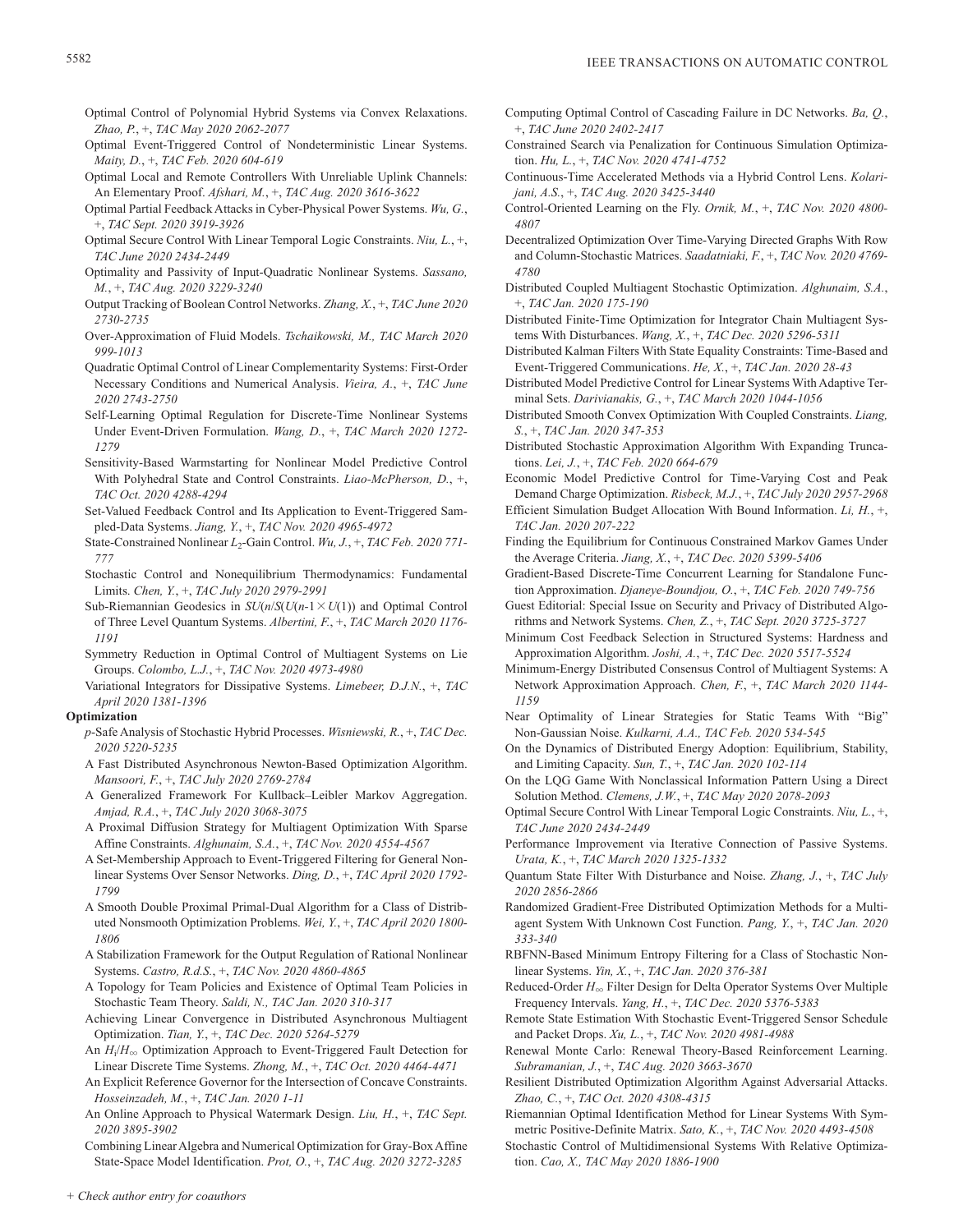- Optimal Control of Polynomial Hybrid Systems via Convex Relaxations. *Zhao, P.*, +, *TAC May 2020 2062-2077*
- Optimal Event-Triggered Control of Nondeterministic Linear Systems. *Maity, D.*, +, *TAC Feb. 2020 604-619*
- Optimal Local and Remote Controllers With Unreliable Uplink Channels: An Elementary Proof. *Afshari, M.*, +, *TAC Aug. 2020 3616-3622*
- Optimal Partial Feedback Attacks in Cyber-Physical Power Systems. *Wu, G.*, +, *TAC Sept. 2020 3919-3926*
- Optimal Secure Control With Linear Temporal Logic Constraints. *Niu, L.*, +, *TAC June 2020 2434-2449*
- Optimality and Passivity of Input-Quadratic Nonlinear Systems. *Sassano, M.*, +, *TAC Aug. 2020 3229-3240*
- Output Tracking of Boolean Control Networks. *Zhang, X.*, +, *TAC June 2020 2730-2735*
- Over-Approximation of Fluid Models. *Tschaikowski, M., TAC March 2020 999-1013*
- Quadratic Optimal Control of Linear Complementarity Systems: First-Order Necessary Conditions and Numerical Analysis. *Vieira, A.*, +, *TAC June 2020 2743-2750*
- Self-Learning Optimal Regulation for Discrete-Time Nonlinear Systems Under Event-Driven Formulation. *Wang, D.*, +, *TAC March 2020 1272- 1279*
- Sensitivity-Based Warmstarting for Nonlinear Model Predictive Control With Polyhedral State and Control Constraints. *Liao-McPherson, D.*, +, *TAC Oct. 2020 4288-4294*
- Set-Valued Feedback Control and Its Application to Event-Triggered Sampled-Data Systems. *Jiang, Y.*, +, *TAC Nov. 2020 4965-4972*
- State-Constrained Nonlinear *L*2-Gain Control. *Wu, J.*, +, *TAC Feb. 2020 771- 777*
- Stochastic Control and Nonequilibrium Thermodynamics: Fundamental Limits. *Chen, Y.*, +, *TAC July 2020 2979-2991*
- Sub-Riemannian Geodesics in  $SU(n/S(U(n-1 \times U(1)))$  and Optimal Control of Three Level Quantum Systems. *Albertini, F.*, +, *TAC March 2020 1176- 1191*
- Symmetry Reduction in Optimal Control of Multiagent Systems on Lie Groups. *Colombo, L.J.*, +, *TAC Nov. 2020 4973-4980*

Variational Integrators for Dissipative Systems. *Limebeer, D.J.N.*, +, *TAC April 2020 1381-1396*

## **Optimization**

- *p*-Safe Analysis of Stochastic Hybrid Processes. *Wisniewski, R.*, +, *TAC Dec. 2020 5220-5235*
- A Fast Distributed Asynchronous Newton-Based Optimization Algorithm. *Mansoori, F.*, +, *TAC July 2020 2769-2784*
- A Generalized Framework For Kullback–Leibler Markov Aggregation. *Amjad, R.A.*, +, *TAC July 2020 3068-3075*
- A Proximal Diffusion Strategy for Multiagent Optimization With Sparse Affine Constraints. *Alghunaim, S.A.*, +, *TAC Nov. 2020 4554-4567*
- A Set-Membership Approach to Event-Triggered Filtering for General Nonlinear Systems Over Sensor Networks. *Ding, D.*, +, *TAC April 2020 1792- 1799*
- A Smooth Double Proximal Primal-Dual Algorithm for a Class of Distributed Nonsmooth Optimization Problems. *Wei, Y.*, +, *TAC April 2020 1800- 1806*
- A Stabilization Framework for the Output Regulation of Rational Nonlinear Systems. *Castro, R.d.S.*, +, *TAC Nov. 2020 4860-4865*
- A Topology for Team Policies and Existence of Optimal Team Policies in Stochastic Team Theory. *Saldi, N., TAC Jan. 2020 310-317*
- Achieving Linear Convergence in Distributed Asynchronous Multiagent Optimization. *Tian, Y.*, +, *TAC Dec. 2020 5264-5279*
- An  $H_i/H_{\infty}$  Optimization Approach to Event-Triggered Fault Detection for Linear Discrete Time Systems. *Zhong, M.*, +, *TAC Oct. 2020 4464-4471*
- An Explicit Reference Governor for the Intersection of Concave Constraints. *Hosseinzadeh, M.*, +, *TAC Jan. 2020 1-11*
- An Online Approach to Physical Watermark Design. *Liu, H.*, +, *TAC Sept. 2020 3895-3902*

Combining Linear Algebra and Numerical Optimization for Gray-Box Affine State-Space Model Identification. *Prot, O.*, +, *TAC Aug. 2020 3272-3285*

- Computing Optimal Control of Cascading Failure in DC Networks. *Ba, Q.*, +, *TAC June 2020 2402-2417*
- Constrained Search via Penalization for Continuous Simulation Optimization. *Hu, L.*, +, *TAC Nov. 2020 4741-4752*
- Continuous-Time Accelerated Methods via a Hybrid Control Lens. *Kolarijani, A.S.*, +, *TAC Aug. 2020 3425-3440*
- Control-Oriented Learning on the Fly. *Ornik, M.*, +, *TAC Nov. 2020 4800- 4807*
- Decentralized Optimization Over Time-Varying Directed Graphs With Row and Column-Stochastic Matrices. *Saadatniaki, F.*, +, *TAC Nov. 2020 4769- 4780*
- Distributed Coupled Multiagent Stochastic Optimization. *Alghunaim, S.A.*, +, *TAC Jan. 2020 175-190*
- Distributed Finite-Time Optimization for Integrator Chain Multiagent Systems With Disturbances. *Wang, X.*, +, *TAC Dec. 2020 5296-5311*
- Distributed Kalman Filters With State Equality Constraints: Time-Based and Event-Triggered Communications. *He, X.*, +, *TAC Jan. 2020 28-43*
- Distributed Model Predictive Control for Linear Systems With Adaptive Terminal Sets. *Darivianakis, G.*, +, *TAC March 2020 1044-1056*
- Distributed Smooth Convex Optimization With Coupled Constraints. *Liang, S.*, +, *TAC Jan. 2020 347-353*
- Distributed Stochastic Approximation Algorithm With Expanding Truncations. *Lei, J.*, +, *TAC Feb. 2020 664-679*
- Economic Model Predictive Control for Time-Varying Cost and Peak Demand Charge Optimization. *Risbeck, M.J.*, +, *TAC July 2020 2957-2968*
- Efficient Simulation Budget Allocation With Bound Information. *Li, H.*, +, *TAC Jan. 2020 207-222*
- Finding the Equilibrium for Continuous Constrained Markov Games Under the Average Criteria. *Jiang, X.*, +, *TAC Dec. 2020 5399-5406*
- Gradient-Based Discrete-Time Concurrent Learning for Standalone Function Approximation. *Djaneye-Boundjou, O.*, +, *TAC Feb. 2020 749-756*
- Guest Editorial: Special Issue on Security and Privacy of Distributed Algorithms and Network Systems. *Chen, Z.*, +, *TAC Sept. 2020 3725-3727*
- Minimum Cost Feedback Selection in Structured Systems: Hardness and Approximation Algorithm. *Joshi, A.*, +, *TAC Dec. 2020 5517-5524*
- Minimum-Energy Distributed Consensus Control of Multiagent Systems: A Network Approximation Approach. *Chen, F.*, +, *TAC March 2020 1144- 1159*
- Near Optimality of Linear Strategies for Static Teams With "Big" Non-Gaussian Noise. *Kulkarni, A.A., TAC Feb. 2020 534-545*
- On the Dynamics of Distributed Energy Adoption: Equilibrium, Stability, and Limiting Capacity. *Sun, T.*, +, *TAC Jan. 2020 102-114*
- On the LQG Game With Nonclassical Information Pattern Using a Direct Solution Method. *Clemens, J.W.*, +, *TAC May 2020 2078-2093*
- Optimal Secure Control With Linear Temporal Logic Constraints. *Niu, L.*, +, *TAC June 2020 2434-2449*
- Performance Improvement via Iterative Connection of Passive Systems. *Urata, K.*, +, *TAC March 2020 1325-1332*
- Quantum State Filter With Disturbance and Noise. *Zhang, J.*, +, *TAC July 2020 2856-2866*
- Randomized Gradient-Free Distributed Optimization Methods for a Multiagent System With Unknown Cost Function. *Pang, Y.*, +, *TAC Jan. 2020 333-340*
- RBFNN-Based Minimum Entropy Filtering for a Class of Stochastic Nonlinear Systems. *Yin, X.*, +, *TAC Jan. 2020 376-381*
- Reduced-Order *H*<sub>∞</sub> Filter Design for Delta Operator Systems Over Multiple Frequency Intervals. *Yang, H.*, +, *TAC Dec. 2020 5376-5383*
- Remote State Estimation With Stochastic Event-Triggered Sensor Schedule and Packet Drops. *Xu, L.*, +, *TAC Nov. 2020 4981-4988*
- Renewal Monte Carlo: Renewal Theory-Based Reinforcement Learning. *Subramanian, J.*, +, *TAC Aug. 2020 3663-3670*
- Resilient Distributed Optimization Algorithm Against Adversarial Attacks. *Zhao, C.*, +, *TAC Oct. 2020 4308-4315*
- Riemannian Optimal Identification Method for Linear Systems With Symmetric Positive-Definite Matrix. *Sato, K.*, +, *TAC Nov. 2020 4493-4508*
- Stochastic Control of Multidimensional Systems With Relative Optimization. *Cao, X., TAC May 2020 1886-1900*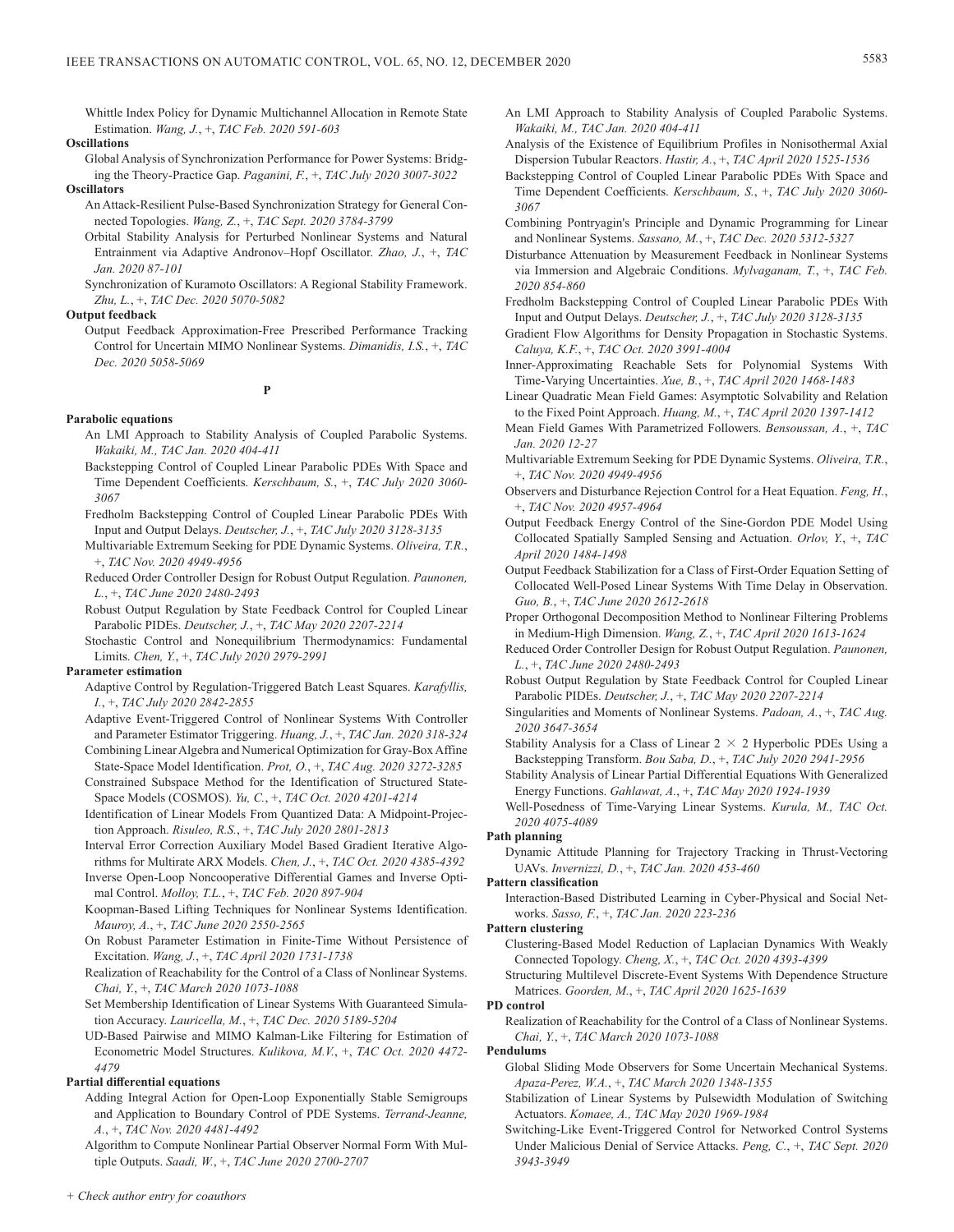Whittle Index Policy for Dynamic Multichannel Allocation in Remote State Estimation. *Wang, J.*, +, *TAC Feb. 2020 591-603*

## **Oscillations**

Global Analysis of Synchronization Performance for Power Systems: Bridging the Theory-Practice Gap. *Paganini, F.*, +, *TAC July 2020 3007-3022* **Oscillators**

- An Attack-Resilient Pulse-Based Synchronization Strategy for General Connected Topologies. *Wang, Z.*, +, *TAC Sept. 2020 3784-3799*
- Orbital Stability Analysis for Perturbed Nonlinear Systems and Natural Entrainment via Adaptive Andronov–Hopf Oscillator. *Zhao, J.*, +, *TAC Jan. 2020 87-101*

Synchronization of Kuramoto Oscillators: A Regional Stability Framework. *Zhu, L.*, +, *TAC Dec. 2020 5070-5082*

#### **Output feedback**

Output Feedback Approximation-Free Prescribed Performance Tracking Control for Uncertain MIMO Nonlinear Systems. *Dimanidis, I.S.*, +, *TAC Dec. 2020 5058-5069*

## **P**

## **Parabolic equations**

- An LMI Approach to Stability Analysis of Coupled Parabolic Systems. *Wakaiki, M., TAC Jan. 2020 404-411*
- Backstepping Control of Coupled Linear Parabolic PDEs With Space and Time Dependent Coefficients. *Kerschbaum, S.*, +, *TAC July 2020 3060- 3067*
- Fredholm Backstepping Control of Coupled Linear Parabolic PDEs With Input and Output Delays. *Deutscher, J.*, +, *TAC July 2020 3128-3135*
- Multivariable Extremum Seeking for PDE Dynamic Systems. *Oliveira, T.R.*, +, *TAC Nov. 2020 4949-4956*
- Reduced Order Controller Design for Robust Output Regulation. *Paunonen, L.*, +, *TAC June 2020 2480-2493*
- Robust Output Regulation by State Feedback Control for Coupled Linear Parabolic PIDEs. *Deutscher, J.*, +, *TAC May 2020 2207-2214*

Stochastic Control and Nonequilibrium Thermodynamics: Fundamental Limits. *Chen, Y.*, +, *TAC July 2020 2979-2991*

## **Parameter estimation**

Adaptive Control by Regulation-Triggered Batch Least Squares. *Karafyllis, I.*, +, *TAC July 2020 2842-2855*

- Adaptive Event-Triggered Control of Nonlinear Systems With Controller and Parameter Estimator Triggering. *Huang, J.*, +, *TAC Jan. 2020 318-324*
- Combining Linear Algebra and Numerical Optimization for Gray-Box Affine State-Space Model Identification. *Prot, O.*, +, *TAC Aug. 2020 3272-3285*
- Constrained Subspace Method for the Identification of Structured State-Space Models (COSMOS). *Yu, C.*, +, *TAC Oct. 2020 4201-4214*
- Identification of Linear Models From Quantized Data: A Midpoint-Projection Approach. *Risuleo, R.S.*, +, *TAC July 2020 2801-2813*

Interval Error Correction Auxiliary Model Based Gradient Iterative Algorithms for Multirate ARX Models. *Chen, J.*, +, *TAC Oct. 2020 4385-4392*

Inverse Open-Loop Noncooperative Differential Games and Inverse Optimal Control. *Molloy, T.L.*, +, *TAC Feb. 2020 897-904*

- Koopman-Based Lifting Techniques for Nonlinear Systems Identification. *Mauroy, A.*, +, *TAC June 2020 2550-2565*
- On Robust Parameter Estimation in Finite-Time Without Persistence of Excitation. *Wang, J.*, +, *TAC April 2020 1731-1738*
- Realization of Reachability for the Control of a Class of Nonlinear Systems. *Chai, Y.*, +, *TAC March 2020 1073-1088*
- Set Membership Identification of Linear Systems With Guaranteed Simulation Accuracy. *Lauricella, M.*, +, *TAC Dec. 2020 5189-5204*

UD-Based Pairwise and MIMO Kalman-Like Filtering for Estimation of Econometric Model Structures. *Kulikova, M.V.*, +, *TAC Oct. 2020 4472- 4479*

## **Partial differential equations**

Adding Integral Action for Open-Loop Exponentially Stable Semigroups and Application to Boundary Control of PDE Systems. *Terrand-Jeanne, A.*, +, *TAC Nov. 2020 4481-4492*

Algorithm to Compute Nonlinear Partial Observer Normal Form With Multiple Outputs. *Saadi, W.*, +, *TAC June 2020 2700-2707*

- An LMI Approach to Stability Analysis of Coupled Parabolic Systems. *Wakaiki, M., TAC Jan. 2020 404-411*
- Analysis of the Existence of Equilibrium Profiles in Nonisothermal Axial Dispersion Tubular Reactors. *Hastir, A.*, +, *TAC April 2020 1525-1536*
- Backstepping Control of Coupled Linear Parabolic PDEs With Space and Time Dependent Coefficients. *Kerschbaum, S.*, +, *TAC July 2020 3060- 3067*
- Combining Pontryagin's Principle and Dynamic Programming for Linear and Nonlinear Systems. *Sassano, M.*, +, *TAC Dec. 2020 5312-5327*
- Disturbance Attenuation by Measurement Feedback in Nonlinear Systems via Immersion and Algebraic Conditions. *Mylvaganam, T.*, +, *TAC Feb. 2020 854-860*
- Fredholm Backstepping Control of Coupled Linear Parabolic PDEs With Input and Output Delays. *Deutscher, J.*, +, *TAC July 2020 3128-3135*
- Gradient Flow Algorithms for Density Propagation in Stochastic Systems. *Caluya, K.F.*, +, *TAC Oct. 2020 3991-4004*
- Inner-Approximating Reachable Sets for Polynomial Systems With Time-Varying Uncertainties. *Xue, B.*, +, *TAC April 2020 1468-1483*
- Linear Quadratic Mean Field Games: Asymptotic Solvability and Relation to the Fixed Point Approach. *Huang, M.*, +, *TAC April 2020 1397-1412*
- Mean Field Games With Parametrized Followers. *Bensoussan, A.*, +, *TAC Jan. 2020 12-27*
- Multivariable Extremum Seeking for PDE Dynamic Systems. *Oliveira, T.R.*, +, *TAC Nov. 2020 4949-4956*
- Observers and Disturbance Rejection Control for a Heat Equation. *Feng, H.*, +, *TAC Nov. 2020 4957-4964*
- Output Feedback Energy Control of the Sine-Gordon PDE Model Using Collocated Spatially Sampled Sensing and Actuation. *Orlov, Y.*, +, *TAC April 2020 1484-1498*
- Output Feedback Stabilization for a Class of First-Order Equation Setting of Collocated Well-Posed Linear Systems With Time Delay in Observation. *Guo, B.*, +, *TAC June 2020 2612-2618*
- Proper Orthogonal Decomposition Method to Nonlinear Filtering Problems in Medium-High Dimension. *Wang, Z.*, +, *TAC April 2020 1613-1624*
- Reduced Order Controller Design for Robust Output Regulation. *Paunonen, L.*, +, *TAC June 2020 2480-2493*
- Robust Output Regulation by State Feedback Control for Coupled Linear Parabolic PIDEs. *Deutscher, J.*, +, *TAC May 2020 2207-2214*
- Singularities and Moments of Nonlinear Systems. *Padoan, A.*, +, *TAC Aug. 2020 3647-3654*
- Stability Analysis for a Class of Linear  $2 \times 2$  Hyperbolic PDEs Using a Backstepping Transform. *Bou Saba, D.*, +, *TAC July 2020 2941-2956*

Stability Analysis of Linear Partial Differential Equations With Generalized Energy Functions. *Gahlawat, A.*, +, *TAC May 2020 1924-1939*

Well-Posedness of Time-Varying Linear Systems. *Kurula, M., TAC Oct. 2020 4075-4089*

#### **Path planning**

Dynamic Attitude Planning for Trajectory Tracking in Thrust-Vectoring UAVs. *Invernizzi, D.*, +, *TAC Jan. 2020 453-460*

#### **Pattern classification**

Interaction-Based Distributed Learning in Cyber-Physical and Social Networks. *Sasso, F.*, +, *TAC Jan. 2020 223-236*

#### **Pattern clustering**

Clustering-Based Model Reduction of Laplacian Dynamics With Weakly Connected Topology. *Cheng, X.*, +, *TAC Oct. 2020 4393-4399*

Structuring Multilevel Discrete-Event Systems With Dependence Structure Matrices. *Goorden, M.*, +, *TAC April 2020 1625-1639*

## **PD control**

Realization of Reachability for the Control of a Class of Nonlinear Systems. *Chai, Y.*, +, *TAC March 2020 1073-1088*

#### **Pendulums**

Global Sliding Mode Observers for Some Uncertain Mechanical Systems. *Apaza-Perez, W.A.*, +, *TAC March 2020 1348-1355*

- Stabilization of Linear Systems by Pulsewidth Modulation of Switching Actuators. *Komaee, A., TAC May 2020 1969-1984*
- Switching-Like Event-Triggered Control for Networked Control Systems Under Malicious Denial of Service Attacks. *Peng, C.*, +, *TAC Sept. 2020 3943-3949*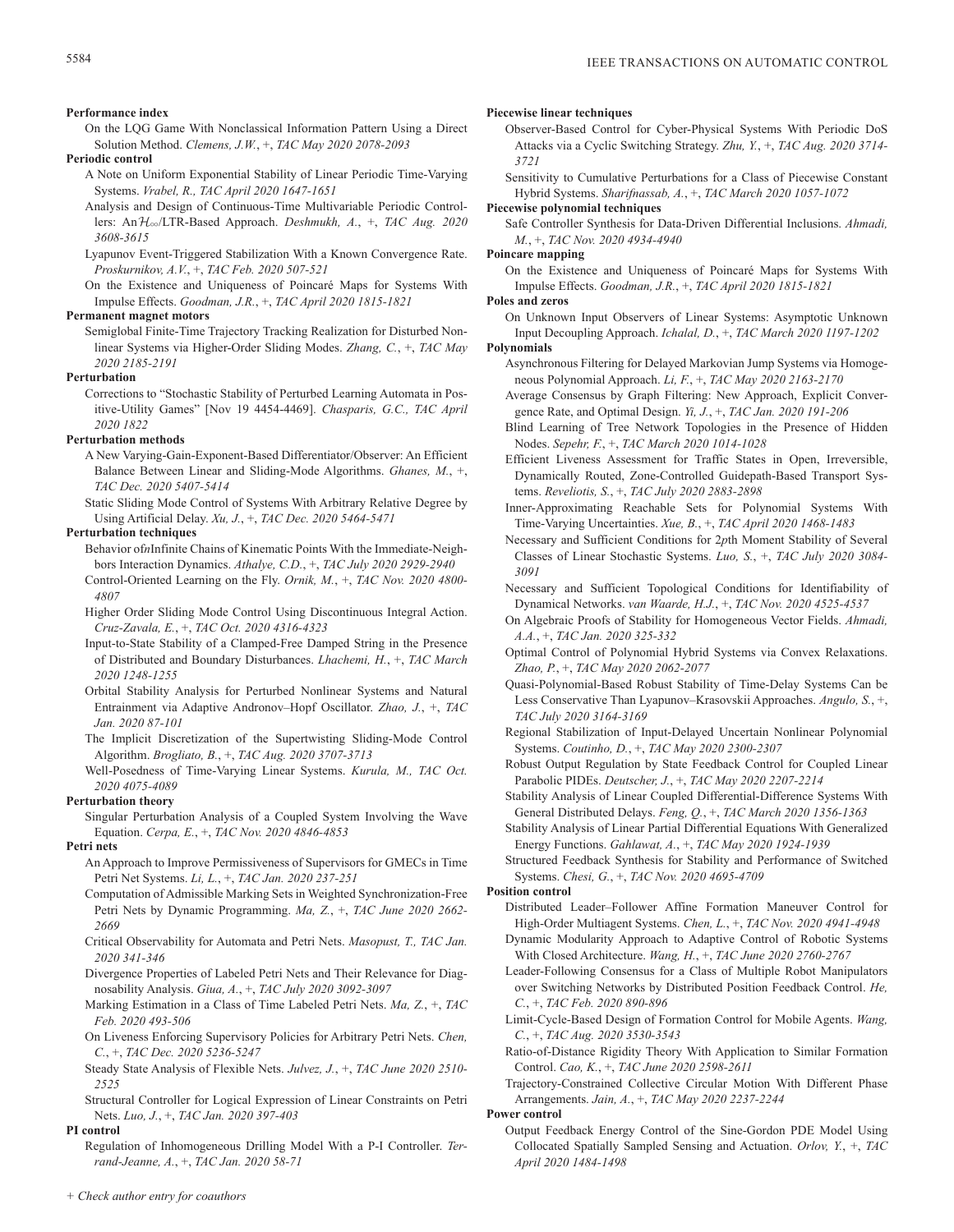## **Performance index**

On the LQG Game With Nonclassical Information Pattern Using a Direct Solution Method. *Clemens, J.W.*, +, *TAC May 2020 2078-2093*

#### **Periodic control**

- A Note on Uniform Exponential Stability of Linear Periodic Time-Varying Systems. *Vrabel, R., TAC April 2020 1647-1651*
- Analysis and Design of Continuous-Time Multivariable Periodic Controllers: AnH3/LTR-Based Approach. *Deshmukh, A.*, +, *TAC Aug. 2020 3608-3615*
- Lyapunov Event-Triggered Stabilization With a Known Convergence Rate. *Proskurnikov, A.V.*, +, *TAC Feb. 2020 507-521*
- On the Existence and Uniqueness of Poincaré Maps for Systems With Impulse Effects. *Goodman, J.R.*, +, *TAC April 2020 1815-1821*

## **Permanent magnet motors**

Semiglobal Finite-Time Trajectory Tracking Realization for Disturbed Nonlinear Systems via Higher-Order Sliding Modes. *Zhang, C.*, +, *TAC May 2020 2185-2191*

## **Perturbation**

Corrections to "Stochastic Stability of Perturbed Learning Automata in Positive-Utility Games" [Nov 19 4454-4469]. *Chasparis, G.C., TAC April 2020 1822*

## **Perturbation methods**

- A New Varying-Gain-Exponent-Based Differentiator/Observer: An Efficient Balance Between Linear and Sliding-Mode Algorithms. *Ghanes, M.*, +, *TAC Dec. 2020 5407-5414*
- Static Sliding Mode Control of Systems With Arbitrary Relative Degree by Using Artificial Delay. *Xu, J.*, +, *TAC Dec. 2020 5464-5471*

#### **Perturbation techniques**

- Behavior of*n*Infinite Chains of Kinematic Points With the Immediate-Neighbors Interaction Dynamics. *Athalye, C.D.*, +, *TAC July 2020 2929-2940* Control-Oriented Learning on the Fly. *Ornik, M.*, +, *TAC Nov. 2020 4800-*
- *4807*
- Higher Order Sliding Mode Control Using Discontinuous Integral Action. *Cruz-Zavala, E.*, +, *TAC Oct. 2020 4316-4323*
- Input-to-State Stability of a Clamped-Free Damped String in the Presence of Distributed and Boundary Disturbances. *Lhachemi, H.*, +, *TAC March 2020 1248-1255*
- Orbital Stability Analysis for Perturbed Nonlinear Systems and Natural Entrainment via Adaptive Andronov–Hopf Oscillator. *Zhao, J.*, +, *TAC Jan. 2020 87-101*
- The Implicit Discretization of the Supertwisting Sliding-Mode Control Algorithm. *Brogliato, B.*, +, *TAC Aug. 2020 3707-3713*
- Well-Posedness of Time-Varying Linear Systems. *Kurula, M., TAC Oct. 2020 4075-4089*

## **Perturbation theory**

Singular Perturbation Analysis of a Coupled System Involving the Wave Equation. *Cerpa, E.*, +, *TAC Nov. 2020 4846-4853*

#### **Petri nets**

- An Approach to Improve Permissiveness of Supervisors for GMECs in Time Petri Net Systems. *Li, L.*, +, *TAC Jan. 2020 237-251*
- Computation of Admissible Marking Sets in Weighted Synchronization-Free Petri Nets by Dynamic Programming. *Ma, Z.*, +, *TAC June 2020 2662- 2669*
- Critical Observability for Automata and Petri Nets. *Masopust, T., TAC Jan. 2020 341-346*
- Divergence Properties of Labeled Petri Nets and Their Relevance for Diagnosability Analysis. *Giua, A.*, +, *TAC July 2020 3092-3097*
- Marking Estimation in a Class of Time Labeled Petri Nets. *Ma, Z.*, +, *TAC Feb. 2020 493-506*
- On Liveness Enforcing Supervisory Policies for Arbitrary Petri Nets. *Chen, C.*, +, *TAC Dec. 2020 5236-5247*
- Steady State Analysis of Flexible Nets. *Julvez, J.*, +, *TAC June 2020 2510- 2525*

Structural Controller for Logical Expression of Linear Constraints on Petri Nets. *Luo, J.*, +, *TAC Jan. 2020 397-403*

#### **PI control**

Regulation of Inhomogeneous Drilling Model With a P-I Controller. *Terrand-Jeanne, A.*, +, *TAC Jan. 2020 58-71*

## **Piecewise linear techniques**

- Observer-Based Control for Cyber-Physical Systems With Periodic DoS Attacks via a Cyclic Switching Strategy. *Zhu, Y.*, +, *TAC Aug. 2020 3714- 3721*
- Sensitivity to Cumulative Perturbations for a Class of Piecewise Constant Hybrid Systems. *Sharifnassab, A.*, +, *TAC March 2020 1057-1072*

**Piecewise polynomial techniques**

Safe Controller Synthesis for Data-Driven Differential Inclusions. *Ahmadi, M.*, +, *TAC Nov. 2020 4934-4940*

## **Poincare mapping**

On the Existence and Uniqueness of Poincaré Maps for Systems With Impulse Effects. *Goodman, J.R.*, +, *TAC April 2020 1815-1821*

## **Poles and zeros** On Unknown Input Observers of Linear Systems: Asymptotic Unknown

Input Decoupling Approach. *Ichalal, D.*, +, *TAC March 2020 1197-1202*

## **Polynomials**

- Asynchronous Filtering for Delayed Markovian Jump Systems via Homogeneous Polynomial Approach. *Li, F.*, +, *TAC May 2020 2163-2170*
- Average Consensus by Graph Filtering: New Approach, Explicit Convergence Rate, and Optimal Design. *Yi, J.*, +, *TAC Jan. 2020 191-206*
- Blind Learning of Tree Network Topologies in the Presence of Hidden Nodes. *Sepehr, F.*, +, *TAC March 2020 1014-1028*
- Efficient Liveness Assessment for Traffic States in Open, Irreversible, Dynamically Routed, Zone-Controlled Guidepath-Based Transport Systems. *Reveliotis, S.*, +, *TAC July 2020 2883-2898*
- Inner-Approximating Reachable Sets for Polynomial Systems With Time-Varying Uncertainties. *Xue, B.*, +, *TAC April 2020 1468-1483*
- Necessary and Sufficient Conditions for 2*p*th Moment Stability of Several Classes of Linear Stochastic Systems. *Luo, S.*, +, *TAC July 2020 3084- 3091*
- Necessary and Sufficient Topological Conditions for Identifiability of Dynamical Networks. *van Waarde, H.J.*, +, *TAC Nov. 2020 4525-4537*
- On Algebraic Proofs of Stability for Homogeneous Vector Fields. *Ahmadi, A.A.*, +, *TAC Jan. 2020 325-332*
- Optimal Control of Polynomial Hybrid Systems via Convex Relaxations. *Zhao, P.*, +, *TAC May 2020 2062-2077*
- Quasi-Polynomial-Based Robust Stability of Time-Delay Systems Can be Less Conservative Than Lyapunov–Krasovskii Approaches. *Angulo, S.*, +, *TAC July 2020 3164-3169*
- Regional Stabilization of Input-Delayed Uncertain Nonlinear Polynomial Systems. *Coutinho, D.*, +, *TAC May 2020 2300-2307*
- Robust Output Regulation by State Feedback Control for Coupled Linear Parabolic PIDEs. *Deutscher, J.*, +, *TAC May 2020 2207-2214*
- Stability Analysis of Linear Coupled Differential-Difference Systems With General Distributed Delays. *Feng, Q.*, +, *TAC March 2020 1356-1363*
- Stability Analysis of Linear Partial Differential Equations With Generalized Energy Functions. *Gahlawat, A.*, +, *TAC May 2020 1924-1939*
- Structured Feedback Synthesis for Stability and Performance of Switched Systems. *Chesi, G.*, +, *TAC Nov. 2020 4695-4709*

## **Position control**

- Distributed Leader–Follower Affine Formation Maneuver Control for High-Order Multiagent Systems. *Chen, L.*, +, *TAC Nov. 2020 4941-4948*
- Dynamic Modularity Approach to Adaptive Control of Robotic Systems With Closed Architecture. *Wang, H.*, +, *TAC June 2020 2760-2767*
- Leader-Following Consensus for a Class of Multiple Robot Manipulators over Switching Networks by Distributed Position Feedback Control. *He, C.*, +, *TAC Feb. 2020 890-896*
- Limit-Cycle-Based Design of Formation Control for Mobile Agents. *Wang, C.*, +, *TAC Aug. 2020 3530-3543*
- Ratio-of-Distance Rigidity Theory With Application to Similar Formation Control. *Cao, K.*, +, *TAC June 2020 2598-2611*
- Trajectory-Constrained Collective Circular Motion With Different Phase Arrangements. *Jain, A.*, +, *TAC May 2020 2237-2244*

#### **Power control**

Output Feedback Energy Control of the Sine-Gordon PDE Model Using Collocated Spatially Sampled Sensing and Actuation. *Orlov, Y.*, +, *TAC April 2020 1484-1498*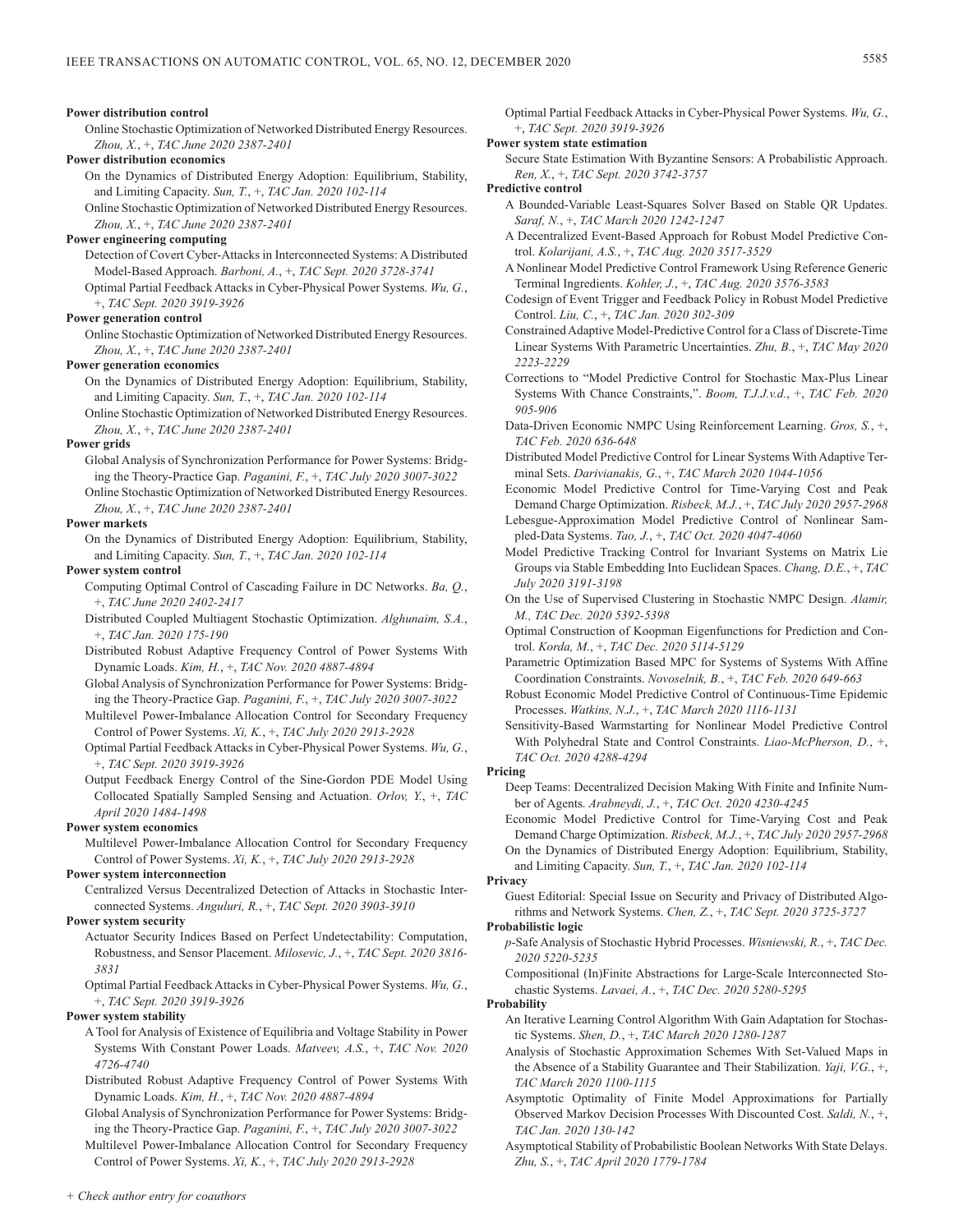Online Stochastic Optimization of Networked Distributed Energy Resources. *Zhou, X.*, +, *TAC June 2020 2387-2401*

## **Power distribution economics**

On the Dynamics of Distributed Energy Adoption: Equilibrium, Stability, and Limiting Capacity. *Sun, T.*, +, *TAC Jan. 2020 102-114*

Online Stochastic Optimization of Networked Distributed Energy Resources. *Zhou, X.*, +, *TAC June 2020 2387-2401*

## **Power engineering computing**

Detection of Covert Cyber-Attacks in Interconnected Systems: A Distributed Model-Based Approach. *Barboni, A.*, +, *TAC Sept. 2020 3728-3741*

Optimal Partial Feedback Attacks in Cyber-Physical Power Systems. *Wu, G.*, +, *TAC Sept. 2020 3919-3926*

## **Power generation control**

Online Stochastic Optimization of Networked Distributed Energy Resources. *Zhou, X.*, +, *TAC June 2020 2387-2401*

#### **Power generation economics**

On the Dynamics of Distributed Energy Adoption: Equilibrium, Stability, and Limiting Capacity. *Sun, T.*, +, *TAC Jan. 2020 102-114*

Online Stochastic Optimization of Networked Distributed Energy Resources. *Zhou, X.*, +, *TAC June 2020 2387-2401*

## **Power grids**

Global Analysis of Synchronization Performance for Power Systems: Bridging the Theory-Practice Gap. *Paganini, F.*, +, *TAC July 2020 3007-3022*

Online Stochastic Optimization of Networked Distributed Energy Resources. *Zhou, X.*, +, *TAC June 2020 2387-2401*

#### **Power markets**

On the Dynamics of Distributed Energy Adoption: Equilibrium, Stability, and Limiting Capacity. *Sun, T.*, +, *TAC Jan. 2020 102-114*

#### **Power system control**

- Computing Optimal Control of Cascading Failure in DC Networks. *Ba, Q.*, +, *TAC June 2020 2402-2417*
- Distributed Coupled Multiagent Stochastic Optimization. *Alghunaim, S.A.*, +, *TAC Jan. 2020 175-190*
- Distributed Robust Adaptive Frequency Control of Power Systems With Dynamic Loads. *Kim, H.*, +, *TAC Nov. 2020 4887-4894*
- Global Analysis of Synchronization Performance for Power Systems: Bridging the Theory-Practice Gap. *Paganini, F.*, +, *TAC July 2020 3007-3022*
- Multilevel Power-Imbalance Allocation Control for Secondary Frequency Control of Power Systems. *Xi, K.*, +, *TAC July 2020 2913-2928*
- Optimal Partial Feedback Attacks in Cyber-Physical Power Systems. *Wu, G.*, +, *TAC Sept. 2020 3919-3926*
- Output Feedback Energy Control of the Sine-Gordon PDE Model Using Collocated Spatially Sampled Sensing and Actuation. *Orlov, Y.*, +, *TAC April 2020 1484-1498*

#### **Power system economics**

Multilevel Power-Imbalance Allocation Control for Secondary Frequency Control of Power Systems. *Xi, K.*, +, *TAC July 2020 2913-2928*

## **Power system interconnection**

Centralized Versus Decentralized Detection of Attacks in Stochastic Interconnected Systems. *Anguluri, R.*, +, *TAC Sept. 2020 3903-3910*

#### **Power system security**

Actuator Security Indices Based on Perfect Undetectability: Computation, Robustness, and Sensor Placement. *Milosevic, J.*, +, *TAC Sept. 2020 3816- 3831*

Optimal Partial Feedback Attacks in Cyber-Physical Power Systems. *Wu, G.*, +, *TAC Sept. 2020 3919-3926*

#### **Power system stability**

A Tool for Analysis of Existence of Equilibria and Voltage Stability in Power Systems With Constant Power Loads. *Matveev, A.S.*, +, *TAC Nov. 2020 4726-4740*

- Distributed Robust Adaptive Frequency Control of Power Systems With Dynamic Loads. *Kim, H.*, +, *TAC Nov. 2020 4887-4894*
- Global Analysis of Synchronization Performance for Power Systems: Bridging the Theory-Practice Gap. *Paganini, F.*, +, *TAC July 2020 3007-3022*

Multilevel Power-Imbalance Allocation Control for Secondary Frequency Control of Power Systems. *Xi, K.*, +, *TAC July 2020 2913-2928*

Optimal Partial Feedback Attacks in Cyber-Physical Power Systems. *Wu, G.*, +, *TAC Sept. 2020 3919-3926*

## **Power system state estimation**

Secure State Estimation With Byzantine Sensors: A Probabilistic Approach. *Ren, X.*, +, *TAC Sept. 2020 3742-3757*

**Predictive control**

- A Bounded-Variable Least-Squares Solver Based on Stable QR Updates. *Saraf, N.*, +, *TAC March 2020 1242-1247*
- A Decentralized Event-Based Approach for Robust Model Predictive Control. *Kolarijani, A.S.*, +, *TAC Aug. 2020 3517-3529*
- A Nonlinear Model Predictive Control Framework Using Reference Generic Terminal Ingredients. *Kohler, J.*, +, *TAC Aug. 2020 3576-3583*
- Codesign of Event Trigger and Feedback Policy in Robust Model Predictive Control. *Liu, C.*, +, *TAC Jan. 2020 302-309*
- Constrained Adaptive Model-Predictive Control for a Class of Discrete-Time Linear Systems With Parametric Uncertainties. *Zhu, B.*, +, *TAC May 2020 2223-2229*
- Corrections to "Model Predictive Control for Stochastic Max-Plus Linear Systems With Chance Constraints,". *Boom, T.J.J.v.d.*, +, *TAC Feb. 2020 905-906*
- Data-Driven Economic NMPC Using Reinforcement Learning. *Gros, S.*, +, *TAC Feb. 2020 636-648*
- Distributed Model Predictive Control for Linear Systems With Adaptive Terminal Sets. *Darivianakis, G.*, +, *TAC March 2020 1044-1056*
- Economic Model Predictive Control for Time-Varying Cost and Peak Demand Charge Optimization. *Risbeck, M.J.*, +, *TAC July 2020 2957-2968*
- Lebesgue-Approximation Model Predictive Control of Nonlinear Sampled-Data Systems. *Tao, J.*, +, *TAC Oct. 2020 4047-4060*
- Model Predictive Tracking Control for Invariant Systems on Matrix Lie Groups via Stable Embedding Into Euclidean Spaces. *Chang, D.E.*, +, *TAC July 2020 3191-3198*
- On the Use of Supervised Clustering in Stochastic NMPC Design. *Alamir, M., TAC Dec. 2020 5392-5398*
- Optimal Construction of Koopman Eigenfunctions for Prediction and Control. *Korda, M.*, +, *TAC Dec. 2020 5114-5129*
- Parametric Optimization Based MPC for Systems of Systems With Affine Coordination Constraints. *Novoselnik, B.*, +, *TAC Feb. 2020 649-663*
- Robust Economic Model Predictive Control of Continuous-Time Epidemic Processes. *Watkins, N.J.*, +, *TAC March 2020 1116-1131*
- Sensitivity-Based Warmstarting for Nonlinear Model Predictive Control With Polyhedral State and Control Constraints. *Liao-McPherson, D.*, +, *TAC Oct. 2020 4288-4294*

#### **Pricing**

- Deep Teams: Decentralized Decision Making With Finite and Infinite Number of Agents. *Arabneydi, J.*, +, *TAC Oct. 2020 4230-4245*
- Economic Model Predictive Control for Time-Varying Cost and Peak Demand Charge Optimization. *Risbeck, M.J.*, +, *TAC July 2020 2957-2968* On the Dynamics of Distributed Energy Adoption: Equilibrium, Stability, and Limiting Capacity. *Sun, T.*, +, *TAC Jan. 2020 102-114*

## **Privacy**

Guest Editorial: Special Issue on Security and Privacy of Distributed Algorithms and Network Systems. *Chen, Z.*, +, *TAC Sept. 2020 3725-3727*

#### **Probabilistic logic**

- *p*-Safe Analysis of Stochastic Hybrid Processes. *Wisniewski, R.*, +, *TAC Dec. 2020 5220-5235*
- Compositional (In)Finite Abstractions for Large-Scale Interconnected Stochastic Systems. *Lavaei, A.*, +, *TAC Dec. 2020 5280-5295*

## **Probability**

- An Iterative Learning Control Algorithm With Gain Adaptation for Stochastic Systems. *Shen, D.*, +, *TAC March 2020 1280-1287*
- Analysis of Stochastic Approximation Schemes With Set-Valued Maps in the Absence of a Stability Guarantee and Their Stabilization. *Yaji, V.G.*, +, *TAC March 2020 1100-1115*
- Asymptotic Optimality of Finite Model Approximations for Partially Observed Markov Decision Processes With Discounted Cost. *Saldi, N.*, +, *TAC Jan. 2020 130-142*
- Asymptotical Stability of Probabilistic Boolean Networks With State Delays. *Zhu, S.*, +, *TAC April 2020 1779-1784*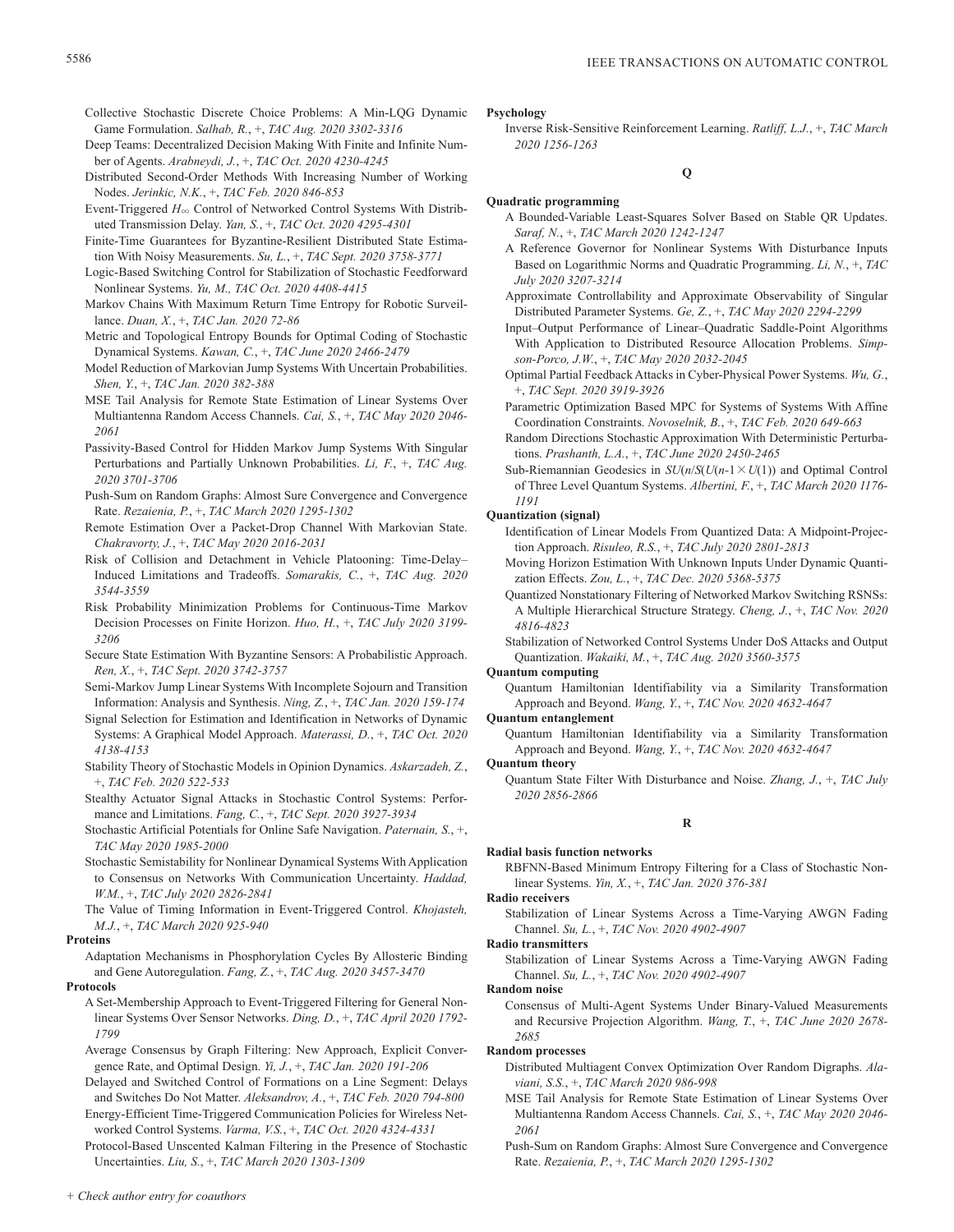Collective Stochastic Discrete Choice Problems: A Min-LQG Dynamic Game Formulation. *Salhab, R.*, +, *TAC Aug. 2020 3302-3316*

- Deep Teams: Decentralized Decision Making With Finite and Infinite Number of Agents. *Arabneydi, J.*, +, *TAC Oct. 2020 4230-4245*
- Distributed Second-Order Methods With Increasing Number of Working Nodes. *Jerinkic, N.K.*, +, *TAC Feb. 2020 846-853*
- Event-Triggered  $H_{\infty}$  Control of Networked Control Systems With Distributed Transmission Delay. *Yan, S.*, +, *TAC Oct. 2020 4295-4301*
- Finite-Time Guarantees for Byzantine-Resilient Distributed State Estimation With Noisy Measurements. *Su, L.*, +, *TAC Sept. 2020 3758-3771*
- Logic-Based Switching Control for Stabilization of Stochastic Feedforward Nonlinear Systems. *Yu, M., TAC Oct. 2020 4408-4415*
- Markov Chains With Maximum Return Time Entropy for Robotic Surveillance. *Duan, X.*, +, *TAC Jan. 2020 72-86*
- Metric and Topological Entropy Bounds for Optimal Coding of Stochastic Dynamical Systems. *Kawan, C.*, +, *TAC June 2020 2466-2479*
- Model Reduction of Markovian Jump Systems With Uncertain Probabilities. *Shen, Y.*, +, *TAC Jan. 2020 382-388*
- MSE Tail Analysis for Remote State Estimation of Linear Systems Over Multiantenna Random Access Channels. *Cai, S.*, +, *TAC May 2020 2046- 2061*
- Passivity-Based Control for Hidden Markov Jump Systems With Singular Perturbations and Partially Unknown Probabilities. *Li, F.*, +, *TAC Aug. 2020 3701-3706*
- Push-Sum on Random Graphs: Almost Sure Convergence and Convergence Rate. *Rezaienia, P.*, +, *TAC March 2020 1295-1302*
- Remote Estimation Over a Packet-Drop Channel With Markovian State. *Chakravorty, J.*, +, *TAC May 2020 2016-2031*
- Risk of Collision and Detachment in Vehicle Platooning: Time-Delay– Induced Limitations and Tradeoffs. *Somarakis, C.*, +, *TAC Aug. 2020 3544-3559*
- Risk Probability Minimization Problems for Continuous-Time Markov Decision Processes on Finite Horizon. *Huo, H.*, +, *TAC July 2020 3199- 3206*
- Secure State Estimation With Byzantine Sensors: A Probabilistic Approach. *Ren, X.*, +, *TAC Sept. 2020 3742-3757*
- Semi-Markov Jump Linear Systems With Incomplete Sojourn and Transition Information: Analysis and Synthesis. *Ning, Z.*, +, *TAC Jan. 2020 159-174*
- Signal Selection for Estimation and Identification in Networks of Dynamic Systems: A Graphical Model Approach. *Materassi, D.*, +, *TAC Oct. 2020 4138-4153*
- Stability Theory of Stochastic Models in Opinion Dynamics. *Askarzadeh, Z.*, +, *TAC Feb. 2020 522-533*
- Stealthy Actuator Signal Attacks in Stochastic Control Systems: Performance and Limitations. *Fang, C.*, +, *TAC Sept. 2020 3927-3934*
- Stochastic Artificial Potentials for Online Safe Navigation. *Paternain, S.*, +, *TAC May 2020 1985-2000*
- Stochastic Semistability for Nonlinear Dynamical Systems With Application to Consensus on Networks With Communication Uncertainty. *Haddad, W.M.*, +, *TAC July 2020 2826-2841*
- The Value of Timing Information in Event-Triggered Control. *Khojasteh, M.J.*, +, *TAC March 2020 925-940*

## **Proteins**

- Adaptation Mechanisms in Phosphorylation Cycles By Allosteric Binding and Gene Autoregulation. *Fang, Z.*, +, *TAC Aug. 2020 3457-3470* **Protocols**
	- A Set-Membership Approach to Event-Triggered Filtering for General Nonlinear Systems Over Sensor Networks. *Ding, D.*, +, *TAC April 2020 1792- 1799*
	- Average Consensus by Graph Filtering: New Approach, Explicit Convergence Rate, and Optimal Design. *Yi, J.*, +, *TAC Jan. 2020 191-206*
	- Delayed and Switched Control of Formations on a Line Segment: Delays and Switches Do Not Matter. *Aleksandrov, A.*, +, *TAC Feb. 2020 794-800*
	- Energy-Efficient Time-Triggered Communication Policies for Wireless Networked Control Systems. *Varma, V.S.*, +, *TAC Oct. 2020 4324-4331*

Protocol-Based Unscented Kalman Filtering in the Presence of Stochastic Uncertainties. *Liu, S.*, +, *TAC March 2020 1303-1309*

#### **Psychology**

Inverse Risk-Sensitive Reinforcement Learning. *Ratliff, L.J.*, +, *TAC March 2020 1256-1263*

## **Q**

## **Quadratic programming**

- A Bounded-Variable Least-Squares Solver Based on Stable QR Updates. *Saraf, N.*, +, *TAC March 2020 1242-1247*
- A Reference Governor for Nonlinear Systems With Disturbance Inputs Based on Logarithmic Norms and Quadratic Programming. *Li, N.*, +, *TAC July 2020 3207-3214*
- Approximate Controllability and Approximate Observability of Singular Distributed Parameter Systems. *Ge, Z.*, +, *TAC May 2020 2294-2299*
- Input–Output Performance of Linear–Quadratic Saddle-Point Algorithms With Application to Distributed Resource Allocation Problems. *Simpson-Porco, J.W.*, +, *TAC May 2020 2032-2045*
- Optimal Partial Feedback Attacks in Cyber-Physical Power Systems. *Wu, G.*, +, *TAC Sept. 2020 3919-3926*
- Parametric Optimization Based MPC for Systems of Systems With Affine Coordination Constraints. *Novoselnik, B.*, +, *TAC Feb. 2020 649-663*
- Random Directions Stochastic Approximation With Deterministic Perturbations. *Prashanth, L.A.*, +, *TAC June 2020 2450-2465*
- Sub-Riemannian Geodesics in  $SU(n/S(U(n-1 \times U(1)))$  and Optimal Control of Three Level Quantum Systems. *Albertini, F.*, +, *TAC March 2020 1176- 1191*

#### **Quantization (signal)**

- Identification of Linear Models From Quantized Data: A Midpoint-Projection Approach. *Risuleo, R.S.*, +, *TAC July 2020 2801-2813*
- Moving Horizon Estimation With Unknown Inputs Under Dynamic Quantization Effects. *Zou, L.*, +, *TAC Dec. 2020 5368-5375*
- Quantized Nonstationary Filtering of Networked Markov Switching RSNSs: A Multiple Hierarchical Structure Strategy. *Cheng, J.*, +, *TAC Nov. 2020 4816-4823*

Stabilization of Networked Control Systems Under DoS Attacks and Output Quantization. *Wakaiki, M.*, +, *TAC Aug. 2020 3560-3575*

#### **Quantum computing**

Quantum Hamiltonian Identifiability via a Similarity Transformation Approach and Beyond. *Wang, Y.*, +, *TAC Nov. 2020 4632-4647*

## **Quantum entanglement**

Quantum Hamiltonian Identifiability via a Similarity Transformation Approach and Beyond. *Wang, Y.*, +, *TAC Nov. 2020 4632-4647*

#### **Quantum theory**

Quantum State Filter With Disturbance and Noise. *Zhang, J.*, +, *TAC July 2020 2856-2866*

## **R**

## **Radial basis function networks**

RBFNN-Based Minimum Entropy Filtering for a Class of Stochastic Nonlinear Systems. *Yin, X.*, +, *TAC Jan. 2020 376-381*

## **Radio receivers**

Stabilization of Linear Systems Across a Time-Varying AWGN Fading Channel. *Su, L.*, +, *TAC Nov. 2020 4902-4907*

#### **Radio transmitters**

Stabilization of Linear Systems Across a Time-Varying AWGN Fading Channel. *Su, L.*, +, *TAC Nov. 2020 4902-4907*

**Random noise**

Consensus of Multi-Agent Systems Under Binary-Valued Measurements and Recursive Projection Algorithm. *Wang, T.*, +, *TAC June 2020 2678- 2685*

#### **Random processes**

- Distributed Multiagent Convex Optimization Over Random Digraphs. *Alaviani, S.S.*, +, *TAC March 2020 986-998*
- MSE Tail Analysis for Remote State Estimation of Linear Systems Over Multiantenna Random Access Channels. *Cai, S.*, +, *TAC May 2020 2046- 2061*
- Push-Sum on Random Graphs: Almost Sure Convergence and Convergence Rate. *Rezaienia, P.*, +, *TAC March 2020 1295-1302*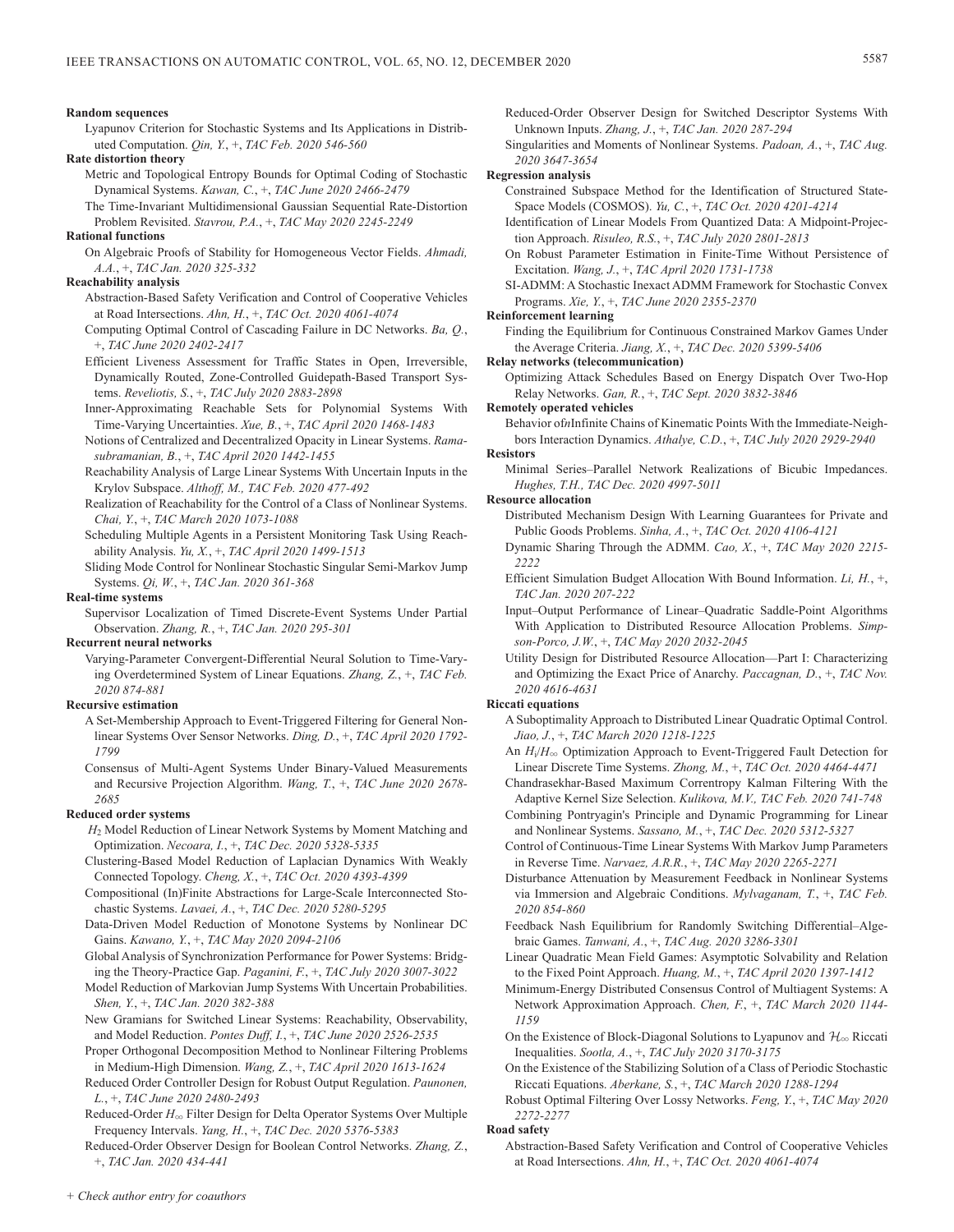#### **Random sequences**

Lyapunov Criterion for Stochastic Systems and Its Applications in Distributed Computation. *Qin, Y.*, +, *TAC Feb. 2020 546-560*

**Rate distortion theory**

Metric and Topological Entropy Bounds for Optimal Coding of Stochastic Dynamical Systems. *Kawan, C.*, +, *TAC June 2020 2466-2479*

The Time-Invariant Multidimensional Gaussian Sequential Rate-Distortion Problem Revisited. *Stavrou, P.A.*, +, *TAC May 2020 2245-2249*

## **Rational functions**

On Algebraic Proofs of Stability for Homogeneous Vector Fields. *Ahmadi, A.A.*, +, *TAC Jan. 2020 325-332*

## **Reachability analysis**

- Abstraction-Based Safety Verification and Control of Cooperative Vehicles at Road Intersections. *Ahn, H.*, +, *TAC Oct. 2020 4061-4074*
- Computing Optimal Control of Cascading Failure in DC Networks. *Ba, Q.*, +, *TAC June 2020 2402-2417*
- Efficient Liveness Assessment for Traffic States in Open, Irreversible, Dynamically Routed, Zone-Controlled Guidepath-Based Transport Systems. *Reveliotis, S.*, +, *TAC July 2020 2883-2898*
- Inner-Approximating Reachable Sets for Polynomial Systems With Time-Varying Uncertainties. *Xue, B.*, +, *TAC April 2020 1468-1483*
- Notions of Centralized and Decentralized Opacity in Linear Systems. *Ramasubramanian, B.*, +, *TAC April 2020 1442-1455*
- Reachability Analysis of Large Linear Systems With Uncertain Inputs in the Krylov Subspace. *Althoff, M., TAC Feb. 2020 477-492*
- Realization of Reachability for the Control of a Class of Nonlinear Systems. *Chai, Y.*, +, *TAC March 2020 1073-1088*
- Scheduling Multiple Agents in a Persistent Monitoring Task Using Reachability Analysis. *Yu, X.*, +, *TAC April 2020 1499-1513*
- Sliding Mode Control for Nonlinear Stochastic Singular Semi-Markov Jump Systems. *Qi, W.*, +, *TAC Jan. 2020 361-368*

## **Real-time systems**

Supervisor Localization of Timed Discrete-Event Systems Under Partial Observation. *Zhang, R.*, +, *TAC Jan. 2020 295-301*

#### **Recurrent neural networks**

Varying-Parameter Convergent-Differential Neural Solution to Time-Varying Overdetermined System of Linear Equations. *Zhang, Z.*, +, *TAC Feb. 2020 874-881*

#### **Recursive estimation**

- A Set-Membership Approach to Event-Triggered Filtering for General Nonlinear Systems Over Sensor Networks. *Ding, D.*, +, *TAC April 2020 1792- 1799*
- Consensus of Multi-Agent Systems Under Binary-Valued Measurements and Recursive Projection Algorithm. *Wang, T.*, +, *TAC June 2020 2678- 2685*

## **Reduced order systems**

- *H*2 Model Reduction of Linear Network Systems by Moment Matching and Optimization. *Necoara, I.*, +, *TAC Dec. 2020 5328-5335*
- Clustering-Based Model Reduction of Laplacian Dynamics With Weakly Connected Topology. *Cheng, X.*, +, *TAC Oct. 2020 4393-4399*
- Compositional (In)Finite Abstractions for Large-Scale Interconnected Stochastic Systems. *Lavaei, A.*, +, *TAC Dec. 2020 5280-5295*
- Data-Driven Model Reduction of Monotone Systems by Nonlinear DC Gains. *Kawano, Y.*, +, *TAC May 2020 2094-2106*
- Global Analysis of Synchronization Performance for Power Systems: Bridging the Theory-Practice Gap. *Paganini, F.*, +, *TAC July 2020 3007-3022*
- Model Reduction of Markovian Jump Systems With Uncertain Probabilities. *Shen, Y.*, +, *TAC Jan. 2020 382-388*
- New Gramians for Switched Linear Systems: Reachability, Observability, and Model Reduction. *Pontes Duff, I.*, +, *TAC June 2020 2526-2535*
- Proper Orthogonal Decomposition Method to Nonlinear Filtering Problems in Medium-High Dimension. *Wang, Z.*, +, *TAC April 2020 1613-1624*
- Reduced Order Controller Design for Robust Output Regulation. *Paunonen, L.*, +, *TAC June 2020 2480-2493*
- Reduced-Order *H*3 Filter Design for Delta Operator Systems Over Multiple Frequency Intervals. *Yang, H.*, +, *TAC Dec. 2020 5376-5383*
- Reduced-Order Observer Design for Boolean Control Networks. *Zhang, Z.*, +, *TAC Jan. 2020 434-441*

Reduced-Order Observer Design for Switched Descriptor Systems With Unknown Inputs. *Zhang, J.*, +, *TAC Jan. 2020 287-294*

Singularities and Moments of Nonlinear Systems. *Padoan, A.*, +, *TAC Aug. 2020 3647-3654*

## **Regression analysis**

Constrained Subspace Method for the Identification of Structured State-Space Models (COSMOS). *Yu, C.*, +, *TAC Oct. 2020 4201-4214*

Identification of Linear Models From Quantized Data: A Midpoint-Projection Approach. *Risuleo, R.S.*, +, *TAC July 2020 2801-2813*

- On Robust Parameter Estimation in Finite-Time Without Persistence of Excitation. *Wang, J.*, +, *TAC April 2020 1731-1738*
- SI-ADMM: A Stochastic Inexact ADMM Framework for Stochastic Convex Programs. *Xie, Y.*, +, *TAC June 2020 2355-2370*

## **Reinforcement learning**

Finding the Equilibrium for Continuous Constrained Markov Games Under the Average Criteria. *Jiang, X.*, +, *TAC Dec. 2020 5399-5406*

#### **Relay networks (telecommunication)**

Optimizing Attack Schedules Based on Energy Dispatch Over Two-Hop Relay Networks. *Gan, R.*, +, *TAC Sept. 2020 3832-3846*

# **Remotely operated vehicles**

Behavior of*n*Infinite Chains of Kinematic Points With the Immediate-Neighbors Interaction Dynamics. *Athalye, C.D.*, +, *TAC July 2020 2929-2940*

## **Resistors**

Minimal Series–Parallel Network Realizations of Bicubic Impedances. *Hughes, T.H., TAC Dec. 2020 4997-5011*

## **Resource allocation**

- Distributed Mechanism Design With Learning Guarantees for Private and Public Goods Problems. *Sinha, A.*, +, *TAC Oct. 2020 4106-4121*
- Dynamic Sharing Through the ADMM. *Cao, X.*, +, *TAC May 2020 2215- 2222*
- Efficient Simulation Budget Allocation With Bound Information. *Li, H.*, +, *TAC Jan. 2020 207-222*
- Input–Output Performance of Linear–Quadratic Saddle-Point Algorithms With Application to Distributed Resource Allocation Problems. *Simpson-Porco, J.W.*, +, *TAC May 2020 2032-2045*
- Utility Design for Distributed Resource Allocation—Part I: Characterizing and Optimizing the Exact Price of Anarchy. *Paccagnan, D.*, +, *TAC Nov. 2020 4616-4631*

#### **Riccati equations**

- A Suboptimality Approach to Distributed Linear Quadratic Optimal Control. *Jiao, J.*, +, *TAC March 2020 1218-1225*
- An  $H_i/H_{\infty}$  Optimization Approach to Event-Triggered Fault Detection for Linear Discrete Time Systems. *Zhong, M.*, +, *TAC Oct. 2020 4464-4471*

Chandrasekhar-Based Maximum Correntropy Kalman Filtering With the Adaptive Kernel Size Selection. *Kulikova, M.V., TAC Feb. 2020 741-748*

- Combining Pontryagin's Principle and Dynamic Programming for Linear and Nonlinear Systems. *Sassano, M.*, +, *TAC Dec. 2020 5312-5327*
- Control of Continuous-Time Linear Systems With Markov Jump Parameters in Reverse Time. *Narvaez, A.R.R.*, +, *TAC May 2020 2265-2271*
- Disturbance Attenuation by Measurement Feedback in Nonlinear Systems via Immersion and Algebraic Conditions. *Mylvaganam, T.*, +, *TAC Feb. 2020 854-860*
- Feedback Nash Equilibrium for Randomly Switching Differential–Algebraic Games. *Tanwani, A.*, +, *TAC Aug. 2020 3286-3301*
- Linear Quadratic Mean Field Games: Asymptotic Solvability and Relation to the Fixed Point Approach. *Huang, M.*, +, *TAC April 2020 1397-1412*
- Minimum-Energy Distributed Consensus Control of Multiagent Systems: A Network Approximation Approach. *Chen, F.*, +, *TAC March 2020 1144- 1159*
- On the Existence of Block-Diagonal Solutions to Lyapunov and  $\mathcal{H}_\infty$  Riccati Inequalities. *Sootla, A.*, +, *TAC July 2020 3170-3175*
- On the Existence of the Stabilizing Solution of a Class of Periodic Stochastic Riccati Equations. *Aberkane, S.*, +, *TAC March 2020 1288-1294*
- Robust Optimal Filtering Over Lossy Networks. *Feng, Y.*, +, *TAC May 2020 2272-2277*

#### **Road safety**

Abstraction-Based Safety Verification and Control of Cooperative Vehicles at Road Intersections. *Ahn, H.*, +, *TAC Oct. 2020 4061-4074*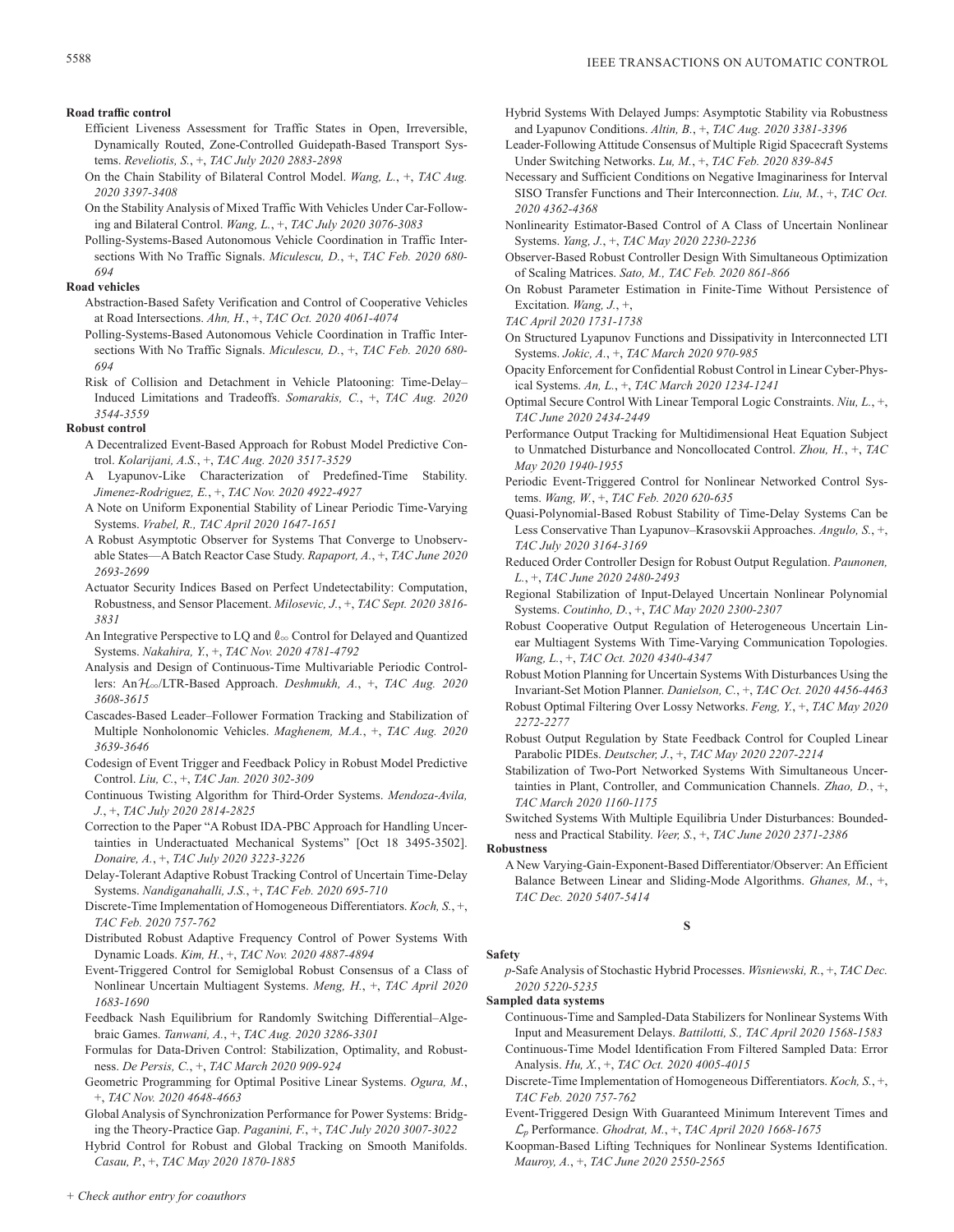## **Road traffic control**

- Efficient Liveness Assessment for Traffic States in Open, Irreversible, Dynamically Routed, Zone-Controlled Guidepath-Based Transport Systems. *Reveliotis, S.*, +, *TAC July 2020 2883-2898*
- On the Chain Stability of Bilateral Control Model. *Wang, L.*, +, *TAC Aug. 2020 3397-3408*
- On the Stability Analysis of Mixed Traffic With Vehicles Under Car-Following and Bilateral Control. *Wang, L.*, +, *TAC July 2020 3076-3083*
- Polling-Systems-Based Autonomous Vehicle Coordination in Traffic Intersections With No Traffic Signals. *Miculescu, D.*, +, *TAC Feb. 2020 680- 694*

## **Road vehicles**

- Abstraction-Based Safety Verification and Control of Cooperative Vehicles at Road Intersections. *Ahn, H.*, +, *TAC Oct. 2020 4061-4074*
- Polling-Systems-Based Autonomous Vehicle Coordination in Traffic Intersections With No Traffic Signals. *Miculescu, D.*, +, *TAC Feb. 2020 680- 694*
- Risk of Collision and Detachment in Vehicle Platooning: Time-Delay– Induced Limitations and Tradeoffs. *Somarakis, C.*, +, *TAC Aug. 2020 3544-3559*

#### **Robust control**

- A Decentralized Event-Based Approach for Robust Model Predictive Control. *Kolarijani, A.S.*, +, *TAC Aug. 2020 3517-3529*
- A Lyapunov-Like Characterization of Predefined-Time Stability. *Jimenez-Rodriguez, E.*, +, *TAC Nov. 2020 4922-4927*
- A Note on Uniform Exponential Stability of Linear Periodic Time-Varying Systems. *Vrabel, R., TAC April 2020 1647-1651*
- A Robust Asymptotic Observer for Systems That Converge to Unobservable States—A Batch Reactor Case Study. *Rapaport, A.*, +, *TAC June 2020 2693-2699*
- Actuator Security Indices Based on Perfect Undetectability: Computation, Robustness, and Sensor Placement. *Milosevic, J.*, +, *TAC Sept. 2020 3816- 3831*
- An Integrative Perspective to LQ and  $\ell_{\infty}$  Control for Delayed and Quantized Systems. *Nakahira, Y.*, +, *TAC Nov. 2020 4781-4792*
- Analysis and Design of Continuous-Time Multivariable Periodic Controllers: AnH3/LTR-Based Approach. *Deshmukh, A.*, +, *TAC Aug. 2020 3608-3615*
- Cascades-Based Leader–Follower Formation Tracking and Stabilization of Multiple Nonholonomic Vehicles. *Maghenem, M.A.*, +, *TAC Aug. 2020 3639-3646*
- Codesign of Event Trigger and Feedback Policy in Robust Model Predictive Control. *Liu, C.*, +, *TAC Jan. 2020 302-309*
- Continuous Twisting Algorithm for Third-Order Systems. *Mendoza-Avila, J.*, +, *TAC July 2020 2814-2825*
- Correction to the Paper "A Robust IDA-PBC Approach for Handling Uncertainties in Underactuated Mechanical Systems" [Oct 18 3495-3502]. *Donaire, A.*, +, *TAC July 2020 3223-3226*
- Delay-Tolerant Adaptive Robust Tracking Control of Uncertain Time-Delay Systems. *Nandiganahalli, J.S.*, +, *TAC Feb. 2020 695-710*
- Discrete-Time Implementation of Homogeneous Differentiators. *Koch, S.*, +, *TAC Feb. 2020 757-762*
- Distributed Robust Adaptive Frequency Control of Power Systems With Dynamic Loads. *Kim, H.*, +, *TAC Nov. 2020 4887-4894*
- Event-Triggered Control for Semiglobal Robust Consensus of a Class of Nonlinear Uncertain Multiagent Systems. *Meng, H.*, +, *TAC April 2020 1683-1690*
- Feedback Nash Equilibrium for Randomly Switching Differential–Algebraic Games. *Tanwani, A.*, +, *TAC Aug. 2020 3286-3301*
- Formulas for Data-Driven Control: Stabilization, Optimality, and Robustness. *De Persis, C.*, +, *TAC March 2020 909-924*
- Geometric Programming for Optimal Positive Linear Systems. *Ogura, M.*, +, *TAC Nov. 2020 4648-4663*
- Global Analysis of Synchronization Performance for Power Systems: Bridging the Theory-Practice Gap. *Paganini, F.*, +, *TAC July 2020 3007-3022*

Hybrid Control for Robust and Global Tracking on Smooth Manifolds. *Casau, P.*, +, *TAC May 2020 1870-1885*

- Hybrid Systems With Delayed Jumps: Asymptotic Stability via Robustness and Lyapunov Conditions. *Altin, B.*, +, *TAC Aug. 2020 3381-3396*
- Leader-Following Attitude Consensus of Multiple Rigid Spacecraft Systems Under Switching Networks. *Lu, M.*, +, *TAC Feb. 2020 839-845*
- Necessary and Sufficient Conditions on Negative Imaginariness for Interval SISO Transfer Functions and Their Interconnection. *Liu, M.*, +, *TAC Oct. 2020 4362-4368*
- Nonlinearity Estimator-Based Control of A Class of Uncertain Nonlinear Systems. *Yang, J.*, +, *TAC May 2020 2230-2236*
- Observer-Based Robust Controller Design With Simultaneous Optimization of Scaling Matrices. *Sato, M., TAC Feb. 2020 861-866*
- On Robust Parameter Estimation in Finite-Time Without Persistence of Excitation. *Wang, J.*, +,

*TAC April 2020 1731-1738*

- On Structured Lyapunov Functions and Dissipativity in Interconnected LTI Systems. *Jokic, A.*, +, *TAC March 2020 970-985*
- Opacity Enforcement for Confidential Robust Control in Linear Cyber-Physical Systems. *An, L.*, +, *TAC March 2020 1234-1241*
- Optimal Secure Control With Linear Temporal Logic Constraints. *Niu, L.*, +, *TAC June 2020 2434-2449*
- Performance Output Tracking for Multidimensional Heat Equation Subject to Unmatched Disturbance and Noncollocated Control. *Zhou, H.*, +, *TAC May 2020 1940-1955*
- Periodic Event-Triggered Control for Nonlinear Networked Control Systems. *Wang, W.*, +, *TAC Feb. 2020 620-635*
- Quasi-Polynomial-Based Robust Stability of Time-Delay Systems Can be Less Conservative Than Lyapunov–Krasovskii Approaches. *Angulo, S.*, +, *TAC July 2020 3164-3169*
- Reduced Order Controller Design for Robust Output Regulation. *Paunonen, L.*, +, *TAC June 2020 2480-2493*
- Regional Stabilization of Input-Delayed Uncertain Nonlinear Polynomial Systems. *Coutinho, D.*, +, *TAC May 2020 2300-2307*
- Robust Cooperative Output Regulation of Heterogeneous Uncertain Linear Multiagent Systems With Time-Varying Communication Topologies. *Wang, L.*, +, *TAC Oct. 2020 4340-4347*
- Robust Motion Planning for Uncertain Systems With Disturbances Using the Invariant-Set Motion Planner. *Danielson, C.*, +, *TAC Oct. 2020 4456-4463*
- Robust Optimal Filtering Over Lossy Networks. *Feng, Y.*, +, *TAC May 2020 2272-2277*
- Robust Output Regulation by State Feedback Control for Coupled Linear Parabolic PIDEs. *Deutscher, J.*, +, *TAC May 2020 2207-2214*
- Stabilization of Two-Port Networked Systems With Simultaneous Uncertainties in Plant, Controller, and Communication Channels. *Zhao, D.*, +, *TAC March 2020 1160-1175*
- Switched Systems With Multiple Equilibria Under Disturbances: Boundedness and Practical Stability. *Veer, S.*, +, *TAC June 2020 2371-2386*

**Robustness**

**Safety**

A New Varying-Gain-Exponent-Based Differentiator/Observer: An Efficient Balance Between Linear and Sliding-Mode Algorithms. *Ghanes, M.*, +, *TAC Dec. 2020 5407-5414*

*p*-Safe Analysis of Stochastic Hybrid Processes. *Wisniewski, R.*, +, *TAC Dec. 2020 5220-5235*

**S**

**Sampled data systems**

- Continuous-Time and Sampled-Data Stabilizers for Nonlinear Systems With Input and Measurement Delays. *Battilotti, S., TAC April 2020 1568-1583*
- Continuous-Time Model Identification From Filtered Sampled Data: Error Analysis. *Hu, X.*, +, *TAC Oct. 2020 4005-4015*
- Discrete-Time Implementation of Homogeneous Differentiators. *Koch, S.*, +, *TAC Feb. 2020 757-762*
- Event-Triggered Design With Guaranteed Minimum Interevent Times and L*p* Performance. *Ghodrat, M.*, +, *TAC April 2020 1668-1675*
- Koopman-Based Lifting Techniques for Nonlinear Systems Identification. *Mauroy, A.*, +, *TAC June 2020 2550-2565*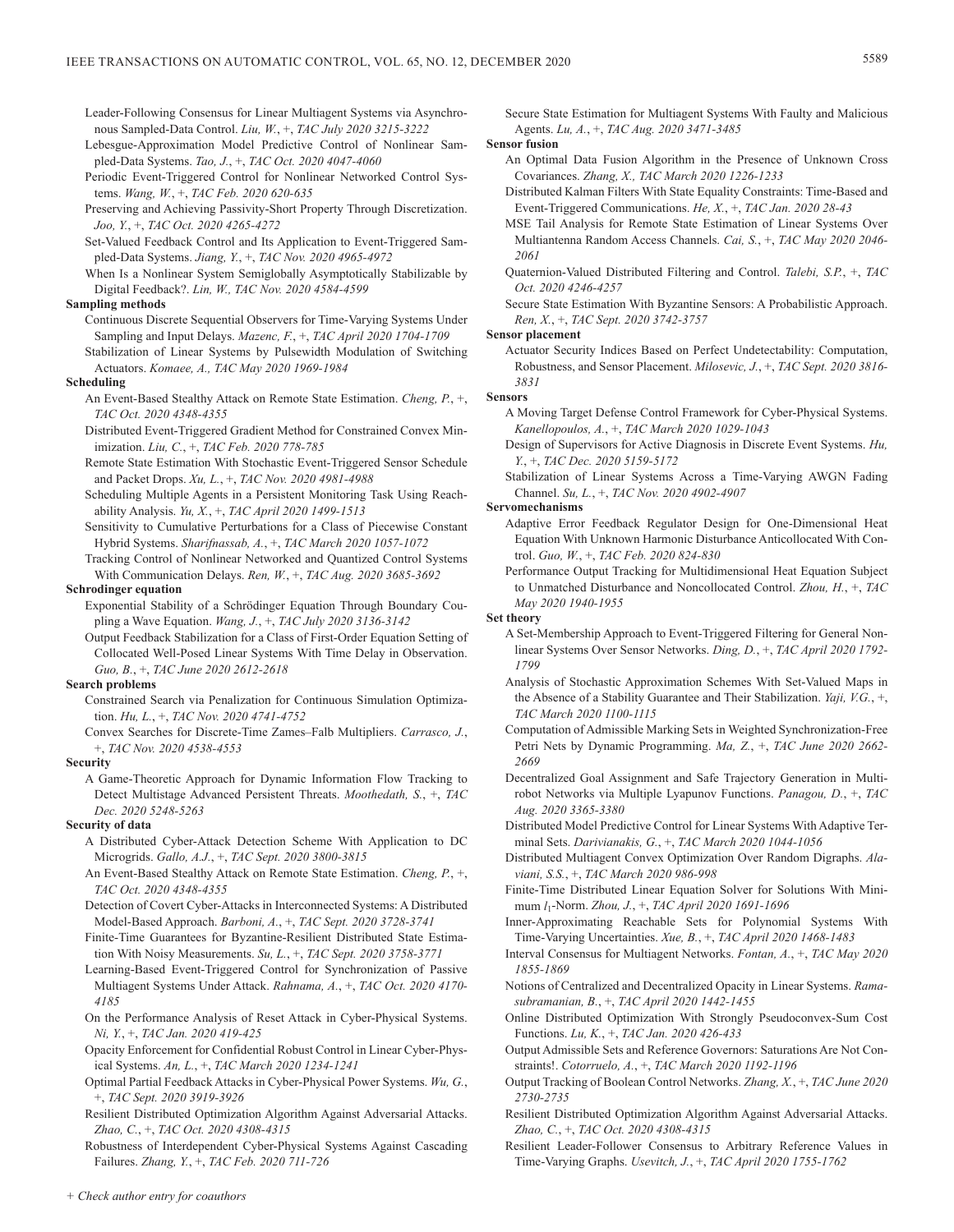Leader-Following Consensus for Linear Multiagent Systems via Asynchronous Sampled-Data Control. *Liu, W.*, +, *TAC July 2020 3215-3222*

- Lebesgue-Approximation Model Predictive Control of Nonlinear Sampled-Data Systems. *Tao, J.*, +, *TAC Oct. 2020 4047-4060*
- Periodic Event-Triggered Control for Nonlinear Networked Control Systems. *Wang, W.*, +, *TAC Feb. 2020 620-635*
- Preserving and Achieving Passivity-Short Property Through Discretization. *Joo, Y.*, +, *TAC Oct. 2020 4265-4272*
- Set-Valued Feedback Control and Its Application to Event-Triggered Sampled-Data Systems. *Jiang, Y.*, +, *TAC Nov. 2020 4965-4972*
- When Is a Nonlinear System Semiglobally Asymptotically Stabilizable by Digital Feedback?. *Lin, W., TAC Nov. 2020 4584-4599*

## **Sampling methods**

- Continuous Discrete Sequential Observers for Time-Varying Systems Under Sampling and Input Delays. *Mazenc, F.*, +, *TAC April 2020 1704-1709*
- Stabilization of Linear Systems by Pulsewidth Modulation of Switching Actuators. *Komaee, A., TAC May 2020 1969-1984*

#### **Scheduling**

- An Event-Based Stealthy Attack on Remote State Estimation. *Cheng, P.*, +, *TAC Oct. 2020 4348-4355*
- Distributed Event-Triggered Gradient Method for Constrained Convex Minimization. *Liu, C.*, +, *TAC Feb. 2020 778-785*
- Remote State Estimation With Stochastic Event-Triggered Sensor Schedule and Packet Drops. *Xu, L.*, +, *TAC Nov. 2020 4981-4988*
- Scheduling Multiple Agents in a Persistent Monitoring Task Using Reachability Analysis. *Yu, X.*, +, *TAC April 2020 1499-1513*
- Sensitivity to Cumulative Perturbations for a Class of Piecewise Constant Hybrid Systems. *Sharifnassab, A.*, +, *TAC March 2020 1057-1072*
- Tracking Control of Nonlinear Networked and Quantized Control Systems With Communication Delays. *Ren, W.*, +, *TAC Aug. 2020 3685-3692*

## **Schrodinger equation**

- Exponential Stability of a Schrödinger Equation Through Boundary Coupling a Wave Equation. *Wang, J.*, +, *TAC July 2020 3136-3142*
- Output Feedback Stabilization for a Class of First-Order Equation Setting of Collocated Well-Posed Linear Systems With Time Delay in Observation. *Guo, B.*, +, *TAC June 2020 2612-2618*

#### **Search problems**

- Constrained Search via Penalization for Continuous Simulation Optimization. *Hu, L.*, +, *TAC Nov. 2020 4741-4752*
- Convex Searches for Discrete-Time Zames–Falb Multipliers. *Carrasco, J.*, +, *TAC Nov. 2020 4538-4553*

#### **Security**

A Game-Theoretic Approach for Dynamic Information Flow Tracking to Detect Multistage Advanced Persistent Threats. *Moothedath, S.*, +, *TAC Dec. 2020 5248-5263*

#### **Security of data**

- A Distributed Cyber-Attack Detection Scheme With Application to DC Microgrids. *Gallo, A.J.*, +, *TAC Sept. 2020 3800-3815*
- An Event-Based Stealthy Attack on Remote State Estimation. *Cheng, P.*, +, *TAC Oct. 2020 4348-4355*
- Detection of Covert Cyber-Attacks in Interconnected Systems: A Distributed Model-Based Approach. *Barboni, A.*, +, *TAC Sept. 2020 3728-3741*
- Finite-Time Guarantees for Byzantine-Resilient Distributed State Estimation With Noisy Measurements. *Su, L.*, +, *TAC Sept. 2020 3758-3771*
- Learning-Based Event-Triggered Control for Synchronization of Passive Multiagent Systems Under Attack. *Rahnama, A.*, +, *TAC Oct. 2020 4170- 4185*
- On the Performance Analysis of Reset Attack in Cyber-Physical Systems. *Ni, Y.*, +, *TAC Jan. 2020 419-425*
- Opacity Enforcement for Confidential Robust Control in Linear Cyber-Physical Systems. *An, L.*, +, *TAC March 2020 1234-1241*
- Optimal Partial Feedback Attacks in Cyber-Physical Power Systems. *Wu, G.*, +, *TAC Sept. 2020 3919-3926*
- Resilient Distributed Optimization Algorithm Against Adversarial Attacks. *Zhao, C.*, +, *TAC Oct. 2020 4308-4315*

Robustness of Interdependent Cyber-Physical Systems Against Cascading Failures. *Zhang, Y.*, +, *TAC Feb. 2020 711-726*

Secure State Estimation for Multiagent Systems With Faulty and Malicious Agents. *Lu, A.*, +, *TAC Aug. 2020 3471-3485*

**Sensor fusion**

- An Optimal Data Fusion Algorithm in the Presence of Unknown Cross Covariances. *Zhang, X., TAC March 2020 1226-1233*
- Distributed Kalman Filters With State Equality Constraints: Time-Based and Event-Triggered Communications. *He, X.*, +, *TAC Jan. 2020 28-43*
- MSE Tail Analysis for Remote State Estimation of Linear Systems Over Multiantenna Random Access Channels. *Cai, S.*, +, *TAC May 2020 2046- 2061*
- Quaternion-Valued Distributed Filtering and Control. *Talebi, S.P.*, +, *TAC Oct. 2020 4246-4257*
- Secure State Estimation With Byzantine Sensors: A Probabilistic Approach. *Ren, X.*, +, *TAC Sept. 2020 3742-3757*

#### **Sensor placement**

Actuator Security Indices Based on Perfect Undetectability: Computation, Robustness, and Sensor Placement. *Milosevic, J.*, +, *TAC Sept. 2020 3816- 3831*

#### **Sensors**

- A Moving Target Defense Control Framework for Cyber-Physical Systems. *Kanellopoulos, A.*, +, *TAC March 2020 1029-1043*
- Design of Supervisors for Active Diagnosis in Discrete Event Systems. *Hu, Y.*, +, *TAC Dec. 2020 5159-5172*
- Stabilization of Linear Systems Across a Time-Varying AWGN Fading Channel. *Su, L.*, +, *TAC Nov. 2020 4902-4907*

#### **Servomechanisms**

- Adaptive Error Feedback Regulator Design for One-Dimensional Heat Equation With Unknown Harmonic Disturbance Anticollocated With Control. *Guo, W.*, +, *TAC Feb. 2020 824-830*
- Performance Output Tracking for Multidimensional Heat Equation Subject to Unmatched Disturbance and Noncollocated Control. *Zhou, H.*, +, *TAC May 2020 1940-1955*

#### **Set theory**

- A Set-Membership Approach to Event-Triggered Filtering for General Nonlinear Systems Over Sensor Networks. *Ding, D.*, +, *TAC April 2020 1792- 1799*
- Analysis of Stochastic Approximation Schemes With Set-Valued Maps in the Absence of a Stability Guarantee and Their Stabilization. *Yaji, V.G.*, +, *TAC March 2020 1100-1115*
- Computation of Admissible Marking Sets in Weighted Synchronization-Free Petri Nets by Dynamic Programming. *Ma, Z.*, +, *TAC June 2020 2662- 2669*
- Decentralized Goal Assignment and Safe Trajectory Generation in Multirobot Networks via Multiple Lyapunov Functions. *Panagou, D.*, +, *TAC Aug. 2020 3365-3380*
- Distributed Model Predictive Control for Linear Systems With Adaptive Terminal Sets. *Darivianakis, G.*, +, *TAC March 2020 1044-1056*
- Distributed Multiagent Convex Optimization Over Random Digraphs. *Alaviani, S.S.*, +, *TAC March 2020 986-998*
- Finite-Time Distributed Linear Equation Solver for Solutions With Minimum *l*1-Norm. *Zhou, J.*, +, *TAC April 2020 1691-1696*
- Inner-Approximating Reachable Sets for Polynomial Systems With Time-Varying Uncertainties. *Xue, B.*, +, *TAC April 2020 1468-1483*
- Interval Consensus for Multiagent Networks. *Fontan, A.*, +, *TAC May 2020 1855-1869*
- Notions of Centralized and Decentralized Opacity in Linear Systems. *Ramasubramanian, B.*, +, *TAC April 2020 1442-1455*
- Online Distributed Optimization With Strongly Pseudoconvex-Sum Cost Functions. *Lu, K.*, +, *TAC Jan. 2020 426-433*
- Output Admissible Sets and Reference Governors: Saturations Are Not Constraints!. *Cotorruelo, A.*, +, *TAC March 2020 1192-1196*
- Output Tracking of Boolean Control Networks. *Zhang, X.*, +, *TAC June 2020 2730-2735*
- Resilient Distributed Optimization Algorithm Against Adversarial Attacks. *Zhao, C.*, +, *TAC Oct. 2020 4308-4315*
- Resilient Leader-Follower Consensus to Arbitrary Reference Values in Time-Varying Graphs. *Usevitch, J.*, +, *TAC April 2020 1755-1762*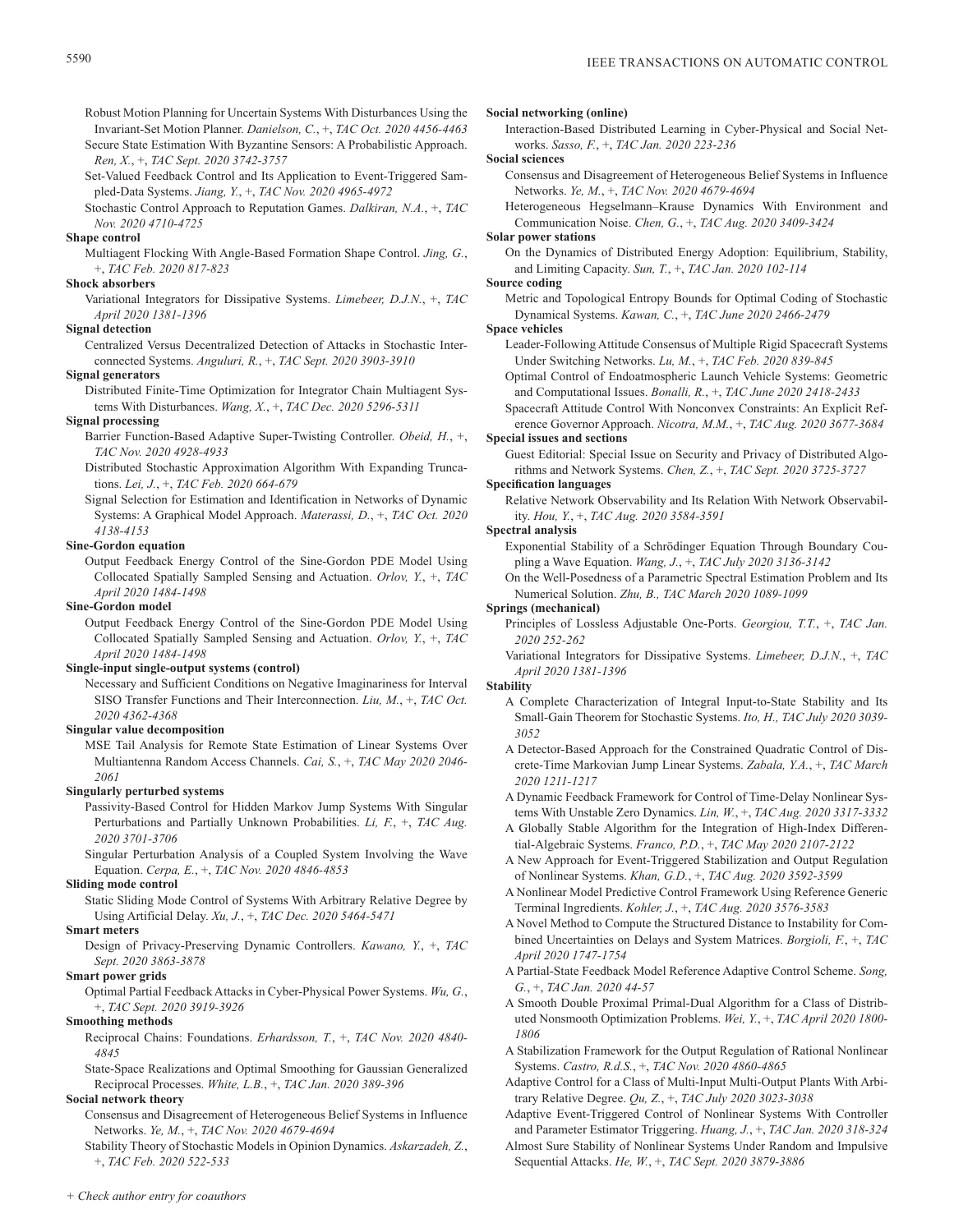Robust Motion Planning for Uncertain Systems With Disturbances Using the Invariant-Set Motion Planner. *Danielson, C.*, +, *TAC Oct. 2020 4456-4463*

Secure State Estimation With Byzantine Sensors: A Probabilistic Approach. *Ren, X.*, +, *TAC Sept. 2020 3742-3757*

Set-Valued Feedback Control and Its Application to Event-Triggered Sampled-Data Systems. *Jiang, Y.*, +, *TAC Nov. 2020 4965-4972*

Stochastic Control Approach to Reputation Games. *Dalkiran, N.A.*, +, *TAC Nov. 2020 4710-4725*

## **Shape control**

Multiagent Flocking With Angle-Based Formation Shape Control. *Jing, G.*, +, *TAC Feb. 2020 817-823*

## **Shock absorbers**

Variational Integrators for Dissipative Systems. *Limebeer, D.J.N.*, +, *TAC April 2020 1381-1396*

## **Signal detection**

Centralized Versus Decentralized Detection of Attacks in Stochastic Interconnected Systems. *Anguluri, R.*, +, *TAC Sept. 2020 3903-3910*

#### **Signal generators**

Distributed Finite-Time Optimization for Integrator Chain Multiagent Systems With Disturbances. *Wang, X.*, +, *TAC Dec. 2020 5296-5311*

## **Signal processing**

Barrier Function-Based Adaptive Super-Twisting Controller. *Obeid, H.*, +, *TAC Nov. 2020 4928-4933*

- Distributed Stochastic Approximation Algorithm With Expanding Truncations. *Lei, J.*, +, *TAC Feb. 2020 664-679*
- Signal Selection for Estimation and Identification in Networks of Dynamic Systems: A Graphical Model Approach. *Materassi, D.*, +, *TAC Oct. 2020 4138-4153*

#### **Sine-Gordon equation**

Output Feedback Energy Control of the Sine-Gordon PDE Model Using Collocated Spatially Sampled Sensing and Actuation. *Orlov, Y.*, +, *TAC April 2020 1484-1498*

## **Sine-Gordon model**

Output Feedback Energy Control of the Sine-Gordon PDE Model Using Collocated Spatially Sampled Sensing and Actuation. *Orlov, Y.*, +, *TAC April 2020 1484-1498*

#### **Single-input single-output systems (control)**

Necessary and Sufficient Conditions on Negative Imaginariness for Interval SISO Transfer Functions and Their Interconnection. *Liu, M.*, +, *TAC Oct. 2020 4362-4368*

## **Singular value decomposition**

MSE Tail Analysis for Remote State Estimation of Linear Systems Over Multiantenna Random Access Channels. *Cai, S.*, +, *TAC May 2020 2046- 2061*

#### **Singularly perturbed systems**

Passivity-Based Control for Hidden Markov Jump Systems With Singular Perturbations and Partially Unknown Probabilities. *Li, F.*, +, *TAC Aug. 2020 3701-3706*

Singular Perturbation Analysis of a Coupled System Involving the Wave Equation. *Cerpa, E.*, +, *TAC Nov. 2020 4846-4853*

#### **Sliding mode control**

Static Sliding Mode Control of Systems With Arbitrary Relative Degree by Using Artificial Delay. *Xu, J.*, +, *TAC Dec. 2020 5464-5471*

## **Smart meters**

Design of Privacy-Preserving Dynamic Controllers. *Kawano, Y.*, +, *TAC Sept. 2020 3863-3878*

## **Smart power grids**

Optimal Partial Feedback Attacks in Cyber-Physical Power Systems. *Wu, G.*, +, *TAC Sept. 2020 3919-3926*

## **Smoothing methods**

Reciprocal Chains: Foundations. *Erhardsson, T.*, +, *TAC Nov. 2020 4840- 4845*

State-Space Realizations and Optimal Smoothing for Gaussian Generalized Reciprocal Processes. *White, L.B.*, +, *TAC Jan. 2020 389-396*

## **Social network theory**

Consensus and Disagreement of Heterogeneous Belief Systems in Influence Networks. *Ye, M.*, +, *TAC Nov. 2020 4679-4694*

Stability Theory of Stochastic Models in Opinion Dynamics. *Askarzadeh, Z.*, +, *TAC Feb. 2020 522-533*

#### **Social networking (online)**

Interaction-Based Distributed Learning in Cyber-Physical and Social Networks. *Sasso, F.*, +, *TAC Jan. 2020 223-236*

**Social sciences**

Consensus and Disagreement of Heterogeneous Belief Systems in Influence Networks. *Ye, M.*, +, *TAC Nov. 2020 4679-4694*

Heterogeneous Hegselmann–Krause Dynamics With Environment and Communication Noise. *Chen, G.*, +, *TAC Aug. 2020 3409-3424*

## **Solar power stations**

On the Dynamics of Distributed Energy Adoption: Equilibrium, Stability, and Limiting Capacity. *Sun, T.*, +, *TAC Jan. 2020 102-114*

## **Source coding**

Metric and Topological Entropy Bounds for Optimal Coding of Stochastic Dynamical Systems. *Kawan, C.*, +, *TAC June 2020 2466-2479*

#### **Space vehicles**

- Leader-Following Attitude Consensus of Multiple Rigid Spacecraft Systems Under Switching Networks. *Lu, M.*, +, *TAC Feb. 2020 839-845*
- Optimal Control of Endoatmospheric Launch Vehicle Systems: Geometric and Computational Issues. *Bonalli, R.*, +, *TAC June 2020 2418-2433*

Spacecraft Attitude Control With Nonconvex Constraints: An Explicit Reference Governor Approach. *Nicotra, M.M.*, +, *TAC Aug. 2020 3677-3684*

# **Special issues and sections**

Guest Editorial: Special Issue on Security and Privacy of Distributed Algorithms and Network Systems. *Chen, Z.*, +, *TAC Sept. 2020 3725-3727*

## **Specification languages**

Relative Network Observability and Its Relation With Network Observability. *Hou, Y.*, +, *TAC Aug. 2020 3584-3591*

#### **Spectral analysis**

- Exponential Stability of a Schrödinger Equation Through Boundary Coupling a Wave Equation. *Wang, J.*, +, *TAC July 2020 3136-3142*
- On the Well-Posedness of a Parametric Spectral Estimation Problem and Its Numerical Solution. *Zhu, B., TAC March 2020 1089-1099*

## **Springs (mechanical)**

- Principles of Lossless Adjustable One-Ports. *Georgiou, T.T.*, +, *TAC Jan. 2020 252-262*
- Variational Integrators for Dissipative Systems. *Limebeer, D.J.N.*, +, *TAC April 2020 1381-1396*

## **Stability**

- A Complete Characterization of Integral Input-to-State Stability and Its Small-Gain Theorem for Stochastic Systems. *Ito, H., TAC July 2020 3039- 3052*
- A Detector-Based Approach for the Constrained Quadratic Control of Discrete-Time Markovian Jump Linear Systems. *Zabala, Y.A.*, +, *TAC March 2020 1211-1217*

A Dynamic Feedback Framework for Control of Time-Delay Nonlinear Systems With Unstable Zero Dynamics. *Lin, W.*, +, *TAC Aug. 2020 3317-3332*

- A Globally Stable Algorithm for the Integration of High-Index Differential-Algebraic Systems. *Franco, P.D.*, +, *TAC May 2020 2107-2122*
- A New Approach for Event-Triggered Stabilization and Output Regulation of Nonlinear Systems. *Khan, G.D.*, +, *TAC Aug. 2020 3592-3599*
- A Nonlinear Model Predictive Control Framework Using Reference Generic Terminal Ingredients. *Kohler, J.*, +, *TAC Aug. 2020 3576-3583*
- A Novel Method to Compute the Structured Distance to Instability for Combined Uncertainties on Delays and System Matrices. *Borgioli, F.*, +, *TAC April 2020 1747-1754*
- A Partial-State Feedback Model Reference Adaptive Control Scheme. *Song, G.*, +, *TAC Jan. 2020 44-57*
- A Smooth Double Proximal Primal-Dual Algorithm for a Class of Distributed Nonsmooth Optimization Problems. *Wei, Y.*, +, *TAC April 2020 1800- 1806*
- A Stabilization Framework for the Output Regulation of Rational Nonlinear Systems. *Castro, R.d.S.*, +, *TAC Nov. 2020 4860-4865*
- Adaptive Control for a Class of Multi-Input Multi-Output Plants With Arbitrary Relative Degree. *Qu, Z.*, +, *TAC July 2020 3023-3038*
- Adaptive Event-Triggered Control of Nonlinear Systems With Controller and Parameter Estimator Triggering. *Huang, J.*, +, *TAC Jan. 2020 318-324*
- Almost Sure Stability of Nonlinear Systems Under Random and Impulsive Sequential Attacks. *He, W.*, +, *TAC Sept. 2020 3879-3886*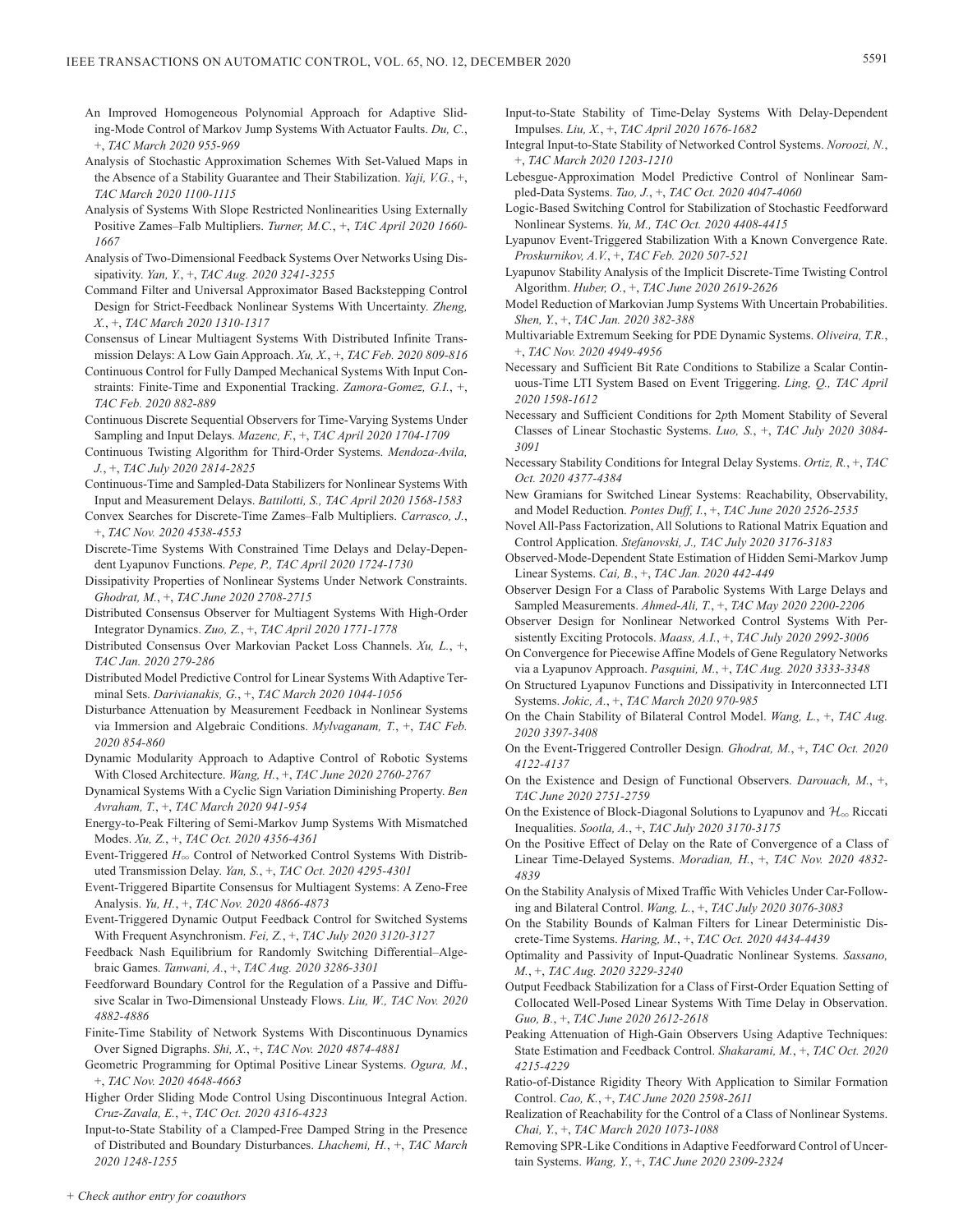- An Improved Homogeneous Polynomial Approach for Adaptive Sliding-Mode Control of Markov Jump Systems With Actuator Faults. *Du, C.*, +, *TAC March 2020 955-969*
- Analysis of Stochastic Approximation Schemes With Set-Valued Maps in the Absence of a Stability Guarantee and Their Stabilization. *Yaji, V.G.*, +, *TAC March 2020 1100-1115*
- Analysis of Systems With Slope Restricted Nonlinearities Using Externally Positive Zames–Falb Multipliers. *Turner, M.C.*, +, *TAC April 2020 1660- 1667*
- Analysis of Two-Dimensional Feedback Systems Over Networks Using Dissipativity. *Yan, Y.*, +, *TAC Aug. 2020 3241-3255*
- Command Filter and Universal Approximator Based Backstepping Control Design for Strict-Feedback Nonlinear Systems With Uncertainty. *Zheng, X.*, +, *TAC March 2020 1310-1317*
- Consensus of Linear Multiagent Systems With Distributed Infinite Transmission Delays: A Low Gain Approach. *Xu, X.*, +, *TAC Feb. 2020 809-816*
- Continuous Control for Fully Damped Mechanical Systems With Input Constraints: Finite-Time and Exponential Tracking. *Zamora-Gomez, G.I.*, +, *TAC Feb. 2020 882-889*
- Continuous Discrete Sequential Observers for Time-Varying Systems Under Sampling and Input Delays. *Mazenc, F.*, +, *TAC April 2020 1704-1709*
- Continuous Twisting Algorithm for Third-Order Systems. *Mendoza-Avila, J.*, +, *TAC July 2020 2814-2825*
- Continuous-Time and Sampled-Data Stabilizers for Nonlinear Systems With Input and Measurement Delays. *Battilotti, S., TAC April 2020 1568-1583*
- Convex Searches for Discrete-Time Zames–Falb Multipliers. *Carrasco, J.*, +, *TAC Nov. 2020 4538-4553*
- Discrete-Time Systems With Constrained Time Delays and Delay-Dependent Lyapunov Functions. *Pepe, P., TAC April 2020 1724-1730*
- Dissipativity Properties of Nonlinear Systems Under Network Constraints. *Ghodrat, M.*, +, *TAC June 2020 2708-2715*
- Distributed Consensus Observer for Multiagent Systems With High-Order Integrator Dynamics. *Zuo, Z.*, +, *TAC April 2020 1771-1778*
- Distributed Consensus Over Markovian Packet Loss Channels. *Xu, L.*, +, *TAC Jan. 2020 279-286*
- Distributed Model Predictive Control for Linear Systems With Adaptive Terminal Sets. *Darivianakis, G.*, +, *TAC March 2020 1044-1056*
- Disturbance Attenuation by Measurement Feedback in Nonlinear Systems via Immersion and Algebraic Conditions. *Mylvaganam, T.*, +, *TAC Feb. 2020 854-860*
- Dynamic Modularity Approach to Adaptive Control of Robotic Systems With Closed Architecture. *Wang, H.*, +, *TAC June 2020 2760-2767*
- Dynamical Systems With a Cyclic Sign Variation Diminishing Property. *Ben Avraham, T.*, +, *TAC March 2020 941-954*
- Energy-to-Peak Filtering of Semi-Markov Jump Systems With Mismatched Modes. *Xu, Z.*, +, *TAC Oct. 2020 4356-4361*
- Event-Triggered  $H_{\infty}$  Control of Networked Control Systems With Distributed Transmission Delay. *Yan, S.*, +, *TAC Oct. 2020 4295-4301*
- Event-Triggered Bipartite Consensus for Multiagent Systems: A Zeno-Free Analysis. *Yu, H.*, +, *TAC Nov. 2020 4866-4873*
- Event-Triggered Dynamic Output Feedback Control for Switched Systems With Frequent Asynchronism. *Fei, Z.*, +, *TAC July 2020 3120-3127*
- Feedback Nash Equilibrium for Randomly Switching Differential–Algebraic Games. *Tanwani, A.*, +, *TAC Aug. 2020 3286-3301*
- Feedforward Boundary Control for the Regulation of a Passive and Diffusive Scalar in Two-Dimensional Unsteady Flows. *Liu, W., TAC Nov. 2020 4882-4886*
- Finite-Time Stability of Network Systems With Discontinuous Dynamics Over Signed Digraphs. *Shi, X.*, +, *TAC Nov. 2020 4874-4881*
- Geometric Programming for Optimal Positive Linear Systems. *Ogura, M.*, +, *TAC Nov. 2020 4648-4663*
- Higher Order Sliding Mode Control Using Discontinuous Integral Action. *Cruz-Zavala, E.*, +, *TAC Oct. 2020 4316-4323*
- Input-to-State Stability of a Clamped-Free Damped String in the Presence of Distributed and Boundary Disturbances. *Lhachemi, H.*, +, *TAC March 2020 1248-1255*
- Input-to-State Stability of Time-Delay Systems With Delay-Dependent Impulses. *Liu, X.*, +, *TAC April 2020 1676-1682*
- Integral Input-to-State Stability of Networked Control Systems. *Noroozi, N.*, +, *TAC March 2020 1203-1210*
- Lebesgue-Approximation Model Predictive Control of Nonlinear Sampled-Data Systems. *Tao, J.*, +, *TAC Oct. 2020 4047-4060*
- Logic-Based Switching Control for Stabilization of Stochastic Feedforward Nonlinear Systems. *Yu, M., TAC Oct. 2020 4408-4415*
- Lyapunov Event-Triggered Stabilization With a Known Convergence Rate. *Proskurnikov, A.V.*, +, *TAC Feb. 2020 507-521*
- Lyapunov Stability Analysis of the Implicit Discrete-Time Twisting Control Algorithm. *Huber, O.*, +, *TAC June 2020 2619-2626*
- Model Reduction of Markovian Jump Systems With Uncertain Probabilities. *Shen, Y.*, +, *TAC Jan. 2020 382-388*
- Multivariable Extremum Seeking for PDE Dynamic Systems. *Oliveira, T.R.*, +, *TAC Nov. 2020 4949-4956*
- Necessary and Sufficient Bit Rate Conditions to Stabilize a Scalar Continuous-Time LTI System Based on Event Triggering. *Ling, Q., TAC April 2020 1598-1612*
- Necessary and Sufficient Conditions for 2*p*th Moment Stability of Several Classes of Linear Stochastic Systems. *Luo, S.*, +, *TAC July 2020 3084- 3091*
- Necessary Stability Conditions for Integral Delay Systems. *Ortiz, R.*, +, *TAC Oct. 2020 4377-4384*
- New Gramians for Switched Linear Systems: Reachability, Observability, and Model Reduction. *Pontes Duff, I.*, +, *TAC June 2020 2526-2535*
- Novel All-Pass Factorization, All Solutions to Rational Matrix Equation and Control Application. *Stefanovski, J., TAC July 2020 3176-3183*
- Observed-Mode-Dependent State Estimation of Hidden Semi-Markov Jump Linear Systems. *Cai, B.*, +, *TAC Jan. 2020 442-449*
- Observer Design For a Class of Parabolic Systems With Large Delays and Sampled Measurements. *Ahmed-Ali, T.*, +, *TAC May 2020 2200-2206*
- Observer Design for Nonlinear Networked Control Systems With Persistently Exciting Protocols. *Maass, A.I.*, +, *TAC July 2020 2992-3006*
- On Convergence for Piecewise Affine Models of Gene Regulatory Networks via a Lyapunov Approach. *Pasquini, M.*, +, *TAC Aug. 2020 3333-3348*
- On Structured Lyapunov Functions and Dissipativity in Interconnected LTI Systems. *Jokic, A.*, +, *TAC March 2020 970-985*
- On the Chain Stability of Bilateral Control Model. *Wang, L.*, +, *TAC Aug. 2020 3397-3408*
- On the Event-Triggered Controller Design. *Ghodrat, M.*, +, *TAC Oct. 2020 4122-4137*
- On the Existence and Design of Functional Observers. *Darouach, M.*, +, *TAC June 2020 2751-2759*
- On the Existence of Block-Diagonal Solutions to Lyapunov and  $\mathcal{H}_{\infty}$  Riccati Inequalities. *Sootla, A.*, +, *TAC July 2020 3170-3175*
- On the Positive Effect of Delay on the Rate of Convergence of a Class of Linear Time-Delayed Systems. *Moradian, H.*, +, *TAC Nov. 2020 4832- 4839*
- On the Stability Analysis of Mixed Traffic With Vehicles Under Car-Following and Bilateral Control. *Wang, L.*, +, *TAC July 2020 3076-3083*
- On the Stability Bounds of Kalman Filters for Linear Deterministic Discrete-Time Systems. *Haring, M.*, +, *TAC Oct. 2020 4434-4439*
- Optimality and Passivity of Input-Quadratic Nonlinear Systems. *Sassano, M.*, +, *TAC Aug. 2020 3229-3240*
- Output Feedback Stabilization for a Class of First-Order Equation Setting of Collocated Well-Posed Linear Systems With Time Delay in Observation. *Guo, B.*, +, *TAC June 2020 2612-2618*
- Peaking Attenuation of High-Gain Observers Using Adaptive Techniques: State Estimation and Feedback Control. *Shakarami, M.*, +, *TAC Oct. 2020 4215-4229*
- Ratio-of-Distance Rigidity Theory With Application to Similar Formation Control. *Cao, K.*, +, *TAC June 2020 2598-2611*
- Realization of Reachability for the Control of a Class of Nonlinear Systems. *Chai, Y.*, +, *TAC March 2020 1073-1088*
- Removing SPR-Like Conditions in Adaptive Feedforward Control of Uncertain Systems. *Wang, Y.*, +, *TAC June 2020 2309-2324*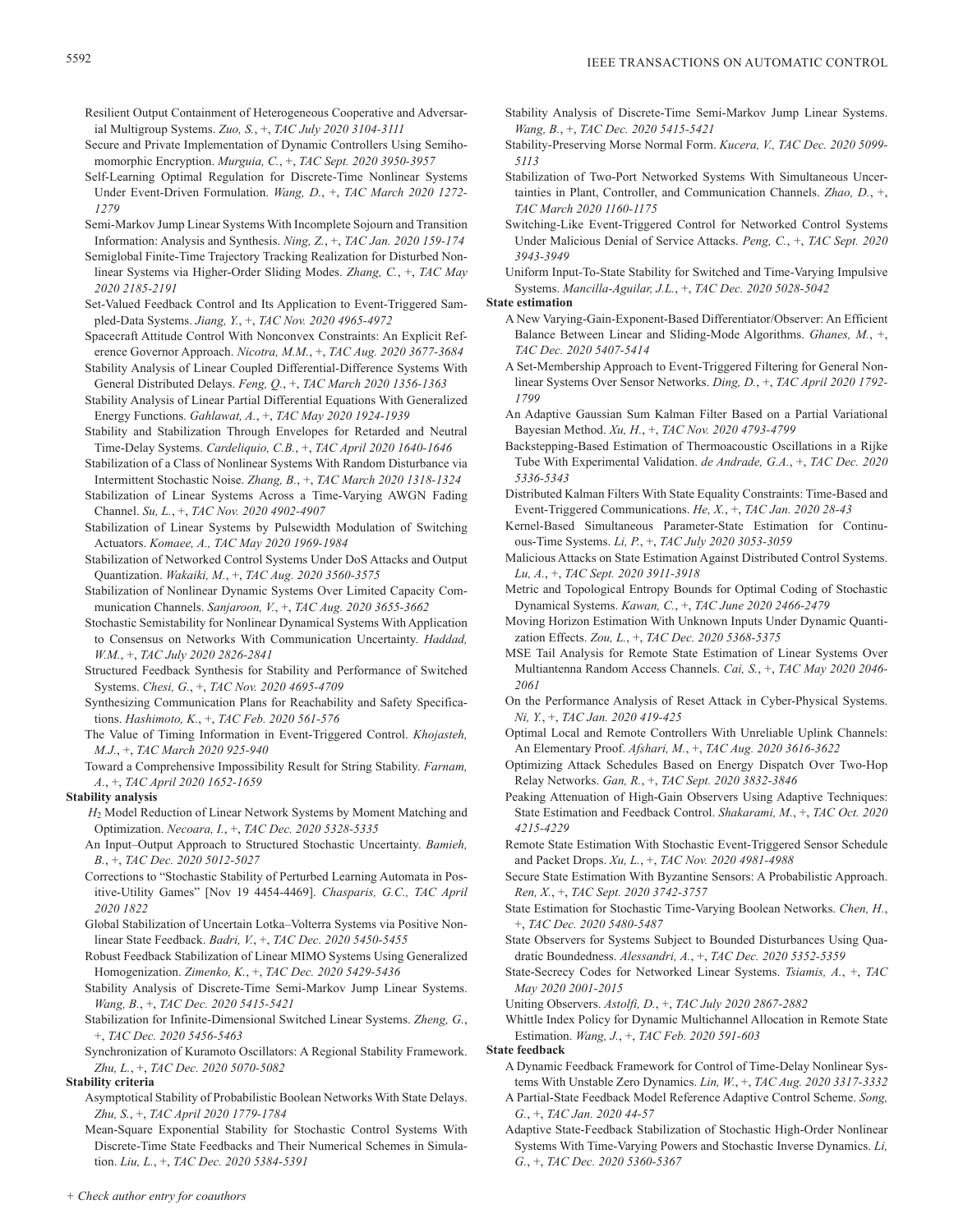Resilient Output Containment of Heterogeneous Cooperative and Adversarial Multigroup Systems. *Zuo, S.*, +, *TAC July 2020 3104-3111*

- Secure and Private Implementation of Dynamic Controllers Using Semihomomorphic Encryption. *Murguia, C.*, +, *TAC Sept. 2020 3950-3957*
- Self-Learning Optimal Regulation for Discrete-Time Nonlinear Systems Under Event-Driven Formulation. *Wang, D.*, +, *TAC March 2020 1272- 1279*
- Semi-Markov Jump Linear Systems With Incomplete Sojourn and Transition Information: Analysis and Synthesis. *Ning, Z.*, +, *TAC Jan. 2020 159-174*
- Semiglobal Finite-Time Trajectory Tracking Realization for Disturbed Nonlinear Systems via Higher-Order Sliding Modes. *Zhang, C.*, +, *TAC May 2020 2185-2191*
- Set-Valued Feedback Control and Its Application to Event-Triggered Sampled-Data Systems. *Jiang, Y.*, +, *TAC Nov. 2020 4965-4972*
- Spacecraft Attitude Control With Nonconvex Constraints: An Explicit Reference Governor Approach. *Nicotra, M.M.*, +, *TAC Aug. 2020 3677-3684*

Stability Analysis of Linear Coupled Differential-Difference Systems With General Distributed Delays. *Feng, Q.*, +, *TAC March 2020 1356-1363*

Stability Analysis of Linear Partial Differential Equations With Generalized Energy Functions. *Gahlawat, A.*, +, *TAC May 2020 1924-1939*

Stability and Stabilization Through Envelopes for Retarded and Neutral Time-Delay Systems. *Cardeliquio, C.B.*, +, *TAC April 2020 1640-1646*

- Stabilization of a Class of Nonlinear Systems With Random Disturbance via Intermittent Stochastic Noise. *Zhang, B.*, +, *TAC March 2020 1318-1324*
- Stabilization of Linear Systems Across a Time-Varying AWGN Fading Channel. *Su, L.*, +, *TAC Nov. 2020 4902-4907*

Stabilization of Linear Systems by Pulsewidth Modulation of Switching Actuators. *Komaee, A., TAC May 2020 1969-1984*

Stabilization of Networked Control Systems Under DoS Attacks and Output Quantization. *Wakaiki, M.*, +, *TAC Aug. 2020 3560-3575*

- Stabilization of Nonlinear Dynamic Systems Over Limited Capacity Communication Channels. *Sanjaroon, V.*, +, *TAC Aug. 2020 3655-3662*
- Stochastic Semistability for Nonlinear Dynamical Systems With Application to Consensus on Networks With Communication Uncertainty. *Haddad, W.M.*, +, *TAC July 2020 2826-2841*
- Structured Feedback Synthesis for Stability and Performance of Switched Systems. *Chesi, G.*, +, *TAC Nov. 2020 4695-4709*
- Synthesizing Communication Plans for Reachability and Safety Specifications. *Hashimoto, K.*, +, *TAC Feb. 2020 561-576*
- The Value of Timing Information in Event-Triggered Control. *Khojasteh, M.J.*, +, *TAC March 2020 925-940*
- Toward a Comprehensive Impossibility Result for String Stability. *Farnam, A.*, +, *TAC April 2020 1652-1659*

## **Stability analysis**

*H*2 Model Reduction of Linear Network Systems by Moment Matching and Optimization. *Necoara, I.*, +, *TAC Dec. 2020 5328-5335*

An Input–Output Approach to Structured Stochastic Uncertainty. *Bamieh, B.*, +, *TAC Dec. 2020 5012-5027*

Corrections to "Stochastic Stability of Perturbed Learning Automata in Positive-Utility Games" [Nov 19 4454-4469]. *Chasparis, G.C., TAC April 2020 1822*

Global Stabilization of Uncertain Lotka–Volterra Systems via Positive Nonlinear State Feedback. *Badri, V.*, +, *TAC Dec. 2020 5450-5455*

- Robust Feedback Stabilization of Linear MIMO Systems Using Generalized Homogenization. *Zimenko, K.*, +, *TAC Dec. 2020 5429-5436*
- Stability Analysis of Discrete-Time Semi-Markov Jump Linear Systems. *Wang, B.*, +, *TAC Dec. 2020 5415-5421*

Stabilization for Infinite-Dimensional Switched Linear Systems. *Zheng, G.*, +, *TAC Dec. 2020 5456-5463*

Synchronization of Kuramoto Oscillators: A Regional Stability Framework. *Zhu, L.*, +, *TAC Dec. 2020 5070-5082*

#### **Stability criteria**

- Asymptotical Stability of Probabilistic Boolean Networks With State Delays. *Zhu, S.*, +, *TAC April 2020 1779-1784*
- Mean-Square Exponential Stability for Stochastic Control Systems With Discrete-Time State Feedbacks and Their Numerical Schemes in Simulation. *Liu, L.*, +, *TAC Dec. 2020 5384-5391*
- Stability Analysis of Discrete-Time Semi-Markov Jump Linear Systems. *Wang, B.*, +, *TAC Dec. 2020 5415-5421*
- Stability-Preserving Morse Normal Form. *Kucera, V., TAC Dec. 2020 5099- 5113*
- Stabilization of Two-Port Networked Systems With Simultaneous Uncertainties in Plant, Controller, and Communication Channels. *Zhao, D.*, +, *TAC March 2020 1160-1175*
- Switching-Like Event-Triggered Control for Networked Control Systems Under Malicious Denial of Service Attacks. *Peng, C.*, +, *TAC Sept. 2020 3943-3949*
- Uniform Input-To-State Stability for Switched and Time-Varying Impulsive Systems. *Mancilla-Aguilar, J.L.*, +, *TAC Dec. 2020 5028-5042*

#### **State estimation**

- A New Varying-Gain-Exponent-Based Differentiator/Observer: An Efficient Balance Between Linear and Sliding-Mode Algorithms. *Ghanes, M.*, +, *TAC Dec. 2020 5407-5414*
- A Set-Membership Approach to Event-Triggered Filtering for General Nonlinear Systems Over Sensor Networks. *Ding, D.*, +, *TAC April 2020 1792- 1799*
- An Adaptive Gaussian Sum Kalman Filter Based on a Partial Variational Bayesian Method. *Xu, H.*, +, *TAC Nov. 2020 4793-4799*
- Backstepping-Based Estimation of Thermoacoustic Oscillations in a Rijke Tube With Experimental Validation. *de Andrade, G.A.*, +, *TAC Dec. 2020 5336-5343*
- Distributed Kalman Filters With State Equality Constraints: Time-Based and Event-Triggered Communications. *He, X.*, +, *TAC Jan. 2020 28-43*
- Kernel-Based Simultaneous Parameter-State Estimation for Continuous-Time Systems. *Li, P.*, +, *TAC July 2020 3053-3059*
- Malicious Attacks on State Estimation Against Distributed Control Systems. *Lu, A.*, +, *TAC Sept. 2020 3911-3918*
- Metric and Topological Entropy Bounds for Optimal Coding of Stochastic Dynamical Systems. *Kawan, C.*, +, *TAC June 2020 2466-2479*
- Moving Horizon Estimation With Unknown Inputs Under Dynamic Quantization Effects. *Zou, L.*, +, *TAC Dec. 2020 5368-5375*
- MSE Tail Analysis for Remote State Estimation of Linear Systems Over Multiantenna Random Access Channels. *Cai, S.*, +, *TAC May 2020 2046- 2061*
- On the Performance Analysis of Reset Attack in Cyber-Physical Systems. *Ni, Y.*, +, *TAC Jan. 2020 419-425*
- Optimal Local and Remote Controllers With Unreliable Uplink Channels: An Elementary Proof. *Afshari, M.*, +, *TAC Aug. 2020 3616-3622*
- Optimizing Attack Schedules Based on Energy Dispatch Over Two-Hop Relay Networks. *Gan, R.*, +, *TAC Sept. 2020 3832-3846*
- Peaking Attenuation of High-Gain Observers Using Adaptive Techniques: State Estimation and Feedback Control. *Shakarami, M.*, +, *TAC Oct. 2020 4215-4229*
- Remote State Estimation With Stochastic Event-Triggered Sensor Schedule and Packet Drops. *Xu, L.*, +, *TAC Nov. 2020 4981-4988*
- Secure State Estimation With Byzantine Sensors: A Probabilistic Approach. *Ren, X.*, +, *TAC Sept. 2020 3742-3757*
- State Estimation for Stochastic Time-Varying Boolean Networks. *Chen, H.*, +, *TAC Dec. 2020 5480-5487*
- State Observers for Systems Subject to Bounded Disturbances Using Quadratic Boundedness. *Alessandri, A.*, +, *TAC Dec. 2020 5352-5359*
- State-Secrecy Codes for Networked Linear Systems. *Tsiamis, A.*, +, *TAC May 2020 2001-2015*
- Uniting Observers. *Astolfi, D.*, +, *TAC July 2020 2867-2882*
- Whittle Index Policy for Dynamic Multichannel Allocation in Remote State Estimation. *Wang, J.*, +, *TAC Feb. 2020 591-603*

**State feedback**

- A Dynamic Feedback Framework for Control of Time-Delay Nonlinear Systems With Unstable Zero Dynamics. *Lin, W.*, +, *TAC Aug. 2020 3317-3332*
- A Partial-State Feedback Model Reference Adaptive Control Scheme. *Song, G.*, +, *TAC Jan. 2020 44-57*
- Adaptive State-Feedback Stabilization of Stochastic High-Order Nonlinear Systems With Time-Varying Powers and Stochastic Inverse Dynamics. *Li, G.*, +, *TAC Dec. 2020 5360-5367*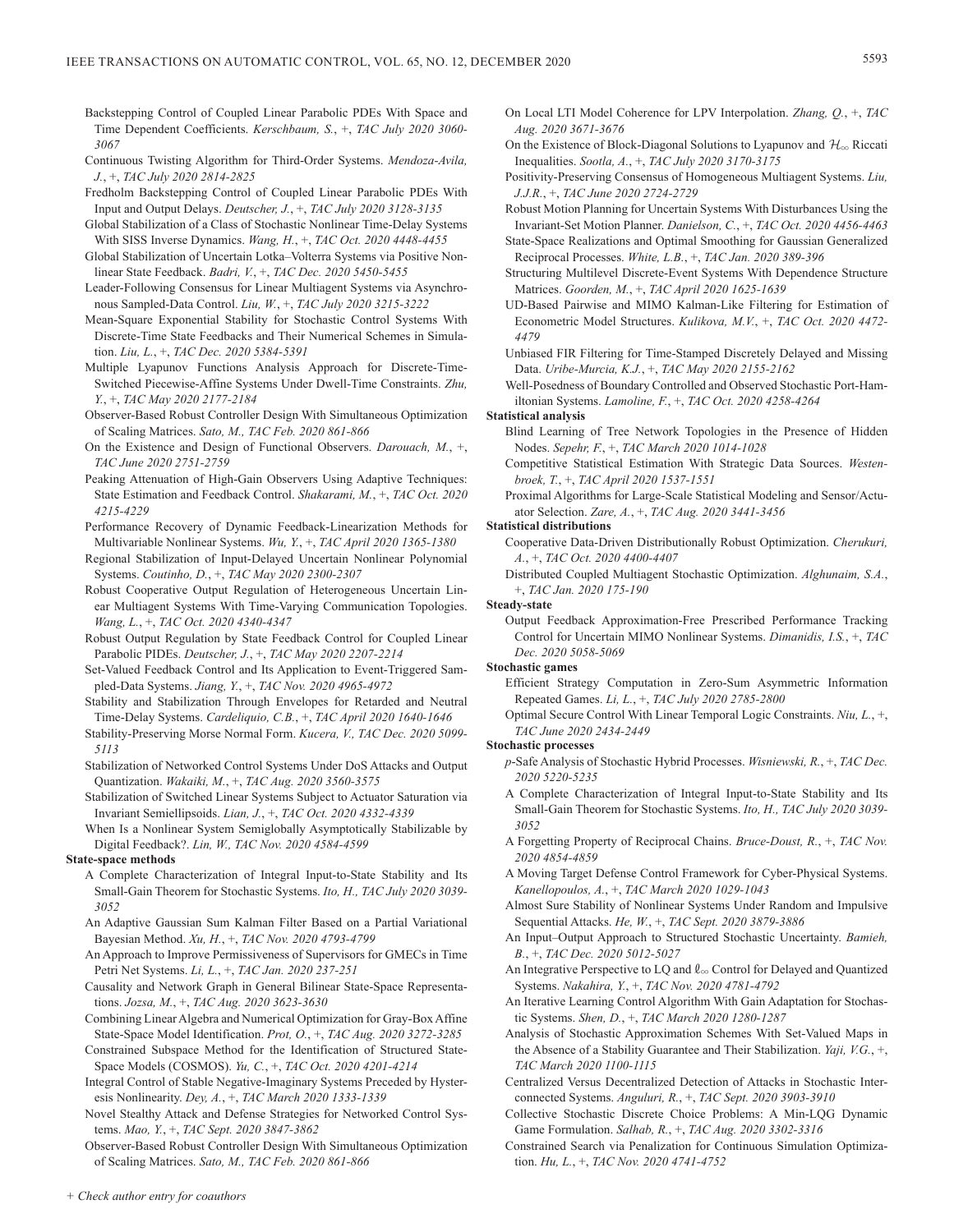- Backstepping Control of Coupled Linear Parabolic PDEs With Space and Time Dependent Coefficients. *Kerschbaum, S.*, +, *TAC July 2020 3060- 3067*
- Continuous Twisting Algorithm for Third-Order Systems. *Mendoza-Avila, J.*, +, *TAC July 2020 2814-2825*
- Fredholm Backstepping Control of Coupled Linear Parabolic PDEs With Input and Output Delays. *Deutscher, J.*, +, *TAC July 2020 3128-3135*
- Global Stabilization of a Class of Stochastic Nonlinear Time-Delay Systems With SISS Inverse Dynamics. *Wang, H.*, +, *TAC Oct. 2020 4448-4455*
- Global Stabilization of Uncertain Lotka–Volterra Systems via Positive Nonlinear State Feedback. *Badri, V.*, +, *TAC Dec. 2020 5450-5455*
- Leader-Following Consensus for Linear Multiagent Systems via Asynchronous Sampled-Data Control. *Liu, W.*, +, *TAC July 2020 3215-3222*
- Mean-Square Exponential Stability for Stochastic Control Systems With Discrete-Time State Feedbacks and Their Numerical Schemes in Simulation. *Liu, L.*, +, *TAC Dec. 2020 5384-5391*
- Multiple Lyapunov Functions Analysis Approach for Discrete-Time-Switched Piecewise-Affine Systems Under Dwell-Time Constraints. *Zhu, Y.*, +, *TAC May 2020 2177-2184*
- Observer-Based Robust Controller Design With Simultaneous Optimization of Scaling Matrices. *Sato, M., TAC Feb. 2020 861-866*
- On the Existence and Design of Functional Observers. *Darouach, M.*, +, *TAC June 2020 2751-2759*
- Peaking Attenuation of High-Gain Observers Using Adaptive Techniques: State Estimation and Feedback Control. *Shakarami, M.*, +, *TAC Oct. 2020 4215-4229*
- Performance Recovery of Dynamic Feedback-Linearization Methods for Multivariable Nonlinear Systems. *Wu, Y.*, +, *TAC April 2020 1365-1380*
- Regional Stabilization of Input-Delayed Uncertain Nonlinear Polynomial Systems. *Coutinho, D.*, +, *TAC May 2020 2300-2307*
- Robust Cooperative Output Regulation of Heterogeneous Uncertain Linear Multiagent Systems With Time-Varying Communication Topologies. *Wang, L.*, +, *TAC Oct. 2020 4340-4347*
- Robust Output Regulation by State Feedback Control for Coupled Linear Parabolic PIDEs. *Deutscher, J.*, +, *TAC May 2020 2207-2214*
- Set-Valued Feedback Control and Its Application to Event-Triggered Sampled-Data Systems. *Jiang, Y.*, +, *TAC Nov. 2020 4965-4972*
- Stability and Stabilization Through Envelopes for Retarded and Neutral Time-Delay Systems. *Cardeliquio, C.B.*, +, *TAC April 2020 1640-1646*
- Stability-Preserving Morse Normal Form. *Kucera, V., TAC Dec. 2020 5099- 5113*
- Stabilization of Networked Control Systems Under DoS Attacks and Output Quantization. *Wakaiki, M.*, +, *TAC Aug. 2020 3560-3575*
- Stabilization of Switched Linear Systems Subject to Actuator Saturation via Invariant Semiellipsoids. *Lian, J.*, +, *TAC Oct. 2020 4332-4339*
- When Is a Nonlinear System Semiglobally Asymptotically Stabilizable by Digital Feedback?. *Lin, W., TAC Nov. 2020 4584-4599*

#### **State-space methods**

- A Complete Characterization of Integral Input-to-State Stability and Its Small-Gain Theorem for Stochastic Systems. *Ito, H., TAC July 2020 3039- 3052*
- An Adaptive Gaussian Sum Kalman Filter Based on a Partial Variational Bayesian Method. *Xu, H.*, +, *TAC Nov. 2020 4793-4799*
- An Approach to Improve Permissiveness of Supervisors for GMECs in Time Petri Net Systems. *Li, L.*, +, *TAC Jan. 2020 237-251*
- Causality and Network Graph in General Bilinear State-Space Representations. *Jozsa, M.*, +, *TAC Aug. 2020 3623-3630*
- Combining Linear Algebra and Numerical Optimization for Gray-Box Affine State-Space Model Identification. *Prot, O.*, +, *TAC Aug. 2020 3272-3285*
- Constrained Subspace Method for the Identification of Structured State-Space Models (COSMOS). *Yu, C.*, +, *TAC Oct. 2020 4201-4214*
- Integral Control of Stable Negative-Imaginary Systems Preceded by Hysteresis Nonlinearity. *Dey, A.*, +, *TAC March 2020 1333-1339*
- Novel Stealthy Attack and Defense Strategies for Networked Control Systems. *Mao, Y.*, +, *TAC Sept. 2020 3847-3862*
- Observer-Based Robust Controller Design With Simultaneous Optimization of Scaling Matrices. *Sato, M., TAC Feb. 2020 861-866*
- On Local LTI Model Coherence for LPV Interpolation. *Zhang, Q.*, +, *TAC Aug. 2020 3671-3676*
- On the Existence of Block-Diagonal Solutions to Lyapunov and  $\mathcal{H}_{\infty}$  Riccati Inequalities. *Sootla, A.*, +, *TAC July 2020 3170-3175*
- Positivity-Preserving Consensus of Homogeneous Multiagent Systems. *Liu, J.J.R.*, +, *TAC June 2020 2724-2729*
- Robust Motion Planning for Uncertain Systems With Disturbances Using the Invariant-Set Motion Planner. *Danielson, C.*, +, *TAC Oct. 2020 4456-4463*
- State-Space Realizations and Optimal Smoothing for Gaussian Generalized Reciprocal Processes. *White, L.B.*, +, *TAC Jan. 2020 389-396*
- Structuring Multilevel Discrete-Event Systems With Dependence Structure Matrices. *Goorden, M.*, +, *TAC April 2020 1625-1639*
- UD-Based Pairwise and MIMO Kalman-Like Filtering for Estimation of Econometric Model Structures. *Kulikova, M.V.*, +, *TAC Oct. 2020 4472- 4479*
- Unbiased FIR Filtering for Time-Stamped Discretely Delayed and Missing Data. *Uribe-Murcia, K.J.*, +, *TAC May 2020 2155-2162*
- Well-Posedness of Boundary Controlled and Observed Stochastic Port-Hamiltonian Systems. *Lamoline, F.*, +, *TAC Oct. 2020 4258-4264*

## **Statistical analysis**

- Blind Learning of Tree Network Topologies in the Presence of Hidden Nodes. *Sepehr, F.*, +, *TAC March 2020 1014-1028*
- Competitive Statistical Estimation With Strategic Data Sources. *Westenbroek, T.*, +, *TAC April 2020 1537-1551*
- Proximal Algorithms for Large-Scale Statistical Modeling and Sensor/Actuator Selection. *Zare, A.*, +, *TAC Aug. 2020 3441-3456*

## **Statistical distributions**

- Cooperative Data-Driven Distributionally Robust Optimization. *Cherukuri, A.*, +, *TAC Oct. 2020 4400-4407*
- Distributed Coupled Multiagent Stochastic Optimization. *Alghunaim, S.A.*, +, *TAC Jan. 2020 175-190*

## **Steady-state**

Output Feedback Approximation-Free Prescribed Performance Tracking Control for Uncertain MIMO Nonlinear Systems. *Dimanidis, I.S.*, +, *TAC Dec. 2020 5058-5069*

#### **Stochastic games**

- Efficient Strategy Computation in Zero-Sum Asymmetric Information Repeated Games. *Li, L.*, +, *TAC July 2020 2785-2800*
- Optimal Secure Control With Linear Temporal Logic Constraints. *Niu, L.*, +, *TAC June 2020 2434-2449*

#### **Stochastic processes**

- *p*-Safe Analysis of Stochastic Hybrid Processes. *Wisniewski, R.*, +, *TAC Dec. 2020 5220-5235*
- A Complete Characterization of Integral Input-to-State Stability and Its Small-Gain Theorem for Stochastic Systems. *Ito, H., TAC July 2020 3039- 3052*
- A Forgetting Property of Reciprocal Chains. *Bruce-Doust, R.*, +, *TAC Nov. 2020 4854-4859*
- A Moving Target Defense Control Framework for Cyber-Physical Systems. *Kanellopoulos, A.*, +, *TAC March 2020 1029-1043*
- Almost Sure Stability of Nonlinear Systems Under Random and Impulsive Sequential Attacks. *He, W.*, +, *TAC Sept. 2020 3879-3886*
- An Input–Output Approach to Structured Stochastic Uncertainty. *Bamieh, B.*, +, *TAC Dec. 2020 5012-5027*
- An Integrative Perspective to LQ and  $\ell_{\infty}$  Control for Delayed and Quantized Systems. *Nakahira, Y.*, +, *TAC Nov. 2020 4781-4792*
- An Iterative Learning Control Algorithm With Gain Adaptation for Stochastic Systems. *Shen, D.*, +, *TAC March 2020 1280-1287*
- Analysis of Stochastic Approximation Schemes With Set-Valued Maps in the Absence of a Stability Guarantee and Their Stabilization. *Yaji, V.G.*, +, *TAC March 2020 1100-1115*
- Centralized Versus Decentralized Detection of Attacks in Stochastic Interconnected Systems. *Anguluri, R.*, +, *TAC Sept. 2020 3903-3910*
- Collective Stochastic Discrete Choice Problems: A Min-LQG Dynamic Game Formulation. *Salhab, R.*, +, *TAC Aug. 2020 3302-3316*
- Constrained Search via Penalization for Continuous Simulation Optimization. *Hu, L.*, +, *TAC Nov. 2020 4741-4752*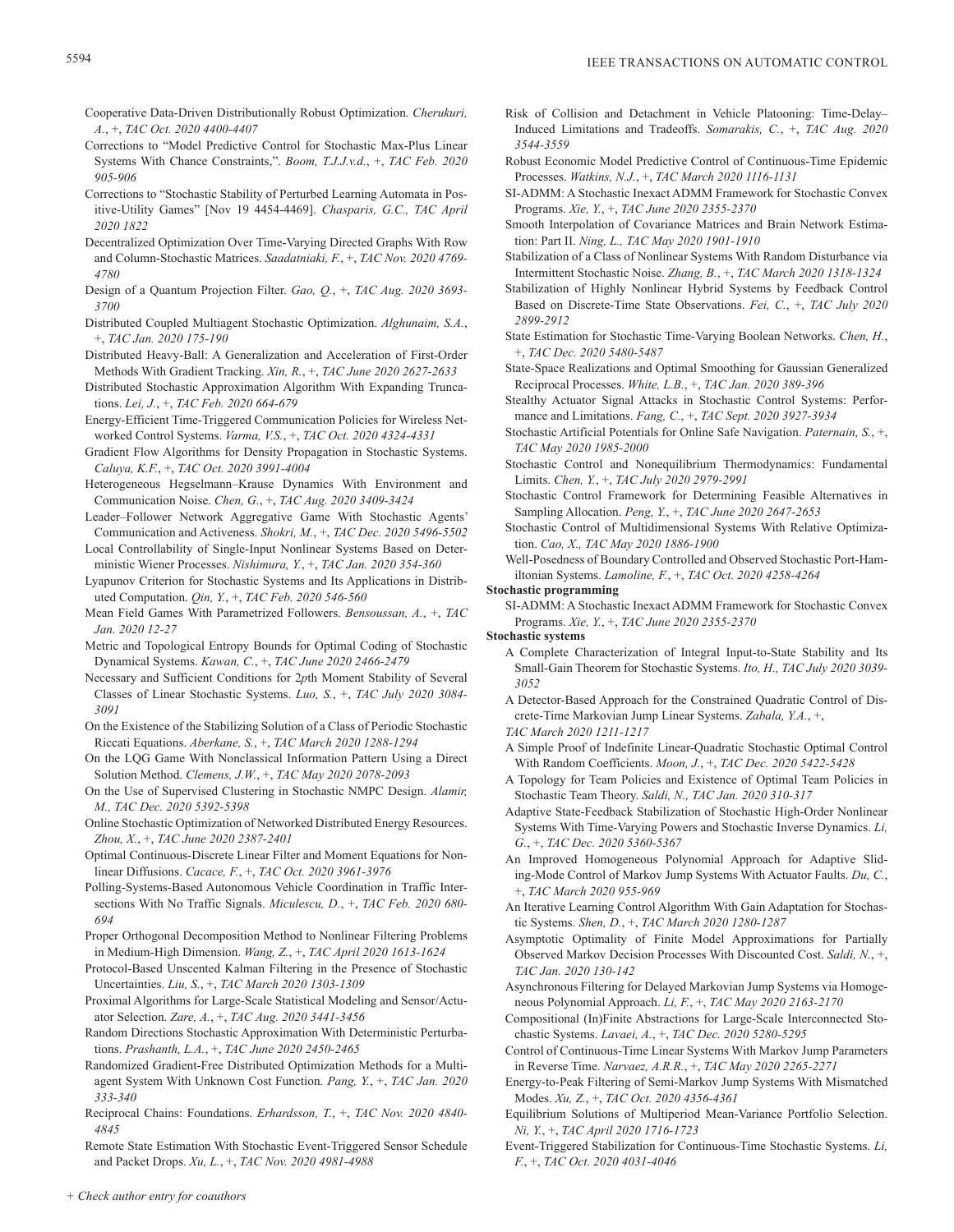- Cooperative Data-Driven Distributionally Robust Optimization. *Cherukuri, A.*, +, *TAC Oct. 2020 4400-4407*
- Corrections to "Model Predictive Control for Stochastic Max-Plus Linear Systems With Chance Constraints,". *Boom, T.J.J.v.d.*, +, *TAC Feb. 2020 905-906*
- Corrections to "Stochastic Stability of Perturbed Learning Automata in Positive-Utility Games" [Nov 19 4454-4469]. *Chasparis, G.C., TAC April 2020 1822*
- Decentralized Optimization Over Time-Varying Directed Graphs With Row and Column-Stochastic Matrices. *Saadatniaki, F.*, +, *TAC Nov. 2020 4769- 4780*
- Design of a Quantum Projection Filter. *Gao, Q.*, +, *TAC Aug. 2020 3693- 3700*
- Distributed Coupled Multiagent Stochastic Optimization. *Alghunaim, S.A.*, +, *TAC Jan. 2020 175-190*
- Distributed Heavy-Ball: A Generalization and Acceleration of First-Order Methods With Gradient Tracking. *Xin, R.*, +, *TAC June 2020 2627-2633*
- Distributed Stochastic Approximation Algorithm With Expanding Truncations. *Lei, J.*, +, *TAC Feb. 2020 664-679*
- Energy-Efficient Time-Triggered Communication Policies for Wireless Networked Control Systems. *Varma, V.S.*, +, *TAC Oct. 2020 4324-4331*
- Gradient Flow Algorithms for Density Propagation in Stochastic Systems. *Caluya, K.F.*, +, *TAC Oct. 2020 3991-4004*
- Heterogeneous Hegselmann–Krause Dynamics With Environment and Communication Noise. *Chen, G.*, +, *TAC Aug. 2020 3409-3424*
- Leader–Follower Network Aggregative Game With Stochastic Agents' Communication and Activeness. *Shokri, M.*, +, *TAC Dec. 2020 5496-5502*
- Local Controllability of Single-Input Nonlinear Systems Based on Deterministic Wiener Processes. *Nishimura, Y.*, +, *TAC Jan. 2020 354-360*
- Lyapunov Criterion for Stochastic Systems and Its Applications in Distributed Computation. *Qin, Y.*, +, *TAC Feb. 2020 546-560*
- Mean Field Games With Parametrized Followers. *Bensoussan, A.*, +, *TAC Jan. 2020 12-27*
- Metric and Topological Entropy Bounds for Optimal Coding of Stochastic Dynamical Systems. *Kawan, C.*, +, *TAC June 2020 2466-2479*
- Necessary and Sufficient Conditions for 2*p*th Moment Stability of Several Classes of Linear Stochastic Systems. *Luo, S.*, +, *TAC July 2020 3084- 3091*
- On the Existence of the Stabilizing Solution of a Class of Periodic Stochastic Riccati Equations. *Aberkane, S.*, +, *TAC March 2020 1288-1294*
- On the LQG Game With Nonclassical Information Pattern Using a Direct Solution Method. *Clemens, J.W.*, +, *TAC May 2020 2078-2093*
- On the Use of Supervised Clustering in Stochastic NMPC Design. *Alamir, M., TAC Dec. 2020 5392-5398*
- Online Stochastic Optimization of Networked Distributed Energy Resources. *Zhou, X.*, +, *TAC June 2020 2387-2401*
- Optimal Continuous-Discrete Linear Filter and Moment Equations for Nonlinear Diffusions. *Cacace, F.*, +, *TAC Oct. 2020 3961-3976*
- Polling-Systems-Based Autonomous Vehicle Coordination in Traffic Intersections With No Traffic Signals. *Miculescu, D.*, +, *TAC Feb. 2020 680- 694*
- Proper Orthogonal Decomposition Method to Nonlinear Filtering Problems in Medium-High Dimension. *Wang, Z.*, +, *TAC April 2020 1613-1624*
- Protocol-Based Unscented Kalman Filtering in the Presence of Stochastic Uncertainties. *Liu, S.*, +, *TAC March 2020 1303-1309*
- Proximal Algorithms for Large-Scale Statistical Modeling and Sensor/Actuator Selection. *Zare, A.*, +, *TAC Aug. 2020 3441-3456*
- Random Directions Stochastic Approximation With Deterministic Perturbations. *Prashanth, L.A.*, +, *TAC June 2020 2450-2465*
- Randomized Gradient-Free Distributed Optimization Methods for a Multiagent System With Unknown Cost Function. *Pang, Y.*, +, *TAC Jan. 2020 333-340*
- Reciprocal Chains: Foundations. *Erhardsson, T.*, +, *TAC Nov. 2020 4840- 4845*
- Remote State Estimation With Stochastic Event-Triggered Sensor Schedule and Packet Drops. *Xu, L.*, +, *TAC Nov. 2020 4981-4988*
- Risk of Collision and Detachment in Vehicle Platooning: Time-Delay– Induced Limitations and Tradeoffs. *Somarakis, C.*, +, *TAC Aug. 2020 3544-3559*
- Robust Economic Model Predictive Control of Continuous-Time Epidemic Processes. *Watkins, N.J.*, +, *TAC March 2020 1116-1131*
- SI-ADMM: A Stochastic Inexact ADMM Framework for Stochastic Convex Programs. *Xie, Y.*, +, *TAC June 2020 2355-2370*
- Smooth Interpolation of Covariance Matrices and Brain Network Estimation: Part II. *Ning, L., TAC May 2020 1901-1910*
- Stabilization of a Class of Nonlinear Systems With Random Disturbance via Intermittent Stochastic Noise. *Zhang, B.*, +, *TAC March 2020 1318-1324*
- Stabilization of Highly Nonlinear Hybrid Systems by Feedback Control Based on Discrete-Time State Observations. *Fei, C.*, +, *TAC July 2020 2899-2912*
- State Estimation for Stochastic Time-Varying Boolean Networks. *Chen, H.*, +, *TAC Dec. 2020 5480-5487*
- State-Space Realizations and Optimal Smoothing for Gaussian Generalized Reciprocal Processes. *White, L.B.*, +, *TAC Jan. 2020 389-396*
- Stealthy Actuator Signal Attacks in Stochastic Control Systems: Performance and Limitations. *Fang, C.*, +, *TAC Sept. 2020 3927-3934*
- Stochastic Artificial Potentials for Online Safe Navigation. *Paternain, S.*, +, *TAC May 2020 1985-2000*
- Stochastic Control and Nonequilibrium Thermodynamics: Fundamental Limits. *Chen, Y.*, +, *TAC July 2020 2979-2991*
- Stochastic Control Framework for Determining Feasible Alternatives in Sampling Allocation. *Peng, Y.*, +, *TAC June 2020 2647-2653*
- Stochastic Control of Multidimensional Systems With Relative Optimization. *Cao, X., TAC May 2020 1886-1900*
- Well-Posedness of Boundary Controlled and Observed Stochastic Port-Hamiltonian Systems. *Lamoline, F.*, +, *TAC Oct. 2020 4258-4264*
- **Stochastic programming**
	- SI-ADMM: A Stochastic Inexact ADMM Framework for Stochastic Convex Programs. *Xie, Y.*, +, *TAC June 2020 2355-2370*
- **Stochastic systems**
	- A Complete Characterization of Integral Input-to-State Stability and Its Small-Gain Theorem for Stochastic Systems. *Ito, H., TAC July 2020 3039- 3052*
	- A Detector-Based Approach for the Constrained Quadratic Control of Discrete-Time Markovian Jump Linear Systems. *Zabala, Y.A.*, +,

*TAC March 2020 1211-1217*

- A Simple Proof of Indefinite Linear-Quadratic Stochastic Optimal Control With Random Coefficients. *Moon, J.*, +, *TAC Dec. 2020 5422-5428*
- A Topology for Team Policies and Existence of Optimal Team Policies in Stochastic Team Theory. *Saldi, N., TAC Jan. 2020 310-317*
- Adaptive State-Feedback Stabilization of Stochastic High-Order Nonlinear Systems With Time-Varying Powers and Stochastic Inverse Dynamics. *Li, G.*, +, *TAC Dec. 2020 5360-5367*
- An Improved Homogeneous Polynomial Approach for Adaptive Sliding-Mode Control of Markov Jump Systems With Actuator Faults. *Du, C.*, +, *TAC March 2020 955-969*
- An Iterative Learning Control Algorithm With Gain Adaptation for Stochastic Systems. *Shen, D.*, +, *TAC March 2020 1280-1287*
- Asymptotic Optimality of Finite Model Approximations for Partially Observed Markov Decision Processes With Discounted Cost. *Saldi, N.*, +, *TAC Jan. 2020 130-142*
- Asynchronous Filtering for Delayed Markovian Jump Systems via Homogeneous Polynomial Approach. *Li, F.*, +, *TAC May 2020 2163-2170*
- Compositional (In)Finite Abstractions for Large-Scale Interconnected Stochastic Systems. *Lavaei, A.*, +, *TAC Dec. 2020 5280-5295*
- Control of Continuous-Time Linear Systems With Markov Jump Parameters in Reverse Time. *Narvaez, A.R.R.*, +, *TAC May 2020 2265-2271*
- Energy-to-Peak Filtering of Semi-Markov Jump Systems With Mismatched Modes. *Xu, Z.*, +, *TAC Oct. 2020 4356-4361*
- Equilibrium Solutions of Multiperiod Mean-Variance Portfolio Selection. *Ni, Y.*, +, *TAC April 2020 1716-1723*
- Event-Triggered Stabilization for Continuous-Time Stochastic Systems. *Li, F.*, +, *TAC Oct. 2020 4031-4046*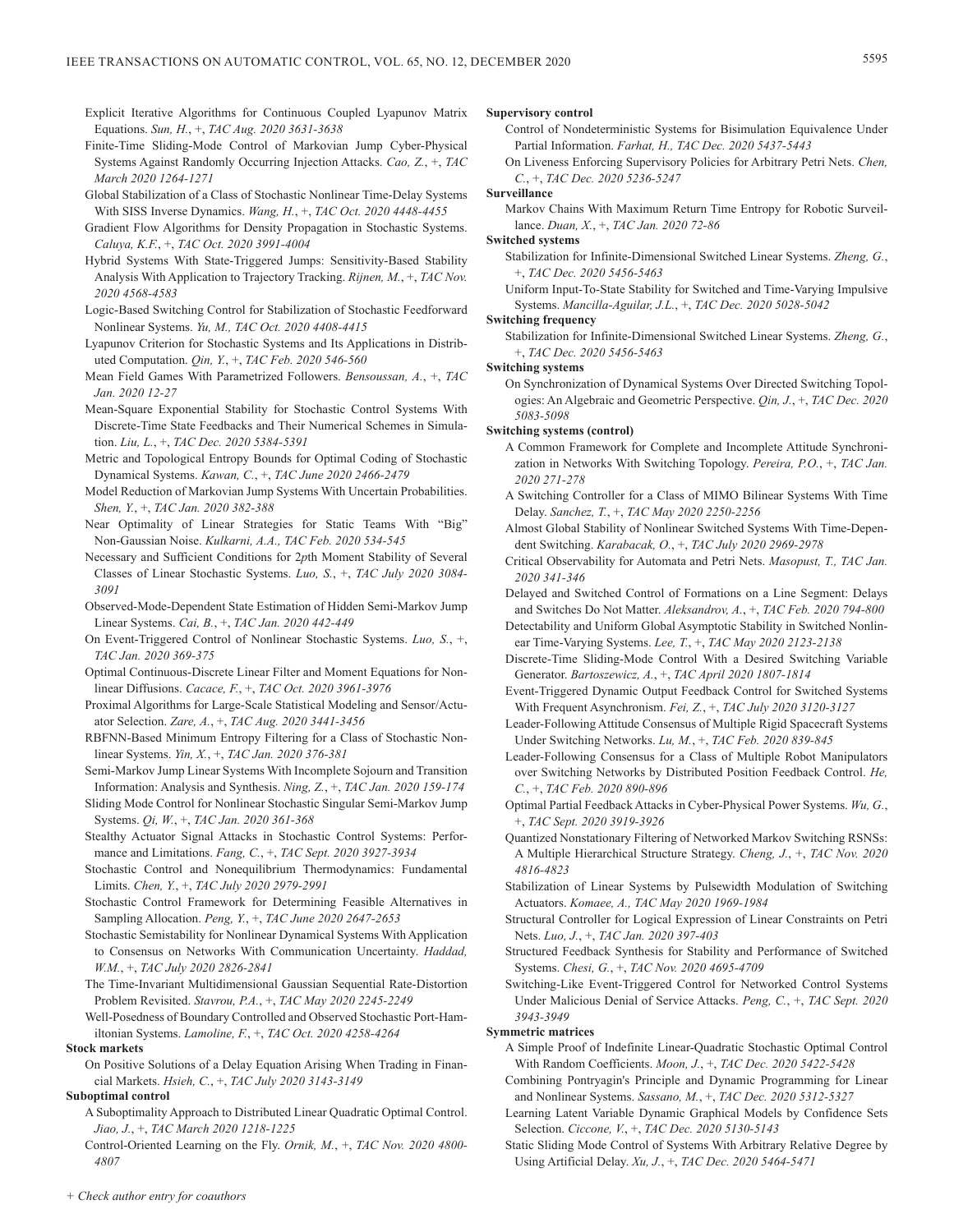- Explicit Iterative Algorithms for Continuous Coupled Lyapunov Matrix Equations. *Sun, H.*, +, *TAC Aug. 2020 3631-3638*
- Finite-Time Sliding-Mode Control of Markovian Jump Cyber-Physical Systems Against Randomly Occurring Injection Attacks. *Cao, Z.*, +, *TAC March 2020 1264-1271*
- Global Stabilization of a Class of Stochastic Nonlinear Time-Delay Systems With SISS Inverse Dynamics. *Wang, H.*, +, *TAC Oct. 2020 4448-4455*
- Gradient Flow Algorithms for Density Propagation in Stochastic Systems. *Caluya, K.F.*, +, *TAC Oct. 2020 3991-4004*
- Hybrid Systems With State-Triggered Jumps: Sensitivity-Based Stability Analysis With Application to Trajectory Tracking. *Rijnen, M.*, +, *TAC Nov. 2020 4568-4583*
- Logic-Based Switching Control for Stabilization of Stochastic Feedforward Nonlinear Systems. *Yu, M., TAC Oct. 2020 4408-4415*
- Lyapunov Criterion for Stochastic Systems and Its Applications in Distributed Computation. *Qin, Y.*, +, *TAC Feb. 2020 546-560*
- Mean Field Games With Parametrized Followers. *Bensoussan, A.*, +, *TAC Jan. 2020 12-27*
- Mean-Square Exponential Stability for Stochastic Control Systems With Discrete-Time State Feedbacks and Their Numerical Schemes in Simulation. *Liu, L.*, +, *TAC Dec. 2020 5384-5391*
- Metric and Topological Entropy Bounds for Optimal Coding of Stochastic Dynamical Systems. *Kawan, C.*, +, *TAC June 2020 2466-2479*
- Model Reduction of Markovian Jump Systems With Uncertain Probabilities. *Shen, Y.*, +, *TAC Jan. 2020 382-388*
- Near Optimality of Linear Strategies for Static Teams With "Big" Non-Gaussian Noise. *Kulkarni, A.A., TAC Feb. 2020 534-545*
- Necessary and Sufficient Conditions for 2*p*th Moment Stability of Several Classes of Linear Stochastic Systems. *Luo, S.*, +, *TAC July 2020 3084- 3091*
- Observed-Mode-Dependent State Estimation of Hidden Semi-Markov Jump Linear Systems. *Cai, B.*, +, *TAC Jan. 2020 442-449*
- On Event-Triggered Control of Nonlinear Stochastic Systems. *Luo, S.*, +, *TAC Jan. 2020 369-375*
- Optimal Continuous-Discrete Linear Filter and Moment Equations for Nonlinear Diffusions. *Cacace, F.*, +, *TAC Oct. 2020 3961-3976*
- Proximal Algorithms for Large-Scale Statistical Modeling and Sensor/Actuator Selection. *Zare, A.*, +, *TAC Aug. 2020 3441-3456*
- RBFNN-Based Minimum Entropy Filtering for a Class of Stochastic Nonlinear Systems. *Yin, X.*, +, *TAC Jan. 2020 376-381*
- Semi-Markov Jump Linear Systems With Incomplete Sojourn and Transition Information: Analysis and Synthesis. *Ning, Z.*, +, *TAC Jan. 2020 159-174*
- Sliding Mode Control for Nonlinear Stochastic Singular Semi-Markov Jump Systems. *Qi, W.*, +, *TAC Jan. 2020 361-368*
- Stealthy Actuator Signal Attacks in Stochastic Control Systems: Performance and Limitations. *Fang, C.*, +, *TAC Sept. 2020 3927-3934*
- Stochastic Control and Nonequilibrium Thermodynamics: Fundamental Limits. *Chen, Y.*, +, *TAC July 2020 2979-2991*
- Stochastic Control Framework for Determining Feasible Alternatives in Sampling Allocation. *Peng, Y.*, +, *TAC June 2020 2647-2653*
- Stochastic Semistability for Nonlinear Dynamical Systems With Application to Consensus on Networks With Communication Uncertainty. *Haddad, W.M.*, +, *TAC July 2020 2826-2841*
- The Time-Invariant Multidimensional Gaussian Sequential Rate-Distortion Problem Revisited. *Stavrou, P.A.*, +, *TAC May 2020 2245-2249*
- Well-Posedness of Boundary Controlled and Observed Stochastic Port-Hamiltonian Systems. *Lamoline, F.*, +, *TAC Oct. 2020 4258-4264*
- **Stock markets**
	- On Positive Solutions of a Delay Equation Arising When Trading in Financial Markets. *Hsieh, C.*, +, *TAC July 2020 3143-3149*

## **Suboptimal control**

- A Suboptimality Approach to Distributed Linear Quadratic Optimal Control. *Jiao, J.*, +, *TAC March 2020 1218-1225*
- Control-Oriented Learning on the Fly. *Ornik, M.*, +, *TAC Nov. 2020 4800- 4807*

## **Supervisory control**

- Control of Nondeterministic Systems for Bisimulation Equivalence Under Partial Information. *Farhat, H., TAC Dec. 2020 5437-5443*
- On Liveness Enforcing Supervisory Policies for Arbitrary Petri Nets. *Chen, C.*, +, *TAC Dec. 2020 5236-5247*

## **Surveillance**

Markov Chains With Maximum Return Time Entropy for Robotic Surveillance. *Duan, X.*, +, *TAC Jan. 2020 72-86*

## **Switched systems**

- Stabilization for Infinite-Dimensional Switched Linear Systems. *Zheng, G.*, +, *TAC Dec. 2020 5456-5463*
- Uniform Input-To-State Stability for Switched and Time-Varying Impulsive Systems. *Mancilla-Aguilar, J.L.*, +, *TAC Dec. 2020 5028-5042*

## **Switching frequency**

Stabilization for Infinite-Dimensional Switched Linear Systems. *Zheng, G.*, +, *TAC Dec. 2020 5456-5463*

**Switching systems**

On Synchronization of Dynamical Systems Over Directed Switching Topologies: An Algebraic and Geometric Perspective. *Qin, J.*, +, *TAC Dec. 2020 5083-5098*

## **Switching systems (control)**

- A Common Framework for Complete and Incomplete Attitude Synchronization in Networks With Switching Topology. *Pereira, P.O.*, +, *TAC Jan. 2020 271-278*
- A Switching Controller for a Class of MIMO Bilinear Systems With Time Delay. *Sanchez, T.*, +, *TAC May 2020 2250-2256*
- Almost Global Stability of Nonlinear Switched Systems With Time-Dependent Switching. *Karabacak, O.*, +, *TAC July 2020 2969-2978*
- Critical Observability for Automata and Petri Nets. *Masopust, T., TAC Jan. 2020 341-346*
- Delayed and Switched Control of Formations on a Line Segment: Delays and Switches Do Not Matter. *Aleksandrov, A.*, +, *TAC Feb. 2020 794-800*
- Detectability and Uniform Global Asymptotic Stability in Switched Nonlinear Time-Varying Systems. *Lee, T.*, +, *TAC May 2020 2123-2138*
- Discrete-Time Sliding-Mode Control With a Desired Switching Variable Generator. *Bartoszewicz, A.*, +, *TAC April 2020 1807-1814*
- Event-Triggered Dynamic Output Feedback Control for Switched Systems With Frequent Asynchronism. *Fei, Z.*, +, *TAC July 2020 3120-3127*
- Leader-Following Attitude Consensus of Multiple Rigid Spacecraft Systems Under Switching Networks. *Lu, M.*, +, *TAC Feb. 2020 839-845*
- Leader-Following Consensus for a Class of Multiple Robot Manipulators over Switching Networks by Distributed Position Feedback Control. *He, C.*, +, *TAC Feb. 2020 890-896*
- Optimal Partial Feedback Attacks in Cyber-Physical Power Systems. *Wu, G.*, +, *TAC Sept. 2020 3919-3926*
- Quantized Nonstationary Filtering of Networked Markov Switching RSNSs: A Multiple Hierarchical Structure Strategy. *Cheng, J.*, +, *TAC Nov. 2020 4816-4823*
- Stabilization of Linear Systems by Pulsewidth Modulation of Switching Actuators. *Komaee, A., TAC May 2020 1969-1984*
- Structural Controller for Logical Expression of Linear Constraints on Petri Nets. *Luo, J.*, +, *TAC Jan. 2020 397-403*
- Structured Feedback Synthesis for Stability and Performance of Switched Systems. *Chesi, G.*, +, *TAC Nov. 2020 4695-4709*
- Switching-Like Event-Triggered Control for Networked Control Systems Under Malicious Denial of Service Attacks. *Peng, C.*, +, *TAC Sept. 2020 3943-3949*

## **Symmetric matrices**

- A Simple Proof of Indefinite Linear-Quadratic Stochastic Optimal Control With Random Coefficients. *Moon, J.*, +, *TAC Dec. 2020 5422-5428*
- Combining Pontryagin's Principle and Dynamic Programming for Linear and Nonlinear Systems. *Sassano, M.*, +, *TAC Dec. 2020 5312-5327*
- Learning Latent Variable Dynamic Graphical Models by Confidence Sets Selection. *Ciccone, V.*, +, *TAC Dec. 2020 5130-5143*
- Static Sliding Mode Control of Systems With Arbitrary Relative Degree by Using Artificial Delay. *Xu, J.*, +, *TAC Dec. 2020 5464-5471*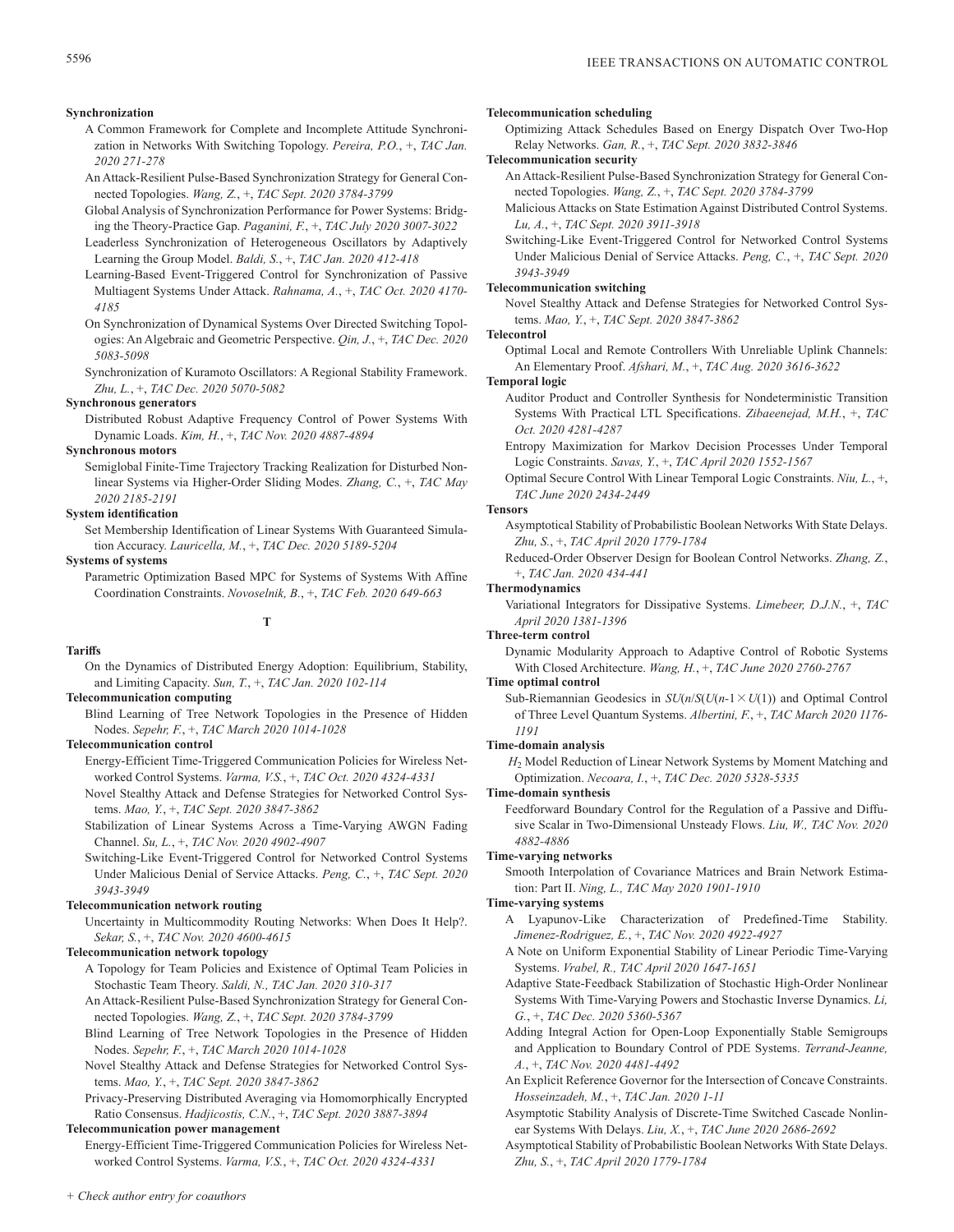## **Synchronization**

- A Common Framework for Complete and Incomplete Attitude Synchronization in Networks With Switching Topology. *Pereira, P.O.*, +, *TAC Jan. 2020 271-278*
- An Attack-Resilient Pulse-Based Synchronization Strategy for General Connected Topologies. *Wang, Z.*, +, *TAC Sept. 2020 3784-3799*
- Global Analysis of Synchronization Performance for Power Systems: Bridging the Theory-Practice Gap. *Paganini, F.*, +, *TAC July 2020 3007-3022*
- Leaderless Synchronization of Heterogeneous Oscillators by Adaptively Learning the Group Model. *Baldi, S.*, +, *TAC Jan. 2020 412-418*
- Learning-Based Event-Triggered Control for Synchronization of Passive Multiagent Systems Under Attack. *Rahnama, A.*, +, *TAC Oct. 2020 4170- 4185*
- On Synchronization of Dynamical Systems Over Directed Switching Topologies: An Algebraic and Geometric Perspective. *Qin, J.*, +, *TAC Dec. 2020 5083-5098*
- Synchronization of Kuramoto Oscillators: A Regional Stability Framework. *Zhu, L.*, +, *TAC Dec. 2020 5070-5082*

## **Synchronous generators**

Distributed Robust Adaptive Frequency Control of Power Systems With Dynamic Loads. *Kim, H.*, +, *TAC Nov. 2020 4887-4894*

#### **Synchronous motors**

Semiglobal Finite-Time Trajectory Tracking Realization for Disturbed Nonlinear Systems via Higher-Order Sliding Modes. *Zhang, C.*, +, *TAC May 2020 2185-2191*

## **System identification**

Set Membership Identification of Linear Systems With Guaranteed Simulation Accuracy. *Lauricella, M.*, +, *TAC Dec. 2020 5189-5204*

## **Systems of systems**

Parametric Optimization Based MPC for Systems of Systems With Affine Coordination Constraints. *Novoselnik, B.*, +, *TAC Feb. 2020 649-663*

**T**

#### **Tariffs**

On the Dynamics of Distributed Energy Adoption: Equilibrium, Stability, and Limiting Capacity. *Sun, T.*, +, *TAC Jan. 2020 102-114*

## **Telecommunication computing**

Blind Learning of Tree Network Topologies in the Presence of Hidden Nodes. *Sepehr, F.*, +, *TAC March 2020 1014-1028*

#### **Telecommunication control**

- Energy-Efficient Time-Triggered Communication Policies for Wireless Networked Control Systems. *Varma, V.S.*, +, *TAC Oct. 2020 4324-4331*
- Novel Stealthy Attack and Defense Strategies for Networked Control Systems. *Mao, Y.*, +, *TAC Sept. 2020 3847-3862*
- Stabilization of Linear Systems Across a Time-Varying AWGN Fading Channel. *Su, L.*, +, *TAC Nov. 2020 4902-4907*
- Switching-Like Event-Triggered Control for Networked Control Systems Under Malicious Denial of Service Attacks. *Peng, C.*, +, *TAC Sept. 2020 3943-3949*

## **Telecommunication network routing**

Uncertainty in Multicommodity Routing Networks: When Does It Help?. *Sekar, S.*, +, *TAC Nov. 2020 4600-4615*

## **Telecommunication network topology**

- A Topology for Team Policies and Existence of Optimal Team Policies in Stochastic Team Theory. *Saldi, N., TAC Jan. 2020 310-317*
- An Attack-Resilient Pulse-Based Synchronization Strategy for General Connected Topologies. *Wang, Z.*, +, *TAC Sept. 2020 3784-3799*
- Blind Learning of Tree Network Topologies in the Presence of Hidden Nodes. *Sepehr, F.*, +, *TAC March 2020 1014-1028*
- Novel Stealthy Attack and Defense Strategies for Networked Control Systems. *Mao, Y.*, +, *TAC Sept. 2020 3847-3862*
- Privacy-Preserving Distributed Averaging via Homomorphically Encrypted Ratio Consensus. *Hadjicostis, C.N.*, +, *TAC Sept. 2020 3887-3894*

## **Telecommunication power management**

Energy-Efficient Time-Triggered Communication Policies for Wireless Networked Control Systems. *Varma, V.S.*, +, *TAC Oct. 2020 4324-4331*

#### **Telecommunication scheduling**

Optimizing Attack Schedules Based on Energy Dispatch Over Two-Hop Relay Networks. *Gan, R.*, +, *TAC Sept. 2020 3832-3846*

**Telecommunication security**

- An Attack-Resilient Pulse-Based Synchronization Strategy for General Connected Topologies. *Wang, Z.*, +, *TAC Sept. 2020 3784-3799*
- Malicious Attacks on State Estimation Against Distributed Control Systems. *Lu, A.*, +, *TAC Sept. 2020 3911-3918*

Switching-Like Event-Triggered Control for Networked Control Systems Under Malicious Denial of Service Attacks. *Peng, C.*, +, *TAC Sept. 2020 3943-3949*

## **Telecommunication switching**

Novel Stealthy Attack and Defense Strategies for Networked Control Systems. *Mao, Y.*, +, *TAC Sept. 2020 3847-3862*

#### **Telecontrol**

Optimal Local and Remote Controllers With Unreliable Uplink Channels: An Elementary Proof. *Afshari, M.*, +, *TAC Aug. 2020 3616-3622*

#### **Temporal logic**

- Auditor Product and Controller Synthesis for Nondeterministic Transition Systems With Practical LTL Specifications. *Zibaeenejad, M.H.*, +, *TAC Oct. 2020 4281-4287*
- Entropy Maximization for Markov Decision Processes Under Temporal Logic Constraints. *Savas, Y.*, +, *TAC April 2020 1552-1567*
- Optimal Secure Control With Linear Temporal Logic Constraints. *Niu, L.*, +, *TAC June 2020 2434-2449*

#### **Tensors**

- Asymptotical Stability of Probabilistic Boolean Networks With State Delays. *Zhu, S.*, +, *TAC April 2020 1779-1784*
- Reduced-Order Observer Design for Boolean Control Networks. *Zhang, Z.*, +, *TAC Jan. 2020 434-441*

## **Thermodynamics**

Variational Integrators for Dissipative Systems. *Limebeer, D.J.N.*, +, *TAC April 2020 1381-1396*

#### **Three-term control**

Dynamic Modularity Approach to Adaptive Control of Robotic Systems With Closed Architecture. *Wang, H.*, +, *TAC June 2020 2760-2767*

## **Time optimal control**

Sub-Riemannian Geodesics in  $SU(n/S(U(n-1 \times U(1)))$  and Optimal Control of Three Level Quantum Systems. *Albertini, F.*, +, *TAC March 2020 1176- 1191*

#### **Time-domain analysis**

*H*2 Model Reduction of Linear Network Systems by Moment Matching and Optimization. *Necoara, I.*, +, *TAC Dec. 2020 5328-5335*

## **Time-domain synthesis**

Feedforward Boundary Control for the Regulation of a Passive and Diffusive Scalar in Two-Dimensional Unsteady Flows. *Liu, W., TAC Nov. 2020 4882-4886*

#### **Time-varying networks**

Smooth Interpolation of Covariance Matrices and Brain Network Estimation: Part II. *Ning, L., TAC May 2020 1901-1910*

#### **Time-varying systems**

- A Lyapunov-Like Characterization of Predefined-Time Stability. *Jimenez-Rodriguez, E.*, +, *TAC Nov. 2020 4922-4927*
- A Note on Uniform Exponential Stability of Linear Periodic Time-Varying Systems. *Vrabel, R., TAC April 2020 1647-1651*
- Adaptive State-Feedback Stabilization of Stochastic High-Order Nonlinear Systems With Time-Varying Powers and Stochastic Inverse Dynamics. *Li, G.*, +, *TAC Dec. 2020 5360-5367*
- Adding Integral Action for Open-Loop Exponentially Stable Semigroups and Application to Boundary Control of PDE Systems. *Terrand-Jeanne, A.*, +, *TAC Nov. 2020 4481-4492*
- An Explicit Reference Governor for the Intersection of Concave Constraints. *Hosseinzadeh, M.*, +, *TAC Jan. 2020 1-11*
- Asymptotic Stability Analysis of Discrete-Time Switched Cascade Nonlinear Systems With Delays. *Liu, X.*, +, *TAC June 2020 2686-2692*
- Asymptotical Stability of Probabilistic Boolean Networks With State Delays. *Zhu, S.*, +, *TAC April 2020 1779-1784*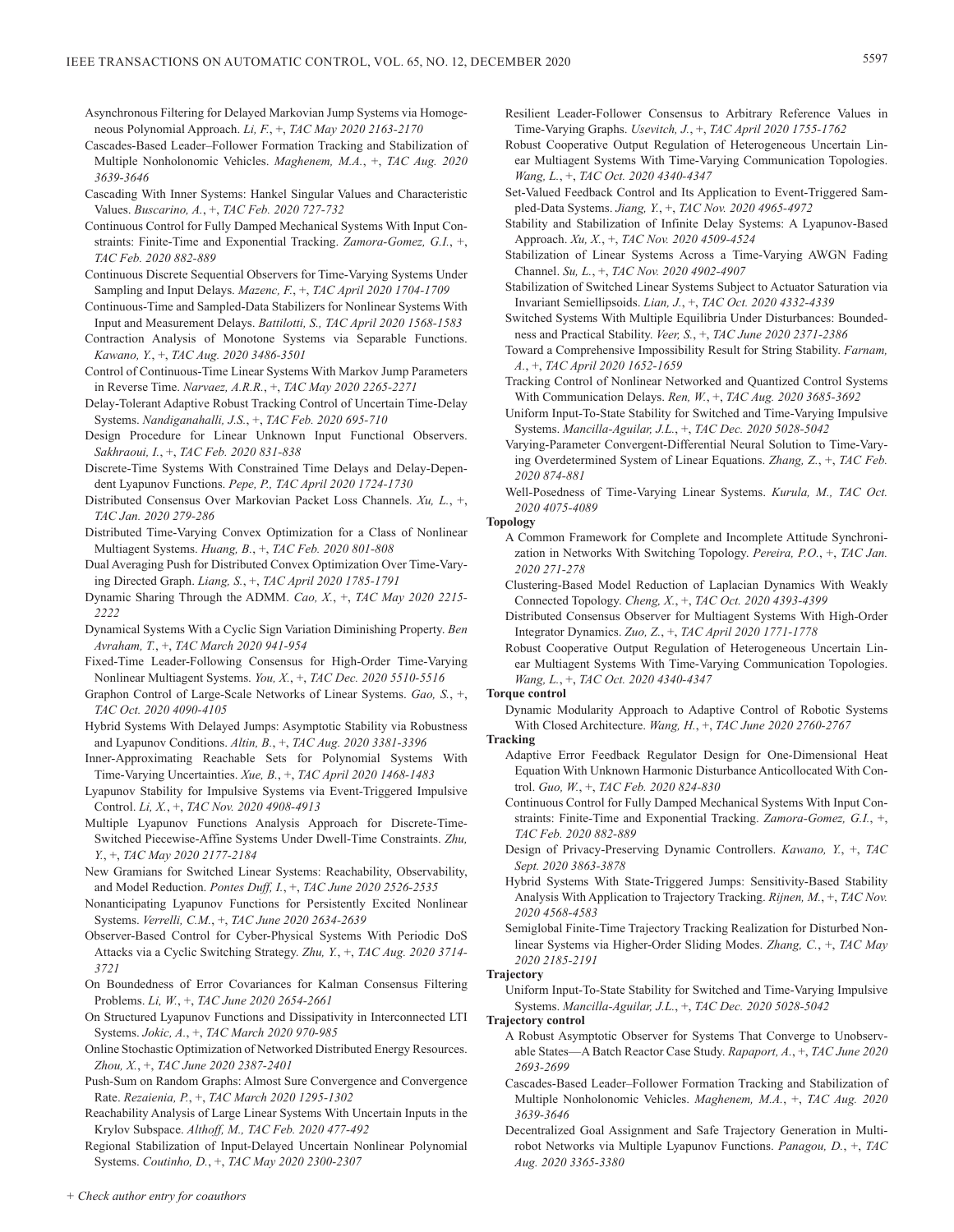- Asynchronous Filtering for Delayed Markovian Jump Systems via Homogeneous Polynomial Approach. *Li, F.*, +, *TAC May 2020 2163-2170*
- Cascades-Based Leader–Follower Formation Tracking and Stabilization of Multiple Nonholonomic Vehicles. *Maghenem, M.A.*, +, *TAC Aug. 2020 3639-3646*
- Cascading With Inner Systems: Hankel Singular Values and Characteristic Values. *Buscarino, A.*, +, *TAC Feb. 2020 727-732*
- Continuous Control for Fully Damped Mechanical Systems With Input Constraints: Finite-Time and Exponential Tracking. *Zamora-Gomez, G.I.*, +, *TAC Feb. 2020 882-889*
- Continuous Discrete Sequential Observers for Time-Varying Systems Under Sampling and Input Delays. *Mazenc, F.*, +, *TAC April 2020 1704-1709*
- Continuous-Time and Sampled-Data Stabilizers for Nonlinear Systems With Input and Measurement Delays. *Battilotti, S., TAC April 2020 1568-1583*
- Contraction Analysis of Monotone Systems via Separable Functions. *Kawano, Y.*, +, *TAC Aug. 2020 3486-3501*
- Control of Continuous-Time Linear Systems With Markov Jump Parameters in Reverse Time. *Narvaez, A.R.R.*, +, *TAC May 2020 2265-2271*
- Delay-Tolerant Adaptive Robust Tracking Control of Uncertain Time-Delay Systems. *Nandiganahalli, J.S.*, +, *TAC Feb. 2020 695-710*
- Design Procedure for Linear Unknown Input Functional Observers. *Sakhraoui, I.*, +, *TAC Feb. 2020 831-838*
- Discrete-Time Systems With Constrained Time Delays and Delay-Dependent Lyapunov Functions. *Pepe, P., TAC April 2020 1724-1730*
- Distributed Consensus Over Markovian Packet Loss Channels. *Xu, L.*, +, *TAC Jan. 2020 279-286*
- Distributed Time-Varying Convex Optimization for a Class of Nonlinear Multiagent Systems. *Huang, B.*, +, *TAC Feb. 2020 801-808*
- Dual Averaging Push for Distributed Convex Optimization Over Time-Varying Directed Graph. *Liang, S.*, +, *TAC April 2020 1785-1791*
- Dynamic Sharing Through the ADMM. *Cao, X.*, +, *TAC May 2020 2215- 2222*
- Dynamical Systems With a Cyclic Sign Variation Diminishing Property. *Ben Avraham, T.*, +, *TAC March 2020 941-954*
- Fixed-Time Leader-Following Consensus for High-Order Time-Varying Nonlinear Multiagent Systems. *You, X.*, +, *TAC Dec. 2020 5510-5516*
- Graphon Control of Large-Scale Networks of Linear Systems. *Gao, S.*, +, *TAC Oct. 2020 4090-4105*
- Hybrid Systems With Delayed Jumps: Asymptotic Stability via Robustness and Lyapunov Conditions. *Altin, B.*, +, *TAC Aug. 2020 3381-3396*
- Inner-Approximating Reachable Sets for Polynomial Systems With Time-Varying Uncertainties. *Xue, B.*, +, *TAC April 2020 1468-1483*
- Lyapunov Stability for Impulsive Systems via Event-Triggered Impulsive Control. *Li, X.*, +, *TAC Nov. 2020 4908-4913*
- Multiple Lyapunov Functions Analysis Approach for Discrete-Time-Switched Piecewise-Affine Systems Under Dwell-Time Constraints. *Zhu, Y.*, +, *TAC May 2020 2177-2184*
- New Gramians for Switched Linear Systems: Reachability, Observability, and Model Reduction. *Pontes Duff, I.*, +, *TAC June 2020 2526-2535*
- Nonanticipating Lyapunov Functions for Persistently Excited Nonlinear Systems. *Verrelli, C.M.*, +, *TAC June 2020 2634-2639*
- Observer-Based Control for Cyber-Physical Systems With Periodic DoS Attacks via a Cyclic Switching Strategy. *Zhu, Y.*, +, *TAC Aug. 2020 3714- 3721*
- On Boundedness of Error Covariances for Kalman Consensus Filtering Problems. *Li, W.*, +, *TAC June 2020 2654-2661*
- On Structured Lyapunov Functions and Dissipativity in Interconnected LTI Systems. *Jokic, A.*, +, *TAC March 2020 970-985*
- Online Stochastic Optimization of Networked Distributed Energy Resources. *Zhou, X.*, +, *TAC June 2020 2387-2401*
- Push-Sum on Random Graphs: Almost Sure Convergence and Convergence Rate. *Rezaienia, P.*, +, *TAC March 2020 1295-1302*
- Reachability Analysis of Large Linear Systems With Uncertain Inputs in the Krylov Subspace. *Althoff, M., TAC Feb. 2020 477-492*
- Regional Stabilization of Input-Delayed Uncertain Nonlinear Polynomial Systems. *Coutinho, D.*, +, *TAC May 2020 2300-2307*
- Resilient Leader-Follower Consensus to Arbitrary Reference Values in Time-Varying Graphs. *Usevitch, J.*, +, *TAC April 2020 1755-1762*
- Robust Cooperative Output Regulation of Heterogeneous Uncertain Linear Multiagent Systems With Time-Varying Communication Topologies. *Wang, L.*, +, *TAC Oct. 2020 4340-4347*
- Set-Valued Feedback Control and Its Application to Event-Triggered Sampled-Data Systems. *Jiang, Y.*, +, *TAC Nov. 2020 4965-4972*
- Stability and Stabilization of Infinite Delay Systems: A Lyapunov-Based Approach. *Xu, X.*, +, *TAC Nov. 2020 4509-4524*
- Stabilization of Linear Systems Across a Time-Varying AWGN Fading Channel. *Su, L.*, +, *TAC Nov. 2020 4902-4907*
- Stabilization of Switched Linear Systems Subject to Actuator Saturation via Invariant Semiellipsoids. *Lian, J.*, +, *TAC Oct. 2020 4332-4339*
- Switched Systems With Multiple Equilibria Under Disturbances: Boundedness and Practical Stability. *Veer, S.*, +, *TAC June 2020 2371-2386*
- Toward a Comprehensive Impossibility Result for String Stability. *Farnam, A.*, +, *TAC April 2020 1652-1659*
- Tracking Control of Nonlinear Networked and Quantized Control Systems With Communication Delays. *Ren, W.*, +, *TAC Aug. 2020 3685-3692*
- Uniform Input-To-State Stability for Switched and Time-Varying Impulsive Systems. *Mancilla-Aguilar, J.L.*, +, *TAC Dec. 2020 5028-5042*
- Varying-Parameter Convergent-Differential Neural Solution to Time-Varying Overdetermined System of Linear Equations. *Zhang, Z.*, +, *TAC Feb. 2020 874-881*
- Well-Posedness of Time-Varying Linear Systems. *Kurula, M., TAC Oct. 2020 4075-4089*

# **Topology**

- A Common Framework for Complete and Incomplete Attitude Synchronization in Networks With Switching Topology. *Pereira, P.O.*, +, *TAC Jan. 2020 271-278*
- Clustering-Based Model Reduction of Laplacian Dynamics With Weakly Connected Topology. *Cheng, X.*, +, *TAC Oct. 2020 4393-4399*
- Distributed Consensus Observer for Multiagent Systems With High-Order Integrator Dynamics. *Zuo, Z.*, +, *TAC April 2020 1771-1778*
- Robust Cooperative Output Regulation of Heterogeneous Uncertain Linear Multiagent Systems With Time-Varying Communication Topologies. *Wang, L.*, +, *TAC Oct. 2020 4340-4347*

# **Torque control**

- Dynamic Modularity Approach to Adaptive Control of Robotic Systems With Closed Architecture. *Wang, H.*, +, *TAC June 2020 2760-2767*
- **Tracking**
	- Adaptive Error Feedback Regulator Design for One-Dimensional Heat Equation With Unknown Harmonic Disturbance Anticollocated With Control. *Guo, W.*, +, *TAC Feb. 2020 824-830*
	- Continuous Control for Fully Damped Mechanical Systems With Input Constraints: Finite-Time and Exponential Tracking. *Zamora-Gomez, G.I.*, +, *TAC Feb. 2020 882-889*
	- Design of Privacy-Preserving Dynamic Controllers. *Kawano, Y.*, +, *TAC Sept. 2020 3863-3878*
	- Hybrid Systems With State-Triggered Jumps: Sensitivity-Based Stability Analysis With Application to Trajectory Tracking. *Rijnen, M.*, +, *TAC Nov. 2020 4568-4583*
	- Semiglobal Finite-Time Trajectory Tracking Realization for Disturbed Nonlinear Systems via Higher-Order Sliding Modes. *Zhang, C.*, +, *TAC May 2020 2185-2191*

#### **Trajectory**

Uniform Input-To-State Stability for Switched and Time-Varying Impulsive Systems. *Mancilla-Aguilar, J.L.*, +, *TAC Dec. 2020 5028-5042*

# **Trajectory control**

- A Robust Asymptotic Observer for Systems That Converge to Unobservable States—A Batch Reactor Case Study. *Rapaport, A.*, +, *TAC June 2020 2693-2699*
- Cascades-Based Leader–Follower Formation Tracking and Stabilization of Multiple Nonholonomic Vehicles. *Maghenem, M.A.*, +, *TAC Aug. 2020 3639-3646*
- Decentralized Goal Assignment and Safe Trajectory Generation in Multirobot Networks via Multiple Lyapunov Functions. *Panagou, D.*, +, *TAC Aug. 2020 3365-3380*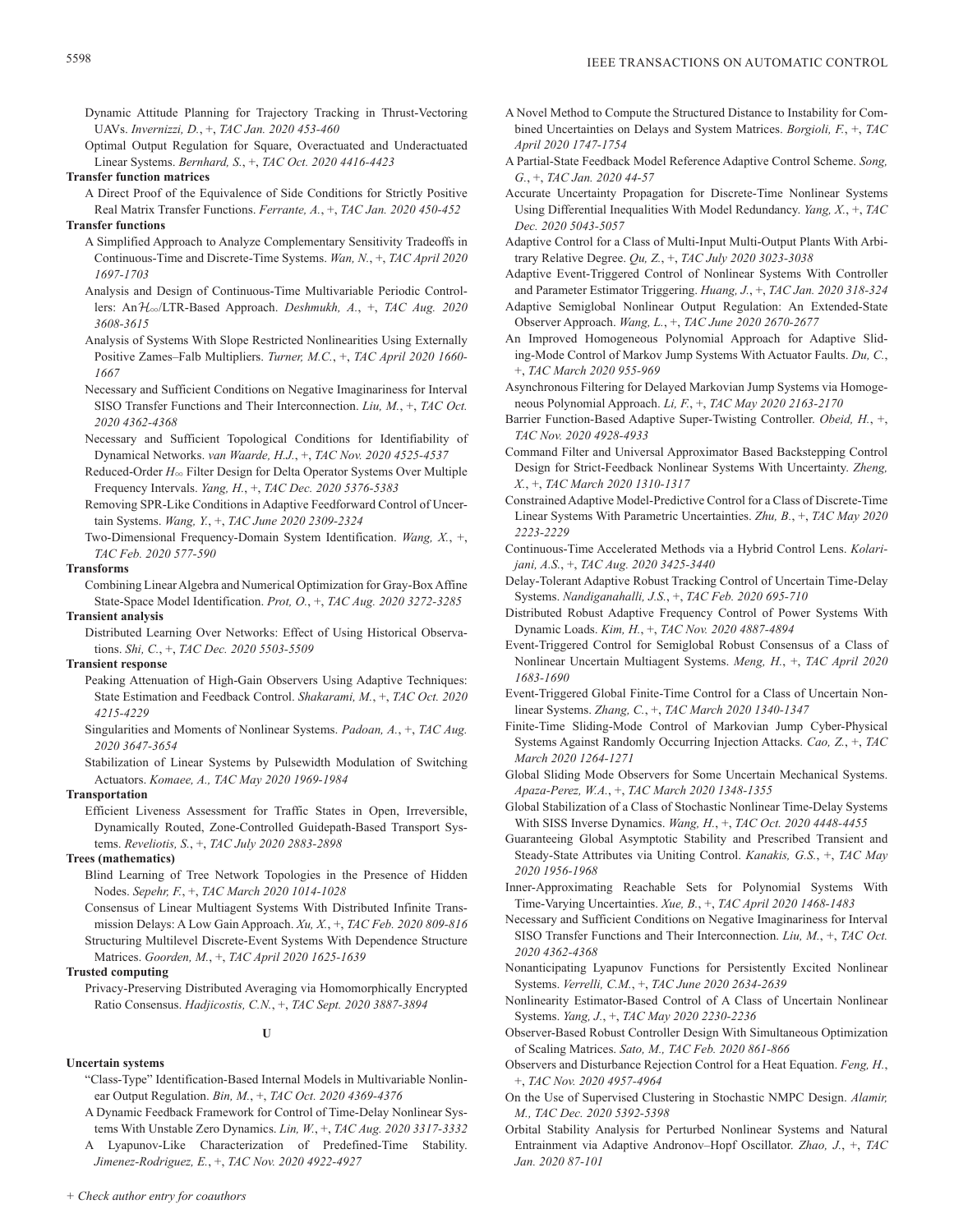- Dynamic Attitude Planning for Trajectory Tracking in Thrust-Vectoring UAVs. *Invernizzi, D.*, +, *TAC Jan. 2020 453-460*
- Optimal Output Regulation for Square, Overactuated and Underactuated Linear Systems. *Bernhard, S.*, +, *TAC Oct. 2020 4416-4423*

**Transfer function matrices**

- A Direct Proof of the Equivalence of Side Conditions for Strictly Positive Real Matrix Transfer Functions. *Ferrante, A.*, +, *TAC Jan. 2020 450-452* **Transfer functions**
	- A Simplified Approach to Analyze Complementary Sensitivity Tradeoffs in Continuous-Time and Discrete-Time Systems. *Wan, N.*, +, *TAC April 2020 1697-1703*
	- Analysis and Design of Continuous-Time Multivariable Periodic Controllers: AnH3/LTR-Based Approach. *Deshmukh, A.*, +, *TAC Aug. 2020 3608-3615*
	- Analysis of Systems With Slope Restricted Nonlinearities Using Externally Positive Zames–Falb Multipliers. *Turner, M.C.*, +, *TAC April 2020 1660- 1667*
	- Necessary and Sufficient Conditions on Negative Imaginariness for Interval SISO Transfer Functions and Their Interconnection. *Liu, M.*, +, *TAC Oct. 2020 4362-4368*
	- Necessary and Sufficient Topological Conditions for Identifiability of Dynamical Networks. *van Waarde, H.J.*, +, *TAC Nov. 2020 4525-4537*
	- Reduced-Order *H*3 Filter Design for Delta Operator Systems Over Multiple Frequency Intervals. *Yang, H.*, +, *TAC Dec. 2020 5376-5383*
	- Removing SPR-Like Conditions in Adaptive Feedforward Control of Uncertain Systems. *Wang, Y.*, +, *TAC June 2020 2309-2324*
	- Two-Dimensional Frequency-Domain System Identification. *Wang, X.*, +, *TAC Feb. 2020 577-590*

### **Transforms**

Combining Linear Algebra and Numerical Optimization for Gray-Box Affine State-Space Model Identification. *Prot, O.*, +, *TAC Aug. 2020 3272-3285*

# **Transient analysis**

Distributed Learning Over Networks: Effect of Using Historical Observations. *Shi, C.*, +, *TAC Dec. 2020 5503-5509*

# **Transient response**

- Peaking Attenuation of High-Gain Observers Using Adaptive Techniques: State Estimation and Feedback Control. *Shakarami, M.*, +, *TAC Oct. 2020 4215-4229*
- Singularities and Moments of Nonlinear Systems. *Padoan, A.*, +, *TAC Aug. 2020 3647-3654*
- Stabilization of Linear Systems by Pulsewidth Modulation of Switching Actuators. *Komaee, A., TAC May 2020 1969-1984*

# **Transportation**

Efficient Liveness Assessment for Traffic States in Open, Irreversible, Dynamically Routed, Zone-Controlled Guidepath-Based Transport Systems. *Reveliotis, S.*, +, *TAC July 2020 2883-2898*

# **Trees (mathematics)**

- Blind Learning of Tree Network Topologies in the Presence of Hidden Nodes. *Sepehr, F.*, +, *TAC March 2020 1014-1028*
- Consensus of Linear Multiagent Systems With Distributed Infinite Transmission Delays: A Low Gain Approach. *Xu, X.*, +, *TAC Feb. 2020 809-816* Structuring Multilevel Discrete-Event Systems With Dependence Structure

Matrices. *Goorden, M.*, +, *TAC April 2020 1625-1639*

# **Trusted computing**

Privacy-Preserving Distributed Averaging via Homomorphically Encrypted Ratio Consensus. *Hadjicostis, C.N.*, +, *TAC Sept. 2020 3887-3894*

# **U**

- **Uncertain systems**
	- "Class-Type" Identification-Based Internal Models in Multivariable Nonlinear Output Regulation. *Bin, M.*, +, *TAC Oct. 2020 4369-4376*
	- A Dynamic Feedback Framework for Control of Time-Delay Nonlinear Systems With Unstable Zero Dynamics. *Lin, W.*, +, *TAC Aug. 2020 3317-3332*
	- A Lyapunov-Like Characterization of Predefined-Time Stability. *Jimenez-Rodriguez, E.*, +, *TAC Nov. 2020 4922-4927*
- A Novel Method to Compute the Structured Distance to Instability for Combined Uncertainties on Delays and System Matrices. *Borgioli, F.*, +, *TAC April 2020 1747-1754*
- A Partial-State Feedback Model Reference Adaptive Control Scheme. *Song, G.*, +, *TAC Jan. 2020 44-57*
- Accurate Uncertainty Propagation for Discrete-Time Nonlinear Systems Using Differential Inequalities With Model Redundancy. *Yang, X.*, +, *TAC Dec. 2020 5043-5057*
- Adaptive Control for a Class of Multi-Input Multi-Output Plants With Arbitrary Relative Degree. *Qu, Z.*, +, *TAC July 2020 3023-3038*
- Adaptive Event-Triggered Control of Nonlinear Systems With Controller and Parameter Estimator Triggering. *Huang, J.*, +, *TAC Jan. 2020 318-324*
- Adaptive Semiglobal Nonlinear Output Regulation: An Extended-State Observer Approach. *Wang, L.*, +, *TAC June 2020 2670-2677*
- An Improved Homogeneous Polynomial Approach for Adaptive Sliding-Mode Control of Markov Jump Systems With Actuator Faults. *Du, C.*, +, *TAC March 2020 955-969*
- Asynchronous Filtering for Delayed Markovian Jump Systems via Homogeneous Polynomial Approach. *Li, F.*, +, *TAC May 2020 2163-2170*
- Barrier Function-Based Adaptive Super-Twisting Controller. *Obeid, H.*, +, *TAC Nov. 2020 4928-4933*
- Command Filter and Universal Approximator Based Backstepping Control Design for Strict-Feedback Nonlinear Systems With Uncertainty. *Zheng, X.*, +, *TAC March 2020 1310-1317*
- Constrained Adaptive Model-Predictive Control for a Class of Discrete-Time Linear Systems With Parametric Uncertainties. *Zhu, B.*, +, *TAC May 2020 2223-2229*
- Continuous-Time Accelerated Methods via a Hybrid Control Lens. *Kolarijani, A.S.*, +, *TAC Aug. 2020 3425-3440*
- Delay-Tolerant Adaptive Robust Tracking Control of Uncertain Time-Delay Systems. *Nandiganahalli, J.S.*, +, *TAC Feb. 2020 695-710*
- Distributed Robust Adaptive Frequency Control of Power Systems With Dynamic Loads. *Kim, H.*, +, *TAC Nov. 2020 4887-4894*
- Event-Triggered Control for Semiglobal Robust Consensus of a Class of Nonlinear Uncertain Multiagent Systems. *Meng, H.*, +, *TAC April 2020 1683-1690*
- Event-Triggered Global Finite-Time Control for a Class of Uncertain Nonlinear Systems. *Zhang, C.*, +, *TAC March 2020 1340-1347*
- Finite-Time Sliding-Mode Control of Markovian Jump Cyber-Physical Systems Against Randomly Occurring Injection Attacks. *Cao, Z.*, +, *TAC March 2020 1264-1271*
- Global Sliding Mode Observers for Some Uncertain Mechanical Systems. *Apaza-Perez, W.A.*, +, *TAC March 2020 1348-1355*
- Global Stabilization of a Class of Stochastic Nonlinear Time-Delay Systems With SISS Inverse Dynamics. *Wang, H.*, +, *TAC Oct. 2020 4448-4455*
- Guaranteeing Global Asymptotic Stability and Prescribed Transient and Steady-State Attributes via Uniting Control. *Kanakis, G.S.*, +, *TAC May 2020 1956-1968*
- Inner-Approximating Reachable Sets for Polynomial Systems With Time-Varying Uncertainties. *Xue, B.*, +, *TAC April 2020 1468-1483*
- Necessary and Sufficient Conditions on Negative Imaginariness for Interval SISO Transfer Functions and Their Interconnection. *Liu, M.*, +, *TAC Oct. 2020 4362-4368*
- Nonanticipating Lyapunov Functions for Persistently Excited Nonlinear Systems. *Verrelli, C.M.*, +, *TAC June 2020 2634-2639*
- Nonlinearity Estimator-Based Control of A Class of Uncertain Nonlinear Systems. *Yang, J.*, +, *TAC May 2020 2230-2236*
- Observer-Based Robust Controller Design With Simultaneous Optimization of Scaling Matrices. *Sato, M., TAC Feb. 2020 861-866*
- Observers and Disturbance Rejection Control for a Heat Equation. *Feng, H.*, +, *TAC Nov. 2020 4957-4964*
- On the Use of Supervised Clustering in Stochastic NMPC Design. *Alamir, M., TAC Dec. 2020 5392-5398*
- Orbital Stability Analysis for Perturbed Nonlinear Systems and Natural Entrainment via Adaptive Andronov–Hopf Oscillator. *Zhao, J.*, +, *TAC Jan. 2020 87-101*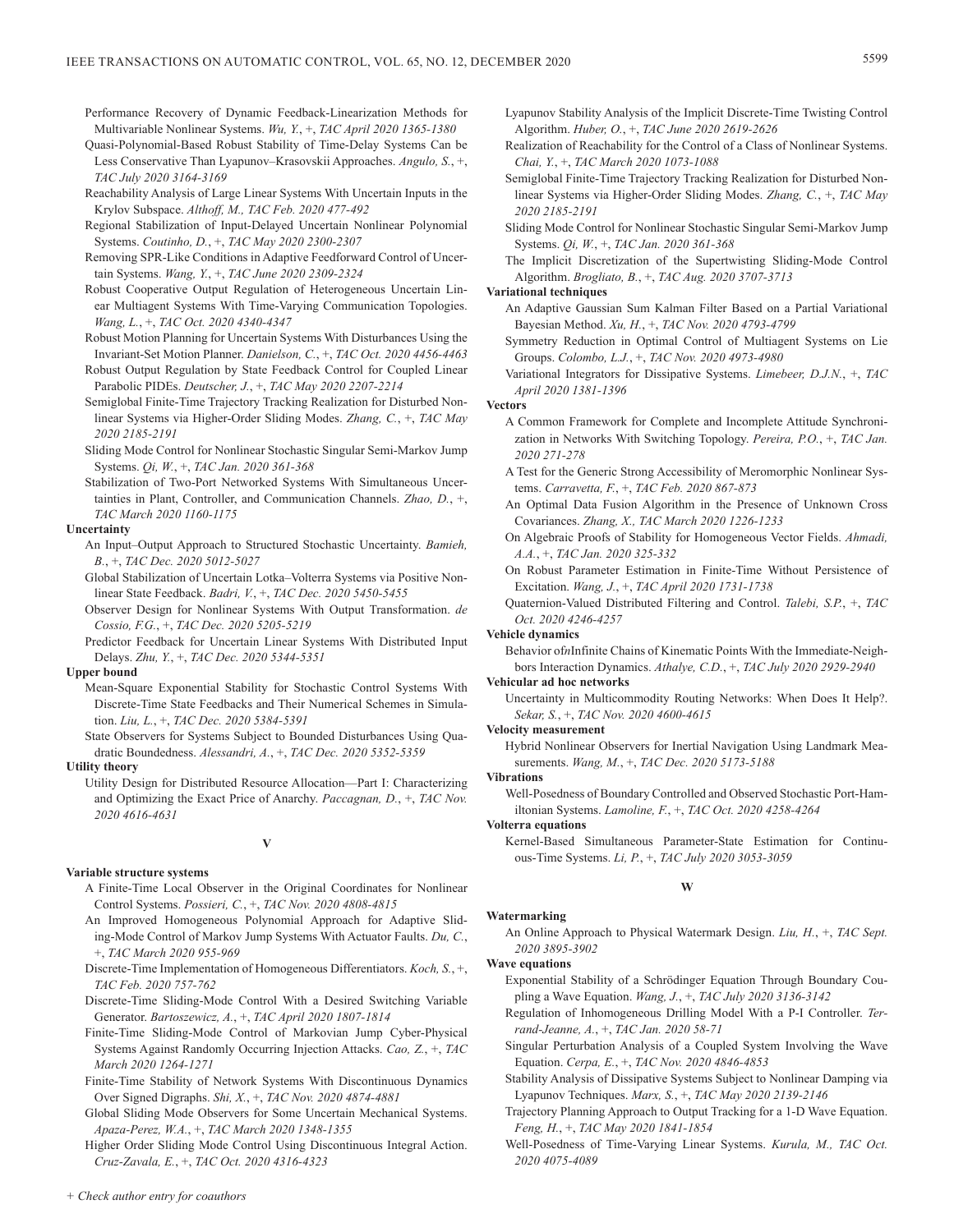Performance Recovery of Dynamic Feedback-Linearization Methods for Multivariable Nonlinear Systems. *Wu, Y.*, +, *TAC April 2020 1365-1380*

Quasi-Polynomial-Based Robust Stability of Time-Delay Systems Can be Less Conservative Than Lyapunov–Krasovskii Approaches. *Angulo, S.*, +, *TAC July 2020 3164-3169*

- Reachability Analysis of Large Linear Systems With Uncertain Inputs in the Krylov Subspace. *Althoff, M., TAC Feb. 2020 477-492*
- Regional Stabilization of Input-Delayed Uncertain Nonlinear Polynomial Systems. *Coutinho, D.*, +, *TAC May 2020 2300-2307*
- Removing SPR-Like Conditions in Adaptive Feedforward Control of Uncertain Systems. *Wang, Y.*, +, *TAC June 2020 2309-2324*
- Robust Cooperative Output Regulation of Heterogeneous Uncertain Linear Multiagent Systems With Time-Varying Communication Topologies. *Wang, L.*, +, *TAC Oct. 2020 4340-4347*
- Robust Motion Planning for Uncertain Systems With Disturbances Using the Invariant-Set Motion Planner. *Danielson, C.*, +, *TAC Oct. 2020 4456-4463*
- Robust Output Regulation by State Feedback Control for Coupled Linear Parabolic PIDEs. *Deutscher, J.*, +, *TAC May 2020 2207-2214*
- Semiglobal Finite-Time Trajectory Tracking Realization for Disturbed Nonlinear Systems via Higher-Order Sliding Modes. *Zhang, C.*, +, *TAC May 2020 2185-2191*
- Sliding Mode Control for Nonlinear Stochastic Singular Semi-Markov Jump Systems. *Qi, W.*, +, *TAC Jan. 2020 361-368*
- Stabilization of Two-Port Networked Systems With Simultaneous Uncertainties in Plant, Controller, and Communication Channels. *Zhao, D.*, +, *TAC March 2020 1160-1175*

### **Uncertainty**

- An Input–Output Approach to Structured Stochastic Uncertainty. *Bamieh, B.*, +, *TAC Dec. 2020 5012-5027*
- Global Stabilization of Uncertain Lotka–Volterra Systems via Positive Nonlinear State Feedback. *Badri, V.*, +, *TAC Dec. 2020 5450-5455*
- Observer Design for Nonlinear Systems With Output Transformation. *de Cossio, F.G.*, +, *TAC Dec. 2020 5205-5219*
- Predictor Feedback for Uncertain Linear Systems With Distributed Input Delays. *Zhu, Y.*, +, *TAC Dec. 2020 5344-5351*

#### **Upper bound**

Mean-Square Exponential Stability for Stochastic Control Systems With Discrete-Time State Feedbacks and Their Numerical Schemes in Simulation. *Liu, L.*, +, *TAC Dec. 2020 5384-5391*

State Observers for Systems Subject to Bounded Disturbances Using Quadratic Boundedness. *Alessandri, A.*, +, *TAC Dec. 2020 5352-5359*

# **Utility theory**

Utility Design for Distributed Resource Allocation—Part I: Characterizing and Optimizing the Exact Price of Anarchy. *Paccagnan, D.*, +, *TAC Nov. 2020 4616-4631*

# **V**

### **Variable structure systems**

- A Finite-Time Local Observer in the Original Coordinates for Nonlinear Control Systems. *Possieri, C.*, +, *TAC Nov. 2020 4808-4815*
- An Improved Homogeneous Polynomial Approach for Adaptive Sliding-Mode Control of Markov Jump Systems With Actuator Faults. *Du, C.*, +, *TAC March 2020 955-969*
- Discrete-Time Implementation of Homogeneous Differentiators. *Koch, S.*, +, *TAC Feb. 2020 757-762*
- Discrete-Time Sliding-Mode Control With a Desired Switching Variable Generator. *Bartoszewicz, A.*, +, *TAC April 2020 1807-1814*
- Finite-Time Sliding-Mode Control of Markovian Jump Cyber-Physical Systems Against Randomly Occurring Injection Attacks. *Cao, Z.*, +, *TAC March 2020 1264-1271*
- Finite-Time Stability of Network Systems With Discontinuous Dynamics Over Signed Digraphs. *Shi, X.*, +, *TAC Nov. 2020 4874-4881*
- Global Sliding Mode Observers for Some Uncertain Mechanical Systems. *Apaza-Perez, W.A.*, +, *TAC March 2020 1348-1355*

Higher Order Sliding Mode Control Using Discontinuous Integral Action. *Cruz-Zavala, E.*, +, *TAC Oct. 2020 4316-4323*

- Lyapunov Stability Analysis of the Implicit Discrete-Time Twisting Control Algorithm. *Huber, O.*, +, *TAC June 2020 2619-2626*
- Realization of Reachability for the Control of a Class of Nonlinear Systems. *Chai, Y.*, +, *TAC March 2020 1073-1088*
- Semiglobal Finite-Time Trajectory Tracking Realization for Disturbed Nonlinear Systems via Higher-Order Sliding Modes. *Zhang, C.*, +, *TAC May 2020 2185-2191*
- Sliding Mode Control for Nonlinear Stochastic Singular Semi-Markov Jump Systems. *Qi, W.*, +, *TAC Jan. 2020 361-368*
- The Implicit Discretization of the Supertwisting Sliding-Mode Control Algorithm. *Brogliato, B.*, +, *TAC Aug. 2020 3707-3713*

### **Variational techniques**

- An Adaptive Gaussian Sum Kalman Filter Based on a Partial Variational Bayesian Method. *Xu, H.*, +, *TAC Nov. 2020 4793-4799*
- Symmetry Reduction in Optimal Control of Multiagent Systems on Lie Groups. *Colombo, L.J.*, +, *TAC Nov. 2020 4973-4980*
- Variational Integrators for Dissipative Systems. *Limebeer, D.J.N.*, +, *TAC April 2020 1381-1396*

#### **Vectors**

- A Common Framework for Complete and Incomplete Attitude Synchronization in Networks With Switching Topology. *Pereira, P.O.*, +, *TAC Jan. 2020 271-278*
- A Test for the Generic Strong Accessibility of Meromorphic Nonlinear Systems. *Carravetta, F.*, +, *TAC Feb. 2020 867-873*
- An Optimal Data Fusion Algorithm in the Presence of Unknown Cross Covariances. *Zhang, X., TAC March 2020 1226-1233*
- On Algebraic Proofs of Stability for Homogeneous Vector Fields. *Ahmadi, A.A.*, +, *TAC Jan. 2020 325-332*
- On Robust Parameter Estimation in Finite-Time Without Persistence of Excitation. *Wang, J.*, +, *TAC April 2020 1731-1738*
- Quaternion-Valued Distributed Filtering and Control. *Talebi, S.P.*, +, *TAC Oct. 2020 4246-4257*

#### **Vehicle dynamics**

Behavior of*n*Infinite Chains of Kinematic Points With the Immediate-Neighbors Interaction Dynamics. *Athalye, C.D.*, +, *TAC July 2020 2929-2940*

# **Vehicular ad hoc networks**

Uncertainty in Multicommodity Routing Networks: When Does It Help?. *Sekar, S.*, +, *TAC Nov. 2020 4600-4615*

### **Velocity measurement**

Hybrid Nonlinear Observers for Inertial Navigation Using Landmark Measurements. *Wang, M.*, +, *TAC Dec. 2020 5173-5188*

### **Vibrations**

Well-Posedness of Boundary Controlled and Observed Stochastic Port-Hamiltonian Systems. *Lamoline, F.*, +, *TAC Oct. 2020 4258-4264*

# **Volterra equations**

Kernel-Based Simultaneous Parameter-State Estimation for Continuous-Time Systems. *Li, P.*, +, *TAC July 2020 3053-3059*

# **W**

# **Watermarking**

An Online Approach to Physical Watermark Design. *Liu, H.*, +, *TAC Sept. 2020 3895-3902*

### **Wave equations**

- Exponential Stability of a Schrödinger Equation Through Boundary Coupling a Wave Equation. *Wang, J.*, +, *TAC July 2020 3136-3142*
- Regulation of Inhomogeneous Drilling Model With a P-I Controller. *Terrand-Jeanne, A.*, +, *TAC Jan. 2020 58-71*
- Singular Perturbation Analysis of a Coupled System Involving the Wave Equation. *Cerpa, E.*, +, *TAC Nov. 2020 4846-4853*
- Stability Analysis of Dissipative Systems Subject to Nonlinear Damping via Lyapunov Techniques. *Marx, S.*, +, *TAC May 2020 2139-2146*
- Trajectory Planning Approach to Output Tracking for a 1-D Wave Equation. *Feng, H.*, +, *TAC May 2020 1841-1854*
- Well-Posedness of Time-Varying Linear Systems. *Kurula, M., TAC Oct. 2020 4075-4089*